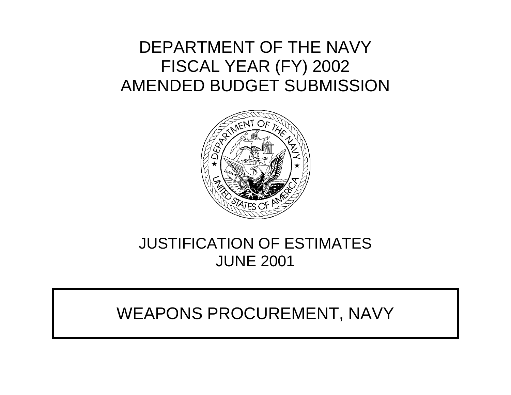# DEPARTMENT OF THE NAVY FISCAL YEAR (FY) 2002 AMENDED BUDGET SUBMISSION



# JUSTIFICATION OF ESTIMATES JUNE 2001

# WEAPONS PROCUREMENT, NAVY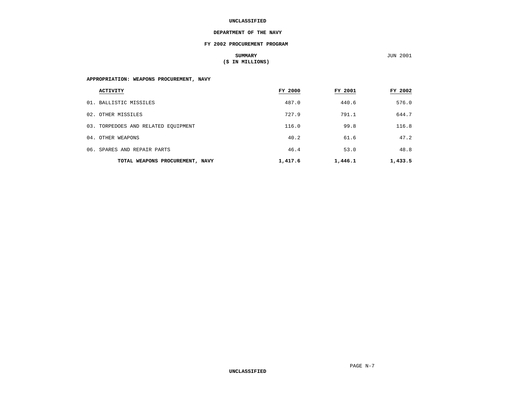#### **DEPARTMENT OF THE NAVY**

#### **FY 2002 PROCUREMENT PROGRAM**

### **SUMMARY** JUN 2001 **(\$ IN MILLIONS)**

**JUN 2001** 

### **APPROPRIATION: WEAPONS PROCUREMENT, NAVY**

| <b>ACTIVITY</b>                     | FY 2000 | FY 2001 | FY 2002 |
|-------------------------------------|---------|---------|---------|
| 01. BALLISTIC MISSILES              | 487.0   | 440.6   | 576.0   |
| 02. OTHER MISSILES                  | 727.9   | 791.1   | 644.7   |
| 03. TORPEDOES AND RELATED EQUIPMENT | 116.0   | 99.8    | 116.8   |
| 04. OTHER WEAPONS                   | 40.2    | 61.6    | 47.2    |
| 06. SPARES AND REPAIR PARTS         | 46.4    | 53.0    | 48.8    |
| TOTAL WEAPONS PROCUREMENT, NAVY     | 1,417.6 | 1,446.1 | 1,433.5 |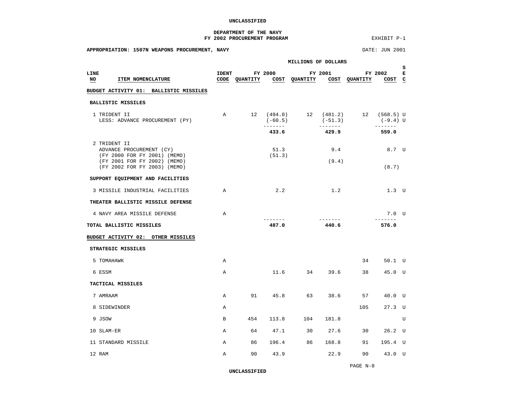#### **DEPARTMENT OF THE NAVY FY 2002 PROCUREMENT PROGRAM EXHIBIT P-1**

<span id="page-2-0"></span>

| APPROPRIATION: 1507N WEAPONS PROCUREMENT, NAVY                           |              |                                           |                |                                    |                 |     | DATE: JUN 2001                                                                                                                                                                                                                                                                                                                                                                                                                                                                                    |                          |
|--------------------------------------------------------------------------|--------------|-------------------------------------------|----------------|------------------------------------|-----------------|-----|---------------------------------------------------------------------------------------------------------------------------------------------------------------------------------------------------------------------------------------------------------------------------------------------------------------------------------------------------------------------------------------------------------------------------------------------------------------------------------------------------|--------------------------|
|                                                                          |              |                                           |                | MILLIONS OF DOLLARS                |                 |     |                                                                                                                                                                                                                                                                                                                                                                                                                                                                                                   |                          |
| LINE<br><b>ITEM NOMENCLATURE</b><br>NO                                   | <b>IDENT</b> | CODE QUANTITY COST QUANTITY COST QUANTITY | FY 2000        |                                    | FY 2001         |     | FY 2002<br>COST C                                                                                                                                                                                                                                                                                                                                                                                                                                                                                 | S.<br>$\mathbf{E}% _{t}$ |
| BUDGET ACTIVITY 01: BALLISTIC MISSILES                                   |              |                                           |                |                                    |                 |     |                                                                                                                                                                                                                                                                                                                                                                                                                                                                                                   |                          |
| BALLISTIC MISSILES                                                       |              |                                           |                |                                    |                 |     |                                                                                                                                                                                                                                                                                                                                                                                                                                                                                                   |                          |
| 1 TRIDENT II<br>LESS: ADVANCE PROCUREMENT (PY)                           | $\mathbb{A}$ |                                           | $(-60.5)$      | 12 (494.0) 12 (481.2) 12 (568.5) U | $(-51.3)$       |     | (-9.4) U                                                                                                                                                                                                                                                                                                                                                                                                                                                                                          |                          |
|                                                                          |              |                                           | 433.6          |                                    | 429.9           |     | 559.0                                                                                                                                                                                                                                                                                                                                                                                                                                                                                             |                          |
| 2 TRIDENT II<br>ADVANCE PROCUREMENT (CY)<br>(FY 2000 FOR FY 2001) (MEMO) |              |                                           | 51.3<br>(51.3) |                                    | 9.4             |     | 8.7 U                                                                                                                                                                                                                                                                                                                                                                                                                                                                                             |                          |
| (FY 2001 FOR FY 2002) (MEMO)<br>(FY 2002 FOR FY 2003) (MEMO)             |              |                                           |                |                                    | (9.4)           |     | (8.7)                                                                                                                                                                                                                                                                                                                                                                                                                                                                                             |                          |
| SUPPORT EQUIPMENT AND FACILITIES                                         |              |                                           |                |                                    |                 |     |                                                                                                                                                                                                                                                                                                                                                                                                                                                                                                   |                          |
| 3 MISSILE INDUSTRIAL FACILITIES                                          | A            |                                           | 2.2            |                                    | 1.2             |     | 1.3 U                                                                                                                                                                                                                                                                                                                                                                                                                                                                                             |                          |
| THEATER BALLISTIC MISSILE DEFENSE                                        |              |                                           |                |                                    |                 |     |                                                                                                                                                                                                                                                                                                                                                                                                                                                                                                   |                          |
| 4 NAVY AREA MISSILE DEFENSE                                              | $\mathsf{A}$ |                                           | $- - - - - -$  |                                    | $- - - - - - -$ |     | $7.0$ U<br>$\begin{array}{cccccccccc} \multicolumn{2}{c}{} & \multicolumn{2}{c}{} & \multicolumn{2}{c}{} & \multicolumn{2}{c}{} & \multicolumn{2}{c}{} & \multicolumn{2}{c}{} & \multicolumn{2}{c}{} & \multicolumn{2}{c}{} & \multicolumn{2}{c}{} & \multicolumn{2}{c}{} & \multicolumn{2}{c}{} & \multicolumn{2}{c}{} & \multicolumn{2}{c}{} & \multicolumn{2}{c}{} & \multicolumn{2}{c}{} & \multicolumn{2}{c}{} & \multicolumn{2}{c}{} & \multicolumn{2}{c}{} & \multicolumn{2}{c}{} & \mult$ |                          |
| TOTAL BALLISTIC MISSILES                                                 |              |                                           | 487.0          |                                    | 440.6           |     | 576.0                                                                                                                                                                                                                                                                                                                                                                                                                                                                                             |                          |
| BUDGET ACTIVITY 02: OTHER MISSILES                                       |              |                                           |                |                                    |                 |     |                                                                                                                                                                                                                                                                                                                                                                                                                                                                                                   |                          |
| STRATEGIC MISSILES                                                       |              |                                           |                |                                    |                 |     |                                                                                                                                                                                                                                                                                                                                                                                                                                                                                                   |                          |
| 5 TOMAHAWK                                                               | $\mathbb{A}$ |                                           |                |                                    |                 | 34  | 50.1 U                                                                                                                                                                                                                                                                                                                                                                                                                                                                                            |                          |
| 6 ESSM                                                                   | $\mathbb{A}$ |                                           |                | $11.6$ 34 39.6                     |                 | 38  | 45.0 U                                                                                                                                                                                                                                                                                                                                                                                                                                                                                            |                          |
| TACTICAL MISSILES                                                        |              |                                           |                |                                    |                 |     |                                                                                                                                                                                                                                                                                                                                                                                                                                                                                                   |                          |
| 7 AMRAAM                                                                 | A            |                                           | 91 45.8        |                                    | 63 38.6         | 57  | 40.0 U                                                                                                                                                                                                                                                                                                                                                                                                                                                                                            |                          |
| 8 SIDEWINDER                                                             | Α            |                                           |                |                                    |                 | 105 | $27.3$ U                                                                                                                                                                                                                                                                                                                                                                                                                                                                                          |                          |
| 9 JSOW                                                                   | $\mathbf{B}$ |                                           | 454 113.8      | 104                                | 181.8           |     |                                                                                                                                                                                                                                                                                                                                                                                                                                                                                                   | $\mathbf{U}$             |
| 10 SLAM-ER                                                               | $\mathbf{A}$ |                                           | 64 47.1        | 30                                 | 27.6            | 30  | $26.2$ U                                                                                                                                                                                                                                                                                                                                                                                                                                                                                          |                          |
| 11 STANDARD MISSILE                                                      | $\mathbb{A}$ |                                           | 86 196.4       | 86                                 | 168.8           | 91  | 195.4 U                                                                                                                                                                                                                                                                                                                                                                                                                                                                                           |                          |
|                                                                          |              |                                           |                |                                    |                 |     |                                                                                                                                                                                                                                                                                                                                                                                                                                                                                                   |                          |

**UNCLASSIFIED**

12 RAM A 90 43.9 22.9 90 43.0 U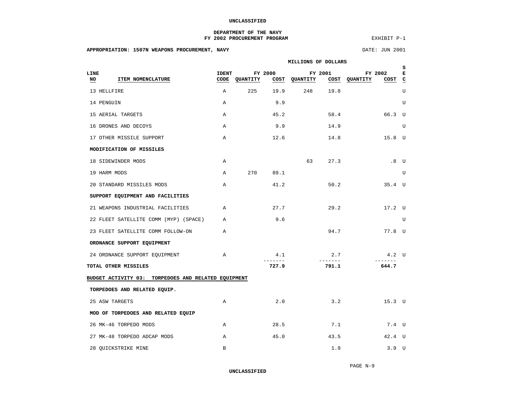#### **DEPARTMENT OF THE NAVY** FY 2002 PROCUREMENT PROGRAM

EXHIBIT P-1

### **APPROPRIATION: 1507N WEAPONS PROCUREMENT, NAVY** DATE: JUN 2001

<span id="page-3-0"></span>

|                                                     | MILLIONS OF DOLLARS  |          |                |                          |                 |                                        | s |
|-----------------------------------------------------|----------------------|----------|----------------|--------------------------|-----------------|----------------------------------------|---|
| LINE<br>ITEM NOMENCLATURE<br>NO                     | <b>IDENT</b><br>CODE | QUANTITY | FY 2000        | FY 2001<br>COST QUANTITY |                 | FY 2002<br>$COST$ $C$<br>COST QUANTITY | к |
| 13 HELLFIRE                                         | A                    | 225      | 19.9           | 248                      | 19.8            |                                        | U |
| 14 PENGUIN                                          | $\mathbb{A}$         |          | 9.9            |                          |                 |                                        | U |
| 15 AERIAL TARGETS                                   | $\mathbb{A}$         |          | 45.2           |                          | 58.4            | 66.3 U                                 |   |
| 16 DRONES AND DECOYS                                | $\mathbb{A}$         |          | 9.9            |                          | 14.9            |                                        | U |
| 17 OTHER MISSILE SUPPORT                            | $\mathbb{A}$         |          | 12.6           |                          | 14.8            | $15.8$ U                               |   |
| MODIFICATION OF MISSILES                            |                      |          |                |                          |                 |                                        |   |
| 18 SIDEWINDER MODS                                  | $\mathbb{A}$         |          |                | 63                       | 27.3            | .8 <sub>U</sub>                        |   |
| 19 HARM MODS                                        | $\mathsf{A}$         | 270      | 89.1           |                          |                 |                                        | U |
| 20 STANDARD MISSILES MODS                           | $\mathbb{A}$         |          | 41.2           |                          | 50.2            | $35.4$ U                               |   |
| SUPPORT EQUIPMENT AND FACILITIES                    |                      |          |                |                          |                 |                                        |   |
| 21 WEAPONS INDUSTRIAL FACILITIES                    | $\mathbb{A}$         |          | 27.7           |                          | 29.2            | 17.2 U                                 |   |
| 22 FLEET SATELLITE COMM (MYP) (SPACE)               | $\mathbb{A}$         |          | 9.6            |                          |                 |                                        | U |
| 23 FLEET SATELLITE COMM FOLLOW-ON                   | $\overline{A}$       |          |                |                          | 94.7            | 77.8 U                                 |   |
| ORDNANCE SUPPORT EQUIPMENT                          |                      |          |                |                          |                 |                                        |   |
| 24 ORDNANCE SUPPORT EQUIPMENT                       | $\mathbb A$          |          | 4.1<br>_______ |                          | 2.7<br>-------- | $4.2$ U                                |   |
| TOTAL OTHER MISSILES                                |                      |          | 727.9          |                          | 791.1           | 644.7                                  |   |
| BUDGET ACTIVITY 03: TORPEDOES AND RELATED EQUIPMENT |                      |          |                |                          |                 |                                        |   |
| TORPEDOES AND RELATED EQUIP.                        |                      |          |                |                          |                 |                                        |   |
| 25 ASW TARGETS                                      | Α                    |          | 2.0            |                          | 3.2             | $15.3$ U                               |   |
| MOD OF TORPEDOES AND RELATED EQUIP                  |                      |          |                |                          |                 |                                        |   |
| 26 MK-46 TORPEDO MODS                               | A                    |          | 28.5           |                          | 7.1             | 7.4 U                                  |   |
| 27 MK-48 TORPEDO ADCAP MODS                         | $\mathbb{A}$         |          | 45.0           |                          | 43.5            | 42.4 U                                 |   |
| 28 OUICKSTRIKE MINE                                 | $\mathbf B$          |          |                |                          | 1.9             | 3.9 <sub>U</sub>                       |   |

**UNCLASSIFIED**

PAGE N-9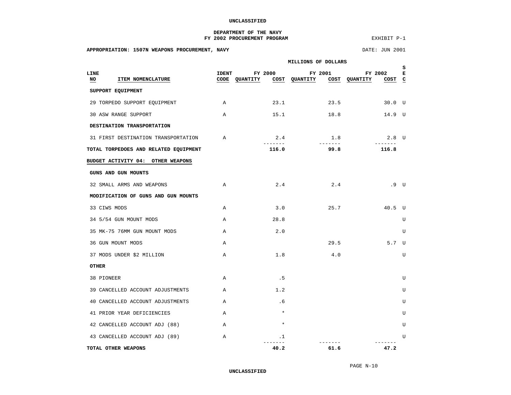#### **DEPARTMENT OF THE NAVY** FY 2002 PROCUREMENT PROGRAM

EXHIBIT P-1

### **APPROPRIATION: 1507N WEAPONS PROCUREMENT, NAVY SEE AND RESOURD APPROPRIATION: 1507N WEAPONS PROCUREMENT, NAVY**

<span id="page-4-0"></span>

|                                       | MILLIONS OF DOLLARS |                            |                          |                                               |        |  |  |  |  |  |
|---------------------------------------|---------------------|----------------------------|--------------------------|-----------------------------------------------|--------|--|--|--|--|--|
| LINE<br>NO<br>ITEM NOMENCLATURE       | <b>IDENT</b>        | FY 2000<br>CODE QUANTITY   | FY 2001<br>COST QUANTITY | FY 2002<br>COST <sub>C</sub><br>COST QUANTITY | s<br>к |  |  |  |  |  |
| SUPPORT EQUIPMENT                     |                     |                            |                          |                                               |        |  |  |  |  |  |
| 29 TORPEDO SUPPORT EQUIPMENT          | $\mathbb{A}$        |                            | 23.1 23.5                | 30.0 U                                        |        |  |  |  |  |  |
| 30 ASW RANGE SUPPORT                  | $\mathbb{A}$        | 15.1                       | 18.8                     | 14.9 U                                        |        |  |  |  |  |  |
| DESTINATION TRANSPORTATION            |                     |                            |                          |                                               |        |  |  |  |  |  |
| 31 FIRST DESTINATION TRANSPORTATION   | $\mathbb{A}$        | 2.4<br><u>_______</u>      | 1.8                      | $2.8$ U                                       |        |  |  |  |  |  |
| TOTAL TORPEDOES AND RELATED EQUIPMENT |                     | 116.0                      | 99.8                     | 116.8                                         |        |  |  |  |  |  |
| BUDGET ACTIVITY 04: OTHER WEAPONS     |                     |                            |                          |                                               |        |  |  |  |  |  |
| GUNS AND GUN MOUNTS                   |                     |                            |                          |                                               |        |  |  |  |  |  |
| 32 SMALL ARMS AND WEAPONS             | $\mathbb{A}$        | 2.4                        | 2.4                      | .9 U                                          |        |  |  |  |  |  |
| MODIFICATION OF GUNS AND GUN MOUNTS   |                     |                            |                          |                                               |        |  |  |  |  |  |
| 33 CIWS MODS                          | $\mathbb A$         | 3.0                        | 25.7                     | 40.5 U                                        |        |  |  |  |  |  |
| 34 5/54 GUN MOUNT MODS                | $\mathbb{A}$        | 28.8                       |                          |                                               | U      |  |  |  |  |  |
| 35 MK-75 76MM GUN MOUNT MODS          | $\mathbb{A}$        | 2.0                        |                          |                                               | U      |  |  |  |  |  |
| 36 GUN MOUNT MODS                     | $\mathsf{A}$        |                            | 29.5                     | 5.7 U                                         |        |  |  |  |  |  |
| 37 MODS UNDER \$2 MILLION             | $\mathbb{A}$        | 1.8                        | 4.0                      |                                               | U      |  |  |  |  |  |
| <b>OTHER</b>                          |                     |                            |                          |                                               |        |  |  |  |  |  |
| 38 PIONEER                            | $\mathbb{A}$        | .5                         |                          |                                               | U      |  |  |  |  |  |
| 39 CANCELLED ACCOUNT ADJUSTMENTS      | $\overline{A}$      | 1.2                        |                          |                                               | U      |  |  |  |  |  |
| 40 CANCELLED ACCOUNT ADJUSTMENTS      | $\mathbb{A}$        | .6                         |                          |                                               | U      |  |  |  |  |  |
| 41 PRIOR YEAR DEFICIENCIES            | $\mathbb{A}$        | $\star$                    |                          |                                               | U      |  |  |  |  |  |
| 42 CANCELLED ACCOUNT ADJ (88)         | $\mathbb{A}$        | $\star$                    |                          |                                               | U      |  |  |  |  |  |
| 43 CANCELLED ACCOUNT ADJ (89)         | $\mathbb{A}$        | $\cdot$ 1<br>$\frac{1}{2}$ |                          | -------                                       | U      |  |  |  |  |  |
| TOTAL OTHER WEAPONS                   |                     | 40.2                       | 61.6                     | 47.2                                          |        |  |  |  |  |  |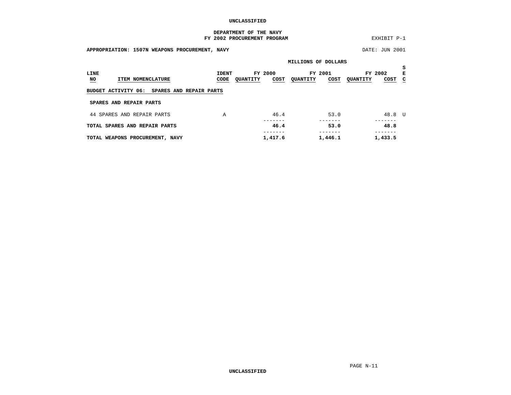#### **DEPARTMENT OF THE NAVY** FY 2002 PROCUREMENT PROGRAM

EXHIBIT P-1

<span id="page-5-0"></span>**APPROPRIATION: 1507N WEAPONS PROCUREMENT, NAVY DATE: JUN 2001 MILLIONS OF DOLLARS S LINE IDENT FY 2000 FY 2001 FY 2002 ENO ITEM NOMENCLATURE CODE QUANTITY COST QUANTITY COST QUANTITY COST C BUDGET ACTIVITY 06: SPARES AND REPAIR PARTS SPARES AND REPAIR PARTS**44 SPARES AND REPAIR PARTS A 46.4 53.0 48.8 U ------- ------- ------- **TOTAL SPARES AND REPAIR PARTS 46.4** 53.0 ------- ------- -------  $1,446.1$   $1,433.5$ **TOTAL WEAPONS PROCUREMENT, NAVY 4,417.6**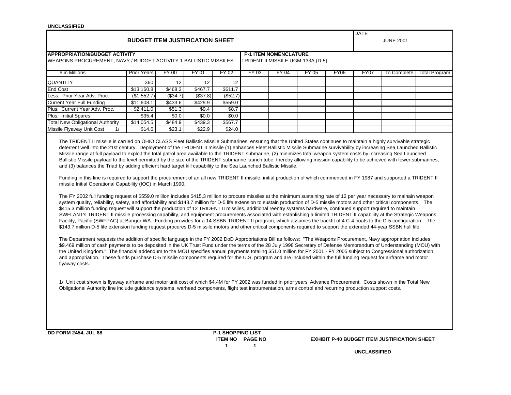| <b>UNCLASSIFIED</b>                                                                                                                                                                                                                                                                                                                                                                                                                                                                                                                                                                                                                                                                                                                                                                                                                                                                                                                                                                                                                                                                                                                                                                                                                                                                                                                                                                                                                                                                                                                                                                             | <b>BUDGET ITEM JUSTIFICATION SHEET</b> |          |          |          |       |                              |                                   |      | <b>DATE</b> | <b>JUNE 2001</b> |                      |
|-------------------------------------------------------------------------------------------------------------------------------------------------------------------------------------------------------------------------------------------------------------------------------------------------------------------------------------------------------------------------------------------------------------------------------------------------------------------------------------------------------------------------------------------------------------------------------------------------------------------------------------------------------------------------------------------------------------------------------------------------------------------------------------------------------------------------------------------------------------------------------------------------------------------------------------------------------------------------------------------------------------------------------------------------------------------------------------------------------------------------------------------------------------------------------------------------------------------------------------------------------------------------------------------------------------------------------------------------------------------------------------------------------------------------------------------------------------------------------------------------------------------------------------------------------------------------------------------------|----------------------------------------|----------|----------|----------|-------|------------------------------|-----------------------------------|------|-------------|------------------|----------------------|
|                                                                                                                                                                                                                                                                                                                                                                                                                                                                                                                                                                                                                                                                                                                                                                                                                                                                                                                                                                                                                                                                                                                                                                                                                                                                                                                                                                                                                                                                                                                                                                                                 |                                        |          |          |          |       |                              |                                   |      |             |                  |                      |
| <b>APPROPRIATION/BUDGET ACTIVITY</b>                                                                                                                                                                                                                                                                                                                                                                                                                                                                                                                                                                                                                                                                                                                                                                                                                                                                                                                                                                                                                                                                                                                                                                                                                                                                                                                                                                                                                                                                                                                                                            |                                        |          |          |          |       | <b>P-1 ITEM NOMENCLATURE</b> |                                   |      |             |                  |                      |
| WEAPONS PROCUREMENT, NAVY / BUDGET ACTIVITY 1 BALLISTIC MISSILES                                                                                                                                                                                                                                                                                                                                                                                                                                                                                                                                                                                                                                                                                                                                                                                                                                                                                                                                                                                                                                                                                                                                                                                                                                                                                                                                                                                                                                                                                                                                |                                        |          |          |          |       |                              | TRIDENT II MISSILE UGM-133A (D-5) |      |             |                  |                      |
| \$ in Millions                                                                                                                                                                                                                                                                                                                                                                                                                                                                                                                                                                                                                                                                                                                                                                                                                                                                                                                                                                                                                                                                                                                                                                                                                                                                                                                                                                                                                                                                                                                                                                                  | <b>Prior Years</b>                     | FY 00    | FY 01    | FY 02    | FY 03 | FY 04                        | FY 05                             | FY06 | FY07        | To Complete      | <b>Total Program</b> |
| QUANTITY                                                                                                                                                                                                                                                                                                                                                                                                                                                                                                                                                                                                                                                                                                                                                                                                                                                                                                                                                                                                                                                                                                                                                                                                                                                                                                                                                                                                                                                                                                                                                                                        | 360                                    | 12       | 12       | 12       |       |                              |                                   |      |             |                  |                      |
| <b>End Cost</b>                                                                                                                                                                                                                                                                                                                                                                                                                                                                                                                                                                                                                                                                                                                                                                                                                                                                                                                                                                                                                                                                                                                                                                                                                                                                                                                                                                                                                                                                                                                                                                                 | \$13,160.8                             | \$468.3  | \$467.7  | \$611.7  |       |                              |                                   |      |             |                  |                      |
| Less: Prior Year Adv. Proc.                                                                                                                                                                                                                                                                                                                                                                                                                                                                                                                                                                                                                                                                                                                                                                                                                                                                                                                                                                                                                                                                                                                                                                                                                                                                                                                                                                                                                                                                                                                                                                     | (\$1,552.7)                            | (\$34.7) | (\$37.8) | (\$52.7) |       |                              |                                   |      |             |                  |                      |
| Current Year Full Funding                                                                                                                                                                                                                                                                                                                                                                                                                                                                                                                                                                                                                                                                                                                                                                                                                                                                                                                                                                                                                                                                                                                                                                                                                                                                                                                                                                                                                                                                                                                                                                       | \$11,608.1                             | \$433.6  | \$429.9  | \$559.0  |       |                              |                                   |      |             |                  |                      |
| Plus: Current Year Adv. Proc.                                                                                                                                                                                                                                                                                                                                                                                                                                                                                                                                                                                                                                                                                                                                                                                                                                                                                                                                                                                                                                                                                                                                                                                                                                                                                                                                                                                                                                                                                                                                                                   | \$2,411.0                              | \$51.3   | \$9.4    | \$8.7    |       |                              |                                   |      |             |                  |                      |
| Plus: Initial Spares                                                                                                                                                                                                                                                                                                                                                                                                                                                                                                                                                                                                                                                                                                                                                                                                                                                                                                                                                                                                                                                                                                                                                                                                                                                                                                                                                                                                                                                                                                                                                                            | \$35.4                                 | \$0.0    | \$0.0    | \$0.0    |       |                              |                                   |      |             |                  |                      |
| <b>Total New Obligational Authority</b>                                                                                                                                                                                                                                                                                                                                                                                                                                                                                                                                                                                                                                                                                                                                                                                                                                                                                                                                                                                                                                                                                                                                                                                                                                                                                                                                                                                                                                                                                                                                                         | \$14,054.5                             | \$484.9  | \$439.3  | \$567.7  |       |                              |                                   |      |             |                  |                      |
| Missile Flyaway Unit Cost<br>1/                                                                                                                                                                                                                                                                                                                                                                                                                                                                                                                                                                                                                                                                                                                                                                                                                                                                                                                                                                                                                                                                                                                                                                                                                                                                                                                                                                                                                                                                                                                                                                 | \$14.6                                 | \$23.1   | \$22.9   | \$24.0   |       |                              |                                   |      |             |                  |                      |
| system quality, reliability, safety, and affordability and \$143.7 million for D-5 life extension to sustain production of D-5 missile motors and other critical components. The<br>\$415.3 million funding request will support the production of 12 TRIDENT II missiles, additional reentry systems hardware, continued support required to maintain<br>SWFLANT's TRIDENT II missile processing capability, and equipment procurements associated with establishing a limited TRIDENT II capability at the Strategic Weapons<br>Facility, Pacific (SWFPAC) at Bangor WA. Funding provides for a 14 SSBN TRIDENT II program, which assumes the backfit of 4 C-4 boats to the D-5 configuration. The<br>\$143.7 million D-5 life extension funding request procures D-5 missile motors and other critical components required to support the extended 44-year SSBN hull life.<br>The Department requests the addition of specific language in the FY 2002 DoD Appropriations Bill as follows: "The Weapons Procurement, Navy appropriation includes<br>\$9.469 million of cash payments to be deposited in the UK Trust Fund under the terms of the 28 July 1998 Secretary of Defense Memorandum of Understanding (MOU) with<br>the United Kingdom." The financial addendum to the MOU specifies annual payments totaling \$51.0 million for FY 2001 - FY 2005 subject to Congressional authorization<br>and appropriation. These funds purchase D-5 missile components required for the U.S. program and are included within the full funding request for airframe and motor<br>flyaway costs. |                                        |          |          |          |       |                              |                                   |      |             |                  |                      |
| 1/ Unit cost shown is flyaway airframe and motor unit cost of which \$4.4M for FY 2002 was funded in prior years' Advance Procurement. Costs shown in the Total New<br>Obligational Authority line include guidance systems, warhead components, flight test instrumentation, arms control and recurring production support costs.                                                                                                                                                                                                                                                                                                                                                                                                                                                                                                                                                                                                                                                                                                                                                                                                                                                                                                                                                                                                                                                                                                                                                                                                                                                              |                                        |          |          |          |       |                              |                                   |      |             |                  |                      |
| <b>DD FORM 2454, JUL 88</b>                                                                                                                                                                                                                                                                                                                                                                                                                                                                                                                                                                                                                                                                                                                                                                                                                                                                                                                                                                                                                                                                                                                                                                                                                                                                                                                                                                                                                                                                                                                                                                     |                                        |          |          |          |       |                              |                                   |      |             |                  |                      |

**1 1**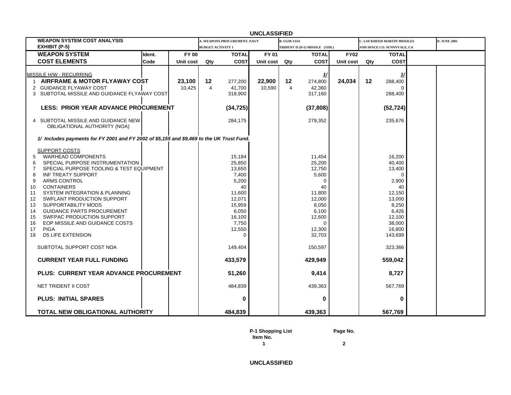| <b>UNCLASSIFIED</b>                                                                                                                                                                                                                                                                      |        |                  |                          |                                                                              |                  |                      |                                                                              |             |     |                                                                             |  |                     |
|------------------------------------------------------------------------------------------------------------------------------------------------------------------------------------------------------------------------------------------------------------------------------------------|--------|------------------|--------------------------|------------------------------------------------------------------------------|------------------|----------------------|------------------------------------------------------------------------------|-------------|-----|-----------------------------------------------------------------------------|--|---------------------|
| <b>WEAPON SYSTEM COST ANALYSIS</b>                                                                                                                                                                                                                                                       |        |                  |                          | <b>A. WEAPONS PROCUREMENT, NAVY</b>                                          |                  | <b>B. UGM-133A</b>   |                                                                              |             |     | C. LOCKHEED MARTIN MISSILES                                                 |  | <b>D. JUNE 2001</b> |
| EXHIBIT (P-5)                                                                                                                                                                                                                                                                            |        |                  | <b>BUDGET ACTIVITY 1</b> |                                                                              |                  |                      | TRIDENT II (D-5) MISSILE (31DL)                                              |             |     | AND SPACE CO. SUNNYVALE, CA                                                 |  |                     |
| <b>WEAPON SYSTEM</b>                                                                                                                                                                                                                                                                     | Ident. | <b>FY 00</b>     |                          | <b>TOTAL</b>                                                                 | FY 01            |                      | <b>TOTAL</b>                                                                 | <b>FY02</b> |     | <b>TOTAL</b>                                                                |  |                     |
| <b>COST ELEMENTS</b>                                                                                                                                                                                                                                                                     | Code   | Unit cost        | Qty                      | <b>COST</b>                                                                  | Unit cost        | Qty                  | <b>COST</b>                                                                  | Unit cost   | Qty | <b>COST</b>                                                                 |  |                     |
| MISSILE H/W - RECURRING<br>AIRFRAME & MOTOR FLYAWAY COST<br>$\mathbf{1}$<br><b>GUIDANCE FLYAWAY COST</b><br>2<br>SUBTOTAL MISSILE AND GUIDANCE FLYAWAY COST<br>3<br><b>LESS: PRIOR YEAR ADVANCE PROCUREMENT</b><br>SUBTOTAL MISSILE AND GUIDANCE NEW<br>4                                |        | 23,100<br>10,425 | 12<br>4                  | 277,200<br>41,700<br>318,900<br>(34, 725)<br>284,175                         | 22,900<br>10,590 | 12<br>$\overline{4}$ | 274,800<br>42,360<br>317,160<br>(37, 808)<br>279,352                         | 24,034      | 12  | 288,400<br>288,400<br>(52, 724)<br>235,676                                  |  |                     |
| OBLIGATIONAL AUTHORITY (NOA)<br>1/ Includes payments for FY 2001 and FY 2002 of \$5,155 and \$9,469 to the UK Trust Fund.                                                                                                                                                                |        |                  |                          |                                                                              |                  |                      |                                                                              |             |     |                                                                             |  |                     |
| <b>SUPPORT COSTS</b><br><b>WARHEAD COMPONENTS</b><br>5<br>SPECIAL PURPOSE INSTRUMENTATION<br>6<br>SPECIAL PURPOSE TOOLING & TEST EQUIPMENT<br>INF TREATY SUPPORT<br>8<br>ARMS CONTROL<br>9<br><b>CONTAINERS</b><br>10                                                                    |        |                  |                          | 15,184<br>25,850<br>13,650<br>7,400<br>5,200<br>40                           |                  |                      | 11,454<br>25,200<br>12,750<br>5,600<br>$\Omega$<br>40                        |             |     | 16,200<br>40,400<br>13,400<br>$\Omega$<br>2,900<br>40                       |  |                     |
| SYSTEM INTEGRATION & PLANNING<br>11<br>12<br>SWFLANT PRODUCTION SUPPORT<br>13<br><b>SUPPORTABILITY MODS</b><br><b>GUIDANCE PARTS PROCUREMENT</b><br>14<br>SWFPAC PRODUCTION SUPPORT<br>15<br>EOP MISSILE AND GUIDANCE COSTS<br>16<br><b>PIGA</b><br>17<br><b>D5 LIFE EXTENSION</b><br>18 |        |                  |                          | 11,600<br>12,071<br>15,959<br>6,050<br>16,100<br>7,750<br>12,550<br>$\Omega$ |                  |                      | 11,800<br>12,000<br>8,050<br>6,100<br>12,600<br>$\Omega$<br>12,300<br>32,703 |             |     | 12,150<br>13,000<br>8,250<br>6,426<br>12,100<br>38,000<br>16,800<br>143,699 |  |                     |
| SUBTOTAL SUPPORT COST NOA                                                                                                                                                                                                                                                                |        |                  |                          | 149,404                                                                      |                  |                      | 150,597                                                                      |             |     | 323,366                                                                     |  |                     |
| <b>CURRENT YEAR FULL FUNDING</b>                                                                                                                                                                                                                                                         |        |                  |                          | 433,579                                                                      |                  |                      | 429,949                                                                      |             |     | 559,042                                                                     |  |                     |
| PLUS: CURRENT YEAR ADVANCE PROCUREMENT                                                                                                                                                                                                                                                   |        |                  |                          | 51,260                                                                       |                  |                      | 9,414                                                                        |             |     | 8,727                                                                       |  |                     |
| NET TRIDENT II COST                                                                                                                                                                                                                                                                      |        |                  |                          | 484,839                                                                      |                  |                      | 439,363                                                                      |             |     | 567,769                                                                     |  |                     |
| <b>PLUS: INITIAL SPARES</b>                                                                                                                                                                                                                                                              |        |                  |                          | 0                                                                            |                  |                      | 0                                                                            |             |     | 0                                                                           |  |                     |
| TOTAL NEW OBLIGATIONAL AUTHORITY                                                                                                                                                                                                                                                         |        |                  |                          | 484,839                                                                      |                  |                      | 439,363                                                                      |             |     | 567,769                                                                     |  |                     |

**P-1 Shopping List Page No. Item No.**

**1 2**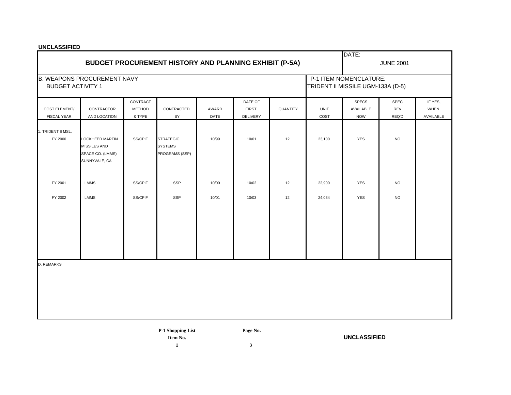|                               | <b>BUDGET PROCUREMENT HISTORY AND PLANNING EXHIBIT (P-5A)</b> |                           |                                  | DATE:<br><b>JUNE 2001</b> |                         |                 |             |                                                             |             |                        |
|-------------------------------|---------------------------------------------------------------|---------------------------|----------------------------------|---------------------------|-------------------------|-----------------|-------------|-------------------------------------------------------------|-------------|------------------------|
| <b>BUDGET ACTIVITY 1</b>      | <b>B. WEAPONS PROCUREMENT NAVY</b>                            |                           |                                  |                           |                         |                 |             | P-1 ITEM NOMENCLATURE:<br>TRIDENT II MISSILE UGM-133A (D-5) |             |                        |
| <b>COST ELEMENT/</b>          | CONTRACTOR                                                    | CONTRACT<br><b>METHOD</b> | CONTRACTED                       | AWARD                     | DATE OF<br><b>FIRST</b> | <b>QUANTITY</b> | <b>UNIT</b> | <b>SPECS</b><br>AVAILABLE                                   | SPEC<br>REV | IF YES,<br><b>WHEN</b> |
| FISCAL YEAR                   | AND LOCATION                                                  | & TYPE                    | BY                               | DATE                      | <b>DELIVERY</b>         |                 | COST        | <b>NOW</b>                                                  | REQ'D       | AVAILABLE              |
| 1. TRIDENT II MSL.<br>FY 2000 | <b>LOCKHEED MARTIN</b>                                        | SS/CPIF                   | <b>STRATEGIC</b>                 | 10/99                     | 10/01                   | 12              | 23,100      | <b>YES</b>                                                  | <b>NO</b>   |                        |
|                               | MISSILES AND<br>SPACE CO. (LMMS)<br>SUNNYVALE, CA             |                           | <b>SYSTEMS</b><br>PROGRAMS (SSP) |                           |                         |                 |             |                                                             |             |                        |
| FY 2001                       | <b>LMMS</b>                                                   | SS/CPIF                   | <b>SSP</b>                       | 10/00                     | 10/02                   | 12              | 22,900      | <b>YES</b>                                                  | <b>NO</b>   |                        |
| FY 2002                       | <b>LMMS</b>                                                   | SS/CPIF                   | SSP                              | 10/01                     | 10/03                   | 12              | 24,034      | <b>YES</b>                                                  | <b>NO</b>   |                        |
|                               |                                                               |                           |                                  |                           |                         |                 |             |                                                             |             |                        |
| <b>D. REMARKS</b>             |                                                               |                           |                                  |                           |                         |                 |             |                                                             |             |                        |
|                               |                                                               |                           |                                  |                           |                         |                 |             |                                                             |             |                        |
|                               |                                                               |                           |                                  |                           |                         |                 |             |                                                             |             |                        |
|                               |                                                               |                           |                                  |                           |                         |                 |             |                                                             |             |                        |

**P-1 Shopping List Page No.**

**Item No. UNCLASSIFIED**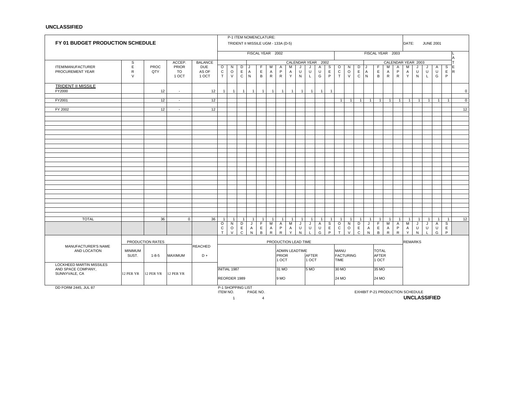| FY 01 BUDGET PRODUCTION SCHEDULE                                |                          |                  |                             |                              | P-1 ITEM NOMENCLATURE:<br>TRIDENT II MISSILE UGM - 133A (D-5)                                                                                                                                                 |                        |                                  |                   |                       |                        |                        |                        |                      |                             |                   |                       |                              |                           |                                 |                              | DATE:             |                                       |                        | <b>JUNE 2001</b>                 |                              |                              |                              |                        |               |
|-----------------------------------------------------------------|--------------------------|------------------|-----------------------------|------------------------------|---------------------------------------------------------------------------------------------------------------------------------------------------------------------------------------------------------------|------------------------|----------------------------------|-------------------|-----------------------|------------------------|------------------------|------------------------|----------------------|-----------------------------|-------------------|-----------------------|------------------------------|---------------------------|---------------------------------|------------------------------|-------------------|---------------------------------------|------------------------|----------------------------------|------------------------------|------------------------------|------------------------------|------------------------|---------------|
|                                                                 |                          |                  |                             |                              |                                                                                                                                                                                                               |                        |                                  | FISCAL YEAR 2002  |                       |                        |                        |                        |                      |                             |                   |                       |                              |                           |                                 |                              | FISCAL YEAR 2003  |                                       |                        |                                  |                              |                              |                              |                        |               |
|                                                                 | s                        |                  | ACCEP.                      | <b>BALANCE</b>               |                                                                                                                                                                                                               |                        |                                  |                   |                       |                        |                        |                        | <b>CALENDAR YEAR</b> |                             |                   | 2002                  |                              |                           |                                 |                              |                   |                                       |                        | CALENDAR YEAR 2003               |                              |                              |                              |                        |               |
| ITEM/MANUFACTURER<br>PROCUREMENT YEAR                           | E<br>${\sf R}$<br>$\vee$ | PROC<br>QTY      | <b>PRIOR</b><br>TO<br>1 OCT | <b>DUE</b><br>AS OF<br>1 OCT | $\circ$<br>$\mathtt{C}$<br>T                                                                                                                                                                                  | N<br>$\circ$<br>$\vee$ | D<br>$\mathsf E$<br>$\mathsf{C}$ | A<br>$\mathsf{N}$ | F<br>$\mathsf E$<br>B | М<br>A<br>$\mathsf{R}$ | A<br>P<br>$\mathsf{R}$ | м<br>$\mathsf{A}$<br>Y | J<br>U<br>${\sf N}$  | J<br>$\cup$<br>$\mathsf{L}$ | Α<br>U<br>G       | S<br>$\mathsf E$<br>P | $\circ$<br>$\mathtt{C}$<br>T | N<br>$\circ$<br>$\vee$    | D<br>$\mathsf E$<br>$\mathbf C$ | A<br>N                       | F<br>E<br>B       | M<br>Α<br>${\sf R}$                   | Α<br>P<br>$\mathsf{R}$ | м<br>Α<br>Y                      | J<br>$\sf U$<br>$\mathsf{N}$ | J<br>$\sf U$<br>$\mathsf{L}$ | $\mathsf{A}$<br>$\sf U$<br>G | S<br>$\mathsf{E}$<br>P | E<br><b>R</b> |
| <b>TRIDENT II MISSILE</b><br>FY2000                             |                          | 12               | $\sim$                      | 12                           | $\overline{1}$                                                                                                                                                                                                | $\overline{1}$         | $\overline{1}$                   | $\overline{1}$    | $\mathbf{1}$          | $\overline{1}$         | $\mathbf{1}$           | $\overline{1}$         | $\overline{1}$       | $\overline{1}$              | $\overline{1}$    | $\overline{1}$        |                              |                           |                                 |                              |                   |                                       |                        |                                  |                              |                              |                              |                        | $\mathbf 0$   |
| FY2001                                                          |                          | 12               | $\blacksquare$              | 12                           |                                                                                                                                                                                                               |                        |                                  |                   |                       |                        |                        |                        |                      |                             |                   |                       | $\mathbf{1}$                 | $\mathbf{1}$              | $\overline{1}$                  | $\overline{1}$               | $\overline{1}$    | $\mathbf{1}$                          | -1                     | -1                               | $\overline{1}$               | $\mathbf{1}$                 | $\mathbf{1}$                 |                        | $\mathbf 0$   |
| FY 2002                                                         |                          | 12               | $\sim$                      | 12                           |                                                                                                                                                                                                               |                        |                                  |                   |                       |                        |                        |                        |                      |                             |                   |                       |                              |                           |                                 |                              |                   |                                       |                        |                                  |                              |                              |                              |                        | 12            |
|                                                                 |                          |                  |                             |                              |                                                                                                                                                                                                               |                        |                                  |                   |                       |                        |                        |                        |                      |                             |                   |                       |                              |                           |                                 |                              |                   |                                       |                        |                                  |                              |                              |                              |                        |               |
|                                                                 |                          |                  |                             |                              |                                                                                                                                                                                                               |                        |                                  |                   |                       |                        |                        |                        |                      |                             |                   |                       |                              |                           |                                 |                              |                   |                                       |                        |                                  |                              |                              |                              |                        |               |
|                                                                 |                          |                  |                             |                              |                                                                                                                                                                                                               |                        |                                  |                   |                       |                        |                        |                        |                      |                             |                   |                       |                              |                           |                                 |                              |                   |                                       |                        |                                  |                              |                              |                              |                        |               |
|                                                                 |                          |                  |                             |                              |                                                                                                                                                                                                               |                        |                                  |                   |                       |                        |                        |                        |                      |                             |                   |                       |                              |                           |                                 |                              |                   |                                       |                        |                                  |                              |                              |                              |                        |               |
|                                                                 |                          |                  |                             |                              |                                                                                                                                                                                                               |                        |                                  |                   |                       |                        |                        |                        |                      |                             |                   |                       |                              |                           |                                 |                              |                   |                                       |                        |                                  |                              |                              |                              |                        |               |
|                                                                 |                          |                  |                             |                              |                                                                                                                                                                                                               |                        |                                  |                   |                       |                        |                        |                        |                      |                             |                   |                       |                              |                           |                                 |                              |                   |                                       |                        |                                  |                              |                              |                              |                        |               |
|                                                                 |                          |                  |                             |                              |                                                                                                                                                                                                               |                        |                                  |                   |                       |                        |                        |                        |                      |                             |                   |                       |                              |                           |                                 |                              |                   |                                       |                        |                                  |                              |                              |                              |                        |               |
|                                                                 |                          |                  |                             |                              |                                                                                                                                                                                                               |                        |                                  |                   |                       |                        |                        |                        |                      |                             |                   |                       |                              |                           |                                 |                              |                   |                                       |                        |                                  |                              |                              |                              |                        |               |
|                                                                 |                          |                  |                             |                              |                                                                                                                                                                                                               |                        |                                  |                   |                       |                        |                        |                        |                      |                             |                   |                       |                              |                           |                                 |                              |                   |                                       |                        |                                  |                              |                              |                              |                        |               |
|                                                                 |                          |                  |                             |                              |                                                                                                                                                                                                               |                        |                                  |                   |                       |                        |                        |                        |                      |                             |                   |                       |                              |                           |                                 |                              |                   |                                       |                        |                                  |                              |                              |                              |                        |               |
|                                                                 |                          |                  |                             |                              |                                                                                                                                                                                                               |                        |                                  |                   |                       |                        |                        |                        |                      |                             |                   |                       |                              |                           |                                 |                              |                   |                                       |                        |                                  |                              |                              |                              |                        |               |
|                                                                 |                          |                  |                             |                              |                                                                                                                                                                                                               |                        |                                  |                   |                       |                        |                        |                        |                      |                             |                   |                       |                              |                           |                                 |                              |                   |                                       |                        |                                  |                              |                              |                              |                        |               |
| <b>TOTAL</b>                                                    |                          | 36               | $\mathbf 0$                 | 36                           | $\overline{1}$                                                                                                                                                                                                | $\overline{1}$         | -1                               | -1                | $\overline{1}$        | 1 <sup>1</sup>         | $\overline{1}$         | -1                     | $\overline{1}$       | $\mathbf{1}$                | - 1               | -1                    | $\mathbf{1}$                 | $\overline{1}$            | $\overline{1}$                  | $\overline{1}$               | $\overline{1}$    | $\overline{1}$                        | $\overline{1}$         | -1                               | $\overline{1}$               | $\mathbf{1}$                 | $\overline{1}$               | $\overline{1}$         | 12            |
|                                                                 |                          |                  |                             |                              | O                                                                                                                                                                                                             | N                      | D                                | J                 | F                     | м                      | $\mathsf{A}$           | М                      | J                    | J                           | $\overline{A}$    | S                     | $\circ$                      | N                         | D                               | J                            | F.                | M                                     | $\overline{A}$         | M                                | J                            | J                            | A                            | S                      |               |
|                                                                 |                          |                  |                             |                              | $\mathsf C$<br>E<br>E<br>P<br>U<br>U<br>$\circ$<br>$\mathsf{A}$<br>$\mathsf{A}$<br>$\mathsf{A}$<br>T<br>$\vee$<br>$\mathsf{C}$<br>${\sf N}$<br>$\, {\bf B}$<br>$\mathsf{R}$<br>$\mathsf{R}$<br>Y<br>${\sf N}$ |                        |                                  |                   |                       |                        |                        |                        | U<br>G               | $\mathsf E$<br>P            | $\mathtt{C}$<br>T | $\circ$<br>$\vee$     | $\mathsf E$<br>$\mathsf{C}$  | $\mathsf{A}$<br>${\sf N}$ | E.<br>B                         | $\mathsf{A}$<br>$\mathsf{R}$ | P<br>$\mathsf{R}$ | Α<br>Y                                | U<br>${\sf N}$         | U                                | $\cup$<br>G                  | E<br>P                       |                              |                        |               |
|                                                                 |                          | PRODUCTION RATES |                             |                              | PRODUCTION LEAD TIME                                                                                                                                                                                          |                        |                                  |                   |                       |                        |                        |                        |                      |                             |                   |                       |                              |                           |                                 |                              | <b>REMARKS</b>    |                                       |                        |                                  |                              |                              |                              |                        |               |
| MANUFACTURER'S NAME<br>AND LOCATION                             | <b>MINIMUM</b><br>SUST.  | $1 - 8 - 5$      | <b>MAXIMUM</b>              | <b>REACHED</b><br>$D +$      |                                                                                                                                                                                                               |                        |                                  |                   |                       |                        | <b>PRIOR</b><br>1 OCT  | <b>ADMIN LEADTIME</b>  |                      | <b>AFTER</b><br>1 OCT       |                   |                       | <b>MANU</b><br>TIME          | <b>FACTURING</b>          |                                 |                              |                   | <b>TOTAL</b><br><b>AFTER</b><br>1 OCT |                        |                                  |                              |                              |                              |                        |               |
| LOCKHEED MARTIN MISSILES<br>AND SPACE COMPANY,<br>SUNNYVALE, CA | 12 PER YR                | 12 PER YR        | 12 PER YR                   |                              |                                                                                                                                                                                                               | <b>INITIAL 1987</b>    | REORDER 1989                     |                   |                       |                        | 31 MO<br>9 MO          |                        |                      | 5 MO                        |                   |                       | 30 MO<br>24 MO               |                           |                                 |                              | 35 MO<br>24 MO    |                                       |                        |                                  |                              |                              |                              |                        |               |
| DD FORM 2445, JUL 87                                            |                          |                  |                             |                              |                                                                                                                                                                                                               |                        |                                  |                   | PAGE NO.              |                        |                        |                        |                      |                             |                   |                       |                              |                           |                                 |                              |                   |                                       |                        | EXHIBIT P-21 PRODUCTION SCHEDULE |                              |                              |                              |                        |               |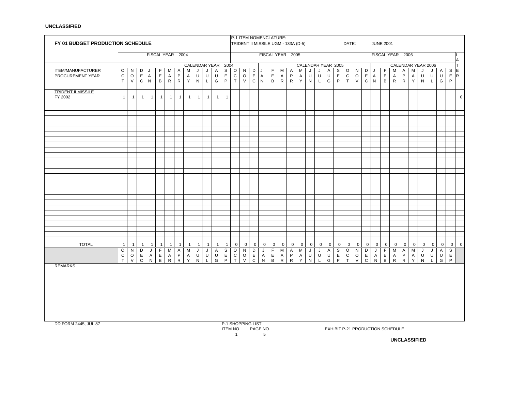|                                      | FY 01 BUDGET PRODUCTION SCHEDULE<br>FISCAL YEAR 2004 |                         |                   |                                |                             |                              |                              |                     |                      |                         |                              |                                             |                               |                     |                             | P-1 ITEM NOMENCLATURE:<br>TRIDENT II MISSILE UGM - 133A (D-5) |                                  |                           |                            |                                  |                     |                     |                                | DATE:                                   |                               |                             |                                  | <b>JUNE 2001</b>          |                                  |                           |                             |        |                     |                        |                                  |                            |                |
|--------------------------------------|------------------------------------------------------|-------------------------|-------------------|--------------------------------|-----------------------------|------------------------------|------------------------------|---------------------|----------------------|-------------------------|------------------------------|---------------------------------------------|-------------------------------|---------------------|-----------------------------|---------------------------------------------------------------|----------------------------------|---------------------------|----------------------------|----------------------------------|---------------------|---------------------|--------------------------------|-----------------------------------------|-------------------------------|-----------------------------|----------------------------------|---------------------------|----------------------------------|---------------------------|-----------------------------|--------|---------------------|------------------------|----------------------------------|----------------------------|----------------|
|                                      |                                                      |                         |                   |                                |                             |                              |                              |                     |                      |                         |                              |                                             |                               |                     |                             |                                                               | FISCAL YEAR 2005                 |                           |                            |                                  |                     |                     |                                |                                         |                               |                             |                                  |                           |                                  |                           | FISCAL YEAR 2006            |        |                     |                        |                                  |                            | A              |
|                                      |                                                      |                         |                   |                                |                             |                              |                              |                     |                      |                         | CALENDAR YEAR                | 2004                                        |                               |                     |                             |                                                               |                                  |                           |                            |                                  |                     |                     |                                | CALENDAR YEAR 2005                      |                               |                             |                                  |                           |                                  |                           |                             |        |                     | CALENDAR YEAR 2006     |                                  |                            | T.             |
| ITEM/MANUFACTURER                    | $\circ$                                              | N                       | D                 | J                              | F                           | М                            | A                            | M                   | J                    | J                       | Α                            | S                                           | O                             | N                   | D                           | J                                                             | F                                | М                         | Α                          | M                                | J                   | J                   | Α                              | S                                       | $\circ$                       | N                           | D                                | J                         | F                                | М                         | A                           | М      | J                   | J                      | $\mathsf{A}$                     | $\mathsf S$                | IE.            |
| PROCUREMENT YEAR                     | $\frac{C}{T}$                                        | $\circ$<br>${\sf V}$    | E<br>$\mathsf C$  | $\mathsf{A}$<br>N <sub>1</sub> | $\mathsf E$<br>B            | $\mathsf{A}$<br>${\sf R}$    | P<br>R                       | Α<br>Y              | U<br>N               | $\sf U$<br>$\mathsf{L}$ | U<br>G                       | $\mathsf{E}% _{\mathsf{H}}$<br>$\mathsf{P}$ | $\rm _T^C$                    | $\circ$<br>$\vee$   | $\mathsf E$<br>$\mathsf{C}$ | $\mathsf{A}$<br>${\sf N}$                                     | $\mathsf E$<br>$\,$ B            | $\mathsf{A}$<br>${\sf R}$ | P<br>$\mathsf{R}$          | Α<br>Y                           | U<br>$\mathsf{N}$   | U<br>$\mathsf L$    | U<br>G                         | $\mathsf E$<br>P                        | ${\bf C}$<br>$\tilde{T}$      | $\circ$<br>$\vee$           | E A<br>$\mathtt{C}$              | N                         | $\mathsf E$<br>B                 | Α<br>R                    | P<br>R                      | A<br>Y | U<br>N              | U<br>$\mathsf{L}$      | $\cup$<br>G                      | $E \ R$<br>$\mathsf{P}$    |                |
| <b>TRIDENT II MISSILE</b><br>FY 2002 | $\mathbf{1}$                                         | $\overline{1}$          | $\mathbf{1}$      | $\mathbf{1}$                   | $\mathbf{1}$                | $\overline{1}$               | $\mathbf{1}$                 | $\overline{1}$      | $\mathbf{1}$         | $\mathbf{1}$            | $\mathbf{1}$                 | $\overline{1}$                              |                               |                     |                             |                                                               |                                  |                           |                            |                                  |                     |                     |                                |                                         |                               |                             |                                  |                           |                                  |                           |                             |        |                     |                        |                                  |                            | $\mathbf 0$    |
|                                      |                                                      |                         |                   |                                |                             |                              |                              |                     |                      |                         |                              |                                             |                               |                     |                             |                                                               |                                  |                           |                            |                                  |                     |                     |                                |                                         |                               |                             |                                  |                           |                                  |                           |                             |        |                     |                        |                                  |                            |                |
|                                      |                                                      |                         |                   |                                |                             |                              |                              |                     |                      |                         |                              |                                             |                               |                     |                             |                                                               |                                  |                           |                            |                                  |                     |                     |                                |                                         |                               |                             |                                  |                           |                                  |                           |                             |        |                     |                        |                                  |                            |                |
|                                      |                                                      |                         |                   |                                |                             |                              |                              |                     |                      |                         |                              |                                             |                               |                     |                             |                                                               |                                  |                           |                            |                                  |                     |                     |                                |                                         |                               |                             |                                  |                           |                                  |                           |                             |        |                     |                        |                                  |                            |                |
|                                      |                                                      |                         |                   |                                |                             |                              |                              |                     |                      |                         |                              |                                             |                               |                     |                             |                                                               |                                  |                           |                            |                                  |                     |                     |                                |                                         |                               |                             |                                  |                           |                                  |                           |                             |        |                     |                        |                                  |                            |                |
|                                      |                                                      |                         |                   |                                |                             |                              |                              |                     |                      |                         |                              |                                             |                               |                     |                             |                                                               |                                  |                           |                            |                                  |                     |                     |                                |                                         |                               |                             |                                  |                           |                                  |                           |                             |        |                     |                        |                                  |                            |                |
|                                      |                                                      |                         |                   |                                |                             |                              |                              |                     |                      |                         |                              |                                             |                               |                     |                             |                                                               |                                  |                           |                            |                                  |                     |                     |                                |                                         |                               |                             |                                  |                           |                                  |                           |                             |        |                     |                        |                                  |                            |                |
|                                      |                                                      |                         |                   |                                |                             |                              |                              |                     |                      |                         |                              |                                             |                               |                     |                             |                                                               |                                  |                           |                            |                                  |                     |                     |                                |                                         |                               |                             |                                  |                           |                                  |                           |                             |        |                     |                        |                                  |                            |                |
|                                      |                                                      |                         |                   |                                |                             |                              |                              |                     |                      |                         |                              |                                             |                               |                     |                             |                                                               |                                  |                           |                            |                                  |                     |                     |                                |                                         |                               |                             |                                  |                           |                                  |                           |                             |        |                     |                        |                                  |                            |                |
|                                      |                                                      |                         |                   |                                |                             |                              |                              |                     |                      |                         |                              |                                             |                               |                     |                             |                                                               |                                  |                           |                            |                                  |                     |                     |                                |                                         |                               |                             |                                  |                           |                                  |                           |                             |        |                     |                        |                                  |                            |                |
|                                      |                                                      |                         |                   |                                |                             |                              |                              |                     |                      |                         |                              |                                             |                               |                     |                             |                                                               |                                  |                           |                            |                                  |                     |                     |                                |                                         |                               |                             |                                  |                           |                                  |                           |                             |        |                     |                        |                                  |                            |                |
|                                      |                                                      |                         |                   |                                |                             |                              |                              |                     |                      |                         |                              |                                             |                               |                     |                             |                                                               |                                  |                           |                            |                                  |                     |                     |                                |                                         |                               |                             |                                  |                           |                                  |                           |                             |        |                     |                        |                                  |                            |                |
|                                      |                                                      |                         |                   |                                |                             |                              |                              |                     |                      |                         |                              |                                             |                               |                     |                             |                                                               |                                  |                           |                            |                                  |                     |                     |                                |                                         |                               |                             |                                  |                           |                                  |                           |                             |        |                     |                        |                                  |                            |                |
|                                      |                                                      |                         |                   |                                |                             |                              |                              |                     |                      |                         |                              |                                             |                               |                     |                             |                                                               |                                  |                           |                            |                                  |                     |                     |                                |                                         |                               |                             |                                  |                           |                                  |                           |                             |        |                     |                        |                                  |                            |                |
|                                      |                                                      |                         |                   |                                |                             |                              |                              |                     |                      |                         |                              |                                             |                               |                     |                             |                                                               |                                  |                           |                            |                                  |                     |                     |                                |                                         |                               |                             |                                  |                           |                                  |                           |                             |        |                     |                        |                                  |                            |                |
|                                      |                                                      |                         |                   |                                |                             |                              |                              |                     |                      |                         |                              |                                             |                               |                     |                             |                                                               |                                  |                           |                            |                                  |                     |                     |                                |                                         |                               |                             |                                  |                           |                                  |                           |                             |        |                     |                        |                                  |                            |                |
|                                      |                                                      |                         |                   |                                |                             |                              |                              |                     |                      |                         |                              |                                             |                               |                     |                             |                                                               |                                  |                           |                            |                                  |                     |                     |                                |                                         |                               |                             |                                  |                           |                                  |                           |                             |        |                     |                        |                                  |                            |                |
|                                      |                                                      |                         |                   |                                |                             |                              |                              |                     |                      |                         |                              |                                             |                               |                     |                             |                                                               |                                  |                           |                            |                                  |                     |                     |                                |                                         |                               |                             |                                  |                           |                                  |                           |                             |        |                     |                        |                                  |                            |                |
|                                      |                                                      |                         |                   |                                |                             |                              |                              |                     |                      |                         |                              |                                             |                               |                     |                             |                                                               |                                  |                           |                            |                                  |                     |                     |                                |                                         |                               |                             |                                  |                           |                                  |                           |                             |        |                     |                        |                                  |                            |                |
| <b>TOTAL</b>                         |                                                      |                         |                   |                                |                             |                              |                              |                     |                      |                         |                              |                                             |                               |                     |                             |                                                               |                                  |                           |                            |                                  |                     |                     |                                |                                         |                               |                             |                                  |                           |                                  |                           |                             |        |                     |                        |                                  |                            |                |
|                                      | $\mathbf{1}$<br>O                                    | $\overline{1}$<br>N     | $\mathbf{1}$<br>D | $\mathbf{1}$<br>J              | $\overline{1}$<br>F         | -1<br>$\overline{M}$         | $\mathbf{1}$<br>$\mathsf{A}$ | $\overline{1}$<br>M | $\overline{1}$<br>J  | 1<br>J                  | $\mathbf{1}$<br>$\mathsf{A}$ | $\overline{1}$<br>$\overline{s}$            | $\overline{0}$<br>$\mathsf O$ | $\overline{0}$<br>N | $\mathbf{0}$<br>Þ           | $\overline{0}$<br>J                                           | $\overline{0}$<br>$\overline{F}$ | $\mathbf 0$<br>M          | $\overline{0}$<br>A        | $\overline{0}$<br>$\overline{M}$ | $\overline{0}$<br>J | $\overline{0}$<br>J | $\overline{0}$<br>$\mathsf{A}$ | $\mathbf{0}$<br>$\overline{\mathbf{s}}$ | $\mathbf 0$<br>$\overline{0}$ | $\mathbf 0$<br>$\mathsf{N}$ | $\overline{0}$<br>$\overline{D}$ | $\mathbf 0$<br>J          | $\overline{0}$<br>$\overline{F}$ | $\overline{0}$<br>M       | $\mathbf 0$<br>$\mathsf{A}$ | 0<br>M | $\overline{0}$<br>J | $\mathbf 0$<br>J       | $\overline{0}$<br>$\overline{A}$ | $\overline{0}$<br>S        | $\overline{0}$ |
|                                      | $\mathtt{C}$<br>T.                                   | $\circ$<br>$\mathsf{V}$ | E<br>$\mathtt{C}$ | $\mathsf{A}$<br>${\sf N}$      | $\mathsf E$<br>$\, {\sf B}$ | $\mathsf{A}$<br>$\mathsf{R}$ | $\mathsf P$<br>$\mathsf{R}$  | $\mathsf{A}$<br>Y   | $\sf U$<br>${\sf N}$ | $\sf U$<br>$\mathsf L$  | U<br>G                       | E<br>P                                      | $\overline{C}$                | $\circ$<br>V.       | $\mathsf E$<br>$\mathsf{C}$ | $\mathsf{A}$<br>${\sf N}$                                     | $\mathsf E$<br>$\, {\sf B}$      | A<br>${\sf R}$            | $\mathsf P$<br>$\mathsf R$ | $\mathsf{A}$<br>Y.               | U<br>${\sf N}$      | $\sf U$<br>L.       | U<br>G                         | $\mathsf E$<br>P                        | $\overline{c}$<br>T           | $\circ$<br>$\vee$           | $\mathsf E$<br>$\mathtt{C}$      | $\mathsf{A}$<br>${\sf N}$ | $\,$ E<br>$\, {\sf B}$           | $\mathsf{A}$<br>${\sf R}$ | $\mathsf P$<br>${\sf R}$    | A<br>Y | $\sf U$<br>N        | $\sf U$<br>$\mathsf L$ | $\sf U$<br>G                     | $\mathsf E$<br>$\mathsf P$ |                |
| <b>REMARKS</b>                       |                                                      |                         |                   |                                |                             |                              |                              |                     |                      |                         |                              |                                             |                               |                     |                             |                                                               |                                  |                           |                            |                                  |                     |                     |                                |                                         |                               |                             |                                  |                           |                                  |                           |                             |        |                     |                        |                                  |                            |                |
|                                      |                                                      |                         |                   |                                |                             |                              |                              |                     |                      |                         |                              |                                             |                               |                     |                             |                                                               |                                  |                           |                            |                                  |                     |                     |                                |                                         |                               |                             |                                  |                           |                                  |                           |                             |        |                     |                        |                                  |                            |                |
|                                      |                                                      |                         |                   |                                |                             |                              |                              |                     |                      |                         |                              |                                             |                               |                     |                             |                                                               |                                  |                           |                            |                                  |                     |                     |                                |                                         |                               |                             |                                  |                           |                                  |                           |                             |        |                     |                        |                                  |                            |                |
|                                      |                                                      |                         |                   |                                |                             |                              |                              |                     |                      |                         |                              |                                             |                               |                     |                             |                                                               |                                  |                           |                            |                                  |                     |                     |                                |                                         |                               |                             |                                  |                           |                                  |                           |                             |        |                     |                        |                                  |                            |                |
|                                      |                                                      |                         |                   |                                |                             |                              |                              |                     |                      |                         |                              |                                             |                               |                     |                             |                                                               |                                  |                           |                            |                                  |                     |                     |                                |                                         |                               |                             |                                  |                           |                                  |                           |                             |        |                     |                        |                                  |                            |                |
|                                      |                                                      |                         |                   |                                |                             |                              |                              |                     |                      |                         |                              |                                             |                               |                     |                             |                                                               |                                  |                           |                            |                                  |                     |                     |                                |                                         |                               |                             |                                  |                           |                                  |                           |                             |        |                     |                        |                                  |                            |                |
|                                      |                                                      |                         |                   |                                |                             |                              |                              |                     |                      |                         |                              |                                             |                               |                     |                             |                                                               |                                  |                           |                            |                                  |                     |                     |                                |                                         |                               |                             |                                  |                           |                                  |                           |                             |        |                     |                        |                                  |                            |                |
| DD FORM 2445, JUL 87                 |                                                      |                         |                   |                                |                             |                              |                              |                     |                      | P-1 SHOPPING LIST       |                              |                                             |                               |                     |                             |                                                               |                                  |                           |                            |                                  |                     |                     |                                |                                         |                               |                             |                                  |                           |                                  |                           |                             |        |                     |                        |                                  |                            |                |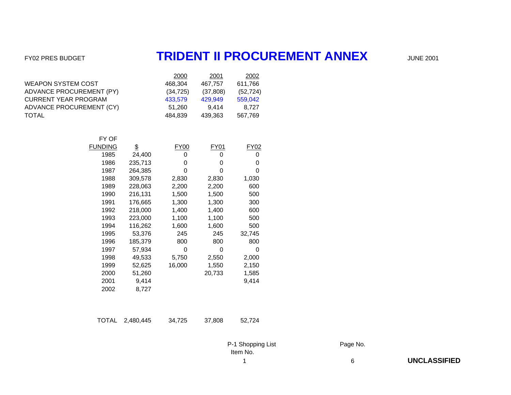## FY02 PRES BUDGET **TRIDENT II PROCUREMENT ANNEX** JUNE 2001

|                                 | 2000      | 2001     | 2002      |
|---------------------------------|-----------|----------|-----------|
| <b>WEAPON SYSTEM COST</b>       | 468.304   | 467.757  | 611,766   |
| <b>ADVANCE PROCUREMENT (PY)</b> | (34, 725) | (37,808) | (52, 724) |
| <b>CURRENT YEAR PROGRAM</b>     | 433,579   | 429.949  | 559,042   |
| ADVANCE PROCUREMENT (CY)        | 51.260    | 9.414    | 8.727     |
| TOTAL                           | 484.839   | 439.363  | 567,769   |
|                                 |           |          |           |

| FY OF   |         |        |        |        |
|---------|---------|--------|--------|--------|
| FUNDING | \$      | FY00   | FY01   | FY02   |
| 1985    | 24,400  | O      | O      | 0      |
| 1986    | 235,713 | O      | 0      | 0      |
| 1987    | 264,385 | O      | 0      | 0      |
| 1988    | 309,578 | 2,830  | 2,830  | 1,030  |
| 1989    | 228,063 | 2,200  | 2,200  | 600    |
| 1990    | 216,131 | 1,500  | 1,500  | 500    |
| 1991    | 176,665 | 1,300  | 1,300  | 300    |
| 1992    | 218,000 | 1,400  | 1,400  | 600    |
| 1993    | 223,000 | 1,100  | 1,100  | 500    |
| 1994    | 116,262 | 1,600  | 1,600  | 500    |
| 1995    | 53,376  | 245    | 245    | 32,745 |
| 1996    | 185,379 | 800    | 800    | 800    |
| 1997    | 57,934  | 0      | 0      | O      |
| 1998    | 49,533  | 5,750  | 2,550  | 2,000  |
| 1999    | 52,625  | 16,000 | 1,550  | 2,150  |
| 2000    | 51,260  |        | 20,733 | 1,585  |
| 2001    | 9,414   |        |        | 9,414  |
| 2002    | 8,727   |        |        |        |

| TOTAL 2,480,445 | 34.725 | 37,808 | 52.724 |
|-----------------|--------|--------|--------|
|                 |        |        |        |

P-1 Shopping List Page No. Item No.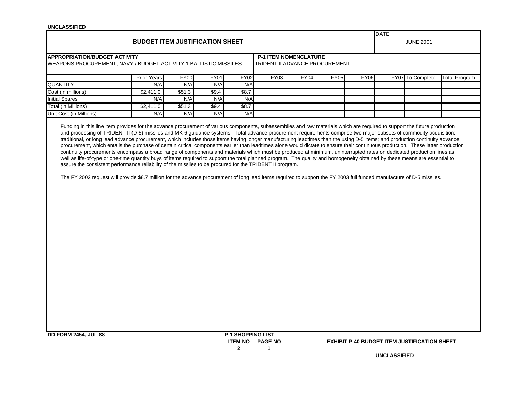| <b>UNCLASSIFIED</b>                                                                                                                                                                                                                                                                                                                                                                                                                                               |                                        |             |             |                          |                                                                |             |             |             |                                 |                                                     |                      |
|-------------------------------------------------------------------------------------------------------------------------------------------------------------------------------------------------------------------------------------------------------------------------------------------------------------------------------------------------------------------------------------------------------------------------------------------------------------------|----------------------------------------|-------------|-------------|--------------------------|----------------------------------------------------------------|-------------|-------------|-------------|---------------------------------|-----------------------------------------------------|----------------------|
|                                                                                                                                                                                                                                                                                                                                                                                                                                                                   | <b>BUDGET ITEM JUSTIFICATION SHEET</b> |             |             |                          |                                                                |             |             |             | <b>DATE</b><br><b>JUNE 2001</b> |                                                     |                      |
| <b>APPROPRIATION/BUDGET ACTIVITY</b><br>WEAPONS PROCUREMENT, NAVY / BUDGET ACTIVITY 1 BALLISTIC MISSILES                                                                                                                                                                                                                                                                                                                                                          |                                        |             |             |                          | <b>P-1 ITEM NOMENCLATURE</b><br>TRIDENT II ADVANCE PROCUREMENT |             |             |             |                                 |                                                     |                      |
|                                                                                                                                                                                                                                                                                                                                                                                                                                                                   | <b>Prior Years</b>                     | <b>FY00</b> | <b>FY01</b> | <b>FY02</b>              | <b>FY03</b>                                                    | <b>FY04</b> | <b>FY05</b> | <b>FY06</b> |                                 | FY07 To Complete                                    | <b>Total Program</b> |
| <b>QUANTITY</b>                                                                                                                                                                                                                                                                                                                                                                                                                                                   | N/A                                    | N/A         | N/A         | N/A                      |                                                                |             |             |             |                                 |                                                     |                      |
| Cost (in millions)                                                                                                                                                                                                                                                                                                                                                                                                                                                | \$2,411.0                              | \$51.3      | \$9.4       | \$8.7                    |                                                                |             |             |             |                                 |                                                     |                      |
| <b>Initial Spares</b>                                                                                                                                                                                                                                                                                                                                                                                                                                             | N/A                                    | N/A         | N/A         | N/A                      |                                                                |             |             |             |                                 |                                                     |                      |
| <b>Total (in Millions)</b>                                                                                                                                                                                                                                                                                                                                                                                                                                        | \$2,411.0                              | \$51.3      | \$9.4       | \$8.7                    |                                                                |             |             |             |                                 |                                                     |                      |
| Unit Cost (in Millions)                                                                                                                                                                                                                                                                                                                                                                                                                                           | N/A                                    | N/A         | N/A         | N/A                      |                                                                |             |             |             |                                 |                                                     |                      |
| well as life-of-type or one-time quantity buys of items required to support the total planned program. The quality and homogeneity obtained by these means are essential to<br>assure the consistent performance reliability of the missiles to be procured for the TRIDENT II program.<br>The FY 2002 request will provide \$8.7 million for the advance procurement of long lead items required to support the FY 2003 full funded manufacture of D-5 missiles. |                                        |             |             |                          |                                                                |             |             |             |                                 |                                                     |                      |
| <b>DD FORM 2454, JUL 88</b>                                                                                                                                                                                                                                                                                                                                                                                                                                       |                                        |             |             | <b>P-1 SHOPPING LIST</b> | <b>ITEM NO PAGE NO</b>                                         |             |             |             |                                 | <b>EXHIBIT P-40 BUDGET ITEM JUSTIFICATION SHEET</b> |                      |

**2 1**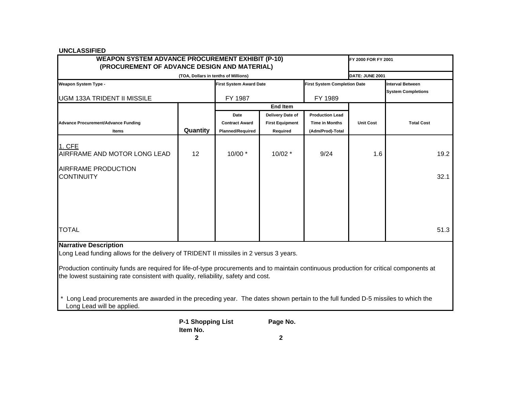| <b>WEAPON SYSTEM ADVANCE PROCUREMENT EXHIBIT (P-10)</b><br>FY 2000 FOR FY 2001<br>(PROCUREMENT OF ADVANCE DESIGN AND MATERIAL)                                                                                                                                                                                                                                                                                                                                                          |                                      |                                |                        |                                     |                  |                                                      |  |  |  |  |  |
|-----------------------------------------------------------------------------------------------------------------------------------------------------------------------------------------------------------------------------------------------------------------------------------------------------------------------------------------------------------------------------------------------------------------------------------------------------------------------------------------|--------------------------------------|--------------------------------|------------------------|-------------------------------------|------------------|------------------------------------------------------|--|--|--|--|--|
|                                                                                                                                                                                                                                                                                                                                                                                                                                                                                         |                                      |                                |                        |                                     |                  |                                                      |  |  |  |  |  |
| <b>Weapon System Type -</b>                                                                                                                                                                                                                                                                                                                                                                                                                                                             | (TOA, Dollars in tenths of Millions) | <b>First System Award Date</b> |                        | <b>First System Completion Date</b> | DATE: JUNE 2001  | <b>Interval Between</b><br><b>System Completions</b> |  |  |  |  |  |
| <b>UGM 133A TRIDENT II MISSILE</b>                                                                                                                                                                                                                                                                                                                                                                                                                                                      |                                      | FY 1987                        |                        | FY 1989                             |                  |                                                      |  |  |  |  |  |
|                                                                                                                                                                                                                                                                                                                                                                                                                                                                                         |                                      |                                | <b>End Item</b>        |                                     |                  |                                                      |  |  |  |  |  |
|                                                                                                                                                                                                                                                                                                                                                                                                                                                                                         |                                      | Date                           | Delivery Date of       | <b>Production Lead</b>              |                  |                                                      |  |  |  |  |  |
| <b>Advance Procurement/Advance Funding</b>                                                                                                                                                                                                                                                                                                                                                                                                                                              |                                      | <b>Contract Award</b>          | <b>First Equipment</b> | <b>Time in Months</b>               | <b>Unit Cost</b> | <b>Total Cost</b>                                    |  |  |  |  |  |
| Items                                                                                                                                                                                                                                                                                                                                                                                                                                                                                   | Quantity                             | <b>Planned/Required</b>        | Required               | (Adm/Prod)-Total                    |                  |                                                      |  |  |  |  |  |
| 1. CFE<br>AIRFRAME AND MOTOR LONG LEAD                                                                                                                                                                                                                                                                                                                                                                                                                                                  | 12                                   | $10/00$ *                      | $10/02$ *              | 9/24                                | 1.6              | 19.2                                                 |  |  |  |  |  |
| AIRFRAME PRODUCTION<br><b>CONTINUITY</b>                                                                                                                                                                                                                                                                                                                                                                                                                                                |                                      |                                |                        |                                     |                  | 32.1                                                 |  |  |  |  |  |
| <b>TOTAL</b>                                                                                                                                                                                                                                                                                                                                                                                                                                                                            |                                      |                                |                        |                                     |                  | 51.3                                                 |  |  |  |  |  |
| <b>Narrative Description</b><br>Long Lead funding allows for the delivery of TRIDENT II missiles in 2 versus 3 years.<br>Production continuity funds are required for life-of-type procurements and to maintain continuous production for critical components at<br>the lowest sustaining rate consistent with quality, reliability, safety and cost.<br>Long Lead procurements are awarded in the preceding year. The dates shown pertain to the full funded D-5 missiles to which the |                                      |                                |                        |                                     |                  |                                                      |  |  |  |  |  |
| Long Lead will be applied.                                                                                                                                                                                                                                                                                                                                                                                                                                                              |                                      |                                |                        |                                     |                  |                                                      |  |  |  |  |  |

| P-1 Shopping List | Page No.    |
|-------------------|-------------|
| ltem No.          |             |
| 2                 | $\mathbf 2$ |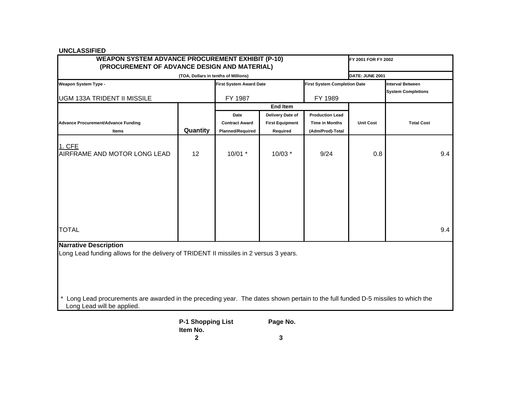| <b>WEAPON SYSTEM ADVANCE PROCUREMENT EXHIBIT (P-10)</b><br>(PROCUREMENT OF ADVANCE DESIGN AND MATERIAL)                                                                                                                                                                                 | FY 2001 FOR FY 2002                  |                                |                        |                                     |                  |                                                      |     |  |  |  |
|-----------------------------------------------------------------------------------------------------------------------------------------------------------------------------------------------------------------------------------------------------------------------------------------|--------------------------------------|--------------------------------|------------------------|-------------------------------------|------------------|------------------------------------------------------|-----|--|--|--|
|                                                                                                                                                                                                                                                                                         | (TOA, Dollars in tenths of Millions) |                                |                        |                                     | DATE: JUNE 2001  |                                                      |     |  |  |  |
| <b>Weapon System Type -</b>                                                                                                                                                                                                                                                             |                                      | <b>First System Award Date</b> |                        | <b>First System Completion Date</b> |                  | <b>Interval Between</b><br><b>System Completions</b> |     |  |  |  |
| <b>UGM 133A TRIDENT II MISSILE</b>                                                                                                                                                                                                                                                      |                                      | FY 1987                        |                        | FY 1989                             |                  |                                                      |     |  |  |  |
|                                                                                                                                                                                                                                                                                         |                                      |                                | <b>End Item</b>        |                                     |                  |                                                      |     |  |  |  |
|                                                                                                                                                                                                                                                                                         |                                      | Date                           | Delivery Date of       | <b>Production Lead</b>              |                  |                                                      |     |  |  |  |
| <b>Advance Procurement/Advance Funding</b>                                                                                                                                                                                                                                              |                                      | <b>Contract Award</b>          | <b>First Equipment</b> | <b>Time in Months</b>               | <b>Unit Cost</b> | <b>Total Cost</b>                                    |     |  |  |  |
| Items                                                                                                                                                                                                                                                                                   | Quantity                             | <b>Planned/Required</b>        | Required               | (Adm/Prod)-Total                    |                  |                                                      |     |  |  |  |
| 1. CFE<br>AIRFRAME AND MOTOR LONG LEAD                                                                                                                                                                                                                                                  | 12                                   | $10/01$ *                      | 10/03 *                | 9/24                                | 0.8              |                                                      | 9.4 |  |  |  |
| <b>TOTAL</b>                                                                                                                                                                                                                                                                            |                                      |                                |                        |                                     |                  |                                                      | 9.4 |  |  |  |
| <b>Narrative Description</b><br>Long Lead funding allows for the delivery of TRIDENT II missiles in 2 versus 3 years.<br>* Long Lead procurements are awarded in the preceding year. The dates shown pertain to the full funded D-5 missiles to which the<br>Long Lead will be applied. |                                      |                                |                        |                                     |                  |                                                      |     |  |  |  |

| <b>P-1 Shopping List</b> | Page No. |
|--------------------------|----------|
| Item No.                 |          |
|                          | 3        |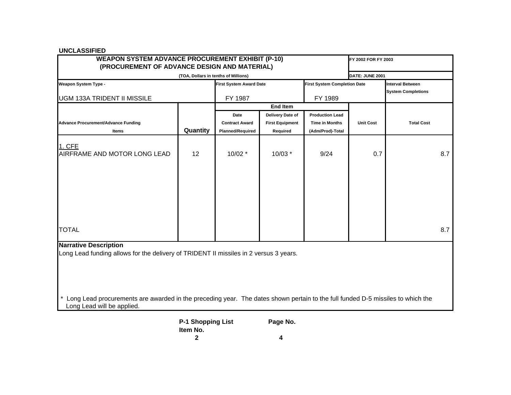| (PROCUREMENT OF ADVANCE DESIGN AND MATERIAL)                                                                                                                                                                                                                                            | FY 2002 FOR FY 2003                  |                                |                        |                                     |                  |                                                      |     |  |  |  |
|-----------------------------------------------------------------------------------------------------------------------------------------------------------------------------------------------------------------------------------------------------------------------------------------|--------------------------------------|--------------------------------|------------------------|-------------------------------------|------------------|------------------------------------------------------|-----|--|--|--|
|                                                                                                                                                                                                                                                                                         | (TOA, Dollars in tenths of Millions) |                                |                        |                                     | DATE: JUNE 2001  |                                                      |     |  |  |  |
| <b>Weapon System Type -</b>                                                                                                                                                                                                                                                             |                                      | <b>First System Award Date</b> |                        | <b>First System Completion Date</b> |                  | <b>Interval Between</b><br><b>System Completions</b> |     |  |  |  |
| <b>UGM 133A TRIDENT II MISSILE</b>                                                                                                                                                                                                                                                      |                                      | FY 1987                        |                        | FY 1989                             |                  |                                                      |     |  |  |  |
|                                                                                                                                                                                                                                                                                         |                                      |                                | <b>End Item</b>        |                                     |                  |                                                      |     |  |  |  |
|                                                                                                                                                                                                                                                                                         |                                      | Date                           | Delivery Date of       | <b>Production Lead</b>              |                  |                                                      |     |  |  |  |
| <b>Advance Procurement/Advance Funding</b>                                                                                                                                                                                                                                              |                                      | <b>Contract Award</b>          | <b>First Equipment</b> | <b>Time in Months</b>               | <b>Unit Cost</b> | <b>Total Cost</b>                                    |     |  |  |  |
| Items                                                                                                                                                                                                                                                                                   | Quantity                             | <b>Planned/Required</b>        | Required               | (Adm/Prod)-Total                    |                  |                                                      |     |  |  |  |
| 1. CFE<br>AIRFRAME AND MOTOR LONG LEAD                                                                                                                                                                                                                                                  | 12                                   | $10/02$ *                      | 10/03 *                | 9/24                                | 0.7              |                                                      | 8.7 |  |  |  |
| <b>TOTAL</b>                                                                                                                                                                                                                                                                            |                                      |                                |                        |                                     |                  |                                                      | 8.7 |  |  |  |
| <b>Narrative Description</b><br>Long Lead funding allows for the delivery of TRIDENT II missiles in 2 versus 3 years.<br>* Long Lead procurements are awarded in the preceding year. The dates shown pertain to the full funded D-5 missiles to which the<br>Long Lead will be applied. |                                      |                                |                        |                                     |                  |                                                      |     |  |  |  |

| <b>P-1 Shopping List</b> | Page No. |
|--------------------------|----------|
| Item No.                 |          |
| 2                        | Δ        |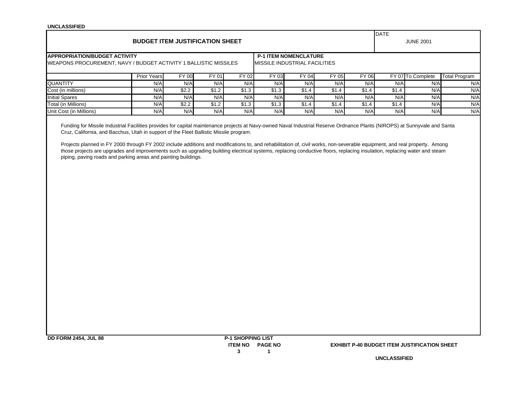|                                                                                                                                                                                                                                                                      |                                        |                               |       |       |                              |       |       |       | DATE             |                   |                      |  |
|----------------------------------------------------------------------------------------------------------------------------------------------------------------------------------------------------------------------------------------------------------------------|----------------------------------------|-------------------------------|-------|-------|------------------------------|-------|-------|-------|------------------|-------------------|----------------------|--|
|                                                                                                                                                                                                                                                                      | <b>BUDGET ITEM JUSTIFICATION SHEET</b> |                               |       |       |                              |       |       |       | <b>JUNE 2001</b> |                   |                      |  |
| <b>IAPPROPRIATION/BUDGET ACTIVITY</b>                                                                                                                                                                                                                                |                                        |                               |       |       | <b>P-1 ITEM NOMENCLATURE</b> |       |       |       |                  |                   |                      |  |
| <b>IWEAPONS PROCUREMENT, NAVY / BUDGET ACTIVITY 1 BALLISTIC MISSILES</b>                                                                                                                                                                                             |                                        | MISSILE INDUSTRIAL FACILITIES |       |       |                              |       |       |       |                  |                   |                      |  |
|                                                                                                                                                                                                                                                                      | <b>Prior Years</b>                     | <b>FY 00</b>                  | FY 01 | FY 02 | FY 03                        | FY 04 | FY 05 | FY 06 |                  | FY 07 To Complete | <b>Total Program</b> |  |
| <b>QUANTITY</b>                                                                                                                                                                                                                                                      | N/A                                    | N/A                           | N/A   | N/A   | N/A                          | N/A   | N/A   | N/A   | N/A              | N/A               | N/A                  |  |
| Cost (in millions)                                                                                                                                                                                                                                                   | N/A                                    | \$2.2                         | \$1.2 | \$1.3 | \$1.3                        | \$1.4 | \$1.4 | \$1.4 | \$1.4            | N/A               | N/A                  |  |
| <b>Initial Spares</b>                                                                                                                                                                                                                                                | N/A                                    | N/A                           | N/A   | N/A   | N/A                          | N/A   | N/A   | N/A   | N/A              | N/A               | N/A                  |  |
| Total (in Millions)                                                                                                                                                                                                                                                  | N/A                                    | \$2.2                         | \$1.2 | \$1.3 | \$1.3                        | \$1.4 | \$1.4 | \$1.4 | \$1.4            | N/A               | N/A                  |  |
| Unit Cost (in Millions)                                                                                                                                                                                                                                              | N/A                                    | N/A                           | N/A   | N/A   | N/A                          | N/A   | N/A   | N/A   | N/A              | N/A               | N/A                  |  |
| Funding for Missile Industrial Facilities provides for capital maintenance projects at Navy-owned Naval Industrial Reserve Ordnance Plants (NIROPS) at Sunnyvale and Santa<br>Cruz, California, and Bacchus, Utah in support of the Fleet Ballistic Missile program. |                                        |                               |       |       |                              |       |       |       |                  |                   |                      |  |

Projects planned in FY 2000 through FY 2002 include additions and modifications to, and rehabilitation of, civil works, non-severable equipment, and real property. Among those projects are upgrades and improvements such as upgrading building electrical systems, replacing conductive floors, replacing insulation, replacing water and steam piping, paving roads and parking areas and painting buildings.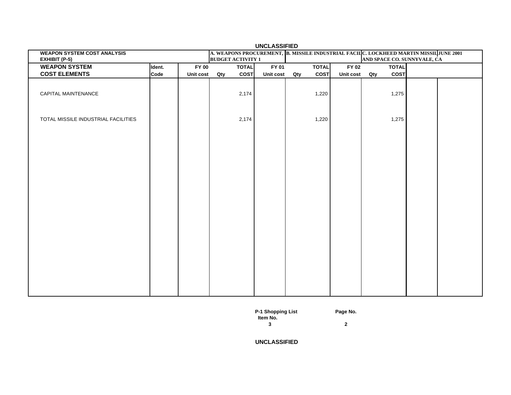| <b>UNCLASSIFIED</b><br>A. WEAPONS PROCUREMENT, B. MISSILE INDUSTRIAL FACILC. LOCKHEED MARTIN MISSIL JUNE 2001 |        |                  |                          |           |     |              |           |     |              |                             |  |
|---------------------------------------------------------------------------------------------------------------|--------|------------------|--------------------------|-----------|-----|--------------|-----------|-----|--------------|-----------------------------|--|
| <b>WEAPON SYSTEM COST ANALYSIS</b><br>EXHIBIT (P-5)                                                           |        |                  | <b>BUDGET ACTIVITY 1</b> |           |     |              |           |     |              | AND SPACE CO. SUNNYVALE, CA |  |
| <b>WEAPON SYSTEM</b>                                                                                          | Ident. | <b>FY 00</b>     | <b>TOTAL</b>             | FY 01     |     | <b>TOTAL</b> | FY 02     |     | <b>TOTAL</b> |                             |  |
| <b>COST ELEMENTS</b>                                                                                          | Code   | Unit cost<br>Qty | <b>COST</b>              | Unit cost | Qty | <b>COST</b>  | Unit cost | Qty | COST         |                             |  |
|                                                                                                               |        |                  |                          |           |     |              |           |     |              |                             |  |
| CAPITAL MAINTENANCE                                                                                           |        |                  | 2,174                    |           |     | 1,220        |           |     | 1,275        |                             |  |
| TOTAL MISSILE INDUSTRIAL FACILITIES                                                                           |        |                  | 2,174                    |           |     | 1,220        |           |     | 1,275        |                             |  |
|                                                                                                               |        |                  |                          |           |     |              |           |     |              |                             |  |

**P-1 Shopping List Page No.**

**3 2**

**UNCLASSIFIED**

 **Item No.**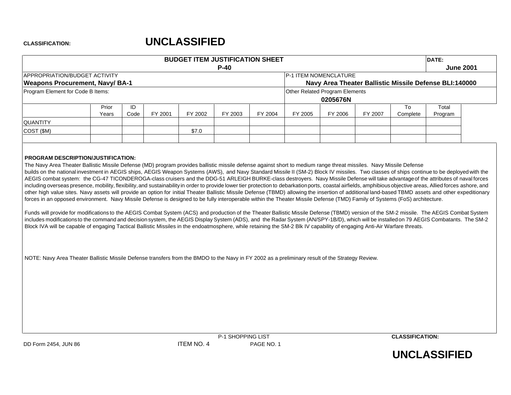|                                                                     |       |      |         | <b>BUDGET ITEM JUSTIFICATION SHEET</b> |         |         |         |                                                        |         |          | DATE:   |                  |
|---------------------------------------------------------------------|-------|------|---------|----------------------------------------|---------|---------|---------|--------------------------------------------------------|---------|----------|---------|------------------|
|                                                                     |       |      |         |                                        | $P-40$  |         |         |                                                        |         |          |         | <b>June 2001</b> |
| APPROPRIATION/BUDGET ACTIVITY                                       |       |      |         |                                        |         |         |         | <b>P-1 ITEM NOMENCLATURE</b>                           |         |          |         |                  |
| <b>Weapons Procurement, Navy/ BA-1</b>                              |       |      |         |                                        |         |         |         | Navy Area Theater Ballistic Missile Defense BLI:140000 |         |          |         |                  |
| Program Element for Code B Items:<br>Other Related Program Elements |       |      |         |                                        |         |         |         |                                                        |         |          |         |                  |
|                                                                     |       |      |         |                                        |         |         |         | 0205676N                                               |         |          |         |                  |
|                                                                     | Prior | ID   |         |                                        |         |         |         |                                                        |         | To       | Total   |                  |
|                                                                     | Years | Code | FY 2001 | FY 2002                                | FY 2003 | FY 2004 | FY 2005 | FY 2006                                                | FY 2007 | Complete | Program |                  |
| <b>QUANTITY</b>                                                     |       |      |         |                                        |         |         |         |                                                        |         |          |         |                  |
| $\vert$ COST (\$M)                                                  |       |      |         | \$7.0                                  |         |         |         |                                                        |         |          |         |                  |
|                                                                     |       |      |         |                                        |         |         |         |                                                        |         |          |         |                  |
|                                                                     |       |      |         |                                        |         |         |         |                                                        |         |          |         |                  |

### **PROGRAM DESCRIPTION/JUSTIFICATION:**

The Navy Area Theater Ballistic Missile Defense (MD) program provides ballistic missile defense against short to medium range threat missiles. Navy Missile Defense builds on the national investment in AEGIS ships, AEGIS Weapon Systems (AWS), and Navy Standard Missile II (SM-2) Block IV missiles. Two classes of ships continue to be deployed with the AEGIS combat system: the CG-47 TICONDEROGA-class cruisers and the DDG-51 ARLEIGH BURKE-class destroyers. Navy Missile Defense will take advantageof the attributes of naval forces including overseas presence, mobility, flexibility, and sustainability in order to provide lower tier protection to debarkation ports, coastal airfields, amphibious objective areas, Allied forces ashore, and other high value sites. Navy assets will provide an option for initial Theater Ballistic Missile Defense (TBMD) allowing the insertion of additional land-based TBMD assets and other expeditionary forces in an opposed environment. Navy Missile Defense is designed to be fully interoperable within the Theater Missile Defense (TMD) Family of Systems (FoS) architecture.

Funds will provide for modifications to the AEGIS Combat System (ACS) and production of the Theater Ballistic Missile Defense (TBMD) version of the SM-2 missile. The AEGIS Combat System includes modificationsto the command and decision system, the AEGIS Display System (ADS), and the Radar System (AN/SPY-1B/D), which will be installedon 79 AEGIS Combatants. The SM-2 Block IVA will be capable of engaging Tactical Ballistic Missiles in the endoatmosphere, while retaining the SM-2 Blk IV capability of engaging Anti-Air Warfare threats.

NOTE: Navy Area Theater Ballistic Missile Defense transfers from the BMDO to the Navy in FY 2002 as a preliminary result of the Strategy Review.



**CLASSIFICATION:**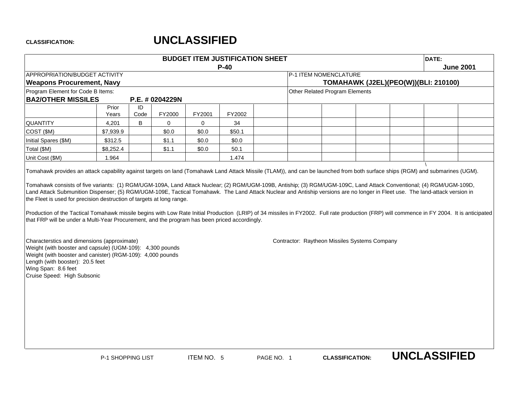|                                                                                                                                                                                                                                                                                                                                                                       |                |            |                 |        | <b>BUDGET ITEM JUSTIFICATION SHEET</b><br>$P-40$ |  | DATE:<br><b>June 2001</b>      |                                               |                                      |  |  |
|-----------------------------------------------------------------------------------------------------------------------------------------------------------------------------------------------------------------------------------------------------------------------------------------------------------------------------------------------------------------------|----------------|------------|-----------------|--------|--------------------------------------------------|--|--------------------------------|-----------------------------------------------|--------------------------------------|--|--|
| APPROPRIATION/BUDGET ACTIVITY                                                                                                                                                                                                                                                                                                                                         |                |            |                 |        |                                                  |  | P-1 ITEM NOMENCLATURE          |                                               |                                      |  |  |
| <b>Weapons Procurement, Navy</b>                                                                                                                                                                                                                                                                                                                                      |                |            |                 |        |                                                  |  |                                |                                               | TOMAHAWK (J2EL)(PEO(W))(BLI: 210100) |  |  |
| Program Element for Code B Items:                                                                                                                                                                                                                                                                                                                                     |                |            |                 |        |                                                  |  | Other Related Program Elements |                                               |                                      |  |  |
| <b>BA2/OTHER MISSILES</b>                                                                                                                                                                                                                                                                                                                                             |                |            | P.E. # 0204229N |        |                                                  |  |                                |                                               |                                      |  |  |
|                                                                                                                                                                                                                                                                                                                                                                       | Prior<br>Years | ID<br>Code | FY2000          | FY2001 | FY2002                                           |  |                                |                                               |                                      |  |  |
| <b>QUANTITY</b>                                                                                                                                                                                                                                                                                                                                                       | 4,201          | B          | $\mathbf 0$     | 0      | 34                                               |  |                                |                                               |                                      |  |  |
| COST (\$M)                                                                                                                                                                                                                                                                                                                                                            | \$7,939.9      |            | \$0.0           | \$0.0  | \$50.1                                           |  |                                |                                               |                                      |  |  |
| Initial Spares (\$M)                                                                                                                                                                                                                                                                                                                                                  | \$312.5        |            | \$1.1           | \$0.0  | \$0.0                                            |  |                                |                                               |                                      |  |  |
| Total (\$M)                                                                                                                                                                                                                                                                                                                                                           | \$8,252.4      |            | \$1.1           | \$0.0  | 50.1                                             |  |                                |                                               |                                      |  |  |
| Unit Cost (\$M)                                                                                                                                                                                                                                                                                                                                                       | 1.964          |            |                 |        | 1.474                                            |  |                                |                                               |                                      |  |  |
| the Fleet is used for precision destruction of targets at long range.<br>Production of the Tactical Tomahawk missile begins with Low Rate Initial Production (LRIP) of 34 missiles in FY2002. Full rate production (FRP) will commence in FY 2004. It is anticipated<br>that FRP will be under a Multi-Year Procurement, and the program has been priced accordingly. |                |            |                 |        |                                                  |  |                                |                                               |                                      |  |  |
| Characterstics and dimensions (approximate)<br>Weight (with booster and capsule) (UGM-109): 4,300 pounds<br>Weight (with booster and canister) (RGM-109): 4,000 pounds<br>Length (with booster): 20.5 feet<br>Wing Span: 8.6 feet<br>Cruise Speed: High Subsonic                                                                                                      |                |            |                 |        |                                                  |  |                                | Contractor: Raytheon Missiles Systems Company |                                      |  |  |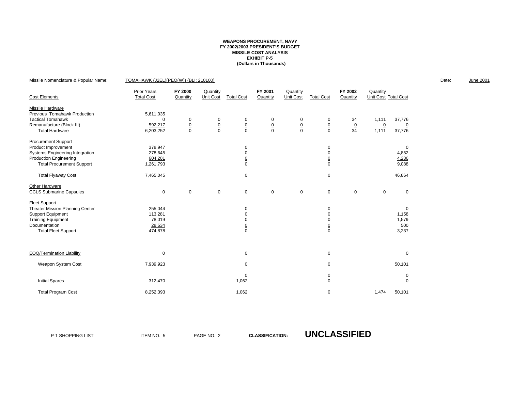### **WEAPONS PROCUREMENT, NAVY FY 2002/2003 PRESIDENT'S BUDGETMISSILE COST ANALYSIS EXHIBIT P-5 (Dollars in Thousands)**

| Missile Nomenclature & Popular Name: | TOMAHAWK (J2EL)(PEO(W)) (BLI: 210100)   |                     |                       |                   |                     |                       |                   |                     |                                  |                | Date: | <b>June 2001</b> |
|--------------------------------------|-----------------------------------------|---------------------|-----------------------|-------------------|---------------------|-----------------------|-------------------|---------------------|----------------------------------|----------------|-------|------------------|
| <b>Cost Elements</b>                 | <b>Prior Years</b><br><b>Total Cost</b> | FY 2000<br>Quantity | Quantity<br>Unit Cost | <b>Total Cost</b> | FY 2001<br>Quantity | Quantity<br>Unit Cost | <b>Total Cost</b> | FY 2002<br>Quantity | Quantity<br>Unit Cost Total Cost |                |       |                  |
| Missile Hardware                     |                                         |                     |                       |                   |                     |                       |                   |                     |                                  |                |       |                  |
| Previous Tomahawk Production         | 5,611,035                               |                     |                       |                   |                     |                       |                   |                     |                                  |                |       |                  |
| <b>Tactical Tomahawk</b>             | $\Omega$                                | 0                   | 0                     | 0                 | 0                   | 0                     | 0                 | 34                  | 1,111                            | 37,776         |       |                  |
| Remanufacture (Block III)            | 592,217                                 | $\underline{0}$     | $\underline{0}$       | $\underline{0}$   | $\frac{0}{0}$       | $\frac{0}{0}$         | $\frac{0}{0}$     | $\underline{0}$     | $\overline{0}$                   | $\overline{0}$ |       |                  |
| <b>Total Hardware</b>                | 6,203,252                               | 0                   | $\mathbf 0$           | $\mathbf 0$       |                     |                       |                   | 34                  | 1,111                            | 37,776         |       |                  |
| <b>Procurement Support</b>           |                                         |                     |                       |                   |                     |                       |                   |                     |                                  |                |       |                  |
| Product Improvement                  | 378,947                                 |                     |                       | 0                 |                     |                       | 0                 |                     |                                  | 0              |       |                  |
| Systems Engineering Integration      | 278,645                                 |                     |                       |                   |                     |                       | $\mathbf 0$       |                     |                                  | 4,852          |       |                  |
| <b>Production Engineering</b>        | 604,201                                 |                     |                       |                   |                     |                       | $\overline{0}$    |                     |                                  | 4,236          |       |                  |
| <b>Total Procurement Support</b>     | 1,261,793                               |                     |                       | $\Omega$          |                     |                       | $\Omega$          |                     |                                  | 9,088          |       |                  |
| <b>Total Flyaway Cost</b>            | 7,465,045                               |                     |                       | $\mathbf 0$       |                     |                       | 0                 |                     |                                  | 46,864         |       |                  |
| Other Hardware                       |                                         |                     |                       |                   |                     |                       |                   |                     |                                  |                |       |                  |
| <b>CCLS Submarine Capsules</b>       | 0                                       | $\mathbf 0$         | $\mathbf 0$           | $\mathbf 0$       | $\mathbf 0$         | $\mathbf 0$           | 0                 | $\pmb{0}$           | 0                                | 0              |       |                  |
| <b>Fleet Support</b>                 |                                         |                     |                       |                   |                     |                       |                   |                     |                                  |                |       |                  |
| Theater Mission Planning Center      | 255,044                                 |                     |                       | 0                 |                     |                       | 0                 |                     |                                  | 0              |       |                  |
| Support Equipment                    | 113,281                                 |                     |                       | 0                 |                     |                       | $\mathbf 0$       |                     |                                  | 1,158          |       |                  |
| <b>Training Equipment</b>            | 78,019                                  |                     |                       |                   |                     |                       | $\mathbf 0$       |                     |                                  | 1,579          |       |                  |
| Documentation                        | 28,534                                  |                     |                       | $\overline{0}$    |                     |                       | $\overline{0}$    |                     |                                  | 500            |       |                  |
| <b>Total Fleet Support</b>           | 474,878                                 |                     |                       | $\mathbf 0$       |                     |                       | $\mathbf 0$       |                     |                                  | 3,237          |       |                  |
|                                      |                                         |                     |                       |                   |                     |                       |                   |                     |                                  |                |       |                  |
| EOQ/Termination Liability            | 0                                       |                     |                       | 0                 |                     |                       | 0                 |                     |                                  | 0              |       |                  |
| Weapon System Cost                   | 7,939,923                               |                     |                       | $\mathbf 0$       |                     |                       | $\mathbf 0$       |                     |                                  | 50,101         |       |                  |
|                                      |                                         |                     |                       | 0                 |                     |                       | 0                 |                     |                                  | 0              |       |                  |
| <b>Initial Spares</b>                | 312,470                                 |                     |                       | 1,062             |                     |                       | $\Omega$          |                     |                                  | 0              |       |                  |
| <b>Total Program Cost</b>            | 8,252,393                               |                     |                       | 1,062             |                     |                       | 0                 |                     | 1,474                            | 50,101         |       |                  |

P-1 SHOPPING LIST **ITEM NO. 5** PAGE NO. 2

**CLASSIFICATION: UNCLASSIFIED**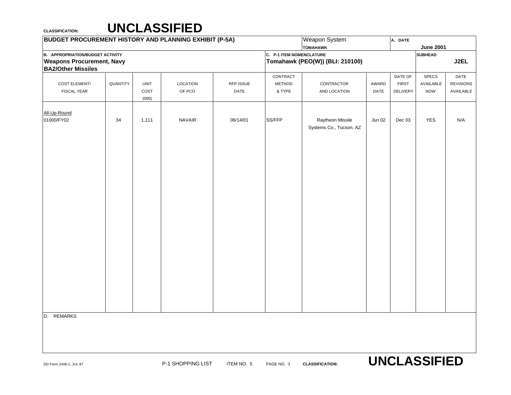### **CLASSIFICATION: UNCLASSIFIED**

| <b>BUDGET PROCUREMENT HISTORY AND PLANNING EXHIBIT (P-5A)</b> |          |             |                 |           |                                 | Weapon System                   |        | A. DATE      |                       |                  |
|---------------------------------------------------------------|----------|-------------|-----------------|-----------|---------------------------------|---------------------------------|--------|--------------|-----------------------|------------------|
|                                                               |          |             |                 |           |                                 | <b>TOMAHAWK</b>                 |        |              | <b>June 2001</b>      |                  |
| <b>B. APPROPRIATION/BUDGET ACTIVITY</b>                       |          |             |                 |           | <b>C. P-1 ITEM NOMENCLATURE</b> |                                 |        |              | <b>SUBHEAD</b>        |                  |
| <b>Weapons Procurement, Navy</b>                              |          |             |                 |           |                                 | Tomahawk (PEO(W)) (BLI: 210100) |        |              |                       | J2EL             |
| <b>BA2/Other Missiles</b>                                     |          |             |                 |           |                                 |                                 |        |              |                       |                  |
|                                                               |          |             |                 |           | CONTRACT                        |                                 |        | DATE OF      | SPECS                 | DATE             |
| COST ELEMENT/                                                 | QUANTITY | <b>UNIT</b> | <b>LOCATION</b> | RFP ISSUE | METHOD                          | CONTRACTOR                      | AWARD  | <b>FIRST</b> | AVAILABLE             | <b>REVISIONS</b> |
| <b>FISCAL YEAR</b>                                            |          | COST        | OF PCO          | DATE      | & TYPE                          | AND LOCATION                    | DATE   | DELIVERY     | <b>NOW</b>            | AVAILABLE        |
|                                                               |          | (000)       |                 |           |                                 |                                 |        |              |                       |                  |
| All-Up-Round                                                  |          |             |                 |           |                                 |                                 |        |              |                       |                  |
| 01000/FY02                                                    | 34       | 1,111       | <b>NAVAIR</b>   | 06/14/01  | SS/FFP                          | Raytheon Missile                | Jun 02 | Dec 03       | <b>YES</b>            | N/A              |
|                                                               |          |             |                 |           |                                 | Systems Co., Tucson, AZ         |        |              |                       |                  |
|                                                               |          |             |                 |           |                                 |                                 |        |              |                       |                  |
|                                                               |          |             |                 |           |                                 |                                 |        |              |                       |                  |
|                                                               |          |             |                 |           |                                 |                                 |        |              |                       |                  |
|                                                               |          |             |                 |           |                                 |                                 |        |              |                       |                  |
|                                                               |          |             |                 |           |                                 |                                 |        |              |                       |                  |
|                                                               |          |             |                 |           |                                 |                                 |        |              |                       |                  |
|                                                               |          |             |                 |           |                                 |                                 |        |              |                       |                  |
|                                                               |          |             |                 |           |                                 |                                 |        |              |                       |                  |
|                                                               |          |             |                 |           |                                 |                                 |        |              |                       |                  |
|                                                               |          |             |                 |           |                                 |                                 |        |              |                       |                  |
|                                                               |          |             |                 |           |                                 |                                 |        |              |                       |                  |
|                                                               |          |             |                 |           |                                 |                                 |        |              |                       |                  |
|                                                               |          |             |                 |           |                                 |                                 |        |              |                       |                  |
|                                                               |          |             |                 |           |                                 |                                 |        |              |                       |                  |
|                                                               |          |             |                 |           |                                 |                                 |        |              |                       |                  |
|                                                               |          |             |                 |           |                                 |                                 |        |              |                       |                  |
|                                                               |          |             |                 |           |                                 |                                 |        |              |                       |                  |
|                                                               |          |             |                 |           |                                 |                                 |        |              |                       |                  |
|                                                               |          |             |                 |           |                                 |                                 |        |              |                       |                  |
|                                                               |          |             |                 |           |                                 |                                 |        |              |                       |                  |
|                                                               |          |             |                 |           |                                 |                                 |        |              |                       |                  |
|                                                               |          |             |                 |           |                                 |                                 |        |              |                       |                  |
|                                                               |          |             |                 |           |                                 |                                 |        |              |                       |                  |
|                                                               |          |             |                 |           |                                 |                                 |        |              |                       |                  |
|                                                               |          |             |                 |           |                                 |                                 |        |              |                       |                  |
| D. REMARKS                                                    |          |             |                 |           |                                 |                                 |        |              |                       |                  |
|                                                               |          |             |                 |           |                                 |                                 |        |              |                       |                  |
|                                                               |          |             |                 |           |                                 |                                 |        |              |                       |                  |
|                                                               |          |             |                 |           |                                 |                                 |        |              |                       |                  |
|                                                               |          |             |                 |           |                                 |                                 |        |              |                       |                  |
|                                                               |          |             |                 |           |                                 |                                 |        |              | <b>IINCI ASSIEIED</b> |                  |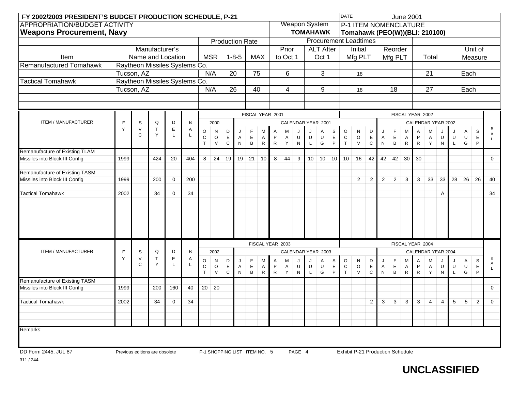|                                  | FY 2002/2003 PRESIDENT'S BUDGET PRODUCTION SCHEDULE, P-21<br><b>APPROPRIATION/BUDGET ACTIVITY</b><br><b>Production Rate</b><br>Manufacturer's<br><b>MSR</b><br>$1 - 8 - 5$<br><b>MAX</b><br>Name and Location<br>Item<br>Raytheon Missiles Systems Co.<br>N/A<br>75<br>Tucson, AZ<br>20<br>Raytheon Missiles Systems Co.<br>N/A<br>26<br>Tucson, AZ<br>40<br>FISCAL YEAR 2001<br>Q<br>D<br>B<br>F<br>S<br>2000<br>$\mathsf E$<br>Y<br>$\vee$<br>$\mathsf T$<br>A<br>O<br>D<br>F<br>N<br>M<br>J<br>$\mathbf C$<br>Y<br>$\mathsf L$<br>$\mathsf E$<br>$\mathsf E$<br>C<br>$\circ$<br>A<br>Α<br>$\top$<br>$\mathsf C$<br>$\, {\bf B}$<br>V<br>${\sf N}$<br>$\mathsf{R}$<br>Remanufacture of Existing TLAM<br>24<br>21<br>8<br>19<br>19<br>10<br>Missiles into Block III Config<br>1999<br>424<br>20<br>404<br>1999<br>200<br>$\mathbf 0$<br>200<br>34<br>$\mathbf 0$<br>34<br>2002 |             |                                |                  |    |                   |              |                  |                              |                       |                   |                   |          |                      |                   |                  |                  | <b>DATE</b>                  |                                         |                    |           |                  | <b>June 2001</b>  |                   |                    |                |              |              |                      |             |
|----------------------------------|---------------------------------------------------------------------------------------------------------------------------------------------------------------------------------------------------------------------------------------------------------------------------------------------------------------------------------------------------------------------------------------------------------------------------------------------------------------------------------------------------------------------------------------------------------------------------------------------------------------------------------------------------------------------------------------------------------------------------------------------------------------------------------------------------------------------------------------------------------------------------------|-------------|--------------------------------|------------------|----|-------------------|--------------|------------------|------------------------------|-----------------------|-------------------|-------------------|----------|----------------------|-------------------|------------------|------------------|------------------------------|-----------------------------------------|--------------------|-----------|------------------|-------------------|-------------------|--------------------|----------------|--------------|--------------|----------------------|-------------|
|                                  |                                                                                                                                                                                                                                                                                                                                                                                                                                                                                                                                                                                                                                                                                                                                                                                                                                                                                 |             |                                |                  |    |                   |              |                  |                              |                       |                   |                   |          | <b>Weapon System</b> |                   |                  |                  |                              | <b>P-1 ITEM NOMENCLATURE</b>            |                    |           |                  |                   |                   |                    |                |              |              |                      |             |
| <b>Weapons Procurement, Navy</b> |                                                                                                                                                                                                                                                                                                                                                                                                                                                                                                                                                                                                                                                                                                                                                                                                                                                                                 |             |                                |                  |    |                   |              |                  |                              |                       |                   |                   |          | <b>TOMAHAWK</b>      |                   |                  |                  |                              | Tomahawk (PEO(W))(BLI: 210100)          |                    |           |                  |                   |                   |                    |                |              |              |                      |             |
|                                  |                                                                                                                                                                                                                                                                                                                                                                                                                                                                                                                                                                                                                                                                                                                                                                                                                                                                                 |             |                                |                  |    |                   |              |                  |                              |                       |                   |                   |          |                      |                   |                  |                  |                              | <b>Procurement Leadtimes</b>            |                    |           |                  |                   |                   |                    |                |              |              |                      |             |
|                                  |                                                                                                                                                                                                                                                                                                                                                                                                                                                                                                                                                                                                                                                                                                                                                                                                                                                                                 |             |                                |                  |    |                   |              |                  |                              |                       |                   |                   | Prior    |                      |                   | <b>ALT After</b> |                  |                              | Initial                                 |                    |           | Reorder          |                   |                   |                    |                |              |              | Unit of              |             |
|                                  |                                                                                                                                                                                                                                                                                                                                                                                                                                                                                                                                                                                                                                                                                                                                                                                                                                                                                 |             |                                |                  |    |                   |              |                  |                              |                       |                   |                   | to Oct 1 |                      |                   | Oct 1            |                  |                              | Mfg PLT                                 |                    |           | Mfg PLT          |                   |                   | Total              |                |              |              | Measure              |             |
| Remanufactured Tomahawk          |                                                                                                                                                                                                                                                                                                                                                                                                                                                                                                                                                                                                                                                                                                                                                                                                                                                                                 |             |                                |                  |    |                   |              |                  |                              |                       |                   |                   |          |                      |                   |                  |                  |                              |                                         |                    |           |                  |                   |                   |                    |                |              |              |                      |             |
|                                  |                                                                                                                                                                                                                                                                                                                                                                                                                                                                                                                                                                                                                                                                                                                                                                                                                                                                                 |             |                                |                  |    |                   |              |                  |                              |                       |                   |                   | 6        |                      |                   | 3                |                  |                              | 18                                      |                    |           |                  |                   |                   | 21                 |                |              | Each         |                      |             |
| <b>Tactical Tomahawk</b>         |                                                                                                                                                                                                                                                                                                                                                                                                                                                                                                                                                                                                                                                                                                                                                                                                                                                                                 |             |                                |                  |    |                   |              |                  |                              |                       |                   |                   |          |                      |                   |                  |                  |                              |                                         |                    |           |                  |                   |                   |                    |                |              |              |                      |             |
|                                  |                                                                                                                                                                                                                                                                                                                                                                                                                                                                                                                                                                                                                                                                                                                                                                                                                                                                                 |             |                                |                  |    |                   |              |                  |                              |                       |                   |                   | 4        |                      |                   | 9                |                  |                              | 18                                      |                    |           | 18               |                   |                   | 27                 |                |              | Each         |                      |             |
|                                  |                                                                                                                                                                                                                                                                                                                                                                                                                                                                                                                                                                                                                                                                                                                                                                                                                                                                                 |             |                                |                  |    |                   |              |                  |                              |                       |                   |                   |          |                      |                   |                  |                  |                              |                                         |                    |           |                  |                   |                   |                    |                |              |              |                      |             |
|                                  |                                                                                                                                                                                                                                                                                                                                                                                                                                                                                                                                                                                                                                                                                                                                                                                                                                                                                 |             |                                |                  |    |                   |              |                  |                              |                       |                   |                   |          |                      |                   |                  |                  |                              |                                         |                    |           |                  |                   |                   |                    |                |              |              |                      |             |
|                                  |                                                                                                                                                                                                                                                                                                                                                                                                                                                                                                                                                                                                                                                                                                                                                                                                                                                                                 |             |                                |                  |    |                   |              |                  |                              |                       |                   |                   |          |                      |                   |                  |                  |                              |                                         |                    |           |                  | FISCAL YEAR 2002  |                   |                    |                |              |              |                      |             |
| <b>ITEM / MANUFACTURER</b>       |                                                                                                                                                                                                                                                                                                                                                                                                                                                                                                                                                                                                                                                                                                                                                                                                                                                                                 |             |                                |                  |    |                   |              |                  |                              |                       |                   |                   |          | CALENDAR YEAR 2001   |                   |                  |                  |                              |                                         |                    |           |                  |                   |                   | CALENDAR YEAR 2002 |                |              |              |                      |             |
|                                  |                                                                                                                                                                                                                                                                                                                                                                                                                                                                                                                                                                                                                                                                                                                                                                                                                                                                                 |             |                                |                  |    |                   |              |                  |                              | A                     | м                 |                   | J        | A                    | S                 | $\circ$          | N                | D                            |                                         | F                  | М         | Α                | M                 |                   |                    | Α              | $\mathsf{s}$ | В<br>Α       |                      |             |
|                                  |                                                                                                                                                                                                                                                                                                                                                                                                                                                                                                                                                                                                                                                                                                                                                                                                                                                                                 |             |                                |                  |    |                   |              |                  |                              | P                     | A                 | U                 | U        | $\mathsf U$          | $\mathsf E$       | ${\rm C}$        | $\circ$          | $\mathsf E$                  | Α                                       | $_{\rm B}^{\rm E}$ | Α         | P                | Α                 | U                 | U                  | U              | $\mathsf E$  | $\mathsf{L}$ |                      |             |
|                                  |                                                                                                                                                                                                                                                                                                                                                                                                                                                                                                                                                                                                                                                                                                                                                                                                                                                                                 |             |                                |                  |    |                   |              |                  |                              |                       |                   | ${\sf R}$         | Y        | ${\sf N}$            | L                 | G                | $\mathsf P$      | $\mathsf T$                  | V                                       | ${\rm c}$          | ${\sf N}$ |                  | $\mathsf{R}$      | ${\sf R}$         | Y                  | $\mathsf{N}$   |              | G            | P                    |             |
|                                  |                                                                                                                                                                                                                                                                                                                                                                                                                                                                                                                                                                                                                                                                                                                                                                                                                                                                                 |             |                                |                  |    |                   |              |                  |                              |                       |                   | 8                 | 44       | 9                    | 10                | 10               | 10               | 10                           | 16                                      | 42                 | 42        | 42               | 30                | 30                |                    |                |              |              |                      | $\mathbf 0$ |
|                                  |                                                                                                                                                                                                                                                                                                                                                                                                                                                                                                                                                                                                                                                                                                                                                                                                                                                                                 |             |                                |                  |    |                   |              |                  |                              |                       |                   |                   |          |                      |                   |                  |                  |                              |                                         |                    |           |                  |                   |                   |                    |                |              |              |                      |             |
| Remanufacture of Existing TASM   |                                                                                                                                                                                                                                                                                                                                                                                                                                                                                                                                                                                                                                                                                                                                                                                                                                                                                 |             |                                |                  |    |                   |              |                  |                              |                       |                   |                   |          |                      |                   |                  |                  |                              |                                         |                    |           |                  |                   |                   |                    |                |              |              |                      |             |
| Missiles into Block III Config   |                                                                                                                                                                                                                                                                                                                                                                                                                                                                                                                                                                                                                                                                                                                                                                                                                                                                                 |             |                                |                  |    |                   |              |                  |                              |                       |                   |                   |          |                      |                   |                  |                  |                              | $\overline{2}$                          | $\overline{2}$     | 2         | $\overline{2}$   | 3                 | 3                 | 33                 | 33             | 28           | 26           | 26                   | 40          |
|                                  |                                                                                                                                                                                                                                                                                                                                                                                                                                                                                                                                                                                                                                                                                                                                                                                                                                                                                 |             |                                |                  |    |                   |              |                  |                              |                       |                   |                   |          |                      |                   |                  |                  |                              |                                         |                    |           |                  |                   |                   |                    |                |              |              |                      |             |
| <b>Tactical Tomahawk</b>         |                                                                                                                                                                                                                                                                                                                                                                                                                                                                                                                                                                                                                                                                                                                                                                                                                                                                                 |             |                                |                  |    |                   |              |                  |                              |                       |                   |                   |          |                      |                   |                  |                  |                              |                                         |                    |           |                  |                   |                   |                    | A              |              |              |                      | 34          |
|                                  |                                                                                                                                                                                                                                                                                                                                                                                                                                                                                                                                                                                                                                                                                                                                                                                                                                                                                 |             |                                |                  |    |                   |              |                  |                              |                       |                   |                   |          |                      |                   |                  |                  |                              |                                         |                    |           |                  |                   |                   |                    |                |              |              |                      |             |
|                                  |                                                                                                                                                                                                                                                                                                                                                                                                                                                                                                                                                                                                                                                                                                                                                                                                                                                                                 |             |                                |                  |    |                   |              |                  |                              |                       |                   |                   |          |                      |                   |                  |                  |                              |                                         |                    |           |                  |                   |                   |                    |                |              |              |                      |             |
|                                  |                                                                                                                                                                                                                                                                                                                                                                                                                                                                                                                                                                                                                                                                                                                                                                                                                                                                                 |             |                                |                  |    |                   |              |                  |                              |                       |                   |                   |          |                      |                   |                  |                  |                              |                                         |                    |           |                  |                   |                   |                    |                |              |              |                      |             |
|                                  |                                                                                                                                                                                                                                                                                                                                                                                                                                                                                                                                                                                                                                                                                                                                                                                                                                                                                 |             |                                |                  |    |                   |              |                  |                              |                       |                   |                   |          |                      |                   |                  |                  |                              |                                         |                    |           |                  |                   |                   |                    |                |              |              |                      |             |
|                                  |                                                                                                                                                                                                                                                                                                                                                                                                                                                                                                                                                                                                                                                                                                                                                                                                                                                                                 |             |                                |                  |    |                   |              |                  |                              |                       |                   |                   |          |                      |                   |                  |                  |                              |                                         |                    |           |                  |                   |                   |                    |                |              |              |                      |             |
|                                  |                                                                                                                                                                                                                                                                                                                                                                                                                                                                                                                                                                                                                                                                                                                                                                                                                                                                                 |             |                                |                  |    |                   |              |                  |                              |                       | FISCAL YEAR 2003  |                   |          |                      |                   |                  |                  |                              |                                         |                    |           |                  | FISCAL YEAR 2004  |                   |                    |                |              |              |                      |             |
| ITEM / MANUFACTURER              | E                                                                                                                                                                                                                                                                                                                                                                                                                                                                                                                                                                                                                                                                                                                                                                                                                                                                               | S           | Q                              | D                | в  |                   | 2002         |                  |                              |                       |                   |                   |          | CALENDAR YEAR 2003   |                   |                  |                  |                              |                                         |                    |           |                  |                   |                   | CALENDAR YEAR 2004 |                |              |              |                      |             |
|                                  | Y                                                                                                                                                                                                                                                                                                                                                                                                                                                                                                                                                                                                                                                                                                                                                                                                                                                                               | $\vee$<br>C | $\mathsf T$<br>Y               | $\mathsf E$<br>L | Α  | O                 | N            | D                | J                            | F                     | M                 | Α                 | M        |                      |                   | Α                | S                | O                            | N                                       | D                  | J         | $\mathsf F$      | M                 | Α                 | Μ                  |                |              | A            | $\mathsf{s}$         | В<br>A      |
|                                  |                                                                                                                                                                                                                                                                                                                                                                                                                                                                                                                                                                                                                                                                                                                                                                                                                                                                                 |             |                                |                  |    | $\mathbf C$<br>T. | $\circ$<br>V | $\mathsf E$<br>C | $\mathsf{A}$<br>${\sf N}$    | $\mathsf E$<br>$\,$ B | Α<br>$\mathsf{R}$ | P<br>$\mathsf{R}$ | A<br>Y   | U<br>N               | U<br>$\mathsf{L}$ | U<br>G           | $\mathsf E$<br>P | $\mathtt{C}$<br>$\mathsf{T}$ | $\circ$<br>V                            | $\mathsf E$<br>C   | Α<br>N    | $\mathsf E$<br>B | A<br>$\mathsf{R}$ | P<br>$\mathsf{R}$ | $\mathsf{A}$<br>Y  | U<br>N         | U            | U<br>G       | $\mathsf E$<br>P     |             |
| Remanufacture of Existing TASM   |                                                                                                                                                                                                                                                                                                                                                                                                                                                                                                                                                                                                                                                                                                                                                                                                                                                                                 |             |                                |                  |    |                   |              |                  |                              |                       |                   |                   |          |                      |                   |                  |                  |                              |                                         |                    |           |                  |                   |                   |                    |                |              |              |                      |             |
| Missiles into Block III Config   | 1999                                                                                                                                                                                                                                                                                                                                                                                                                                                                                                                                                                                                                                                                                                                                                                                                                                                                            |             | 200                            | 160              | 40 | 20                | 20           |                  |                              |                       |                   |                   |          |                      |                   |                  |                  |                              |                                         |                    |           |                  |                   |                   |                    |                |              |              |                      | $\mathbf 0$ |
|                                  |                                                                                                                                                                                                                                                                                                                                                                                                                                                                                                                                                                                                                                                                                                                                                                                                                                                                                 |             |                                |                  |    |                   |              |                  |                              |                       |                   |                   |          |                      |                   |                  |                  |                              |                                         |                    |           |                  |                   |                   |                    |                |              |              |                      |             |
| <b>Tactical Tomahawk</b>         | 2002                                                                                                                                                                                                                                                                                                                                                                                                                                                                                                                                                                                                                                                                                                                                                                                                                                                                            |             | 34                             | $\mathbf 0$      | 34 |                   |              |                  |                              |                       |                   |                   |          |                      |                   |                  |                  |                              |                                         | $2^{-}$            | 3         | $\mathbf{3}$     | 3                 | $\mathbf{3}$      | $\overline{4}$     | $\overline{4}$ | 5            | $\,$ 5 $\,$  | $\sim$<br>$\epsilon$ | 0           |
|                                  |                                                                                                                                                                                                                                                                                                                                                                                                                                                                                                                                                                                                                                                                                                                                                                                                                                                                                 |             |                                |                  |    |                   |              |                  |                              |                       |                   |                   |          |                      |                   |                  |                  |                              |                                         |                    |           |                  |                   |                   |                    |                |              |              |                      |             |
|                                  |                                                                                                                                                                                                                                                                                                                                                                                                                                                                                                                                                                                                                                                                                                                                                                                                                                                                                 |             |                                |                  |    |                   |              |                  |                              |                       |                   |                   |          |                      |                   |                  |                  |                              |                                         |                    |           |                  |                   |                   |                    |                |              |              |                      |             |
| Remarks:                         |                                                                                                                                                                                                                                                                                                                                                                                                                                                                                                                                                                                                                                                                                                                                                                                                                                                                                 |             |                                |                  |    |                   |              |                  |                              |                       |                   |                   |          |                      |                   |                  |                  |                              |                                         |                    |           |                  |                   |                   |                    |                |              |              |                      |             |
|                                  |                                                                                                                                                                                                                                                                                                                                                                                                                                                                                                                                                                                                                                                                                                                                                                                                                                                                                 |             |                                |                  |    |                   |              |                  |                              |                       |                   |                   |          |                      |                   |                  |                  |                              |                                         |                    |           |                  |                   |                   |                    |                |              |              |                      |             |
|                                  |                                                                                                                                                                                                                                                                                                                                                                                                                                                                                                                                                                                                                                                                                                                                                                                                                                                                                 |             |                                |                  |    |                   |              |                  |                              |                       |                   |                   |          |                      |                   |                  |                  |                              |                                         |                    |           |                  |                   |                   |                    |                |              |              |                      |             |
| DD Form 2445, JUL 87             |                                                                                                                                                                                                                                                                                                                                                                                                                                                                                                                                                                                                                                                                                                                                                                                                                                                                                 |             | Previous editions are obsolete |                  |    |                   |              |                  | P-1 SHOPPING LIST ITEM NO. 5 |                       |                   |                   |          | PAGE 4               |                   |                  |                  |                              | <b>Exhibit P-21 Production Schedule</b> |                    |           |                  |                   |                   |                    |                |              |              |                      |             |

311 / 244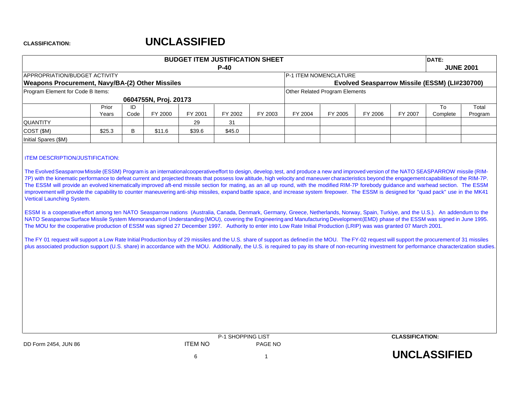| <b>BUDGET ITEM JUSTIFICATION SHEET</b><br>$P-40$<br><b>APPROPRIATION/BUDGET ACTIVITY</b><br><b>Weapons Procurement, Navy/BA-(2) Other Missiles</b><br>Program Element for Code B Items:<br>0604755N, Proj. 20173<br>Prior<br>ID<br>FY 2001<br>FY 2000<br>FY 2002<br>Code<br>Years<br><b>QUANTITY</b><br>31<br>29<br>COST (\$M)<br>\$25.3<br>\$11.6<br>\$39.6<br>\$45.0<br>B.<br>Initial Spares (\$M) |  |  |  |  |  |         |                                       |         | DATE:   |                  |                                               |         |
|------------------------------------------------------------------------------------------------------------------------------------------------------------------------------------------------------------------------------------------------------------------------------------------------------------------------------------------------------------------------------------------------------|--|--|--|--|--|---------|---------------------------------------|---------|---------|------------------|-----------------------------------------------|---------|
|                                                                                                                                                                                                                                                                                                                                                                                                      |  |  |  |  |  |         |                                       |         |         | <b>JUNE 2001</b> |                                               |         |
|                                                                                                                                                                                                                                                                                                                                                                                                      |  |  |  |  |  |         | <b>P-1 ITEM NOMENCLATURE</b>          |         |         |                  |                                               |         |
|                                                                                                                                                                                                                                                                                                                                                                                                      |  |  |  |  |  |         |                                       |         |         |                  | Evolved Seasparrow Missile (ESSM) (LI#230700) |         |
|                                                                                                                                                                                                                                                                                                                                                                                                      |  |  |  |  |  |         | <b>Other Related Program Elements</b> |         |         |                  |                                               |         |
|                                                                                                                                                                                                                                                                                                                                                                                                      |  |  |  |  |  |         |                                       |         |         |                  |                                               |         |
|                                                                                                                                                                                                                                                                                                                                                                                                      |  |  |  |  |  |         |                                       |         |         |                  | To                                            | Total   |
|                                                                                                                                                                                                                                                                                                                                                                                                      |  |  |  |  |  | FY 2003 | FY 2004                               | FY 2005 | FY 2006 | FY 2007          | Complete                                      | Program |
|                                                                                                                                                                                                                                                                                                                                                                                                      |  |  |  |  |  |         |                                       |         |         |                  |                                               |         |
|                                                                                                                                                                                                                                                                                                                                                                                                      |  |  |  |  |  |         |                                       |         |         |                  |                                               |         |
|                                                                                                                                                                                                                                                                                                                                                                                                      |  |  |  |  |  |         |                                       |         |         |                  |                                               |         |
|                                                                                                                                                                                                                                                                                                                                                                                                      |  |  |  |  |  |         |                                       |         |         |                  |                                               |         |

### ITEM DESCRIPTION/JUSTIFICATION:

The EvolvedSeasparrowMissile (ESSM) Program is an internationalcooperativeeffort to design, develop,test, and produce <sup>a</sup> new and improved version of the NATO SEASPARROW missile (RIM-7P) with the kinematic performance to defeat current and projected threats that possess low altitude, high velocity and maneuver characteristics beyond the engagementcapabilitiesof the RIM-7P. The ESSM will provide an evolved kinematically improved aft-end missile section for mating, as an all up round, with the modified RIM-7P forebody guidance and warhead section. The ESSM improvement will provide the capability to counter maneuvering anti-ship missiles, expand battle space, and increase system firepower. The ESSM is designed for "quad pack" use in the MK41 Vertical Launching System.

ESSM is <sup>a</sup> cooperative effort among ten NATO Seasparrow nations (Australia, Canada, Denmark, Germany, Greece, Netherlands, Norway, Spain, Turkiye, and the U.S.). An addendum to the NATO Seasparrow Surface Missile System Memorandum of Understanding (MOU), covering the Engineering and Manufacturing Development (EMD) phase of the ESSM was signed in June 1995. The MOU for the cooperative production of ESSM was signed 27 December 1997. Authority to enter into Low Rate Initial Production (LRIP) was was granted 07 March 2001.

The FY 01 request will support a Low Rate Initial Production buy of 29 missiles and the U.S. share of support as defined in the MOU. The FY-02 request will support the procurement of 31 missiles plus associated production support (U.S. share) in accordance with the MOU. Additionally, the U.S. is required to pay its share of non-recurring investment for performance characterization studies.

|                      |         | <b>P-1 SHOPPING LIST</b> | <b>CLASSIFICATION:</b> |
|----------------------|---------|--------------------------|------------------------|
| DD Form 2454, JUN 86 | ITEM NO | PAGE NO                  |                        |
|                      |         |                          | <b>UNCLASSIFIED</b>    |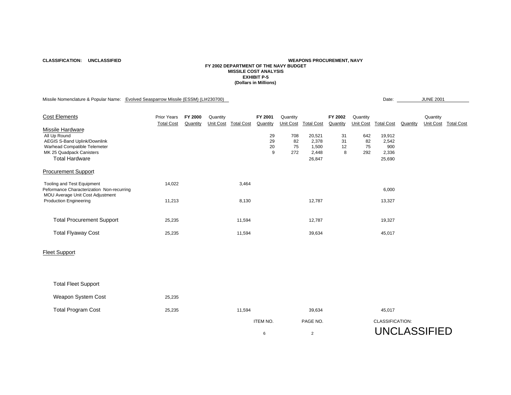**CLASSIFICATION: UNCLASSIFIED**

### **WEAPONS PROCUREMENT, NAVY FY 2002 DEPARTMENT OF THE NAVY BUDGETMISSILE COST ANALYSISEXHIBIT P-5(Dollars in Millions)**

Missile Nomenclature & Popular Name: Evolved Seasparrow Missile (ESSM) (LI#230700) Date: Date: JUNE 2001

| <b>Cost Elements</b>                                                                                                                                         | <b>Prior Years</b><br><b>Total Cost</b> | FY 2000<br>Quantity | Quantity | Unit Cost Total Cost | FY 2001<br>Quantity | Quantity               | Unit Cost Total Cost                        | FY 2002<br>Quantity | Quantity<br><b>Unit Cost</b> | <b>Total Cost</b>                         | Quantity | Quantity<br><b>Unit Cost</b> | <b>Total Cost</b> |
|--------------------------------------------------------------------------------------------------------------------------------------------------------------|-----------------------------------------|---------------------|----------|----------------------|---------------------|------------------------|---------------------------------------------|---------------------|------------------------------|-------------------------------------------|----------|------------------------------|-------------------|
| Missile Hardware<br>All Up Round<br><b>AEGIS S-Band Uplink/Downlink</b><br>Warhead Compatible Telemeter<br>MK 25 Quadpack Canisters<br><b>Total Hardware</b> |                                         |                     |          |                      | 29<br>29<br>20<br>9 | 708<br>82<br>75<br>272 | 20,521<br>2,378<br>1,500<br>2,448<br>26,847 | 31<br>31<br>12<br>8 | 642<br>82<br>75<br>292       | 19,912<br>2,542<br>900<br>2,336<br>25,690 |          |                              |                   |
| <b>Procurement Support</b>                                                                                                                                   |                                         |                     |          |                      |                     |                        |                                             |                     |                              |                                           |          |                              |                   |
| Tooling and Test Equipment<br>Peformance Characterization Non-recurring<br>MOU Average Unit Cost Adjustment                                                  | 14,022                                  |                     |          | 3,464                |                     |                        |                                             |                     |                              | 6,000                                     |          |                              |                   |
| <b>Production Engineering</b>                                                                                                                                | 11,213                                  |                     |          | 8,130                |                     |                        | 12,787                                      |                     |                              | 13,327                                    |          |                              |                   |
| <b>Total Procurement Support</b>                                                                                                                             | 25,235                                  |                     |          | 11,594               |                     |                        | 12,787                                      |                     |                              | 19,327                                    |          |                              |                   |
| <b>Total Flyaway Cost</b>                                                                                                                                    | 25,235                                  |                     |          | 11,594               |                     |                        | 39,634                                      |                     |                              | 45,017                                    |          |                              |                   |
| <b>Fleet Support</b>                                                                                                                                         |                                         |                     |          |                      |                     |                        |                                             |                     |                              |                                           |          |                              |                   |
| <b>Total Fleet Support</b>                                                                                                                                   |                                         |                     |          |                      |                     |                        |                                             |                     |                              |                                           |          |                              |                   |
| Weapon System Cost                                                                                                                                           | 25,235                                  |                     |          |                      |                     |                        |                                             |                     |                              |                                           |          |                              |                   |
| <b>Total Program Cost</b>                                                                                                                                    | 25,235                                  |                     |          | 11,594               |                     |                        | 39,634                                      |                     |                              | 45,017                                    |          |                              |                   |

ITEM NO. PAGE NO. CLASSIFICATION:

6 2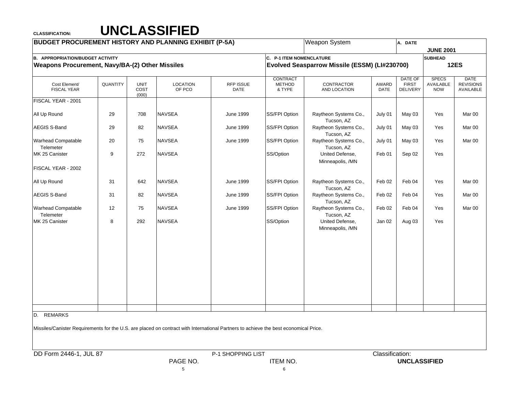## **CLASSIFICATION: UNCLASSIFIED**

| <b>BUDGET PROCUREMENT HISTORY AND PLANNING EXHIBIT (P-5A)</b>                                                                        |                  |                              |                           |                          |                                            | Weapon System                                 |                 | A. DATE                                           |                                         |                                              |
|--------------------------------------------------------------------------------------------------------------------------------------|------------------|------------------------------|---------------------------|--------------------------|--------------------------------------------|-----------------------------------------------|-----------------|---------------------------------------------------|-----------------------------------------|----------------------------------------------|
|                                                                                                                                      |                  |                              |                           |                          |                                            |                                               |                 |                                                   | <b>JUNE 2001</b>                        |                                              |
| <b>B. APPROPRIATION/BUDGET ACTIVITY</b>                                                                                              |                  |                              |                           |                          | C. P-1 ITEM NOMENCLATURE                   |                                               |                 |                                                   | <b>SUBHEAD</b>                          |                                              |
| Weapons Procurement, Navy/BA-(2) Other Missiles                                                                                      |                  |                              |                           |                          |                                            | Evolved Seasparrow Missile (ESSM) (LI#230700) |                 |                                                   |                                         | <b>12ES</b>                                  |
| Cost Element/<br><b>FISCAL YEAR</b>                                                                                                  | <b>QUANTITY</b>  | <b>UNIT</b><br>COST<br>(000) | <b>LOCATION</b><br>OF PCO | <b>RFP ISSUE</b><br>DATE | <b>CONTRACT</b><br><b>METHOD</b><br>& TYPE | CONTRACTOR<br>AND LOCATION                    | AWARD<br>DATE   | <b>DATE OF</b><br><b>FIRST</b><br><b>DELIVERY</b> | <b>SPECS</b><br>AVAILABLE<br><b>NOW</b> | <b>DATE</b><br><b>REVISIONS</b><br>AVAILABLE |
| FISCAL YEAR - 2001                                                                                                                   |                  |                              |                           |                          |                                            |                                               |                 |                                                   |                                         |                                              |
| All Up Round                                                                                                                         | 29               | 708                          | <b>NAVSEA</b>             | <b>June 1999</b>         | SS/FPI Option                              | Raytheon Systems Co.,<br>Tucson, AZ           | July 01         | May 03                                            | Yes                                     | Mar 00                                       |
| <b>AEGIS S-Band</b>                                                                                                                  | 29               | 82                           | <b>NAVSEA</b>             | <b>June 1999</b>         | SS/FPI Option                              | Raytheon Systems Co.,<br>Tucson, AZ           | July 01         | May 03                                            | Yes                                     | Mar 00                                       |
| <b>Warhead Compatable</b><br>Telemeter                                                                                               | 20               | 75                           | <b>NAVSEA</b>             | <b>June 1999</b>         | SS/FPI Option                              | Raytheon Systems Co.,<br>Tucson, AZ           | July 01         | May 03                                            | Yes                                     | Mar 00                                       |
| MK 25 Canister                                                                                                                       | $\boldsymbol{9}$ | 272                          | <b>NAVSEA</b>             |                          | SS/Option                                  | United Defense,<br>Minneapolis, /MN           | Feb 01          | Sep 02                                            | Yes                                     |                                              |
| FISCAL YEAR - 2002                                                                                                                   |                  |                              |                           |                          |                                            |                                               |                 |                                                   |                                         |                                              |
| All Up Round                                                                                                                         | 31               | 642                          | <b>NAVSEA</b>             | <b>June 1999</b>         | SS/FPI Option                              | Raytheon Systems Co.,<br>Tucson, AZ           | Feb 02          | Feb 04                                            | Yes                                     | Mar <sub>00</sub>                            |
| AEGIS S-Band                                                                                                                         | 31               | 82                           | <b>NAVSEA</b>             | <b>June 1999</b>         | SS/FPI Option                              | Raytheon Systems Co.,<br>Tucson, AZ           | Feb 02          | Feb 04                                            | Yes                                     | Mar 00                                       |
| <b>Warhead Compatable</b><br>Telemeter                                                                                               | 12               | 75                           | <b>NAVSEA</b>             | <b>June 1999</b>         | SS/FPI Option                              | Raytheon Systems Co.,<br>Tucson, AZ           | Feb 02          | Feb 04                                            | Yes                                     | Mar 00                                       |
| MK 25 Canister                                                                                                                       | 8                | 292                          | <b>NAVSEA</b>             |                          | SS/Option                                  | United Defense,<br>Minneapolis, /MN           | Jan 02          | Aug 03                                            | Yes                                     |                                              |
|                                                                                                                                      |                  |                              |                           |                          |                                            |                                               |                 |                                                   |                                         |                                              |
|                                                                                                                                      |                  |                              |                           |                          |                                            |                                               |                 |                                                   |                                         |                                              |
|                                                                                                                                      |                  |                              |                           |                          |                                            |                                               |                 |                                                   |                                         |                                              |
|                                                                                                                                      |                  |                              |                           |                          |                                            |                                               |                 |                                                   |                                         |                                              |
|                                                                                                                                      |                  |                              |                           |                          |                                            |                                               |                 |                                                   |                                         |                                              |
| D. REMARKS                                                                                                                           |                  |                              |                           |                          |                                            |                                               |                 |                                                   |                                         |                                              |
| Missiles/Canister Requirements for the U.S. are placed on contract with International Partners to achieve the best economical Price. |                  |                              |                           |                          |                                            |                                               |                 |                                                   |                                         |                                              |
|                                                                                                                                      |                  |                              |                           |                          |                                            |                                               |                 |                                                   |                                         |                                              |
| DD Form 2446-1, JUL 87                                                                                                               |                  |                              |                           | P-1 SHOPPING LIST        |                                            |                                               | Classification: |                                                   |                                         |                                              |
|                                                                                                                                      |                  |                              | PAGE NO.                  |                          | <b>ITEM NO.</b>                            |                                               |                 | <b>UNCLASSIFIED</b>                               |                                         |                                              |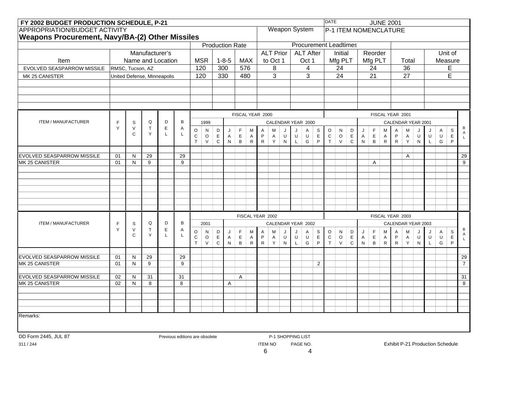|                                              | FY 2002 BUDGET PRODUCTION SCHEDULE, P-21<br><b>APPROPRIATION/BUDGET ACTIVITY</b><br>Weapons Procurement, Navy/BA-(2) Other Missiles<br><b>Production Rate</b><br>Manufacturer's<br>Name and Location<br>$1 - 8 - 5$<br>Item<br><b>MSR</b><br><b>MAX</b><br>120<br>300<br>576<br>EVOLVED SEASPARROW MISSILE<br>RMSC, Tucson, AZ<br>120<br>330<br>480<br>United Defense, Minneapolis<br>Q<br>D<br>B<br><b>ITEM / MANUFACTURER</b><br>$\mathsf F$<br>$\mathbb S$<br>1999<br>$\top$<br>Y<br>$\vee$<br>E<br>A<br>$\circ$<br>D<br>N<br>F<br>M<br>A<br>J<br>Y<br>$\mathsf{C}$<br>L<br>L<br>$\mathsf C$<br>E<br>$\circ$<br>E<br>P<br>A<br>$\overline{A}$<br>$\mathsf T$<br>$\, {\bf B} \,$<br>$\vee$<br>$\mathsf C$<br>N<br>$\mathsf{R}$<br>01<br>29<br>29<br>N<br>01<br>9<br>9<br>N<br>$\, {\sf B}$<br>Q<br>D<br><b>ITEM / MANUFACTURER</b><br>$\mathsf F$<br>S<br>2001<br>$\top$<br>Y<br>$\vee$<br>$\mathsf E$<br>Α<br>$\circ$<br>${\sf N}$<br>D<br>F<br>M<br>J<br>Α<br>Y<br>C<br>$\mathsf{L}$<br>L<br>${\bf C}$<br>$\mathsf E$<br>$\circ$<br>E<br>P<br>A<br>$\mathsf{A}$<br>$\top$<br>$\sf B$<br>${\sf N}$<br>${\sf R}$<br>$\vee$<br>$\mathsf C$<br>29<br>29<br>01<br>$\mathsf{N}$<br>9<br>9<br>01<br>N |                  |                                                                                                                                  |  |                                |  |  |  |   |   |  |                |                      |                   |                  |                   |                               | <b>DATE</b>              |                              |              |              |                  | <b>JUNE 2001</b>   |                  |                     |              |                                  |             |         |                                      |
|----------------------------------------------|----------------------------------------------------------------------------------------------------------------------------------------------------------------------------------------------------------------------------------------------------------------------------------------------------------------------------------------------------------------------------------------------------------------------------------------------------------------------------------------------------------------------------------------------------------------------------------------------------------------------------------------------------------------------------------------------------------------------------------------------------------------------------------------------------------------------------------------------------------------------------------------------------------------------------------------------------------------------------------------------------------------------------------------------------------------------------------------------------------------------------------------------------------------------------------------------------|------------------|----------------------------------------------------------------------------------------------------------------------------------|--|--------------------------------|--|--|--|---|---|--|----------------|----------------------|-------------------|------------------|-------------------|-------------------------------|--------------------------|------------------------------|--------------|--------------|------------------|--------------------|------------------|---------------------|--------------|----------------------------------|-------------|---------|--------------------------------------|
|                                              |                                                                                                                                                                                                                                                                                                                                                                                                                                                                                                                                                                                                                                                                                                                                                                                                                                                                                                                                                                                                                                                                                                                                                                                                    |                  |                                                                                                                                  |  |                                |  |  |  |   |   |  |                | <b>Weapon System</b> |                   |                  |                   |                               |                          | <b>P-1 ITEM NOMENCLATURE</b> |              |              |                  |                    |                  |                     |              |                                  |             |         |                                      |
|                                              |                                                                                                                                                                                                                                                                                                                                                                                                                                                                                                                                                                                                                                                                                                                                                                                                                                                                                                                                                                                                                                                                                                                                                                                                    |                  |                                                                                                                                  |  |                                |  |  |  |   |   |  |                |                      |                   |                  |                   |                               |                          |                              |              |              |                  |                    |                  |                     |              |                                  |             |         |                                      |
|                                              |                                                                                                                                                                                                                                                                                                                                                                                                                                                                                                                                                                                                                                                                                                                                                                                                                                                                                                                                                                                                                                                                                                                                                                                                    |                  |                                                                                                                                  |  |                                |  |  |  |   |   |  |                |                      |                   |                  |                   |                               |                          | <b>Procurement Leadtimes</b> |              |              |                  |                    |                  |                     |              |                                  |             |         |                                      |
|                                              |                                                                                                                                                                                                                                                                                                                                                                                                                                                                                                                                                                                                                                                                                                                                                                                                                                                                                                                                                                                                                                                                                                                                                                                                    |                  |                                                                                                                                  |  |                                |  |  |  |   |   |  |                | <b>ALT Prior</b>     |                   |                  |                   | <b>ALT After</b>              |                          | Initial                      |              |              | Reorder          |                    |                  |                     |              |                                  |             | Unit of |                                      |
|                                              |                                                                                                                                                                                                                                                                                                                                                                                                                                                                                                                                                                                                                                                                                                                                                                                                                                                                                                                                                                                                                                                                                                                                                                                                    |                  |                                                                                                                                  |  |                                |  |  |  |   |   |  |                | to Oct 1             |                   |                  | Oct 1             |                               |                          | Mfg PLT                      |              |              | Mfg PLT          |                    |                  | Total               |              |                                  |             | Measure |                                      |
|                                              |                                                                                                                                                                                                                                                                                                                                                                                                                                                                                                                                                                                                                                                                                                                                                                                                                                                                                                                                                                                                                                                                                                                                                                                                    |                  |                                                                                                                                  |  |                                |  |  |  |   |   |  |                | 8                    |                   |                  | 4                 |                               |                          | 24                           |              |              | 24               |                    |                  | 36                  |              |                                  |             | E       |                                      |
| MK 25 CANISTER                               |                                                                                                                                                                                                                                                                                                                                                                                                                                                                                                                                                                                                                                                                                                                                                                                                                                                                                                                                                                                                                                                                                                                                                                                                    |                  |                                                                                                                                  |  |                                |  |  |  |   |   |  |                | $\overline{3}$       |                   |                  | 3                 |                               |                          | $\overline{24}$              |              |              | $\overline{21}$  |                    |                  | $\overline{27}$     |              |                                  |             | Ē       |                                      |
|                                              |                                                                                                                                                                                                                                                                                                                                                                                                                                                                                                                                                                                                                                                                                                                                                                                                                                                                                                                                                                                                                                                                                                                                                                                                    |                  |                                                                                                                                  |  |                                |  |  |  |   |   |  |                |                      |                   |                  |                   |                               |                          |                              |              |              |                  |                    |                  |                     |              |                                  |             |         |                                      |
|                                              |                                                                                                                                                                                                                                                                                                                                                                                                                                                                                                                                                                                                                                                                                                                                                                                                                                                                                                                                                                                                                                                                                                                                                                                                    |                  |                                                                                                                                  |  |                                |  |  |  |   |   |  |                |                      |                   |                  |                   |                               |                          |                              |              |              |                  |                    |                  |                     |              |                                  |             |         |                                      |
|                                              |                                                                                                                                                                                                                                                                                                                                                                                                                                                                                                                                                                                                                                                                                                                                                                                                                                                                                                                                                                                                                                                                                                                                                                                                    |                  |                                                                                                                                  |  |                                |  |  |  |   |   |  |                |                      |                   |                  |                   |                               |                          |                              |              |              |                  |                    |                  |                     |              |                                  |             |         |                                      |
|                                              |                                                                                                                                                                                                                                                                                                                                                                                                                                                                                                                                                                                                                                                                                                                                                                                                                                                                                                                                                                                                                                                                                                                                                                                                    |                  |                                                                                                                                  |  |                                |  |  |  |   |   |  |                |                      |                   |                  |                   |                               |                          |                              |              |              |                  |                    |                  |                     |              |                                  |             |         |                                      |
|                                              |                                                                                                                                                                                                                                                                                                                                                                                                                                                                                                                                                                                                                                                                                                                                                                                                                                                                                                                                                                                                                                                                                                                                                                                                    |                  | FISCAL YEAR 2000<br>CALENDAR YEAR 2000<br>$\circ$<br>S<br>M<br>J<br>J<br>Α                                                       |  |                                |  |  |  |   |   |  |                |                      |                   |                  |                   |                               |                          |                              |              |              | FISCAL YEAR 2001 |                    |                  |                     |              |                                  |             |         |                                      |
|                                              |                                                                                                                                                                                                                                                                                                                                                                                                                                                                                                                                                                                                                                                                                                                                                                                                                                                                                                                                                                                                                                                                                                                                                                                                    |                  | $\mathsf U$<br>$\mathsf C$<br>$\sf U$<br>$\mathsf E$<br>A<br>U<br>$\mathsf R$<br>$\mathsf T$<br>Y<br>G<br>P<br>$\mathsf{N}$<br>L |  |                                |  |  |  |   |   |  |                |                      |                   |                  |                   |                               |                          |                              |              |              |                  | CALENDAR YEAR 2001 |                  |                     |              |                                  | В           |         |                                      |
|                                              |                                                                                                                                                                                                                                                                                                                                                                                                                                                                                                                                                                                                                                                                                                                                                                                                                                                                                                                                                                                                                                                                                                                                                                                                    | D<br>N<br>J<br>A |                                                                                                                                  |  |                                |  |  |  |   |   |  |                |                      |                   | F<br>$\mathsf E$ | м<br>$\mathsf{A}$ | $\overline{A}$<br>$\mathsf P$ | M<br>A                   | J<br>$\sf U$                 | J<br>$\sf U$ | A<br>$\sf U$ | S<br>E           | $\mathsf A$        |                  |                     |              |                                  |             |         |                                      |
|                                              |                                                                                                                                                                                                                                                                                                                                                                                                                                                                                                                                                                                                                                                                                                                                                                                                                                                                                                                                                                                                                                                                                                                                                                                                    |                  |                                                                                                                                  |  |                                |  |  |  |   |   |  |                |                      |                   |                  |                   |                               |                          | $\vee$                       | $\mathsf C$  | N            | $\, {\bf B}$     | $\mathsf{R}$       | $\mathsf{R}$     | Y                   | N            | $\mathsf{L}$                     | G           | P       | $\mathsf{L}^-$                       |
|                                              |                                                                                                                                                                                                                                                                                                                                                                                                                                                                                                                                                                                                                                                                                                                                                                                                                                                                                                                                                                                                                                                                                                                                                                                                    |                  |                                                                                                                                  |  |                                |  |  |  |   |   |  |                |                      |                   |                  |                   |                               |                          |                              |              |              |                  |                    |                  |                     |              |                                  |             |         |                                      |
| <b>EVOLVED SEASPARROW MISSILE</b>            |                                                                                                                                                                                                                                                                                                                                                                                                                                                                                                                                                                                                                                                                                                                                                                                                                                                                                                                                                                                                                                                                                                                                                                                                    |                  |                                                                                                                                  |  |                                |  |  |  |   |   |  |                |                      |                   |                  |                   |                               |                          |                              |              |              |                  |                    |                  | $\mathsf{A}$        |              |                                  |             |         | $\overline{29}$                      |
| MK 25 CANISTER                               |                                                                                                                                                                                                                                                                                                                                                                                                                                                                                                                                                                                                                                                                                                                                                                                                                                                                                                                                                                                                                                                                                                                                                                                                    |                  | $\circ$<br>E                                                                                                                     |  |                                |  |  |  |   |   |  |                |                      |                   |                  |                   | A                             |                          |                              |              |              |                  |                    |                  | $\overline{9}$      |              |                                  |             |         |                                      |
|                                              |                                                                                                                                                                                                                                                                                                                                                                                                                                                                                                                                                                                                                                                                                                                                                                                                                                                                                                                                                                                                                                                                                                                                                                                                    |                  |                                                                                                                                  |  |                                |  |  |  |   |   |  |                |                      |                   |                  |                   |                               |                          |                              |              |              |                  |                    |                  |                     |              |                                  |             |         |                                      |
|                                              |                                                                                                                                                                                                                                                                                                                                                                                                                                                                                                                                                                                                                                                                                                                                                                                                                                                                                                                                                                                                                                                                                                                                                                                                    |                  |                                                                                                                                  |  |                                |  |  |  |   |   |  |                |                      |                   |                  |                   |                               |                          |                              |              |              |                  |                    |                  |                     |              |                                  |             |         |                                      |
|                                              |                                                                                                                                                                                                                                                                                                                                                                                                                                                                                                                                                                                                                                                                                                                                                                                                                                                                                                                                                                                                                                                                                                                                                                                                    |                  |                                                                                                                                  |  |                                |  |  |  |   |   |  |                |                      |                   |                  |                   |                               |                          |                              |              |              |                  |                    |                  |                     |              |                                  |             |         |                                      |
|                                              |                                                                                                                                                                                                                                                                                                                                                                                                                                                                                                                                                                                                                                                                                                                                                                                                                                                                                                                                                                                                                                                                                                                                                                                                    |                  |                                                                                                                                  |  |                                |  |  |  |   |   |  |                |                      |                   |                  |                   |                               |                          |                              |              |              |                  |                    |                  |                     |              |                                  |             |         |                                      |
|                                              |                                                                                                                                                                                                                                                                                                                                                                                                                                                                                                                                                                                                                                                                                                                                                                                                                                                                                                                                                                                                                                                                                                                                                                                                    |                  | FISCAL YEAR 2002<br>CALENDAR YEAR 2002                                                                                           |  |                                |  |  |  |   |   |  |                |                      |                   |                  |                   |                               |                          |                              |              |              |                  |                    |                  |                     |              |                                  |             |         |                                      |
|                                              |                                                                                                                                                                                                                                                                                                                                                                                                                                                                                                                                                                                                                                                                                                                                                                                                                                                                                                                                                                                                                                                                                                                                                                                                    |                  |                                                                                                                                  |  |                                |  |  |  |   |   |  |                |                      |                   |                  |                   |                               |                          |                              |              |              |                  |                    |                  |                     |              |                                  |             |         |                                      |
|                                              |                                                                                                                                                                                                                                                                                                                                                                                                                                                                                                                                                                                                                                                                                                                                                                                                                                                                                                                                                                                                                                                                                                                                                                                                    |                  |                                                                                                                                  |  |                                |  |  |  |   |   |  |                |                      |                   |                  |                   |                               |                          |                              |              |              |                  |                    | FISCAL YEAR 2003 |                     |              |                                  |             |         |                                      |
|                                              |                                                                                                                                                                                                                                                                                                                                                                                                                                                                                                                                                                                                                                                                                                                                                                                                                                                                                                                                                                                                                                                                                                                                                                                                    |                  |                                                                                                                                  |  |                                |  |  |  |   |   |  |                |                      |                   |                  |                   |                               |                          |                              |              |              |                  |                    |                  | CALENDAR YEAR 2003  |              |                                  |             |         | B                                    |
|                                              |                                                                                                                                                                                                                                                                                                                                                                                                                                                                                                                                                                                                                                                                                                                                                                                                                                                                                                                                                                                                                                                                                                                                                                                                    |                  |                                                                                                                                  |  |                                |  |  |  |   |   |  |                | M                    | J<br>U            | J<br>U           | Α<br>$\mathsf U$  | S<br>E                        | $\mathsf O$<br>${\bf C}$ | N<br>$\circ$                 | D<br>E       | J<br>A       | F<br>$\mathsf E$ | M<br>$\mathsf{A}$  | A<br>$\mathsf P$ | M<br>$\overline{A}$ | J<br>U       | J<br>$\cup$                      | A<br>$\cup$ | S       | $\begin{matrix} A \\ L \end{matrix}$ |
|                                              |                                                                                                                                                                                                                                                                                                                                                                                                                                                                                                                                                                                                                                                                                                                                                                                                                                                                                                                                                                                                                                                                                                                                                                                                    |                  |                                                                                                                                  |  |                                |  |  |  |   |   |  | $\mathsf{R}$   | A<br>Y               | N                 | $\mathsf{L}$     | ${\mathsf G}$     | P                             | $\top$                   | $\vee$                       | $\mathbf C$  | ${\sf N}$    | $\, {\bf B}$     | $\mathsf{R}$       | $\mathsf{R}$     | Y                   | $\mathsf{N}$ | $\mathsf{L}$                     | G           | Е<br>P  |                                      |
|                                              |                                                                                                                                                                                                                                                                                                                                                                                                                                                                                                                                                                                                                                                                                                                                                                                                                                                                                                                                                                                                                                                                                                                                                                                                    |                  |                                                                                                                                  |  |                                |  |  |  |   |   |  |                |                      |                   |                  |                   |                               |                          |                              |              |              |                  |                    |                  |                     |              |                                  |             |         |                                      |
| <b>EVOLVED SEASPARROW MISSILE</b>            |                                                                                                                                                                                                                                                                                                                                                                                                                                                                                                                                                                                                                                                                                                                                                                                                                                                                                                                                                                                                                                                                                                                                                                                                    |                  |                                                                                                                                  |  |                                |  |  |  |   |   |  |                |                      |                   |                  |                   |                               |                          |                              |              |              |                  |                    |                  |                     |              |                                  |             |         | $\overline{29}$                      |
| MK 25 CANISTER                               |                                                                                                                                                                                                                                                                                                                                                                                                                                                                                                                                                                                                                                                                                                                                                                                                                                                                                                                                                                                                                                                                                                                                                                                                    |                  |                                                                                                                                  |  |                                |  |  |  |   |   |  |                |                      |                   |                  |                   | $\overline{2}$                |                          |                              |              |              |                  |                    |                  |                     |              |                                  |             |         | $\overline{7}$                       |
|                                              |                                                                                                                                                                                                                                                                                                                                                                                                                                                                                                                                                                                                                                                                                                                                                                                                                                                                                                                                                                                                                                                                                                                                                                                                    | N                |                                                                                                                                  |  |                                |  |  |  |   |   |  |                |                      |                   |                  |                   |                               |                          |                              |              |              |                  |                    |                  |                     |              |                                  |             |         |                                      |
| EVOLVED SEASPARROW MISSILE<br>MK 25 CANISTER | 02<br>02                                                                                                                                                                                                                                                                                                                                                                                                                                                                                                                                                                                                                                                                                                                                                                                                                                                                                                                                                                                                                                                                                                                                                                                           | N                | 31<br>8                                                                                                                          |  | 31<br>8                        |  |  |  | A | A |  |                |                      |                   |                  |                   |                               |                          |                              |              |              |                  |                    |                  |                     |              |                                  |             |         | 31<br>8                              |
|                                              |                                                                                                                                                                                                                                                                                                                                                                                                                                                                                                                                                                                                                                                                                                                                                                                                                                                                                                                                                                                                                                                                                                                                                                                                    |                  |                                                                                                                                  |  |                                |  |  |  |   |   |  |                |                      |                   |                  |                   |                               |                          |                              |              |              |                  |                    |                  |                     |              |                                  |             |         |                                      |
|                                              |                                                                                                                                                                                                                                                                                                                                                                                                                                                                                                                                                                                                                                                                                                                                                                                                                                                                                                                                                                                                                                                                                                                                                                                                    |                  |                                                                                                                                  |  |                                |  |  |  |   |   |  |                |                      |                   |                  |                   |                               |                          |                              |              |              |                  |                    |                  |                     |              |                                  |             |         |                                      |
|                                              |                                                                                                                                                                                                                                                                                                                                                                                                                                                                                                                                                                                                                                                                                                                                                                                                                                                                                                                                                                                                                                                                                                                                                                                                    |                  |                                                                                                                                  |  |                                |  |  |  |   |   |  |                |                      |                   |                  |                   |                               |                          |                              |              |              |                  |                    |                  |                     |              |                                  |             |         |                                      |
| Remarks:                                     |                                                                                                                                                                                                                                                                                                                                                                                                                                                                                                                                                                                                                                                                                                                                                                                                                                                                                                                                                                                                                                                                                                                                                                                                    |                  |                                                                                                                                  |  |                                |  |  |  |   |   |  |                |                      |                   |                  |                   |                               |                          |                              |              |              |                  |                    |                  |                     |              |                                  |             |         |                                      |
|                                              |                                                                                                                                                                                                                                                                                                                                                                                                                                                                                                                                                                                                                                                                                                                                                                                                                                                                                                                                                                                                                                                                                                                                                                                                    |                  |                                                                                                                                  |  |                                |  |  |  |   |   |  |                |                      |                   |                  |                   |                               |                          |                              |              |              |                  |                    |                  |                     |              |                                  |             |         |                                      |
|                                              |                                                                                                                                                                                                                                                                                                                                                                                                                                                                                                                                                                                                                                                                                                                                                                                                                                                                                                                                                                                                                                                                                                                                                                                                    |                  |                                                                                                                                  |  |                                |  |  |  |   |   |  |                |                      |                   |                  |                   |                               |                          |                              |              |              |                  |                    |                  |                     |              |                                  |             |         |                                      |
| DD Form 2445, JUL 87                         |                                                                                                                                                                                                                                                                                                                                                                                                                                                                                                                                                                                                                                                                                                                                                                                                                                                                                                                                                                                                                                                                                                                                                                                                    |                  |                                                                                                                                  |  | Previous editions are obsolete |  |  |  |   |   |  |                |                      | P-1 SHOPPING LIST |                  |                   |                               |                          |                              |              |              |                  |                    |                  |                     |              |                                  |             |         |                                      |
| 311 / 244                                    |                                                                                                                                                                                                                                                                                                                                                                                                                                                                                                                                                                                                                                                                                                                                                                                                                                                                                                                                                                                                                                                                                                                                                                                                    |                  |                                                                                                                                  |  |                                |  |  |  |   |   |  | <b>ITEM NO</b> |                      |                   |                  | PAGE NO.          |                               |                          |                              |              |              |                  |                    |                  |                     |              | Exhibit P-21 Production Schedule |             |         |                                      |
|                                              |                                                                                                                                                                                                                                                                                                                                                                                                                                                                                                                                                                                                                                                                                                                                                                                                                                                                                                                                                                                                                                                                                                                                                                                                    |                  |                                                                                                                                  |  |                                |  |  |  |   |   |  | 6              |                      |                   |                  | 4                 |                               |                          |                              |              |              |                  |                    |                  |                     |              |                                  |             |         |                                      |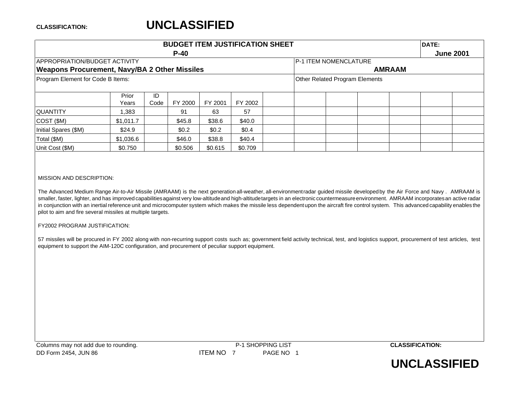### **CLASSIFICATION:**

### **UNCLASSIFIED**

|                                                      |           |      | <b>BUDGET ITEM JUSTIFICATION SHEET</b> |                              |                                       |               |  | DATE:            |  |  |
|------------------------------------------------------|-----------|------|----------------------------------------|------------------------------|---------------------------------------|---------------|--|------------------|--|--|
|                                                      |           |      | $P-40$                                 |                              |                                       |               |  | <b>June 2001</b> |  |  |
| <b>IAPPROPRIATION/BUDGET ACTIVITY</b>                |           |      |                                        | <b>P-1 ITEM NOMENCLATURE</b> |                                       |               |  |                  |  |  |
| <b>Weapons Procurement, Navy/BA 2 Other Missiles</b> |           |      |                                        |                              |                                       | <b>AMRAAM</b> |  |                  |  |  |
| Program Element for Code B Items:                    |           |      |                                        |                              | <b>Other Related Program Elements</b> |               |  |                  |  |  |
|                                                      |           |      |                                        |                              |                                       |               |  |                  |  |  |
|                                                      | Prior     | ID   |                                        |                              |                                       |               |  |                  |  |  |
|                                                      | Years     | Code | FY 2000                                | FY 2001                      | FY 2002                               |               |  |                  |  |  |
| <b>QUANTITY</b>                                      | .383      |      | 91                                     | 63                           | 57                                    |               |  |                  |  |  |
| COST(SM)                                             | \$1,011.7 |      | \$45.8                                 | \$38.6                       | \$40.0                                |               |  |                  |  |  |
| Initial Spares (\$M)                                 | \$24.9    |      | \$0.2\$                                | \$0.2                        | \$0.4                                 |               |  |                  |  |  |
| Total (\$M)                                          | \$1,036.6 |      | \$46.0                                 | \$38.8                       |                                       |               |  |                  |  |  |
| Unit Cost (\$M)                                      | \$0.750   |      | \$0.506                                |                              |                                       |               |  |                  |  |  |

### MISSION AND DESCRIPTION:

The Advanced Medium Range Air-to-Air Missile (AMRAAM) is the next generation all-weather, all-environmentradar guided missile developedby the Air Force and Navy . AMRAAM is smaller, faster, lighter, and has improved capabilities against very low-altitudeand high-altitude targets in an electronic countermeasure environment. AMRAAM incorporates an active radar in conjunction with an inertial reference unit and microcomputer system which makes the missile less dependent upon the aircraft fire control system. This advanced capability enables the pilot to aim and fire several missiles at multiple targets.

### FY2002 PROGRAM JUSTIFICATION:

57 missiles will be procured in FY 2002 along with non-recurring support costs such as; government field activity technical, test, and logistics support, procurement of test articles, test equipment to support the AIM-120C configuration, and procurement of peculiar support equipment.

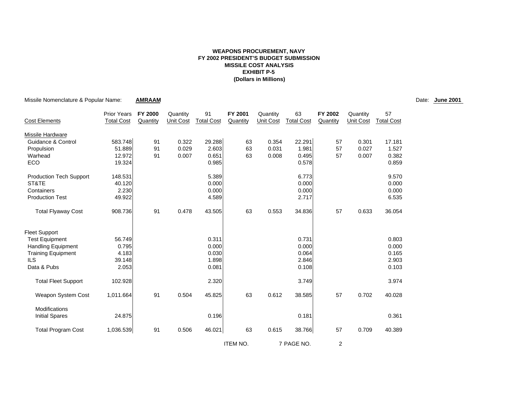### **WEAPONS PROCUREMENT, NAVY FY 2002 PRESIDENT'S BUDGET SUBMISSION MISSILE COST ANALYSIS EXHIBIT P-5(Dollars in Millions)**

| Missile Nomenclature & Popular Name:          |                    | <b>AMRAAM</b>  |           |                   |                 |                  |                   |                |                  |                   | Date: June 2001 |
|-----------------------------------------------|--------------------|----------------|-----------|-------------------|-----------------|------------------|-------------------|----------------|------------------|-------------------|-----------------|
|                                               | <b>Prior Years</b> | <b>FY 2000</b> | Quantity  | 91                | FY 2001         | Quantity         | 63                | FY 2002        | Quantity         | 57                |                 |
| <b>Cost Elements</b>                          | <b>Total Cost</b>  | Quantity       | Unit Cost | <b>Total Cost</b> | Quantity        | <b>Unit Cost</b> | <b>Total Cost</b> | Quantity       | <b>Unit Cost</b> | <b>Total Cost</b> |                 |
| <b>Missile Hardware</b>                       |                    |                |           |                   |                 |                  |                   |                |                  |                   |                 |
| Guidance & Control                            | 583.748            | 91             | 0.322     | 29.288            | 63              | 0.354            | 22.291            | 57             | 0.301            | 17.181            |                 |
| Propulsion                                    | 51.889             | 91             | 0.029     | 2.603             | 63              | 0.031            | 1.981             | 57             | 0.027            | 1.527             |                 |
| Warhead                                       | 12.972             | 91             | 0.007     | 0.651             | 63              | 0.008            | 0.495             | 57             | 0.007            | 0.382             |                 |
| ECO                                           | 19.324             |                |           | 0.985             |                 |                  | 0.578             |                |                  | 0.859             |                 |
| <b>Production Tech Support</b>                | 148.531            |                |           | 5.389             |                 |                  | 6.773             |                |                  | 9.570             |                 |
| ST&TE                                         | 40.120             |                |           | 0.000             |                 |                  | 0.000             |                |                  | 0.000             |                 |
| Containers                                    | 2.230              |                |           | 0.000             |                 |                  | 0.000             |                |                  | 0.000             |                 |
| <b>Production Test</b>                        | 49.922             |                |           | 4.589             |                 |                  | 2.717             |                |                  | 6.535             |                 |
| <b>Total Flyaway Cost</b>                     | 908.736            | 91             | 0.478     | 43.505            | 63              | 0.553            | 34.836            | 57             | 0.633            | 36.054            |                 |
| <b>Fleet Support</b>                          |                    |                |           |                   |                 |                  |                   |                |                  |                   |                 |
| <b>Test Equipment</b>                         | 56.749             |                |           | 0.311             |                 |                  | 0.731             |                |                  | 0.803             |                 |
| <b>Handling Equipment</b>                     | 0.795              |                |           | 0.000             |                 |                  | 0.000             |                |                  | 0.000             |                 |
| <b>Training Equipment</b>                     | 4.183              |                |           | 0.030             |                 |                  | 0.064             |                |                  | 0.165             |                 |
| <b>ILS</b>                                    | 39.148             |                |           | 1.898             |                 |                  | 2.846             |                |                  | 2.903             |                 |
| Data & Pubs                                   | 2.053              |                |           | 0.081             |                 |                  | 0.108             |                |                  | 0.103             |                 |
| <b>Total Fleet Support</b>                    | 102.928            |                |           | 2.320             |                 |                  | 3.749             |                |                  | 3.974             |                 |
| Weapon System Cost                            | 1,011.664          | 91             | 0.504     | 45.825            | 63              | 0.612            | 38.585            | 57             | 0.702            | 40.028            |                 |
| <b>Modifications</b><br><b>Initial Spares</b> | 24.875             |                |           | 0.196             |                 |                  | 0.181             |                |                  | 0.361             |                 |
| <b>Total Program Cost</b>                     | 1,036.539          | 91             | 0.506     | 46.021            | 63              | 0.615            | 38.766            | 57             | 0.709            | 40.389            |                 |
|                                               |                    |                |           |                   | <b>ITEM NO.</b> |                  | 7 PAGE NO.        | $\overline{2}$ |                  |                   |                 |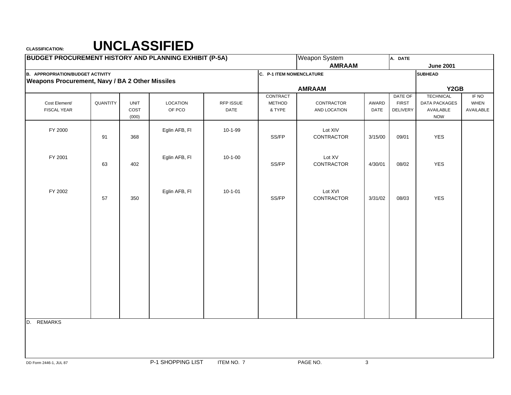## **CLASSIFICATION: UNCLASSIFIED**

| <b>BUDGET PROCUREMENT HISTORY AND PLANNING EXHIBIT (P-5A)</b> |          |             |                   |               |                          | Weapon System |         | A. DATE         |                      |             |
|---------------------------------------------------------------|----------|-------------|-------------------|---------------|--------------------------|---------------|---------|-----------------|----------------------|-------------|
|                                                               |          |             |                   |               |                          | <b>AMRAAM</b> |         |                 | <b>June 2001</b>     |             |
| <b>B. APPROPRIATION/BUDGET ACTIVITY</b>                       |          |             |                   |               | C. P-1 ITEM NOMENCLATURE |               |         |                 | <b>SUBHEAD</b>       |             |
| <b>Weapons Procurement, Navy / BA 2 Other Missiles</b>        |          |             |                   |               |                          |               |         |                 |                      |             |
|                                                               |          |             |                   |               |                          | <b>AMRAAM</b> |         |                 | Y2GB                 |             |
|                                                               |          |             |                   |               | CONTRACT                 |               |         | DATE OF         | <b>TECHNICAL</b>     | IF NO       |
| Cost Element/                                                 | QUANTITY | <b>UNIT</b> | <b>LOCATION</b>   | RFP ISSUE     | <b>METHOD</b>            | CONTRACTOR    | AWARD   | <b>FIRST</b>    | <b>DATA PACKAGES</b> | <b>WHEN</b> |
| <b>FISCAL YEAR</b>                                            |          | COST        | OF PCO            | DATE          | & TYPE                   | AND LOCATION  | DATE    | <b>DELIVERY</b> | AVAILABLE            | AVAILABLE   |
|                                                               |          | (000)       |                   |               |                          |               |         |                 | <b>NOW</b>           |             |
| FY 2000                                                       |          |             | Eglin AFB, FI     | 10-1-99       |                          | Lot XIV       |         |                 |                      |             |
|                                                               | 91       | 368         |                   |               | SS/FP                    | CONTRACTOR    | 3/15/00 | 09/01           | <b>YES</b>           |             |
|                                                               |          |             |                   |               |                          |               |         |                 |                      |             |
|                                                               |          |             |                   |               |                          |               |         |                 |                      |             |
| FY 2001                                                       |          |             | Eglin AFB, FI     | $10 - 1 - 00$ |                          | Lot XV        |         |                 |                      |             |
|                                                               | 63       | 402         |                   |               | SS/FP                    | CONTRACTOR    | 4/30/01 | 08/02           | YES                  |             |
|                                                               |          |             |                   |               |                          |               |         |                 |                      |             |
|                                                               |          |             |                   |               |                          |               |         |                 |                      |             |
|                                                               |          |             |                   |               |                          |               |         |                 |                      |             |
| FY 2002                                                       |          |             | Eglin AFB, FI     | $10 - 1 - 01$ |                          | Lot XVI       |         |                 |                      |             |
|                                                               | 57       | 350         |                   |               | SS/FP                    | CONTRACTOR    | 3/31/02 | 08/03           | YES                  |             |
|                                                               |          |             |                   |               |                          |               |         |                 |                      |             |
|                                                               |          |             |                   |               |                          |               |         |                 |                      |             |
|                                                               |          |             |                   |               |                          |               |         |                 |                      |             |
|                                                               |          |             |                   |               |                          |               |         |                 |                      |             |
|                                                               |          |             |                   |               |                          |               |         |                 |                      |             |
|                                                               |          |             |                   |               |                          |               |         |                 |                      |             |
|                                                               |          |             |                   |               |                          |               |         |                 |                      |             |
|                                                               |          |             |                   |               |                          |               |         |                 |                      |             |
|                                                               |          |             |                   |               |                          |               |         |                 |                      |             |
|                                                               |          |             |                   |               |                          |               |         |                 |                      |             |
|                                                               |          |             |                   |               |                          |               |         |                 |                      |             |
|                                                               |          |             |                   |               |                          |               |         |                 |                      |             |
|                                                               |          |             |                   |               |                          |               |         |                 |                      |             |
|                                                               |          |             |                   |               |                          |               |         |                 |                      |             |
|                                                               |          |             |                   |               |                          |               |         |                 |                      |             |
| D. REMARKS                                                    |          |             |                   |               |                          |               |         |                 |                      |             |
|                                                               |          |             |                   |               |                          |               |         |                 |                      |             |
|                                                               |          |             |                   |               |                          |               |         |                 |                      |             |
|                                                               |          |             |                   |               |                          |               |         |                 |                      |             |
|                                                               |          |             |                   |               |                          |               |         |                 |                      |             |
| DD Form 2446-1, JUL 87                                        |          |             | P-1 SHOPPING LIST | ITEM NO. 7    |                          | PAGE NO.      | 3       |                 |                      |             |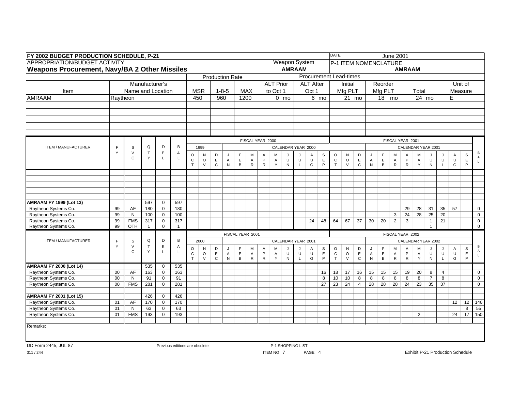|                                                        | FY 2002 BUDGET PRODUCTION SCHEDULE, P-21<br><b>Weapons Procurement, Navy/BA 2 Other Missiles</b><br><b>Production Rate</b><br>Manufacturer's<br><b>MSR</b><br>Name and Location<br>$1 - 8 - 5$<br><b>MAX</b><br>Raytheon<br>450<br>960<br>1200<br>FISCAL YEAR 2000<br>$\mathsf Q$<br>D<br>В<br>$\mathsf F$<br>$\mathbb S$<br>1999<br>$\vee$<br>$\top$<br>$\mathsf E$<br>Y<br>Α<br>$\circ$<br>$\mathsf{N}$<br>D<br>F<br>J<br>м<br>Y<br>C<br>L<br>$\mathbf{L}$<br>$\mathsf E$<br>$\circ$<br>$\mathsf E$<br>$\mathtt{C}$<br>A<br>$\mathsf{A}$<br>$\vee$<br>$\mathbf C$<br>${\sf N}$<br>$\, {\sf B}$<br>${\sf R}$<br>$\mathsf{R}$<br>T |                                |              |                            |                |                              |                   |                            |                |                             |                             |                |                  |                      |                         |                    |                             | <b>DATE</b>        |                               |                             |                |                             | <b>June 2001</b>          |                   |                   |                    |                                         |              |                  |                |
|--------------------------------------------------------|------------------------------------------------------------------------------------------------------------------------------------------------------------------------------------------------------------------------------------------------------------------------------------------------------------------------------------------------------------------------------------------------------------------------------------------------------------------------------------------------------------------------------------------------------------------------------------------------------------------------------------|--------------------------------|--------------|----------------------------|----------------|------------------------------|-------------------|----------------------------|----------------|-----------------------------|-----------------------------|----------------|------------------|----------------------|-------------------------|--------------------|-----------------------------|--------------------|-------------------------------|-----------------------------|----------------|-----------------------------|---------------------------|-------------------|-------------------|--------------------|-----------------------------------------|--------------|------------------|----------------|
| <b>APPROPRIATION/BUDGET ACTIVITY</b>                   |                                                                                                                                                                                                                                                                                                                                                                                                                                                                                                                                                                                                                                    |                                |              |                            |                |                              |                   |                            |                |                             |                             |                |                  | <b>Weapon System</b> |                         |                    |                             |                    | P-1 ITEM NOMENCLATURE         |                             |                |                             |                           |                   |                   |                    |                                         |              |                  |                |
|                                                        |                                                                                                                                                                                                                                                                                                                                                                                                                                                                                                                                                                                                                                    |                                |              |                            |                |                              |                   |                            |                |                             |                             |                |                  |                      | <b>AMRAAM</b>           |                    |                             |                    |                               |                             |                |                             |                           | <b>AMRAAM</b>     |                   |                    |                                         |              |                  |                |
|                                                        |                                                                                                                                                                                                                                                                                                                                                                                                                                                                                                                                                                                                                                    |                                |              |                            |                |                              |                   |                            |                |                             |                             |                |                  |                      |                         |                    |                             |                    | <b>Procurement Lead-times</b> |                             |                |                             |                           |                   |                   |                    |                                         |              |                  |                |
|                                                        |                                                                                                                                                                                                                                                                                                                                                                                                                                                                                                                                                                                                                                    |                                |              |                            |                |                              |                   |                            |                |                             |                             |                | <b>ALT Prior</b> |                      |                         | <b>ALT After</b>   |                             |                    | Initial                       |                             |                | Reorder                     |                           |                   |                   |                    |                                         |              | Unit of          |                |
| Item                                                   |                                                                                                                                                                                                                                                                                                                                                                                                                                                                                                                                                                                                                                    |                                |              |                            |                |                              |                   |                            |                |                             |                             |                | to Oct 1         |                      |                         | Oct 1              |                             |                    | Mfg PLT                       |                             |                | Mfg PLT                     |                           |                   | Total             |                    |                                         | Measure      |                  |                |
| AMRAAM                                                 |                                                                                                                                                                                                                                                                                                                                                                                                                                                                                                                                                                                                                                    |                                |              |                            |                |                              |                   |                            |                |                             |                             |                |                  | $0 \text{ mo}$       |                         |                    | 6 mo                        |                    | 21 mo                         |                             |                | 18 mo                       |                           |                   |                   | 24 mo              |                                         | E            |                  |                |
|                                                        |                                                                                                                                                                                                                                                                                                                                                                                                                                                                                                                                                                                                                                    |                                |              |                            |                |                              |                   |                            |                |                             |                             |                |                  |                      |                         |                    |                             |                    |                               |                             |                |                             |                           |                   |                   |                    |                                         |              |                  |                |
|                                                        |                                                                                                                                                                                                                                                                                                                                                                                                                                                                                                                                                                                                                                    |                                |              |                            |                |                              |                   |                            |                |                             |                             |                |                  |                      |                         |                    |                             |                    |                               |                             |                |                             |                           |                   |                   |                    |                                         |              |                  |                |
|                                                        |                                                                                                                                                                                                                                                                                                                                                                                                                                                                                                                                                                                                                                    |                                |              |                            |                |                              |                   |                            |                |                             |                             |                |                  |                      |                         |                    |                             |                    |                               |                             |                |                             |                           |                   |                   |                    |                                         |              |                  |                |
|                                                        |                                                                                                                                                                                                                                                                                                                                                                                                                                                                                                                                                                                                                                    |                                |              |                            |                |                              |                   |                            |                |                             |                             |                |                  |                      |                         |                    |                             |                    |                               |                             |                |                             |                           |                   |                   |                    |                                         |              |                  |                |
|                                                        |                                                                                                                                                                                                                                                                                                                                                                                                                                                                                                                                                                                                                                    |                                |              |                            |                |                              |                   |                            |                |                             |                             |                |                  |                      |                         |                    |                             |                    |                               |                             |                |                             |                           |                   |                   |                    |                                         |              |                  |                |
|                                                        |                                                                                                                                                                                                                                                                                                                                                                                                                                                                                                                                                                                                                                    |                                |              |                            |                |                              |                   |                            |                |                             |                             |                |                  |                      |                         |                    |                             |                    |                               |                             |                |                             |                           | FISCAL YEAR 2001  |                   |                    |                                         |              |                  |                |
| ITEM / MANUFACTURER                                    |                                                                                                                                                                                                                                                                                                                                                                                                                                                                                                                                                                                                                                    |                                |              |                            |                |                              |                   | CALENDAR YEAR 2000         |                |                             |                             |                |                  |                      |                         |                    |                             | CALENDAR YEAR 2001 |                               |                             |                |                             |                           |                   |                   |                    |                                         |              |                  |                |
|                                                        |                                                                                                                                                                                                                                                                                                                                                                                                                                                                                                                                                                                                                                    |                                |              |                            |                |                              | Α                 | M                          | J              | IJ                          | Α                           | $\mathbb S$    | $\circ$          | N                    | D                       | J                  | F                           | M                  | $\overline{A}$                | M                           |                | J                           | Α                         | S                 | В<br>$\mathsf{A}$ |                    |                                         |              |                  |                |
|                                                        |                                                                                                                                                                                                                                                                                                                                                                                                                                                                                                                                                                                                                                    |                                |              |                            |                |                              |                   |                            |                |                             |                             | P              | $\mathsf{A}$     | U                    | U                       | $\sf U$            | $\mathsf E$                 | $\mathtt{C}$       | $\circ$                       | $\mathsf E$                 | Α              | $\mathsf E$                 | $\mathsf{A}$              | P                 | A                 | U                  | U                                       | U            | E                | $\mathsf{L}$   |
|                                                        |                                                                                                                                                                                                                                                                                                                                                                                                                                                                                                                                                                                                                                    |                                |              |                            |                |                              |                   |                            |                |                             |                             |                | Y                | ${\sf N}$            | $\mathsf{L}$            | G                  | $\mathsf P$                 | T                  | $\vee$                        | $\mathbf C$                 | ${\sf N}$      | B                           | ${\sf R}$                 | ${\sf R}$         | Y                 | ${\sf N}$          | $\mathsf{L}$                            | G            | P                |                |
|                                                        |                                                                                                                                                                                                                                                                                                                                                                                                                                                                                                                                                                                                                                    |                                |              |                            |                |                              |                   |                            |                |                             |                             |                |                  |                      |                         |                    |                             |                    |                               |                             |                |                             |                           |                   |                   |                    |                                         |              |                  |                |
|                                                        |                                                                                                                                                                                                                                                                                                                                                                                                                                                                                                                                                                                                                                    |                                |              |                            |                |                              |                   |                            |                |                             |                             |                |                  |                      |                         |                    |                             |                    |                               |                             |                |                             |                           |                   |                   |                    |                                         |              |                  |                |
|                                                        |                                                                                                                                                                                                                                                                                                                                                                                                                                                                                                                                                                                                                                    |                                |              |                            |                |                              |                   |                            |                |                             |                             |                |                  |                      |                         |                    |                             |                    |                               |                             |                |                             |                           |                   |                   |                    |                                         |              |                  |                |
|                                                        |                                                                                                                                                                                                                                                                                                                                                                                                                                                                                                                                                                                                                                    |                                |              |                            |                |                              |                   |                            |                |                             |                             |                |                  |                      |                         |                    |                             |                    |                               |                             |                |                             |                           |                   |                   |                    |                                         |              |                  |                |
| <b>AMRAAM FY 1999 (Lot 13)</b>                         |                                                                                                                                                                                                                                                                                                                                                                                                                                                                                                                                                                                                                                    |                                | 597          | $\mathbf 0$                | 597            |                              |                   |                            |                |                             |                             |                |                  |                      |                         |                    |                             |                    |                               |                             |                |                             |                           |                   |                   |                    |                                         |              |                  |                |
| Raytheon Systems Co.                                   | 99                                                                                                                                                                                                                                                                                                                                                                                                                                                                                                                                                                                                                                 | AF                             | 180          | $\mathbf 0$                | 180            |                              |                   |                            |                |                             |                             |                |                  |                      |                         |                    |                             |                    |                               |                             |                |                             |                           | 29                | 28                | 31                 | 35                                      | 57           |                  | $\mathbf 0$    |
| Raytheon Systems Co.                                   | 99                                                                                                                                                                                                                                                                                                                                                                                                                                                                                                                                                                                                                                 | N                              | 100          | $\mathbf 0$                | 100            |                              |                   |                            |                |                             |                             |                |                  |                      |                         |                    |                             |                    |                               |                             |                |                             | 3                         | $\overline{24}$   | 28                | 25                 | 20                                      |              |                  | $\mathbf 0$    |
| Raytheon Systems Co.                                   | 99                                                                                                                                                                                                                                                                                                                                                                                                                                                                                                                                                                                                                                 | <b>FMS</b>                     | 317          | $\mathbf 0$                | 317            |                              |                   |                            |                |                             |                             |                |                  |                      |                         | 24                 | 48                          | 64                 | 67                            | 37                          | 30             | 20                          | $\overline{2}$            | $\overline{3}$    |                   | $\mathbf{1}$       | 21                                      |              |                  | $\mathsf{O}$   |
| Raytheon Systems Co.                                   | 99                                                                                                                                                                                                                                                                                                                                                                                                                                                                                                                                                                                                                                 | OTH                            | $\mathbf{1}$ | $\mathbf 0$                | $\overline{1}$ |                              |                   |                            |                |                             |                             |                |                  |                      |                         |                    |                             |                    |                               |                             |                |                             |                           |                   |                   | $\overline{1}$     |                                         |              |                  | $\overline{0}$ |
|                                                        |                                                                                                                                                                                                                                                                                                                                                                                                                                                                                                                                                                                                                                    |                                |              |                            |                |                              |                   |                            |                | FISCAL YEAR 2001            |                             |                |                  |                      |                         |                    |                             |                    |                               |                             |                |                             |                           | FISCAL YEAR 2002  |                   |                    |                                         |              |                  |                |
| ITEM / MANUFACTURER                                    | F                                                                                                                                                                                                                                                                                                                                                                                                                                                                                                                                                                                                                                  | $\mathbb S$                    | Q            | D                          | В              |                              | 2000              |                            |                |                             |                             |                |                  |                      |                         | CALENDAR YEAR 2001 |                             |                    |                               |                             |                |                             |                           |                   |                   | CALENDAR YEAR 2002 |                                         |              |                  |                |
|                                                        | Y                                                                                                                                                                                                                                                                                                                                                                                                                                                                                                                                                                                                                                  | $\vee$<br>$\mathsf{C}$         | $\top$<br>Y  | $\mathsf E$                | A<br>L         | $\circ$                      | ${\sf N}$         | D                          | J              | F.                          | M                           | Α              | M                |                      |                         | Α                  | $\mathbb S$                 | $\circ$            | ${\sf N}$                     | D                           | J              | F.                          | M                         | A                 | М                 |                    | J                                       | Α            | S                | В<br>A         |
|                                                        |                                                                                                                                                                                                                                                                                                                                                                                                                                                                                                                                                                                                                                    |                                |              | L                          |                | $\mathtt{C}$<br>$\mathsf{T}$ | $\circ$<br>$\vee$ | $\mathsf E$<br>$\mathbf C$ | Α<br>${\sf N}$ | $\mathsf E$<br>$\, {\bf B}$ | $\overline{A}$<br>${\sf R}$ | P<br>${\sf R}$ | A<br>Y           | U<br>$\mathsf{N}$    | $\sf U$<br>$\mathsf{L}$ | $\cup$<br>G        | $\mathsf E$<br>$\mathsf{P}$ | $\mathtt{C}$<br>T  | $\circ$<br>$\vee$             | $\mathsf E$<br>$\mathtt{C}$ | A<br>${\sf N}$ | $\mathsf E$<br>$\, {\sf B}$ | $\mathsf{A}$<br>${\sf R}$ | P<br>$\mathsf{R}$ | Α<br>Y            | U<br>${\sf N}$     | $\sf U$<br>$\mathsf L$                  | $\sf U$<br>G | $\mathsf E$<br>P | $\mathsf{L}$   |
|                                                        |                                                                                                                                                                                                                                                                                                                                                                                                                                                                                                                                                                                                                                    |                                |              |                            |                |                              |                   |                            |                |                             |                             |                |                  |                      |                         |                    |                             |                    |                               |                             |                |                             |                           |                   |                   |                    |                                         |              |                  |                |
| <b>AMRAAM FY 2000 (Lot 14)</b><br>Raytheon Systems Co. | $00\,$                                                                                                                                                                                                                                                                                                                                                                                                                                                                                                                                                                                                                             | AF                             | 535<br>163   | $\mathbf 0$<br>$\mathbf 0$ | 535<br>163     |                              |                   |                            |                |                             |                             |                |                  |                      |                         |                    | 16                          | 18                 | 17                            | 16                          | 15             | 15                          | 15                        | 19                | 20                | 8                  | $\overline{4}$                          |              |                  | $\mathbf 0$    |
| Raytheon Systems Co.                                   | 00                                                                                                                                                                                                                                                                                                                                                                                                                                                                                                                                                                                                                                 | N                              | 91           | $\mathbf 0$                | 91             |                              |                   |                            |                |                             |                             |                |                  |                      |                         |                    | 8                           | 10                 | 10                            | 8                           | 8              | 8                           | 8                         | 8                 | 8                 | $\overline{7}$     | 8                                       |              |                  | $\mathsf{O}$   |
| Raytheon Systems Co.                                   | $00\,$                                                                                                                                                                                                                                                                                                                                                                                                                                                                                                                                                                                                                             | <b>FMS</b>                     | 281          | $\mathbf 0$                | 281            |                              |                   |                            |                |                             |                             |                |                  |                      |                         |                    | 27                          | 23                 | $\overline{24}$               | $\overline{4}$              | 28             | 28                          | 28                        | 24                | 23                | 35                 | 37                                      |              |                  | $\mathbf 0$    |
|                                                        |                                                                                                                                                                                                                                                                                                                                                                                                                                                                                                                                                                                                                                    |                                |              |                            |                |                              |                   |                            |                |                             |                             |                |                  |                      |                         |                    |                             |                    |                               |                             |                |                             |                           |                   |                   |                    |                                         |              |                  |                |
| <b>AMRAAM FY 2001 (Lot 15)</b>                         |                                                                                                                                                                                                                                                                                                                                                                                                                                                                                                                                                                                                                                    |                                | 426          | $\mathbf 0$                | 426            |                              |                   |                            |                |                             |                             |                |                  |                      |                         |                    |                             |                    |                               |                             |                |                             |                           |                   |                   |                    |                                         |              |                  |                |
| Raytheon Systems Co.                                   | 01                                                                                                                                                                                                                                                                                                                                                                                                                                                                                                                                                                                                                                 | AF                             | 170          | $\mathbf 0$                | 170<br>63      |                              |                   |                            |                |                             |                             |                |                  |                      |                         |                    |                             |                    |                               |                             |                |                             |                           |                   |                   |                    |                                         | 12           | 12               | 146            |
| Raytheon Systems Co.                                   | 01                                                                                                                                                                                                                                                                                                                                                                                                                                                                                                                                                                                                                                 | ${\sf N}$                      |              |                            |                |                              |                   |                            |                |                             |                             |                |                  |                      |                         |                    |                             |                    |                               |                             |                |                             |                           |                   | 8                 | 55                 |                                         |              |                  |                |
| Raytheon Systems Co.                                   | 01                                                                                                                                                                                                                                                                                                                                                                                                                                                                                                                                                                                                                                 | <b>FMS</b>                     | 193          | $\mathbf 0$                | 193            |                              |                   |                            |                |                             |                             |                |                  |                      |                         |                    |                             |                    |                               |                             |                |                             |                           |                   | $\overline{2}$    |                    |                                         | 24           | 17               | 150            |
| Remarks:                                               |                                                                                                                                                                                                                                                                                                                                                                                                                                                                                                                                                                                                                                    |                                |              |                            |                |                              |                   |                            |                |                             |                             |                |                  |                      |                         |                    |                             |                    |                               |                             |                |                             |                           |                   |                   |                    |                                         |              |                  |                |
|                                                        |                                                                                                                                                                                                                                                                                                                                                                                                                                                                                                                                                                                                                                    |                                |              |                            |                |                              |                   |                            |                |                             |                             |                |                  |                      |                         |                    |                             |                    |                               |                             |                |                             |                           |                   |                   |                    |                                         |              |                  |                |
|                                                        |                                                                                                                                                                                                                                                                                                                                                                                                                                                                                                                                                                                                                                    |                                |              |                            |                |                              |                   |                            |                |                             |                             |                |                  |                      |                         |                    |                             |                    |                               |                             |                |                             |                           |                   |                   |                    |                                         |              |                  |                |
| DD Form 2445, JUL 87                                   |                                                                                                                                                                                                                                                                                                                                                                                                                                                                                                                                                                                                                                    | Previous editions are obsolete |              |                            |                |                              |                   |                            |                |                             |                             |                |                  | P-1 SHOPPING LIST    |                         |                    |                             |                    |                               |                             |                |                             |                           |                   |                   |                    |                                         |              |                  |                |
| 311/244                                                |                                                                                                                                                                                                                                                                                                                                                                                                                                                                                                                                                                                                                                    |                                |              |                            |                |                              |                   |                            |                |                             |                             |                | ITEM NO 7        |                      |                         | PAGE 4             |                             |                    |                               |                             |                |                             |                           |                   |                   |                    | <b>Exhibit P-21 Production Schedule</b> |              |                  |                |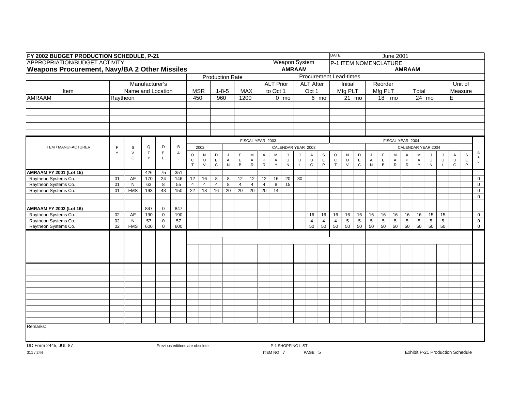|                                | <b>Weapons Procurement, Navy/BA 2 Other Missiles</b><br><b>Production Rate</b><br>Manufacturer's<br>Name and Location<br><b>MSR</b><br>$1 - 8 - 5$<br><b>MAX</b><br>Item<br>Raytheon<br>450<br>960<br>1200<br>FISCAL YEAR 2003<br>Q<br>D<br>B<br>F<br>$\mathbf S$<br>2002<br>Y<br>$\mathsf{V}$<br>$\top$<br>Е<br>Α<br>$\circ$<br>D<br>N<br>J<br>F.<br>м<br>Y<br>$\mathsf{L}$<br>$\mathbf C$<br>L<br>$\mathsf E$<br>${\bf C}$<br>$\circ$<br>$\mathsf E$<br>$\mathsf A$<br>$\mathsf A$<br>$\mathsf{T}$<br>$\vee$<br>$\mathbf C$<br>${\sf N}$<br>$\, {\sf B}$<br>${\sf R}$<br>75<br>351<br>426<br>01<br>AF<br>170<br>24<br>146<br>$\overline{12}$<br>16<br>8<br>8<br>12<br>01<br>55<br>$\overline{4}$<br>$\overline{4}$<br>N<br>63<br>8<br>$\overline{4}$<br>8<br>$\overline{4}$<br>$\overline{4}$<br>150<br>22<br>18<br>16<br>20<br>20<br>20<br>01<br><b>FMS</b><br>193<br>43<br>847<br>$\mathbf 0$<br>847<br>AF<br>02<br>190<br>190<br>$\mathbf 0$<br>$\overline{02}$<br>57<br>57<br>N<br>$\mathbf 0$<br>02<br><b>FMS</b><br>600<br>600<br>$\mathbf 0$ |  |  |                                                     |  |  |  |  |  |  |    |                |                  |                      |         |                    |                     | <b>DATE</b>    |                               |                |                |                | <b>June 2001</b> |                  |                 |                    |                |              |             |                                |
|--------------------------------|-------------------------------------------------------------------------------------------------------------------------------------------------------------------------------------------------------------------------------------------------------------------------------------------------------------------------------------------------------------------------------------------------------------------------------------------------------------------------------------------------------------------------------------------------------------------------------------------------------------------------------------------------------------------------------------------------------------------------------------------------------------------------------------------------------------------------------------------------------------------------------------------------------------------------------------------------------------------------------------------------------------------------------------------------------|--|--|-----------------------------------------------------|--|--|--|--|--|--|----|----------------|------------------|----------------------|---------|--------------------|---------------------|----------------|-------------------------------|----------------|----------------|----------------|------------------|------------------|-----------------|--------------------|----------------|--------------|-------------|--------------------------------|
|                                |                                                                                                                                                                                                                                                                                                                                                                                                                                                                                                                                                                                                                                                                                                                                                                                                                                                                                                                                                                                                                                                       |  |  |                                                     |  |  |  |  |  |  |    |                |                  | <b>Weapon System</b> |         |                    |                     |                | P-1 ITEM NOMENCLATURE         |                |                |                |                  |                  |                 |                    |                |              |             |                                |
|                                |                                                                                                                                                                                                                                                                                                                                                                                                                                                                                                                                                                                                                                                                                                                                                                                                                                                                                                                                                                                                                                                       |  |  |                                                     |  |  |  |  |  |  |    |                |                  | <b>AMRAAM</b>        |         |                    |                     |                |                               |                |                |                |                  | <b>AMRAAM</b>    |                 |                    |                |              |             |                                |
|                                |                                                                                                                                                                                                                                                                                                                                                                                                                                                                                                                                                                                                                                                                                                                                                                                                                                                                                                                                                                                                                                                       |  |  |                                                     |  |  |  |  |  |  |    |                |                  |                      |         |                    |                     |                | <b>Procurement Lead-times</b> |                |                |                |                  |                  |                 |                    |                |              |             |                                |
|                                |                                                                                                                                                                                                                                                                                                                                                                                                                                                                                                                                                                                                                                                                                                                                                                                                                                                                                                                                                                                                                                                       |  |  |                                                     |  |  |  |  |  |  |    |                | <b>ALT Prior</b> |                      |         | <b>ALT After</b>   |                     |                | Initial                       |                |                | Reorder        |                  |                  |                 |                    |                |              | Unit of     |                                |
|                                |                                                                                                                                                                                                                                                                                                                                                                                                                                                                                                                                                                                                                                                                                                                                                                                                                                                                                                                                                                                                                                                       |  |  |                                                     |  |  |  |  |  |  |    |                | to Oct 1         |                      |         | Oct 1              |                     |                | Mfg PLT                       |                |                | Mfg PLT        |                  |                  | Total           |                    |                |              | Measure     |                                |
| <b>AMRAAM</b>                  |                                                                                                                                                                                                                                                                                                                                                                                                                                                                                                                                                                                                                                                                                                                                                                                                                                                                                                                                                                                                                                                       |  |  |                                                     |  |  |  |  |  |  |    |                |                  | $0 \text{ mo}$       |         |                    | 6 mo                |                | 21 mo                         |                |                | 18 mo          |                  |                  |                 | 24 mo              |                | E            |             |                                |
|                                |                                                                                                                                                                                                                                                                                                                                                                                                                                                                                                                                                                                                                                                                                                                                                                                                                                                                                                                                                                                                                                                       |  |  |                                                     |  |  |  |  |  |  |    |                |                  |                      |         |                    |                     |                |                               |                |                |                |                  |                  |                 |                    |                |              |             |                                |
|                                |                                                                                                                                                                                                                                                                                                                                                                                                                                                                                                                                                                                                                                                                                                                                                                                                                                                                                                                                                                                                                                                       |  |  |                                                     |  |  |  |  |  |  |    |                |                  |                      |         |                    |                     |                |                               |                |                |                |                  |                  |                 |                    |                |              |             |                                |
|                                |                                                                                                                                                                                                                                                                                                                                                                                                                                                                                                                                                                                                                                                                                                                                                                                                                                                                                                                                                                                                                                                       |  |  |                                                     |  |  |  |  |  |  |    |                |                  |                      |         |                    |                     |                |                               |                |                |                |                  |                  |                 |                    |                |              |             |                                |
|                                |                                                                                                                                                                                                                                                                                                                                                                                                                                                                                                                                                                                                                                                                                                                                                                                                                                                                                                                                                                                                                                                       |  |  |                                                     |  |  |  |  |  |  |    |                |                  |                      |         |                    |                     |                |                               |                |                |                |                  |                  |                 |                    |                |              |             |                                |
|                                |                                                                                                                                                                                                                                                                                                                                                                                                                                                                                                                                                                                                                                                                                                                                                                                                                                                                                                                                                                                                                                                       |  |  |                                                     |  |  |  |  |  |  |    |                |                  |                      |         |                    |                     |                |                               |                |                |                |                  |                  |                 |                    |                |              |             |                                |
|                                |                                                                                                                                                                                                                                                                                                                                                                                                                                                                                                                                                                                                                                                                                                                                                                                                                                                                                                                                                                                                                                                       |  |  |                                                     |  |  |  |  |  |  |    |                |                  |                      |         |                    |                     |                |                               |                |                |                |                  | FISCAL YEAR 2004 |                 |                    |                |              |             |                                |
|                                |                                                                                                                                                                                                                                                                                                                                                                                                                                                                                                                                                                                                                                                                                                                                                                                                                                                                                                                                                                                                                                                       |  |  |                                                     |  |  |  |  |  |  |    |                |                  |                      |         | CALENDAR YEAR 2003 |                     |                |                               |                |                |                |                  |                  |                 | CALENDAR YEAR 2004 |                |              |             |                                |
|                                |                                                                                                                                                                                                                                                                                                                                                                                                                                                                                                                                                                                                                                                                                                                                                                                                                                                                                                                                                                                                                                                       |  |  |                                                     |  |  |  |  |  |  |    | Α              | M                | $\cdot$              |         |                    |                     | $\circ$        | N                             | D              | J              | $\mathsf F$    | M                | $\overline{A}$   | M               |                    |                |              | S           | В                              |
|                                | FY 2002 BUDGET PRODUCTION SCHEDULE, P-21<br><b>APPROPRIATION/BUDGET ACTIVITY</b><br>ITEM / MANUFACTURER<br><b>AMRAAM FY 2002 (Lot 16)</b><br>Raytheon Systems Co.                                                                                                                                                                                                                                                                                                                                                                                                                                                                                                                                                                                                                                                                                                                                                                                                                                                                                     |  |  |                                                     |  |  |  |  |  |  |    | P              | A                | U                    | $\sf U$ | Α<br>$\sf U$       | $_{E}^{\mathrm{S}}$ | $\mathbf C$    | $\circ$                       | $\mathsf{E}$   | A              | $\mathsf E$    | A                | P                | A               | U                  | J<br>$\sf U$   | Α<br>$\sf U$ | $\mathsf E$ | $\mathsf{A}$<br>$\mathsf{L}^-$ |
|                                |                                                                                                                                                                                                                                                                                                                                                                                                                                                                                                                                                                                                                                                                                                                                                                                                                                                                                                                                                                                                                                                       |  |  |                                                     |  |  |  |  |  |  |    | $\mathsf{R}$   | Y                | ${\sf N}$            | L       | G                  | $\mathsf P$         | T              | $\vee$                        | $\mathbf C$    | N              | B              | ${\sf R}$        | $\mathsf{R}$     | Y               | ${\sf N}$          | $\mathsf L$    | G            | P           |                                |
| <b>AMRAAM FY 2001 (Lot 15)</b> |                                                                                                                                                                                                                                                                                                                                                                                                                                                                                                                                                                                                                                                                                                                                                                                                                                                                                                                                                                                                                                                       |  |  |                                                     |  |  |  |  |  |  |    |                |                  |                      |         |                    |                     |                |                               |                |                |                |                  |                  |                 |                    |                |              |             |                                |
| Raytheon Systems Co.           |                                                                                                                                                                                                                                                                                                                                                                                                                                                                                                                                                                                                                                                                                                                                                                                                                                                                                                                                                                                                                                                       |  |  |                                                     |  |  |  |  |  |  | 12 | 12             | 16               | 20                   | 30      |                    |                     |                |                               |                |                |                |                  |                  |                 |                    |                |              |             | $\mathsf{O}\xspace$            |
| Raytheon Systems Co.           |                                                                                                                                                                                                                                                                                                                                                                                                                                                                                                                                                                                                                                                                                                                                                                                                                                                                                                                                                                                                                                                       |  |  |                                                     |  |  |  |  |  |  |    | $\overline{4}$ | 8                | 15                   |         |                    |                     |                |                               |                |                |                |                  |                  |                 |                    |                |              |             | $\overline{0}$                 |
| Raytheon Systems Co.           |                                                                                                                                                                                                                                                                                                                                                                                                                                                                                                                                                                                                                                                                                                                                                                                                                                                                                                                                                                                                                                                       |  |  |                                                     |  |  |  |  |  |  |    | 20             | 14               |                      |         |                    |                     |                |                               |                |                |                |                  |                  |                 |                    |                |              |             | $\mathsf{O}$                   |
|                                |                                                                                                                                                                                                                                                                                                                                                                                                                                                                                                                                                                                                                                                                                                                                                                                                                                                                                                                                                                                                                                                       |  |  |                                                     |  |  |  |  |  |  |    |                |                  |                      |         |                    |                     |                |                               |                |                |                |                  |                  |                 |                    |                |              |             | $\overline{0}$                 |
|                                |                                                                                                                                                                                                                                                                                                                                                                                                                                                                                                                                                                                                                                                                                                                                                                                                                                                                                                                                                                                                                                                       |  |  |                                                     |  |  |  |  |  |  |    |                |                  |                      |         |                    |                     |                |                               |                |                |                |                  |                  |                 |                    |                |              |             |                                |
|                                |                                                                                                                                                                                                                                                                                                                                                                                                                                                                                                                                                                                                                                                                                                                                                                                                                                                                                                                                                                                                                                                       |  |  |                                                     |  |  |  |  |  |  |    |                |                  |                      |         | 16                 | 16                  | 16             | 16                            | 16             | 16             | 16             | 16               | 16               | 16              | 15                 | 15             |              |             | $\overline{0}$                 |
| Raytheon Systems Co.           |                                                                                                                                                                                                                                                                                                                                                                                                                                                                                                                                                                                                                                                                                                                                                                                                                                                                                                                                                                                                                                                       |  |  |                                                     |  |  |  |  |  |  |    |                |                  |                      |         | $\overline{4}$     | $\overline{4}$      | $\overline{4}$ | $5\phantom{.0}$               | $\overline{5}$ | $\overline{5}$ | $\overline{5}$ | $\overline{5}$   | $\overline{5}$   | $5\overline{)}$ | $5\phantom{.0}$    | $\overline{5}$ |              |             | $\mathbf{0}$                   |
| Raytheon Systems Co.           |                                                                                                                                                                                                                                                                                                                                                                                                                                                                                                                                                                                                                                                                                                                                                                                                                                                                                                                                                                                                                                                       |  |  |                                                     |  |  |  |  |  |  |    |                |                  |                      |         | 50                 | 50                  | 50             | 50                            | 50             | 50             | 50             | 50               | 50               | 50              | 50                 | 50             |              |             | $\overline{0}$                 |
|                                |                                                                                                                                                                                                                                                                                                                                                                                                                                                                                                                                                                                                                                                                                                                                                                                                                                                                                                                                                                                                                                                       |  |  |                                                     |  |  |  |  |  |  |    |                |                  |                      |         |                    |                     |                |                               |                |                |                |                  |                  |                 |                    |                |              |             |                                |
|                                |                                                                                                                                                                                                                                                                                                                                                                                                                                                                                                                                                                                                                                                                                                                                                                                                                                                                                                                                                                                                                                                       |  |  |                                                     |  |  |  |  |  |  |    |                |                  |                      |         |                    |                     |                |                               |                |                |                |                  |                  |                 |                    |                |              |             |                                |
|                                |                                                                                                                                                                                                                                                                                                                                                                                                                                                                                                                                                                                                                                                                                                                                                                                                                                                                                                                                                                                                                                                       |  |  |                                                     |  |  |  |  |  |  |    |                |                  |                      |         |                    |                     |                |                               |                |                |                |                  |                  |                 |                    |                |              |             |                                |
|                                |                                                                                                                                                                                                                                                                                                                                                                                                                                                                                                                                                                                                                                                                                                                                                                                                                                                                                                                                                                                                                                                       |  |  |                                                     |  |  |  |  |  |  |    |                |                  |                      |         |                    |                     |                |                               |                |                |                |                  |                  |                 |                    |                |              |             |                                |
|                                |                                                                                                                                                                                                                                                                                                                                                                                                                                                                                                                                                                                                                                                                                                                                                                                                                                                                                                                                                                                                                                                       |  |  |                                                     |  |  |  |  |  |  |    |                |                  |                      |         |                    |                     |                |                               |                |                |                |                  |                  |                 |                    |                |              |             |                                |
|                                |                                                                                                                                                                                                                                                                                                                                                                                                                                                                                                                                                                                                                                                                                                                                                                                                                                                                                                                                                                                                                                                       |  |  |                                                     |  |  |  |  |  |  |    |                |                  |                      |         |                    |                     |                |                               |                |                |                |                  |                  |                 |                    |                |              |             |                                |
|                                |                                                                                                                                                                                                                                                                                                                                                                                                                                                                                                                                                                                                                                                                                                                                                                                                                                                                                                                                                                                                                                                       |  |  |                                                     |  |  |  |  |  |  |    |                |                  |                      |         |                    |                     |                |                               |                |                |                |                  |                  |                 |                    |                |              |             |                                |
|                                |                                                                                                                                                                                                                                                                                                                                                                                                                                                                                                                                                                                                                                                                                                                                                                                                                                                                                                                                                                                                                                                       |  |  |                                                     |  |  |  |  |  |  |    |                |                  |                      |         |                    |                     |                |                               |                |                |                |                  |                  |                 |                    |                |              |             |                                |
|                                |                                                                                                                                                                                                                                                                                                                                                                                                                                                                                                                                                                                                                                                                                                                                                                                                                                                                                                                                                                                                                                                       |  |  |                                                     |  |  |  |  |  |  |    |                |                  |                      |         |                    |                     |                |                               |                |                |                |                  |                  |                 |                    |                |              |             |                                |
|                                |                                                                                                                                                                                                                                                                                                                                                                                                                                                                                                                                                                                                                                                                                                                                                                                                                                                                                                                                                                                                                                                       |  |  |                                                     |  |  |  |  |  |  |    |                |                  |                      |         |                    |                     |                |                               |                |                |                |                  |                  |                 |                    |                |              |             |                                |
|                                |                                                                                                                                                                                                                                                                                                                                                                                                                                                                                                                                                                                                                                                                                                                                                                                                                                                                                                                                                                                                                                                       |  |  |                                                     |  |  |  |  |  |  |    |                |                  |                      |         |                    |                     |                |                               |                |                |                |                  |                  |                 |                    |                |              |             |                                |
|                                |                                                                                                                                                                                                                                                                                                                                                                                                                                                                                                                                                                                                                                                                                                                                                                                                                                                                                                                                                                                                                                                       |  |  |                                                     |  |  |  |  |  |  |    |                |                  |                      |         |                    |                     |                |                               |                |                |                |                  |                  |                 |                    |                |              |             |                                |
|                                |                                                                                                                                                                                                                                                                                                                                                                                                                                                                                                                                                                                                                                                                                                                                                                                                                                                                                                                                                                                                                                                       |  |  |                                                     |  |  |  |  |  |  |    |                |                  |                      |         |                    |                     |                |                               |                |                |                |                  |                  |                 |                    |                |              |             |                                |
|                                |                                                                                                                                                                                                                                                                                                                                                                                                                                                                                                                                                                                                                                                                                                                                                                                                                                                                                                                                                                                                                                                       |  |  |                                                     |  |  |  |  |  |  |    |                |                  |                      |         |                    |                     |                |                               |                |                |                |                  |                  |                 |                    |                |              |             |                                |
| Remarks:                       |                                                                                                                                                                                                                                                                                                                                                                                                                                                                                                                                                                                                                                                                                                                                                                                                                                                                                                                                                                                                                                                       |  |  |                                                     |  |  |  |  |  |  |    |                |                  |                      |         |                    |                     |                |                               |                |                |                |                  |                  |                 |                    |                |              |             |                                |
|                                |                                                                                                                                                                                                                                                                                                                                                                                                                                                                                                                                                                                                                                                                                                                                                                                                                                                                                                                                                                                                                                                       |  |  |                                                     |  |  |  |  |  |  |    |                |                  |                      |         |                    |                     |                |                               |                |                |                |                  |                  |                 |                    |                |              |             |                                |
| DD Form 2445, JUL 87           |                                                                                                                                                                                                                                                                                                                                                                                                                                                                                                                                                                                                                                                                                                                                                                                                                                                                                                                                                                                                                                                       |  |  |                                                     |  |  |  |  |  |  |    |                |                  |                      |         |                    |                     |                |                               |                |                |                |                  |                  |                 |                    |                |              |             |                                |
|                                |                                                                                                                                                                                                                                                                                                                                                                                                                                                                                                                                                                                                                                                                                                                                                                                                                                                                                                                                                                                                                                                       |  |  | P-1 SHOPPING LIST<br>Previous editions are obsolete |  |  |  |  |  |  |    |                |                  |                      |         |                    |                     |                |                               |                |                |                |                  |                  |                 |                    |                |              |             |                                |

311 / 244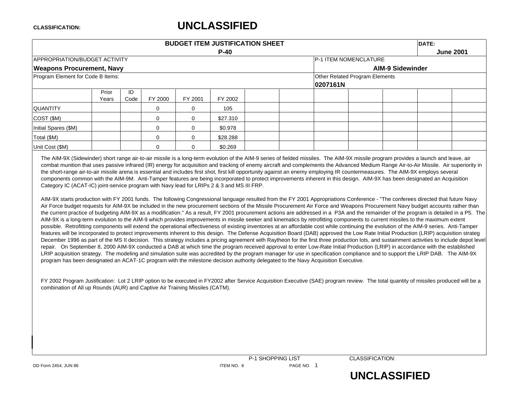|                                   | <b>BUDGET ITEM JUSTIFICATION SHEET</b><br>DATE: |            |          |                              |          |                  |          |                                |  |  |  |  |  |  |
|-----------------------------------|-------------------------------------------------|------------|----------|------------------------------|----------|------------------|----------|--------------------------------|--|--|--|--|--|--|
|                                   |                                                 |            |          |                              |          | <b>June 2001</b> |          |                                |  |  |  |  |  |  |
| APPROPRIATION/BUDGET ACTIVITY     |                                                 |            |          | <b>P-1 ITEM NOMENCLATURE</b> |          |                  |          |                                |  |  |  |  |  |  |
| <b>Weapons Procurement, Navy</b>  |                                                 |            |          |                              |          |                  |          | <b>AIM-9 Sidewinder</b>        |  |  |  |  |  |  |
| Program Element for Code B Items: |                                                 |            |          |                              |          |                  | 0207161N | Other Related Program Elements |  |  |  |  |  |  |
|                                   | Prior<br>Years                                  | ID<br>Code | FY 2000  | FY 2001                      | FY 2002  |                  |          |                                |  |  |  |  |  |  |
| <b>QUANTITY</b>                   |                                                 |            | $\Omega$ | O                            | 105      |                  |          |                                |  |  |  |  |  |  |
| $\vert$ COST (\$M)                |                                                 |            | 0        | $\Omega$                     | \$27,310 |                  |          |                                |  |  |  |  |  |  |
| Initial Spares (\$M)              |                                                 |            | $\Omega$ | O                            | \$0.978  |                  |          |                                |  |  |  |  |  |  |
| Total (\$M)                       |                                                 |            | $\Omega$ | $\Omega$                     | \$28.288 |                  |          |                                |  |  |  |  |  |  |
| Unit Cost (\$M)                   |                                                 |            | $\Omega$ | ∩                            | \$0.269  |                  |          |                                |  |  |  |  |  |  |

The AIM-9X (Sidewinder) short range air-to-air missile is a long-term evolution of the AIM-9 series of fielded missiles. The AIM-9X missile program provides a launch and leave, air combat munition that uses passive infrared (IR) energy for acquisition and tracking of enemy aircraft and complements the Advanced Medium Range Air-to-Air Missile. Air superiority in the short-range air-to-air missile arena is essential and includes first shot, first kill opportunity against an enemy employing IR countermeasures. The AIM-9X employs several components common with the AIM-9M. Anti-Tamper features are being incorporated to protect improvements inherent in this design. AIM-9X has been designated an Acquisition Category IC (ACAT-IC) joint-service program with Navy lead for LRIPs 2 & 3 and MS III FRP.

AIM-9X starts production with FY 2001 funds. The following Congressional language resulted from the FY 2001 Appropriations Conference - "The conferees directed that future Navy Air Force budget requests for AIM-9X be included in the new procurement sections of the Missile Procurement Air Force and Weapons Procurement Navy budget accounts rather than the current practice of budgeting AIM-9X as a modification." As a result, FY 2001 procurement actions are addressed in a P3A and the remainder of the program is detailed in a P5. The AIM-9X is a long-term evolution to the AIM-9 which provides improvements in missile seeker and kinematics by retrofitting components to current missiles to the maximum extent possible. Retrofitting components will extend the operational effectiveness of existing inventories at an affordable cost while continuing the evolution of the AIM-9 series. Anti-Tamper features will be incorporated to protect improvements inherent to this design. The Defense Acquisition Board (DAB) approved the Low Rate Initial Production (LRIP) acquisition strateg December 1996 as part of the MS II decision. This strategy includes a pricing agreement with Raytheon for the first three production lots, and sustainment activities to include depot level repair. On September 8, 2000 AIM-9X conducted a DAB at which time the program received approval to enter Low-Rate Initial Production (LRIP) in accordance with the established LRIP acquisition strategy. The modeling and simulation suite was accredited by the program manager for use in specification compliance and to support the LRIP DAB. The AIM-9X program has been designated an ACAT-1C program with the milestone decision authority delegated to the Navy Acquisition Executive.

FY 2002 Program Justification: Lot 2 LRIP option to be executed in FY2002 after Service Acquisition Executive (SAE) program review. The total quantity of missiles produced will be a combination of All up Rounds (AUR) and Captive Air Training Missiles (CATM).

P-1 SHOPPING LIST CLASSIFICATION:

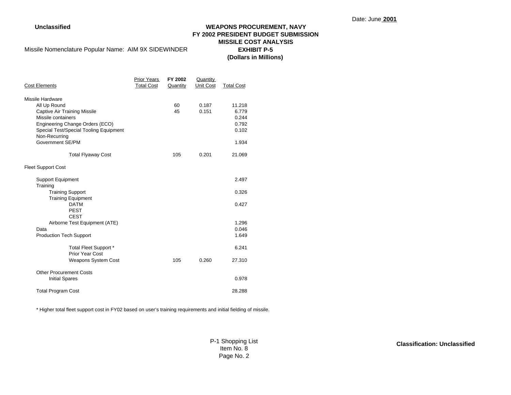### **Unclassified WEAPONS PROCUREMENT, NAVY FY 2002 PRESIDENT BUDGET SUBMISSION MISSILE COST ANALYSISEXHIBIT P-5(Dollars in Millions)**

Missile Nomenclature Popular Name: AIM 9X SIDEWINDER

| <b>Cost Elements</b>                   | Prior Years<br><b>Total Cost</b> | FY 2002<br>Quantity | Quantity<br>Unit Cost | <b>Total Cost</b> |
|----------------------------------------|----------------------------------|---------------------|-----------------------|-------------------|
| Missile Hardware                       |                                  |                     |                       |                   |
| All Up Round                           |                                  | 60                  | 0.187                 | 11.218            |
| <b>Captive Air Training Missile</b>    |                                  | 45                  | 0.151                 | 6.779             |
| Missile containers                     |                                  |                     |                       | 0.244             |
| Engineering Change Orders (ECO)        |                                  |                     |                       | 0.792             |
| Special Test/Special Tooling Equipment |                                  |                     |                       | 0.102             |
| Non-Recurring                          |                                  |                     |                       |                   |
| Government SE/PM                       |                                  |                     |                       | 1.934             |
|                                        |                                  |                     |                       |                   |
| <b>Total Flyaway Cost</b>              |                                  | 105                 | 0.201                 | 21.069            |
| <b>Fleet Support Cost</b>              |                                  |                     |                       |                   |
| <b>Support Equipment</b>               |                                  |                     |                       | 2.497             |
| Training                               |                                  |                     |                       |                   |
| <b>Training Support</b>                |                                  |                     |                       | 0.326             |
| <b>Training Equipment</b>              |                                  |                     |                       |                   |
| <b>DATM</b>                            |                                  |                     |                       | 0.427             |
| <b>PEST</b>                            |                                  |                     |                       |                   |
| <b>CEST</b>                            |                                  |                     |                       |                   |
| Airborne Test Equipment (ATE)          |                                  |                     |                       | 1.296             |
| Data                                   |                                  |                     |                       | 0.046             |
| <b>Production Tech Support</b>         |                                  |                     |                       | 1.649             |
| Total Fleet Support *                  |                                  |                     |                       | 6.241             |
| Prior Year Cost                        |                                  |                     |                       |                   |
| Weapons System Cost                    |                                  | 105                 | 0.260                 | 27.310            |
| <b>Other Procurement Costs</b>         |                                  |                     |                       |                   |
| <b>Initial Spares</b>                  |                                  |                     |                       | 0.978             |
| <b>Total Program Cost</b>              |                                  |                     |                       | 28.288            |

\* Higher total fleet support cost in FY02 based on user's training requirements and initial fielding of missile.

P-1 Shopping List Item No. 8 Page No. 2

**Classification: Unclassified**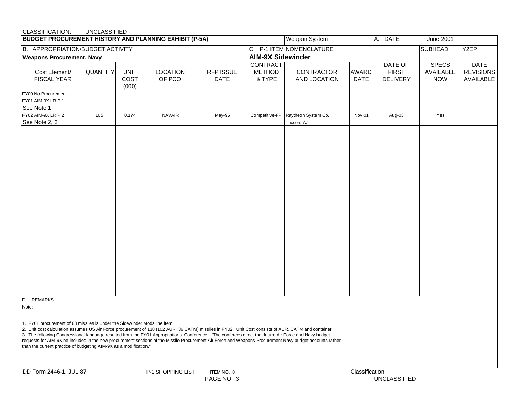### CLASSIFICATION: UNCLASSIFIED

| <b>BUDGET PROCUREMENT HISTORY AND PLANNING EXHIBIT (P-5A)</b> |                 |                              |                    | Weapon System            |                                     |                                                   |                             |                                                                                                                                                                                |      |  |  |  |  |  |  |  |  |  |  |
|---------------------------------------------------------------|-----------------|------------------------------|--------------------|--------------------------|-------------------------------------|---------------------------------------------------|-----------------------------|--------------------------------------------------------------------------------------------------------------------------------------------------------------------------------|------|--|--|--|--|--|--|--|--|--|--|
| B. APPROPRIATION/BUDGET ACTIVITY                              |                 |                              |                    |                          |                                     | C. P-1 ITEM NOMENCLATURE                          |                             | <b>SUBHEAD</b>                                                                                                                                                                 | Y2EP |  |  |  |  |  |  |  |  |  |  |
| <b>Weapons Procurement, Navy</b>                              |                 |                              |                    |                          | <b>AIM-9X Sidewinder</b>            |                                                   |                             | A. DATE<br>June 2001<br><b>DATE</b><br>DATE OF<br><b>SPECS</b><br><b>FIRST</b><br><b>REVISIONS</b><br>AVAILABLE<br><b>NOW</b><br>AVAILABLE<br><b>DELIVERY</b><br>Aug-03<br>Yes |      |  |  |  |  |  |  |  |  |  |  |
| Cost Element/<br><b>FISCAL YEAR</b>                           | <b>QUANTITY</b> | <b>UNIT</b><br>COST<br>(000) | LOCATION<br>OF PCO | RFP ISSUE<br><b>DATE</b> | CONTRACT<br><b>METHOD</b><br>& TYPE | CONTRACTOR<br>AND LOCATION                        | <b>AWARD</b><br><b>DATE</b> |                                                                                                                                                                                |      |  |  |  |  |  |  |  |  |  |  |
| FY00 No Procurement                                           |                 |                              |                    |                          |                                     |                                                   |                             |                                                                                                                                                                                |      |  |  |  |  |  |  |  |  |  |  |
| FY01 AIM-9X LRIP 1<br>See Note 1                              |                 |                              |                    |                          |                                     |                                                   |                             |                                                                                                                                                                                |      |  |  |  |  |  |  |  |  |  |  |
| FY02 AIM-9X LRIP 2<br>See Note 2, 3                           | 105             | 0.174                        | <b>NAVAIR</b>      | May-96                   |                                     | Competitive-FPI Raytheon System Co.<br>Tucson, AZ | Nov 01                      |                                                                                                                                                                                |      |  |  |  |  |  |  |  |  |  |  |
|                                                               |                 |                              |                    |                          |                                     |                                                   |                             |                                                                                                                                                                                |      |  |  |  |  |  |  |  |  |  |  |

D. REMARKS

Note:

1. FY01 procurement of 63 missiles is under the Sidewinder Mods line item.

2. Unit cost calculation assumes US Air Force procurement of 138 (102 AUR, 36 CATM) missiles in FY02. Unit Cost consists of AUR, CATM and container.

3. The following Congressional language resulted from the FY01 Appropriations Conference - "The conferees direct that future Air Force and Navy budget

requests for AIM-9X be included in the new procurement sections of the Missile Procurement Air Force and Weapons Procurement Navy budget accounts rather than the current practice of budgeting AIM-9X as a modification."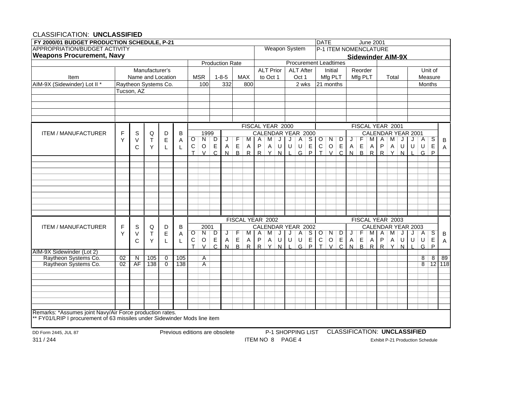### CLASSIFICATION: **UNCLASSIFIED**

| <b>Weapon System</b><br>P-1 ITEM NOMENCLATURE<br><b>Sidewinder AIM-9X</b><br><b>Procurement Leadtimes</b><br><b>Production Rate</b><br>Manufacturer's<br><b>ALT Prior</b><br><b>ALT After</b><br>Unit of<br>Initial<br>Reorder<br>Name and Location<br><b>MSR</b><br>$1 - 8 - 5$<br><b>MAX</b><br>to Oct 1<br>Oct 1<br>Mfg PLT<br>Mfg PLT<br>Total<br>Measure<br>Item<br>AIM-9X (Sidewinder) Lot II*<br>Months<br>Raytheon Systems Co.<br>332<br>2 wks<br>21 months<br>100<br>800<br>Tucson, AZ<br>FISCAL YEAR 2000<br>FISCAL YEAR 2001<br>F<br>S<br>D<br>B<br>1999<br>CALENDAR YEAR 2000<br>CALENDAR YEAR 2001<br><b>ITEM / MANUFACTURER</b><br>Q<br>F<br>E<br>O<br>N<br>D<br>$S$   O<br>N<br>M A<br>A<br>S<br>$\top$<br>F<br>Α<br>M<br>J<br>A<br>D<br>M<br>J<br>Y<br>V<br>J<br>J<br>M<br>J<br>B<br>Α<br>$\mathsf E$<br>E<br>E<br>$\mathsf E$<br>P<br>$\sf U$<br>$\mathsf E$<br>$\circ$<br>E<br>P<br>U<br>${\bf C}$<br>$\mathsf O$<br>U<br>С<br>$\mathsf{A}$<br>Α<br>U<br>$\mathsf{A}$<br>$\overline{A}$<br>Α<br>U<br>$\mathsf{A}$<br>U<br>Y<br>C<br>L<br>A<br>L<br>Þ<br>$\mathcal{C}$<br>$\mathsf{R}$<br>$\mathsf{R}$<br>R<br>$\cap$<br>$\mathsf{R}$<br>$\mathsf{R}$<br>R<br>$\vee$<br>$\mathbf \tau$<br>$\mathcal{U}$<br>$\mathsf{N}$<br>$\vee$<br>G<br>P<br>T.<br>$\mathcal{U}$<br>N<br>G<br>$\mathbf{N}$<br>$\mathsf{N}$<br>FISCAL YEAR 2002<br>FISCAL YEAR 2003<br>CALENDAR YEAR 2002<br><b>CALENDAR YEAR 2003</b><br><b>ITEM / MANUFACTURER</b><br>F<br>S<br>B<br>2001<br>Q<br>D<br>$\overline{O}$<br>N<br>$S$   O<br>F<br>$\overline{\mathcal{S}}$<br>E<br>D<br>F<br>N<br>D<br>M A<br>$\overline{A}$<br>A<br>M<br>J<br>J<br>A<br>J<br>M<br>J<br>Y<br>Τ<br>J<br>M<br>$\, {\bf B}$<br>V<br>Α<br>J<br>$\mathsf E$<br>$\mathsf E$<br>E<br>$\mathsf E$<br>P<br>$\mathsf E$<br>$\sf P$<br>$\mathsf C$<br>$\sf U$<br>E<br>$\mathsf C$<br>$\mathsf O$<br>A<br>U<br>$\sf U$<br>$\circ$<br>A<br>U<br>U<br>$\mathsf{A}$<br>U<br>$\mathsf{A}$<br>$\overline{A}$<br>Α<br>C<br>Y<br>L<br>L<br>A<br><sub>R</sub><br>P<br>$\overline{C}$<br>$\mathsf{R}$<br>T.<br>$\vee$<br>$\mathsf{C}$<br>$\mathsf{R}$<br>R<br>$\vee$<br>$\mathbf \tau$<br>$\vee$<br>R<br><b>D</b><br>G<br>P<br>$\mathsf{N}$<br>G<br>N<br>$\checkmark$<br>N<br>N<br>Raytheon Systems Co.<br>105<br>105<br>$\overline{8}$<br>$8 \mid 89$<br>02<br>N<br>0<br>$\overline{A}$<br>Raytheon Systems Co.<br>$\overline{02}$<br>AF<br>138<br>$\overline{0}$<br>138<br>$\overline{A}$<br>8<br>Remarks: *Assumes joint Navy/Air Force production rates.<br>** FY01/LRIP I procurement of 63 missiles under Sidewinder Mods line item<br><b>CLASSIFICATION: UNCLASSIFIED</b><br>P-1 SHOPPING LIST<br>Previous editions are obsolete<br>DD Form 2445, JUL 87<br>ITEM NO 8 PAGE 4<br>Exhibit P-21 Production Schedule | FY 2000/01 BUDGET PRODUCTION SCHEDULE, P-21 |  |  |  |  |  |  |  |  |  |  | <b>DATE</b><br><b>June 2001</b> |  |  |  |  |  |  |  |  |  |  |  |  |  |  |  |  |  |  |  |
|--------------------------------------------------------------------------------------------------------------------------------------------------------------------------------------------------------------------------------------------------------------------------------------------------------------------------------------------------------------------------------------------------------------------------------------------------------------------------------------------------------------------------------------------------------------------------------------------------------------------------------------------------------------------------------------------------------------------------------------------------------------------------------------------------------------------------------------------------------------------------------------------------------------------------------------------------------------------------------------------------------------------------------------------------------------------------------------------------------------------------------------------------------------------------------------------------------------------------------------------------------------------------------------------------------------------------------------------------------------------------------------------------------------------------------------------------------------------------------------------------------------------------------------------------------------------------------------------------------------------------------------------------------------------------------------------------------------------------------------------------------------------------------------------------------------------------------------------------------------------------------------------------------------------------------------------------------------------------------------------------------------------------------------------------------------------------------------------------------------------------------------------------------------------------------------------------------------------------------------------------------------------------------------------------------------------------------------------------------------------------------------------------------------------------------------------------------------------------------------------------------------------------------------------------------------------------------------------------------------------------------------------------------------------------------------------------------------------------------------------------------------------|---------------------------------------------|--|--|--|--|--|--|--|--|--|--|---------------------------------|--|--|--|--|--|--|--|--|--|--|--|--|--|--|--|--|--|--|--|
|                                                                                                                                                                                                                                                                                                                                                                                                                                                                                                                                                                                                                                                                                                                                                                                                                                                                                                                                                                                                                                                                                                                                                                                                                                                                                                                                                                                                                                                                                                                                                                                                                                                                                                                                                                                                                                                                                                                                                                                                                                                                                                                                                                                                                                                                                                                                                                                                                                                                                                                                                                                                                                                                                                                                                                    | <b>APPROPRIATION/BUDGET ACTIVITY</b>        |  |  |  |  |  |  |  |  |  |  |                                 |  |  |  |  |  |  |  |  |  |  |  |  |  |  |  |  |  |  |  |
|                                                                                                                                                                                                                                                                                                                                                                                                                                                                                                                                                                                                                                                                                                                                                                                                                                                                                                                                                                                                                                                                                                                                                                                                                                                                                                                                                                                                                                                                                                                                                                                                                                                                                                                                                                                                                                                                                                                                                                                                                                                                                                                                                                                                                                                                                                                                                                                                                                                                                                                                                                                                                                                                                                                                                                    | <b>Weapons Procurement, Navy</b>            |  |  |  |  |  |  |  |  |  |  |                                 |  |  |  |  |  |  |  |  |  |  |  |  |  |  |  |  |  |  |  |
| $12$ 118                                                                                                                                                                                                                                                                                                                                                                                                                                                                                                                                                                                                                                                                                                                                                                                                                                                                                                                                                                                                                                                                                                                                                                                                                                                                                                                                                                                                                                                                                                                                                                                                                                                                                                                                                                                                                                                                                                                                                                                                                                                                                                                                                                                                                                                                                                                                                                                                                                                                                                                                                                                                                                                                                                                                                           |                                             |  |  |  |  |  |  |  |  |  |  |                                 |  |  |  |  |  |  |  |  |  |  |  |  |  |  |  |  |  |  |  |
|                                                                                                                                                                                                                                                                                                                                                                                                                                                                                                                                                                                                                                                                                                                                                                                                                                                                                                                                                                                                                                                                                                                                                                                                                                                                                                                                                                                                                                                                                                                                                                                                                                                                                                                                                                                                                                                                                                                                                                                                                                                                                                                                                                                                                                                                                                                                                                                                                                                                                                                                                                                                                                                                                                                                                                    |                                             |  |  |  |  |  |  |  |  |  |  |                                 |  |  |  |  |  |  |  |  |  |  |  |  |  |  |  |  |  |  |  |
|                                                                                                                                                                                                                                                                                                                                                                                                                                                                                                                                                                                                                                                                                                                                                                                                                                                                                                                                                                                                                                                                                                                                                                                                                                                                                                                                                                                                                                                                                                                                                                                                                                                                                                                                                                                                                                                                                                                                                                                                                                                                                                                                                                                                                                                                                                                                                                                                                                                                                                                                                                                                                                                                                                                                                                    |                                             |  |  |  |  |  |  |  |  |  |  |                                 |  |  |  |  |  |  |  |  |  |  |  |  |  |  |  |  |  |  |  |
|                                                                                                                                                                                                                                                                                                                                                                                                                                                                                                                                                                                                                                                                                                                                                                                                                                                                                                                                                                                                                                                                                                                                                                                                                                                                                                                                                                                                                                                                                                                                                                                                                                                                                                                                                                                                                                                                                                                                                                                                                                                                                                                                                                                                                                                                                                                                                                                                                                                                                                                                                                                                                                                                                                                                                                    |                                             |  |  |  |  |  |  |  |  |  |  |                                 |  |  |  |  |  |  |  |  |  |  |  |  |  |  |  |  |  |  |  |
|                                                                                                                                                                                                                                                                                                                                                                                                                                                                                                                                                                                                                                                                                                                                                                                                                                                                                                                                                                                                                                                                                                                                                                                                                                                                                                                                                                                                                                                                                                                                                                                                                                                                                                                                                                                                                                                                                                                                                                                                                                                                                                                                                                                                                                                                                                                                                                                                                                                                                                                                                                                                                                                                                                                                                                    |                                             |  |  |  |  |  |  |  |  |  |  |                                 |  |  |  |  |  |  |  |  |  |  |  |  |  |  |  |  |  |  |  |
|                                                                                                                                                                                                                                                                                                                                                                                                                                                                                                                                                                                                                                                                                                                                                                                                                                                                                                                                                                                                                                                                                                                                                                                                                                                                                                                                                                                                                                                                                                                                                                                                                                                                                                                                                                                                                                                                                                                                                                                                                                                                                                                                                                                                                                                                                                                                                                                                                                                                                                                                                                                                                                                                                                                                                                    |                                             |  |  |  |  |  |  |  |  |  |  |                                 |  |  |  |  |  |  |  |  |  |  |  |  |  |  |  |  |  |  |  |
|                                                                                                                                                                                                                                                                                                                                                                                                                                                                                                                                                                                                                                                                                                                                                                                                                                                                                                                                                                                                                                                                                                                                                                                                                                                                                                                                                                                                                                                                                                                                                                                                                                                                                                                                                                                                                                                                                                                                                                                                                                                                                                                                                                                                                                                                                                                                                                                                                                                                                                                                                                                                                                                                                                                                                                    |                                             |  |  |  |  |  |  |  |  |  |  |                                 |  |  |  |  |  |  |  |  |  |  |  |  |  |  |  |  |  |  |  |
|                                                                                                                                                                                                                                                                                                                                                                                                                                                                                                                                                                                                                                                                                                                                                                                                                                                                                                                                                                                                                                                                                                                                                                                                                                                                                                                                                                                                                                                                                                                                                                                                                                                                                                                                                                                                                                                                                                                                                                                                                                                                                                                                                                                                                                                                                                                                                                                                                                                                                                                                                                                                                                                                                                                                                                    |                                             |  |  |  |  |  |  |  |  |  |  |                                 |  |  |  |  |  |  |  |  |  |  |  |  |  |  |  |  |  |  |  |
|                                                                                                                                                                                                                                                                                                                                                                                                                                                                                                                                                                                                                                                                                                                                                                                                                                                                                                                                                                                                                                                                                                                                                                                                                                                                                                                                                                                                                                                                                                                                                                                                                                                                                                                                                                                                                                                                                                                                                                                                                                                                                                                                                                                                                                                                                                                                                                                                                                                                                                                                                                                                                                                                                                                                                                    |                                             |  |  |  |  |  |  |  |  |  |  |                                 |  |  |  |  |  |  |  |  |  |  |  |  |  |  |  |  |  |  |  |
|                                                                                                                                                                                                                                                                                                                                                                                                                                                                                                                                                                                                                                                                                                                                                                                                                                                                                                                                                                                                                                                                                                                                                                                                                                                                                                                                                                                                                                                                                                                                                                                                                                                                                                                                                                                                                                                                                                                                                                                                                                                                                                                                                                                                                                                                                                                                                                                                                                                                                                                                                                                                                                                                                                                                                                    |                                             |  |  |  |  |  |  |  |  |  |  |                                 |  |  |  |  |  |  |  |  |  |  |  |  |  |  |  |  |  |  |  |
|                                                                                                                                                                                                                                                                                                                                                                                                                                                                                                                                                                                                                                                                                                                                                                                                                                                                                                                                                                                                                                                                                                                                                                                                                                                                                                                                                                                                                                                                                                                                                                                                                                                                                                                                                                                                                                                                                                                                                                                                                                                                                                                                                                                                                                                                                                                                                                                                                                                                                                                                                                                                                                                                                                                                                                    |                                             |  |  |  |  |  |  |  |  |  |  |                                 |  |  |  |  |  |  |  |  |  |  |  |  |  |  |  |  |  |  |  |
|                                                                                                                                                                                                                                                                                                                                                                                                                                                                                                                                                                                                                                                                                                                                                                                                                                                                                                                                                                                                                                                                                                                                                                                                                                                                                                                                                                                                                                                                                                                                                                                                                                                                                                                                                                                                                                                                                                                                                                                                                                                                                                                                                                                                                                                                                                                                                                                                                                                                                                                                                                                                                                                                                                                                                                    |                                             |  |  |  |  |  |  |  |  |  |  |                                 |  |  |  |  |  |  |  |  |  |  |  |  |  |  |  |  |  |  |  |
|                                                                                                                                                                                                                                                                                                                                                                                                                                                                                                                                                                                                                                                                                                                                                                                                                                                                                                                                                                                                                                                                                                                                                                                                                                                                                                                                                                                                                                                                                                                                                                                                                                                                                                                                                                                                                                                                                                                                                                                                                                                                                                                                                                                                                                                                                                                                                                                                                                                                                                                                                                                                                                                                                                                                                                    |                                             |  |  |  |  |  |  |  |  |  |  |                                 |  |  |  |  |  |  |  |  |  |  |  |  |  |  |  |  |  |  |  |
|                                                                                                                                                                                                                                                                                                                                                                                                                                                                                                                                                                                                                                                                                                                                                                                                                                                                                                                                                                                                                                                                                                                                                                                                                                                                                                                                                                                                                                                                                                                                                                                                                                                                                                                                                                                                                                                                                                                                                                                                                                                                                                                                                                                                                                                                                                                                                                                                                                                                                                                                                                                                                                                                                                                                                                    |                                             |  |  |  |  |  |  |  |  |  |  |                                 |  |  |  |  |  |  |  |  |  |  |  |  |  |  |  |  |  |  |  |
|                                                                                                                                                                                                                                                                                                                                                                                                                                                                                                                                                                                                                                                                                                                                                                                                                                                                                                                                                                                                                                                                                                                                                                                                                                                                                                                                                                                                                                                                                                                                                                                                                                                                                                                                                                                                                                                                                                                                                                                                                                                                                                                                                                                                                                                                                                                                                                                                                                                                                                                                                                                                                                                                                                                                                                    |                                             |  |  |  |  |  |  |  |  |  |  |                                 |  |  |  |  |  |  |  |  |  |  |  |  |  |  |  |  |  |  |  |
|                                                                                                                                                                                                                                                                                                                                                                                                                                                                                                                                                                                                                                                                                                                                                                                                                                                                                                                                                                                                                                                                                                                                                                                                                                                                                                                                                                                                                                                                                                                                                                                                                                                                                                                                                                                                                                                                                                                                                                                                                                                                                                                                                                                                                                                                                                                                                                                                                                                                                                                                                                                                                                                                                                                                                                    |                                             |  |  |  |  |  |  |  |  |  |  |                                 |  |  |  |  |  |  |  |  |  |  |  |  |  |  |  |  |  |  |  |
|                                                                                                                                                                                                                                                                                                                                                                                                                                                                                                                                                                                                                                                                                                                                                                                                                                                                                                                                                                                                                                                                                                                                                                                                                                                                                                                                                                                                                                                                                                                                                                                                                                                                                                                                                                                                                                                                                                                                                                                                                                                                                                                                                                                                                                                                                                                                                                                                                                                                                                                                                                                                                                                                                                                                                                    |                                             |  |  |  |  |  |  |  |  |  |  |                                 |  |  |  |  |  |  |  |  |  |  |  |  |  |  |  |  |  |  |  |
|                                                                                                                                                                                                                                                                                                                                                                                                                                                                                                                                                                                                                                                                                                                                                                                                                                                                                                                                                                                                                                                                                                                                                                                                                                                                                                                                                                                                                                                                                                                                                                                                                                                                                                                                                                                                                                                                                                                                                                                                                                                                                                                                                                                                                                                                                                                                                                                                                                                                                                                                                                                                                                                                                                                                                                    |                                             |  |  |  |  |  |  |  |  |  |  |                                 |  |  |  |  |  |  |  |  |  |  |  |  |  |  |  |  |  |  |  |
|                                                                                                                                                                                                                                                                                                                                                                                                                                                                                                                                                                                                                                                                                                                                                                                                                                                                                                                                                                                                                                                                                                                                                                                                                                                                                                                                                                                                                                                                                                                                                                                                                                                                                                                                                                                                                                                                                                                                                                                                                                                                                                                                                                                                                                                                                                                                                                                                                                                                                                                                                                                                                                                                                                                                                                    |                                             |  |  |  |  |  |  |  |  |  |  |                                 |  |  |  |  |  |  |  |  |  |  |  |  |  |  |  |  |  |  |  |
|                                                                                                                                                                                                                                                                                                                                                                                                                                                                                                                                                                                                                                                                                                                                                                                                                                                                                                                                                                                                                                                                                                                                                                                                                                                                                                                                                                                                                                                                                                                                                                                                                                                                                                                                                                                                                                                                                                                                                                                                                                                                                                                                                                                                                                                                                                                                                                                                                                                                                                                                                                                                                                                                                                                                                                    |                                             |  |  |  |  |  |  |  |  |  |  |                                 |  |  |  |  |  |  |  |  |  |  |  |  |  |  |  |  |  |  |  |
|                                                                                                                                                                                                                                                                                                                                                                                                                                                                                                                                                                                                                                                                                                                                                                                                                                                                                                                                                                                                                                                                                                                                                                                                                                                                                                                                                                                                                                                                                                                                                                                                                                                                                                                                                                                                                                                                                                                                                                                                                                                                                                                                                                                                                                                                                                                                                                                                                                                                                                                                                                                                                                                                                                                                                                    |                                             |  |  |  |  |  |  |  |  |  |  |                                 |  |  |  |  |  |  |  |  |  |  |  |  |  |  |  |  |  |  |  |
|                                                                                                                                                                                                                                                                                                                                                                                                                                                                                                                                                                                                                                                                                                                                                                                                                                                                                                                                                                                                                                                                                                                                                                                                                                                                                                                                                                                                                                                                                                                                                                                                                                                                                                                                                                                                                                                                                                                                                                                                                                                                                                                                                                                                                                                                                                                                                                                                                                                                                                                                                                                                                                                                                                                                                                    |                                             |  |  |  |  |  |  |  |  |  |  |                                 |  |  |  |  |  |  |  |  |  |  |  |  |  |  |  |  |  |  |  |
|                                                                                                                                                                                                                                                                                                                                                                                                                                                                                                                                                                                                                                                                                                                                                                                                                                                                                                                                                                                                                                                                                                                                                                                                                                                                                                                                                                                                                                                                                                                                                                                                                                                                                                                                                                                                                                                                                                                                                                                                                                                                                                                                                                                                                                                                                                                                                                                                                                                                                                                                                                                                                                                                                                                                                                    |                                             |  |  |  |  |  |  |  |  |  |  |                                 |  |  |  |  |  |  |  |  |  |  |  |  |  |  |  |  |  |  |  |
|                                                                                                                                                                                                                                                                                                                                                                                                                                                                                                                                                                                                                                                                                                                                                                                                                                                                                                                                                                                                                                                                                                                                                                                                                                                                                                                                                                                                                                                                                                                                                                                                                                                                                                                                                                                                                                                                                                                                                                                                                                                                                                                                                                                                                                                                                                                                                                                                                                                                                                                                                                                                                                                                                                                                                                    |                                             |  |  |  |  |  |  |  |  |  |  |                                 |  |  |  |  |  |  |  |  |  |  |  |  |  |  |  |  |  |  |  |
|                                                                                                                                                                                                                                                                                                                                                                                                                                                                                                                                                                                                                                                                                                                                                                                                                                                                                                                                                                                                                                                                                                                                                                                                                                                                                                                                                                                                                                                                                                                                                                                                                                                                                                                                                                                                                                                                                                                                                                                                                                                                                                                                                                                                                                                                                                                                                                                                                                                                                                                                                                                                                                                                                                                                                                    |                                             |  |  |  |  |  |  |  |  |  |  |                                 |  |  |  |  |  |  |  |  |  |  |  |  |  |  |  |  |  |  |  |
|                                                                                                                                                                                                                                                                                                                                                                                                                                                                                                                                                                                                                                                                                                                                                                                                                                                                                                                                                                                                                                                                                                                                                                                                                                                                                                                                                                                                                                                                                                                                                                                                                                                                                                                                                                                                                                                                                                                                                                                                                                                                                                                                                                                                                                                                                                                                                                                                                                                                                                                                                                                                                                                                                                                                                                    |                                             |  |  |  |  |  |  |  |  |  |  |                                 |  |  |  |  |  |  |  |  |  |  |  |  |  |  |  |  |  |  |  |
|                                                                                                                                                                                                                                                                                                                                                                                                                                                                                                                                                                                                                                                                                                                                                                                                                                                                                                                                                                                                                                                                                                                                                                                                                                                                                                                                                                                                                                                                                                                                                                                                                                                                                                                                                                                                                                                                                                                                                                                                                                                                                                                                                                                                                                                                                                                                                                                                                                                                                                                                                                                                                                                                                                                                                                    |                                             |  |  |  |  |  |  |  |  |  |  |                                 |  |  |  |  |  |  |  |  |  |  |  |  |  |  |  |  |  |  |  |
|                                                                                                                                                                                                                                                                                                                                                                                                                                                                                                                                                                                                                                                                                                                                                                                                                                                                                                                                                                                                                                                                                                                                                                                                                                                                                                                                                                                                                                                                                                                                                                                                                                                                                                                                                                                                                                                                                                                                                                                                                                                                                                                                                                                                                                                                                                                                                                                                                                                                                                                                                                                                                                                                                                                                                                    | AIM-9X Sidewinder (Lot 2)                   |  |  |  |  |  |  |  |  |  |  |                                 |  |  |  |  |  |  |  |  |  |  |  |  |  |  |  |  |  |  |  |
|                                                                                                                                                                                                                                                                                                                                                                                                                                                                                                                                                                                                                                                                                                                                                                                                                                                                                                                                                                                                                                                                                                                                                                                                                                                                                                                                                                                                                                                                                                                                                                                                                                                                                                                                                                                                                                                                                                                                                                                                                                                                                                                                                                                                                                                                                                                                                                                                                                                                                                                                                                                                                                                                                                                                                                    |                                             |  |  |  |  |  |  |  |  |  |  |                                 |  |  |  |  |  |  |  |  |  |  |  |  |  |  |  |  |  |  |  |
|                                                                                                                                                                                                                                                                                                                                                                                                                                                                                                                                                                                                                                                                                                                                                                                                                                                                                                                                                                                                                                                                                                                                                                                                                                                                                                                                                                                                                                                                                                                                                                                                                                                                                                                                                                                                                                                                                                                                                                                                                                                                                                                                                                                                                                                                                                                                                                                                                                                                                                                                                                                                                                                                                                                                                                    |                                             |  |  |  |  |  |  |  |  |  |  |                                 |  |  |  |  |  |  |  |  |  |  |  |  |  |  |  |  |  |  |  |
|                                                                                                                                                                                                                                                                                                                                                                                                                                                                                                                                                                                                                                                                                                                                                                                                                                                                                                                                                                                                                                                                                                                                                                                                                                                                                                                                                                                                                                                                                                                                                                                                                                                                                                                                                                                                                                                                                                                                                                                                                                                                                                                                                                                                                                                                                                                                                                                                                                                                                                                                                                                                                                                                                                                                                                    |                                             |  |  |  |  |  |  |  |  |  |  |                                 |  |  |  |  |  |  |  |  |  |  |  |  |  |  |  |  |  |  |  |
|                                                                                                                                                                                                                                                                                                                                                                                                                                                                                                                                                                                                                                                                                                                                                                                                                                                                                                                                                                                                                                                                                                                                                                                                                                                                                                                                                                                                                                                                                                                                                                                                                                                                                                                                                                                                                                                                                                                                                                                                                                                                                                                                                                                                                                                                                                                                                                                                                                                                                                                                                                                                                                                                                                                                                                    |                                             |  |  |  |  |  |  |  |  |  |  |                                 |  |  |  |  |  |  |  |  |  |  |  |  |  |  |  |  |  |  |  |
|                                                                                                                                                                                                                                                                                                                                                                                                                                                                                                                                                                                                                                                                                                                                                                                                                                                                                                                                                                                                                                                                                                                                                                                                                                                                                                                                                                                                                                                                                                                                                                                                                                                                                                                                                                                                                                                                                                                                                                                                                                                                                                                                                                                                                                                                                                                                                                                                                                                                                                                                                                                                                                                                                                                                                                    |                                             |  |  |  |  |  |  |  |  |  |  |                                 |  |  |  |  |  |  |  |  |  |  |  |  |  |  |  |  |  |  |  |
|                                                                                                                                                                                                                                                                                                                                                                                                                                                                                                                                                                                                                                                                                                                                                                                                                                                                                                                                                                                                                                                                                                                                                                                                                                                                                                                                                                                                                                                                                                                                                                                                                                                                                                                                                                                                                                                                                                                                                                                                                                                                                                                                                                                                                                                                                                                                                                                                                                                                                                                                                                                                                                                                                                                                                                    |                                             |  |  |  |  |  |  |  |  |  |  |                                 |  |  |  |  |  |  |  |  |  |  |  |  |  |  |  |  |  |  |  |
|                                                                                                                                                                                                                                                                                                                                                                                                                                                                                                                                                                                                                                                                                                                                                                                                                                                                                                                                                                                                                                                                                                                                                                                                                                                                                                                                                                                                                                                                                                                                                                                                                                                                                                                                                                                                                                                                                                                                                                                                                                                                                                                                                                                                                                                                                                                                                                                                                                                                                                                                                                                                                                                                                                                                                                    |                                             |  |  |  |  |  |  |  |  |  |  |                                 |  |  |  |  |  |  |  |  |  |  |  |  |  |  |  |  |  |  |  |
|                                                                                                                                                                                                                                                                                                                                                                                                                                                                                                                                                                                                                                                                                                                                                                                                                                                                                                                                                                                                                                                                                                                                                                                                                                                                                                                                                                                                                                                                                                                                                                                                                                                                                                                                                                                                                                                                                                                                                                                                                                                                                                                                                                                                                                                                                                                                                                                                                                                                                                                                                                                                                                                                                                                                                                    |                                             |  |  |  |  |  |  |  |  |  |  |                                 |  |  |  |  |  |  |  |  |  |  |  |  |  |  |  |  |  |  |  |
|                                                                                                                                                                                                                                                                                                                                                                                                                                                                                                                                                                                                                                                                                                                                                                                                                                                                                                                                                                                                                                                                                                                                                                                                                                                                                                                                                                                                                                                                                                                                                                                                                                                                                                                                                                                                                                                                                                                                                                                                                                                                                                                                                                                                                                                                                                                                                                                                                                                                                                                                                                                                                                                                                                                                                                    |                                             |  |  |  |  |  |  |  |  |  |  |                                 |  |  |  |  |  |  |  |  |  |  |  |  |  |  |  |  |  |  |  |
|                                                                                                                                                                                                                                                                                                                                                                                                                                                                                                                                                                                                                                                                                                                                                                                                                                                                                                                                                                                                                                                                                                                                                                                                                                                                                                                                                                                                                                                                                                                                                                                                                                                                                                                                                                                                                                                                                                                                                                                                                                                                                                                                                                                                                                                                                                                                                                                                                                                                                                                                                                                                                                                                                                                                                                    |                                             |  |  |  |  |  |  |  |  |  |  |                                 |  |  |  |  |  |  |  |  |  |  |  |  |  |  |  |  |  |  |  |
|                                                                                                                                                                                                                                                                                                                                                                                                                                                                                                                                                                                                                                                                                                                                                                                                                                                                                                                                                                                                                                                                                                                                                                                                                                                                                                                                                                                                                                                                                                                                                                                                                                                                                                                                                                                                                                                                                                                                                                                                                                                                                                                                                                                                                                                                                                                                                                                                                                                                                                                                                                                                                                                                                                                                                                    |                                             |  |  |  |  |  |  |  |  |  |  |                                 |  |  |  |  |  |  |  |  |  |  |  |  |  |  |  |  |  |  |  |
|                                                                                                                                                                                                                                                                                                                                                                                                                                                                                                                                                                                                                                                                                                                                                                                                                                                                                                                                                                                                                                                                                                                                                                                                                                                                                                                                                                                                                                                                                                                                                                                                                                                                                                                                                                                                                                                                                                                                                                                                                                                                                                                                                                                                                                                                                                                                                                                                                                                                                                                                                                                                                                                                                                                                                                    | 311 / 244                                   |  |  |  |  |  |  |  |  |  |  |                                 |  |  |  |  |  |  |  |  |  |  |  |  |  |  |  |  |  |  |  |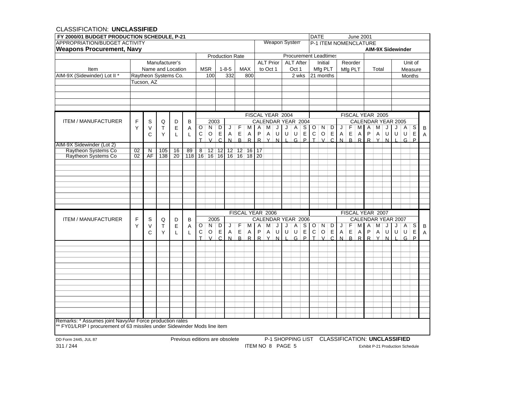| FY 2000/01 BUDGET PRODUCTION SCHEDULE, P-21              |                 |                                                                                                                                                                                   |                |    |    |                    |                 |                 |                             |                  |                  |                    |          |                  |               |                  |             | <b>DATE</b>                  |               |              |                |              | June 2001    |                              |                                  |         |                          |               |             |                |
|----------------------------------------------------------|-----------------|-----------------------------------------------------------------------------------------------------------------------------------------------------------------------------------|----------------|----|----|--------------------|-----------------|-----------------|-----------------------------|------------------|------------------|--------------------|----------|------------------|---------------|------------------|-------------|------------------------------|---------------|--------------|----------------|--------------|--------------|------------------------------|----------------------------------|---------|--------------------------|---------------|-------------|----------------|
| APPROPRIATION/BUDGET ACTIVITY                            |                 |                                                                                                                                                                                   |                |    |    |                    |                 |                 |                             |                  |                  |                    |          |                  | Weapon System |                  |             |                              |               |              |                |              |              | <b>P-1 ITEM NOMENCLATURE</b> |                                  |         |                          |               |             |                |
| <b>Weapons Procurement, Navy</b>                         |                 |                                                                                                                                                                                   |                |    |    |                    |                 |                 |                             |                  |                  |                    |          |                  |               |                  |             |                              |               |              |                |              |              |                              |                                  |         | <b>AIM-9X Sidewinder</b> |               |             |                |
|                                                          |                 |                                                                                                                                                                                   |                |    |    |                    |                 |                 | <b>Production Rate</b>      |                  |                  |                    |          |                  |               |                  |             | <b>Procurement Leadtimes</b> |               |              |                |              |              |                              |                                  |         |                          |               |             |                |
|                                                          |                 |                                                                                                                                                                                   | Manufacturer's |    |    |                    |                 |                 |                             |                  |                  |                    |          | <b>ALT Prior</b> |               | <b>ALT After</b> |             |                              | Initial       |              |                | Reorder      |              |                              |                                  |         |                          |               | Unit of     |                |
| Item                                                     |                 | Name and Location                                                                                                                                                                 |                |    |    |                    | <b>MSR</b>      |                 | $1 - 8 - 5$                 |                  | <b>MAX</b>       |                    | to Oct 1 |                  |               | Oct 1            |             |                              | Mfg PLT       |              |                | Mfg PLT      |              |                              | Total                            |         |                          | Measure       |             |                |
| AIM-9X (Sidewinder) Lot II *                             |                 | Raytheon Systems Co.                                                                                                                                                              |                |    |    |                    | 100             |                 | 332                         |                  | 800              |                    |          |                  |               | 2 wks            |             |                              | 21 months     |              |                |              |              |                              |                                  |         |                          | <b>Months</b> |             |                |
|                                                          |                 | Tucson, AZ                                                                                                                                                                        |                |    |    |                    |                 |                 |                             |                  |                  |                    |          |                  |               |                  |             |                              |               |              |                |              |              |                              |                                  |         |                          |               |             |                |
|                                                          |                 |                                                                                                                                                                                   |                |    |    |                    |                 |                 |                             |                  |                  |                    |          |                  |               |                  |             |                              |               |              |                |              |              |                              |                                  |         |                          |               |             |                |
|                                                          |                 |                                                                                                                                                                                   |                |    |    |                    |                 |                 |                             |                  |                  |                    |          |                  |               |                  |             |                              |               |              |                |              |              |                              |                                  |         |                          |               |             |                |
|                                                          |                 |                                                                                                                                                                                   |                |    |    |                    |                 |                 |                             |                  |                  |                    |          |                  |               |                  |             |                              |               |              |                |              |              |                              |                                  |         |                          |               |             |                |
|                                                          |                 |                                                                                                                                                                                   |                |    |    |                    |                 |                 |                             |                  |                  |                    |          |                  |               |                  |             |                              |               |              |                |              |              |                              |                                  |         |                          |               |             |                |
|                                                          |                 |                                                                                                                                                                                   |                |    |    |                    |                 |                 |                             |                  | FISCAL YEAR 2004 |                    |          |                  |               |                  |             |                              |               |              |                |              |              | FISCAL YEAR 2005             |                                  |         |                          |               |             |                |
| <b>ITEM / MANUFACTURER</b>                               | F               | S                                                                                                                                                                                 | Q              | D  | B  |                    | 2003            |                 |                             |                  |                  | CALENDAR YEAR 2004 |          |                  |               |                  |             |                              |               |              |                |              |              |                              |                                  |         | CALENDAR YEAR 2005       |               |             |                |
|                                                          | Y               | V                                                                                                                                                                                 | Т              | Е  | Α  | $\overline{\circ}$ | N               | D               | J                           | F                | M                | Α                  | м        | J                | J             | A                |             | $S$ $O$                      | N             | D            | J              | F            | M            | A                            | м                                | J       | J                        | A             | S           | B              |
|                                                          |                 | C                                                                                                                                                                                 | Y              | L  | L  | C                  | $\mathsf O$     | Е               | A                           | $\mathsf E$      | A                | $\sf P$            | Α        | U                | U             | U                | $\mathsf E$ | $\mathsf C$                  | $\mathsf O$   | $\mathsf E$  | $\mathsf{A}$   | $\mathsf E$  | A            | $\sf P$                      | Α                                | $\sf U$ | U                        | U             | $\mathsf E$ | $\overline{A}$ |
|                                                          |                 |                                                                                                                                                                                   |                |    |    | $\top$             | $\mathcal{U}$   | $\mathsf{C}$    | N                           | $\mathsf{R}$     | $\mathsf{R}$     | R                  | Y        | N                |               | G                | P           | $\top$                       | $\mathcal{U}$ | $\mathsf{C}$ | $\overline{N}$ | $\mathsf{R}$ | $\mathsf{R}$ | $\mathsf{R}$                 | $\mathsf{v}$                     | N       |                          | G             | P           |                |
| AIM-9X Sidewinder (Lot 2)                                |                 |                                                                                                                                                                                   |                |    |    |                    |                 |                 |                             |                  |                  |                    |          |                  |               |                  |             |                              |               |              |                |              |              |                              |                                  |         |                          |               |             |                |
| Raytheon Systems Co                                      | $\overline{02}$ | $\overline{\mathsf{N}}$                                                                                                                                                           | 105            | 16 | 89 | $\overline{8}$     | $\overline{12}$ | $\overline{12}$ |                             | $12$ 12 16 17    |                  |                    |          |                  |               |                  |             |                              |               |              |                |              |              |                              |                                  |         |                          |               |             |                |
| <b>Raytheon Systems Co</b>                               | 02              | AF                                                                                                                                                                                | 138            | 20 |    |                    |                 |                 | 118 16 16 16 16 16 16 18 20 |                  |                  |                    |          |                  |               |                  |             |                              |               |              |                |              |              |                              |                                  |         |                          |               |             |                |
|                                                          |                 |                                                                                                                                                                                   |                |    |    |                    |                 |                 |                             |                  |                  |                    |          |                  |               |                  |             |                              |               |              |                |              |              |                              |                                  |         |                          |               |             |                |
|                                                          |                 |                                                                                                                                                                                   |                |    |    |                    |                 |                 |                             |                  |                  |                    |          |                  |               |                  |             |                              |               |              |                |              |              |                              |                                  |         |                          |               |             |                |
|                                                          |                 |                                                                                                                                                                                   |                |    |    |                    |                 |                 |                             |                  |                  |                    |          |                  |               |                  |             |                              |               |              |                |              |              |                              |                                  |         |                          |               |             |                |
|                                                          |                 |                                                                                                                                                                                   |                |    |    |                    |                 |                 |                             |                  |                  |                    |          |                  |               |                  |             |                              |               |              |                |              |              |                              |                                  |         |                          |               |             |                |
|                                                          |                 |                                                                                                                                                                                   |                |    |    |                    |                 |                 |                             |                  |                  |                    |          |                  |               |                  |             |                              |               |              |                |              |              |                              |                                  |         |                          |               |             |                |
|                                                          |                 |                                                                                                                                                                                   |                |    |    |                    |                 |                 |                             |                  |                  |                    |          |                  |               |                  |             |                              |               |              |                |              |              |                              |                                  |         |                          |               |             |                |
|                                                          |                 |                                                                                                                                                                                   |                |    |    |                    |                 |                 |                             |                  |                  |                    |          |                  |               |                  |             |                              |               |              |                |              |              |                              |                                  |         |                          |               |             |                |
|                                                          |                 |                                                                                                                                                                                   |                |    |    |                    |                 |                 |                             |                  |                  |                    |          |                  |               |                  |             |                              |               |              |                |              |              |                              |                                  |         |                          |               |             |                |
|                                                          |                 |                                                                                                                                                                                   |                |    |    |                    |                 |                 |                             | FISCAL YEAR 2006 |                  |                    |          |                  |               |                  |             |                              |               |              |                |              |              | FISCAL YEAR 2007             |                                  |         |                          |               |             |                |
| <b>ITEM / MANUFACTURER</b>                               | F               | S                                                                                                                                                                                 | Q              | D  | B  |                    | 2005            |                 |                             |                  |                  | CALENDAR YEAR 2006 |          |                  |               |                  |             |                              |               |              |                |              |              |                              |                                  |         | CALENDAR YEAR 2007       |               |             |                |
|                                                          | Y               | V                                                                                                                                                                                 | Τ              | E  | Α  | O                  | N               | D               | J                           | F                | M I              | Α                  | м        | J                | J             | Α                | S I         | $\circ$                      | N             | D            | J              | F            | мı           | $\mathsf{A}$                 | М                                | J       | J                        | A             | S           | B              |
|                                                          |                 | C                                                                                                                                                                                 | Υ              | L  | L  | С                  | $\circ$         | Е               | A                           | $\mathsf E$      | Α                | P                  | Α        | U                | U             | U                | $\mathsf E$ | $\mathsf{C}$                 | $\circ$       | Е            | A              | Е            | A            | P                            | Α                                | U       | U                        | U             | $\mathsf E$ | Α              |
|                                                          |                 |                                                                                                                                                                                   |                |    |    | T                  | $\overline{V}$  | $\cap$          | N                           | R.               | $\mathsf{R}$     | R                  | $\vee$   | N                |               | G                | P           | T.                           | $\mathcal{U}$ | $\mathsf{C}$ | N              | $\mathsf{R}$ | R            | R                            | v                                | N       |                          | G             | P           |                |
|                                                          |                 |                                                                                                                                                                                   |                |    |    |                    |                 |                 |                             |                  |                  |                    |          |                  |               |                  |             |                              |               |              |                |              |              |                              |                                  |         |                          |               |             |                |
|                                                          |                 |                                                                                                                                                                                   |                |    |    |                    |                 |                 |                             |                  |                  |                    |          |                  |               |                  |             |                              |               |              |                |              |              |                              |                                  |         |                          |               |             |                |
|                                                          |                 |                                                                                                                                                                                   |                |    |    |                    |                 |                 |                             |                  |                  |                    |          |                  |               |                  |             |                              |               |              |                |              |              |                              |                                  |         |                          |               |             |                |
|                                                          |                 |                                                                                                                                                                                   |                |    |    |                    |                 |                 |                             |                  |                  |                    |          |                  |               |                  |             |                              |               |              |                |              |              |                              |                                  |         |                          |               |             |                |
|                                                          |                 |                                                                                                                                                                                   |                |    |    |                    |                 |                 |                             |                  |                  |                    |          |                  |               |                  |             |                              |               |              |                |              |              |                              |                                  |         |                          |               |             |                |
|                                                          |                 |                                                                                                                                                                                   |                |    |    |                    |                 |                 |                             |                  |                  |                    |          |                  |               |                  |             |                              |               |              |                |              |              |                              |                                  |         |                          |               |             |                |
|                                                          |                 |                                                                                                                                                                                   |                |    |    |                    |                 |                 |                             |                  |                  |                    |          |                  |               |                  |             |                              |               |              |                |              |              |                              |                                  |         |                          |               |             |                |
|                                                          |                 |                                                                                                                                                                                   |                |    |    |                    |                 |                 |                             |                  |                  |                    |          |                  |               |                  |             |                              |               |              |                |              |              |                              |                                  |         |                          |               |             |                |
|                                                          |                 |                                                                                                                                                                                   |                |    |    |                    |                 |                 |                             |                  |                  |                    |          |                  |               |                  |             |                              |               |              |                |              |              |                              |                                  |         |                          |               |             |                |
|                                                          |                 |                                                                                                                                                                                   |                |    |    |                    |                 |                 |                             |                  |                  |                    |          |                  |               |                  |             |                              |               |              |                |              |              |                              |                                  |         |                          |               |             |                |
|                                                          |                 |                                                                                                                                                                                   |                |    |    |                    |                 |                 |                             |                  |                  |                    |          |                  |               |                  |             |                              |               |              |                |              |              |                              |                                  |         |                          |               |             |                |
|                                                          |                 |                                                                                                                                                                                   |                |    |    |                    |                 |                 |                             |                  |                  |                    |          |                  |               |                  |             |                              |               |              |                |              |              |                              |                                  |         |                          |               |             |                |
| Remarks: * Assumes joint Navy/Air Force production rates |                 |                                                                                                                                                                                   |                |    |    |                    |                 |                 |                             |                  |                  |                    |          |                  |               |                  |             |                              |               |              |                |              |              |                              |                                  |         |                          |               |             |                |
|                                                          |                 |                                                                                                                                                                                   |                |    |    |                    |                 |                 |                             |                  |                  |                    |          |                  |               |                  |             |                              |               |              |                |              |              |                              |                                  |         |                          |               |             |                |
|                                                          |                 |                                                                                                                                                                                   |                |    |    |                    |                 |                 |                             |                  |                  |                    |          |                  |               |                  |             |                              |               |              |                |              |              |                              |                                  |         |                          |               |             |                |
| DD Form 2445, JUL 87                                     |                 |                                                                                                                                                                                   |                |    |    |                    |                 |                 |                             |                  |                  |                    |          |                  |               |                  |             |                              |               |              |                |              |              |                              |                                  |         |                          |               |             |                |
| 311/244                                                  |                 | ** FY01/LRIP I procurement of 63 missiles under Sidewinder Mods line item<br>P-1 SHOPPING LIST CLASSIFICATION: UNCLASSIFIED<br>Previous editions are obsolete<br>ITEM NO 8 PAGE 5 |                |    |    |                    |                 |                 |                             |                  |                  |                    |          |                  |               |                  |             |                              |               |              |                |              |              |                              | Exhibit P-21 Production Schedule |         |                          |               |             |                |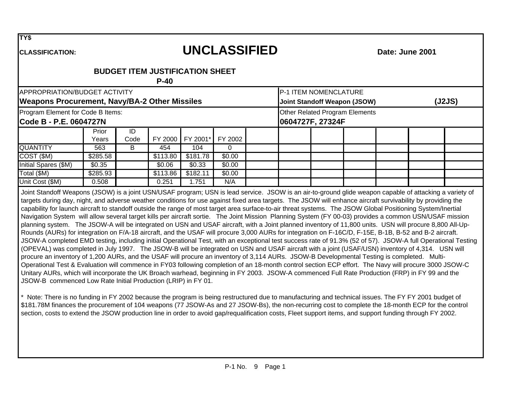**TY\$**

# **UNCLASSIFIED**

**Date: June 2001**

**CLASSIFICATION:**

## **BUDGET ITEM JUSTIFICATION SHEET**

**P-40**

| APPROPRIATION/BUDGET ACTIVITY                               |                |            |          |          |         |  | P-1 ITEM NOMENCLATURE |                                     |  |        |
|-------------------------------------------------------------|----------------|------------|----------|----------|---------|--|-----------------------|-------------------------------------|--|--------|
| <b>Weapons Procurement, Navy/BA-2 Other Missiles</b>        |                |            |          |          |         |  |                       | <b>Joint Standoff Weapon (JSOW)</b> |  | (J2JS) |
| Program Element for Code B Items:<br>Code B - P.E. 0604727N |                |            |          |          |         |  | 0604727F, 27324F      | Other Related Program Elements      |  |        |
|                                                             | Prior<br>Years | ID<br>Code | FY 2000  | FY 2001* | FY 2002 |  |                       |                                     |  |        |
| <b>QUANTITY</b>                                             | 563            | B          | 454      | 104      |         |  |                       |                                     |  |        |
| COST (\$M)                                                  | \$285.58       |            | \$113.80 | \$181.78 | \$0.00  |  |                       |                                     |  |        |
| Initial Spares (\$M)                                        | \$0.35         |            | \$0.06   | \$0.33   | \$0.00  |  |                       |                                     |  |        |
| Total (\$M)                                                 | \$285.93       |            | \$113.86 | \$182.11 | \$0.00  |  |                       |                                     |  |        |
| Unit Cost (\$M)                                             | 0.508          |            | 0.251    | 1.751    | N/A     |  |                       |                                     |  |        |

Joint Standoff Weapons (JSOW) is a joint USN/USAF program; USN is lead service. JSOW is an air-to-ground glide weapon capable of attacking a variety of targets during day, night, and adverse weather conditions for use against fixed area targets. The JSOW will enhance aircraft survivability by providing the capability for launch aircraft to standoff outside the range of most target area surface-to-air threat systems. The JSOW Global Positioning System/Inertial Navigation System will allow several target kills per aircraft sortie. The Joint Mission Planning System (FY 00-03) provides a common USN/USAF mission planning system. The JSOW-A will be integrated on USN and USAF aircraft, with a Joint planned inventory of 11,800 units. USN will procure 8,800 All-Up-Rounds (AURs) for integration on F/A-18 aircraft, and the USAF will procure 3,000 AURs for integration on F-16C/D, F-15E, B-1B, B-52 and B-2 aircraft. JSOW-A completed EMD testing, including initial Operational Test, with an exceptional test success rate of 91.3% (52 of 57). JSOW-A full Operational Testing (OPEVAL) was completed in July 1997. The JSOW-B will be integrated on USN and USAF aircraft with a joint (USAF/USN) inventory of 4,314. USN will procure an inventory of 1,200 AURs, and the USAF will procure an inventory of 3,114 AURs. JSOW-B Developmental Testing is completed. Multi-Operational Test & Evaluation will commence in FY03 following completion of an 18-month control section ECP effort. The Navy will procure 3000 JSOW-C Unitary AURs, which will incorporate the UK Broach warhead, beginning in FY 2003. JSOW-A commenced Full Rate Production (FRP) in FY 99 and the JSOW-B commenced Low Rate Initial Production (LRIP) in FY 01.

\* Note: There is no funding in FY 2002 because the program is being restructured due to manufacturing and technical issues. The FY FY 2001 budget of \$181.78M finances the procurement of 104 weapons (77 JSOW-As and 27 JSOW-Bs), the non-recurring cost to complete the 18-month ECP for the control section, costs to extend the JSOW production line in order to avoid gap/requalification costs, Fleet support items, and support funding through FY 2002.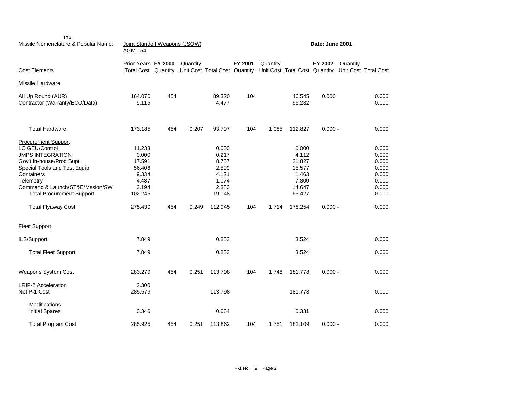| TY\$<br>Missile Nomenclature & Popular Name:                                                                                                                                                                                                                       | Joint Standoff Weapons (JSOW)<br>AGM-154                                             |     |          |                                                                                  |         |          |                                                                                     | Date: June 2001 |          |                                                                               |
|--------------------------------------------------------------------------------------------------------------------------------------------------------------------------------------------------------------------------------------------------------------------|--------------------------------------------------------------------------------------|-----|----------|----------------------------------------------------------------------------------|---------|----------|-------------------------------------------------------------------------------------|-----------------|----------|-------------------------------------------------------------------------------|
| <b>Cost Elements</b>                                                                                                                                                                                                                                               | Prior Years FY 2000<br><b>Total Cost Quantity</b>                                    |     | Quantity | Unit Cost Total Cost Quantity                                                    | FY 2001 | Quantity | Unit Cost Total Cost Quantity                                                       | FY 2002         | Quantity | Unit Cost Total Cost                                                          |
| Missile Hardware                                                                                                                                                                                                                                                   |                                                                                      |     |          |                                                                                  |         |          |                                                                                     |                 |          |                                                                               |
| All Up Round (AUR)<br>Contractor (Warranty/ECO/Data)                                                                                                                                                                                                               | 164.070<br>9.115                                                                     | 454 |          | 89.320<br>4.477                                                                  | 104     |          | 46.545<br>66.282                                                                    | 0.000           |          | 0.000<br>0.000                                                                |
| <b>Total Hardware</b>                                                                                                                                                                                                                                              | 173.185                                                                              | 454 | 0.207    | 93.797                                                                           | 104     | 1.085    | 112.827                                                                             | $0.000 -$       |          | 0.000                                                                         |
| <b>Procurement Support</b><br>LC GEU/Control<br><b>JMPS INTEGRATION</b><br>Gov't In-house/Prod Supt<br>Special Tools and Test Equip<br>Containers<br>Telemetry<br>Command & Launch/ST&E/Mssion/SW<br><b>Total Procurement Support</b><br><b>Total Flyaway Cost</b> | 11.233<br>0.000<br>17.591<br>56.406<br>9.334<br>4.487<br>3.194<br>102.245<br>275.430 | 454 | 0.249    | 0.000<br>0.217<br>8.757<br>2.599<br>4.121<br>1.074<br>2.380<br>19.148<br>112.945 | 104     | 1.714    | 0.000<br>4.112<br>21.827<br>15.577<br>1.463<br>7.800<br>14.647<br>65.427<br>178.254 | $0.000 -$       |          | 0.000<br>0.000<br>0.000<br>0.000<br>0.000<br>0.000<br>0.000<br>0.000<br>0.000 |
| <b>Fleet Support</b><br>ILS/Support                                                                                                                                                                                                                                | 7.849                                                                                |     |          | 0.853                                                                            |         |          | 3.524                                                                               |                 |          | 0.000                                                                         |
| <b>Total Fleet Support</b>                                                                                                                                                                                                                                         | 7.849                                                                                |     |          | 0.853                                                                            |         |          | 3.524                                                                               |                 |          | 0.000                                                                         |
| Weapons System Cost                                                                                                                                                                                                                                                | 283.279                                                                              | 454 | 0.251    | 113.798                                                                          | 104     | 1.748    | 181.778                                                                             | $0.000 -$       |          | 0.000                                                                         |
| <b>LRIP-2 Acceleration</b><br>Net P-1 Cost                                                                                                                                                                                                                         | 2.300<br>285.579                                                                     |     |          | 113.798                                                                          |         |          | 181.778                                                                             |                 |          | 0.000                                                                         |
| Modifications<br><b>Initial Spares</b>                                                                                                                                                                                                                             | 0.346                                                                                |     |          | 0.064                                                                            |         |          | 0.331                                                                               |                 |          | 0.000                                                                         |
| <b>Total Program Cost</b>                                                                                                                                                                                                                                          | 285.925                                                                              | 454 | 0.251    | 113.862                                                                          | 104     | 1.751    | 182.109                                                                             | $0.000 -$       |          | 0.000                                                                         |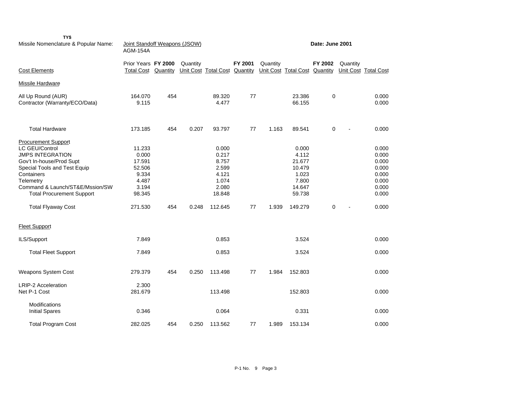| TY\$<br>Missile Nomenclature & Popular Name:                                                                                                                                                                                                                                               | Joint Standoff Weapons (JSOW)<br><b>AGM-154A</b>                                    |          |          |                                                                                  |         |          |                                                                                     | Date: June 2001 |          |                                                                               |
|--------------------------------------------------------------------------------------------------------------------------------------------------------------------------------------------------------------------------------------------------------------------------------------------|-------------------------------------------------------------------------------------|----------|----------|----------------------------------------------------------------------------------|---------|----------|-------------------------------------------------------------------------------------|-----------------|----------|-------------------------------------------------------------------------------|
| <b>Cost Elements</b>                                                                                                                                                                                                                                                                       | Prior Years FY 2000<br><b>Total Cost</b>                                            | Quantity | Quantity | Unit Cost Total Cost Quantity                                                    | FY 2001 | Quantity | Unit Cost Total Cost Quantity                                                       | FY 2002         | Quantity | Unit Cost Total Cost                                                          |
| Missile Hardware                                                                                                                                                                                                                                                                           |                                                                                     |          |          |                                                                                  |         |          |                                                                                     |                 |          |                                                                               |
| All Up Round (AUR)<br>Contractor (Warranty/ECO/Data)                                                                                                                                                                                                                                       | 164.070<br>9.115                                                                    | 454      |          | 89.320<br>4.477                                                                  | 77      |          | 23.386<br>66.155                                                                    | 0               |          | 0.000<br>0.000                                                                |
| <b>Total Hardware</b>                                                                                                                                                                                                                                                                      | 173.185                                                                             | 454      | 0.207    | 93.797                                                                           | 77      | 1.163    | 89.541                                                                              | 0               |          | 0.000                                                                         |
| <b>Procurement Support</b><br>LC GEU/Control<br><b>JMPS INTEGRATION</b><br>Gov't In-house/Prod Supt<br>Special Tools and Test Equip<br>Containers<br>Telemetry<br>Command & Launch/ST&E/Mssion/SW<br><b>Total Procurement Support</b><br><b>Total Flyaway Cost</b><br><b>Fleet Support</b> | 11.233<br>0.000<br>17.591<br>52.506<br>9.334<br>4.487<br>3.194<br>98.345<br>271.530 | 454      | 0.248    | 0.000<br>0.217<br>8.757<br>2.599<br>4.121<br>1.074<br>2.080<br>18.848<br>112.645 | 77      | 1.939    | 0.000<br>4.112<br>21.677<br>10.479<br>1.023<br>7.800<br>14.647<br>59.738<br>149.279 | 0               |          | 0.000<br>0.000<br>0.000<br>0.000<br>0.000<br>0.000<br>0.000<br>0.000<br>0.000 |
| ILS/Support                                                                                                                                                                                                                                                                                | 7.849                                                                               |          |          | 0.853                                                                            |         |          | 3.524                                                                               |                 |          | 0.000                                                                         |
| <b>Total Fleet Support</b>                                                                                                                                                                                                                                                                 | 7.849                                                                               |          |          | 0.853                                                                            |         |          | 3.524                                                                               |                 |          | 0.000                                                                         |
| Weapons System Cost                                                                                                                                                                                                                                                                        | 279.379                                                                             | 454      | 0.250    | 113.498                                                                          | 77      | 1.984    | 152.803                                                                             |                 |          | 0.000                                                                         |
| <b>LRIP-2 Acceleration</b><br>Net P-1 Cost                                                                                                                                                                                                                                                 | 2.300<br>281.679                                                                    |          |          | 113.498                                                                          |         |          | 152.803                                                                             |                 |          | 0.000                                                                         |
| <b>Modifications</b><br><b>Initial Spares</b>                                                                                                                                                                                                                                              | 0.346                                                                               |          |          | 0.064                                                                            |         |          | 0.331                                                                               |                 |          | 0.000                                                                         |
| <b>Total Program Cost</b>                                                                                                                                                                                                                                                                  | 282.025                                                                             | 454      | 0.250    | 113.562                                                                          | 77      | 1.989    | 153.134                                                                             |                 |          | 0.000                                                                         |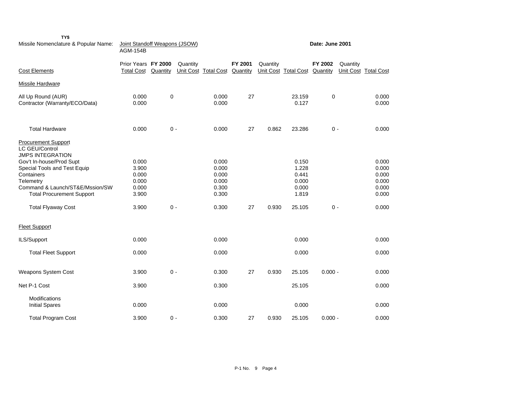| TY\$<br>Missile Nomenclature & Popular Name:                                                                                                                                                                                                                              | Joint Standoff Weapons (JSOW)<br><b>AGM-154B</b>            |          |          |                                                             |                     |          |                                                              | Date: June 2001     |                                                             |
|---------------------------------------------------------------------------------------------------------------------------------------------------------------------------------------------------------------------------------------------------------------------------|-------------------------------------------------------------|----------|----------|-------------------------------------------------------------|---------------------|----------|--------------------------------------------------------------|---------------------|-------------------------------------------------------------|
| <b>Cost Elements</b>                                                                                                                                                                                                                                                      | Prior Years FY 2000<br><b>Total Cost</b>                    | Quantity | Quantity | Unit Cost Total Cost                                        | FY 2001<br>Quantity | Quantity | Unit Cost Total Cost                                         | FY 2002<br>Quantity | Quantity<br>Unit Cost Total Cost                            |
| Missile Hardware                                                                                                                                                                                                                                                          |                                                             |          |          |                                                             |                     |          |                                                              |                     |                                                             |
| All Up Round (AUR)<br>Contractor (Warranty/ECO/Data)                                                                                                                                                                                                                      | 0.000<br>0.000                                              | 0        |          | 0.000<br>0.000                                              | 27                  |          | 23.159<br>0.127                                              | $\mathbf 0$         | 0.000<br>0.000                                              |
| <b>Total Hardware</b>                                                                                                                                                                                                                                                     | 0.000                                                       | $0 -$    |          | 0.000                                                       | 27                  | 0.862    | 23.286                                                       | $0 -$               | 0.000                                                       |
| <b>Procurement Support</b><br><b>LC GEU/Control</b><br><b>JMPS INTEGRATION</b><br>Gov't In-house/Prod Supt<br>Special Tools and Test Equip<br>Containers<br>Telemetry<br>Command & Launch/ST&E/Mssion/SW<br><b>Total Procurement Support</b><br><b>Total Flyaway Cost</b> | 0.000<br>3.900<br>0.000<br>0.000<br>0.000<br>3.900<br>3.900 | $0 -$    |          | 0.000<br>0.000<br>0.000<br>0.000<br>0.300<br>0.300<br>0.300 | 27                  | 0.930    | 0.150<br>1.228<br>0.441<br>0.000<br>0.000<br>1.819<br>25.105 | $0 -$               | 0.000<br>0.000<br>0.000<br>0.000<br>0.000<br>0.000<br>0.000 |
| <b>Fleet Support</b>                                                                                                                                                                                                                                                      |                                                             |          |          |                                                             |                     |          |                                                              |                     |                                                             |
| ILS/Support                                                                                                                                                                                                                                                               | 0.000                                                       |          |          | 0.000                                                       |                     |          | 0.000                                                        |                     | 0.000                                                       |
| <b>Total Fleet Support</b>                                                                                                                                                                                                                                                | 0.000                                                       |          |          | 0.000                                                       |                     |          | 0.000                                                        |                     | 0.000                                                       |
| <b>Weapons System Cost</b>                                                                                                                                                                                                                                                | 3.900                                                       | $0 -$    |          | 0.300                                                       | 27                  | 0.930    | 25.105                                                       | $0.000 -$           | 0.000                                                       |
| Net P-1 Cost                                                                                                                                                                                                                                                              | 3.900                                                       |          |          | 0.300                                                       |                     |          | 25.105                                                       |                     | 0.000                                                       |
| Modifications<br><b>Initial Spares</b>                                                                                                                                                                                                                                    | 0.000                                                       |          |          | 0.000                                                       |                     |          | 0.000                                                        |                     | 0.000                                                       |
| <b>Total Program Cost</b>                                                                                                                                                                                                                                                 | 3.900                                                       | $0 -$    |          | 0.300                                                       | 27                  | 0.930    | 25.105                                                       | $0.000 -$           | 0.000                                                       |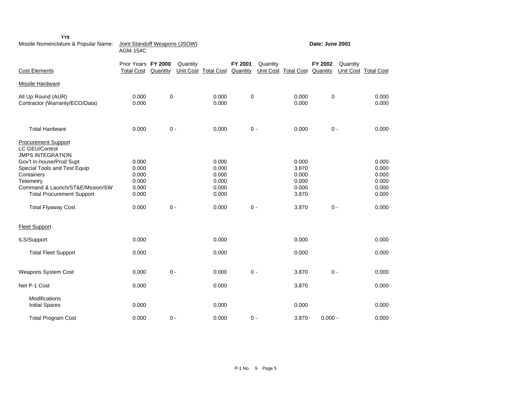| Missile Nomenclature & Popular Name:                                                                                                                                                                                                                               | Joint Standoff Weapons (JSOW)<br><b>AGM-154C</b>            |           |          |                                                             |         |          |                                                             | Date: June 2001 |          |                                                             |
|--------------------------------------------------------------------------------------------------------------------------------------------------------------------------------------------------------------------------------------------------------------------|-------------------------------------------------------------|-----------|----------|-------------------------------------------------------------|---------|----------|-------------------------------------------------------------|-----------------|----------|-------------------------------------------------------------|
| <b>Cost Elements</b>                                                                                                                                                                                                                                               | Prior Years FY 2000<br><b>Total Cost</b>                    | Quantity  | Quantity | Unit Cost Total Cost Quantity                               | FY 2001 | Quantity | Unit Cost Total Cost Quantity                               | FY 2002         | Quantity | Unit Cost Total Cost                                        |
| Missile Hardware                                                                                                                                                                                                                                                   |                                                             |           |          |                                                             |         |          |                                                             |                 |          |                                                             |
| All Up Round (AUR)<br>Contractor (Warranty/ECO/Data)                                                                                                                                                                                                               | 0.000<br>0.000                                              | $\pmb{0}$ |          | 0.000<br>0.000                                              | 0       |          | 0.000<br>0.000                                              | 0               |          | 0.000<br>0.000                                              |
| <b>Total Hardware</b>                                                                                                                                                                                                                                              | 0.000                                                       | $0 -$     |          | 0.000                                                       |         | $0 -$    | 0.000                                                       | $0 -$           |          | 0.000                                                       |
| <b>Procurement Support</b><br>LC GEU/Control<br><b>JMPS INTEGRATION</b><br>Gov't In-house/Prod Supt<br>Special Tools and Test Equip<br>Containers<br>Telemetry<br>Command & Launch/ST&E/Mssion/SW<br><b>Total Procurement Support</b><br><b>Total Flyaway Cost</b> | 0.000<br>0.000<br>0.000<br>0.000<br>0.000<br>0.000<br>0.000 | $0 -$     |          | 0.000<br>0.000<br>0.000<br>0.000<br>0.000<br>0.000<br>0.000 |         | $0 -$    | 0.000<br>3.870<br>0.000<br>0.000<br>0.000<br>3.870<br>3.870 | $0 -$           |          | 0.000<br>0.000<br>0.000<br>0.000<br>0.000<br>0.000<br>0.000 |
| <b>Fleet Support</b>                                                                                                                                                                                                                                               |                                                             |           |          |                                                             |         |          |                                                             |                 |          |                                                             |
| ILS/Support                                                                                                                                                                                                                                                        | 0.000                                                       |           |          | 0.000                                                       |         |          | 0.000                                                       |                 |          | 0.000                                                       |
| <b>Total Fleet Support</b>                                                                                                                                                                                                                                         | 0.000                                                       |           |          | 0.000                                                       |         |          | 0.000                                                       |                 |          | 0.000                                                       |
| <b>Weapons System Cost</b>                                                                                                                                                                                                                                         | 0.000                                                       | $0 -$     |          | 0.000                                                       |         | $0 -$    | 3.870                                                       | $0 -$           |          | 0.000                                                       |
| Net P-1 Cost                                                                                                                                                                                                                                                       | 0.000                                                       |           |          | 0.000                                                       |         |          | 3.870                                                       |                 |          | 0.000                                                       |
| Modifications<br><b>Initial Spares</b>                                                                                                                                                                                                                             | 0.000                                                       |           |          | 0.000                                                       |         |          | 0.000                                                       |                 |          | 0.000                                                       |
| <b>Total Program Cost</b>                                                                                                                                                                                                                                          | 0.000                                                       | $0 -$     |          | 0.000                                                       |         | $0 -$    | 3.870                                                       | $0.000 -$       |          | 0.000                                                       |

**TY\$**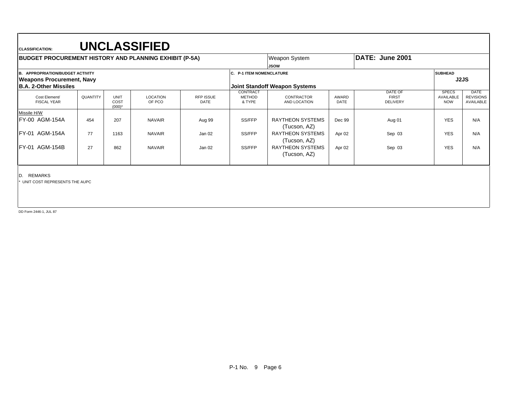| <b>BUDGET PROCUREMENT HISTORY AND PLANNING EXHIBIT (P-5A)</b> |          |                           |                           |                          |                                     | Weapon System                           |                      | DATE: June 2001                            |                                                |                                              |
|---------------------------------------------------------------|----------|---------------------------|---------------------------|--------------------------|-------------------------------------|-----------------------------------------|----------------------|--------------------------------------------|------------------------------------------------|----------------------------------------------|
|                                                               |          |                           |                           |                          |                                     | <b>JSOW</b>                             |                      |                                            |                                                |                                              |
| <b>APPROPRIATION/BUDGET ACTIVITY</b><br>IB.                   |          |                           |                           |                          | <b>C. P-1 ITEM NOMENCLATURE</b>     |                                         |                      |                                            | <b>SUBHEAD</b>                                 |                                              |
| <b>Weapons Procurement, Navy</b>                              |          |                           |                           |                          |                                     |                                         |                      |                                            |                                                | J2JS                                         |
| <b>B.A. 2-Other Missiles</b>                                  |          |                           |                           |                          |                                     | <b>Joint Standoff Weapon Systems</b>    |                      |                                            |                                                |                                              |
| Cost Element/<br><b>FISCAL YEAR</b>                           | QUANTITY | UNIT<br>COST<br>$(000)^*$ | <b>LOCATION</b><br>OF PCO | RFP ISSUE<br><b>DATE</b> | CONTRACT<br><b>METHOD</b><br>& TYPE | <b>CONTRACTOR</b><br>AND LOCATION       | AWARD<br><b>DATE</b> | DATE OF<br><b>FIRST</b><br><b>DELIVERY</b> | <b>SPECS</b><br><b>AVAILABLE</b><br><b>NOW</b> | <b>DATE</b><br><b>REVISIONS</b><br>AVAILABLE |
| Missile H/W                                                   |          |                           |                           |                          |                                     |                                         |                      |                                            |                                                |                                              |
| FY-00 AGM-154A                                                | 454      | 207                       | <b>NAVAIR</b>             | Aug 99                   | SS/FFP                              | <b>RAYTHEON SYSTEMS</b><br>(Tucson, AZ) | Dec 99               | Aug 01                                     | <b>YES</b>                                     | N/A                                          |
| <b>FY-01 AGM-154A</b>                                         | 77       | 1163                      | <b>NAVAIR</b>             | Jan 02                   | SS/FFP                              | <b>RAYTHEON SYSTEMS</b><br>(Tucson, AZ) | Apr 02               | Sep 03                                     | <b>YES</b>                                     | N/A                                          |
| <b>IFY-01 AGM-154B</b>                                        | 27       | 862                       | <b>NAVAIR</b>             | Jan 02                   | SS/FFP                              | <b>RAYTHEON SYSTEMS</b><br>(Tucson, AZ) | Apr 02               | Sep 03                                     | <b>YES</b>                                     | N/A                                          |

D. REMARKS

\* UNIT COST REPRESENTS THE AUPC

DD Form 2446-1, JUL 87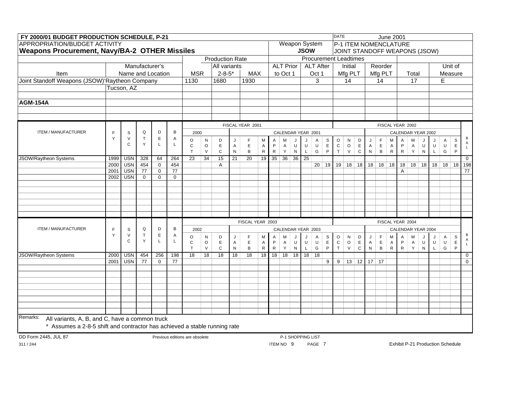| FY 2000/01 BUDGET PRODUCTION SCHEDULE, P-21                               |              |                                |                             |                             |                             |                                |                   |                        |                   |                  |                             |                          |                  |                    |             |                              |                            | <b>DATE</b>         |                       |                            |                           |                            | <b>June 2001</b>            |                   |                     |                               |                                         |              |                  |                   |
|---------------------------------------------------------------------------|--------------|--------------------------------|-----------------------------|-----------------------------|-----------------------------|--------------------------------|-------------------|------------------------|-------------------|------------------|-----------------------------|--------------------------|------------------|--------------------|-------------|------------------------------|----------------------------|---------------------|-----------------------|----------------------------|---------------------------|----------------------------|-----------------------------|-------------------|---------------------|-------------------------------|-----------------------------------------|--------------|------------------|-------------------|
| <b>APPROPRIATION/BUDGET ACTIVITY</b>                                      |              |                                |                             |                             |                             |                                |                   |                        |                   |                  |                             |                          |                  |                    |             | <b>Weapon System</b>         |                            |                     |                       |                            | P-1 ITEM NOMENCLATURE     |                            |                             |                   |                     |                               |                                         |              |                  |                   |
| <b>Weapons Procurement, Navy/BA-2 OTHER Missiles</b>                      |              |                                |                             |                             |                             |                                |                   |                        |                   |                  |                             |                          |                  |                    | <b>JSOW</b> |                              |                            |                     |                       |                            |                           |                            |                             |                   |                     | JOINT STANDOFF WEAPONS (JSOW) |                                         |              |                  |                   |
|                                                                           |              |                                |                             |                             |                             |                                |                   | <b>Production Rate</b> |                   |                  |                             |                          |                  |                    |             | <b>Procurement Leadtimes</b> |                            |                     |                       |                            |                           |                            |                             |                   |                     |                               |                                         |              |                  |                   |
|                                                                           |              |                                | Manufacturer's              |                             |                             |                                |                   | All variants           |                   |                  |                             |                          | <b>ALT Prior</b> |                    |             | <b>ALT After</b>             |                            |                     | Initial               |                            |                           | Reorder                    |                             |                   |                     |                               |                                         |              | Unit of          |                   |
| Item                                                                      |              | Name and Location              |                             |                             |                             | <b>MSR</b>                     |                   | $2 - 8 - 5*$           |                   | <b>MAX</b>       |                             |                          | to Oct 1         |                    |             | Oct 1                        |                            |                     | Mfg PLT               |                            |                           | Mfg PLT                    |                             |                   | Total               |                               |                                         |              | Measure          |                   |
| Joint Standoff Weapons (JSOW)'Raytheon Company                            |              |                                |                             |                             |                             | 1130                           |                   | 1680                   |                   | 1930             |                             |                          |                  |                    |             | 3                            |                            |                     | 14                    |                            |                           | 14                         |                             |                   | 17                  |                               |                                         | E            |                  |                   |
|                                                                           |              | Tucson, AZ                     |                             |                             |                             |                                |                   |                        |                   |                  |                             |                          |                  |                    |             |                              |                            |                     |                       |                            |                           |                            |                             |                   |                     |                               |                                         |              |                  |                   |
| <b>AGM-154A</b>                                                           |              |                                |                             |                             |                             |                                |                   |                        |                   |                  |                             |                          |                  |                    |             |                              |                            |                     |                       |                            |                           |                            |                             |                   |                     |                               |                                         |              |                  |                   |
|                                                                           |              |                                |                             |                             |                             |                                |                   |                        |                   |                  |                             |                          |                  |                    |             |                              |                            |                     |                       |                            |                           |                            |                             |                   |                     |                               |                                         |              |                  |                   |
|                                                                           |              |                                |                             |                             |                             |                                |                   |                        |                   |                  |                             |                          |                  |                    |             |                              |                            |                     |                       |                            |                           |                            |                             |                   |                     |                               |                                         |              |                  |                   |
|                                                                           |              |                                |                             |                             |                             |                                |                   |                        |                   | FISCAL YEAR 2001 |                             |                          |                  |                    |             |                              |                            |                     |                       |                            |                           |                            | FISCAL YEAR 2002            |                   |                     |                               |                                         |              |                  |                   |
| <b>ITEM / MANUFACTURER</b>                                                | F            | $\mathsf S$                    | $\mathsf Q$                 | D                           | B                           | 2000                           |                   |                        |                   |                  |                             |                          |                  | CALENDAR YEAR 2001 |             |                              |                            |                     |                       |                            |                           |                            |                             |                   |                     | CALENDAR YEAR 2002            |                                         |              |                  |                   |
|                                                                           | Y            | $\vee$<br>$\mathsf{C}$         | T<br>Y                      | $\mathsf E$<br>$\mathsf{L}$ | Α<br>L                      | O                              | N                 | D                      | J                 | F                | M                           | Α                        | M                | IJ                 | J           | Α                            | S                          | $\circ$             | ${\sf N}$             | D                          | J                         | $\mathsf F$                | м                           | Α                 | M                   | J                             |                                         | A            | S                | В<br>$\mathsf{A}$ |
|                                                                           |              |                                |                             |                             |                             | $\mathbf C$<br>T               | $\circ$<br>$\vee$ | E<br>$\mathsf{C}$      | A<br>$\mathsf{N}$ | $\mathsf E$<br>B | $\mathsf{A}$<br>${\sf R}$   | $\mathsf P$<br>${\sf R}$ | $\mathsf A$<br>Y | U<br>N             | $\cup$<br>L | $\sf U$<br>G                 | $\mathsf E$<br>P           | ${\rm c}$<br>$\top$ | $\mathsf O$<br>$\vee$ | $\mathsf E$<br>$\mathbf C$ | $\mathsf A$<br>${\sf N}$  | $\mathsf E$<br>$\mathsf B$ | A<br>${\sf R}$              | P<br>${\sf R}$    | $\mathsf{A}$<br>Y   | U<br>${\sf N}$                | $\sf U$<br>$\mathsf L$                  | $\sf U$<br>G | $\mathsf E$<br>P | $\mathsf{L}$      |
| JSOW/Raytheon Systems                                                     | 1999         | <b>USN</b>                     | 328                         | 64                          | 264                         | $\overline{23}$                | $\overline{34}$   | 15                     | $\overline{21}$   | $\overline{20}$  | 19                          | 35 <sup>5</sup>          | 36               | 36                 | 25          |                              |                            |                     |                       |                            |                           |                            |                             |                   |                     |                               |                                         |              |                  | $\mathbf 0$       |
|                                                                           | 2000         | <b>USN</b>                     | 454                         | $\mathbf 0$                 | 454                         |                                |                   | A                      |                   |                  |                             |                          |                  |                    |             | 20                           | 19                         |                     | 19 18 18              |                            |                           |                            | $18$ 18 18                  | 18                |                     | $18$ 18                       |                                         | 18 18        |                  | 18 198            |
|                                                                           | 2001<br>2002 | <b>USN</b><br>$\overline{USN}$ | $\overline{77}$<br>$\Omega$ | $\mathbf 0$<br>$\Omega$     | $\overline{77}$<br>$\Omega$ |                                |                   |                        |                   |                  |                             |                          |                  |                    |             |                              |                            |                     |                       |                            |                           |                            |                             | A                 |                     |                               |                                         |              |                  | $\overline{77}$   |
|                                                                           |              |                                |                             |                             |                             |                                |                   |                        |                   |                  |                             |                          |                  |                    |             |                              |                            |                     |                       |                            |                           |                            |                             |                   |                     |                               |                                         |              |                  |                   |
|                                                                           |              |                                |                             |                             |                             |                                |                   |                        |                   |                  |                             |                          |                  |                    |             |                              |                            |                     |                       |                            |                           |                            |                             |                   |                     |                               |                                         |              |                  |                   |
|                                                                           |              |                                |                             |                             |                             |                                |                   |                        |                   |                  |                             |                          |                  |                    |             |                              |                            |                     |                       |                            |                           |                            |                             |                   |                     |                               |                                         |              |                  |                   |
|                                                                           |              |                                |                             |                             |                             |                                |                   |                        |                   |                  |                             |                          |                  |                    |             |                              |                            |                     |                       |                            |                           |                            |                             |                   |                     |                               |                                         |              |                  |                   |
|                                                                           |              |                                |                             |                             |                             |                                |                   |                        |                   |                  |                             |                          |                  |                    |             |                              |                            |                     |                       |                            |                           |                            |                             |                   |                     |                               |                                         |              |                  |                   |
|                                                                           |              |                                |                             |                             |                             |                                |                   |                        |                   | FISCAL YEAR 2003 |                             |                          |                  |                    |             |                              |                            |                     |                       |                            |                           |                            | FISCAL YEAR 2004            |                   |                     |                               |                                         |              |                  |                   |
| ITEM / MANUFACTURER                                                       | E            | $\mathsf s$                    | Q                           | D                           | B                           | 2002                           |                   |                        |                   |                  |                             |                          |                  |                    |             | CALENDAR YEAR 2003           |                            |                     |                       |                            |                           |                            |                             |                   |                     | CALENDAR YEAR 2004            |                                         |              |                  |                   |
|                                                                           | Y            | $\vee$                         | $\mathsf{T}$                | $\mathsf E$                 | Α                           | $\circ$                        | ${\sf N}$         | D                      | J                 | F                | M                           | A                        | м                |                    |             | A                            | S                          | $\circ$             | ${\sf N}$             | D                          | J                         | $\mathsf F$                | м                           | Α                 | M                   |                               |                                         | $\mathsf A$  | S                | В<br>Α            |
|                                                                           |              | $\mathsf{C}$                   | Y                           | L                           | L                           | $\mathsf C$<br>T               | $\circ$<br>$\vee$ | E.<br>$\mathbf C$      | A<br>$\mathsf{N}$ | E<br>$\sf B$     | $\overline{A}$<br>${\sf R}$ | P<br>${\sf R}$           | A<br>Y           | U<br>$\mathsf{N}$  | U<br>L      | $\cup$<br>G                  | $\mathsf E$<br>$\mathsf P$ | $\mathbf C$<br>T    | $\circ$<br>$\vee$     | $\mathsf E$<br>$\mathbf C$ | $\mathsf{A}$<br>${\sf N}$ | $\mathsf E$<br>B           | $\overline{A}$<br>${\sf R}$ | P<br>$\mathsf{R}$ | $\overline{A}$<br>Y | U<br>${\sf N}$                | U<br>L                                  | $\sf U$<br>G | $\mathsf E$<br>P |                   |
| JSOW/Raytheon Systems                                                     | 2000         | <b>USN</b>                     | 454                         | 256                         | 198                         | 18                             | 18                | 18                     | 18                | 18               | 18                          | 18                       |                  | $18$ 18            | 18          | 18                           |                            |                     |                       |                            |                           |                            |                             |                   |                     |                               |                                         |              |                  | $\mathbf 0$       |
|                                                                           | 2001         | <b>USN</b>                     | 77                          | $\Omega$                    | 77                          |                                |                   |                        |                   |                  |                             |                          |                  |                    |             |                              | 9                          | 9                   |                       | $13 \mid 12 \mid$          |                           | 17 17                      |                             |                   |                     |                               |                                         |              |                  | $\mathbf{0}$      |
|                                                                           |              |                                |                             |                             |                             |                                |                   |                        |                   |                  |                             |                          |                  |                    |             |                              |                            |                     |                       |                            |                           |                            |                             |                   |                     |                               |                                         |              |                  |                   |
|                                                                           |              |                                |                             |                             |                             |                                |                   |                        |                   |                  |                             |                          |                  |                    |             |                              |                            |                     |                       |                            |                           |                            |                             |                   |                     |                               |                                         |              |                  |                   |
|                                                                           |              |                                |                             |                             |                             |                                |                   |                        |                   |                  |                             |                          |                  |                    |             |                              |                            |                     |                       |                            |                           |                            |                             |                   |                     |                               |                                         |              |                  |                   |
|                                                                           |              |                                |                             |                             |                             |                                |                   |                        |                   |                  |                             |                          |                  |                    |             |                              |                            |                     |                       |                            |                           |                            |                             |                   |                     |                               |                                         |              |                  |                   |
|                                                                           |              |                                |                             |                             |                             |                                |                   |                        |                   |                  |                             |                          |                  |                    |             |                              |                            |                     |                       |                            |                           |                            |                             |                   |                     |                               |                                         |              |                  |                   |
|                                                                           |              |                                |                             |                             |                             |                                |                   |                        |                   |                  |                             |                          |                  |                    |             |                              |                            |                     |                       |                            |                           |                            |                             |                   |                     |                               |                                         |              |                  |                   |
| Remarks:<br>All variants, A, B, and C, have a common truck                |              |                                |                             |                             |                             |                                |                   |                        |                   |                  |                             |                          |                  |                    |             |                              |                            |                     |                       |                            |                           |                            |                             |                   |                     |                               |                                         |              |                  |                   |
| * Assumes a 2-8-5 shift and contractor has achieved a stable running rate |              |                                |                             |                             |                             |                                |                   |                        |                   |                  |                             |                          |                  |                    |             |                              |                            |                     |                       |                            |                           |                            |                             |                   |                     |                               |                                         |              |                  |                   |
|                                                                           |              |                                |                             |                             |                             |                                |                   |                        |                   |                  |                             |                          |                  |                    |             |                              |                            |                     |                       |                            |                           |                            |                             |                   |                     |                               |                                         |              |                  |                   |
| DD Form 2445, JUL 87                                                      |              |                                |                             |                             |                             | Previous editions are obsolete |                   |                        |                   |                  |                             |                          | ITEM NO 9        | P-1 SHOPPING LIST  |             | PAGE 7                       |                            |                     |                       |                            |                           |                            |                             |                   |                     |                               | <b>Exhibit P-21 Production Schedule</b> |              |                  |                   |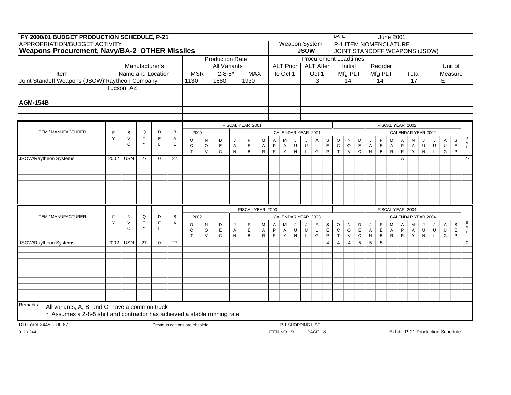| FY 2000/01 BUDGET PRODUCTION SCHEDULE, P-21                               |      |              |                                                                                                                                                                                                                                                  |              |    |                                |        |                        |              |                  |           |           |                    |           |             |                              |                | <b>DATE</b>               |                   |                            |                               |                             | <b>June 2001</b>            |                             |                     |                    |              |              |                  |                 |
|---------------------------------------------------------------------------|------|--------------|--------------------------------------------------------------------------------------------------------------------------------------------------------------------------------------------------------------------------------------------------|--------------|----|--------------------------------|--------|------------------------|--------------|------------------|-----------|-----------|--------------------|-----------|-------------|------------------------------|----------------|---------------------------|-------------------|----------------------------|-------------------------------|-----------------------------|-----------------------------|-----------------------------|---------------------|--------------------|--------------|--------------|------------------|-----------------|
| <b>APPROPRIATION/BUDGET ACTIVITY</b>                                      |      |              |                                                                                                                                                                                                                                                  |              |    |                                |        |                        |              |                  |           |           |                    |           |             | <b>Weapon System</b>         |                |                           |                   |                            | P-1 ITEM NOMENCLATURE         |                             |                             |                             |                     |                    |              |              |                  |                 |
| <b>Weapons Procurement, Navy/BA-2 OTHER Missiles</b>                      |      |              |                                                                                                                                                                                                                                                  |              |    |                                |        |                        |              |                  |           |           |                    |           | <b>JSOW</b> |                              |                |                           |                   |                            | JOINT STANDOFF WEAPONS (JSOW) |                             |                             |                             |                     |                    |              |              |                  |                 |
|                                                                           |      |              |                                                                                                                                                                                                                                                  |              |    |                                |        | <b>Production Rate</b> |              |                  |           |           |                    |           |             | <b>Procurement Leadtimes</b> |                |                           |                   |                            |                               |                             |                             |                             |                     |                    |              |              |                  |                 |
|                                                                           |      |              | Manufacturer's                                                                                                                                                                                                                                   |              |    |                                |        | <b>All Variants</b>    |              |                  |           |           | <b>ALT Prior</b>   |           |             | <b>ALT After</b>             |                |                           | Initial           |                            |                               | Reorder                     |                             |                             |                     |                    |              |              | Unit of          |                 |
| Item                                                                      |      |              | Name and Location                                                                                                                                                                                                                                |              |    | <b>MSR</b>                     |        | $2 - 8 - 5*$           |              | <b>MAX</b>       |           |           | to Oct 1           |           |             | Oct 1                        |                |                           | Mfg PLT           |                            |                               | Mfg PLT                     |                             |                             | Total               |                    |              |              | Measure          |                 |
| Joint Standoff Weapons (JSOW)'Raytheon Company                            |      |              |                                                                                                                                                                                                                                                  |              |    | 1130                           |        | 1680                   |              | 1930             |           |           |                    |           |             | 3                            |                |                           | 14                |                            |                               | 14                          |                             |                             | 17                  |                    |              | E            |                  |                 |
|                                                                           |      | Tucson, AZ   |                                                                                                                                                                                                                                                  |              |    |                                |        |                        |              |                  |           |           |                    |           |             |                              |                |                           |                   |                            |                               |                             |                             |                             |                     |                    |              |              |                  |                 |
|                                                                           |      |              |                                                                                                                                                                                                                                                  |              |    |                                |        |                        |              |                  |           |           |                    |           |             |                              |                |                           |                   |                            |                               |                             |                             |                             |                     |                    |              |              |                  |                 |
| <b>AGM-154B</b>                                                           |      |              |                                                                                                                                                                                                                                                  |              |    |                                |        |                        |              |                  |           |           |                    |           |             |                              |                |                           |                   |                            |                               |                             |                             |                             |                     |                    |              |              |                  |                 |
|                                                                           |      |              |                                                                                                                                                                                                                                                  |              |    |                                |        |                        |              |                  |           |           |                    |           |             |                              |                |                           |                   |                            |                               |                             |                             |                             |                     |                    |              |              |                  |                 |
|                                                                           |      |              |                                                                                                                                                                                                                                                  |              |    |                                |        |                        |              |                  |           |           |                    |           |             |                              |                |                           |                   |                            |                               |                             |                             |                             |                     |                    |              |              |                  |                 |
|                                                                           |      |              | FISCAL YEAR 2001<br>Q<br>D<br>B<br>2000<br>CALENDAR YEAR 2001<br>$\mathsf E$<br>T<br>Α<br>$\circ$<br>${\sf N}$<br>D<br>F<br>М<br>A<br>S<br>м<br>Α<br>J<br>J<br>J<br>Y<br>L<br>L                                                                  |              |    |                                |        |                        |              |                  |           |           |                    |           |             |                              |                |                           |                   |                            |                               | FISCAL YEAR 2002            |                             |                             |                     |                    |              |              |                  |                 |
| ITEM / MANUFACTURER                                                       | E    | S            | $\sf U$<br>$\circ$<br>E<br>E<br>P<br>U<br>$\sf U$<br>$\mathsf{C}$<br>$\mathsf{A}$<br>$\mathsf{A}$<br>$\mathsf{A}$<br>$\mathsf P$<br>$\vee$<br>$\mathsf{C}$<br>B<br>${\sf R}$<br>$\mathsf{R}$<br>Y<br>G<br>T<br>$\mathsf{N}$<br>N<br>$\mathsf{L}$ |              |    |                                |        |                        |              |                  |           |           |                    |           |             |                              |                |                           |                   |                            |                               |                             |                             |                             |                     | CALENDAR YEAR 2002 |              |              |                  |                 |
|                                                                           | Y    | $\vee$       |                                                                                                                                                                                                                                                  | $\mathsf E$  |    |                                |        |                        |              |                  |           |           |                    |           | $\circ$     | N                            | D              | J                         | $\mathsf F$       | М                          | A                             | M                           | J                           | J                           | A                   | S                  | B<br>A       |              |                  |                 |
|                                                                           |      | $\mathsf{C}$ |                                                                                                                                                                                                                                                  |              |    |                                |        |                        |              |                  |           |           |                    |           |             |                              |                | ${\bf C}$<br>$\mathsf{T}$ | $\circ$<br>$\vee$ | $\mathsf E$<br>$\mathbf C$ | $\mathsf{A}$<br>N             | $\mathsf E$<br>$\, {\sf B}$ | $\overline{A}$<br>${\sf R}$ | $\mathsf P$<br>$\mathsf{R}$ | $\overline{A}$<br>Y | U<br>${\sf N}$     | $\sf U$<br>L | $\sf U$<br>G | $\mathsf E$<br>P | $\mathsf L$     |
| JSOW/Raytheon Systems                                                     | 2002 | <b>USN</b>   | 27                                                                                                                                                                                                                                               | $\mathbf 0$  | 27 |                                |        |                        |              |                  |           |           |                    |           |             |                              |                |                           |                   |                            |                               |                             |                             | A                           |                     |                    |              |              |                  | $\overline{27}$ |
|                                                                           |      |              |                                                                                                                                                                                                                                                  |              |    |                                |        |                        |              |                  |           |           |                    |           |             |                              |                |                           |                   |                            |                               |                             |                             |                             |                     |                    |              |              |                  |                 |
|                                                                           |      |              |                                                                                                                                                                                                                                                  |              |    |                                |        |                        |              |                  |           |           |                    |           |             |                              |                |                           |                   |                            |                               |                             |                             |                             |                     |                    |              |              |                  |                 |
|                                                                           |      |              |                                                                                                                                                                                                                                                  |              |    |                                |        |                        |              |                  |           |           |                    |           |             |                              |                |                           |                   |                            |                               |                             |                             |                             |                     |                    |              |              |                  |                 |
|                                                                           |      |              |                                                                                                                                                                                                                                                  |              |    |                                |        |                        |              |                  |           |           |                    |           |             |                              |                |                           |                   |                            |                               |                             |                             |                             |                     |                    |              |              |                  |                 |
|                                                                           |      |              |                                                                                                                                                                                                                                                  |              |    |                                |        |                        |              |                  |           |           |                    |           |             |                              |                |                           |                   |                            |                               |                             |                             |                             |                     |                    |              |              |                  |                 |
|                                                                           |      |              |                                                                                                                                                                                                                                                  |              |    |                                |        |                        |              |                  |           |           |                    |           |             |                              |                |                           |                   |                            |                               |                             |                             |                             |                     |                    |              |              |                  |                 |
|                                                                           |      |              |                                                                                                                                                                                                                                                  |              |    |                                |        |                        |              | FISCAL YEAR 2003 |           |           |                    |           |             |                              |                |                           |                   |                            |                               |                             | FISCAL YEAR 2004            |                             |                     |                    |              |              |                  |                 |
| ITEM / MANUFACTURER                                                       | F    | $\mathsf S$  | Q                                                                                                                                                                                                                                                | D            | B  | 2002                           |        |                        |              |                  |           |           | CALENDAR YEAR 2003 |           |             |                              |                |                           |                   |                            |                               |                             |                             |                             |                     | CALENDAR YEAR 2004 |              |              |                  |                 |
|                                                                           | Y    | $\vee$       | $\top$                                                                                                                                                                                                                                           | $\mathsf E$  | Α  | $\circ$                        | N      | D                      | J            | F                | M         | A         | M                  |           |             | $\mathsf{A}$                 | ${\tt S}$      | $\circ$                   | N                 | D                          | J                             | $\mathsf F$                 | M                           | $\overline{A}$              | M                   |                    | J            | A            | $\mathbb S$      | B               |
|                                                                           |      | $\mathsf{C}$ | Y                                                                                                                                                                                                                                                | $\mathsf{L}$ | L  | $\mathsf{C}$                   | O      | E                      | Α            | E                | A         | P         | $\mathsf{A}$       | U         | U           | $\sf U$                      | $\mathsf E$    | $\mathtt{C}$              | $\circ$           | $\mathsf E$                | $\mathsf{A}$                  | $\mathsf E$                 | $\mathsf{A}$                | $\mathsf P$                 | A                   | U                  | U            | $\sf U$      | $\mathsf E$      | Α               |
|                                                                           |      |              |                                                                                                                                                                                                                                                  |              |    | T                              | $\vee$ | $\mathsf{C}$           | $\mathsf{N}$ | B                | ${\sf R}$ | ${\sf R}$ | Y                  | ${\sf N}$ | $\mathsf L$ | G                            | $\mathsf P$    | T                         | $\vee$            | $\mathbf C$                | ${\sf N}$                     | $\, {\sf B}$                | ${\sf R}$                   | ${\sf R}$                   | Y                   | $\mathsf{N}$       | $\mathsf L$  | G            | P                |                 |
| <b>JSOW/Raytheon Systems</b>                                              | 2002 | <b>USN</b>   | 27                                                                                                                                                                                                                                               | $\mathbf 0$  | 27 |                                |        |                        |              |                  |           |           |                    |           |             |                              | $\overline{4}$ | $\overline{4}$            | $\overline{4}$    | 5                          | 5 <sup>1</sup>                | 5                           |                             |                             |                     |                    |              |              |                  | $\overline{0}$  |
|                                                                           |      |              |                                                                                                                                                                                                                                                  |              |    |                                |        |                        |              |                  |           |           |                    |           |             |                              |                |                           |                   |                            |                               |                             |                             |                             |                     |                    |              |              |                  |                 |
|                                                                           |      |              |                                                                                                                                                                                                                                                  |              |    |                                |        |                        |              |                  |           |           |                    |           |             |                              |                |                           |                   |                            |                               |                             |                             |                             |                     |                    |              |              |                  |                 |
|                                                                           |      |              |                                                                                                                                                                                                                                                  |              |    |                                |        |                        |              |                  |           |           |                    |           |             |                              |                |                           |                   |                            |                               |                             |                             |                             |                     |                    |              |              |                  |                 |
|                                                                           |      |              |                                                                                                                                                                                                                                                  |              |    |                                |        |                        |              |                  |           |           |                    |           |             |                              |                |                           |                   |                            |                               |                             |                             |                             |                     |                    |              |              |                  |                 |
|                                                                           |      |              |                                                                                                                                                                                                                                                  |              |    |                                |        |                        |              |                  |           |           |                    |           |             |                              |                |                           |                   |                            |                               |                             |                             |                             |                     |                    |              |              |                  |                 |
|                                                                           |      |              |                                                                                                                                                                                                                                                  |              |    |                                |        |                        |              |                  |           |           |                    |           |             |                              |                |                           |                   |                            |                               |                             |                             |                             |                     |                    |              |              |                  |                 |
|                                                                           |      |              |                                                                                                                                                                                                                                                  |              |    |                                |        |                        |              |                  |           |           |                    |           |             |                              |                |                           |                   |                            |                               |                             |                             |                             |                     |                    |              |              |                  |                 |
| Remarks:<br>All variants, A, B, and C, have a common truck                |      |              |                                                                                                                                                                                                                                                  |              |    |                                |        |                        |              |                  |           |           |                    |           |             |                              |                |                           |                   |                            |                               |                             |                             |                             |                     |                    |              |              |                  |                 |
| * Assumes a 2-8-5 shift and contractor has achieved a stable running rate |      |              |                                                                                                                                                                                                                                                  |              |    |                                |        |                        |              |                  |           |           |                    |           |             |                              |                |                           |                   |                            |                               |                             |                             |                             |                     |                    |              |              |                  |                 |
|                                                                           |      |              |                                                                                                                                                                                                                                                  |              |    |                                |        |                        |              |                  |           |           |                    |           |             |                              |                |                           |                   |                            |                               |                             |                             |                             |                     |                    |              |              |                  |                 |
| DD Form 2445, JUL 87                                                      |      |              |                                                                                                                                                                                                                                                  |              |    | Previous editions are obsolete |        |                        |              |                  |           |           | P-1 SHOPPING LIST  |           |             |                              |                |                           |                   |                            |                               |                             |                             |                             |                     |                    |              |              |                  |                 |

ITEM NO 9 PAGE 8

Exhibit P-21 Production Schedule

311 / 244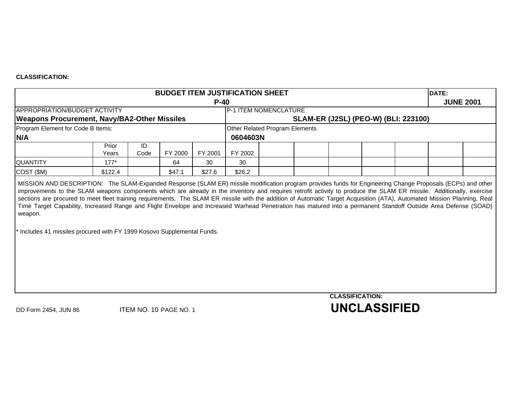### **CLASSIFICATION:**

|                                                                                    |                |            |         |         | <b>BUDGET ITEM JUSTIFICATION SHEET</b> |                                             |                        | DATE: |                  |
|------------------------------------------------------------------------------------|----------------|------------|---------|---------|----------------------------------------|---------------------------------------------|------------------------|-------|------------------|
|                                                                                    |                |            |         | $P-40$  |                                        |                                             |                        |       | <b>JUNE 2001</b> |
| APPROPRIATION/BUDGET ACTIVITY                                                      |                |            |         |         | P-1 ITEM NOMENCLATURE                  |                                             |                        |       |                  |
| <b>Weapons Procurement, Navy/BA2-Other Missiles</b>                                |                |            |         |         |                                        | <b>SLAM-ER (J2SL) (PEO-W) (BLI: 223100)</b> |                        |       |                  |
| Program Element for Code B Items:                                                  |                |            |         |         | Other Related Program Elements         |                                             |                        |       |                  |
| N/A                                                                                |                |            |         |         | 0604603N                               |                                             |                        |       |                  |
|                                                                                    | Prior<br>Years | ID<br>Code | FY 2000 | FY 2001 | FY 2002                                |                                             |                        |       |                  |
| QUANTITY                                                                           | $177*$         |            | 64      | 30      | 30                                     |                                             |                        |       |                  |
| COST (\$M)                                                                         | \$122.4        |            | \$47.1  | \$27.6  | \$26.2                                 |                                             |                        |       |                  |
| weapon.<br>* Includes 41 missiles procured with FY 1999 Kosovo Supplemental Funds. |                |            |         |         |                                        |                                             |                        |       |                  |
|                                                                                    |                |            |         |         |                                        |                                             | <b>CLASSIFICATION:</b> |       |                  |
|                                                                                    |                |            |         |         |                                        |                                             |                        |       |                  |

DD Form 2454, JUN 86 ITEM NO. 10 PAGE NO. 1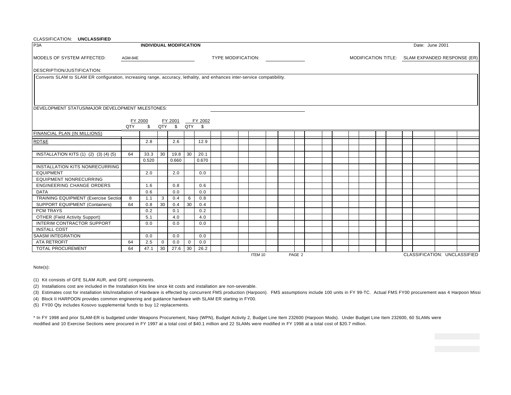| CLASSIFICATION: UNCLASSIFIED                                                                                             |                                                                                                                       |                                |              |       |             |       |  |                           |  |         |  |  |        |  |  |  |  |  |                                                 |                              |
|--------------------------------------------------------------------------------------------------------------------------|-----------------------------------------------------------------------------------------------------------------------|--------------------------------|--------------|-------|-------------|-------|--|---------------------------|--|---------|--|--|--------|--|--|--|--|--|-------------------------------------------------|------------------------------|
| P <sub>3</sub> A                                                                                                         |                                                                                                                       | <b>INDIVIDUAL MODIFICATION</b> |              |       |             |       |  |                           |  |         |  |  |        |  |  |  |  |  | Date: June 2001                                 |                              |
| MODELS OF SYSTEM AFFECTED:                                                                                               | AGM-84E                                                                                                               |                                |              |       |             |       |  | <b>TYPE MODIFICATION:</b> |  |         |  |  |        |  |  |  |  |  | MODIFICATION TITLE: SLAM EXPANDED RESPONSE (ER) |                              |
| DESCRIPTION/JUSTIFICATION:                                                                                               |                                                                                                                       |                                |              |       |             |       |  |                           |  |         |  |  |        |  |  |  |  |  |                                                 |                              |
| Converts SLAM to SLAM ER configuration, increasing range, accuracy, lethality, and enhances inter-service compatibility. |                                                                                                                       |                                |              |       |             |       |  |                           |  |         |  |  |        |  |  |  |  |  |                                                 |                              |
|                                                                                                                          |                                                                                                                       |                                |              |       |             |       |  |                           |  |         |  |  |        |  |  |  |  |  |                                                 |                              |
|                                                                                                                          |                                                                                                                       |                                |              |       |             |       |  |                           |  |         |  |  |        |  |  |  |  |  |                                                 |                              |
|                                                                                                                          |                                                                                                                       |                                |              |       |             |       |  |                           |  |         |  |  |        |  |  |  |  |  |                                                 |                              |
|                                                                                                                          | DEVELOPMENT STATUS/MAJOR DEVELOPMENT MILESTONES:<br>FY 2000<br>FY 2001<br>FY 2002<br>QTY \$<br>QTY<br>\$<br>QTY<br>\$ |                                |              |       |             |       |  |                           |  |         |  |  |        |  |  |  |  |  |                                                 |                              |
|                                                                                                                          |                                                                                                                       |                                |              |       |             |       |  |                           |  |         |  |  |        |  |  |  |  |  |                                                 |                              |
| FINANCIAL PLAN (IN MILLIONS)                                                                                             |                                                                                                                       |                                |              |       |             |       |  |                           |  |         |  |  |        |  |  |  |  |  |                                                 |                              |
| RDT&E                                                                                                                    |                                                                                                                       | 2.8                            |              | 2.6   |             | 12.9  |  |                           |  |         |  |  |        |  |  |  |  |  |                                                 |                              |
|                                                                                                                          |                                                                                                                       |                                |              |       |             |       |  |                           |  |         |  |  |        |  |  |  |  |  |                                                 |                              |
| INSTALLATION KITS (1) (2) (3) (4) (5)                                                                                    | 64                                                                                                                    | 33.3                           | 30           | 19.8  | 30          | 20.1  |  |                           |  |         |  |  |        |  |  |  |  |  |                                                 |                              |
|                                                                                                                          |                                                                                                                       | 0.520                          |              | 0.660 |             | 0.670 |  |                           |  |         |  |  |        |  |  |  |  |  |                                                 |                              |
| INSTALLATION KITS NONRECURRING                                                                                           |                                                                                                                       |                                |              |       |             |       |  |                           |  |         |  |  |        |  |  |  |  |  |                                                 |                              |
| <b>EQUIPMENT</b>                                                                                                         |                                                                                                                       | 2.0                            |              | 2.0   |             | 0.0   |  |                           |  |         |  |  |        |  |  |  |  |  |                                                 |                              |
| <b>EQUIPMENT NONRECURRING</b>                                                                                            |                                                                                                                       |                                |              |       |             |       |  |                           |  |         |  |  |        |  |  |  |  |  |                                                 |                              |
| <b>ENGINEERING CHANGE ORDERS</b>                                                                                         |                                                                                                                       | 1.6                            |              | 0.8   |             | 0.6   |  |                           |  |         |  |  |        |  |  |  |  |  |                                                 |                              |
| <b>DATA</b>                                                                                                              |                                                                                                                       | 0.6                            |              | 0.0   |             | 0.0   |  |                           |  |         |  |  |        |  |  |  |  |  |                                                 |                              |
| <b>TRAINING EQUIPMENT (Exercise Section</b>                                                                              | 8                                                                                                                     | 1.1                            | 3            | 0.4   | 6           | 0.8   |  |                           |  |         |  |  |        |  |  |  |  |  |                                                 |                              |
| SUPPORT EQUIPMENT (Containers)                                                                                           | 64                                                                                                                    | 0.8                            | 30           | 0.4   | 30          | 0.4   |  |                           |  |         |  |  |        |  |  |  |  |  |                                                 |                              |
| <b>PCM TRAYS</b>                                                                                                         |                                                                                                                       | 0.2                            |              | 0.1   |             | 0.2   |  |                           |  |         |  |  |        |  |  |  |  |  |                                                 |                              |
| <b>OTHER (Field Activity Support)</b>                                                                                    |                                                                                                                       | 5.1                            |              | 4.0   |             | 4.0   |  |                           |  |         |  |  |        |  |  |  |  |  |                                                 |                              |
| INTERIM CONTRACTOR SUPPORT                                                                                               |                                                                                                                       | 0.0                            |              | 0.0   |             | 0.0   |  |                           |  |         |  |  |        |  |  |  |  |  |                                                 |                              |
| <b>INSTALL COST</b>                                                                                                      |                                                                                                                       |                                |              |       |             |       |  |                           |  |         |  |  |        |  |  |  |  |  |                                                 |                              |
| <b>SAASM INTEGRATION</b>                                                                                                 |                                                                                                                       | 0.0                            |              | 0.0   |             | 0.0   |  |                           |  |         |  |  |        |  |  |  |  |  |                                                 |                              |
| ATA RETROFIT                                                                                                             | 64                                                                                                                    | 2.5                            | $\mathbf{0}$ | 0.0   | $\mathbf 0$ | 0.0   |  |                           |  |         |  |  |        |  |  |  |  |  |                                                 |                              |
| <b>TOTAL PROCUREMENT</b>                                                                                                 | 64                                                                                                                    | 47.1                           | 30           | 27.6  | 30          | 26.2  |  |                           |  |         |  |  |        |  |  |  |  |  |                                                 |                              |
|                                                                                                                          |                                                                                                                       |                                |              |       |             |       |  |                           |  | ITEM 10 |  |  | PAGE 2 |  |  |  |  |  |                                                 | CLASSIFICATION: UNCLASSIFIED |

#### Note(s):

(1) Kit consists of GFE SLAM AUR, and GFE components.

(2) Installations cost are included in the Installation Kits line since kit costs and installation are non-severable.

(3) Estimates cost for installation kits/installation of Hardware is effected by concurrent FMS production (Harpoon). FMS assumptions include 100 units in FY 99-TC. Actual FMS FY00 procurement was 4 Harpoon Missi

(4) Block II HARPOON provides common engineering and guidance hardware with SLAM ER starting in FY00.

(5) FY00 Qty includes Kosovo supplemental funds to buy 12 replacements.

\* In FY 1998 and prior SLAM-ER is budgeted under Weapons Procurement, Navy (WPN), Budget Activity 2, Budget Line Item 232600 (Harpoon Mods). Under Budget Line Item 232600, 60 SLAMs were modified and 10 Exercise Sections were procured in FY 1997 at a total cost of \$40.1 million and 22 SLAMs were modified in FY 1998 at a total cost of \$20.7 million.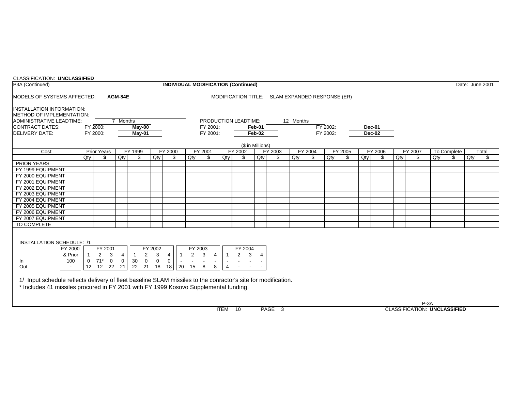| <b>CLASSIFICATION: UNCLASSIFIED</b>                                                                                                                                                                   |                |                                                      |                                                                                                                                                                                                                 |                                                              |                                |                                            |              |          |  |                                |                  |  |           |                                                 |          |  |        |        |             |        |       |  |                 |
|-------------------------------------------------------------------------------------------------------------------------------------------------------------------------------------------------------|----------------|------------------------------------------------------|-----------------------------------------------------------------------------------------------------------------------------------------------------------------------------------------------------------------|--------------------------------------------------------------|--------------------------------|--------------------------------------------|--------------|----------|--|--------------------------------|------------------|--|-----------|-------------------------------------------------|----------|--|--------|--------|-------------|--------|-------|--|-----------------|
| P3A (Continued)                                                                                                                                                                                       |                |                                                      |                                                                                                                                                                                                                 |                                                              |                                | <b>INDIVIDUAL MODIFICATION (Continued)</b> |              |          |  |                                |                  |  |           |                                                 |          |  |        |        |             |        |       |  | Date: June 2001 |
| MODELS OF SYSTEMS AFFECTED:                                                                                                                                                                           |                |                                                      | AGM-84E                                                                                                                                                                                                         |                                                              |                                |                                            |              |          |  |                                |                  |  |           | MODIFICATION TITLE: SLAM EXPANDED RESPONSE (ER) |          |  |        |        |             |        |       |  |                 |
| <b>IINSTALLATION INFORMATION:</b>                                                                                                                                                                     |                |                                                      |                                                                                                                                                                                                                 |                                                              |                                |                                            |              |          |  |                                |                  |  |           |                                                 |          |  |        |        |             |        |       |  |                 |
| METHOD OF IMPLEMENTATION:                                                                                                                                                                             |                |                                                      |                                                                                                                                                                                                                 |                                                              |                                |                                            |              |          |  |                                |                  |  |           |                                                 |          |  |        |        |             |        |       |  |                 |
| ADMINISTRATIVE LEADTIME:                                                                                                                                                                              |                |                                                      | 7 Months                                                                                                                                                                                                        |                                                              |                                |                                            |              |          |  | PRODUCTION LEADTIME:           |                  |  | 12 Months |                                                 |          |  |        |        |             |        |       |  |                 |
| CONTRACT DATES:                                                                                                                                                                                       |                | FY 2000:                                             |                                                                                                                                                                                                                 | $May-00$                                                     |                                |                                            |              | FY 2001: |  |                                | Feb-01           |  |           |                                                 | FY 2002: |  |        | Dec-01 |             |        |       |  |                 |
| <b>DELIVERY DATE:</b>                                                                                                                                                                                 |                | FY 2000:                                             |                                                                                                                                                                                                                 | May-01                                                       |                                |                                            |              | FY 2001: |  |                                | Feb-02           |  |           |                                                 | FY 2002: |  |        | Dec-02 |             |        |       |  |                 |
|                                                                                                                                                                                                       |                |                                                      |                                                                                                                                                                                                                 |                                                              |                                |                                            |              |          |  |                                | (\$ in Millions) |  |           |                                                 |          |  |        |        |             |        |       |  |                 |
| Cost:                                                                                                                                                                                                 |                | <b>Prior Years</b>                                   | FY 1999<br>FY 2002<br>FY 2004<br>FY 2005<br>FY 2006<br>FY 2000<br>FY 2001<br>FY 2003<br>Qty<br>\$<br>$Q$ ty<br>Qty<br>\$<br>$Q$ ty<br>\$<br>Qty<br>\$<br>Qty<br>\$<br>\$<br>Qty<br>\$<br>Qty<br>\$<br>Qty<br>\$ |                                                              |                                |                                            |              |          |  |                                |                  |  |           |                                                 |          |  |        |        | To Complete |        | Total |  |                 |
|                                                                                                                                                                                                       | Qty            |                                                      | FY 2007<br>\$                                                                                                                                                                                                   |                                                              |                                |                                            |              |          |  |                                |                  |  |           |                                                 |          |  | $Q$ ty | \$     | Qty         | \$     |       |  |                 |
| <b>PRIOR YEARS</b>                                                                                                                                                                                    |                |                                                      |                                                                                                                                                                                                                 |                                                              |                                |                                            |              |          |  |                                |                  |  |           |                                                 |          |  |        |        |             |        |       |  |                 |
| FY 1999 EQUIPMENT                                                                                                                                                                                     |                |                                                      |                                                                                                                                                                                                                 |                                                              |                                |                                            |              |          |  |                                |                  |  |           |                                                 |          |  |        |        |             |        |       |  |                 |
| FY 2000 EQUIPMENT                                                                                                                                                                                     |                |                                                      |                                                                                                                                                                                                                 |                                                              |                                |                                            |              |          |  |                                |                  |  |           |                                                 |          |  |        |        |             |        |       |  |                 |
| FY 2001 EQUIPMENT                                                                                                                                                                                     |                |                                                      |                                                                                                                                                                                                                 |                                                              |                                |                                            |              |          |  |                                |                  |  |           |                                                 |          |  |        |        |             |        |       |  |                 |
| FY 2002 EQUIPMENT                                                                                                                                                                                     |                |                                                      |                                                                                                                                                                                                                 |                                                              |                                |                                            |              |          |  |                                |                  |  |           |                                                 |          |  |        |        |             |        |       |  |                 |
| FY 2003 EQUIPMENT                                                                                                                                                                                     |                |                                                      |                                                                                                                                                                                                                 |                                                              |                                |                                            |              |          |  |                                |                  |  |           |                                                 |          |  |        |        |             |        |       |  |                 |
| FY 2004 EQUIPMENT                                                                                                                                                                                     |                |                                                      |                                                                                                                                                                                                                 |                                                              |                                |                                            |              |          |  |                                |                  |  |           |                                                 |          |  |        |        |             |        |       |  |                 |
| FY 2005 EQUIPMENT                                                                                                                                                                                     |                |                                                      |                                                                                                                                                                                                                 |                                                              |                                |                                            |              |          |  |                                |                  |  |           |                                                 |          |  |        |        |             |        |       |  |                 |
| FY 2006 EQUIPMENT                                                                                                                                                                                     |                |                                                      |                                                                                                                                                                                                                 |                                                              |                                |                                            |              |          |  |                                |                  |  |           |                                                 |          |  |        |        |             |        |       |  |                 |
| FY 2007 EQUIPMENT                                                                                                                                                                                     |                |                                                      |                                                                                                                                                                                                                 |                                                              |                                |                                            |              |          |  |                                |                  |  |           |                                                 |          |  |        |        |             |        |       |  |                 |
| TO COMPLETE                                                                                                                                                                                           |                |                                                      |                                                                                                                                                                                                                 |                                                              |                                |                                            |              |          |  |                                |                  |  |           |                                                 |          |  |        |        |             |        |       |  |                 |
| <b>INSTALLATION SCHEDULE: /1</b>                                                                                                                                                                      |                |                                                      |                                                                                                                                                                                                                 |                                                              |                                |                                            |              |          |  |                                |                  |  |           |                                                 |          |  |        |        |             |        |       |  |                 |
| FY 2000<br>& Prior<br>100<br>In                                                                                                                                                                       | $\overline{0}$ | FY 2001<br>$\overline{2}$<br>3<br>$\frac{1}{71^*}$ 0 | 4                                                                                                                                                                                                               | $\overline{2}$<br>$\boxed{0}$ $\boxed{30}$<br>$\overline{0}$ | FY 2002<br>3<br>$\overline{0}$ | 4<br>$\overline{0}$                        | FY 2003<br>2 | 3<br>4   |  | FY 2004<br>$\overline{2}$<br>3 | $\overline{4}$   |  |           |                                                 |          |  |        |        |             |        |       |  |                 |
| Out                                                                                                                                                                                                   | 12             | 12 22                                                | 21                                                                                                                                                                                                              | 22<br>21                                                     | 18                             | 20<br>18                                   | 15           | 8<br>8   |  |                                |                  |  |           |                                                 |          |  |        |        |             |        |       |  |                 |
| 1/ Input schedule reflects delivery of fleet baseline SLAM missiles to the conractor's site for modification.<br>* Includes 41 missiles procured in FY 2001 with FY 1999 Kosovo Supplemental funding. |                |                                                      |                                                                                                                                                                                                                 |                                                              |                                |                                            |              |          |  |                                |                  |  |           |                                                 |          |  |        |        |             |        |       |  |                 |
|                                                                                                                                                                                                       |                |                                                      |                                                                                                                                                                                                                 |                                                              |                                |                                            |              |          |  |                                |                  |  |           |                                                 |          |  |        |        |             | $P-3A$ |       |  |                 |

ITEM 10 PAGE 3 CLASSIFICATION: **UNCLASSIFIED**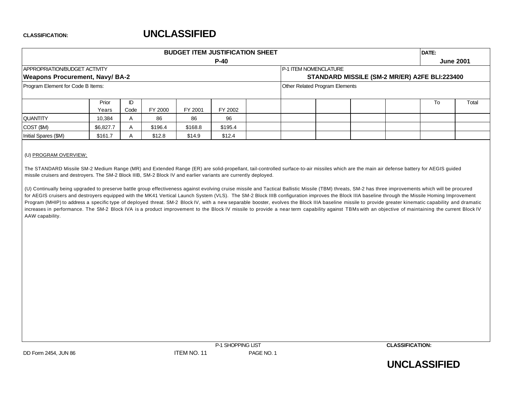| $P-40$<br><b>June 2001</b><br>APPROPRIATION/BUDGET ACTIVITY<br><b>IP-1 ITEM NOMENCLATURE</b><br><b>Weapons Procurement, Navy/ BA-2</b><br>STANDARD MISSILE (SM-2 MR/ER) A2FE BLI:223400 |  | DATE: |  |  |  |  |  |  |  |  |  |  |
|-----------------------------------------------------------------------------------------------------------------------------------------------------------------------------------------|--|-------|--|--|--|--|--|--|--|--|--|--|
|                                                                                                                                                                                         |  |       |  |  |  |  |  |  |  |  |  |  |
|                                                                                                                                                                                         |  |       |  |  |  |  |  |  |  |  |  |  |
|                                                                                                                                                                                         |  |       |  |  |  |  |  |  |  |  |  |  |
| Other Related Program Elements<br>Program Element for Code B Items:                                                                                                                     |  |       |  |  |  |  |  |  |  |  |  |  |
|                                                                                                                                                                                         |  |       |  |  |  |  |  |  |  |  |  |  |
| ID<br>Total<br>Prior<br>To                                                                                                                                                              |  |       |  |  |  |  |  |  |  |  |  |  |
| FY 2000<br>FY 2001<br>Code<br>FY 2002<br>Years                                                                                                                                          |  |       |  |  |  |  |  |  |  |  |  |  |
| 86<br>96<br><b>QUANTITY</b><br>10,384<br>86<br>$\mathsf{A}$                                                                                                                             |  |       |  |  |  |  |  |  |  |  |  |  |
| COST (\$M)<br>\$6,827.7<br>\$196.4<br>\$168.8<br>\$195.4<br>$\overline{A}$                                                                                                              |  |       |  |  |  |  |  |  |  |  |  |  |
| \$12.4<br>Initial Spares (\$M)<br>\$12.8<br>\$14.9<br>\$161.7                                                                                                                           |  |       |  |  |  |  |  |  |  |  |  |  |

#### (U) PROGRAM OVERVIEW;

The STANDARD Missile SM-2 Medium Range (MR) and Extended Range (ER) are solid-propellant, tail-controlled surface-to-air missiles which are the main air defense battery for AEGIS guided missile cruisers and destroyers. The SM-2 Block IIIB, SM-2 Block IV and earlier variants are currently deployed.

(U) Continually being upgraded to preserve battle group effectiveness against evolving cruise missile and Tactical Ballistic Missile (TBM) threats, SM-2 has three improvements which will be procured for AEGIS cruisers and destroyers equipped with the MK41 Vertical Launch System (VLS). The SM-2 Block IIIB configuration improves the Block IIIA baseline through the Missile Homing Improvement Program (MHIP) to address a specific type of deployed threat. SM-2 Block IV, with a new separable booster, evolves the Block IIIA baseline missile to provide greater kinematic capability and dramatic increases in performance. The SM-2 Block IVA is a product improvement to the Block IV missile to provide a near term capability against TBMs with an objective of maintaining the current Block IV AAW capability.



**UNCLASSIFIED**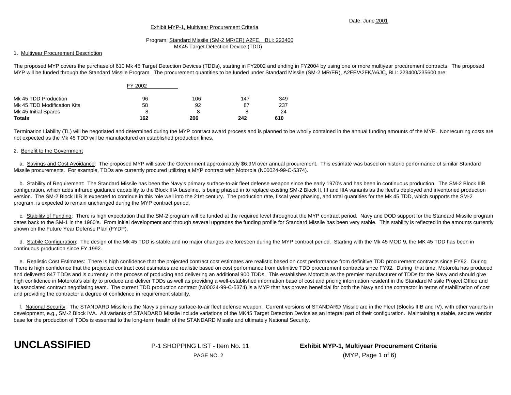#### Date: June 2001

#### Exhibit MYP-1, Multiyear Procurement Criteria

#### Program: Standard Missile (SM-2 MR/ER) A2FE, BLI: 223400 MK45 Target Detection Device (TDD)

#### 1. Multiyear Procurement Description

The proposed MYP covers the purchase of 610 Mk 45 Target Detection Devices (TDDs), starting in FY2002 and ending in FY2004 by using one or more multiyear procurement contracts. The proposed MYP will be funded through the Standard Missile Program. The procurement quantities to be funded under Standard Missile (SM-2 MR/ER), A2FE/A2FK/A6JC, BLI: 223400/235600 are:

|                             | FY 2002 |     |     |     |
|-----------------------------|---------|-----|-----|-----|
| Mk 45 TDD Production        | 96      | 106 | 147 | 349 |
| Mk 45 TDD Modification Kits | 58      | 92  | 87  | 237 |
| Mk 45 Initial Spares        | 8       |     |     | 24  |
| <b>Totals</b>               | 162     | 206 | 242 | 610 |

Termination Liability (TL) will be negotiated and determined during the MYP contract award process and is planned to be wholly contained in the annual funding amounts of the MYP. Nonrecurring costs are not expected as the Mk 45 TDD will be manufactured on established production lines.

#### 2. Benefit to the Government

a. Savings and Cost Avoidance: The proposed MYP will save the Government approximately \$6.9M over annual procurement. This estimate was based on historic performance of similar Standard Missile procurements. For example, TDDs are currently procured utilizing a MYP contract with Motorola (N00024-99-C-5374).

 b. Stability of Requirement: The Standard Missile has been the Navy's primary surface-to-air fleet defense weapon since the early 1970's and has been in continuous production. The SM-2 Block IIIB configuration, which adds infrared guidance capability to the Block IIIA baseline, is being phased in to replace existing SM-2 Block II, III and IIIA variants as the fleet's deployed and inventoried production version. The SM-2 Block IIIB is expected to continue in this role well into the 21st century. The production rate, fiscal year phasing, and total quantities for the Mk 45 TDD, which supports the SM-2 program, is expected to remain unchanged during the MYP contract period.

 c. Stability of Funding: There is high expectation that the SM-2 program will be funded at the required level throughout the MYP contract period. Navy and DOD support for the Standard Missile program dates back to the SM-1 in the 1960's. From initial development and through several upgrades the funding profile for Standard Missile has been very stable. This stability is reflected in the amounts currently shown on the Future Year Defense Plan (FYDP).

d. Stabile Configuration: The design of the Mk 45 TDD is stable and no major changes are foreseen during the MYP contract period. Starting with the Mk 45 MOD 9, the MK 45 TDD has been in continuous production since FY 1992.

 e. Realistic Cost Estimates: There is high confidence that the projected contract cost estimates are realistic based on cost performance from definitive TDD procurement contracts since FY92. During There is high confidence that the projected contract cost estimates are realistic based on cost performance from definitive TDD procurement contracts since FY92. During that time, Motorola has produced and delivered 847 TDDs and is currently in the process of producing and delivering an additional 900 TDDs. This establishes Motorola as the premier manufacturer of TDDs for the Navy and should give high confidence in Motorola's ability to produce and deliver TDDs as well as providing a well-established information base of cost and pricing information resident in the Standard Missile Project Office and its associated contract negotiating team. The current TDD production contract (N00024-99-C-5374) is a MYP that has proven beneficial for both the Navy and the contractor in terms of stabilization of cost and providing the contractor a degree of confidence in requirement stability.

 f. National Security: The STANDARD Missile is the Navy's primary surface-to-air fleet defense weapon. Current versions of STANDARD Missile are in the Fleet (Blocks IIIB and IV), with other variants in development, e.g., SM-2 Block IVA. All variants of STANDARD Missile include variations of the MK45 Target Detection Device as an integral part of their configuration. Maintaining a stable, secure vendor base for the production of TDDs is essential to the long-term health of the STANDARD Missile and ultimately National Security.



**UNCLASSIFIED** P-1 SHOPPING LIST - Item No. 11 **Exhibit MYP-1, Multiyear Procurement Criteria** PAGE NO. 2 (MYP, Page 1 of 6)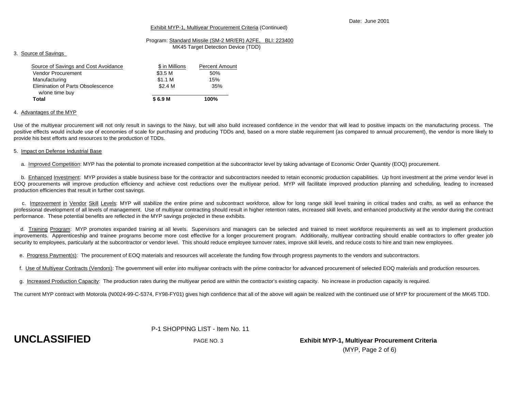#### Exhibit MYP-1, Multiyear Procurement Criteria (Continued)

### Program: Standard Missile (SM-2 MR/ER) A2FE, BLI: 223400

MK45 Target Detection Device (TDD)

#### 3. Source of Savings

| \$ in Millions     | <b>Percent Amount</b> |
|--------------------|-----------------------|
| \$3.5 <sub>M</sub> | 50%                   |
| \$1.1 M            | 15%                   |
| \$2.4 <sub>M</sub> | 35%                   |
| \$6.9 M            | 100%                  |
|                    |                       |

#### 4. Advantages of the MYP

Use of the multiyear procurement will not only result in savings to the Navy, but will also build increased confidence in the vendor that will lead to positive impacts on the manufacturing process. The positive effects would include use of economies of scale for purchasing and producing TDDs and, based on a more stable requirement (as compared to annual procurement), the vendor is more likely to provide his best efforts and resources to the production of TDDs.

#### 5. Impact on Defense Industrial Base

a. Improved Competition: MYP has the potential to promote increased competition at the subcontractor level by taking advantage of Economic Order Quantity (EOQ) procurement.

b. Enhanced Investment: MYP provides a stable business base for the contractor and subcontractors needed to retain economic production capabilities. Up front investment at the prime vendor level in EOQ procurements will improve production efficiency and achieve cost reductions over the multiyear period. MYP will facilitate improved production planning and scheduling, leading to increased production efficiencies that result in further cost savings.

c. Improvement in Vendor Skill Levels: MYP will stabilize the entire prime and subcontract workforce, allow for long range skill level training in critical trades and crafts, as well as enhance the professional development of all levels of management. Use of multiyear contracting should result in higher retention rates, increased skill levels, and enhanced productivity at the vendor during the contract performance. These potential benefits are reflected in the MYP savings projected in these exhibits.

d. Training Program: MYP promotes expanded training at all levels. Supervisors and managers can be selected and trained to meet workforce requirements as well as to implement production improvements. Apprenticeship and trainee programs become more cost effective for a longer procurement program. Additionally, multiyear contracting should enable contractors to offer greater job security to employees, particularly at the subcontractor or vendor level. This should reduce employee turnover rates, improve skill levels, and reduce costs to hire and train new employees.

e. Progress Payment(s): The procurement of EOQ materials and resources will accelerate the funding flow through progress payments to the vendors and subcontractors.

f. Use of Multiyear Contracts (Vendors): The government will enter into multiyear contracts with the prime contractor for advanced procurement of selected EOQ materials and production resources.

g. Increased Production Capacity: The production rates during the multiyear period are within the contractor's existing capacity. No increase in production capacity is required.

The current MYP contract with Motorola (N0024-99-C-5374, FY98-FY01) gives high confidence that all of the above will again be realized with the continued use of MYP for procurement of the MK45 TDD.

#### P-1 SHOPPING LIST - Item No. 11

**UNCLASSIFIED** PAGE NO. 3 **Exhibit MYP-1, Multiyear Procurement Criteria** (MYP, Page 2 of 6)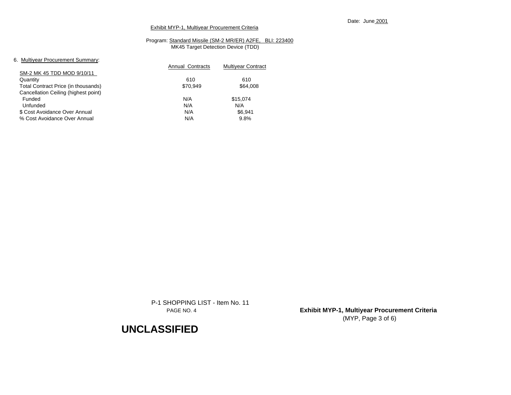#### Exhibit MYP-1, Multiyear Procurement Criteria

#### Program: Standard Missile (SM-2 MR/ER) A2FE, BLI: 223400 MK45 Target Detection Device (TDD)

#### 6. Multiyear Procurement Summary:

| o. mailyoar rioodromont oanmary.     | Annual Contracts | <b>Multivear Contract</b> |
|--------------------------------------|------------------|---------------------------|
| SM-2 MK 45 TDD MOD 9/10/11           |                  |                           |
| Quantity                             | 610              | 610                       |
| Total Contract Price (in thousands)  | \$70,949         | \$64,008                  |
| Cancellation Ceiling (highest point) |                  |                           |
| Funded                               | N/A              | \$15.074                  |
| Unfunded                             | N/A              | N/A                       |
| \$ Cost Avoidance Over Annual        | N/A              | \$6.941                   |
| % Cost Avoidance Over Annual         | N/A              | 9.8%                      |
|                                      |                  |                           |

P-1 SHOPPING LIST - Item No. 11

PAGE NO. 4 **Exhibit MYP-1, Multiyear Procurement Criteria** (MYP, Page 3 of 6)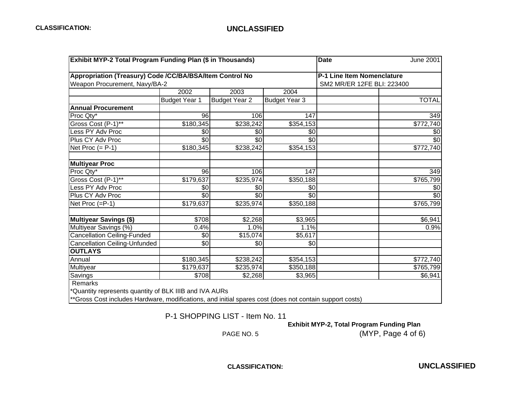| <b>Exhibit MYP-2 Total Program Funding Plan (\$ in Thousands)</b> |                      |                      | <b>Date</b>          | June 2001                  |                 |
|-------------------------------------------------------------------|----------------------|----------------------|----------------------|----------------------------|-----------------|
| Appropriation (Treasury) Code /CC/BA/BSA/Item Control No          |                      |                      |                      | P-1 Line Item Nomenclature |                 |
| Weapon Procurement, Navy/BA-2                                     |                      |                      |                      | SM2 MR/ER 12FE BLI: 223400 |                 |
|                                                                   | 2002                 | 2003                 | 2004                 |                            |                 |
|                                                                   | <b>Budget Year 1</b> | <b>Budget Year 2</b> | <b>Budget Year 3</b> |                            | <b>TOTAL</b>    |
| <b>Annual Procurement</b>                                         |                      |                      |                      |                            |                 |
| Proc Qty*                                                         | 96                   | 106                  | 147                  |                            | 349             |
| Gross Cost (P-1)**                                                | \$180,345            | \$238,242            | \$354,153            |                            | \$772,740       |
| Less PY Adv Proc                                                  | \$0                  | \$0                  | \$0                  |                            | \$0             |
| Plus CY Adv Proc                                                  | \$0                  | $\sqrt[6]{}$         | \$0                  |                            | \$0             |
| Net Proc $(= P-1)$                                                | \$180,345            | \$238,242            | \$354,153            |                            | \$772,740       |
| <b>Multiyear Proc</b>                                             |                      |                      |                      |                            |                 |
| Proc Qty*                                                         | 96                   | 106                  | 147                  |                            | 349             |
| Gross Cost (P-1)**                                                | \$179,637            | \$235,974            | \$350,188            |                            | \$765,799       |
| Less PY Adv Proc                                                  | \$0                  | \$0                  | \$0                  |                            | \$0             |
| Plus CY Adv Proc                                                  | \$0                  | \$0                  | \$0                  |                            | $\overline{30}$ |
| Net Proc (=P-1)                                                   | \$179,637            | \$235,974            | \$350,188            |                            | \$765,799       |
| <b>Multiyear Savings (\$)</b>                                     | \$708                | \$2,268              | \$3,965              |                            | \$6,941         |
| Multiyear Savings (%)                                             | 0.4%                 | 1.0%                 | 1.1%                 |                            | 0.9%            |
| <b>Cancellation Ceiling-Funded</b>                                | \$0                  | \$15,074             | \$5,617              |                            |                 |
| Cancellation Ceiling-Unfunded                                     | \$0                  | \$0                  | \$0                  |                            |                 |
| <b>OUTLAYS</b>                                                    |                      |                      |                      |                            |                 |
| Annual                                                            | \$180,345            | \$238,242            | \$354,153            |                            | \$772,740       |
| Multiyear                                                         | \$179,637            | \$235,974            | \$350,188            |                            | \$765,799       |
| Savings                                                           | \$708                | \$2,268              | \$3,965              |                            | \$6,941         |
| Remarks<br>*Quantity represents quantity of BLK IIIB and IVA AURs |                      |                      |                      |                            |                 |

\*\*Gross Cost includes Hardware, modifications, and initial spares cost (does not contain support costs)

P-1 SHOPPING LIST - Item No. 11

 **Exhibit MYP-2, Total Program Funding Plan**

PAGE NO. 5 (MYP, Page 4 of 6)

**CLASSIFICATION: UNCLASSIFIED**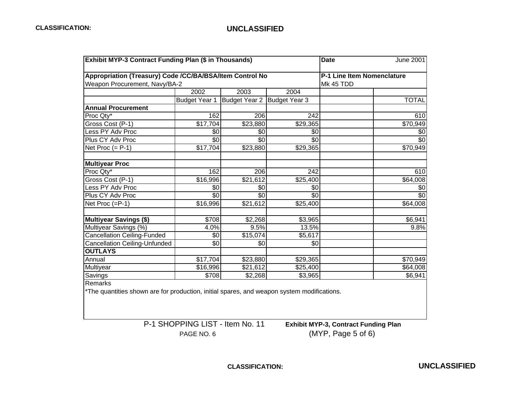| Exhibit MYP-3 Contract Funding Plan (\$ in Thousands) |                      |                                                                                                                                               |                                                                                                  |                                           |  |  |  |  |  |  |  |
|-------------------------------------------------------|----------------------|-----------------------------------------------------------------------------------------------------------------------------------------------|--------------------------------------------------------------------------------------------------|-------------------------------------------|--|--|--|--|--|--|--|
|                                                       |                      |                                                                                                                                               |                                                                                                  |                                           |  |  |  |  |  |  |  |
| Weapon Procurement, Navy/BA-2                         |                      |                                                                                                                                               | Mk 45 TDD                                                                                        |                                           |  |  |  |  |  |  |  |
| 2002                                                  | 2003                 | 2004                                                                                                                                          |                                                                                                  |                                           |  |  |  |  |  |  |  |
| <b>Budget Year 1</b>                                  | <b>Budget Year 2</b> |                                                                                                                                               |                                                                                                  | <b>TOTAL</b>                              |  |  |  |  |  |  |  |
|                                                       |                      |                                                                                                                                               |                                                                                                  |                                           |  |  |  |  |  |  |  |
| 162                                                   |                      | $\overline{242}$                                                                                                                              |                                                                                                  | 610                                       |  |  |  |  |  |  |  |
|                                                       |                      | \$29,365                                                                                                                                      |                                                                                                  | \$70,949                                  |  |  |  |  |  |  |  |
| \$0                                                   | \$0                  | \$0                                                                                                                                           |                                                                                                  | \$0                                       |  |  |  |  |  |  |  |
|                                                       |                      | \$0                                                                                                                                           |                                                                                                  | $\sqrt{6}$                                |  |  |  |  |  |  |  |
|                                                       |                      | \$29,365                                                                                                                                      |                                                                                                  | \$70,949                                  |  |  |  |  |  |  |  |
|                                                       |                      |                                                                                                                                               |                                                                                                  |                                           |  |  |  |  |  |  |  |
| 162                                                   |                      | 242                                                                                                                                           |                                                                                                  | 610                                       |  |  |  |  |  |  |  |
|                                                       | \$21,612             | \$25,400                                                                                                                                      |                                                                                                  | \$64,008                                  |  |  |  |  |  |  |  |
| \$0                                                   | \$0                  | \$0                                                                                                                                           |                                                                                                  | \$0                                       |  |  |  |  |  |  |  |
| \$0                                                   | \$0                  | \$0                                                                                                                                           |                                                                                                  | $\overline{60}$                           |  |  |  |  |  |  |  |
|                                                       |                      | \$25,400                                                                                                                                      |                                                                                                  | \$64,008                                  |  |  |  |  |  |  |  |
|                                                       |                      | \$3,965                                                                                                                                       |                                                                                                  | \$6,941                                   |  |  |  |  |  |  |  |
| 4.0%                                                  | 9.5%                 | 13.5%                                                                                                                                         |                                                                                                  | 9.8%                                      |  |  |  |  |  |  |  |
| \$0                                                   |                      | \$5,617                                                                                                                                       |                                                                                                  |                                           |  |  |  |  |  |  |  |
| $\overline{30}$                                       | \$0                  | \$0                                                                                                                                           |                                                                                                  |                                           |  |  |  |  |  |  |  |
|                                                       |                      |                                                                                                                                               |                                                                                                  |                                           |  |  |  |  |  |  |  |
|                                                       |                      | \$29,365                                                                                                                                      |                                                                                                  | \$70,949                                  |  |  |  |  |  |  |  |
| \$16,996                                              | \$21,612             | \$25,400                                                                                                                                      |                                                                                                  | \$64,008                                  |  |  |  |  |  |  |  |
|                                                       | \$708<br>\$2,268     | \$3,965                                                                                                                                       |                                                                                                  | \$6,941                                   |  |  |  |  |  |  |  |
|                                                       |                      | 206<br>\$17,704<br>\$0<br>\$0<br>\$17,704<br>\$23,880<br>206<br>\$16,996<br>\$16,996<br>\$21,612<br>\$708<br>\$15,074<br>\$17,704<br>\$23,880 | Appropriation (Treasury) Code /CC/BA/BSA/Item Control No<br>Budget Year 3<br>\$23,880<br>\$2,268 | <b>Date</b><br>P-1 Line Item Nomenclature |  |  |  |  |  |  |  |

P-1 SHOPPING LIST - Item No. 11 **Exhibit MYP-3, Contract Funding Plan**

PAGE NO. 6 (MYP, Page 5 of 6)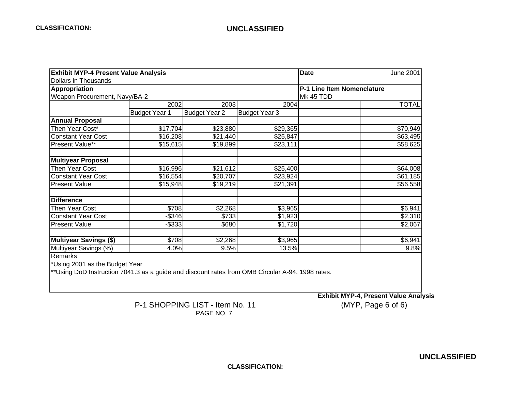| <b>Exhibit MYP-4 Present Value Analysis</b>                                                       |                      | <b>Date</b><br><b>June 2001</b> |                      |                                   |              |  |  |  |  |
|---------------------------------------------------------------------------------------------------|----------------------|---------------------------------|----------------------|-----------------------------------|--------------|--|--|--|--|
| <b>Dollars in Thousands</b>                                                                       |                      |                                 |                      |                                   |              |  |  |  |  |
| <b>Appropriation</b>                                                                              |                      |                                 |                      | P-1 Line Item Nomenclature        |              |  |  |  |  |
| Weapon Procurement, Navy/BA-2                                                                     |                      |                                 |                      | Mk 45 TDD                         |              |  |  |  |  |
|                                                                                                   | 2002                 | 2003                            | 2004                 |                                   | <b>TOTAL</b> |  |  |  |  |
|                                                                                                   | <b>Budget Year 1</b> | <b>Budget Year 2</b>            | <b>Budget Year 3</b> |                                   |              |  |  |  |  |
| <b>Annual Proposal</b>                                                                            |                      |                                 |                      |                                   |              |  |  |  |  |
| Then Year Cost*                                                                                   | \$17,704             | \$23,880                        | \$29,365             |                                   | \$70,949     |  |  |  |  |
| <b>Constant Year Cost</b>                                                                         | \$16,208             | \$21,440                        | \$25,847             |                                   | \$63,495     |  |  |  |  |
| Present Value**                                                                                   | \$15,615             | \$19,899                        | \$23,111             |                                   | \$58,625     |  |  |  |  |
| <b>Multiyear Proposal</b>                                                                         |                      |                                 |                      |                                   |              |  |  |  |  |
| Then Year Cost                                                                                    | \$16,996             | \$21,612                        | \$25,400             |                                   | \$64,008     |  |  |  |  |
| <b>Constant Year Cost</b>                                                                         | \$16,554             | \$20,707                        | \$23,924             |                                   | \$61,185     |  |  |  |  |
| <b>Present Value</b>                                                                              | \$15,948             | \$19,219                        | \$21,391             |                                   | \$56,558     |  |  |  |  |
| <b>Difference</b>                                                                                 |                      |                                 |                      |                                   |              |  |  |  |  |
| Then Year Cost                                                                                    | \$708                | \$2,268                         | \$3,965              |                                   | \$6,941      |  |  |  |  |
| <b>Constant Year Cost</b>                                                                         | $-$ \$346            | \$733                           | \$1,923              |                                   | \$2,310      |  |  |  |  |
| <b>Present Value</b>                                                                              | $-$ \$333            | \$680                           | \$1,720              |                                   | \$2,067      |  |  |  |  |
| <b>Multiyear Savings (\$)</b>                                                                     | \$708                | \$2,268                         | \$3,965              |                                   | \$6,941      |  |  |  |  |
| Multiyear Savings (%)                                                                             | 4.0%                 | 9.5%                            | 13.5%                |                                   | 9.8%         |  |  |  |  |
| Remarks                                                                                           |                      |                                 |                      |                                   |              |  |  |  |  |
| *Using 2001 as the Budget Year                                                                    |                      |                                 |                      |                                   |              |  |  |  |  |
| ** Using DoD Instruction 7041.3 as a guide and discount rates from OMB Circular A-94, 1998 rates. |                      |                                 |                      |                                   |              |  |  |  |  |
|                                                                                                   |                      |                                 |                      | Exhibit MVD 4 Dresent Velue Apoly |              |  |  |  |  |

## P-1 SHOPPING LIST - Item No. 11 PAGE NO. 7

 **Exhibit MYP-4, Present Value Analysis**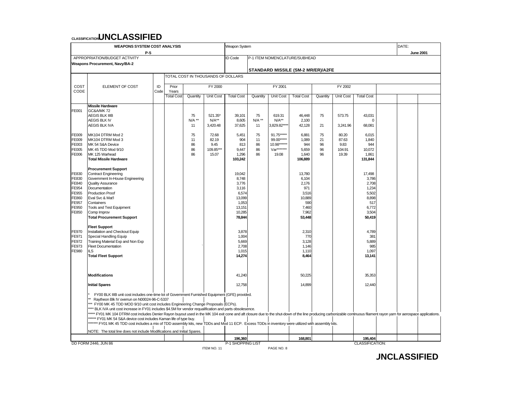| <b>WEAPONS SYSTEM COST ANALYSIS</b> |                                                                                                                                                                                                                          |            |                   |                                    |                  | Weapon System                      |          | DATE:            |                               |          |                  |                        |  |  |  |  |  |
|-------------------------------------|--------------------------------------------------------------------------------------------------------------------------------------------------------------------------------------------------------------------------|------------|-------------------|------------------------------------|------------------|------------------------------------|----------|------------------|-------------------------------|----------|------------------|------------------------|--|--|--|--|--|
|                                     | P-5                                                                                                                                                                                                                      |            |                   |                                    |                  |                                    |          | <b>June 2001</b> |                               |          |                  |                        |  |  |  |  |  |
|                                     | APPROPRIATION/BUDGET ACTIVITY                                                                                                                                                                                            |            |                   |                                    |                  | ID Code                            |          |                  | P-1 ITEM NOMENCLATURE/SUBHEAD |          |                  |                        |  |  |  |  |  |
|                                     | <b>Weapons Procurement, Navy/BA-2</b>                                                                                                                                                                                    |            |                   |                                    |                  |                                    |          |                  |                               |          |                  |                        |  |  |  |  |  |
|                                     |                                                                                                                                                                                                                          |            |                   |                                    |                  | STANDARD MISSILE (SM-2 MR/ER)/A2FE |          |                  |                               |          |                  |                        |  |  |  |  |  |
|                                     |                                                                                                                                                                                                                          |            |                   | TOTAL COST IN THOUSANDS OF DOLLARS |                  |                                    |          |                  |                               |          |                  |                        |  |  |  |  |  |
|                                     |                                                                                                                                                                                                                          |            |                   |                                    |                  |                                    |          |                  |                               |          |                  |                        |  |  |  |  |  |
| COST<br>CODE                        | ELEMENT OF COST                                                                                                                                                                                                          | ID<br>Code | Prior<br>Years    |                                    | FY 2000          |                                    |          | FY 2001          |                               |          | FY 2002          |                        |  |  |  |  |  |
|                                     |                                                                                                                                                                                                                          |            | <b>Total Cost</b> | Quantity                           | <b>Unit Cost</b> | <b>Total Cost</b>                  | Quantity | <b>Unit Cost</b> | <b>Total Cost</b>             | Quantity | <b>Unit Cost</b> | <b>Total Cost</b>      |  |  |  |  |  |
|                                     |                                                                                                                                                                                                                          |            |                   |                                    |                  |                                    |          |                  |                               |          |                  |                        |  |  |  |  |  |
|                                     | Missile Hardware                                                                                                                                                                                                         |            |                   |                                    |                  |                                    |          |                  |                               |          |                  |                        |  |  |  |  |  |
| FE001                               | <b>GC&amp;A/MK72</b>                                                                                                                                                                                                     |            |                   |                                    |                  |                                    |          |                  |                               |          |                  |                        |  |  |  |  |  |
|                                     | <b>AEGIS BLK IIIB</b>                                                                                                                                                                                                    |            |                   | 75                                 | 521.35*          | 39,101                             | 75       | 619.31           | 46,448                        | 75       | 573.75           | 43,031                 |  |  |  |  |  |
|                                     | <b>AEGIS BLK IV</b>                                                                                                                                                                                                      |            |                   | $N/A$ **                           | $N/A**$          | 8,605                              | $N/A$ ** | $N/A**$          | 2,100                         |          |                  | $\Omega$               |  |  |  |  |  |
|                                     | <b>AEGIS BLK IVA</b>                                                                                                                                                                                                     |            |                   | 11                                 | 3,420.48         | 37,625                             | 11       | 3.829.82***      | 42,128                        | 21       | 3.241.96         | 68,081                 |  |  |  |  |  |
| FE009                               | MK104 DTRM Mod 2                                                                                                                                                                                                         |            |                   | 75                                 | 72.68            | 5,451                              | 75       | 91.75*****       | 6,881                         | 75       | 80.20            | 6,015                  |  |  |  |  |  |
| FE009                               | MK104 DTRM Mod 3                                                                                                                                                                                                         |            |                   | 11                                 | 82.19            | 904                                | 11       | 99.00*****       | 1,089                         | 21       | 87.63            | 1,840                  |  |  |  |  |  |
| FE003                               | MK 54 S&A Device                                                                                                                                                                                                         |            |                   | 86                                 | 9.45             | 813                                | 86       | 10.98******      | 944                           | 96       | 9.83             | 944                    |  |  |  |  |  |
| FE005                               | MK 45 TDD Mod 9/10                                                                                                                                                                                                       |            |                   | 86                                 | 109.85**         | 9,447                              | 86       | Var*******       | 5,659                         | 96       | 104.91           | 10,072                 |  |  |  |  |  |
| FE006                               | MK 125 Warhead                                                                                                                                                                                                           |            |                   | 86                                 | 15.07            | 1,296                              | 86       | 19.08            | 1,640                         | 96       | 19.39            | 1,861                  |  |  |  |  |  |
|                                     | <b>Total Missile Hardware</b>                                                                                                                                                                                            |            |                   |                                    |                  | 103,242                            |          |                  | 106,889                       |          |                  | 131,844                |  |  |  |  |  |
|                                     | <b>Procurement Support</b>                                                                                                                                                                                               |            |                   |                                    |                  |                                    |          |                  |                               |          |                  |                        |  |  |  |  |  |
| FE830                               | <b>Contract Engineering</b>                                                                                                                                                                                              |            |                   |                                    |                  | 19,042                             |          |                  | 13,780                        |          |                  | 17.498                 |  |  |  |  |  |
| FE830                               | Government In-House Engineering                                                                                                                                                                                          |            |                   |                                    |                  | 8,748                              |          |                  | 6,104                         |          |                  | 3,786                  |  |  |  |  |  |
| FE840                               | <b>Quality Assurance</b>                                                                                                                                                                                                 |            |                   |                                    |                  | 3,776                              |          |                  | 2,176                         |          |                  | 2,708                  |  |  |  |  |  |
| FE954                               | Documentation                                                                                                                                                                                                            |            |                   |                                    |                  | 3,116                              |          |                  | 971                           |          |                  | 1,234                  |  |  |  |  |  |
| FE955                               | <b>Production Proof</b>                                                                                                                                                                                                  |            |                   |                                    |                  | 6,574                              |          |                  | 3,516                         |          |                  | 5,502                  |  |  |  |  |  |
| FE860                               | Eval Svc & Mat'l                                                                                                                                                                                                         |            |                   |                                    |                  | 13,099                             |          |                  | 10,889                        |          |                  | 8,898                  |  |  |  |  |  |
| FE957                               | Containers                                                                                                                                                                                                               |            |                   |                                    |                  | 1,053                              |          |                  | 590                           |          |                  | 517                    |  |  |  |  |  |
| FE950                               | Tools and Test Equipment                                                                                                                                                                                                 |            |                   |                                    |                  | 13,151                             |          |                  | 7,460                         |          |                  | 6,772                  |  |  |  |  |  |
| FE850                               | Comp Improv                                                                                                                                                                                                              |            |                   |                                    |                  | 10,285                             |          |                  | 7,962                         |          |                  | 3,504                  |  |  |  |  |  |
|                                     | <b>Total Procurement Support</b>                                                                                                                                                                                         |            |                   |                                    |                  | 78,844                             |          |                  | 53,448                        |          |                  | 50,419                 |  |  |  |  |  |
|                                     | <b>Fleet Support</b>                                                                                                                                                                                                     |            |                   |                                    |                  |                                    |          |                  |                               |          |                  |                        |  |  |  |  |  |
| FE970                               | Installation and Checkout Equip                                                                                                                                                                                          |            |                   |                                    |                  | 3,878                              |          |                  | 2,310                         |          |                  | 4,789                  |  |  |  |  |  |
| FE971                               | Special Handling Equip                                                                                                                                                                                                   |            |                   |                                    |                  | 1,004                              |          |                  | 770                           |          |                  | 381                    |  |  |  |  |  |
| FE972                               | Training Material Exp and Non Exp                                                                                                                                                                                        |            |                   |                                    |                  | 5,669                              |          |                  | 3,128                         |          |                  | 5,889                  |  |  |  |  |  |
| FE973                               | <b>Fleet Documentation</b>                                                                                                                                                                                               |            |                   |                                    |                  | 2,708                              |          |                  | 1,146                         |          |                  | 985                    |  |  |  |  |  |
| FE980                               | <b>ILS</b>                                                                                                                                                                                                               |            |                   |                                    |                  | 1,015                              |          |                  | 1,110                         |          |                  | 1,097                  |  |  |  |  |  |
|                                     | <b>Total Fleet Support</b>                                                                                                                                                                                               |            |                   |                                    |                  | 14,274                             |          |                  | 8,464                         |          |                  | 13,141                 |  |  |  |  |  |
|                                     |                                                                                                                                                                                                                          |            |                   |                                    |                  |                                    |          |                  |                               |          |                  |                        |  |  |  |  |  |
|                                     |                                                                                                                                                                                                                          |            |                   |                                    |                  |                                    |          |                  |                               |          |                  |                        |  |  |  |  |  |
|                                     | <b>Modifications</b>                                                                                                                                                                                                     |            |                   |                                    |                  | 41,240                             |          |                  | 50,225                        |          |                  | 35,353                 |  |  |  |  |  |
|                                     |                                                                                                                                                                                                                          |            |                   |                                    |                  |                                    |          |                  |                               |          |                  |                        |  |  |  |  |  |
|                                     | <b>Initial Spares</b>                                                                                                                                                                                                    |            |                   |                                    |                  | 12,758                             |          |                  | 14,899                        |          |                  | 12,440                 |  |  |  |  |  |
|                                     | FY00 BLK IIIB unit cost includes one-time lot of Government Furnished Equipment (GFE) provided.                                                                                                                          |            |                   |                                    |                  |                                    |          |                  |                               |          |                  |                        |  |  |  |  |  |
|                                     | Raytheon Blk IV overrun on N00024-96-C-5337                                                                                                                                                                              |            |                   |                                    |                  |                                    |          |                  |                               |          |                  |                        |  |  |  |  |  |
|                                     | *** FY00 MK 45 TDD MOD 9/10 unit cost includes Engineering Change Proposals (ECPs).                                                                                                                                      |            |                   |                                    |                  |                                    |          |                  |                               |          |                  |                        |  |  |  |  |  |
|                                     | **** BLK IVA unit cost increase in FY01 includes \$4.5M for vendor requalification and parts obsolesence.                                                                                                                |            |                   |                                    |                  |                                    |          |                  |                               |          |                  |                        |  |  |  |  |  |
|                                     | ***** FY01 MK 104 DTRM cost includes Denier Rayon buyout used in the MK 104 exit cone and aft closure due to the shut-down of the line producing carbonizable continuous filament rayon yarn for aerospace applications. |            |                   |                                    |                  |                                    |          |                  |                               |          |                  |                        |  |  |  |  |  |
|                                     | ****** FY01 MK 54 S&A device cost includes Kaman life of type buy.                                                                                                                                                       |            |                   |                                    |                  |                                    |          |                  |                               |          |                  |                        |  |  |  |  |  |
|                                     | ******* FY01 MK 45 TDD cost includes a mix of TDD assembly kits, new TDDs and Mod 11 ECP. Excess TDDs in inventory were utilized with assembly kits.                                                                     |            |                   |                                    |                  |                                    |          |                  |                               |          |                  |                        |  |  |  |  |  |
|                                     | NOTE: The total line does not include Modifications and Initial Spares.                                                                                                                                                  |            |                   |                                    |                  |                                    |          |                  |                               |          |                  |                        |  |  |  |  |  |
|                                     |                                                                                                                                                                                                                          |            |                   |                                    |                  | 196,360                            |          |                  | 168,801                       |          |                  | 195,404                |  |  |  |  |  |
|                                     | DD FORM 2446, JUN 86                                                                                                                                                                                                     |            |                   |                                    |                  | P-1 SHOPPING LIST                  |          |                  |                               |          |                  | <b>CLASSIFICATION:</b> |  |  |  |  |  |
|                                     |                                                                                                                                                                                                                          |            |                   |                                    | ITEM NO. 11      |                                    |          | PAGE NO. 8       |                               |          |                  |                        |  |  |  |  |  |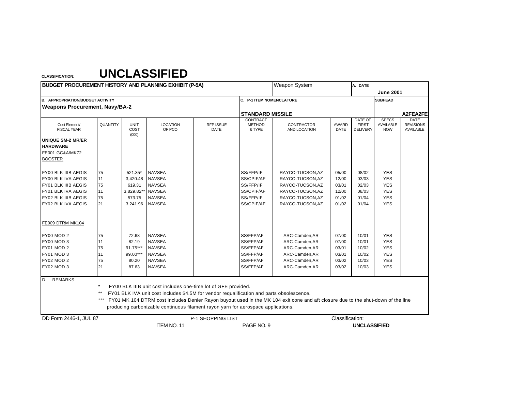| <b>BUDGET PROCUREMENT HISTORY AND PLANNING EXHIBIT (P-5A)</b> |                 |                              |                                                                                           |                          |                                     | <b>Weapon System</b>                                                                                                             |                      |                                                   |                                                |                                                     |
|---------------------------------------------------------------|-----------------|------------------------------|-------------------------------------------------------------------------------------------|--------------------------|-------------------------------------|----------------------------------------------------------------------------------------------------------------------------------|----------------------|---------------------------------------------------|------------------------------------------------|-----------------------------------------------------|
|                                                               |                 |                              |                                                                                           |                          |                                     |                                                                                                                                  |                      |                                                   | <b>June 2001</b>                               |                                                     |
| <b>B. APPROPRIATION/BUDGET ACTIVITY</b>                       |                 |                              |                                                                                           |                          | C. P-1 ITEM NOMENCLATURE            |                                                                                                                                  |                      |                                                   | <b>SUBHEAD</b>                                 |                                                     |
| <b>Weapons Procurement, Navy/BA-2</b>                         |                 |                              |                                                                                           |                          |                                     |                                                                                                                                  |                      |                                                   |                                                |                                                     |
|                                                               |                 |                              |                                                                                           |                          | <b>STANDARD MISSILE</b>             |                                                                                                                                  |                      |                                                   |                                                | A2FEA2FE                                            |
| Cost Element/<br><b>FISCAL YEAR</b>                           | <b>QUANTITY</b> | <b>UNIT</b><br>COST<br>(000) | <b>LOCATION</b><br>OF PCO                                                                 | <b>RFP ISSUE</b><br>DATE | CONTRACT<br><b>METHOD</b><br>& TYPE | <b>CONTRACTOR</b><br>AND LOCATION                                                                                                | <b>AWARD</b><br>DATE | <b>DATE OF</b><br><b>FIRST</b><br><b>DELIVERY</b> | <b>SPECS</b><br><b>AVAILABLE</b><br><b>NOW</b> | <b>DATE</b><br><b>REVISIONS</b><br><b>AVAILABLE</b> |
| <b>UNIQUE SM-2 MR/ER</b>                                      |                 |                              |                                                                                           |                          |                                     |                                                                                                                                  |                      |                                                   |                                                |                                                     |
| <b>HARDWARE</b>                                               |                 |                              |                                                                                           |                          |                                     |                                                                                                                                  |                      |                                                   |                                                |                                                     |
| <b>FE001 GC&amp;A/MK72</b>                                    |                 |                              |                                                                                           |                          |                                     |                                                                                                                                  |                      |                                                   |                                                |                                                     |
| <b>BOOSTER</b>                                                |                 |                              |                                                                                           |                          |                                     |                                                                                                                                  |                      |                                                   |                                                |                                                     |
| <b>FY00 BLK IIIB AEGIS</b>                                    | 75              | 521.35*                      | <b>NAVSEA</b>                                                                             |                          | SS/FFP/IF                           | RAYCO-TUCSON, AZ                                                                                                                 | 05/00                | 08/02                                             | <b>YES</b>                                     |                                                     |
| FY00 BLK IVA AEGIS                                            | 11              | 3,420.48                     | <b>NAVSEA</b>                                                                             |                          | SS/CPIF/AF                          | RAYCO-TUCSON, AZ                                                                                                                 | 12/00                | 03/03                                             | <b>YES</b>                                     |                                                     |
| FY01 BLK IIIB AEGIS                                           | 75              | 619.31                       | <b>NAVSEA</b>                                                                             |                          | SS/FFP/IF                           | RAYCO-TUCSON, AZ                                                                                                                 | 03/01                | 02/03                                             | <b>YES</b>                                     |                                                     |
| <b>FY01 BLK IVA AEGIS</b>                                     | 11              | 3,829.82**                   | <b>NAVSEA</b>                                                                             |                          | SS/CPIF/AF                          | RAYCO-TUCSON, AZ                                                                                                                 | 12/00                | 08/03                                             | <b>YES</b>                                     |                                                     |
| FY02 BLK IIIB AEGIS                                           | 75              | 573.75                       | <b>NAVSEA</b>                                                                             |                          | SS/FFP/IF                           | RAYCO-TUCSON, AZ                                                                                                                 | 01/02                | 01/04                                             | <b>YES</b>                                     |                                                     |
| FY02 BLK IVA AEGIS                                            | 21              | 3,241.96                     | <b>NAVSEA</b>                                                                             |                          | SS/CPIF/AF                          | RAYCO-TUCSON, AZ                                                                                                                 | 01/02                | 01/04                                             | <b>YES</b>                                     |                                                     |
| FE009 DTRM MK104                                              |                 |                              |                                                                                           |                          |                                     |                                                                                                                                  |                      |                                                   |                                                |                                                     |
| <b>FY00 MOD 2</b>                                             | 75              | 72.68                        | <b>NAVSEA</b>                                                                             |                          | SS/FFP/AF                           | ARC-Camden, AR                                                                                                                   | 07/00                | 10/01                                             | <b>YES</b>                                     |                                                     |
| FY00 MOD 3                                                    | 11              | 82.19                        | <b>NAVSEA</b>                                                                             |                          | SS/FFP/AF                           | ARC-Camden, AR                                                                                                                   | 07/00                | 10/01                                             | <b>YES</b>                                     |                                                     |
| <b>FY01 MOD 2</b>                                             | 75              | 91.75***                     | <b>NAVSEA</b>                                                                             |                          | SS/FFP/AF                           | ARC-Camden, AR                                                                                                                   | 03/01                | 10/02                                             | <b>YES</b>                                     |                                                     |
| FY01 MOD 3                                                    | 11              | 99.00***                     | <b>NAVSEA</b>                                                                             |                          | SS/FFP/AF                           | ARC-Camden, AR                                                                                                                   | 03/01                | 10/02                                             | <b>YES</b>                                     |                                                     |
| FY02 MOD 2                                                    | 75              | 80.20                        | <b>NAVSEA</b>                                                                             |                          | SS/FFP/AF                           | ARC-Camden, AR                                                                                                                   | 03/02                | 10/03                                             | <b>YES</b>                                     |                                                     |
| <b>FY02 MOD 3</b>                                             | 21              | 87.63                        | <b>NAVSEA</b>                                                                             |                          | SS/FFP/AF                           | ARC-Camden, AR                                                                                                                   | 03/02                | 10/03                                             | <b>YES</b>                                     |                                                     |
| <b>REMARKS</b><br>D.                                          |                 |                              |                                                                                           |                          |                                     |                                                                                                                                  |                      |                                                   |                                                |                                                     |
|                                                               | $\star$         |                              | FY00 BLK IIIB unit cost includes one-time lot of GFE provided.                            |                          |                                     |                                                                                                                                  |                      |                                                   |                                                |                                                     |
|                                                               | $***$           |                              | FY01 BLK IVA unit cost includes \$4.5M for vendor requalification and parts obsolescence. |                          |                                     |                                                                                                                                  |                      |                                                   |                                                |                                                     |
|                                                               | $***$           |                              |                                                                                           |                          |                                     | FY01 MK 104 DTRM cost includes Denier Rayon buyout used in the MK 104 exit cone and aft closure due to the shut-down of the line |                      |                                                   |                                                |                                                     |
|                                                               |                 |                              | producing carbonizable continuous filament rayon yarn for aerospace applications.         |                          |                                     |                                                                                                                                  |                      |                                                   |                                                |                                                     |
| DD Form 2446-1, JUL 87                                        |                 |                              |                                                                                           | P-1 SHOPPING LIST        |                                     |                                                                                                                                  | Classification:      |                                                   |                                                |                                                     |
|                                                               |                 |                              | ITEM NO. 11                                                                               |                          | PAGE NO. 9                          |                                                                                                                                  |                      | <b>UNCLASSIFIED</b>                               |                                                |                                                     |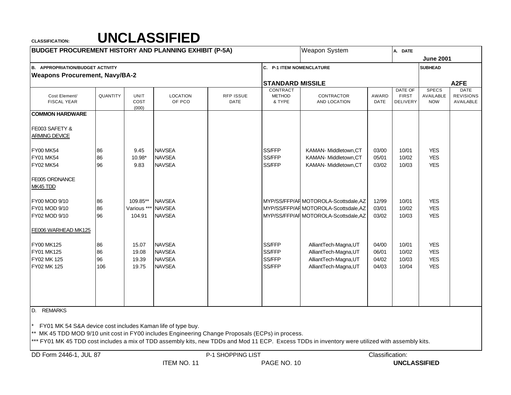| <b>BUDGET PROCUREMENT HISTORY AND PLANNING EXHIBIT (P-5A)</b>                                                                                                |                |                              |                                                 |                                 |                                     | Weapon System                                                                                                                                    |                         | A. DATE                                    |                                         |                                              |  |  |  |
|--------------------------------------------------------------------------------------------------------------------------------------------------------------|----------------|------------------------------|-------------------------------------------------|---------------------------------|-------------------------------------|--------------------------------------------------------------------------------------------------------------------------------------------------|-------------------------|--------------------------------------------|-----------------------------------------|----------------------------------------------|--|--|--|
|                                                                                                                                                              |                |                              |                                                 |                                 |                                     |                                                                                                                                                  |                         | <b>June 2001</b>                           |                                         |                                              |  |  |  |
| <b>B. APPROPRIATION/BUDGET ACTIVITY</b>                                                                                                                      |                |                              |                                                 |                                 | C. P-1 ITEM NOMENCLATURE            |                                                                                                                                                  |                         |                                            | <b>SUBHEAD</b>                          |                                              |  |  |  |
| <b>Weapons Procurement, Navy/BA-2</b>                                                                                                                        |                |                              |                                                 |                                 |                                     |                                                                                                                                                  |                         |                                            |                                         |                                              |  |  |  |
|                                                                                                                                                              |                |                              |                                                 |                                 | <b>STANDARD MISSILE</b>             |                                                                                                                                                  |                         |                                            |                                         | A <sub>2</sub> FE                            |  |  |  |
| Cost Element/<br><b>FISCAL YEAR</b>                                                                                                                          | QUANTITY       | <b>UNIT</b><br>COST<br>(000) | <b>LOCATION</b><br>OF PCO                       | <b>RFP ISSUE</b><br><b>DATE</b> | CONTRACT<br><b>METHOD</b><br>& TYPE | CONTRACTOR<br>AND LOCATION                                                                                                                       | AWARD<br><b>DATE</b>    | DATE OF<br><b>FIRST</b><br><b>DELIVERY</b> | <b>SPECS</b><br>AVAILABLE<br><b>NOW</b> | <b>DATE</b><br><b>REVISIONS</b><br>AVAILABLE |  |  |  |
| <b>COMMON HARDWARE</b>                                                                                                                                       |                |                              |                                                 |                                 |                                     |                                                                                                                                                  |                         |                                            |                                         |                                              |  |  |  |
| FE003 SAFETY &<br><b>ARMING DEVICE</b>                                                                                                                       |                |                              |                                                 |                                 |                                     |                                                                                                                                                  |                         |                                            |                                         |                                              |  |  |  |
| <b>FY00 MK54</b><br><b>FY01 MK54</b><br><b>FY02 MK54</b>                                                                                                     | 86<br>86<br>96 | 9.45<br>10.98*<br>9.83       | <b>NAVSEA</b><br><b>NAVSEA</b><br><b>NAVSEA</b> |                                 | SS/FFP<br>SS/FFP<br>SS/FFP          | KAMAN- Middletown, CT<br>KAMAN- Middletown, CT<br>KAMAN- Middletown, CT                                                                          | 03/00<br>05/01<br>03/02 | 10/01<br>10/02<br>10/03                    | <b>YES</b><br><b>YES</b><br><b>YES</b>  |                                              |  |  |  |
| FE005 ORDNANCE<br>MK45 TDD                                                                                                                                   |                |                              |                                                 |                                 |                                     |                                                                                                                                                  |                         |                                            |                                         |                                              |  |  |  |
| FY00 MOD 9/10                                                                                                                                                | 86             | 109.85**                     | <b>NAVSEA</b>                                   |                                 |                                     | MYP/SS/FFP/AF MOTOROLA-Scottsdale, AZ                                                                                                            | 12/99                   | 10/01                                      | <b>YES</b>                              |                                              |  |  |  |
| FY01 MOD 9/10                                                                                                                                                | 86             | Various **                   | <b>NAVSEA</b>                                   |                                 |                                     | MYP/SS/FFP/AF MOTOROLA-Scottsdale, AZ                                                                                                            | 03/01                   | 10/02                                      | <b>YES</b>                              |                                              |  |  |  |
| FY02 MOD 9/10                                                                                                                                                | 96             | 104.91                       | <b>NAVSEA</b>                                   |                                 |                                     | MYP/SS/FFP/AF MOTOROLA-Scottsdale, AZ                                                                                                            | 03/02                   | 10/03                                      | <b>YES</b>                              |                                              |  |  |  |
| FE006 WARHEAD MK125                                                                                                                                          |                |                              |                                                 |                                 |                                     |                                                                                                                                                  |                         |                                            |                                         |                                              |  |  |  |
| FY00 MK125                                                                                                                                                   | 86             | 15.07                        | <b>NAVSEA</b>                                   |                                 | SS/FFP                              | AlliantTech-Magna, UT                                                                                                                            | 04/00                   | 10/01                                      | <b>YES</b>                              |                                              |  |  |  |
| FY01 MK125                                                                                                                                                   | 86             | 19.08                        | <b>NAVSEA</b>                                   |                                 | SS/FFP                              | AlliantTech-Magna, UT                                                                                                                            | 06/01                   | 10/02                                      | <b>YES</b>                              |                                              |  |  |  |
| FY02 MK 125                                                                                                                                                  | 96             | 19.39                        | <b>NAVSEA</b>                                   |                                 | SS/FFP                              | AlliantTech-Magna,UT                                                                                                                             | 04/02                   | 10/03                                      | <b>YES</b>                              |                                              |  |  |  |
| FY02 MK 125                                                                                                                                                  | 106            | 19.75                        | <b>NAVSEA</b>                                   |                                 | SS/FFP                              | AlliantTech-Magna, UT                                                                                                                            | 04/03                   | 10/04                                      | <b>YES</b>                              |                                              |  |  |  |
| D. REMARKS                                                                                                                                                   |                |                              |                                                 |                                 |                                     |                                                                                                                                                  |                         |                                            |                                         |                                              |  |  |  |
| FY01 MK 54 S&A device cost includes Kaman life of type buy.<br>MK 45 TDD MOD 9/10 unit cost in FY00 includes Engineering Change Proposals (ECPs) in process. |                |                              |                                                 |                                 |                                     | *** FY01 MK 45 TDD cost includes a mix of TDD assembly kits, new TDDs and Mod 11 ECP. Excess TDDs in inventory were utilized with assembly kits. |                         |                                            |                                         |                                              |  |  |  |

DD Form 2446-1, JUL 87 Classification: P-1 SHOPPING LIST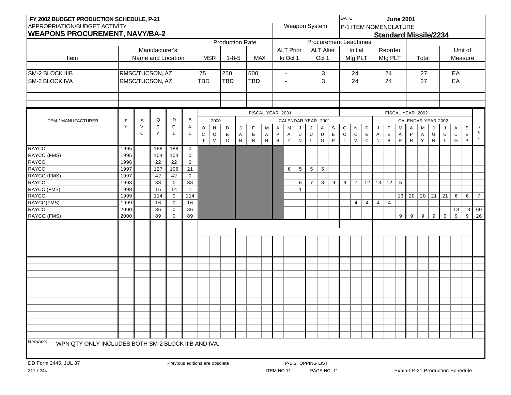| FY 2002 BUDGET PRODUCTION SCHEDULE, P-21                        |              |        |                   |                            |                                |             |              |                        |           |              |                  |              |                          |              |                  |                      |             | <b>DATE</b>                  |                       |           |                |                              | <b>June 2001</b> |              |                    |              |    |                                         |                |                |
|-----------------------------------------------------------------|--------------|--------|-------------------|----------------------------|--------------------------------|-------------|--------------|------------------------|-----------|--------------|------------------|--------------|--------------------------|--------------|------------------|----------------------|-------------|------------------------------|-----------------------|-----------|----------------|------------------------------|------------------|--------------|--------------------|--------------|----|-----------------------------------------|----------------|----------------|
| <b>APPROPRIATION/BUDGET ACTIVITY</b>                            |              |        |                   |                            |                                |             |              |                        |           |              |                  |              |                          |              |                  | <b>Weapon System</b> |             |                              | P-1 ITEM NOMENCLATURE |           |                |                              |                  |              |                    |              |    |                                         |                |                |
| <b>WEAPONS PROCUREMENT, NAVY/BA-2</b>                           |              |        |                   |                            |                                |             |              |                        |           |              |                  |              |                          |              |                  |                      |             |                              |                       |           |                | <b>Standard Missile/2234</b> |                  |              |                    |              |    |                                         |                |                |
|                                                                 |              |        |                   |                            |                                |             |              | <b>Production Rate</b> |           |              |                  |              |                          |              |                  |                      |             | <b>Procurement Leadtimes</b> |                       |           |                |                              |                  |              |                    |              |    |                                         |                |                |
|                                                                 |              |        | Manufacturer's    |                            |                                |             |              |                        |           |              |                  |              | <b>ALT Prior</b>         |              | <b>ALT After</b> |                      | Initial     |                              |                       | Reorder   |                |                              |                  |              |                    |              |    | Unit of                                 |                |                |
| Item                                                            |              |        | Name and Location |                            |                                |             | <b>MSR</b>   | $1 - 8 - 5$            |           |              | <b>MAX</b>       |              | to Oct 1                 |              |                  | Oct 1                |             |                              | Mfg PLT               |           |                | Mfg PLT                      |                  |              | Total              |              |    | Measure                                 |                |                |
|                                                                 |              |        |                   |                            |                                |             |              |                        |           |              |                  |              |                          |              |                  |                      |             |                              |                       |           |                |                              |                  |              |                    |              |    |                                         |                |                |
| <b>SM-2 BLOCK IIIB</b>                                          |              |        | RMSC/TUCSON, AZ   |                            |                                | 75          |              | 250                    |           | 500          |                  |              | $\overline{\phantom{a}}$ |              |                  | 3                    |             |                              | 24                    |           |                | 24                           |                  |              | 27                 |              |    | EA                                      |                |                |
| <b>SM-2 BLOCK IVA</b>                                           |              |        | RMSC/TUCSON, AZ   |                            |                                | <b>TBD</b>  |              | <b>TBD</b>             |           | <b>TBD</b>   |                  |              | $\sim$                   |              |                  | $\mathbf{3}$         |             |                              | 24                    |           |                | 24                           |                  |              | 27                 |              |    | EA                                      |                |                |
|                                                                 |              |        |                   |                            |                                |             |              |                        |           |              |                  |              |                          |              |                  |                      |             |                              |                       |           |                |                              |                  |              |                    |              |    |                                         |                |                |
|                                                                 |              |        |                   |                            |                                |             |              |                        |           |              |                  |              |                          |              |                  |                      |             |                              |                       |           |                |                              |                  |              |                    |              |    |                                         |                |                |
|                                                                 |              |        |                   |                            |                                |             |              |                        |           |              |                  |              |                          |              |                  |                      |             |                              |                       |           |                |                              |                  |              |                    |              |    |                                         |                |                |
|                                                                 |              |        |                   |                            |                                |             |              |                        |           |              | FISCAL YEAR 2001 |              |                          |              |                  |                      |             |                              |                       |           |                |                              |                  |              | FISCAL YEAR 2002   |              |    |                                         |                |                |
| <b>ITEM / MANUFACTURER</b>                                      | F            | S      | Q                 | D                          | B                              |             | 2000         |                        |           |              |                  |              |                          |              |                  | CALENDAR YEAR 2001   |             |                              |                       |           |                |                              |                  |              | CALENDAR YEAR 2002 |              |    |                                         |                |                |
|                                                                 | Y            | $\vee$ | $\mathsf{T}$      | Е                          | Α                              | $\mathsf O$ | ${\sf N}$    | D                      | J         | F            | M                | Α            | M                        | J            | J                | $\mathsf A$          | S           | $\mathsf O$                  | ${\sf N}$             | D         | J              | F                            | M                | Α            | M                  | J            | J  | Α                                       | $\mathsf S$    | В              |
|                                                                 |              | C      | Y                 | L                          | L                              | $\mathsf C$ | $\mathsf O$  | $\mathsf E$            | A         | E            | Α                | P            | A                        | U            | U                | $\sf U$              | E           | ${\bf C}$                    | $\mathsf O$           | E         | A              | E                            | A                | P            | A                  | U            | U  | U                                       | $\mathsf E$    |                |
|                                                                 |              |        |                   |                            |                                | $\top$      | $\mathsf{V}$ | $\mathbf C$            | ${\sf N}$ | $\, {\bf B}$ | ${\sf R}$        | $\mathsf{R}$ | Y                        | ${\sf N}$    | L                | G                    | $\mathsf P$ | $\top$                       | V                     | ${\bf C}$ | ${\sf N}$      | $\, {\bf B}$                 | $\mathsf{R}$     | $\mathsf{R}$ | Y                  | $\mathsf{N}$ | L  | G                                       | P              |                |
| <b>RAYCO</b>                                                    | 1995         |        | 188               | 188                        | $\mathbf 0$                    |             |              |                        |           |              |                  |              |                          |              |                  |                      |             |                              |                       |           |                |                              |                  |              |                    |              |    |                                         |                |                |
| RAYCO (FMS)                                                     | 1995         |        | 104               | 104                        | $\mathbf 0$                    |             |              |                        |           |              |                  |              |                          |              |                  |                      |             |                              |                       |           |                |                              |                  |              |                    |              |    |                                         |                |                |
| <b>RAYCO</b>                                                    | 1996         |        | $\overline{22}$   | 22                         | $\mathbf 0$                    |             |              |                        |           |              |                  |              |                          |              |                  |                      |             |                              |                       |           |                |                              |                  |              |                    |              |    |                                         |                |                |
| <b>RAYCO</b>                                                    | 1997         |        | 127               | 106                        | 21                             |             |              |                        |           |              |                  |              | 6                        | 5            | $5\phantom{.0}$  | $5\phantom{.0}$      |             |                              |                       |           |                |                              |                  |              |                    |              |    |                                         |                |                |
| RAYCO (FMS)                                                     | 1997         |        | 42                | 42                         | $\mathbf 0$                    |             |              |                        |           |              |                  |              |                          |              |                  |                      |             |                              |                       |           |                |                              |                  |              |                    |              |    |                                         |                |                |
| <b>RAYCO</b>                                                    | 1998         |        | 88                | $\mathbf 0$                | 88                             |             |              |                        |           |              |                  |              |                          | 6            | $\overline{7}$   | 8                    | 9           | 9                            | $\overline{7}$        | 12        |                | $13 \mid 12$                 | 5                |              |                    |              |    |                                         |                |                |
| RAYCO (FMS)                                                     | 1998         |        | 15                | 14                         | $\mathbf{1}$                   |             |              |                        |           |              |                  |              |                          | $\mathbf{1}$ |                  |                      |             |                              |                       |           |                |                              |                  |              |                    |              |    |                                         |                |                |
| <b>RAYCO</b><br>RAYCO(FMS)                                      | 1999<br>1999 |        | 114<br>16         | $\mathbf 0$<br>$\mathbf 0$ | 114<br>16                      |             |              |                        |           |              |                  |              |                          |              |                  |                      |             |                              | $\overline{4}$        | 4         | $\overline{4}$ | $\overline{4}$               |                  | $13 \mid 20$ | $20$ 21            |              | 21 | 6                                       | 6              | $\overline{7}$ |
| <b>RAYCO</b>                                                    | 2000         |        | 86                | $\mathbf 0$                | 86                             |             |              |                        |           |              |                  |              |                          |              |                  |                      |             |                              |                       |           |                |                              |                  |              |                    |              |    | 13                                      | 13             | 60             |
| RAYCO (FMS)                                                     | 2000         |        | 89                | $\mathbf 0$                | 89                             |             |              |                        |           |              |                  |              |                          |              |                  |                      |             |                              |                       |           |                |                              | 9                | 9            | 9                  | 9            | 9  | 9                                       | $\overline{9}$ | 26             |
|                                                                 |              |        |                   |                            |                                |             |              |                        |           |              |                  |              |                          |              |                  |                      |             |                              |                       |           |                |                              |                  |              |                    |              |    |                                         |                |                |
|                                                                 |              |        |                   |                            |                                |             |              |                        |           |              |                  |              |                          |              |                  |                      |             |                              |                       |           |                |                              |                  |              |                    |              |    |                                         |                |                |
|                                                                 |              |        |                   |                            |                                |             |              |                        |           |              |                  |              |                          |              |                  |                      |             |                              |                       |           |                |                              |                  |              |                    |              |    |                                         |                |                |
|                                                                 |              |        |                   |                            |                                |             |              |                        |           |              |                  |              |                          |              |                  |                      |             |                              |                       |           |                |                              |                  |              |                    |              |    |                                         |                |                |
|                                                                 |              |        |                   |                            |                                |             |              |                        |           |              |                  |              |                          |              |                  |                      |             |                              |                       |           |                |                              |                  |              |                    |              |    |                                         |                |                |
|                                                                 |              |        |                   |                            |                                |             |              |                        |           |              |                  |              |                          |              |                  |                      |             |                              |                       |           |                |                              |                  |              |                    |              |    |                                         |                |                |
|                                                                 |              |        |                   |                            |                                |             |              |                        |           |              |                  |              |                          |              |                  |                      |             |                              |                       |           |                |                              |                  |              |                    |              |    |                                         |                |                |
|                                                                 |              |        |                   |                            |                                |             |              |                        |           |              |                  |              |                          |              |                  |                      |             |                              |                       |           |                |                              |                  |              |                    |              |    |                                         |                |                |
|                                                                 |              |        |                   |                            |                                |             |              |                        |           |              |                  |              |                          |              |                  |                      |             |                              |                       |           |                |                              |                  |              |                    |              |    |                                         |                |                |
|                                                                 |              |        |                   |                            |                                |             |              |                        |           |              |                  |              |                          |              |                  |                      |             |                              |                       |           |                |                              |                  |              |                    |              |    |                                         |                |                |
|                                                                 |              |        |                   |                            |                                |             |              |                        |           |              |                  |              |                          |              |                  |                      |             |                              |                       |           |                |                              |                  |              |                    |              |    |                                         |                |                |
|                                                                 |              |        |                   |                            |                                |             |              |                        |           |              |                  |              |                          |              |                  |                      |             |                              |                       |           |                |                              |                  |              |                    |              |    |                                         |                |                |
|                                                                 |              |        |                   |                            |                                |             |              |                        |           |              |                  |              |                          |              |                  |                      |             |                              |                       |           |                |                              |                  |              |                    |              |    |                                         |                |                |
|                                                                 |              |        |                   |                            |                                |             |              |                        |           |              |                  |              |                          |              |                  |                      |             |                              |                       |           |                |                              |                  |              |                    |              |    |                                         |                |                |
|                                                                 |              |        |                   |                            |                                |             |              |                        |           |              |                  |              |                          |              |                  |                      |             |                              |                       |           |                |                              |                  |              |                    |              |    |                                         |                |                |
|                                                                 |              |        |                   |                            |                                |             |              |                        |           |              |                  |              |                          |              |                  |                      |             |                              |                       |           |                |                              |                  |              |                    |              |    |                                         |                |                |
| Remarks:<br>WPN QTY ONLY INCLUDES BOTH SM-2 BLOCK IIIB AND IVA. |              |        |                   |                            |                                |             |              |                        |           |              |                  |              |                          |              |                  |                      |             |                              |                       |           |                |                              |                  |              |                    |              |    |                                         |                |                |
|                                                                 |              |        |                   |                            |                                |             |              |                        |           |              |                  |              |                          |              |                  |                      |             |                              |                       |           |                |                              |                  |              |                    |              |    |                                         |                |                |
|                                                                 |              |        |                   |                            |                                |             |              |                        |           |              |                  |              |                          |              |                  |                      |             |                              |                       |           |                |                              |                  |              |                    |              |    |                                         |                |                |
| DD Form 2445, JUL 87                                            |              |        |                   |                            | Previous editions are obsolete |             |              |                        |           |              |                  |              |                          |              |                  | P-1 SHOPPING LIST    |             |                              |                       |           |                |                              |                  |              |                    |              |    |                                         |                |                |
| 311 / 244                                                       |              |        |                   |                            |                                |             |              |                        |           |              |                  | ITEM NO 11   |                          |              |                  | PAGE NO. 11          |             |                              |                       |           |                |                              |                  |              |                    |              |    | <b>Exhibit P-21 Production Schedule</b> |                |                |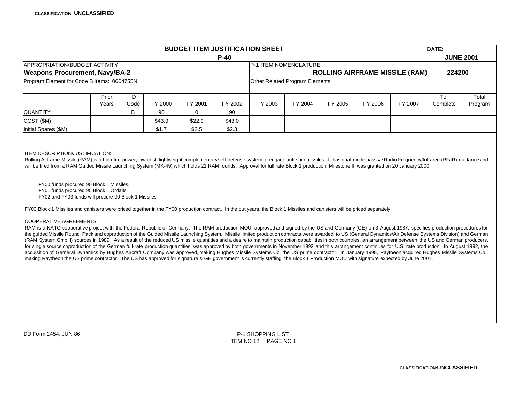| <b>BUDGET ITEM JUSTIFICATION SHEET</b><br>DATE:                                                                                                                                                                                                                                                                                                                                                                                                                                                                                                                                                                                                                                                                                                                                                                                                                                                                                                                                                                                                                                                                                                                                                                                                                                                                                                                                                                                                                                                                                                                                                            |                |            |         |         |         |                                                  |                                |         |         |                                       |                |                  |
|------------------------------------------------------------------------------------------------------------------------------------------------------------------------------------------------------------------------------------------------------------------------------------------------------------------------------------------------------------------------------------------------------------------------------------------------------------------------------------------------------------------------------------------------------------------------------------------------------------------------------------------------------------------------------------------------------------------------------------------------------------------------------------------------------------------------------------------------------------------------------------------------------------------------------------------------------------------------------------------------------------------------------------------------------------------------------------------------------------------------------------------------------------------------------------------------------------------------------------------------------------------------------------------------------------------------------------------------------------------------------------------------------------------------------------------------------------------------------------------------------------------------------------------------------------------------------------------------------------|----------------|------------|---------|---------|---------|--------------------------------------------------|--------------------------------|---------|---------|---------------------------------------|----------------|------------------|
|                                                                                                                                                                                                                                                                                                                                                                                                                                                                                                                                                                                                                                                                                                                                                                                                                                                                                                                                                                                                                                                                                                                                                                                                                                                                                                                                                                                                                                                                                                                                                                                                            |                |            |         |         | $P-40$  |                                                  |                                |         |         |                                       |                | <b>JUNE 2001</b> |
| APPROPRIATION/BUDGET ACTIVITY                                                                                                                                                                                                                                                                                                                                                                                                                                                                                                                                                                                                                                                                                                                                                                                                                                                                                                                                                                                                                                                                                                                                                                                                                                                                                                                                                                                                                                                                                                                                                                              |                |            |         |         |         |                                                  | P-1 ITEM NOMENCLATURE          |         |         |                                       |                |                  |
| <b>Weapons Procurement, Navy/BA-2</b>                                                                                                                                                                                                                                                                                                                                                                                                                                                                                                                                                                                                                                                                                                                                                                                                                                                                                                                                                                                                                                                                                                                                                                                                                                                                                                                                                                                                                                                                                                                                                                      |                |            |         |         |         |                                                  |                                |         |         | <b>ROLLING AIRFRAME MISSILE (RAM)</b> | 224200         |                  |
| Program Element for Code B Items: 0604755N                                                                                                                                                                                                                                                                                                                                                                                                                                                                                                                                                                                                                                                                                                                                                                                                                                                                                                                                                                                                                                                                                                                                                                                                                                                                                                                                                                                                                                                                                                                                                                 |                |            |         |         |         |                                                  | Other Related Program Elements |         |         |                                       |                |                  |
|                                                                                                                                                                                                                                                                                                                                                                                                                                                                                                                                                                                                                                                                                                                                                                                                                                                                                                                                                                                                                                                                                                                                                                                                                                                                                                                                                                                                                                                                                                                                                                                                            | Prior<br>Years | ID<br>Code | FY 2000 | FY 2001 | FY 2002 | FY 2003                                          | FY 2004                        | FY 2005 | FY 2006 | FY 2007                               | To<br>Complete | Total<br>Program |
| <b>QUANTITY</b>                                                                                                                                                                                                                                                                                                                                                                                                                                                                                                                                                                                                                                                                                                                                                                                                                                                                                                                                                                                                                                                                                                                                                                                                                                                                                                                                                                                                                                                                                                                                                                                            |                | B          | 90      | 0       | 90      |                                                  |                                |         |         |                                       |                |                  |
| COST (\$M)                                                                                                                                                                                                                                                                                                                                                                                                                                                                                                                                                                                                                                                                                                                                                                                                                                                                                                                                                                                                                                                                                                                                                                                                                                                                                                                                                                                                                                                                                                                                                                                                 |                |            | \$43.9  | \$22.9  | \$43.0  |                                                  |                                |         |         |                                       |                |                  |
| Initial Spares (\$M)                                                                                                                                                                                                                                                                                                                                                                                                                                                                                                                                                                                                                                                                                                                                                                                                                                                                                                                                                                                                                                                                                                                                                                                                                                                                                                                                                                                                                                                                                                                                                                                       |                |            | \$1.7   | \$2.5   | \$2.3   |                                                  |                                |         |         |                                       |                |                  |
| FY00 funds procured 90 Block 1 Missiles.<br>FY01 funds procured 95 Block 1 Ordalts.<br>FY02 and FY03 funds will procure 90 Block 1 Missiles<br>FY00 Block 1 Missiles and canisters were priced together in the FY00 production contract. In the out years, the Block 1 Missiles and canisters will be priced separately.<br><b>COOPERATIVE AGREEMENTS:</b><br>RAM is a NATO cooperative project with the Federal Republic of Germany. The RAM production MOU, approved and signed by the US and Germany (GE) on 3 August 1987, specifies production procedures for<br>the guided Missile Round Pack and coproduction of the Guided Missile Launching System. Missile limited production contracts were awarded to US (General Dynamics/Air Defense Systems Division) and German<br>(RAM System GmbH) sources in 1989. As a result of the reduced US missile quantities and a desire to maintain production capabilities in both countries, an arrangement between the US and German producers,<br>for single source coproduction of the German full-rate production quantities, was approved by both governments in November 1992 and this arrangement continues for U.S. rate production. In August 1992, the<br>acquisition of Gerneral Dynamics by Hughes Aircraft Company was approved, making Hughes Missile Systems Co. the US prime contractor. In January 1998, Raytheon acquired Hughes Missile Systems Co.,<br>making Raytheon the US prime contractor. The US has approved for signature & GE government is currently staffing the Block 1 Production MOU with signature expected by June 2001. |                |            |         |         |         |                                                  |                                |         |         |                                       |                |                  |
| DD Form 2454, JUN 86                                                                                                                                                                                                                                                                                                                                                                                                                                                                                                                                                                                                                                                                                                                                                                                                                                                                                                                                                                                                                                                                                                                                                                                                                                                                                                                                                                                                                                                                                                                                                                                       |                |            |         |         |         | <b>P-1 SHOPPING LIST</b><br>ITEM NO 12 PAGE NO 1 |                                |         |         |                                       |                |                  |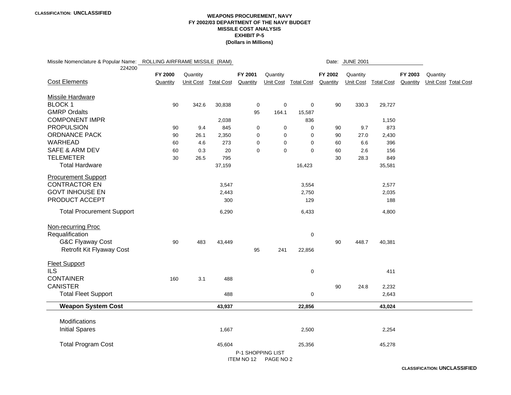#### **WEAPONS PROCUREMENT, NAVY FY 2002/03 DEPARTMENT OF THE NAVY BUDGET MISSILE COST ANALYSIS EXHIBIT P-5(Dollars in Millions)**

| Missile Nomenclature & Popular Name: ROLLING AIRFRAME MISSILE (RAM)<br>224200 |          |                  |                   |                   |             |                      |          | Date: JUNE 2001 |                      |          |          |                      |
|-------------------------------------------------------------------------------|----------|------------------|-------------------|-------------------|-------------|----------------------|----------|-----------------|----------------------|----------|----------|----------------------|
|                                                                               | FY 2000  | Quantity         |                   | FY 2001           | Quantity    |                      | FY 2002  | Quantity        |                      | FY 2003  | Quantity |                      |
| <b>Cost Elements</b>                                                          | Quantity | <b>Unit Cost</b> | <b>Total Cost</b> | Quantity          |             | Unit Cost Total Cost | Quantity |                 | Unit Cost Total Cost | Quantity |          | Unit Cost Total Cost |
| <b>Missile Hardware</b>                                                       |          |                  |                   |                   |             |                      |          |                 |                      |          |          |                      |
| <b>BLOCK1</b>                                                                 | 90       | 342.6            | 30,838            | $\pmb{0}$         | $\mathbf 0$ | $\mathbf 0$          | 90       | 330.3           | 29,727               |          |          |                      |
| <b>GMRP Ordalts</b>                                                           |          |                  |                   | 95                | 164.1       | 15,587               |          |                 |                      |          |          |                      |
| <b>COMPONENT IMPR</b>                                                         |          |                  | 2,038             |                   |             | 836                  |          |                 | 1,150                |          |          |                      |
| <b>PROPULSION</b>                                                             | 90       | 9.4              | 845               | 0                 | 0           | 0                    | 90       | 9.7             | 873                  |          |          |                      |
| <b>ORDNANCE PACK</b>                                                          | 90       | 26.1             | 2,350             | 0                 | $\Omega$    | 0                    | 90       | 27.0            | 2,430                |          |          |                      |
| <b>WARHEAD</b>                                                                | 60       | 4.6              | 273               | 0                 | $\mathbf 0$ | $\mathbf 0$          | 60       | 6.6             | 396                  |          |          |                      |
| <b>SAFE &amp; ARM DEV</b>                                                     | 60       | 0.3              | 20                | $\mathbf 0$       | $\mathbf 0$ | $\mathbf 0$          | 60       | 2.6             | 156                  |          |          |                      |
| <b>TELEMETER</b>                                                              | 30       | 26.5             | 795               |                   |             |                      | 30       | 28.3            | 849                  |          |          |                      |
| <b>Total Hardware</b>                                                         |          |                  | 37,159            |                   |             | 16,423               |          |                 | 35,581               |          |          |                      |
| <b>Procurement Support</b>                                                    |          |                  |                   |                   |             |                      |          |                 |                      |          |          |                      |
| <b>CONTRACTOR EN</b>                                                          |          |                  | 3,547             |                   |             | 3,554                |          |                 | 2,577                |          |          |                      |
| <b>GOVT INHOUSE EN</b>                                                        |          |                  | 2,443             |                   |             | 2,750                |          |                 | 2,035                |          |          |                      |
| PRODUCT ACCEPT                                                                |          |                  | 300               |                   |             | 129                  |          |                 | 188                  |          |          |                      |
| <b>Total Procurement Support</b>                                              |          |                  | 6,290             |                   |             | 6,433                |          |                 | 4,800                |          |          |                      |
| Non-recurring Proc                                                            |          |                  |                   |                   |             |                      |          |                 |                      |          |          |                      |
| Requalification                                                               |          |                  |                   |                   |             | $\mathbf 0$          |          |                 |                      |          |          |                      |
| <b>G&amp;C Flyaway Cost</b>                                                   | 90       | 483              | 43,449            |                   |             |                      | 90       | 448.7           | 40,381               |          |          |                      |
| Retrofit Kit Flyaway Cost                                                     |          |                  |                   | 95                | 241         | 22,856               |          |                 |                      |          |          |                      |
| <b>Fleet Support</b>                                                          |          |                  |                   |                   |             |                      |          |                 |                      |          |          |                      |
| <b>ILS</b>                                                                    |          |                  |                   |                   |             | $\mathbf 0$          |          |                 | 411                  |          |          |                      |
| <b>CONTAINER</b>                                                              | 160      | 3.1              | 488               |                   |             |                      |          |                 |                      |          |          |                      |
| <b>CANISTER</b>                                                               |          |                  |                   |                   |             |                      | 90       | 24.8            | 2,232                |          |          |                      |
| <b>Total Fleet Support</b>                                                    |          |                  | 488               |                   |             | 0                    |          |                 | 2,643                |          |          |                      |
| <b>Weapon System Cost</b>                                                     |          |                  | 43,937            |                   |             | 22,856               |          |                 | 43,024               |          |          |                      |
| Modifications                                                                 |          |                  |                   |                   |             |                      |          |                 |                      |          |          |                      |
| <b>Initial Spares</b>                                                         |          |                  | 1,667             |                   |             | 2,500                |          |                 | 2,254                |          |          |                      |
|                                                                               |          |                  |                   |                   |             |                      |          |                 |                      |          |          |                      |
| <b>Total Program Cost</b>                                                     |          |                  | 45,604            |                   |             | 25,356               |          |                 | 45,278               |          |          |                      |
|                                                                               |          |                  |                   | P-1 SHOPPING LIST |             |                      |          |                 |                      |          |          |                      |
|                                                                               |          |                  |                   | ITEM NO 12        | PAGE NO 2   |                      |          |                 |                      |          |          |                      |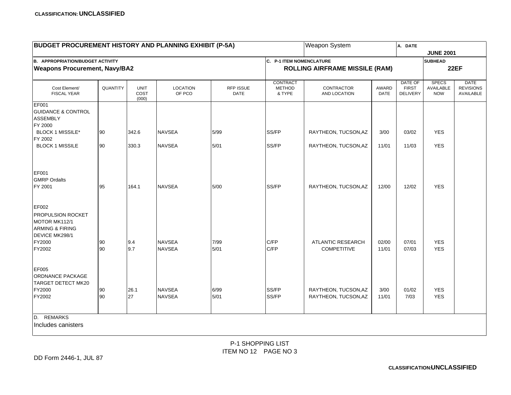| <b>BUDGET PROCUREMENT HISTORY AND PLANNING EXHIBIT (P-5A)</b>                                                   |          |                              |                                |                                 |                                            | <b>Weapon System</b>                           |                      | A. DATE                                           |                                         |                                              |
|-----------------------------------------------------------------------------------------------------------------|----------|------------------------------|--------------------------------|---------------------------------|--------------------------------------------|------------------------------------------------|----------------------|---------------------------------------------------|-----------------------------------------|----------------------------------------------|
|                                                                                                                 |          |                              |                                |                                 |                                            |                                                |                      |                                                   | <b>JUNE 2001</b>                        |                                              |
| <b>B. APPROPRIATION/BUDGET ACTIVITY</b>                                                                         |          |                              |                                |                                 | C. P-1 ITEM NOMENCLATURE                   |                                                |                      |                                                   | <b>SUBHEAD</b>                          |                                              |
| <b>Weapons Procurement, Navy/BA2</b>                                                                            |          |                              |                                |                                 |                                            | <b>ROLLING AIRFRAME MISSILE (RAM)</b>          |                      |                                                   |                                         | <b>22EF</b>                                  |
| Cost Element/<br><b>FISCAL YEAR</b>                                                                             | QUANTITY | <b>UNIT</b><br>COST<br>(000) | <b>LOCATION</b><br>OF PCO      | <b>RFP ISSUE</b><br><b>DATE</b> | <b>CONTRACT</b><br><b>METHOD</b><br>& TYPE | CONTRACTOR<br>AND LOCATION                     | AWARD<br><b>DATE</b> | <b>DATE OF</b><br><b>FIRST</b><br><b>DELIVERY</b> | <b>SPECS</b><br>AVAILABLE<br><b>NOW</b> | <b>DATE</b><br><b>REVISIONS</b><br>AVAILABLE |
| <b>EF001</b><br><b>GUIDANCE &amp; CONTROL</b><br><b>ASSEMBLY</b><br>FY 2000                                     |          |                              |                                |                                 |                                            |                                                |                      |                                                   |                                         |                                              |
| <b>BLOCK 1 MISSILE*</b><br>FY 2002                                                                              | 90       | 342.6                        | <b>NAVSEA</b>                  | 5/99                            | SS/FP                                      | RAYTHEON, TUCSON, AZ                           | 3/00                 | 03/02                                             | <b>YES</b>                              |                                              |
| <b>BLOCK 1 MISSILE</b>                                                                                          | 90       | 330.3                        | <b>NAVSEA</b>                  | 5/01                            | SS/FP                                      | RAYTHEON, TUCSON, AZ                           | 11/01                | 11/03                                             | <b>YES</b>                              |                                              |
| EF001<br><b>GMRP Ordalts</b><br>FY 2001                                                                         | 95       | 164.1                        | <b>NAVSEA</b>                  | $5/00$                          | SS/FP                                      | RAYTHEON, TUCSON, AZ                           | 12/00                | 12/02                                             | <b>YES</b>                              |                                              |
| EF002<br>PROPULSION ROCKET<br>MOTOR MK112/1<br><b>ARMING &amp; FIRING</b><br>DEVICE MK298/1<br>FY2000<br>FY2002 | 90<br>90 | 9.4<br>9.7                   | <b>NAVSEA</b><br><b>NAVSEA</b> | 7/99<br>5/01                    | C/FP<br>C/FP                               | <b>ATLANTIC RESEARCH</b><br><b>COMPETITIVE</b> | 02/00<br>11/01       | 07/01<br>07/03                                    | <b>YES</b><br><b>YES</b>                |                                              |
| EF005<br>ORDNANCE PACKAGE<br>TARGET DETECT MK20<br>FY2000<br>FY2002                                             | 90<br>90 | 26.1<br>27                   | <b>NAVSEA</b><br><b>NAVSEA</b> | 6/99<br>5/01                    | SS/FP<br>SS/FP                             | RAYTHEON, TUCSON, AZ<br>RAYTHEON, TUCSON, AZ   | 3/00<br>11/01        | 01/02<br>7/03                                     | <b>YES</b><br><b>YES</b>                |                                              |
| D. REMARKS<br>Includes canisters                                                                                |          |                              |                                |                                 |                                            |                                                |                      |                                                   |                                         |                                              |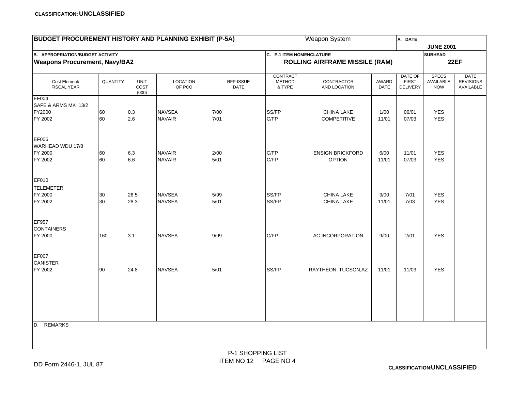| <b>BUDGET PROCUREMENT HISTORY AND PLANNING EXHIBIT (P-5A)</b> |          |                              |                           |                   |                                            | Weapon System                         |               | A. DATE                                    |                                         |                                              |
|---------------------------------------------------------------|----------|------------------------------|---------------------------|-------------------|--------------------------------------------|---------------------------------------|---------------|--------------------------------------------|-----------------------------------------|----------------------------------------------|
|                                                               |          |                              |                           |                   |                                            |                                       |               |                                            | <b>JUNE 2001</b>                        |                                              |
| <b>B. APPROPRIATION/BUDGET ACTIVITY</b>                       |          |                              |                           |                   | C. P-1 ITEM NOMENCLATURE                   |                                       |               |                                            | <b>SUBHEAD</b>                          |                                              |
| <b>Weapons Procurement, Navy/BA2</b>                          |          |                              |                           |                   |                                            | <b>ROLLING AIRFRAME MISSILE (RAM)</b> |               |                                            |                                         | <b>22EF</b>                                  |
| Cost Element/<br><b>FISCAL YEAR</b>                           | QUANTITY | <b>UNIT</b><br>COST<br>(000) | <b>LOCATION</b><br>OF PCO | RFP ISSUE<br>DATE | <b>CONTRACT</b><br><b>METHOD</b><br>& TYPE | CONTRACTOR<br>AND LOCATION            | AWARD<br>DATE | DATE OF<br><b>FIRST</b><br><b>DELIVERY</b> | <b>SPECS</b><br>AVAILABLE<br><b>NOW</b> | <b>DATE</b><br><b>REVISIONS</b><br>AVAILABLE |
| <b>EF004</b>                                                  |          |                              |                           |                   |                                            |                                       |               |                                            |                                         |                                              |
| SAFE & ARMS MK 13/2                                           |          |                              |                           |                   |                                            |                                       |               |                                            |                                         |                                              |
| FY2000                                                        | 60       | 0.3                          | <b>NAVSEA</b>             | 7/00              | SS/FP                                      | <b>CHINA LAKE</b>                     | 1/00          | 06/01                                      | <b>YES</b>                              |                                              |
| FY 2002                                                       | 60       | 2.6                          | <b>NAVAIR</b>             | 7/01              | C/FP                                       | <b>COMPETITIVE</b>                    | 11/01         | 07/03                                      | <b>YES</b>                              |                                              |
| <b>EF006</b><br>WARHEAD WDU 17/8                              |          |                              |                           |                   |                                            |                                       |               |                                            |                                         |                                              |
| FY 2000                                                       | 60       | 6.3                          | <b>NAVAIR</b>             | 2/00              | C/FP                                       | <b>ENSIGN BRICKFORD</b>               | 6/00          | 11/01                                      | <b>YES</b>                              |                                              |
| FY 2002                                                       | 60       | 6.6                          | <b>NAVAIR</b>             | 5/01              | C/FP                                       | <b>OPTION</b>                         | 11/01         | 07/03                                      | <b>YES</b>                              |                                              |
| <b>EF010</b>                                                  |          |                              |                           |                   |                                            |                                       |               |                                            |                                         |                                              |
| <b>TELEMETER</b>                                              |          |                              |                           |                   |                                            |                                       |               |                                            |                                         |                                              |
| FY 2000                                                       | 30       | 26.5                         | <b>NAVSEA</b>             | 5/99              | SS/FP                                      | CHINA LAKE                            | 3/00          | 7/01                                       | <b>YES</b>                              |                                              |
| FY 2002                                                       | 30       | 28.3                         | <b>NAVSEA</b>             | 5/01              | SS/FP                                      | CHINA LAKE                            | 11/01         | 7/03                                       | <b>YES</b>                              |                                              |
| EF957<br><b>CONTAINERS</b>                                    |          |                              |                           |                   |                                            |                                       |               |                                            |                                         |                                              |
| FY 2000                                                       | 160      | 3.1                          | <b>NAVSEA</b>             | 9/99              | C/FP                                       | AC INCORPORATION                      | 9/00          | 2/01                                       | <b>YES</b>                              |                                              |
| <b>EF007</b><br><b>CANISTER</b>                               |          |                              |                           |                   |                                            |                                       |               |                                            |                                         |                                              |
| FY 2002                                                       | 90       | 24.8                         | <b>NAVSEA</b>             | 5/01              | SS/FP                                      | RAYTHEON, TUCSON, AZ                  | 11/01         | 11/03                                      | <b>YES</b>                              |                                              |
|                                                               |          |                              |                           |                   |                                            |                                       |               |                                            |                                         |                                              |
|                                                               |          |                              |                           |                   |                                            |                                       |               |                                            |                                         |                                              |
|                                                               |          |                              |                           |                   |                                            |                                       |               |                                            |                                         |                                              |
| D. REMARKS                                                    |          |                              |                           |                   |                                            |                                       |               |                                            |                                         |                                              |
|                                                               |          |                              |                           |                   |                                            |                                       |               |                                            |                                         |                                              |
|                                                               |          |                              |                           |                   |                                            |                                       |               |                                            |                                         |                                              |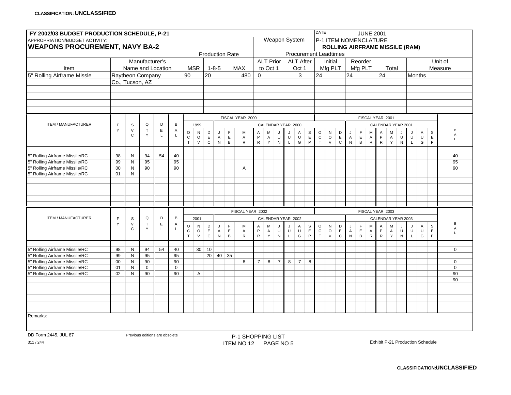| FY 2002/03 BUDGET PRODUCTION SCHEDULE, P-21                               |                   |                 |                                |                  |                   |                        |                      |                            |                  |                        |                          |                  |                    |                |              |                  |                            | <b>DATE</b>          |                                                                |                            |                   |                             |                     | <b>JUNE 2001</b>                        |                     |              |              |               |               |                             |                             |
|---------------------------------------------------------------------------|-------------------|-----------------|--------------------------------|------------------|-------------------|------------------------|----------------------|----------------------------|------------------|------------------------|--------------------------|------------------|--------------------|----------------|--------------|------------------|----------------------------|----------------------|----------------------------------------------------------------|----------------------------|-------------------|-----------------------------|---------------------|-----------------------------------------|---------------------|--------------|--------------|---------------|---------------|-----------------------------|-----------------------------|
| APPROPRIATION/BUDGET ACTIVITY:<br><b>WEAPONS PROCUREMENT, NAVY BA-2</b>   |                   |                 |                                |                  |                   |                        |                      |                            |                  |                        |                          |                  |                    |                |              | Weapon System    |                            |                      | P-1 ITEM NOMENCLATURE<br><b>ROLLING AIRFRAME MISSILE (RAM)</b> |                            |                   |                             |                     |                                         |                     |              |              |               |               |                             |                             |
|                                                                           |                   |                 |                                |                  |                   |                        |                      |                            |                  | <b>Production Rate</b> |                          |                  |                    |                |              |                  |                            |                      | <b>Procurement Leadtimes</b>                                   |                            |                   |                             |                     |                                         |                     |              |              |               |               |                             |                             |
|                                                                           |                   |                 | Manufacturer's                 |                  |                   |                        |                      |                            |                  |                        |                          |                  | <b>ALT Prior</b>   |                |              | <b>ALT After</b> |                            |                      | Initial                                                        |                            |                   | Reorder                     |                     |                                         |                     |              |              |               |               |                             | Unit of                     |
| Item                                                                      |                   |                 | Name and Location              |                  |                   |                        | <b>MSR</b>           |                            | $1 - 8 - 5$      |                        | <b>MAX</b>               |                  | to Oct 1           |                |              | Oct 1            |                            |                      | Mfg PLT                                                        |                            |                   | Mfg PLT                     |                     |                                         | Total               |              |              |               |               |                             | Measure                     |
| 5" Rolling Airframe Missle                                                |                   |                 | Raytheon Company               |                  |                   | 90                     |                      | 20                         |                  |                        | 480                      | $\mathbf 0$      |                    |                |              | 3                |                            | 24                   |                                                                |                            | 24                |                             |                     | 24                                      |                     |              |              | <b>Months</b> |               |                             |                             |
|                                                                           |                   | Co., Tucson, AZ |                                |                  |                   |                        |                      |                            |                  |                        |                          |                  |                    |                |              |                  |                            |                      |                                                                |                            |                   |                             |                     |                                         |                     |              |              |               |               |                             |                             |
|                                                                           |                   |                 |                                |                  |                   |                        |                      |                            |                  |                        |                          |                  |                    |                |              |                  |                            |                      |                                                                |                            |                   |                             |                     |                                         |                     |              |              |               |               |                             |                             |
|                                                                           |                   |                 |                                |                  |                   |                        |                      |                            |                  |                        |                          |                  |                    |                |              |                  |                            |                      |                                                                |                            |                   |                             |                     |                                         |                     |              |              |               |               |                             |                             |
|                                                                           |                   |                 |                                |                  |                   |                        |                      |                            |                  |                        |                          |                  |                    |                |              |                  |                            |                      |                                                                |                            |                   |                             |                     |                                         |                     |              |              |               |               |                             |                             |
|                                                                           |                   |                 |                                |                  |                   |                        |                      |                            |                  |                        |                          |                  |                    |                |              |                  |                            |                      |                                                                |                            |                   |                             |                     |                                         |                     |              |              |               |               |                             |                             |
|                                                                           |                   |                 |                                |                  |                   |                        |                      |                            |                  |                        | FISCAL YEAR 2000         |                  |                    |                |              |                  |                            |                      |                                                                |                            |                   |                             |                     | FISCAL YEAR 2001                        |                     |              |              |               |               |                             |                             |
| ITEM / MANUFACTURER                                                       | $\mathsf{F}$      | S               | Q                              | D                | B                 |                        | 1999                 |                            |                  |                        |                          |                  | CALENDAR YEAR 2000 |                |              |                  |                            |                      |                                                                |                            |                   |                             |                     | CALENDAR YEAR 2001                      |                     |              |              |               |               |                             |                             |
|                                                                           | Y                 | $\vee$          | $\top$                         | $\mathsf E$      | Α                 | $\circ$                | ${\sf N}$            | D                          | J                | $\mathsf F$            | M                        | Α                | М                  | J.             |              | A                | $\mathsf{s}$               | $\mathsf O$          | ${\sf N}$                                                      | $\mathsf D$                | IJ                | F                           | M                   | Α                                       | M                   |              | J            |               | A             | $\mbox{\bf s}$              | B                           |
|                                                                           |                   | $\mathsf{C}$    | Y                              | $\mathsf{L}$     | L                 | $\mathsf C$            | $\circ$              | $\mathsf E$                | $\mathsf A$      | $\mathsf E$            | A                        | P                | $\mathsf A$        | $\sf U$        | $\sf U$      | $\sf U$          | $\mathsf E$                | ${\tt C}$            | $_{\rm V}^{\rm O}$                                             | $\mathsf E$                | $\mathsf{A}$      | $\mathsf E$                 | $\overline{A}$      | P                                       | A<br>Y              | $\mathsf{U}$ | $\cup$       |               | $\cup$        | $\mathsf E$                 | $\mathsf A$<br>$\mathbf{L}$ |
|                                                                           |                   |                 |                                |                  |                   | $\mathsf{T}$           | $\vee$               | $\mathtt{C}$               | ${\sf N}$        | B                      | $\mathsf{R}$             | ${\sf R}$        | $\mathsf Y$        | ${\sf N}$      | $\mathsf L$  | G                | P                          | $\top$               |                                                                | $\mathtt{C}$               | $\mathsf{N}$      | $\, {\sf B}$                | ${\sf R}$           | $\mathsf{R}$                            |                     | ${\sf N}$    | $\mathsf L$  |               | G             | P                           |                             |
|                                                                           |                   | N               |                                | 54               |                   |                        |                      |                            |                  |                        |                          |                  |                    |                |              |                  |                            |                      |                                                                |                            |                   |                             |                     |                                         |                     |              |              |               |               |                             |                             |
| 5" Rolling Airframe Missile/RC<br>5" Rolling Airframe Missile/RC          | 98<br>99          | N               | 94<br>95                       |                  | 40<br>95          |                        |                      |                            |                  |                        |                          |                  |                    |                |              |                  |                            |                      |                                                                |                            |                   |                             |                     |                                         |                     |              |              |               |               |                             | 40<br>95                    |
| 5" Rolling Airframe Missile/RC                                            | $00\,$            | ${\sf N}$       | 90                             |                  | 90                |                        |                      |                            |                  |                        | A                        |                  |                    |                |              |                  |                            |                      |                                                                |                            |                   |                             |                     |                                         |                     |              |              |               |               |                             | 90                          |
| 5" Rolling Airframe Missile/RC                                            | 01                | ${\sf N}$       |                                |                  |                   |                        |                      |                            |                  |                        |                          |                  |                    |                |              |                  |                            |                      |                                                                |                            |                   |                             |                     |                                         |                     |              |              |               |               |                             |                             |
|                                                                           |                   |                 |                                |                  |                   |                        |                      |                            |                  |                        |                          |                  |                    |                |              |                  |                            |                      |                                                                |                            |                   |                             |                     |                                         |                     |              |              |               |               |                             |                             |
|                                                                           |                   |                 |                                |                  |                   |                        |                      |                            |                  |                        |                          |                  |                    |                |              |                  |                            |                      |                                                                |                            |                   |                             |                     |                                         |                     |              |              |               |               |                             |                             |
|                                                                           |                   |                 |                                |                  |                   |                        |                      |                            |                  |                        |                          |                  |                    |                |              |                  |                            |                      |                                                                |                            |                   |                             |                     |                                         |                     |              |              |               |               |                             |                             |
|                                                                           |                   |                 |                                |                  |                   |                        |                      |                            |                  |                        |                          |                  |                    |                |              |                  |                            |                      |                                                                |                            |                   |                             |                     |                                         |                     |              |              |               |               |                             |                             |
|                                                                           |                   |                 |                                |                  |                   |                        |                      |                            |                  |                        |                          |                  |                    |                |              |                  |                            |                      |                                                                |                            |                   |                             |                     |                                         |                     |              |              |               |               |                             |                             |
|                                                                           |                   |                 |                                |                  |                   |                        |                      |                            |                  |                        | FISCAL YEAR 2002         |                  |                    |                |              |                  |                            |                      |                                                                |                            |                   |                             |                     | FISCAL YEAR 2003                        |                     |              |              |               |               |                             |                             |
| ITEM / MANUFACTURER                                                       | $\mathsf{F}$<br>Y | S<br>$\vee$     | Q<br>$\top$                    | D<br>$\mathsf E$ | $\, {\bf B}$<br>Α |                        | 2001                 |                            |                  |                        |                          |                  | CALENDAR YEAR 2002 |                |              |                  |                            |                      |                                                                |                            |                   |                             |                     | CALENDAR YEAR 2003                      |                     |              |              |               |               |                             | В                           |
|                                                                           |                   | $\mathbf C$     | Y                              | $\mathsf{L}$     | L                 | $\circ$<br>$\mathsf C$ | ${\sf N}$<br>$\circ$ | $\mathsf D$<br>$\mathsf E$ | J<br>$\mathsf A$ | F<br>$\mathsf E$       | M<br>A                   | Α<br>$\mathsf P$ | М<br>$\mathsf{A}$  | $\sf U$        | $\sf U$      | Α<br>$\sf U$     | $\mathbb S$<br>$\mathsf E$ | $\circ$<br>${\rm c}$ | ${\sf N}$<br>$\circ$                                           | $\mathsf D$<br>$\mathsf E$ | J<br>$\mathsf{A}$ | $\mathsf{F}$<br>$\mathsf E$ | M<br>$\overline{A}$ | $\mathsf{A}$<br>$\mathsf P$             | M<br>$\overline{A}$ | $\sf U$      | J<br>$\sf U$ |               | A<br>U        | $\mathsf{s}$<br>$\mathsf E$ | $\mathsf A$                 |
|                                                                           |                   |                 |                                |                  |                   | T.                     | $\vee$               | $\mathtt{C}$               | ${\sf N}$        | B                      | $\mathsf{R}$             | ${\sf R}$        | Y                  | ${\sf N}$      | $\mathsf{L}$ | G                | P                          | $\top$               | $\mathsf{V}$                                                   | $\mathtt{C}$               | ${\sf N}$         | $\, {\sf B}$                | ${\sf R}$           | $\mathsf{R}$                            | Y                   | ${\sf N}$    | $\mathsf L$  |               | ${\mathsf G}$ | P                           | $\mathbf{L}$                |
|                                                                           |                   |                 |                                |                  |                   |                        |                      |                            |                  |                        |                          |                  |                    |                |              |                  |                            |                      |                                                                |                            |                   |                             |                     |                                         |                     |              |              |               |               |                             |                             |
| 5" Rolling Airframe Missile/RC                                            | 98                | ${\sf N}$       | 94                             | 54               | 40                |                        | 30 <sup>1</sup>      | 10                         |                  |                        |                          |                  |                    |                |              |                  |                            |                      |                                                                |                            |                   |                             |                     |                                         |                     |              |              |               |               |                             | $\mathbf 0$                 |
| 5" Rolling Airframe Missile/RC                                            | 99                | N               | 95                             |                  | 95                |                        |                      | 20                         | 40               | 35                     |                          |                  |                    |                |              |                  |                            |                      |                                                                |                            |                   |                             |                     |                                         |                     |              |              |               |               |                             |                             |
| 5" Rolling Airframe Missile/RC                                            | $00\,$            | ${\sf N}$       | 90                             |                  | 90                |                        |                      |                            |                  |                        | 8                        | $\overline{7}$   | 8                  | $\overline{7}$ | 8            | $\overline{7}$   | 8                          |                      |                                                                |                            |                   |                             |                     |                                         |                     |              |              |               |               |                             | $\mathbf 0$                 |
| <sup>5</sup> " Rolling Airframe Missile/RC<br>Rolling Airframe Missile/RC | 01<br>02          | N<br>N          | $\mathbf 0$<br>90              |                  | $\mathbf 0$<br>90 |                        | Α                    |                            |                  |                        |                          |                  |                    |                |              |                  |                            |                      |                                                                |                            |                   |                             |                     |                                         |                     |              |              |               |               |                             | $\mathbf 0$<br>90           |
|                                                                           |                   |                 |                                |                  |                   |                        |                      |                            |                  |                        |                          |                  |                    |                |              |                  |                            |                      |                                                                |                            |                   |                             |                     |                                         |                     |              |              |               |               |                             | 90                          |
|                                                                           |                   |                 |                                |                  |                   |                        |                      |                            |                  |                        |                          |                  |                    |                |              |                  |                            |                      |                                                                |                            |                   |                             |                     |                                         |                     |              |              |               |               |                             |                             |
|                                                                           |                   |                 |                                |                  |                   |                        |                      |                            |                  |                        |                          |                  |                    |                |              |                  |                            |                      |                                                                |                            |                   |                             |                     |                                         |                     |              |              |               |               |                             |                             |
|                                                                           |                   |                 |                                |                  |                   |                        |                      |                            |                  |                        |                          |                  |                    |                |              |                  |                            |                      |                                                                |                            |                   |                             |                     |                                         |                     |              |              |               |               |                             |                             |
|                                                                           |                   |                 |                                |                  |                   |                        |                      |                            |                  |                        |                          |                  |                    |                |              |                  |                            |                      |                                                                |                            |                   |                             |                     |                                         |                     |              |              |               |               |                             |                             |
| Remarks:                                                                  |                   |                 |                                |                  |                   |                        |                      |                            |                  |                        |                          |                  |                    |                |              |                  |                            |                      |                                                                |                            |                   |                             |                     |                                         |                     |              |              |               |               |                             |                             |
|                                                                           |                   |                 |                                |                  |                   |                        |                      |                            |                  |                        |                          |                  |                    |                |              |                  |                            |                      |                                                                |                            |                   |                             |                     |                                         |                     |              |              |               |               |                             |                             |
|                                                                           |                   |                 |                                |                  |                   |                        |                      |                            |                  |                        |                          |                  |                    |                |              |                  |                            |                      |                                                                |                            |                   |                             |                     |                                         |                     |              |              |               |               |                             |                             |
| DD Form 2445, JUL 87                                                      |                   |                 | Previous editions are obsolete |                  |                   |                        |                      |                            |                  |                        | <b>P-1 SHOPPING LIST</b> |                  |                    |                |              |                  |                            |                      |                                                                |                            |                   |                             |                     |                                         |                     |              |              |               |               |                             |                             |
| 311/244                                                                   |                   |                 |                                |                  |                   |                        |                      |                            |                  |                        | ITEM NO 12 PAGE NO 5     |                  |                    |                |              |                  |                            |                      |                                                                |                            |                   |                             |                     | <b>Exhibit P-21 Production Schedule</b> |                     |              |              |               |               |                             |                             |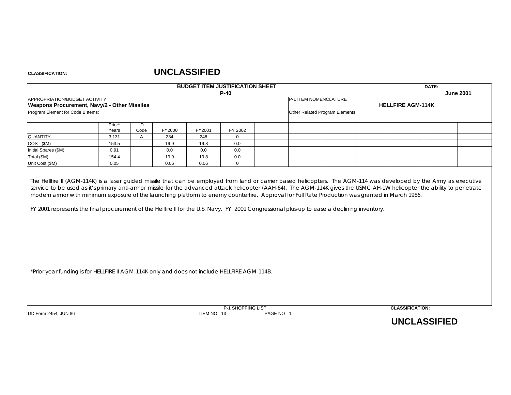#### **CLASSIFICATION:**

|                                                                                              |                 |              |        |            | <b>BUDGET ITEM JUSTIFICATION SHEET</b><br>$P-40$ |                                | DATE:                    | <b>June 2001</b> |
|----------------------------------------------------------------------------------------------|-----------------|--------------|--------|------------|--------------------------------------------------|--------------------------------|--------------------------|------------------|
| APPROPRIATION/BUDGET ACTIVITY<br>Weapons Procurement, Navy/2 - Other Missiles                |                 |              |        |            |                                                  | P-1 ITEM NOMENCLATURE          | <b>HELLFIRE AGM-114K</b> |                  |
| Program Element for Code B Items:                                                            |                 |              |        |            |                                                  | Other Related Program Elements |                          |                  |
|                                                                                              | Prior*<br>Years | ID<br>Code   | FY2000 | FY2001     | FY 2002                                          |                                |                          |                  |
| QUANTITY                                                                                     | 3,131           | $\mathsf{A}$ | 234    | 248        | $\mathbf 0$                                      |                                |                          |                  |
| COST (\$M)                                                                                   | 153.5           |              | 19.9   | 19.8       | 0.0                                              |                                |                          |                  |
| Initial Spares (\$M)                                                                         | 0.91            |              | 0.0    | 0.0        | 0.0                                              |                                |                          |                  |
| Total (\$M)                                                                                  | 154.4           |              | 19.9   | 19.8       | 0.0                                              |                                |                          |                  |
| Unit Cost (\$M)                                                                              | 0.05            |              | 0.06   | 0.06       | $\mathbf 0$                                      |                                |                          |                  |
|                                                                                              |                 |              |        |            |                                                  |                                |                          |                  |
| *Prior year funding is for HELLFIRE II AGM-114K only and does not include HELLFIRE AGM-114B. |                 |              |        |            |                                                  |                                |                          |                  |
| DD Form 2454, JUN 86                                                                         |                 |              |        | ITEM NO 13 | P-1 SHOPPING LIST                                | PAGE NO 1                      | <b>CLASSIFICATION:</b>   |                  |
|                                                                                              |                 |              |        |            |                                                  |                                | <b>UNCLASSIFIED</b>      |                  |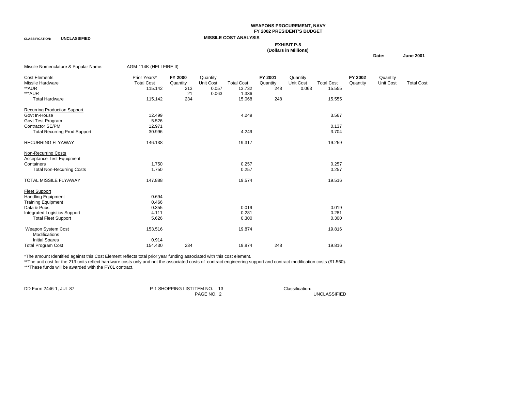#### **WEAPONS PROCUREMENT, NAVY FY 2002 PRESIDENT'S BUDGET**

**CLASSIFICATION: UNCLASSIFIED MISSILE COST ANALYSIS**

#### **EXHIBIT P-5**

#### **(Dollars in Millions)**

#### **Date: June 2001**

| Missile Nomenclature & Popular Name: | AGM-114K (HELLFIRE II) |          |           |                   |          |           |                   |          |           |                   |
|--------------------------------------|------------------------|----------|-----------|-------------------|----------|-----------|-------------------|----------|-----------|-------------------|
| Cost Elements                        | Prior Years*           | FY 2000  | Quantity  |                   | FY 2001  | Quantity  |                   | FY 2002  | Quantity  |                   |
| Missile Hardware                     | <b>Total Cost</b>      | Quantity | Unit Cost | <b>Total Cost</b> | Quantity | Unit Cost | <b>Total Cost</b> | Quantity | Unit Cost | <b>Total Cost</b> |
| **AUR                                | 115.142                | 213      | 0.057     | 13.732            | 248      | 0.063     | 15.555            |          |           |                   |
| ***AUR                               |                        | 21       | 0.063     | 1.336             |          |           |                   |          |           |                   |
| <b>Total Hardware</b>                | 115.142                | 234      |           | 15.068            | 248      |           | 15.555            |          |           |                   |
| <b>Recurring Production Support</b>  |                        |          |           |                   |          |           |                   |          |           |                   |
| Govt In-House                        | 12.499                 |          |           | 4.249             |          |           | 3.567             |          |           |                   |
| Govt Test Program                    | 5.526                  |          |           |                   |          |           |                   |          |           |                   |
| Contractor SE/PM                     | 12.971                 |          |           |                   |          |           | 0.137             |          |           |                   |
| <b>Total Recurring Prod Support</b>  | 30.996                 |          |           | 4.249             |          |           | 3.704             |          |           |                   |
| <b>RECURRING FLYAWAY</b>             | 146.138                |          |           | 19.317            |          |           | 19.259            |          |           |                   |
| <b>Non-Recurring Costs</b>           |                        |          |           |                   |          |           |                   |          |           |                   |
| Acceptance Test Equipment            |                        |          |           |                   |          |           |                   |          |           |                   |
| Containers                           | 1.750                  |          |           | 0.257             |          |           | 0.257             |          |           |                   |
| <b>Total Non-Recurring Costs</b>     | 1.750                  |          |           | 0.257             |          |           | 0.257             |          |           |                   |
| <b>TOTAL MISSILE FLYAWAY</b>         | 147.888                |          |           | 19.574            |          |           | 19.516            |          |           |                   |
| <b>Fleet Support</b>                 |                        |          |           |                   |          |           |                   |          |           |                   |
| <b>Handling Equipment</b>            | 0.694                  |          |           |                   |          |           |                   |          |           |                   |
| <b>Training Equipment</b>            | 0.466                  |          |           |                   |          |           |                   |          |           |                   |
| Data & Pubs                          | 0.355                  |          |           | 0.019             |          |           | 0.019             |          |           |                   |
| <b>Integrated Logistics Support</b>  | 4.111                  |          |           | 0.281             |          |           | 0.281             |          |           |                   |
| <b>Total Fleet Support</b>           | 5.626                  |          |           | 0.300             |          |           | 0.300             |          |           |                   |
| Weapon System Cost                   | 153.516                |          |           | 19.874            |          |           | 19.816            |          |           |                   |
| Modifications                        |                        |          |           |                   |          |           |                   |          |           |                   |
| <b>Initial Spares</b>                | 0.914                  |          |           |                   |          |           |                   |          |           |                   |
| <b>Total Program Cost</b>            | 154.430                | 234      |           | 19.874            | 248      |           | 19.816            |          |           |                   |

\*The amount Identified against this Cost Element reflects total prior year funding associated with this cost element.

\*\*The unit cost for the 213 units reflect hardware costs only and not the associated costs of contract engineering support and contract modification costs (\$1.560). \*\*\*These funds will be awarded with the FY01 contract.

DD Form 2446-1, JUL 87 **P-1 SHOPPING LIST ITEM NO.** 13 Classification:<br>PAGE NO. 2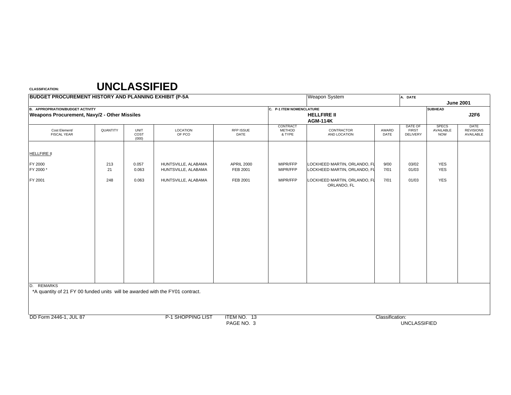| <b>BUDGET PROCUREMENT HISTORY AND PLANNING EXHIBIT (P-5A)</b>                                        |           |                              |                                            |                               |                                     | <b>Weapon System</b>                                         |               | A. DATE                                    |                                         |                                       |
|------------------------------------------------------------------------------------------------------|-----------|------------------------------|--------------------------------------------|-------------------------------|-------------------------------------|--------------------------------------------------------------|---------------|--------------------------------------------|-----------------------------------------|---------------------------------------|
|                                                                                                      |           |                              |                                            |                               |                                     |                                                              |               |                                            |                                         | <b>June 2001</b>                      |
| <b>B. APPROPRIATION/BUDGET ACTIVITY</b><br><b>Weapons Procurement, Navy/2 - Other Missiles</b>       |           |                              |                                            |                               | C. P-1 ITEM NOMENCLATURE            | <b>HELLFIRE II</b><br><b>AGM-114K</b>                        |               |                                            | <b>SUBHEAD</b>                          | J2F6                                  |
| Cost Element/<br><b>FISCAL YEAR</b>                                                                  | QUANTITY  | <b>UNIT</b><br>COST<br>(000) | LOCATION<br>OF PCO                         | RFP ISSUE<br>DATE             | CONTRACT<br><b>METHOD</b><br>& TYPE | CONTRACTOR<br>AND LOCATION                                   | AWARD<br>DATE | DATE OF<br><b>FIRST</b><br><b>DELIVERY</b> | <b>SPECS</b><br>AVAILABLE<br><b>NOW</b> | DATE<br><b>REVISIONS</b><br>AVAILABLE |
| <b>HELLFIRE II</b>                                                                                   |           |                              |                                            |                               |                                     |                                                              |               |                                            |                                         |                                       |
| FY 2000<br>FY 2000*                                                                                  | 213<br>21 | 0.057<br>0.063               | HUNTSVILLE, ALABAMA<br>HUNTSVILLE, ALABAMA | <b>APRIL 2000</b><br>FEB 2001 | MIPR/FFP<br>MIPR/FFP                | LOCKHEED MARTIN, ORLANDO, FL<br>LOCKHEED MARTIN, ORLANDO, FL | 9/00<br>7/01  | 03/02<br>01/03                             | YES<br><b>YES</b>                       |                                       |
| FY 2001                                                                                              | 248       | 0.063                        | HUNTSVILLE, ALABAMA                        | FEB 2001                      | MIPR/FFP                            | LOCKHEED MARTIN, ORLANDO, FL<br>ORLANDO, FL                  | 7/01          | 01/03                                      | <b>YES</b>                              |                                       |
| <b>REMARKS</b><br>D.<br>*A quantity of 21 FY 00 funded units will be awarded with the FY01 contract. |           |                              |                                            |                               |                                     |                                                              |               |                                            |                                         |                                       |

DD Form 2446-1, JUL 87 Classification: P-1 SHOPPING LIST ITEM NO. 13

PAGE NO. 3 UNCLASSIFIED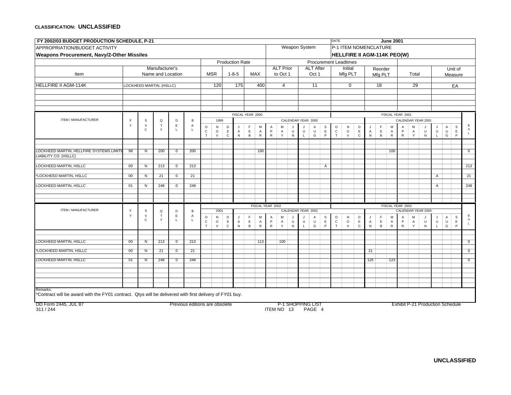| FY 2002/03 BUDGET PRODUCTION SCHEDULE, P-21                                                             |                 |                         |                          |                            |                                |                         |              |              |                        |                  |                  |                            |                   |                          |              |                  |                  | <b>DATE</b>             |                              |              |                     |                  | <b>June 2001</b>    |                  |                     |                                         |                |                         |                             |                 |
|---------------------------------------------------------------------------------------------------------|-----------------|-------------------------|--------------------------|----------------------------|--------------------------------|-------------------------|--------------|--------------|------------------------|------------------|------------------|----------------------------|-------------------|--------------------------|--------------|------------------|------------------|-------------------------|------------------------------|--------------|---------------------|------------------|---------------------|------------------|---------------------|-----------------------------------------|----------------|-------------------------|-----------------------------|-----------------|
| APPROPRIATION/BUDGET ACTIVITY                                                                           |                 |                         |                          |                            |                                |                         |              |              |                        |                  |                  |                            |                   | Weapon System            |              |                  |                  |                         | P-1 ITEM NOMENCLATURE        |              |                     |                  |                     |                  |                     |                                         |                |                         |                             |                 |
| <b>Weapons Procurement, Navy/2-Other Missiles</b>                                                       |                 |                         |                          |                            |                                |                         |              |              |                        |                  |                  |                            |                   |                          |              |                  |                  |                         | HELLFIRE II AGM-114K PEO(W)  |              |                     |                  |                     |                  |                     |                                         |                |                         |                             |                 |
|                                                                                                         |                 |                         |                          |                            |                                |                         |              |              | <b>Production Rate</b> |                  |                  |                            |                   |                          |              |                  |                  |                         | <b>Procurement Leadtimes</b> |              |                     |                  |                     |                  |                     |                                         |                |                         |                             |                 |
|                                                                                                         |                 |                         | Manufacturer's           |                            |                                |                         |              |              |                        |                  |                  |                            | <b>ALT Prior</b>  |                          |              | <b>ALT After</b> |                  |                         | Initial                      |              |                     | Reorder          |                     |                  |                     |                                         |                |                         | Unit of                     |                 |
| Item                                                                                                    |                 |                         | Name and Location        |                            |                                |                         | <b>MSR</b>   |              | $1 - 8 - 5$            |                  | <b>MAX</b>       |                            | to Oct 1          |                          |              | Oct 1            |                  |                         | Mfg PLT                      |              |                     | Mfg PLT          |                     |                  | Total               |                                         |                |                         | Measure                     |                 |
| <b>HELLFIRE II AGM-114K</b>                                                                             |                 |                         | LOCKHEED MARTIN, (HSLLC) |                            |                                |                         | 120          |              | 175                    |                  | 400              |                            | $\overline{4}$    |                          |              | 11               |                  |                         | $\Omega$                     |              |                     | $\overline{18}$  |                     |                  | 29                  |                                         |                |                         | EA                          |                 |
|                                                                                                         |                 |                         |                          |                            |                                |                         |              |              |                        |                  |                  |                            |                   |                          |              |                  |                  |                         |                              |              |                     |                  |                     |                  |                     |                                         |                |                         |                             |                 |
|                                                                                                         |                 |                         |                          |                            |                                |                         |              |              |                        |                  |                  |                            |                   |                          |              |                  |                  |                         |                              |              |                     |                  |                     |                  |                     |                                         |                |                         |                             |                 |
|                                                                                                         |                 |                         |                          |                            |                                |                         |              |              |                        |                  |                  |                            |                   |                          |              |                  |                  |                         |                              |              |                     |                  |                     |                  |                     |                                         |                |                         |                             |                 |
|                                                                                                         |                 |                         |                          |                            |                                |                         |              |              | FISCAL YEAR 2000       |                  |                  |                            |                   |                          |              |                  |                  |                         |                              |              |                     |                  |                     | FISCAL YEAR 2001 |                     |                                         |                |                         |                             |                 |
| ITEM / MANUFACTURER                                                                                     | E               | $\mathbb S$             | $\mathsf Q$              | D                          | B                              |                         | 1999         |              |                        |                  |                  |                            |                   | CALENDAR YEAR 2000       |              |                  |                  |                         |                              |              |                     |                  |                     |                  |                     | CALENDAR YEAR 2001                      |                |                         |                             |                 |
|                                                                                                         | Y               | $\vee$<br>$\mathsf{C}$  | $\mathsf T$<br>Y         | $\mathsf E$<br>$\mathsf L$ | Α<br>L.                        | $_{\rm c}^{\rm o}$      | N<br>$\circ$ | D<br>E       | $\mathsf J$<br>A       | F<br>$\mathsf E$ | M<br>Α           | $\mathsf A$<br>$\mathsf P$ | M<br>A            | U                        | $\sf U$      | A<br>$\sf U$     | s<br>$\mathsf E$ | $\circ$<br>$\mathtt{C}$ | ${\sf N}$<br>$\circ$         | D<br>E       | J<br>$\mathsf{A}$   | F<br>$\mathsf E$ | M<br>A              | A<br>P           | M<br>$\overline{A}$ | $\cdot$<br>$\cup$                       | J<br>$\cup$    | $\mathsf{A}$<br>$\sf U$ | $\mathsf{s}$<br>$\mathsf E$ |                 |
|                                                                                                         |                 |                         |                          |                            |                                | $\top$                  | $\vee$       | $\mathtt{C}$ | ${\sf N}$              | $\,$ B           | ${\sf R}$        | $\mathsf R$                | Y                 | ${\sf N}$                | $\mathsf{L}$ | G                | P                | $\mathsf{T}$            | $\vee$                       | $\mathtt{C}$ | ${\sf N}$           | $\overline{B}$   | ${\sf R}$           | $\mathsf R$      | Y                   | ${\sf N}$                               | $\mathsf{L}$   | G                       | P                           | $\mathsf L$     |
|                                                                                                         |                 |                         |                          |                            |                                |                         |              |              |                        |                  |                  |                            |                   |                          |              |                  |                  |                         |                              |              |                     |                  |                     |                  |                     |                                         |                |                         |                             |                 |
| LOCKHEED MARTIN, HELLFIRE SYSTEMS LIMITE                                                                | 98              | N                       | 200                      | $\overline{0}$             | 200                            |                         |              |              |                        |                  | 100              |                            |                   |                          |              |                  |                  |                         |                              |              |                     |                  | 100                 |                  |                     |                                         |                |                         |                             | $\overline{0}$  |
| <b>LIABILITY CO. (HSLLC)</b>                                                                            |                 |                         |                          |                            |                                |                         |              |              |                        |                  |                  |                            |                   |                          |              |                  |                  |                         |                              |              |                     |                  |                     |                  |                     |                                         |                |                         |                             |                 |
| <b>LOCKHEED MARTIN, HSLLC</b>                                                                           | $\overline{00}$ | N                       | 213                      | $\overline{\mathfrak{o}}$  | 213                            |                         |              |              |                        |                  |                  |                            |                   |                          |              |                  | $\mathsf{A}$     |                         |                              |              |                     |                  |                     |                  |                     |                                         |                |                         |                             | 213             |
| 'LOCKHEED MARTIN, HSLLC                                                                                 | 00              | $\overline{\mathsf{N}}$ | $\overline{21}$          | $\overline{\mathfrak{o}}$  | $\overline{21}$                |                         |              |              |                        |                  |                  |                            |                   |                          |              |                  |                  |                         |                              |              |                     |                  |                     |                  |                     |                                         | $\overline{A}$ |                         |                             | $\overline{21}$ |
|                                                                                                         |                 |                         |                          |                            |                                |                         |              |              |                        |                  |                  |                            |                   |                          |              |                  |                  |                         |                              |              |                     |                  |                     |                  |                     |                                         |                |                         |                             |                 |
| <b>LOCKHEED MARTIN, HSLLC</b>                                                                           | 01              | $\overline{N}$          | 248                      | $\overline{\mathfrak{o}}$  | 248                            |                         |              |              |                        |                  |                  |                            |                   |                          |              |                  |                  |                         |                              |              |                     |                  |                     |                  |                     |                                         | $\overline{A}$ |                         |                             | 248             |
|                                                                                                         |                 |                         |                          |                            |                                |                         |              |              |                        |                  |                  |                            |                   |                          |              |                  |                  |                         |                              |              |                     |                  |                     |                  |                     |                                         |                |                         |                             |                 |
|                                                                                                         |                 |                         |                          |                            |                                |                         |              |              |                        |                  | FISCAL YEAR 2002 |                            |                   |                          |              |                  |                  |                         |                              |              |                     |                  |                     | FISCAL YEAR 2003 |                     |                                         |                |                         |                             |                 |
| ITEM / MANUFACTURER                                                                                     | F               | S                       | Q                        | D                          | B                              |                         | 2001         |              |                        |                  |                  |                            |                   | CALENDAR YEAR 2002       |              |                  |                  |                         |                              |              |                     |                  |                     |                  |                     | CALENDAR YEAR 2003                      |                |                         |                             |                 |
|                                                                                                         | Y               | $\vee$<br>$\mathsf{C}$  | $\top$<br>Y              | $\mathsf E$<br>$\mathsf L$ | Α<br>$\mathbf{L}$              | $\circ$<br>$\mathtt{C}$ | N<br>$\circ$ | D<br>E       | J<br>Α                 | F<br>$\mathsf E$ | M<br>Α           | Α<br>$\mathsf P$           | M<br>$\mathsf{A}$ | J<br>$\cup$              | J<br>$\cup$  | A<br>$\sf U$     | s<br>$\mathsf E$ | $\circ$<br>$\mathtt{C}$ | ${\sf N}$<br>$\circ$         | D<br>E       | J<br>$\overline{A}$ | F<br>$\mathsf E$ | M<br>$\overline{A}$ | A<br>P.          | M<br>$\overline{A}$ | J<br>$\sf U$                            | J<br>$\sf U$   | $\mathsf{A}$<br>$\cup$  | S<br>$\mathsf E$            | в<br>A          |
|                                                                                                         |                 |                         |                          |                            |                                | $\mathsf{T}$            | $\vee$       | $\mathtt{C}$ | ${\sf N}$              | $\,$ B           | ${\sf R}$        | $\mathsf{R}$               | $\mathsf{Y}$      | ${\sf N}$                | $\mathsf{L}$ | G                | P                | $\mathsf{T}$            | $\vee$                       | $\mathtt{C}$ | N                   | B                | $\sf R$             | $\mathsf R$      | Y                   | ${\sf N}$                               | $\mathsf L$    | G                       | P                           | $\mathbf{L}$    |
|                                                                                                         |                 |                         |                          |                            |                                |                         |              |              |                        |                  |                  |                            |                   |                          |              |                  |                  |                         |                              |              |                     |                  |                     |                  |                     |                                         |                |                         |                             |                 |
| LOCKHEED MARTIN, HSLLC                                                                                  | 00              | N                       | 213                      | $\overline{0}$             | 213                            |                         |              |              |                        |                  | 113              |                            | 100               |                          |              |                  |                  |                         |                              |              |                     |                  |                     |                  |                     |                                         |                |                         |                             | $\overline{0}$  |
| *LOCKHEED MARTIN, HSLLC                                                                                 | 00              | $\overline{\mathsf{N}}$ | $\overline{21}$          | $\overline{0}$             | 21                             |                         |              |              |                        |                  |                  |                            |                   |                          |              |                  |                  |                         |                              |              | $\overline{21}$     |                  |                     |                  |                     |                                         |                |                         |                             | $\overline{0}$  |
| LOCKHEED MARTIN, HSLLC                                                                                  | 01              | $\overline{N}$          | 248                      | $\overline{0}$             | 248                            |                         |              |              |                        |                  |                  |                            |                   |                          |              |                  |                  |                         |                              |              | 125                 |                  | 123                 |                  |                     |                                         |                |                         |                             | $\overline{0}$  |
|                                                                                                         |                 |                         |                          |                            |                                |                         |              |              |                        |                  |                  |                            |                   |                          |              |                  |                  |                         |                              |              |                     |                  |                     |                  |                     |                                         |                |                         |                             |                 |
|                                                                                                         |                 |                         |                          |                            |                                |                         |              |              |                        |                  |                  |                            |                   |                          |              |                  |                  |                         |                              |              |                     |                  |                     |                  |                     |                                         |                |                         |                             |                 |
|                                                                                                         |                 |                         |                          |                            |                                |                         |              |              |                        |                  |                  |                            |                   |                          |              |                  |                  |                         |                              |              |                     |                  |                     |                  |                     |                                         |                |                         |                             |                 |
| Remarks:                                                                                                |                 |                         |                          |                            |                                |                         |              |              |                        |                  |                  |                            |                   |                          |              |                  |                  |                         |                              |              |                     |                  |                     |                  |                     |                                         |                |                         |                             |                 |
| *Contract will be award with the FY01 contract. Qtys will be delivered with first delivery of FY01 buy. |                 |                         |                          |                            |                                |                         |              |              |                        |                  |                  |                            |                   |                          |              |                  |                  |                         |                              |              |                     |                  |                     |                  |                     |                                         |                |                         |                             |                 |
| DD Form 2445, JUL 87                                                                                    |                 |                         |                          |                            | Previous editions are obsolete |                         |              |              |                        |                  |                  |                            |                   | <b>P-1 SHOPPING LIST</b> |              |                  |                  |                         |                              |              |                     |                  |                     |                  |                     | <b>Exhibit P-21 Production Schedule</b> |                |                         |                             |                 |
| 311/244                                                                                                 |                 |                         |                          |                            |                                |                         |              |              |                        |                  |                  |                            | ITEM NO 13        |                          |              | PAGE 4           |                  |                         |                              |              |                     |                  |                     |                  |                     |                                         |                |                         |                             |                 |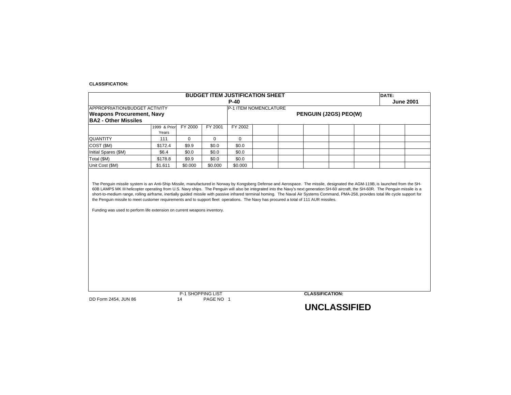#### **CLASSIFICATION:**

| <b>APPROPRIATION/BUDGET ACTIVITY</b><br><b>Weapons Procurement, Navy</b><br><b>BA2 - Other Missiles</b> |                       |                         |              | $P-40$                |  |                        |                  |
|---------------------------------------------------------------------------------------------------------|-----------------------|-------------------------|--------------|-----------------------|--|------------------------|------------------|
|                                                                                                         |                       |                         |              | P-1 ITEM NOMENCLATURE |  |                        | <b>June 2001</b> |
|                                                                                                         |                       |                         |              |                       |  | PENGUIN (J2GS) PEO(W)  |                  |
|                                                                                                         |                       |                         |              |                       |  |                        |                  |
|                                                                                                         | 1999 & Prior<br>Years | <b>FY 2000</b>          | FY 2001      | FY 2002               |  |                        |                  |
| <b>QUANTITY</b>                                                                                         | 111                   | 0                       | $\mathbf{0}$ | $\mathbf 0$           |  |                        |                  |
| COST (\$M)                                                                                              | \$172.4               | \$9.9                   | \$0.0        | \$0.0                 |  |                        |                  |
| Initial Spares (\$M)                                                                                    | \$6.4                 | \$0.0                   | \$0.0        | \$0.0                 |  |                        |                  |
| Total (\$M)                                                                                             | \$178.8               | \$9.9                   | \$0.0        | \$0.0                 |  |                        |                  |
| Unit Cost (\$M)                                                                                         | \$1.611               | \$0.000                 | \$0.000      | \$0.000               |  |                        |                  |
|                                                                                                         |                       |                         |              |                       |  |                        |                  |
|                                                                                                         |                       |                         |              |                       |  |                        |                  |
|                                                                                                         |                       |                         |              |                       |  |                        |                  |
|                                                                                                         |                       |                         |              |                       |  |                        |                  |
|                                                                                                         |                       |                         |              |                       |  |                        |                  |
|                                                                                                         |                       |                         |              |                       |  |                        |                  |
| DD Form 2454, JUN 86                                                                                    |                       | P-1 SHOPPING LIST<br>14 | PAGE NO 1    |                       |  | <b>CLASSIFICATION:</b> |                  |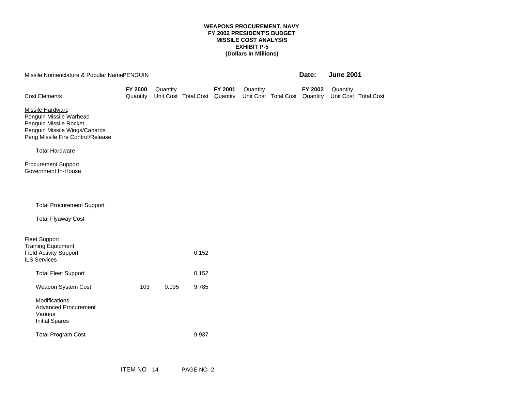#### **WEAPONS PROCUREMENT, NAVY FY 2002 PRESIDENT'S BUDGET MISSILE COST ANALYSIS EXHIBIT P-5 (Dollars in Millions)**

| Missile Nomenclature & Popular NamePENGUIN                                                                                                         |                     |          |                      |                     |          |                      | Date:               | <b>June 2001</b> |                      |
|----------------------------------------------------------------------------------------------------------------------------------------------------|---------------------|----------|----------------------|---------------------|----------|----------------------|---------------------|------------------|----------------------|
| <b>Cost Elements</b>                                                                                                                               | FY 2000<br>Quantity | Quantity | Unit Cost Total Cost | FY 2001<br>Quantity | Quantity | Unit Cost Total Cost | FY 2002<br>Quantity | Quantity         | Unit Cost Total Cost |
| <b>Missile Hardware</b><br>Penguin Missile Warhead<br>Penguin Missile Rocket<br>Penguin Missile Wings/Canards<br>Peng Missile Fire Control/Release |                     |          |                      |                     |          |                      |                     |                  |                      |
| <b>Total Hardware</b>                                                                                                                              |                     |          |                      |                     |          |                      |                     |                  |                      |
| <b>Procurement Support</b><br>Government In-House                                                                                                  |                     |          |                      |                     |          |                      |                     |                  |                      |
| <b>Total Procurement Support</b>                                                                                                                   |                     |          |                      |                     |          |                      |                     |                  |                      |
| <b>Total Flyaway Cost</b>                                                                                                                          |                     |          |                      |                     |          |                      |                     |                  |                      |
| <b>Fleet Support</b><br><b>Training Equipment</b><br><b>Field Activity Support</b><br><b>ILS Services</b>                                          |                     |          | 0.152                |                     |          |                      |                     |                  |                      |
| <b>Total Fleet Support</b>                                                                                                                         |                     |          | 0.152                |                     |          |                      |                     |                  |                      |
| Weapon System Cost                                                                                                                                 | 103                 | 0.095    | 9.785                |                     |          |                      |                     |                  |                      |
| Modifications<br><b>Advanced Procurement</b><br>Various<br><b>Initial Spares</b>                                                                   |                     |          |                      |                     |          |                      |                     |                  |                      |
| <b>Total Program Cost</b>                                                                                                                          |                     |          | 9.937                |                     |          |                      |                     |                  |                      |
|                                                                                                                                                    |                     |          |                      |                     |          |                      |                     |                  |                      |

ITEM NO 14 PAGE NO 2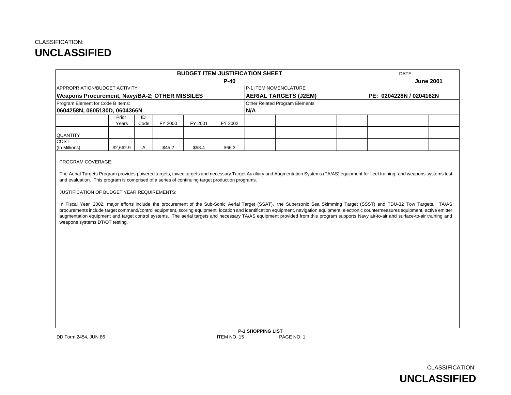|                                                                                                                                                                                                                                                                                                                                                                                                                                                                                                                                                                                                                                                                                                                                                                                                                                                                                                                                                                          |      |         | <b>BUDGET ITEM JUSTIFICATION SHEET</b> |         |     |                                |  |                         | DATE: |                  |
|--------------------------------------------------------------------------------------------------------------------------------------------------------------------------------------------------------------------------------------------------------------------------------------------------------------------------------------------------------------------------------------------------------------------------------------------------------------------------------------------------------------------------------------------------------------------------------------------------------------------------------------------------------------------------------------------------------------------------------------------------------------------------------------------------------------------------------------------------------------------------------------------------------------------------------------------------------------------------|------|---------|----------------------------------------|---------|-----|--------------------------------|--|-------------------------|-------|------------------|
|                                                                                                                                                                                                                                                                                                                                                                                                                                                                                                                                                                                                                                                                                                                                                                                                                                                                                                                                                                          |      |         |                                        | $P-40$  |     |                                |  |                         |       | <b>June 2001</b> |
| APPROPRIATION/BUDGET ACTIVITY                                                                                                                                                                                                                                                                                                                                                                                                                                                                                                                                                                                                                                                                                                                                                                                                                                                                                                                                            |      |         |                                        |         |     | P-1 ITEM NOMENCLATURE          |  |                         |       |                  |
| Weapons Procurement, Navy/BA-2; OTHER MISSILES                                                                                                                                                                                                                                                                                                                                                                                                                                                                                                                                                                                                                                                                                                                                                                                                                                                                                                                           |      |         |                                        |         |     | <b>AERIAL TARGETS (J2EM)</b>   |  | PE: 0204228N / 0204162N |       |                  |
| Program Element for Code B Items:                                                                                                                                                                                                                                                                                                                                                                                                                                                                                                                                                                                                                                                                                                                                                                                                                                                                                                                                        |      |         |                                        |         |     | Other Related Program Elements |  |                         |       |                  |
| 0604258N, 0605130D, 0604366N                                                                                                                                                                                                                                                                                                                                                                                                                                                                                                                                                                                                                                                                                                                                                                                                                                                                                                                                             |      |         |                                        |         | N/A |                                |  |                         |       |                  |
| Prior                                                                                                                                                                                                                                                                                                                                                                                                                                                                                                                                                                                                                                                                                                                                                                                                                                                                                                                                                                    | ID   |         |                                        |         |     |                                |  |                         |       |                  |
| Years                                                                                                                                                                                                                                                                                                                                                                                                                                                                                                                                                                                                                                                                                                                                                                                                                                                                                                                                                                    | Code | FY 2000 | FY 2001                                | FY 2002 |     |                                |  |                         |       |                  |
| <b>QUANTITY</b>                                                                                                                                                                                                                                                                                                                                                                                                                                                                                                                                                                                                                                                                                                                                                                                                                                                                                                                                                          |      |         |                                        |         |     |                                |  |                         |       |                  |
| COST<br>(In Millions)<br>\$2,662.9                                                                                                                                                                                                                                                                                                                                                                                                                                                                                                                                                                                                                                                                                                                                                                                                                                                                                                                                       | Α    | \$45.2  | \$58.4                                 | \$66.3  |     |                                |  |                         |       |                  |
| PROGRAM COVERAGE:<br>The Aerial Targets Program provides powered targets, towed targets and necessary Target Auxiliary and Augmentation Systems (TA/AS) equipment for fleet training, and weapons systems test<br>and evaluation. This program is comprised of a series of continuing target production programs.<br>JUSTIFICATION OF BUDGET YEAR REQUIREMENTS:<br>In Fiscal Year 2002, major efforts include the procurement of the Sub-Sonic Aerial Target (SSAT), the Supersonic Sea Skimming Target (SSST) and TDU-32 Tow Targets. TA/AS<br>procurements include target command/control equipment, scoring equipment, location and identification equipment, navigation equipment, electronic countermeasures equipment, active emitter<br>augmentation equipment and target control systems. The aerial targets and necessary TA/AS equipment provided from this program supports Navy air-to-air and surface-to-air training and<br>weapons systems DT/OT testing. |      |         |                                        |         |     |                                |  |                         |       |                  |
|                                                                                                                                                                                                                                                                                                                                                                                                                                                                                                                                                                                                                                                                                                                                                                                                                                                                                                                                                                          |      |         |                                        |         |     |                                |  |                         |       |                  |

**P-1 SHOPPING LIST** DD Form 2454, JUN 86 ITEM NO. 15 PAGE NO: 1

> CLASSIFICATION: **UNCLASSIFIED**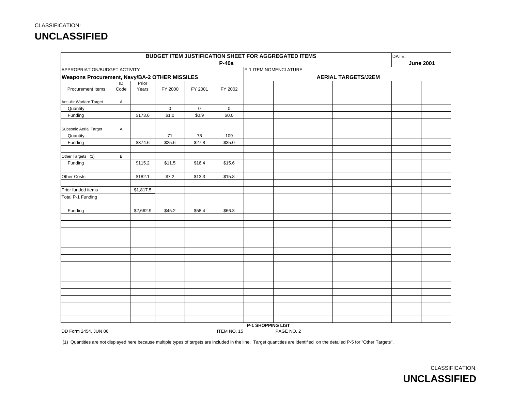|                                                      |                           |                |                     |                     |                     | BUDGET ITEM JUSTIFICATION SHEET FOR AGGREGATED ITEMS |            |                            | DATE: |                  |
|------------------------------------------------------|---------------------------|----------------|---------------------|---------------------|---------------------|------------------------------------------------------|------------|----------------------------|-------|------------------|
|                                                      |                           |                |                     |                     | P-40a               |                                                      |            |                            |       | <b>June 2001</b> |
| APPROPRIATION/BUDGET ACTIVITY                        |                           |                |                     |                     |                     | P-1 ITEM NOMENCLATURE                                |            |                            |       |                  |
| <b>Weapons Procurement, Navy/BA-2 OTHER MISSILES</b> |                           |                |                     |                     |                     |                                                      |            | <b>AERIAL TARGETS/J2EM</b> |       |                  |
| Procurement Items                                    | $\overline{D}$<br>Code    | Prior<br>Years |                     |                     | FY 2002             |                                                      |            |                            |       |                  |
|                                                      |                           |                | FY 2000             | FY 2001             |                     |                                                      |            |                            |       |                  |
| Anti-Air Warfare Target                              | $\boldsymbol{\mathsf{A}}$ |                |                     |                     |                     |                                                      |            |                            |       |                  |
| Quantity                                             |                           |                | $\mathsf{O}\xspace$ | $\mathsf{O}\xspace$ | $\mathsf{O}\xspace$ |                                                      |            |                            |       |                  |
| Funding                                              |                           | \$173.6        | \$1.0               | \$0.9               | \$0.0               |                                                      |            |                            |       |                  |
|                                                      |                           |                |                     |                     |                     |                                                      |            |                            |       |                  |
| Subsonic Aerial Target                               | A                         |                |                     |                     |                     |                                                      |            |                            |       |                  |
| Quantity                                             |                           |                | 71                  | 78                  | 109                 |                                                      |            |                            |       |                  |
| Funding                                              |                           | \$374.6        | \$25.6              | \$27.8              | \$35.0              |                                                      |            |                            |       |                  |
|                                                      |                           |                |                     |                     |                     |                                                      |            |                            |       |                  |
| Other Targets (1)                                    | В                         |                |                     |                     |                     |                                                      |            |                            |       |                  |
| Funding                                              |                           | \$115.2        | \$11.5              | \$16.4              | \$15.6              |                                                      |            |                            |       |                  |
|                                                      |                           |                |                     |                     |                     |                                                      |            |                            |       |                  |
| Other Costs                                          |                           | \$182.1        | \$7.2               | \$13.3              | \$15.8              |                                                      |            |                            |       |                  |
| Prior funded items                                   |                           | \$1,817.5      |                     |                     |                     |                                                      |            |                            |       |                  |
| Total P-1 Funding                                    |                           |                |                     |                     |                     |                                                      |            |                            |       |                  |
|                                                      |                           |                |                     |                     |                     |                                                      |            |                            |       |                  |
| Funding                                              |                           | \$2,662.9      | \$45.2              | \$58.4              | \$66.3              |                                                      |            |                            |       |                  |
|                                                      |                           |                |                     |                     |                     |                                                      |            |                            |       |                  |
|                                                      |                           |                |                     |                     |                     |                                                      |            |                            |       |                  |
|                                                      |                           |                |                     |                     |                     |                                                      |            |                            |       |                  |
|                                                      |                           |                |                     |                     |                     |                                                      |            |                            |       |                  |
|                                                      |                           |                |                     |                     |                     |                                                      |            |                            |       |                  |
|                                                      |                           |                |                     |                     |                     |                                                      |            |                            |       |                  |
|                                                      |                           |                |                     |                     |                     |                                                      |            |                            |       |                  |
|                                                      |                           |                |                     |                     |                     |                                                      |            |                            |       |                  |
|                                                      |                           |                |                     |                     |                     |                                                      |            |                            |       |                  |
|                                                      |                           |                |                     |                     |                     |                                                      |            |                            |       |                  |
|                                                      |                           |                |                     |                     |                     |                                                      |            |                            |       |                  |
|                                                      |                           |                |                     |                     |                     |                                                      |            |                            |       |                  |
|                                                      |                           |                |                     |                     |                     |                                                      |            |                            |       |                  |
|                                                      |                           |                |                     |                     |                     |                                                      |            |                            |       |                  |
|                                                      |                           |                |                     |                     |                     |                                                      |            |                            |       |                  |
|                                                      |                           |                |                     |                     |                     | <b>P-1 SHOPPING LIST</b>                             |            |                            |       |                  |
| DD Form 2454, JUN 86                                 |                           |                |                     |                     | ITEM NO. 15         |                                                      | PAGE NO. 2 |                            |       |                  |

(1) Quantities are not displayed here because multiple types of targets are included in the line. Target quantities are identified on the detailed P-5 for "Other Targets".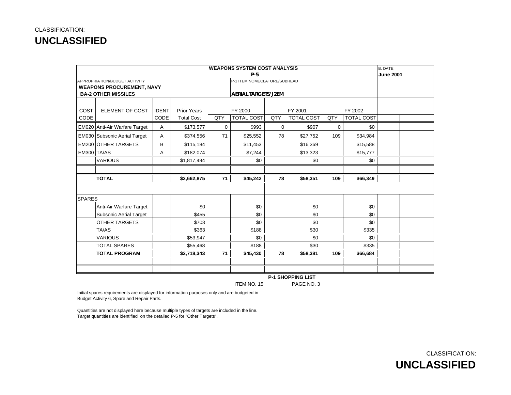|               |                                     |              |                    |     | <b>WEAPONS SYSTEM COST ANALYSIS</b> |     |                   |     |                   | <b>B. DATE</b>   |  |
|---------------|-------------------------------------|--------------|--------------------|-----|-------------------------------------|-----|-------------------|-----|-------------------|------------------|--|
|               |                                     |              |                    |     | $P-5$                               |     |                   |     |                   | <b>June 2001</b> |  |
|               | APPROPRIATION/BUDGET ACTIVITY       |              |                    |     | P-1 ITEM NOMECLATURE/SUBHEAD        |     |                   |     |                   |                  |  |
|               | <b>WEAPONS PROCUREMENT, NAVY</b>    |              |                    |     |                                     |     |                   |     |                   |                  |  |
|               | <b>BA-2 OTHER MISSILES</b>          |              |                    |     | <b>AERIAL TARGETS/J2EM</b>          |     |                   |     |                   |                  |  |
|               |                                     |              |                    |     |                                     |     |                   |     |                   |                  |  |
| COST          | ELEMENT OF COST                     | <b>IDENT</b> | <b>Prior Years</b> |     | FY 2000                             |     | FY 2001           |     | FY 2002           |                  |  |
| CODE          |                                     | CODE         | <b>Total Cost</b>  | QTY | <b>TOTAL COST</b>                   | QTY | <b>TOTAL COST</b> | QTY | <b>TOTAL COST</b> |                  |  |
|               | EM020 Anti-Air Warfare Target       | Α            | \$173,577          | 0   | \$993                               | 0   | \$907             | 0   | \$0               |                  |  |
|               | <b>EM030 Subsonic Aerial Target</b> | Α            | \$374,556          | 71  | \$25,552                            | 78  | \$27,752          | 109 | \$34,984          |                  |  |
|               | <b>EM200 OTHER TARGETS</b>          | B            | \$115,184          |     | \$11,453                            |     | \$16,369          |     | \$15,588          |                  |  |
| EM300 TA/AS   |                                     | Α            | \$182,074          |     | \$7,244                             |     | \$13,323          |     | \$15,777          |                  |  |
|               | <b>VARIOUS</b>                      |              | \$1,817,484        |     | \$0                                 |     | \$0               |     | \$0               |                  |  |
|               |                                     |              |                    |     |                                     |     |                   |     |                   |                  |  |
|               | <b>TOTAL</b>                        |              | \$2,662,875        | 71  | \$45,242                            | 78  | \$58,351          | 109 | \$66,349          |                  |  |
|               |                                     |              |                    |     |                                     |     |                   |     |                   |                  |  |
| <b>SPARES</b> |                                     |              |                    |     |                                     |     |                   |     |                   |                  |  |
|               | Anti-Air Warfare Target             |              | \$0                |     | \$0                                 |     | \$0               |     | \$0               |                  |  |
|               | Subsonic Aerial Target              |              | \$455              |     | \$0                                 |     | \$0               |     | \$0               |                  |  |
|               | <b>OTHER TARGETS</b>                |              | \$703              |     | \$0                                 |     | \$0               |     | \$0               |                  |  |
|               | TA/AS                               |              | \$363              |     | \$188                               |     | \$30              |     | \$335             |                  |  |
|               | <b>VARIOUS</b>                      |              | \$53,947           |     | \$0                                 |     | \$0               |     | \$0               |                  |  |
|               | <b>TOTAL SPARES</b>                 |              | \$55,468           |     | \$188                               |     | \$30              |     | \$335             |                  |  |
|               | <b>TOTAL PROGRAM</b>                |              | \$2,718,343        | 71  | \$45,430                            | 78  | \$58,381          | 109 | \$66,684          |                  |  |
|               |                                     |              |                    |     |                                     |     |                   |     |                   |                  |  |
|               |                                     |              |                    |     |                                     |     |                   |     |                   |                  |  |

 **P-1 SHOPPING LIST** ITEM NO. 15

PAGE NO. 3

Initial spares requirements are displayed for information purposes only and are budgeted in Budget Activity 6, Spare and Repair Parts.

Quantities are not displayed here because multiple types of targets are included in the line. Target quantities are identified on the detailed P-5 for "Other Targets".

> CLASSIFICATION: **UNCLASSIFIED**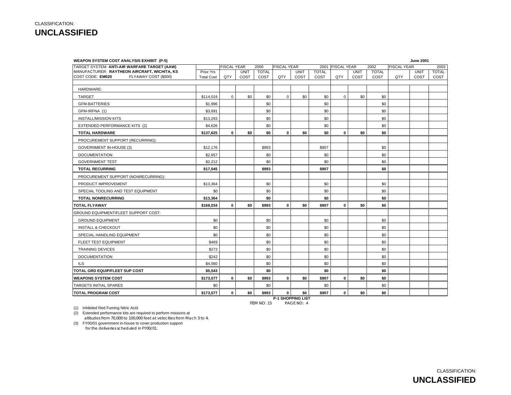| <b>WEAPON SYSTEM COST ANALYSIS EXHIBIT (P-5)</b> |                   |                    |             |              |                    |             |              |                  |      |              |                    | <b>June 2001</b> |              |
|--------------------------------------------------|-------------------|--------------------|-------------|--------------|--------------------|-------------|--------------|------------------|------|--------------|--------------------|------------------|--------------|
| TARGET SYSTEM: ANTI-AIR WARFARE TARGET (AAW)     |                   | <b>FISCAL YEAR</b> |             | 2000         | <b>FISCAL YEAR</b> |             |              | 2001 FISCAL YEAR |      | 2002         | <b>FISCAL YEAR</b> |                  | 2003         |
| MANUFACTURER: RAYTHEON AIRCRAFT, WICHITA, KS     | Prior Yrs         |                    | <b>UNIT</b> | <b>TOTAL</b> |                    | <b>UNIT</b> | <b>TOTAL</b> |                  | UNIT | <b>TOTAL</b> |                    | <b>UNIT</b>      | <b>TOTAL</b> |
| COST CODE: EM020<br>FLYAWAY COST (\$000)         | <b>Total Cost</b> | QTY                | COST        | COST         | QTY                | COST        | COST         | QTY              | COST | COST         | QTY                | COST             | COST         |
| HARDWARE:                                        |                   |                    |             |              |                    |             |              |                  |      |              |                    |                  |              |
| <b>TARGET</b>                                    | \$114,019         | $\mathbf 0$        | \$0         | \$0          | $\mathbf{0}$       | \$0         | \$0          | $\mathbf 0$      | \$0  | \$0          |                    |                  |              |
| <b>GFM-BATTERIES</b>                             | \$1,996           |                    |             | \$0          |                    |             | \$0          |                  |      | \$0          |                    |                  |              |
| GFM-IRFNA (1)                                    | \$3,691           |                    |             | \$0          |                    |             | \$0          |                  |      | \$0          |                    |                  |              |
| <b>INSTALL/MISSION KITS</b>                      | \$13,293          |                    |             | \$0          |                    |             | \$0          |                  |      | \$0          |                    |                  |              |
| EXTENDED PERFORMANCE KITS (2)                    | \$4,626           |                    |             | \$0          |                    |             | \$0          |                  |      | \$0          |                    |                  |              |
| <b>TOTAL HARDWARE</b>                            | \$137,625         | $\mathbf 0$        | \$0         | \$0          | 0                  | \$0         | \$0          | $\mathbf 0$      | \$0  | \$0          |                    |                  |              |
| PROCUREMENT SUPPORT (RECURRING):                 |                   |                    |             |              |                    |             |              |                  |      |              |                    |                  |              |
| <b>GOVERNMENT IN-HOUSE (3)</b>                   | \$12,176          |                    |             | \$993        |                    |             | \$907        |                  |      | \$0          |                    |                  |              |
| <b>DOCUMENTATION</b>                             | \$2,657           |                    |             | \$0          |                    |             | \$0          |                  |      | \$0          |                    |                  |              |
| <b>GOVERNMENT TEST</b>                           | \$2,212           |                    |             | \$0          |                    |             | \$0          |                  |      | \$0          |                    |                  |              |
| <b>TOTAL RECURRING</b>                           | \$17,045          |                    |             | \$993        |                    |             | \$907        |                  |      | \$0          |                    |                  |              |
| PROCUREMENT SUPPORT (NONRECURRING):              |                   |                    |             |              |                    |             |              |                  |      |              |                    |                  |              |
| PRODUCT IMPROVEMENT                              | \$13,364          |                    |             | \$0          |                    |             | \$0          |                  |      | \$0          |                    |                  |              |
| SPECIAL TOOLING AND TEST EQUIPMENT               | \$0               |                    |             | \$0          |                    |             | \$0          |                  |      | \$0          |                    |                  |              |
| <b>TOTAL NONRECURRING</b>                        | \$13,364          |                    |             | \$0          |                    |             | \$0          |                  |      | \$0          |                    |                  |              |
| <b>TOTAL FLYAWAY</b>                             | \$168,034         | $\mathbf 0$        | \$0         | \$993        | $\mathbf 0$        | \$0         | \$907        | $\mathbf 0$      | \$0  | \$0          |                    |                  |              |
| GROUND EQUIPMENT/FLEET SUPPORT COST:             |                   |                    |             |              |                    |             |              |                  |      |              |                    |                  |              |
| <b>GROUND EQUIPMENT</b>                          | \$0               |                    |             | \$0          |                    |             | \$0          |                  |      | \$0          |                    |                  |              |
| <b>INSTALL &amp; CHECKOUT</b>                    | \$0               |                    |             | \$0          |                    |             | \$0          |                  |      | \$0          |                    |                  |              |
| SPECIAL HANDLING EQUIPMENT                       | \$0               |                    |             | \$0          |                    |             | \$0          |                  |      | \$0          |                    |                  |              |
| FLEET TEST EQUIPMENT                             | \$469             |                    |             | \$0          |                    |             | \$0          |                  |      | \$0          |                    |                  |              |
| <b>TRAINING DEVICES</b>                          | \$272             |                    |             | \$0          |                    |             | \$0          |                  |      | \$0          |                    |                  |              |
| <b>DOCUMENTATION</b>                             | \$242             |                    |             | \$0          |                    |             | \$0          |                  |      | \$0          |                    |                  |              |
| <b>ILS</b>                                       | \$4,560           |                    |             | \$0          |                    |             | \$0          |                  |      | \$0          |                    |                  |              |
| <b>TOTAL GRD EQUIP/FLEET SUP COST</b>            | \$5,543           |                    |             | \$0          |                    |             | \$0          |                  |      | \$0          |                    |                  |              |
| <b>WEAPONS SYSTEM COST</b>                       | \$173,577         | $\mathbf 0$        | \$0         | \$993        | $\mathbf 0$        | \$0         | \$907        | $\mathbf 0$      | \$0  | \$0          |                    |                  |              |
| TARGETS INITIAL SPARES                           | \$0               |                    |             | \$0          |                    |             | \$0          |                  |      | \$0          |                    |                  |              |
| <b>TOTAL PROGRAM COST</b>                        | \$173,577         | $\mathbf 0$        | \$0         | \$993        | 0                  | \$0         | \$907        | 0                | \$0  | \$0          |                    |                  |              |

ITEM NO: 15

**P-1 SHOPPING LIST** PAGE NO: 4

(1) Inhibited Red Fuming Nitric Acid.

(2) Extended performance kits are required to perform missions at altitudes from 70,000 to 100,000 feet at velocities from Mach 3 to 4.

(3) FY00/01 government in-house to cover production support

for the deliveries scheduled in FY00/01.

CLASSIFICATION: **UNCLASSIFIED**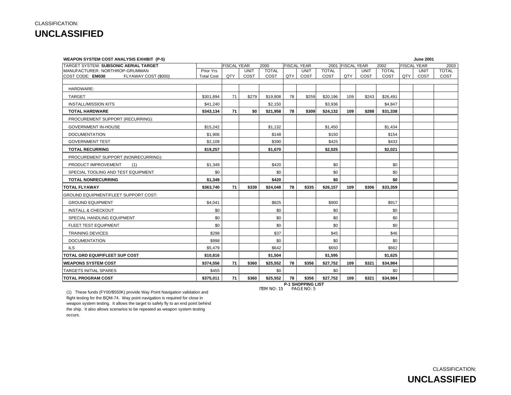| <b>WEAPON SYSTEM COST ANALYSIS EXHIBIT (P-5)</b> |                   |                    |             |              |     |                    |              |                    |             |              |     | <b>June 2001</b>   |              |
|--------------------------------------------------|-------------------|--------------------|-------------|--------------|-----|--------------------|--------------|--------------------|-------------|--------------|-----|--------------------|--------------|
| TARGET SYSTEM: SUBSONIC AERIAL TARGET            |                   | <b>FISCAL YEAR</b> |             | 2000         |     | <b>FISCAL YEAR</b> | 2001         | <b>FISCAL YEAR</b> |             | 2002         |     | <b>FISCAL YEAR</b> | 2003         |
| MANUFACTURER: NORTHROP-GRUMMAN                   | Prior Yrs         |                    | <b>UNIT</b> | <b>TOTAL</b> |     | <b>UNIT</b>        | <b>TOTAL</b> |                    | <b>UNIT</b> | <b>TOTAL</b> |     | <b>UNIT</b>        | <b>TOTAL</b> |
| COST CODE: EM030<br>FLYAWAY COST (\$000)         | <b>Total Cost</b> | QTY                | COST        | COST         | QTY | COST               | COST         | QTY                | COST        | COST         | QTY | COST               | COST         |
| HARDWARE:                                        |                   |                    |             |              |     |                    |              |                    |             |              |     |                    |              |
| <b>TARGET</b>                                    | \$301,894         | 71                 | \$279       | \$19,808     | 78  | \$259              | \$20,196     | 109                | \$243       | \$26,491     |     |                    |              |
| <b>INSTALL/MISSION KITS</b>                      | \$41,240          |                    |             | \$2,150      |     |                    | \$3,936      |                    |             | \$4,847      |     |                    |              |
| <b>TOTAL HARDWARE</b>                            | \$343.134         | 71                 | \$0         | \$21,958     | 78  | \$309              | \$24,132     | 109                | \$288       | \$31,338     |     |                    |              |
| PROCUREMENT SUPPORT (RECURRING):                 |                   |                    |             |              |     |                    |              |                    |             |              |     |                    |              |
| <b>GOVERNMENT IN-HOUSE</b>                       | \$15,242          |                    |             | \$1,132      |     |                    | \$1,450      |                    |             | \$1,434      |     |                    |              |
| <b>DOCUMENTATION</b>                             | \$1,906           |                    |             | \$148        |     |                    | \$150        |                    |             | \$154        |     |                    |              |
| <b>GOVERNMENT TEST</b>                           | \$2,109           |                    |             | \$390        |     |                    | \$425        |                    |             | \$433        |     |                    |              |
| <b>TOTAL RECURRING</b>                           | \$19,257          |                    |             | \$1,670      |     |                    | \$2,025      |                    |             | \$2,021      |     |                    |              |
| PROCUREMENT SUPPORT (NONRECURRING):              |                   |                    |             |              |     |                    |              |                    |             |              |     |                    |              |
| PRODUCT IMPROVEMENT<br>(1)                       | \$1,349           |                    |             | \$420        |     |                    | \$0          |                    |             | \$0          |     |                    |              |
| SPECIAL TOOLING AND TEST EQUIPMENT               | \$0               |                    |             | \$0          |     |                    | \$0          |                    |             | \$0          |     |                    |              |
| <b>TOTAL NONRECURRING</b>                        | \$1,349           |                    |             | \$420        |     |                    | \$0          |                    |             | \$0          |     |                    |              |
| <b>TOTAL FLYAWAY</b>                             | \$363.740         | 71                 | \$339       | \$24.048     | 78  | \$335              | \$26.157     | 109                | \$306       | \$33,359     |     |                    |              |
| GROUND EQUIPMENT/FLEET SUPPORT COST:             |                   |                    |             |              |     |                    |              |                    |             |              |     |                    |              |
| <b>GROUND EQUIPMENT</b>                          | \$4,041           |                    |             | \$825        |     |                    | \$900        |                    |             | \$917        |     |                    |              |
| <b>INSTALL &amp; CHECKOUT</b>                    | \$0               |                    |             | \$0          |     |                    | \$0          |                    |             | \$0          |     |                    |              |
| SPECIAL HANDLING EQUIPMENT                       | \$0               |                    |             | \$0          |     |                    | \$0          |                    |             | \$0          |     |                    |              |
| FLEET TEST EQUIPMENT                             | \$0               |                    |             | \$0          |     |                    | \$0          |                    |             | \$0          |     |                    |              |
| <b>TRAINING DEVICES</b>                          | \$298             |                    |             | \$37         |     |                    | \$45         |                    |             | \$46         |     |                    |              |
| <b>DOCUMENTATION</b>                             | \$998             |                    |             | \$0          |     |                    | \$0          |                    |             | \$0          |     |                    |              |
| ILS.                                             | \$5,479           |                    |             | \$642        |     |                    | \$650        |                    |             | \$662        |     |                    |              |
| TOTAL GRD EQUIP/FLEET SUP COST                   | \$10,816          |                    |             | \$1.504      |     |                    | \$1.595      |                    |             | \$1.625      |     |                    |              |
| <b>WEAPONS SYSTEM COST</b>                       | \$374,556         | 71                 | \$360       | \$25,552     | 78  | \$356              | \$27,752     | 109                | \$321       | \$34,984     |     |                    |              |
| <b>TARGETS INITIAL SPARES</b>                    | \$455             |                    |             | \$0          |     |                    | \$0          |                    |             | \$0          |     |                    |              |
| <b>TOTAL PROGRAM COST</b>                        | \$375,011         | 71                 | \$360       | \$25.552     | 78  | \$356              | \$27,752     | 109                | \$321       | \$34.984     |     |                    |              |

**P-1 SHOPPING LIST** ITEM NO: 15 PAGE NO: 5

 (1) These funds (FY00/\$550K) provide Way Point Navigation validation and flight testing for the BQM-74. Way point navigation is required for close in weapon system testing. It allows the target to safely fly to an end point behind

the ship. It also allows scenarios to be repeated as weapon system testing occurs.

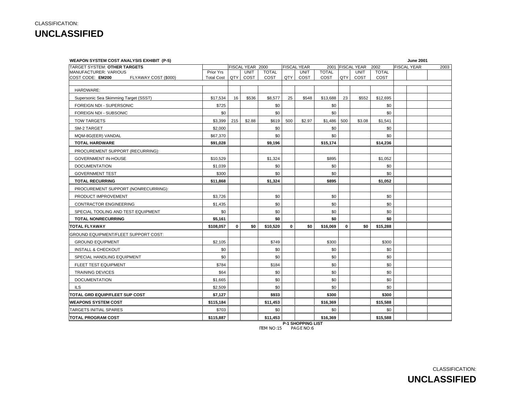| <b>WEAPON SYSTEM COST ANALYSIS EXHIBIT (P-5)</b> |                   |             |                  |              |             |                    |              |             |                    |              |                    | <b>June 2001</b> |      |
|--------------------------------------------------|-------------------|-------------|------------------|--------------|-------------|--------------------|--------------|-------------|--------------------|--------------|--------------------|------------------|------|
| <b>TARGET SYSTEM: OTHER TARGETS</b>              |                   |             | FISCAL YEAR 2000 |              |             | <b>FISCAL YEAR</b> | 2001         |             | <b>FISCAL YEAR</b> | 2002         | <b>FISCAL YEAR</b> |                  | 2003 |
| MANUFACTURER: VARIOUS                            | Prior Yrs         |             | <b>UNIT</b>      | <b>TOTAL</b> |             | <b>UNIT</b>        | <b>TOTAL</b> |             | <b>UNIT</b>        | <b>TOTAL</b> |                    |                  |      |
| COST CODE: EM200<br>FLYAWAY COST (\$000)         | <b>Total Cost</b> | QTY         | COST             | COST         | QTY         | COST               | COST         | QTY         | COST               | COST         |                    |                  |      |
| HARDWARE:                                        |                   |             |                  |              |             |                    |              |             |                    |              |                    |                  |      |
| Supersonic Sea Skimming Target (SSST)            | \$17,534          | 16          | \$536            | \$8,577      | 25          | \$548              | \$13,688     | 23          | \$552              | \$12,695     |                    |                  |      |
| FOREIGN NDI - SUPERSONIC                         | \$725             |             |                  | \$0          |             |                    | \$0          |             |                    | \$0          |                    |                  |      |
| FOREIGN NDI - SUBSONIC                           | \$0               |             |                  | \$0          |             |                    | \$0          |             |                    | \$0          |                    |                  |      |
| <b>TOW TARGETS</b>                               | \$3,399           | 215         | \$2.88           | \$619        | 500         | \$2.97             | \$1,486      | 500         | \$3.08             | \$1,541      |                    |                  |      |
| SM-2 TARGET                                      | \$2,000           |             |                  | \$0          |             |                    | \$0          |             |                    | \$0          |                    |                  |      |
| MQM-8G(EER) VANDAL                               | \$67,370          |             |                  | \$0          |             |                    | \$0          |             |                    | \$0          |                    |                  |      |
| <b>TOTAL HARDWARE</b>                            | \$91,028          |             |                  | \$9,196      |             |                    | \$15,174     |             |                    | \$14,236     |                    |                  |      |
| PROCUREMENT SUPPORT (RECURRING):                 |                   |             |                  |              |             |                    |              |             |                    |              |                    |                  |      |
| <b>GOVERNMENT IN-HOUSE</b>                       | \$10,529          |             |                  | \$1,324      |             |                    | \$895        |             |                    | \$1.052      |                    |                  |      |
| <b>DOCUMENTATION</b>                             | \$1,039           |             |                  | \$0          |             |                    | \$0          |             |                    | \$0          |                    |                  |      |
| <b>GOVERNMENT TEST</b>                           | \$300             |             |                  | \$0          |             |                    | \$0          |             |                    | \$0          |                    |                  |      |
| <b>TOTAL RECURRING</b>                           | \$11,868          |             |                  | \$1,324      |             |                    | \$895        |             |                    | \$1,052      |                    |                  |      |
| PROCUREMENT SUPPORT (NONRECURRING):              |                   |             |                  |              |             |                    |              |             |                    |              |                    |                  |      |
| PRODUCT IMPROVEMENT                              | \$3,726           |             |                  | \$0          |             |                    | \$0          |             |                    | \$0          |                    |                  |      |
| <b>CONTRACTOR ENGINEERING</b>                    | \$1,435           |             |                  | \$0          |             |                    | \$0          |             |                    | \$0          |                    |                  |      |
| SPECIAL TOOLING AND TEST EQUIPMENT               | \$0               |             |                  | \$0          |             |                    | \$0          |             |                    | \$0          |                    |                  |      |
| <b>TOTAL NONRECURRING</b>                        | \$5,161           |             |                  | \$0          |             |                    | \$0          |             |                    | \$0          |                    |                  |      |
| <b>TOTAL FLYAWAY</b>                             | \$108,057         | $\mathbf 0$ | \$0              | \$10,520     | $\mathbf 0$ | \$0                | \$16,069     | $\mathbf 0$ | \$0                | \$15,288     |                    |                  |      |
| <b>GROUND EQUIPMENT/FLEET SUPPORT COST:</b>      |                   |             |                  |              |             |                    |              |             |                    |              |                    |                  |      |
| <b>GROUND EQUIPMENT</b>                          | \$2,105           |             |                  | \$749        |             |                    | \$300        |             |                    | \$300        |                    |                  |      |
| <b>INSTALL &amp; CHECKOUT</b>                    | \$0               |             |                  | \$0          |             |                    | \$0          |             |                    | \$0          |                    |                  |      |
| SPECIAL HANDLING EQUIPMENT                       | \$0               |             |                  | \$0          |             |                    | \$0          |             |                    | \$0          |                    |                  |      |
| FLEET TEST EQUIPMENT                             | \$784             |             |                  | \$184        |             |                    | \$0          |             |                    | \$0          |                    |                  |      |
| <b>TRAINING DEVICES</b>                          | \$64              |             |                  | \$0          |             |                    | \$0          |             |                    | \$0          |                    |                  |      |
| <b>DOCUMENTATION</b>                             | \$1,665           |             |                  | \$0          |             |                    | \$0          |             |                    | \$0          |                    |                  |      |
| ILS                                              | \$2,509           |             |                  | \$0          |             |                    | \$0          |             |                    | \$0          |                    |                  |      |
| TOTAL GRD EQUIP/FLEET SUP COST                   | \$7,127           |             |                  | \$933        |             |                    | \$300        |             |                    | \$300        |                    |                  |      |
| <b>WEAPONS SYSTEM COST</b>                       | \$115,184         |             |                  | \$11,453     |             |                    | \$16,369     |             |                    | \$15,588     |                    |                  |      |
| TARGETS INITIAL SPARES                           | \$703             |             |                  | \$0          |             |                    | \$0          |             |                    | \$0          |                    |                  |      |
| <b>TOTAL PROGRAM COST</b>                        | \$115,887         |             |                  | \$11,453     |             |                    | \$16,369     |             |                    | \$15,588     |                    |                  |      |

**P-1 SHOPPING LIST** ITEM NO:15 PAGE NO:6

CLASSIFICATION:

**UNCLASSIFIED**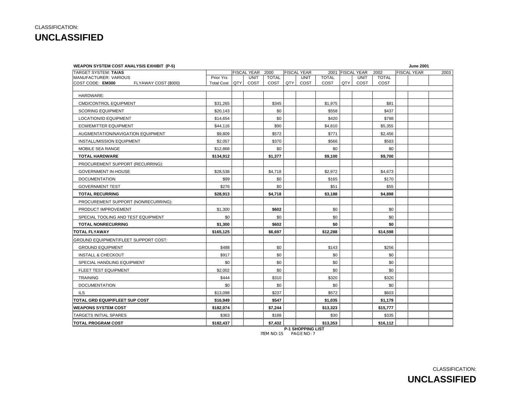**WEAPON SYSTEM COST ANALYSIS EXHIBIT (P-5) June 2001**

| TARGET SYSTEM: TA/AS                        |                   | FISCAL YEAR 2000 |              |     | <b>FISCAL YEAR</b>       |              |     | 2001 FISCAL YEAR | 2002         | <b>FISCAL YEAR</b> | 2003 |
|---------------------------------------------|-------------------|------------------|--------------|-----|--------------------------|--------------|-----|------------------|--------------|--------------------|------|
| <b>MANUFACTURER: VARIOUS</b>                | Prior Yrs         | <b>UNIT</b>      | <b>TOTAL</b> |     | <b>UNIT</b>              | <b>TOTAL</b> |     | <b>UNIT</b>      | <b>TOTAL</b> |                    |      |
| COST CODE: EM300<br>FLYAWAY COST (\$000)    | <b>Total Cost</b> | QTY<br>COST      | COST         | QTY | COST                     | COST         | QTY | COST             | COST         |                    |      |
| HARDWARE:                                   |                   |                  |              |     |                          |              |     |                  |              |                    |      |
| <b>CMD/CONTROL EQUIPMENT</b>                | \$31,265          |                  | \$345        |     |                          | \$1,975      |     |                  | \$81         |                    |      |
| <b>SCORING EQUIPMENT</b>                    | \$20,143          |                  | \$0          |     |                          | \$558        |     |                  | \$437        |                    |      |
| <b>LOCATION/ID EQUIPMENT</b>                | \$14,654          |                  | \$0          |     |                          | \$420        |     |                  | \$788        |                    |      |
| <b>ECM/EMITTER EQUIPMENT</b>                | \$44,116          |                  | \$90         |     |                          | \$4,810      |     |                  | \$5,355      |                    |      |
| AUGMENTATION/NAVIGATION EQUIPMENT           | \$9,809           |                  | \$572        |     |                          | \$771        |     |                  | \$2,456      |                    |      |
| INSTALL/MISSION EQUIPMENT                   | \$2,057           |                  | \$370        |     |                          | \$566        |     |                  | \$583        |                    |      |
| MOBILE SEA RANGE                            | \$12,868          |                  | \$0          |     |                          | \$0          |     |                  | \$0          |                    |      |
| <b>TOTAL HARDWARE</b>                       | \$134,912         |                  | \$1,377      |     |                          | \$9,100      |     |                  | \$9,700      |                    |      |
| PROCUREMENT SUPPORT (RECURRING):            |                   |                  |              |     |                          |              |     |                  |              |                    |      |
| GOVERNMENT IN-HOUSE                         | \$28,538          |                  | \$4,718      |     |                          | \$2,972      |     |                  | \$4,673      |                    |      |
| <b>DOCUMENTATION</b>                        | \$99              |                  | \$0          |     |                          | \$165        |     |                  | \$170        |                    |      |
| <b>GOVERNMENT TEST</b>                      | \$276             |                  | \$0          |     |                          | \$51         |     |                  | \$55         |                    |      |
| <b>TOTAL RECURRING</b>                      | \$28.913          |                  | \$4,718      |     |                          | \$3.188      |     |                  | \$4,898      |                    |      |
| PROCUREMENT SUPPORT (NONRECURRING):         |                   |                  |              |     |                          |              |     |                  |              |                    |      |
| PRODUCT IMPROVEMENT                         | \$1,300           |                  | \$602        |     |                          | \$0          |     |                  | \$0          |                    |      |
| SPECIAL TOOLING AND TEST EQUIPMENT          | \$0               |                  | \$0          |     |                          | \$0          |     |                  | \$0          |                    |      |
| <b>TOTAL NONRECURRING</b>                   | \$1,300           |                  | \$602        |     |                          | \$0          |     |                  | \$0          |                    |      |
| <b>TOTAL FLYAWAY</b>                        | \$165,125         |                  | \$6.697      |     |                          | \$12,288     |     |                  | \$14,598     |                    |      |
| <b>GROUND EQUIPMENT/FLEET SUPPORT COST:</b> |                   |                  |              |     |                          |              |     |                  |              |                    |      |
| <b>GROUND EQUIPMENT</b>                     | \$488             |                  | \$0          |     |                          | \$143        |     |                  | \$256        |                    |      |
| <b>INSTALL &amp; CHECKOUT</b>               | \$917             |                  | \$0          |     |                          | \$0          |     |                  | \$0          |                    |      |
| SPECIAL HANDLING EQUIPMENT                  | \$0               |                  | \$0          |     |                          | \$0          |     |                  | \$0          |                    |      |
| FLEET TEST EQUIPMENT                        | \$2,002           |                  | \$0          |     |                          | \$0          |     |                  | \$0          |                    |      |
| <b>TRAINING</b>                             | \$444             |                  | \$310        |     |                          | \$320        |     |                  | \$320        |                    |      |
| <b>DOCUMENTATION</b>                        | \$0               |                  | \$0          |     |                          | \$0          |     |                  | \$0          |                    |      |
| <b>ILS</b>                                  | \$13,098          |                  | \$237        |     |                          | \$572        |     |                  | \$603        |                    |      |
| TOTAL GRD EQUIP/FLEET SUP COST              | \$16,949          |                  | \$547        |     |                          | \$1,035      |     |                  | \$1,179      |                    |      |
| <b>WEAPONS SYSTEM COST</b>                  | \$182,074         |                  | \$7,244      |     |                          | \$13,323     |     |                  | \$15,777     |                    |      |
| TARGETS INITIAL SPARES                      | \$363             |                  | \$188        |     |                          | \$30         |     |                  | \$335        |                    |      |
| <b>TOTAL PROGRAM COST</b>                   | \$182,437         |                  | \$7,432      |     |                          | \$13,353     |     |                  | \$16,112     |                    |      |
|                                             |                   |                  |              |     | <b>P-1 SHOPPING LIST</b> |              |     |                  |              |                    |      |

ITEM NO:15 PAGE NO: 7

**UNCLASSIFIED**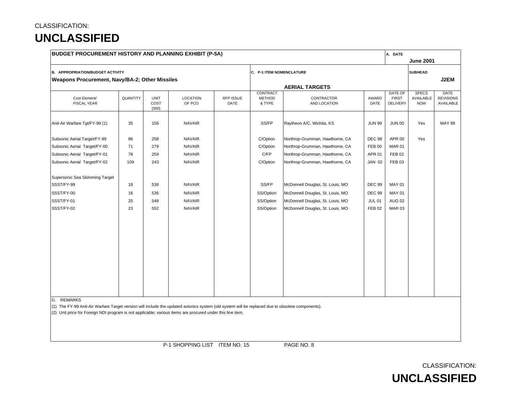| <b>BUDGET PROCUREMENT HISTORY AND PLANNING EXHIBIT (P-5A)</b>                                                                                    |          |                              |                    |                   |                                     |                                  |               | A. DATE                                    |                                         |                                              |
|--------------------------------------------------------------------------------------------------------------------------------------------------|----------|------------------------------|--------------------|-------------------|-------------------------------------|----------------------------------|---------------|--------------------------------------------|-----------------------------------------|----------------------------------------------|
|                                                                                                                                                  |          |                              |                    |                   |                                     |                                  |               |                                            | <b>June 2001</b>                        |                                              |
| <b>B. APPROPRIATION/BUDGET ACTIVITY</b>                                                                                                          |          |                              |                    |                   | C. P-1 ITEM NOMENCLATURE            |                                  |               |                                            | <b>SUBHEAD</b>                          |                                              |
| Weapons Procurement, Navy/BA-2; Other Missiles                                                                                                   |          |                              |                    |                   |                                     |                                  |               |                                            |                                         | J2EM                                         |
|                                                                                                                                                  |          |                              |                    |                   |                                     | <b>AERIAL TARGETS</b>            |               |                                            |                                         |                                              |
| Cost Element/<br><b>FISCAL YEAR</b>                                                                                                              | QUANTITY | <b>UNIT</b><br>COST<br>(000) | LOCATION<br>OF PCO | RFP ISSUE<br>DATE | CONTRACT<br><b>METHOD</b><br>& TYPE | CONTRACTOR<br>AND LOCATION       | AWARD<br>DATE | DATE OF<br><b>FIRST</b><br><b>DELIVERY</b> | <b>SPECS</b><br>AVAILABLE<br><b>NOW</b> | <b>DATE</b><br><b>REVISIONS</b><br>AVAILABLE |
| Anit-Air Warfare Tgt/FY-99 (1)                                                                                                                   | 35       | 156                          | <b>NAVAIR</b>      |                   | SS/FP                               | Raytheon A/C, Wichita, KS        | <b>JUN 99</b> | <b>JUN 00</b>                              | Yes                                     | <b>MAY 98</b>                                |
| Subsonic Aerial Target/FY-99                                                                                                                     | 86       | 258                          | <b>NAVAIR</b>      |                   | C/Option                            | Northrop-Grumman, Hawthorne, CA  | <b>DEC 98</b> | APR 00                                     | Yes                                     |                                              |
| Subsonic Aerial Target/FY-00                                                                                                                     | 71       | 279                          | <b>NAVAIR</b>      |                   | C/Option                            | Northrop-Grumman, Hawthorne, CA  | <b>FEB 00</b> | <b>MAR 01</b>                              |                                         |                                              |
| Subsonic Aerial Target/FY-01                                                                                                                     | 78       | 259                          | <b>NAVAIR</b>      |                   | C/FP                                | Northrop-Grumman, Hawthorne, CA  | <b>APR 01</b> | <b>FEB 02</b>                              |                                         |                                              |
| Subsonic Aerial Target/FY-02                                                                                                                     | 109      | 243                          | <b>NAVAIR</b>      |                   | C/Option                            | Northrop-Grumman, Hawthorne, CA  | <b>JAN 02</b> | <b>FEB 03</b>                              |                                         |                                              |
| Supersonic Sea Skimming Target                                                                                                                   |          |                              |                    |                   |                                     |                                  |               |                                            |                                         |                                              |
| SSST/FY-99                                                                                                                                       | 18       | 536                          | <b>NAVAIR</b>      |                   | SS/FP                               | McDonnell Douglas, St. Louis, MO | <b>DEC 99</b> | <b>MAY 01</b>                              |                                         |                                              |
| SSST/FY-00                                                                                                                                       | 16       | 536                          | <b>NAVAIR</b>      |                   | SS/Option                           | McDonnell Douglas, St. Louis, MO | <b>DEC 99</b> | <b>MAY 01</b>                              |                                         |                                              |
| SSST/FY-01                                                                                                                                       | 25       | 548                          | <b>NAVAIR</b>      |                   | SS/Option                           | McDonnell Douglas, St. Louis, MO | <b>JUL 01</b> | <b>AUG 02</b>                              |                                         |                                              |
| SSST/FY-02                                                                                                                                       | 23       | 552                          | <b>NAVAIR</b>      |                   | SS/Option                           | McDonnell Douglas, St. Louis, MO | <b>FEB 02</b> | <b>MAR 03</b>                              |                                         |                                              |
|                                                                                                                                                  |          |                              |                    |                   |                                     |                                  |               |                                            |                                         |                                              |
|                                                                                                                                                  |          |                              |                    |                   |                                     |                                  |               |                                            |                                         |                                              |
|                                                                                                                                                  |          |                              |                    |                   |                                     |                                  |               |                                            |                                         |                                              |
|                                                                                                                                                  |          |                              |                    |                   |                                     |                                  |               |                                            |                                         |                                              |
|                                                                                                                                                  |          |                              |                    |                   |                                     |                                  |               |                                            |                                         |                                              |
| <b>REMARKS</b><br>D.                                                                                                                             |          |                              |                    |                   |                                     |                                  |               |                                            |                                         |                                              |
| (1) The FY-99 Anti-Air Warfare Target version will include the updated avionics system (old system will be replaced due to obsolete components). |          |                              |                    |                   |                                     |                                  |               |                                            |                                         |                                              |
| (2) Unit price for Foreign NDI program is not applicable; various items are procured under this line item.                                       |          |                              |                    |                   |                                     |                                  |               |                                            |                                         |                                              |
|                                                                                                                                                  |          |                              |                    |                   |                                     |                                  |               |                                            |                                         |                                              |
|                                                                                                                                                  |          |                              |                    |                   |                                     |                                  |               |                                            |                                         |                                              |
|                                                                                                                                                  |          |                              |                    |                   |                                     |                                  |               |                                            |                                         |                                              |

P-1 SHOPPING LIST ITEM NO. 15 PAGE NO. 8

CLASSIFICATION:

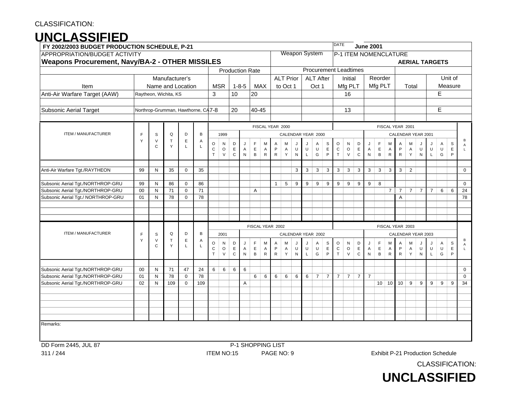# **UNCLASSIFIED**

| FY 2002/2003 BUDGET PRODUCTION SCHEDULE, P-21                          |             |                   |                                    |                   |          |              |              |             |              |                        |             |                  |                  |                      |             |                  |                              | <b>DATE</b>    |                |                | <b>June 2001</b> |              |                |                       |                |                |                |                                  |             |                            |
|------------------------------------------------------------------------|-------------|-------------------|------------------------------------|-------------------|----------|--------------|--------------|-------------|--------------|------------------------|-------------|------------------|------------------|----------------------|-------------|------------------|------------------------------|----------------|----------------|----------------|------------------|--------------|----------------|-----------------------|----------------|----------------|----------------|----------------------------------|-------------|----------------------------|
| APPROPRIATION/BUDGET ACTIVITY                                          |             |                   |                                    |                   |          |              |              |             |              |                        |             |                  |                  | <b>Weapon System</b> |             |                  |                              |                |                |                |                  |              |                | P-1 ITEM NOMENCLATURE |                |                |                |                                  |             |                            |
| <b>Weapons Procurement, Navy/BA-2 - OTHER MISSILES</b>                 |             |                   |                                    |                   |          |              |              |             |              |                        |             |                  |                  |                      |             |                  |                              |                |                |                |                  |              |                |                       |                |                |                | <b>AERIAL TARGETS</b>            |             |                            |
|                                                                        |             |                   |                                    |                   |          |              |              |             |              | <b>Production Rate</b> |             |                  |                  |                      |             |                  | <b>Procurement Leadtimes</b> |                |                |                |                  |              |                |                       |                |                |                |                                  |             |                            |
|                                                                        |             |                   | Manufacturer's                     |                   |          |              |              |             |              |                        |             |                  | <b>ALT Prior</b> |                      |             | <b>ALT After</b> |                              |                | Initial        |                |                  | Reorder      |                |                       |                |                |                |                                  | Unit of     |                            |
| Item                                                                   |             |                   | Name and Location                  |                   |          |              | <b>MSR</b>   |             | $1 - 8 - 5$  |                        | <b>MAX</b>  |                  | to Oct 1         |                      |             | Oct 1            |                              |                | Mfg PLT        |                |                  | Mfg PLT      |                |                       | Total          |                |                |                                  | Measure     |                            |
| Anti-Air Warfare Target (AAW)                                          |             |                   | Raytheon, Wichita, KS              |                   |          | $\mathbf{3}$ |              | 10          |              | 20                     |             |                  |                  |                      |             |                  |                              |                | 16             |                |                  |              |                |                       |                |                |                | E                                |             |                            |
|                                                                        |             |                   |                                    |                   |          |              |              |             |              |                        |             |                  |                  |                      |             |                  |                              |                |                |                |                  |              |                |                       |                |                |                |                                  |             |                            |
| <b>Subsonic Aerial Target</b>                                          |             |                   | Northrop-Grumman, Hawthorne, CA7-8 |                   |          |              |              | 20          |              | 40-45                  |             |                  |                  |                      |             |                  |                              |                | 13             |                |                  |              |                |                       |                |                |                | E                                |             |                            |
|                                                                        |             |                   |                                    |                   |          |              |              |             |              |                        |             |                  |                  |                      |             |                  |                              |                |                |                |                  |              |                |                       |                |                |                |                                  |             |                            |
|                                                                        |             |                   |                                    |                   |          |              |              |             |              |                        |             | FISCAL YEAR 2000 |                  |                      |             |                  |                              |                |                |                |                  |              |                | FISCAL YEAR 2001      |                |                |                |                                  |             |                            |
| <b>ITEM / MANUFACTURER</b>                                             | $\mathsf F$ | $\mathbb S$       | Q                                  | D                 | B        |              | 1999         |             |              |                        |             |                  |                  | CALENDAR YEAR 2000   |             |                  |                              |                |                |                |                  |              |                | CALENDAR YEAR 2001    |                |                |                |                                  |             |                            |
|                                                                        | Y           | V                 | Т                                  | E                 | Α        | $\circ$      | N            | D           |              | $\mathsf F$            | M           | A                | M                | J                    | J           | Α                | S                            | $\circ$        | N              | D              | J                | F            | M              | Α                     | М              |                | J              | A                                | S           | B<br>$\overline{A}$        |
|                                                                        |             | C                 | Y                                  | L.                | L        | $\mathbf C$  | $\circ$      | $\mathsf E$ | Α            | E                      | A           | P                | A                | U                    | U           | U                | $\mathsf E$                  | $\mathbf C$    | O              | E              | A                | $\mathsf E$  | A              | P                     | A              | U              | U              | U                                | $\mathsf E$ | $\mathbf{L}$               |
|                                                                        |             |                   |                                    |                   |          | $\mathsf T$  | V            | $\mathbf C$ | ${\sf N}$    | $\, {\sf B}$           | $\mathsf R$ | $\mathsf{R}$     | Υ                | ${\sf N}$            | $\mathsf L$ | G                | P                            | T              | V              | C              | ${\sf N}$        | B            | $\mathsf{R}$   | ${\sf R}$             | Y              | N              | L              | G                                | P           |                            |
|                                                                        |             |                   |                                    |                   |          |              |              |             |              |                        |             |                  |                  |                      |             |                  |                              |                |                |                |                  |              |                |                       |                |                |                |                                  |             |                            |
| Anti-Air Warfare Tgt./RAYTHEON                                         | 99          | N                 | 35                                 | $\mathbf 0$       | 35       |              |              |             |              |                        |             |                  |                  | 3                    | 3           | 3                | 3                            | 3              | 3              | 3              | 3                | 3            | 3              | 3                     | $\overline{2}$ |                |                |                                  |             | 0                          |
| Subsonic Aerial Tgt./NORTHROP-GRU                                      | 99          | N                 | 86                                 | $\mathbf 0$       | 86       |              |              |             |              |                        |             | $\mathbf{1}$     | 5                | 9                    | 9           | 9                | 9                            | 9              | 9              | 9              | 9                | 8            |                |                       |                |                |                |                                  |             | $\mathbf 0$                |
| Subsonic Aerial Tgt./NORTHROP-GRU                                      | 00          | N                 | 71                                 | $\mathbf 0$       | 71       |              |              |             |              | A                      |             |                  |                  |                      |             |                  |                              |                |                |                |                  |              | $\overline{7}$ | $\overline{7}$        | $\overline{7}$ | $\overline{7}$ | $\overline{7}$ | 6                                | 6           | 24                         |
| Subsonic Aerial Tgt./ NORTHROP-GRU                                     | 01          | N                 | 78                                 | $\mathbf 0$       | 78       |              |              |             |              |                        |             |                  |                  |                      |             |                  |                              |                |                |                |                  |              |                | Α                     |                |                |                |                                  |             | 78                         |
|                                                                        |             |                   |                                    |                   |          |              |              |             |              |                        |             |                  |                  |                      |             |                  |                              |                |                |                |                  |              |                |                       |                |                |                |                                  |             |                            |
|                                                                        |             |                   |                                    |                   |          |              |              |             |              |                        |             |                  |                  |                      |             |                  |                              |                |                |                |                  |              |                |                       |                |                |                |                                  |             |                            |
|                                                                        |             |                   |                                    |                   |          |              |              |             |              |                        |             |                  |                  |                      |             |                  |                              |                |                |                |                  |              |                |                       |                |                |                |                                  |             |                            |
|                                                                        |             |                   |                                    |                   |          |              |              |             |              | FISCAL YEAR 2002       |             |                  |                  |                      |             |                  |                              |                |                |                |                  |              |                | FISCAL YEAR 2003      |                |                |                |                                  |             |                            |
| <b>ITEM / MANUFACTURER</b>                                             | F           | S                 | Q                                  | D                 | B        |              | 2001         |             |              |                        |             |                  |                  | CALENDAR YEAR 2002   |             |                  |                              |                |                |                |                  |              |                | CALENDAR YEAR 2003    |                |                |                |                                  |             |                            |
|                                                                        | Y           | V<br>C            | T<br>Y                             | $\mathsf E$       | A<br>L   | $\circ$      | N            | D           |              | $\mathsf F$            | M           | Α                | м                | J                    | J           | Α                | S                            | O              | N              | D              | J                | $\mathsf F$  | M              | Α                     | М              |                | J              | A                                | S           | В<br>A                     |
|                                                                        |             |                   |                                    | L                 |          | $\mathsf C$  | $\circ$      | $\mathsf E$ | $\mathsf{A}$ | $\mathsf E$            | A           | P                | A                | U                    | $\sf U$     | U                | E                            | ${\bf C}$      | O              | $\mathsf E$    | $\overline{A}$   | E            | A              | $\mathsf P$           | A              | U              | U              | U                                | $\mathsf E$ | $\mathsf{L}$               |
|                                                                        |             |                   |                                    |                   |          | $\mathsf T$  | $\mathsf{V}$ | $\mathbf C$ | ${\sf N}$    | $\, {\bf B}$           | ${\sf R}$   | $\mathsf{R}$     | Υ                | ${\sf N}$            | L           | G                | P                            | $\top$         | $\mathsf{V}$   | ${\bf C}$      | N                | $\, {\sf B}$ | ${\sf R}$      | ${\sf R}$             | Υ              | ${\sf N}$      | L              | G                                | P           |                            |
|                                                                        |             |                   |                                    |                   |          |              |              |             |              |                        |             |                  |                  |                      |             |                  |                              |                |                |                |                  |              |                |                       |                |                |                |                                  |             |                            |
| Subsonic Aerial Tgt./NORTHROP-GRU<br>Subsonic Aerial Tgt./NORTHROP-GRU | 00<br>01    | N<br>$\mathsf{N}$ | 71<br>78                           | 47<br>$\mathbf 0$ | 24<br>78 | 6            | 6            | 6           | 6            | 6                      | $\,6\,$     | 6                | 6                | 6                    | 6           | $\overline{7}$   | $\overline{7}$               | $\overline{7}$ | $\overline{7}$ | $\overline{7}$ | $\overline{7}$   |              |                |                       |                |                |                |                                  |             | $\mathbf 0$<br>$\mathbf 0$ |
| Subsonic Aerial Tgt./NORTHROP-GRU                                      | 02          | $\mathsf{N}$      | 109                                | $\mathbf 0$       | 109      |              |              |             | Α            |                        |             |                  |                  |                      |             |                  |                              |                |                |                |                  |              | $10 \mid 10$   | 10                    | 9              | 9              | 9              | 9                                | 9           | 34                         |
|                                                                        |             |                   |                                    |                   |          |              |              |             |              |                        |             |                  |                  |                      |             |                  |                              |                |                |                |                  |              |                |                       |                |                |                |                                  |             |                            |
|                                                                        |             |                   |                                    |                   |          |              |              |             |              |                        |             |                  |                  |                      |             |                  |                              |                |                |                |                  |              |                |                       |                |                |                |                                  |             |                            |
|                                                                        |             |                   |                                    |                   |          |              |              |             |              |                        |             |                  |                  |                      |             |                  |                              |                |                |                |                  |              |                |                       |                |                |                |                                  |             |                            |
|                                                                        |             |                   |                                    |                   |          |              |              |             |              |                        |             |                  |                  |                      |             |                  |                              |                |                |                |                  |              |                |                       |                |                |                |                                  |             |                            |
|                                                                        |             |                   |                                    |                   |          |              |              |             |              |                        |             |                  |                  |                      |             |                  |                              |                |                |                |                  |              |                |                       |                |                |                |                                  |             |                            |
| Remarks:                                                               |             |                   |                                    |                   |          |              |              |             |              |                        |             |                  |                  |                      |             |                  |                              |                |                |                |                  |              |                |                       |                |                |                |                                  |             |                            |
|                                                                        |             |                   |                                    |                   |          |              |              |             |              |                        |             |                  |                  |                      |             |                  |                              |                |                |                |                  |              |                |                       |                |                |                |                                  |             |                            |
| DD Form 2445, JUL 87                                                   |             |                   |                                    |                   |          |              |              |             |              | P-1 SHOPPING LIST      |             |                  |                  |                      |             |                  |                              |                |                |                |                  |              |                |                       |                |                |                |                                  |             |                            |
| 311 / 244                                                              |             |                   |                                    |                   |          |              | ITEM NO:15   |             |              |                        |             | PAGE NO: 9       |                  |                      |             |                  |                              |                |                |                |                  |              |                |                       |                |                |                | Exhibit P-21 Production Schedule |             |                            |



CLASSIFICATION: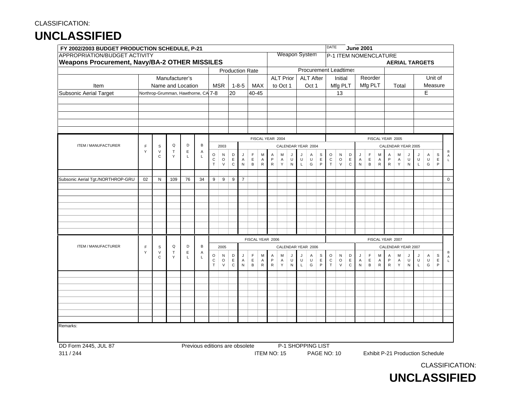|                                   | FY 2002/2003 BUDGET PRODUCTION SCHEDULE, P-21                                         |                        |                   |             |                                     |                  |                   |                  |                |                        |                |                           |                  |                |                  |                              |                             | <b>DATE</b>       |                   |                             | <b>June 2001</b>            |                  |                                |                           |        |                |                        |                                  |                             |                                |
|-----------------------------------|---------------------------------------------------------------------------------------|------------------------|-------------------|-------------|-------------------------------------|------------------|-------------------|------------------|----------------|------------------------|----------------|---------------------------|------------------|----------------|------------------|------------------------------|-----------------------------|-------------------|-------------------|-----------------------------|-----------------------------|------------------|--------------------------------|---------------------------|--------|----------------|------------------------|----------------------------------|-----------------------------|--------------------------------|
|                                   | APPROPRIATION/BUDGET ACTIVITY<br><b>Weapons Procurement, Navy/BA-2 OTHER MISSILES</b> |                        |                   |             |                                     |                  |                   |                  |                |                        |                |                           |                  |                |                  | Weapon System                |                             |                   |                   |                             |                             |                  |                                | P-1 ITEM NOMENCLATURE     |        |                |                        |                                  |                             |                                |
|                                   |                                                                                       |                        |                   |             |                                     |                  |                   |                  |                |                        |                |                           |                  |                |                  |                              |                             |                   |                   |                             |                             |                  |                                |                           |        |                |                        | <b>AERIAL TARGETS</b>            |                             |                                |
|                                   |                                                                                       |                        |                   |             |                                     |                  |                   |                  |                | <b>Production Rate</b> |                |                           |                  |                |                  | <b>Procurement Leadtimes</b> |                             |                   |                   |                             |                             |                  |                                |                           |        |                |                        |                                  |                             |                                |
|                                   |                                                                                       |                        | Manufacturer's    |             |                                     |                  |                   |                  |                |                        |                |                           | <b>ALT Prior</b> |                |                  | <b>ALT After</b>             |                             |                   | Initial           |                             |                             | Reorder          |                                |                           |        |                |                        |                                  | Unit of                     |                                |
| Item                              |                                                                                       |                        | Name and Location |             |                                     |                  | <b>MSR</b>        |                  | $1 - 8 - 5$    | MAX                    |                |                           | to Oct 1         |                |                  | Oct 1                        |                             |                   | Mfg PLT           |                             |                             | Mfg PLT          |                                |                           | Total  |                |                        |                                  | Measure                     |                                |
| <b>Subsonic Aerial Target</b>     |                                                                                       |                        |                   |             | Northrop-Grumman, Hawthorne, CA 7-8 |                  |                   | 20               |                | $40 - 45$              |                |                           |                  |                |                  |                              |                             |                   | 13                |                             |                             |                  |                                |                           |        |                |                        | E                                |                             |                                |
|                                   |                                                                                       |                        |                   |             |                                     |                  |                   |                  |                |                        |                |                           |                  |                |                  |                              |                             |                   |                   |                             |                             |                  |                                |                           |        |                |                        |                                  |                             |                                |
|                                   |                                                                                       |                        |                   |             |                                     |                  |                   |                  |                |                        |                |                           |                  |                |                  |                              |                             |                   |                   |                             |                             |                  |                                |                           |        |                |                        |                                  |                             |                                |
|                                   |                                                                                       |                        |                   |             |                                     |                  |                   |                  |                |                        |                |                           |                  |                |                  |                              |                             |                   |                   |                             |                             |                  |                                |                           |        |                |                        |                                  |                             |                                |
|                                   |                                                                                       |                        |                   |             |                                     |                  |                   |                  |                |                        |                |                           |                  |                |                  |                              |                             |                   |                   |                             |                             |                  |                                |                           |        |                |                        |                                  |                             |                                |
|                                   |                                                                                       |                        |                   |             |                                     |                  |                   |                  |                |                        |                |                           |                  |                |                  |                              |                             |                   |                   |                             |                             |                  |                                |                           |        |                |                        |                                  |                             |                                |
|                                   |                                                                                       |                        |                   |             |                                     |                  |                   |                  |                |                        |                | FISCAL YEAR 2004          |                  |                |                  |                              |                             |                   |                   |                             |                             |                  |                                | FISCAL YEAR 2005          |        |                |                        |                                  |                             |                                |
| ITEM / MANUFACTURER               | F                                                                                     | $\mathbb S$            | Q                 | D           | B                                   |                  | 2003              |                  |                |                        |                |                           |                  |                |                  | CALENDAR YEAR 2004           |                             |                   |                   |                             |                             |                  |                                | CALENDAR YEAR 2005        |        |                |                        |                                  |                             |                                |
|                                   | Y                                                                                     | $\vee$                 | $\top$            | $\mathsf E$ | A                                   | O                | N                 | D                | J              | F                      | M              | Α                         | M                | IJ             | J                | Α                            | $\mathsf{s}$                | $\circ$           | ${\sf N}$         | D                           | J                           | $\mathsf F$      | M                              | A                         | M      | IJ             | J                      | A                                | $\mathbb S$                 | B                              |
|                                   |                                                                                       | C                      | Y                 | L           | L                                   | С                | $\circ$           | $\mathsf E$      | A              | E                      | A              | P                         | $\overline{A}$   | U              | U                | U                            | $\mathsf E$                 | ${\bf C}$         | $\circ$           | $\mathsf E$                 | $\mathsf A$                 | $\mathsf E$      | $\overline{A}$                 | P                         | Α      | U              | $\sf U$                | $\cup$                           | $\mathsf E$                 | $\overline{A}$<br>$\mathbf{I}$ |
|                                   |                                                                                       |                        |                   |             |                                     | $\top$           | $\vee$            | $\mathbf C$      | ${\sf N}$      | В                      | ${\sf R}$      | ${\sf R}$                 | Y                | ${\sf N}$      | $\mathsf L$      | G                            | $\mathsf{P}$                | $\top$            | $\mathsf{V}$      | $\mathbf C$                 | ${\sf N}$                   | B                | ${\sf R}$                      | ${\sf R}$                 | Y      | ${\sf N}$      | $\mathsf L$            | G                                | $\mathsf{P}$                |                                |
|                                   |                                                                                       |                        |                   |             |                                     |                  |                   |                  |                |                        |                |                           |                  |                |                  |                              |                             |                   |                   |                             |                             |                  |                                |                           |        |                |                        |                                  |                             |                                |
| Subsonic Aerial Tgt./NORTHROP-GRU | 02                                                                                    | N                      | 109               | 76          | 34                                  | 9                | 9                 | $\boldsymbol{9}$ | $\overline{7}$ |                        |                |                           |                  |                |                  |                              |                             |                   |                   |                             |                             |                  |                                |                           |        |                |                        |                                  |                             | $\mathbf 0$                    |
|                                   |                                                                                       |                        |                   |             |                                     |                  |                   |                  |                |                        |                |                           |                  |                |                  |                              |                             |                   |                   |                             |                             |                  |                                |                           |        |                |                        |                                  |                             |                                |
|                                   |                                                                                       |                        |                   |             |                                     |                  |                   |                  |                |                        |                |                           |                  |                |                  |                              |                             |                   |                   |                             |                             |                  |                                |                           |        |                |                        |                                  |                             |                                |
|                                   |                                                                                       |                        |                   |             |                                     |                  |                   |                  |                |                        |                |                           |                  |                |                  |                              |                             |                   |                   |                             |                             |                  |                                |                           |        |                |                        |                                  |                             |                                |
|                                   |                                                                                       |                        |                   |             |                                     |                  |                   |                  |                |                        |                |                           |                  |                |                  |                              |                             |                   |                   |                             |                             |                  |                                |                           |        |                |                        |                                  |                             |                                |
|                                   |                                                                                       |                        |                   |             |                                     |                  |                   |                  |                |                        |                |                           |                  |                |                  |                              |                             |                   |                   |                             |                             |                  |                                |                           |        |                |                        |                                  |                             |                                |
|                                   |                                                                                       |                        |                   |             |                                     |                  |                   |                  |                |                        |                |                           |                  |                |                  |                              |                             |                   |                   |                             |                             |                  |                                |                           |        |                |                        |                                  |                             |                                |
|                                   |                                                                                       |                        |                   |             |                                     |                  |                   |                  |                |                        |                |                           |                  |                |                  |                              |                             |                   |                   |                             |                             |                  |                                |                           |        |                |                        |                                  |                             |                                |
|                                   |                                                                                       |                        |                   |             |                                     |                  |                   |                  |                | FISCAL YEAR 2006       |                |                           |                  |                |                  |                              |                             |                   |                   |                             |                             |                  |                                | FISCAL YEAR 2007          |        |                |                        |                                  |                             |                                |
| ITEM / MANUFACTURER               | $\mathsf F$                                                                           | S                      | Q                 | D           | B                                   |                  | 2005              |                  |                |                        |                |                           |                  |                |                  | CALENDAR YEAR 2006           |                             |                   |                   |                             |                             |                  |                                | CALENDAR YEAR 2007        |        |                |                        |                                  |                             |                                |
|                                   | Y                                                                                     | $\vee$<br>$\mathsf{C}$ | $\mathsf T$<br>Y  | Ε<br>L      | Α<br>L                              | O                | N                 | D                | J              | F                      | M              | Α                         | M                | IJ             |                  | Α                            | S                           | $\circ$           | ${\sf N}$         | D                           | J                           | $\mathsf F$      | M                              | $\overline{A}$            | M      | IJ             | J                      | Α                                | $\mathsf S$                 | В<br>$\overline{A}$            |
|                                   |                                                                                       |                        |                   |             |                                     | C<br>$\mathsf T$ | $\circ$<br>$\vee$ | E<br>$\mathbf C$ | A<br>${\sf N}$ | E<br>B                 | A<br>${\sf R}$ | $\mathsf{P}$<br>${\sf R}$ | A<br>Y           | U<br>${\sf N}$ | U<br>$\mathsf L$ | U<br>G                       | $\mathsf E$<br>$\mathsf{P}$ | $\mathtt{C}$<br>T | $\circ$<br>$\vee$ | $\mathsf E$<br>$\mathtt{C}$ | $\overline{A}$<br>${\sf N}$ | $\mathsf E$<br>B | $\overline{A}$<br>$\mathsf{R}$ | $\mathsf{P}$<br>${\sf R}$ | A<br>Y | U<br>${\sf N}$ | $\sf U$<br>$\mathsf L$ | U<br>G                           | $\mathsf E$<br>$\mathsf{P}$ | L.                             |
|                                   |                                                                                       |                        |                   |             |                                     |                  |                   |                  |                |                        |                |                           |                  |                |                  |                              |                             |                   |                   |                             |                             |                  |                                |                           |        |                |                        |                                  |                             |                                |
|                                   |                                                                                       |                        |                   |             |                                     |                  |                   |                  |                |                        |                |                           |                  |                |                  |                              |                             |                   |                   |                             |                             |                  |                                |                           |        |                |                        |                                  |                             |                                |
|                                   |                                                                                       |                        |                   |             |                                     |                  |                   |                  |                |                        |                |                           |                  |                |                  |                              |                             |                   |                   |                             |                             |                  |                                |                           |        |                |                        |                                  |                             |                                |
|                                   |                                                                                       |                        |                   |             |                                     |                  |                   |                  |                |                        |                |                           |                  |                |                  |                              |                             |                   |                   |                             |                             |                  |                                |                           |        |                |                        |                                  |                             |                                |
|                                   |                                                                                       |                        |                   |             |                                     |                  |                   |                  |                |                        |                |                           |                  |                |                  |                              |                             |                   |                   |                             |                             |                  |                                |                           |        |                |                        |                                  |                             |                                |
|                                   |                                                                                       |                        |                   |             |                                     |                  |                   |                  |                |                        |                |                           |                  |                |                  |                              |                             |                   |                   |                             |                             |                  |                                |                           |        |                |                        |                                  |                             |                                |
|                                   |                                                                                       |                        |                   |             |                                     |                  |                   |                  |                |                        |                |                           |                  |                |                  |                              |                             |                   |                   |                             |                             |                  |                                |                           |        |                |                        |                                  |                             |                                |
| Remarks:                          |                                                                                       |                        |                   |             |                                     |                  |                   |                  |                |                        |                |                           |                  |                |                  |                              |                             |                   |                   |                             |                             |                  |                                |                           |        |                |                        |                                  |                             |                                |
|                                   |                                                                                       |                        |                   |             |                                     |                  |                   |                  |                |                        |                |                           |                  |                |                  |                              |                             |                   |                   |                             |                             |                  |                                |                           |        |                |                        |                                  |                             |                                |
|                                   |                                                                                       |                        |                   |             |                                     |                  |                   |                  |                |                        |                |                           |                  |                |                  |                              |                             |                   |                   |                             |                             |                  |                                |                           |        |                |                        |                                  |                             |                                |
| DD Form 2445, JUL 87              |                                                                                       |                        |                   |             | Previous editions are obsolete      |                  |                   |                  |                |                        |                |                           |                  |                |                  | P-1 SHOPPING LIST            |                             |                   |                   |                             |                             |                  |                                |                           |        |                |                        |                                  |                             |                                |
| 311/244                           |                                                                                       |                        |                   |             |                                     |                  |                   |                  |                |                        |                | ITEM NO: 15               |                  |                |                  |                              |                             | PAGE NO: 10       |                   |                             |                             |                  |                                |                           |        |                |                        | Exhibit P-21 Production Schedule |                             |                                |

CLASSIFICATION:

**UNCLASSIFIED**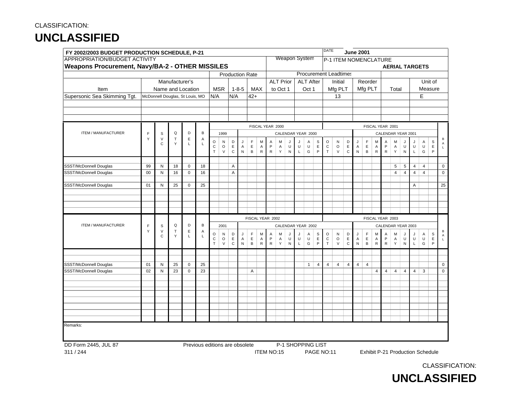|                                                 | FY 2002/2003 BUDGET PRODUCTION SCHEDULE, P-21 |                                 |                  |             |        |                       |                   |                            |                           |                             |                |                          |                  |                   |             |                                                                                                                 |                             | <b>DATE</b>                |                              |                            | <b>June 2001</b> |                             |                |                         |                  |                     |                       |                |                             |                  |
|-------------------------------------------------|-----------------------------------------------|---------------------------------|------------------|-------------|--------|-----------------------|-------------------|----------------------------|---------------------------|-----------------------------|----------------|--------------------------|------------------|-------------------|-------------|-----------------------------------------------------------------------------------------------------------------|-----------------------------|----------------------------|------------------------------|----------------------------|------------------|-----------------------------|----------------|-------------------------|------------------|---------------------|-----------------------|----------------|-----------------------------|------------------|
| APPROPRIATION/BUDGET ACTIVITY                   |                                               |                                 |                  |             |        |                       |                   |                            |                           |                             |                |                          |                  |                   |             | <b>Weapon System</b>                                                                                            |                             |                            | P-1 ITEM NOMENCLATURE        |                            |                  |                             |                |                         |                  |                     |                       |                |                             |                  |
| Weapons Procurement, Navy/BA-2 - OTHER MISSILES |                                               |                                 |                  |             |        |                       |                   |                            |                           |                             |                |                          |                  |                   |             |                                                                                                                 |                             |                            |                              |                            |                  |                             |                |                         |                  |                     | <b>AERIAL TARGETS</b> |                |                             |                  |
|                                                 |                                               |                                 |                  |             |        |                       |                   |                            |                           | <b>Production Rate</b>      |                |                          |                  |                   |             |                                                                                                                 |                             |                            | <b>Procurement Leadtimes</b> |                            |                  |                             |                |                         |                  |                     |                       |                |                             |                  |
|                                                 |                                               |                                 | Manufacturer's   |             |        |                       |                   |                            |                           |                             |                |                          | <b>ALT Prior</b> |                   |             | <b>ALT After</b>                                                                                                |                             |                            | Initial                      |                            |                  | Reorder                     |                |                         |                  |                     |                       |                | Unit of                     |                  |
| Item                                            |                                               | Name and Location               |                  |             |        | N/A                   | <b>MSR</b>        | N/A                        | $1 - 8 - 5$               | MAX<br>$42+$                |                |                          | to Oct 1         |                   |             | Oct 1                                                                                                           |                             |                            | Mfg PLT                      |                            |                  | Mfg PLT                     |                |                         | Total            |                     |                       | Measure        |                             |                  |
| Supersonic Sea Skimming Tgt.                    |                                               | McDonnell Douglas, St Louis, MO |                  |             |        |                       |                   |                            |                           |                             |                |                          |                  |                   |             |                                                                                                                 |                             |                            | 13                           |                            |                  |                             |                |                         |                  |                     |                       | Е              |                             |                  |
|                                                 |                                               |                                 |                  |             |        |                       |                   |                            |                           |                             |                |                          |                  |                   |             |                                                                                                                 |                             |                            |                              |                            |                  |                             |                |                         |                  |                     |                       |                |                             |                  |
|                                                 |                                               |                                 |                  |             |        |                       |                   |                            |                           |                             |                |                          |                  |                   |             |                                                                                                                 |                             |                            |                              |                            |                  |                             |                |                         |                  |                     |                       |                |                             |                  |
|                                                 |                                               |                                 |                  |             |        |                       |                   |                            |                           |                             |                | FISCAL YEAR 2000         |                  |                   |             |                                                                                                                 |                             |                            |                              |                            |                  |                             |                | FISCAL YEAR 2001        |                  |                     |                       |                |                             |                  |
| ITEM / MANUFACTURER                             | F                                             | $\mathbb S$                     | Q                | D           | В      |                       | 1999              |                            |                           |                             |                |                          |                  |                   |             | CALENDAR YEAR 2000                                                                                              |                             |                            |                              |                            |                  |                             |                | CALENDAR YEAR 2001      |                  |                     |                       |                |                             |                  |
|                                                 | Y                                             | $\vee$<br>C                     | $\mathsf T$<br>Υ | Е<br>L      | A<br>L | $\mathsf O$           | ${\sf N}$         | D                          | J                         | $\mathsf F$                 | M              | Α                        | М                | J                 | J           | Α                                                                                                               | $\mathsf{s}$                | $\mathsf O$                | ${\sf N}$                    | D                          | J                | $\mathsf F$                 | M              | Α                       | M                | J                   | J                     | A              | $\mathsf S$                 | в<br>$\mathsf A$ |
|                                                 |                                               |                                 |                  |             |        | $\mathbf C$<br>$\top$ | $\circ$<br>$\vee$ | $\mathsf E$<br>$\mathbf C$ | A<br>${\sf N}$            | $\mathsf E$<br>В            | A<br>${\sf R}$ | P<br>${\sf R}$           | Α<br>Υ           | U<br>$\mathsf{N}$ | U<br>L      | $\mathsf{U}% _{T}=\mathsf{U}_{T}\!\left( a,b\right) ,\ \mathsf{U}_{T}=\mathsf{U}_{T}\!\left( a,b\right) ,$<br>G | $\mathsf E$<br>$\mathsf{P}$ | $\mathbf C$<br>$\mathsf T$ | $\circ$<br>$\vee$            | $\mathsf E$<br>$\mathsf C$ | A<br>${\sf N}$   | $\mathsf E$<br>$\mathsf B$  | Α<br>${\sf R}$ | $\sf P$<br>$\mathsf{R}$ | Α<br>Y           | U<br>${\sf N}$      | U<br>L                | $\sf U$<br>G   | $\mathsf E$<br>P            | $\mathsf L$      |
|                                                 |                                               |                                 |                  |             |        |                       |                   |                            |                           |                             |                |                          |                  |                   |             |                                                                                                                 |                             |                            |                              |                            |                  |                             |                |                         |                  |                     |                       |                |                             |                  |
| SSST/McDonnell Douglas                          | 99                                            | $\mathsf{N}$                    | 18               | $\mathbf 0$ | 18     |                       |                   | A                          |                           |                             |                |                          |                  |                   |             |                                                                                                                 |                             |                            |                              |                            |                  |                             |                |                         | 5                | 5                   | $\overline{4}$        | $\overline{4}$ |                             | $\mathbf 0$      |
| SSST/McDonnell Douglas                          | 00                                            | N                               | 16               | $\mathbf 0$ | 16     |                       |                   | A                          |                           |                             |                |                          |                  |                   |             |                                                                                                                 |                             |                            |                              |                            |                  |                             |                |                         | $\overline{4}$   | $\overline{4}$      | $\overline{4}$        | $\overline{4}$ |                             | $\mathbf 0$      |
| SSST/McDonnell Douglas                          | 01                                            | N                               | 25               | $\mathbf 0$ | 25     |                       |                   |                            |                           |                             |                |                          |                  |                   |             |                                                                                                                 |                             |                            |                              |                            |                  |                             |                |                         |                  |                     | A                     |                |                             | 25               |
|                                                 |                                               |                                 |                  |             |        |                       |                   |                            |                           |                             |                |                          |                  |                   |             |                                                                                                                 |                             |                            |                              |                            |                  |                             |                |                         |                  |                     |                       |                |                             |                  |
|                                                 |                                               |                                 |                  |             |        |                       |                   |                            |                           |                             |                |                          |                  |                   |             |                                                                                                                 |                             |                            |                              |                            |                  |                             |                |                         |                  |                     |                       |                |                             |                  |
|                                                 |                                               |                                 |                  |             |        |                       |                   |                            |                           |                             |                |                          |                  |                   |             |                                                                                                                 |                             |                            |                              |                            |                  |                             |                |                         |                  |                     |                       |                |                             |                  |
|                                                 |                                               |                                 |                  |             |        |                       |                   |                            |                           | FISCAL YEAR 2002            |                |                          |                  |                   |             |                                                                                                                 |                             |                            |                              |                            |                  |                             |                | FISCAL YEAR 2003        |                  |                     |                       |                |                             |                  |
| ITEM / MANUFACTURER                             | F                                             | $\mbox{\textsc{s}}$             | Q                | D           | В      |                       | 2001              |                            |                           |                             |                |                          |                  |                   |             | CALENDAR YEAR 2002                                                                                              |                             |                            |                              |                            |                  |                             |                | CALENDAR YEAR 2003      |                  |                     |                       |                |                             |                  |
|                                                 | Y                                             | $\vee$                          | $\mathsf T$      | Е           | A      | $\circ$               | ${\sf N}$         | D                          | J                         | F                           | M              | Α                        | M                | J                 | J           | Α                                                                                                               | S                           | $\circ$                    | ${\sf N}$                    | D                          | J                | $\mathsf F$                 | M              | A                       | M                | J                   | J                     | Α              | $\mathsf S$                 | в                |
|                                                 |                                               | C                               | Υ                | L           | L      | $\mathbf C$<br>$\top$ | $\circ$<br>$\vee$ | $\mathsf E$<br>$\mathbf C$ | $\mathsf{A}$<br>${\sf N}$ | $\mathsf E$<br>$\, {\sf B}$ | A<br>${\sf R}$ | $\mathsf P$<br>${\sf R}$ | Α<br>Υ           | U<br>${\sf N}$    | $\cup$<br>L | $\cup$<br>G                                                                                                     | $\mathsf E$<br>$\mathsf P$  | $\mathbf C$<br>$\mathsf T$ | $\circ$<br>$\vee$            | $\mathsf E$<br>$\mathbf C$ | A<br>${\sf N}$   | $\mathsf E$<br>$\, {\sf B}$ | A<br>${\sf R}$ | $\mathsf{P}$<br>$\sf R$ | $\mathsf A$<br>Y | $\cup$<br>${\sf N}$ | U<br>$\mathsf L$      | $\cup$<br>G    | $\mathsf E$<br>$\mathsf{P}$ | Α<br>$\mathsf L$ |
|                                                 |                                               |                                 |                  |             |        |                       |                   |                            |                           |                             |                |                          |                  |                   |             |                                                                                                                 |                             |                            |                              |                            |                  |                             |                |                         |                  |                     |                       |                |                             |                  |
|                                                 |                                               |                                 |                  |             |        |                       |                   |                            |                           |                             |                |                          |                  |                   |             |                                                                                                                 |                             |                            |                              |                            |                  |                             |                |                         |                  |                     |                       |                |                             |                  |
| SSST/McDonnell Douglas                          | 01                                            | ${\sf N}$                       | 25               | $\pmb{0}$   | 25     |                       |                   |                            |                           |                             |                |                          |                  |                   |             | $\mathbf{1}$                                                                                                    | $\overline{4}$              | 4                          | $\overline{4}$               | 4                          | $\overline{4}$   | $\overline{4}$              |                |                         |                  |                     |                       |                |                             | $\mathbf 0$      |
| SSST/McDonnell Douglas                          | 02                                            | N                               | 23               | $\mathbf 0$ | 23     |                       |                   |                            |                           | Α                           |                |                          |                  |                   |             |                                                                                                                 |                             |                            |                              |                            |                  |                             | $\overline{4}$ | $\overline{4}$          | $\overline{4}$   | $\overline{4}$      | $\overline{4}$        | 3              |                             | $\mathbf 0$      |
|                                                 |                                               |                                 |                  |             |        |                       |                   |                            |                           |                             |                |                          |                  |                   |             |                                                                                                                 |                             |                            |                              |                            |                  |                             |                |                         |                  |                     |                       |                |                             |                  |
|                                                 |                                               |                                 |                  |             |        |                       |                   |                            |                           |                             |                |                          |                  |                   |             |                                                                                                                 |                             |                            |                              |                            |                  |                             |                |                         |                  |                     |                       |                |                             |                  |
|                                                 |                                               |                                 |                  |             |        |                       |                   |                            |                           |                             |                |                          |                  |                   |             |                                                                                                                 |                             |                            |                              |                            |                  |                             |                |                         |                  |                     |                       |                |                             |                  |
|                                                 |                                               |                                 |                  |             |        |                       |                   |                            |                           |                             |                |                          |                  |                   |             |                                                                                                                 |                             |                            |                              |                            |                  |                             |                |                         |                  |                     |                       |                |                             |                  |
|                                                 |                                               |                                 |                  |             |        |                       |                   |                            |                           |                             |                |                          |                  |                   |             |                                                                                                                 |                             |                            |                              |                            |                  |                             |                |                         |                  |                     |                       |                |                             |                  |
|                                                 |                                               |                                 |                  |             |        |                       |                   |                            |                           |                             |                |                          |                  |                   |             |                                                                                                                 |                             |                            |                              |                            |                  |                             |                |                         |                  |                     |                       |                |                             |                  |
| Remarks:                                        |                                               |                                 |                  |             |        |                       |                   |                            |                           |                             |                |                          |                  |                   |             |                                                                                                                 |                             |                            |                              |                            |                  |                             |                |                         |                  |                     |                       |                |                             |                  |
|                                                 |                                               |                                 |                  |             |        |                       |                   |                            |                           |                             |                |                          |                  |                   |             |                                                                                                                 |                             |                            |                              |                            |                  |                             |                |                         |                  |                     |                       |                |                             |                  |
| DD Form 2445, JUL 87                            | Previous editions are obsolete                |                                 |                  |             |        |                       |                   |                            |                           |                             |                |                          |                  |                   |             |                                                                                                                 | P-1 SHOPPING LIST           |                            |                              |                            |                  |                             |                |                         |                  |                     |                       |                |                             |                  |

ITEM NO:15 PAGE NO:11 Exhibit P-21 Production Schedule



CLASSIFICATION: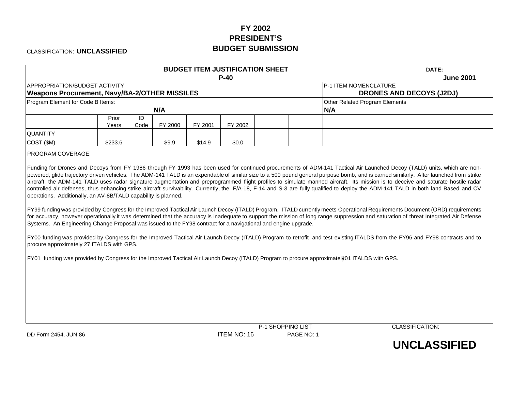# **FY 2002 PRESIDENT'SBUDGET SUBMISSION**

CLASSIFICATION: **UNCLASSIFIED**

| $P-40$<br><b>APPROPRIATION/BUDGET ACTIVITY</b><br>P-1 ITEM NOMENCLATURE<br><b>Weapons Procurement, Navy/BA-2/OTHER MISSILES</b><br>Program Element for Code B Items:<br>Other Related Program Elements<br>N/A<br>N/A<br>ID<br>Prior<br>FY 2000<br>FY 2001<br>FY 2002<br>Years<br>Code<br><b>QUANTITY</b><br>COST (\$M)<br>\$233.6<br>\$9.9<br>\$14.9<br>\$0.0<br>PROGRAM COVERAGE:<br>Funding for Drones and Decoys from FY 1986 through FY 1993 has been used for continued procurements of ADM-141 Tactical Air Launched Decoy (TALD) units, which are non-<br>powered, glide trajectory driven vehicles. The ADM-141 TALD is an expendable of similar size to a 500 pound general purpose bomb, and is carried similarly. After launched from strike<br>aircraft, the ADM-141 TALD uses radar signature augmentation and preprogrammed flight profiles to simulate manned aircraft. Its mission is to deceive and saturate hostile radar<br>controlled air defenses, thus enhancing strike aircraft survivability. Currently, the F/A-18, F-14 and S-3 are fully qualified to deploy the ADM-141 TALD in both land Based and CV<br>operations. Additionally, an AV-8B/TALD capability is planned.<br>FY99 funding was provided by Congress for the Improved Tactical Air Launch Decoy (ITALD) Program. ITALD currently meets Operational Requirements Document (ORD) requirements<br>for accuracy, however operationally it was determined that the accuracy is inadequate to support the mission of long range suppression and saturation of threat Integrated Air Defense<br>Systems. An Engineering Change Proposal was issued to the FY98 contract for a navigational and engine upgrade.<br>FY00 funding was provided by Congress for the Improved Tactical Air Launch Decoy (ITALD) Program to retrofit and test existing ITALDS from the FY96 and FY98 contracts and to<br>procure approximately 27 ITALDS with GPS. | <b>June 2001</b>                |
|--------------------------------------------------------------------------------------------------------------------------------------------------------------------------------------------------------------------------------------------------------------------------------------------------------------------------------------------------------------------------------------------------------------------------------------------------------------------------------------------------------------------------------------------------------------------------------------------------------------------------------------------------------------------------------------------------------------------------------------------------------------------------------------------------------------------------------------------------------------------------------------------------------------------------------------------------------------------------------------------------------------------------------------------------------------------------------------------------------------------------------------------------------------------------------------------------------------------------------------------------------------------------------------------------------------------------------------------------------------------------------------------------------------------------------------------------------------------------------------------------------------------------------------------------------------------------------------------------------------------------------------------------------------------------------------------------------------------------------------------------------------------------------------------------------------------------------------------------------------------------------------------------------------------------------|---------------------------------|
|                                                                                                                                                                                                                                                                                                                                                                                                                                                                                                                                                                                                                                                                                                                                                                                                                                                                                                                                                                                                                                                                                                                                                                                                                                                                                                                                                                                                                                                                                                                                                                                                                                                                                                                                                                                                                                                                                                                                | <b>DRONES AND DECOYS (J2DJ)</b> |
|                                                                                                                                                                                                                                                                                                                                                                                                                                                                                                                                                                                                                                                                                                                                                                                                                                                                                                                                                                                                                                                                                                                                                                                                                                                                                                                                                                                                                                                                                                                                                                                                                                                                                                                                                                                                                                                                                                                                |                                 |
|                                                                                                                                                                                                                                                                                                                                                                                                                                                                                                                                                                                                                                                                                                                                                                                                                                                                                                                                                                                                                                                                                                                                                                                                                                                                                                                                                                                                                                                                                                                                                                                                                                                                                                                                                                                                                                                                                                                                |                                 |
|                                                                                                                                                                                                                                                                                                                                                                                                                                                                                                                                                                                                                                                                                                                                                                                                                                                                                                                                                                                                                                                                                                                                                                                                                                                                                                                                                                                                                                                                                                                                                                                                                                                                                                                                                                                                                                                                                                                                |                                 |
|                                                                                                                                                                                                                                                                                                                                                                                                                                                                                                                                                                                                                                                                                                                                                                                                                                                                                                                                                                                                                                                                                                                                                                                                                                                                                                                                                                                                                                                                                                                                                                                                                                                                                                                                                                                                                                                                                                                                |                                 |
| FY01 funding was provided by Congress for the Improved Tactical Air Launch Decoy (ITALD) Program to procure approximately01 ITALDS with GPS.                                                                                                                                                                                                                                                                                                                                                                                                                                                                                                                                                                                                                                                                                                                                                                                                                                                                                                                                                                                                                                                                                                                                                                                                                                                                                                                                                                                                                                                                                                                                                                                                                                                                                                                                                                                   |                                 |

DD Form 2454, JUN 86 **ITEM NO: 16** PAGE NO: 1

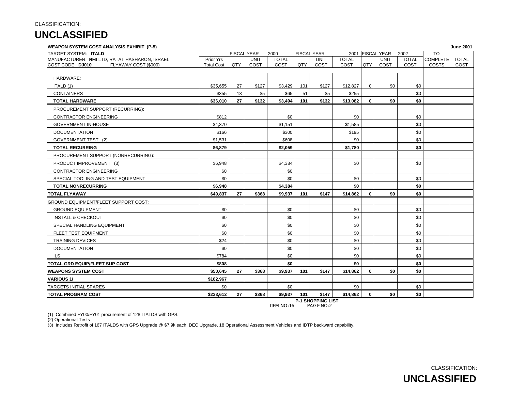#### **WEAPON SYSTEM COST ANALYSIS EXHIBIT (P-5) June 2001**

| <b>TARGET SYSTEM: ITALD</b>                   |                   |     | <b>FISCAL YEAR</b> | 2000         |     | <b>FISCAL YEAR</b> |              |             | 2001 FISCAL YEAR | 2002         | <b>TO</b>       |              |
|-----------------------------------------------|-------------------|-----|--------------------|--------------|-----|--------------------|--------------|-------------|------------------|--------------|-----------------|--------------|
| MANUFACTURER: RMI LTD, RATAT HASHARON, ISRAEL | Prior Yrs         |     | <b>UNIT</b>        | <b>TOTAL</b> |     | <b>UNIT</b>        | <b>TOTAL</b> |             | <b>UNIT</b>      | <b>TOTAL</b> | <b>COMPLETE</b> | <b>TOTAL</b> |
| COST CODE: DJ010<br>FLYAWAY COST (\$000)      | <b>Total Cost</b> | QTY | COST               | COST         | QTY | COST               | COST         | QTY         | COST             | COST         | <b>COSTS</b>    | COST         |
|                                               |                   |     |                    |              |     |                    |              |             |                  |              |                 |              |
| HARDWARE:                                     |                   |     |                    |              |     |                    |              |             |                  |              |                 |              |
| ITALD (1)                                     | \$35,655          | 27  | \$127              | \$3,429      | 101 | \$127              | \$12,827     | $\mathbf 0$ | \$0              | \$0          |                 |              |
| <b>CONTAINERS</b>                             | \$355             | 13  | \$5                | \$65         | 51  | \$5                | \$255        |             |                  | \$0          |                 |              |
| <b>TOTAL HARDWARE</b>                         | \$36,010          | 27  | \$132              | \$3,494      | 101 | \$132              | \$13,082     | 0           | \$0              | \$0          |                 |              |
| PROCUREMENT SUPPORT (RECURRING):              |                   |     |                    |              |     |                    |              |             |                  |              |                 |              |
| <b>CONTRACTOR ENGINEERING</b>                 | \$812             |     |                    | \$0          |     |                    | \$0          |             |                  | \$0          |                 |              |
| <b>GOVERNMENT IN-HOUSE</b>                    | \$4,370           |     |                    | \$1,151      |     |                    | \$1,585      |             |                  | \$0          |                 |              |
| <b>DOCUMENTATION</b>                          | \$166             |     |                    | \$300        |     |                    | \$195        |             |                  | \$0          |                 |              |
| GOVERNMENT TEST (2)                           | \$1,531           |     |                    | \$608        |     |                    | \$0          |             |                  | \$0          |                 |              |
| <b>TOTAL RECURRING</b>                        | \$6,879           |     |                    | \$2,059      |     |                    | \$1,780      |             |                  | \$0          |                 |              |
| PROCUREMENT SUPPORT (NONRECURRING):           |                   |     |                    |              |     |                    |              |             |                  |              |                 |              |
| PRODUCT IMPROVEMENT (3)                       | \$6,948           |     |                    | \$4,384      |     |                    | \$0          |             |                  | \$0          |                 |              |
| <b>CONTRACTOR ENGINEERING</b>                 | \$0               |     |                    | \$0          |     |                    |              |             |                  |              |                 |              |
| SPECIAL TOOLING AND TEST EQUIPMENT            | \$0               |     |                    | \$0          |     |                    | \$0          |             |                  | \$0          |                 |              |
| <b>TOTAL NONRECURRING</b>                     | \$6,948           |     |                    | \$4,384      |     |                    | \$0          |             |                  | \$0          |                 |              |
| <b>TOTAL FLYAWAY</b>                          | \$49,837          | 27  | \$368              | \$9,937      | 101 | \$147              | \$14,862     | $\bf{0}$    | \$0              | \$0          |                 |              |
| <b>GROUND EQUIPMENT/FLEET SUPPORT COST:</b>   |                   |     |                    |              |     |                    |              |             |                  |              |                 |              |
| <b>GROUND EQUIPMENT</b>                       | \$0               |     |                    | \$0          |     |                    | \$0          |             |                  | \$0          |                 |              |
| <b>INSTALL &amp; CHECKOUT</b>                 | \$0               |     |                    | \$0          |     |                    | \$0          |             |                  | \$0          |                 |              |
| SPECIAL HANDLING EQUIPMENT                    | \$0               |     |                    | \$0          |     |                    | \$0          |             |                  | \$0          |                 |              |
| FLEET TEST EQUIPMENT                          | \$0               |     |                    | \$0          |     |                    | \$0          |             |                  | \$0          |                 |              |
| <b>TRAINING DEVICES</b>                       | \$24              |     |                    | \$0          |     |                    | \$0          |             |                  | \$0          |                 |              |
| <b>DOCUMENTATION</b>                          | \$0               |     |                    | \$0          |     |                    | \$0          |             |                  | \$0          |                 |              |
| <b>ILS</b>                                    | \$784             |     |                    | \$0          |     |                    | \$0          |             |                  | \$0          |                 |              |
| TOTAL GRD EQUIP/FLEET SUP COST                | \$808             |     |                    | \$0          |     |                    | \$0          |             |                  | \$0          |                 |              |
| <b>WEAPONS SYSTEM COST</b>                    | \$50,645          | 27  | \$368              | \$9,937      | 101 | \$147              | \$14,862     | $\mathbf 0$ | \$0              | \$0          |                 |              |
| <b>VARIOUS 1/</b>                             | \$182,967         |     |                    |              |     |                    |              |             |                  |              |                 |              |
| <b>TARGETS INITIAL SPARES</b>                 | \$0               |     |                    | \$0          |     |                    | \$0          |             |                  | \$0          |                 |              |
| <b>TOTAL PROGRAM COST</b>                     | \$233,612         | 27  | \$368              | \$9,937      | 101 | \$147              | \$14,862     | $\mathbf 0$ | \$0              | \$0          |                 |              |

**P-1 SHOPPING LIST**<br>ITEM NO:16 PAGE NO:2 PAGE NO:2

(1) Combined FY00/FY01 procurement of 128 ITALDS with GPS.

(2) Operational Tests

(3) Includes Retrofit of 167 ITALDS with GPS Upgrade @ \$7.9k each, DEC Upgrade, 18 Operational Assessment Vehicles and IDTP backward capability.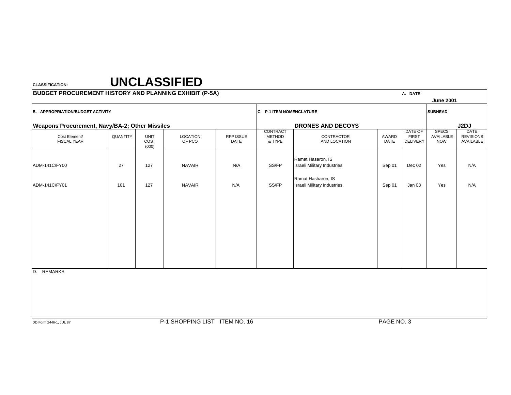| <b>BUDGET PROCUREMENT HISTORY AND PLANNING EXHIBIT (P-5A)</b> |          |                              |                               |                          |                                     |                                                         |               | A. DATE                                    |                                         |                                              |
|---------------------------------------------------------------|----------|------------------------------|-------------------------------|--------------------------|-------------------------------------|---------------------------------------------------------|---------------|--------------------------------------------|-----------------------------------------|----------------------------------------------|
|                                                               |          |                              |                               |                          |                                     |                                                         |               |                                            | <b>June 2001</b>                        |                                              |
| <b>B. APPROPRIATION/BUDGET ACTIVITY</b>                       |          |                              |                               |                          | C. P-1 ITEM NOMENCLATURE            |                                                         |               |                                            | <b>SUBHEAD</b>                          |                                              |
| <b>Weapons Procurement, Navy/BA-2; Other Missiles</b>         |          |                              |                               |                          |                                     | <b>DRONES AND DECOYS</b>                                |               |                                            |                                         | J2DJ                                         |
| Cost Element/<br><b>FISCAL YEAR</b>                           | QUANTITY | <b>UNIT</b><br>COST<br>(000) | <b>LOCATION</b><br>OF PCO     | RFP ISSUE<br><b>DATE</b> | CONTRACT<br><b>METHOD</b><br>& TYPE | CONTRACTOR<br>AND LOCATION                              | AWARD<br>DATE | DATE OF<br><b>FIRST</b><br><b>DELIVERY</b> | <b>SPECS</b><br>AVAILABLE<br><b>NOW</b> | <b>DATE</b><br><b>REVISIONS</b><br>AVAILABLE |
| ADM-141C/FY00                                                 | 27       | 127                          | <b>NAVAIR</b>                 | N/A                      | SS/FP                               | Ramat Hasaron, IS<br><b>Israeli Military Industries</b> | Sep 01        | Dec 02                                     | Yes                                     | N/A                                          |
| ADM-141C/FY01                                                 | 101      | 127                          | <b>NAVAIR</b>                 | N/A                      | SS/FP                               | Ramat Hasharon, IS<br>Israeli Military Industries,      | Sep 01        | Jan 03                                     | Yes                                     | N/A                                          |
|                                                               |          |                              |                               |                          |                                     |                                                         |               |                                            |                                         |                                              |
|                                                               |          |                              |                               |                          |                                     |                                                         |               |                                            |                                         |                                              |
|                                                               |          |                              |                               |                          |                                     |                                                         |               |                                            |                                         |                                              |
| <b>REMARKS</b>                                                |          |                              |                               |                          |                                     |                                                         |               |                                            |                                         |                                              |
| D.                                                            |          |                              |                               |                          |                                     |                                                         |               |                                            |                                         |                                              |
|                                                               |          |                              |                               |                          |                                     |                                                         |               |                                            |                                         |                                              |
|                                                               |          |                              |                               |                          |                                     |                                                         |               |                                            |                                         |                                              |
| DD Form 2446-1, JUL 87                                        |          |                              | P-1 SHOPPING LIST ITEM NO. 16 |                          |                                     |                                                         | PAGE NO. 3    |                                            |                                         |                                              |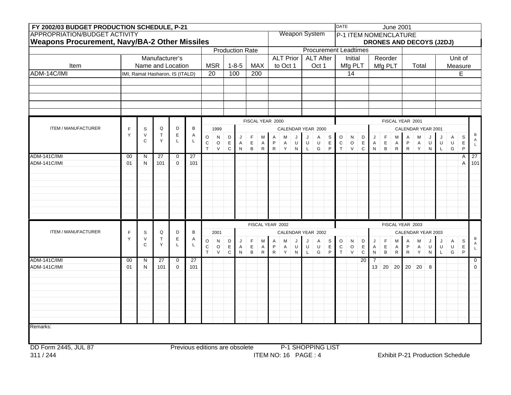| FY 2002/03 BUDGET PRODUCTION SCHEDULE, P-21          |                 |                        |                                 |                  |                                |                           |                        |                            |                           |                                |                              |                          |                  |                         |                              |                          |                  | <b>DATE</b>    |                             |                            |                              |                             |                           | <b>June 2001</b>                |                  |                         |             |                                  |                             |                             |
|------------------------------------------------------|-----------------|------------------------|---------------------------------|------------------|--------------------------------|---------------------------|------------------------|----------------------------|---------------------------|--------------------------------|------------------------------|--------------------------|------------------|-------------------------|------------------------------|--------------------------|------------------|----------------|-----------------------------|----------------------------|------------------------------|-----------------------------|---------------------------|---------------------------------|------------------|-------------------------|-------------|----------------------------------|-----------------------------|-----------------------------|
| <b>APPROPRIATION/BUDGET ACTIVITY</b>                 |                 |                        |                                 |                  |                                |                           |                        |                            |                           |                                |                              |                          |                  |                         | <b>Weapon System</b>         |                          |                  |                |                             |                            |                              |                             |                           | <b>P-1 ITEM NOMENCLATURE</b>    |                  |                         |             |                                  |                             |                             |
| <b>Weapons Procurement, Navy/BA-2 Other Missiles</b> |                 |                        |                                 |                  |                                |                           |                        |                            |                           |                                |                              |                          |                  |                         |                              |                          |                  |                |                             |                            |                              |                             |                           | <b>DRONES AND DECOYS (J2DJ)</b> |                  |                         |             |                                  |                             |                             |
|                                                      |                 |                        |                                 |                  |                                |                           |                        |                            |                           | <b>Production Rate</b>         |                              |                          |                  |                         | <b>Procurement Leadtimes</b> |                          |                  |                |                             |                            |                              |                             |                           |                                 |                  |                         |             |                                  |                             |                             |
|                                                      |                 |                        | Manufacturer's                  |                  |                                |                           |                        |                            |                           |                                |                              |                          | <b>ALT Prior</b> |                         |                              | <b>ALT After</b>         |                  |                | Initial                     |                            |                              | Reorder                     |                           |                                 |                  |                         |             |                                  | Unit of                     |                             |
| Item                                                 |                 |                        | Name and Location               |                  |                                |                           | <b>MSR</b>             |                            | $1 - 8 - 5$               | <b>MAX</b>                     |                              |                          | to Oct 1         |                         |                              | Oct 1                    |                  |                | Mfg PLT                     |                            |                              | Mfg PLT                     |                           |                                 | Total            |                         |             |                                  | Measure                     |                             |
| ADM-14C/IMI                                          |                 |                        | IMI, Ramat Hasharon, IS (ITALD) |                  |                                | 20                        |                        | 100                        |                           | 200                            |                              |                          |                  |                         |                              |                          |                  |                | 14                          |                            |                              |                             |                           |                                 |                  |                         |             |                                  | E                           |                             |
|                                                      |                 |                        |                                 |                  |                                |                           |                        |                            |                           |                                |                              |                          |                  |                         |                              |                          |                  |                |                             |                            |                              |                             |                           |                                 |                  |                         |             |                                  |                             |                             |
|                                                      |                 |                        |                                 |                  |                                |                           |                        |                            |                           |                                |                              |                          |                  |                         |                              |                          |                  |                |                             |                            |                              |                             |                           |                                 |                  |                         |             |                                  |                             |                             |
|                                                      |                 |                        |                                 |                  |                                |                           |                        |                            |                           |                                |                              |                          |                  |                         |                              |                          |                  |                |                             |                            |                              |                             |                           |                                 |                  |                         |             |                                  |                             |                             |
|                                                      |                 |                        |                                 |                  |                                |                           |                        |                            |                           |                                |                              |                          |                  |                         |                              |                          |                  |                |                             |                            |                              |                             |                           |                                 |                  |                         |             |                                  |                             |                             |
|                                                      |                 |                        |                                 |                  |                                |                           |                        |                            |                           |                                |                              |                          |                  |                         |                              |                          |                  |                |                             |                            |                              |                             |                           |                                 |                  |                         |             |                                  |                             |                             |
|                                                      |                 |                        |                                 |                  |                                |                           |                        |                            |                           | FISCAL YEAR 2000               |                              |                          |                  |                         |                              |                          |                  |                |                             |                            |                              |                             |                           | FISCAL YEAR 2001                |                  |                         |             |                                  |                             |                             |
| ITEM / MANUFACTURER                                  | F               | $\mathbb S$            | Q                               | D                | B                              |                           | 1999                   |                            |                           |                                |                              |                          |                  |                         | CALENDAR YEAR 2000           |                          |                  |                |                             |                            |                              |                             |                           | CALENDAR YEAR 2001              |                  |                         |             |                                  |                             |                             |
|                                                      | Y               | $\vee$<br>$\mathsf{C}$ | $\mathsf T$<br>Y                | $\mathsf E$<br>L | Α<br>Г                         | $\circ$                   | $\mathsf{N}$           | D                          | J                         | F                              | M                            | A                        | M                | J                       | J                            | A                        | S                | $\circ$        | N                           | D                          | J                            | F                           | M                         | Α                               | M                | J                       | J           | A                                | $\mathsf S$                 | В<br>Α                      |
|                                                      |                 |                        |                                 |                  |                                | ${\bf C}$<br>$\mathsf{T}$ | $\circ$<br>$\mathsf V$ | E<br>$\mathsf C$           | A<br>${\sf N}$            | $\mathsf E$<br>$\, {\bf B} \,$ | A<br>$\mathsf{R}$            | P<br>${\sf R}$           | A<br>Y           | U<br>${\sf N}$          | U<br>L                       | U<br>${\mathsf G}$       | $\mathsf E$<br>P | ${\rm C}$<br>T | $\mathsf O$<br>$\mathsf V$  | E<br>$\mathbf C$           | A<br>${\sf N}$               | $\mathsf E$<br>$\, {\bf B}$ | A<br>${\sf R}$            | P<br>${\sf R}$                  | A<br>Y           | U<br>$\mathsf{N}$       | U<br>L      | U<br>${\mathsf G}$               | $\mathsf E$<br>$\mathsf{P}$ | $\mathsf{L}$                |
| <b>ADM-141C/IMI</b>                                  | 00              | N                      | 27                              | $\mathbf 0$      | 27                             |                           |                        |                            |                           |                                |                              |                          |                  |                         |                              |                          |                  |                |                             |                            |                              |                             |                           |                                 |                  |                         |             |                                  | Α                           | 27                          |
| ADM-141C/IMI                                         | 01              | N                      | 101                             | $\mathbf 0$      | 101                            |                           |                        |                            |                           |                                |                              |                          |                  |                         |                              |                          |                  |                |                             |                            |                              |                             |                           |                                 |                  |                         |             |                                  | A                           | $101$                       |
|                                                      |                 |                        |                                 |                  |                                |                           |                        |                            |                           |                                |                              |                          |                  |                         |                              |                          |                  |                |                             |                            |                              |                             |                           |                                 |                  |                         |             |                                  |                             |                             |
|                                                      |                 |                        |                                 |                  |                                |                           |                        |                            |                           |                                |                              |                          |                  |                         |                              |                          |                  |                |                             |                            |                              |                             |                           |                                 |                  |                         |             |                                  |                             |                             |
|                                                      |                 |                        |                                 |                  |                                |                           |                        |                            |                           |                                |                              |                          |                  |                         |                              |                          |                  |                |                             |                            |                              |                             |                           |                                 |                  |                         |             |                                  |                             |                             |
|                                                      |                 |                        |                                 |                  |                                |                           |                        |                            |                           |                                |                              |                          |                  |                         |                              |                          |                  |                |                             |                            |                              |                             |                           |                                 |                  |                         |             |                                  |                             |                             |
|                                                      |                 |                        |                                 |                  |                                |                           |                        |                            |                           |                                |                              |                          |                  |                         |                              |                          |                  |                |                             |                            |                              |                             |                           |                                 |                  |                         |             |                                  |                             |                             |
|                                                      |                 |                        |                                 |                  |                                |                           |                        |                            |                           |                                |                              |                          |                  |                         |                              |                          |                  |                |                             |                            |                              |                             |                           |                                 |                  |                         |             |                                  |                             |                             |
|                                                      |                 |                        |                                 |                  |                                |                           |                        |                            |                           |                                |                              |                          |                  |                         |                              |                          |                  |                |                             |                            |                              |                             |                           |                                 |                  |                         |             |                                  |                             |                             |
|                                                      |                 |                        |                                 |                  |                                |                           |                        |                            |                           |                                |                              | FISCAL YEAR 2002         |                  |                         |                              |                          |                  |                |                             |                            |                              |                             |                           | FISCAL YEAR 2003                |                  |                         |             |                                  |                             |                             |
| ITEM / MANUFACTURER                                  | F               | $\mathsf S$            | Q                               | D                | B                              |                           | 2001                   |                            |                           |                                |                              |                          |                  |                         | CALENDAR YEAR 2002           |                          |                  |                |                             |                            |                              |                             |                           | CALENDAR YEAR 2003              |                  |                         |             |                                  |                             |                             |
|                                                      | Y               | $\vee$<br>C            | $\top$<br>Υ                     | $\mathsf E$<br>L | Α<br>L                         | $\circ$                   | N                      | $\mathsf D$                | J                         | F                              | M                            | Α                        | M                |                         | J                            | Α                        | S                | $\circ$        | N                           | $\mathsf D$                | J                            | $\mathsf F$                 | M                         | Α                               | M                |                         |             | Α                                | $\mbox{\textsc{s}}$         | В<br>A                      |
|                                                      |                 |                        |                                 |                  |                                | $\mathsf C$<br>T          | $\mathsf O$<br>$\vee$  | $\mathsf E$<br>$\mathsf C$ | $\mathsf{A}$<br>${\sf N}$ | $\mathsf E$<br>$\, {\bf B} \,$ | $\mathsf{A}$<br>$\mathsf{R}$ | $\mathsf P$<br>${\sf R}$ | A<br>Y           | $\sf U$<br>$\mathsf{N}$ | $\sf U$<br>L                 | $\sf U$<br>${\mathsf G}$ | $\mathsf E$<br>P | $\,$ C<br>T    | $\mathsf O$<br>$\mathsf{V}$ | $\mathsf E$<br>$\mathbf C$ | $\mathsf{A}$<br>$\mathsf{N}$ | $\mathsf E$<br>$\, {\bf B}$ | $\mathsf{A}$<br>${\sf R}$ | $\mathsf P$<br>${\sf R}$        | A<br>$\mathsf Y$ | $\sf U$<br>$\mathsf{N}$ | $\cup$<br>L | $\sf U$<br>${\mathsf G}$         | $\mathsf E$<br>$\mathsf{P}$ | $\mathsf{L}% _{\mathsf{L}}$ |
| ADM-141C/IMI                                         | $\overline{00}$ | N                      | $\overline{27}$                 | $\mathbf 0$      | $\overline{27}$                |                           |                        |                            |                           |                                |                              |                          |                  |                         |                              |                          |                  |                |                             | 20                         |                              |                             |                           |                                 |                  |                         |             |                                  |                             | $\mathbf 0$                 |
| ADM-141C/IMI                                         | 01              | N                      | 101                             | $\Omega$         | 101                            |                           |                        |                            |                           |                                |                              |                          |                  |                         |                              |                          |                  |                |                             |                            | 13                           | 20 <sup>1</sup>             | 20                        | 20 <sup>1</sup>                 | 20               | 8                       |             |                                  |                             | $\mathbf{0}$                |
|                                                      |                 |                        |                                 |                  |                                |                           |                        |                            |                           |                                |                              |                          |                  |                         |                              |                          |                  |                |                             |                            |                              |                             |                           |                                 |                  |                         |             |                                  |                             |                             |
|                                                      |                 |                        |                                 |                  |                                |                           |                        |                            |                           |                                |                              |                          |                  |                         |                              |                          |                  |                |                             |                            |                              |                             |                           |                                 |                  |                         |             |                                  |                             |                             |
|                                                      |                 |                        |                                 |                  |                                |                           |                        |                            |                           |                                |                              |                          |                  |                         |                              |                          |                  |                |                             |                            |                              |                             |                           |                                 |                  |                         |             |                                  |                             |                             |
|                                                      |                 |                        |                                 |                  |                                |                           |                        |                            |                           |                                |                              |                          |                  |                         |                              |                          |                  |                |                             |                            |                              |                             |                           |                                 |                  |                         |             |                                  |                             |                             |
|                                                      |                 |                        |                                 |                  |                                |                           |                        |                            |                           |                                |                              |                          |                  |                         |                              |                          |                  |                |                             |                            |                              |                             |                           |                                 |                  |                         |             |                                  |                             |                             |
|                                                      |                 |                        |                                 |                  |                                |                           |                        |                            |                           |                                |                              |                          |                  |                         |                              |                          |                  |                |                             |                            |                              |                             |                           |                                 |                  |                         |             |                                  |                             |                             |
|                                                      |                 |                        |                                 |                  |                                |                           |                        |                            |                           |                                |                              |                          |                  |                         |                              |                          |                  |                |                             |                            |                              |                             |                           |                                 |                  |                         |             |                                  |                             |                             |
| Remarks:                                             |                 |                        |                                 |                  |                                |                           |                        |                            |                           |                                |                              |                          |                  |                         |                              |                          |                  |                |                             |                            |                              |                             |                           |                                 |                  |                         |             |                                  |                             |                             |
|                                                      |                 |                        |                                 |                  |                                |                           |                        |                            |                           |                                |                              |                          |                  |                         |                              |                          |                  |                |                             |                            |                              |                             |                           |                                 |                  |                         |             |                                  |                             |                             |
| DD Form 2445, JUL 87                                 |                 |                        |                                 |                  | Previous editions are obsolete |                           |                        |                            |                           |                                |                              |                          |                  |                         | P-1 SHOPPING LIST            |                          |                  |                |                             |                            |                              |                             |                           |                                 |                  |                         |             |                                  |                             |                             |
| 311/244                                              |                 |                        |                                 |                  |                                |                           |                        |                            |                           |                                |                              |                          |                  |                         | ITEM NO: 16 PAGE: 4          |                          |                  |                |                             |                            |                              |                             |                           |                                 |                  |                         |             | Exhibit P-21 Production Schedule |                             |                             |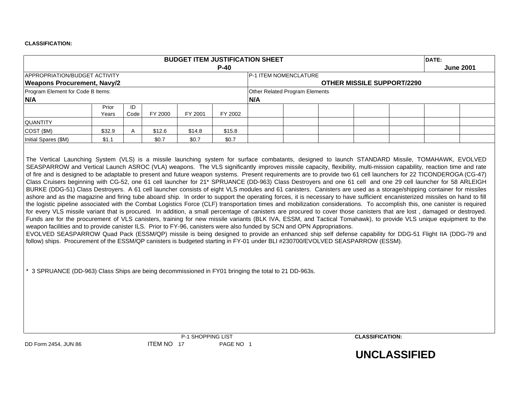|                                                                                                                                                                                                                                                                                                                                                                                                                                                                                                                                                                                                                                                                                                                                                                                                                                                                                                                                                                                                                                                                                                                                                                                                                                                                                                                                                                                                                                                                                                                                                                                 |                |            |            | <b>BUDGET ITEM JUSTIFICATION SHEET</b> |           |     |                                |                                   |                     | DATE: |                  |
|---------------------------------------------------------------------------------------------------------------------------------------------------------------------------------------------------------------------------------------------------------------------------------------------------------------------------------------------------------------------------------------------------------------------------------------------------------------------------------------------------------------------------------------------------------------------------------------------------------------------------------------------------------------------------------------------------------------------------------------------------------------------------------------------------------------------------------------------------------------------------------------------------------------------------------------------------------------------------------------------------------------------------------------------------------------------------------------------------------------------------------------------------------------------------------------------------------------------------------------------------------------------------------------------------------------------------------------------------------------------------------------------------------------------------------------------------------------------------------------------------------------------------------------------------------------------------------|----------------|------------|------------|----------------------------------------|-----------|-----|--------------------------------|-----------------------------------|---------------------|-------|------------------|
|                                                                                                                                                                                                                                                                                                                                                                                                                                                                                                                                                                                                                                                                                                                                                                                                                                                                                                                                                                                                                                                                                                                                                                                                                                                                                                                                                                                                                                                                                                                                                                                 |                |            |            |                                        | $P-40$    |     |                                |                                   |                     |       | <b>June 2001</b> |
| APPROPRIATION/BUDGET ACTIVITY                                                                                                                                                                                                                                                                                                                                                                                                                                                                                                                                                                                                                                                                                                                                                                                                                                                                                                                                                                                                                                                                                                                                                                                                                                                                                                                                                                                                                                                                                                                                                   |                |            |            |                                        |           |     | P-1 ITEM NOMENCLATURE          |                                   |                     |       |                  |
| <b>Weapons Procurement, Navy/2</b>                                                                                                                                                                                                                                                                                                                                                                                                                                                                                                                                                                                                                                                                                                                                                                                                                                                                                                                                                                                                                                                                                                                                                                                                                                                                                                                                                                                                                                                                                                                                              |                |            |            |                                        |           |     |                                | <b>OTHER MISSILE SUPPORT/2290</b> |                     |       |                  |
| Program Element for Code B Items:<br>N/A                                                                                                                                                                                                                                                                                                                                                                                                                                                                                                                                                                                                                                                                                                                                                                                                                                                                                                                                                                                                                                                                                                                                                                                                                                                                                                                                                                                                                                                                                                                                        |                |            |            |                                        |           | N/A | Other Related Program Elements |                                   |                     |       |                  |
|                                                                                                                                                                                                                                                                                                                                                                                                                                                                                                                                                                                                                                                                                                                                                                                                                                                                                                                                                                                                                                                                                                                                                                                                                                                                                                                                                                                                                                                                                                                                                                                 | Prior<br>Years | ID<br>Code | FY 2000    | FY 2001                                | FY 2002   |     |                                |                                   |                     |       |                  |
| <b>QUANTITY</b>                                                                                                                                                                                                                                                                                                                                                                                                                                                                                                                                                                                                                                                                                                                                                                                                                                                                                                                                                                                                                                                                                                                                                                                                                                                                                                                                                                                                                                                                                                                                                                 |                |            |            |                                        |           |     |                                |                                   |                     |       |                  |
| COST (\$M)                                                                                                                                                                                                                                                                                                                                                                                                                                                                                                                                                                                                                                                                                                                                                                                                                                                                                                                                                                                                                                                                                                                                                                                                                                                                                                                                                                                                                                                                                                                                                                      | \$32.9         | Α          | \$12.6     | \$14.8                                 | \$15.8    |     |                                |                                   |                     |       |                  |
| Initial Spares (\$M)                                                                                                                                                                                                                                                                                                                                                                                                                                                                                                                                                                                                                                                                                                                                                                                                                                                                                                                                                                                                                                                                                                                                                                                                                                                                                                                                                                                                                                                                                                                                                            | \$1.1          |            | \$0.7      | \$0.7                                  | \$0.7     |     |                                |                                   |                     |       |                  |
| Class Cruisers beginning with CG-52, one 61 cell launcher for 21* SPRUANCE (DD-963) Class Destroyers and one 61 cell and one 29 cell launcher for 58 ARLEIGH<br>BURKE (DDG-51) Class Destroyers. A 61 cell launcher consists of eight VLS modules and 61 canisters. Canisters are used as a storage/shipping container for missiles<br>ashore and as the magazine and firing tube aboard ship. In order to support the operating forces, it is necessary to have sufficient encanisterized missiles on hand to fill<br>the logistic pipeline associated with the Combat Logistics Force (CLF) transportation times and mobilization considerations. To accomplish this, one canister is required<br>for every VLS missile variant that is procured. In addition, a small percentage of canisters are procured to cover those canisters that are lost, damaged or destroyed.<br>Funds are for the procurement of VLS canisters, training for new missile variants (BLK IVA, ESSM, and Tactical Tomahawk), to provide VLS unique equipment to the<br>weapon facilities and to provide canister ILS. Prior to FY-96, canisters were also funded by SCN and OPN Appropriations.<br>EVOLVED SEASPARROW Quad Pack (ESSM/QP) missile is being designed to provide an enhanced ship self defense capability for DDG-51 Flight IIA (DDG-79 and<br>follow) ships. Procurement of the ESSM/QP canisters is budgeted starting in FY-01 under BLI #230700/EVOLVED SEASPARROW (ESSM).<br>* 3 SPRUANCE (DD-963) Class Ships are being decommissioned in FY01 bringing the total to 21 DD-963s. |                |            |            |                                        |           |     |                                |                                   |                     |       |                  |
| DD Form 2454, JUN 86                                                                                                                                                                                                                                                                                                                                                                                                                                                                                                                                                                                                                                                                                                                                                                                                                                                                                                                                                                                                                                                                                                                                                                                                                                                                                                                                                                                                                                                                                                                                                            |                |            | ITEM NO 17 | P-1 SHOPPING LIST                      | PAGE NO 1 |     |                                | <b>CLASSIFICATION:</b>            |                     |       |                  |
|                                                                                                                                                                                                                                                                                                                                                                                                                                                                                                                                                                                                                                                                                                                                                                                                                                                                                                                                                                                                                                                                                                                                                                                                                                                                                                                                                                                                                                                                                                                                                                                 |                |            |            |                                        |           |     |                                |                                   | <b>UNCLASSIFIED</b> |       |                  |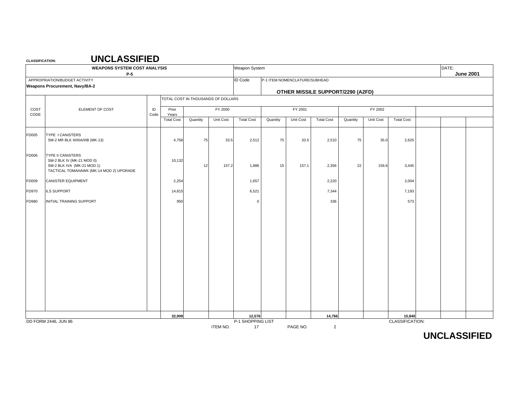**CLASSIFICATION:**

|              | <b>WEAPONS SYSTEM COST ANALYSIS</b><br>$P-5$                                                                                   |            |                   |                                    |           | Weapon System           |          |                               |                                   |          |           |                   | DATE: | <b>June 2001</b> |
|--------------|--------------------------------------------------------------------------------------------------------------------------------|------------|-------------------|------------------------------------|-----------|-------------------------|----------|-------------------------------|-----------------------------------|----------|-----------|-------------------|-------|------------------|
|              | APPROPRIATION/BUDGET ACTIVITY<br><b>Weapons Procurement, Navy/BA-2</b>                                                         |            |                   |                                    |           | <b>ID Code</b>          |          | P-1 ITEM NOMENCLATURE/SUBHEAD | OTHER MISSILE SUPPORT/2290 (A2FD) |          |           |                   |       |                  |
|              |                                                                                                                                |            |                   | TOTAL COST IN THOUSANDS OF DOLLARS |           |                         |          |                               |                                   |          |           |                   |       |                  |
| COST<br>CODE | ELEMENT OF COST                                                                                                                | ID<br>Code | Prior<br>Years    |                                    | FY 2000   |                         |          | FY 2001                       |                                   |          | FY 2002   |                   |       |                  |
|              |                                                                                                                                |            | <b>Total Cost</b> | Quantity                           | Unit Cost | <b>Total Cost</b>       | Quantity | Unit Cost                     | <b>Total Cost</b>                 | Quantity | Unit Cost | <b>Total Cost</b> |       |                  |
| FD005        | <b>TYPE I CANISTERS</b><br>SM-2 MR BLK III/IIIA/IIIB (MK-13)                                                                   |            | 4,758             | 75                                 | 33.5      | 2,512                   | 75       | 33.5                          | 2,510                             | 75       | 35.0      | 2,625             |       |                  |
| FD006        | <b>TYPE II CANISTERS</b><br>SM-2 BLK IV (MK-21 MOD 0)<br>SM-2 BLK IVA (MK-21 MOD 1)<br>TACTICAL TOMAHAWK (MK-14 MOD 2) UPGRADE |            | 10,132            | 12                                 | 157.2     | 1,886                   | 15       | 157.1                         | 2,356                             | 22       | 156.6     | 3,445             |       |                  |
| FD009        | CANISTER EQUIPMENT                                                                                                             |            | 2,254             |                                    |           | 1,657                   |          |                               | 2,220                             |          |           | 2,004             |       |                  |
| FD970        | ILS SUPPORT                                                                                                                    |            | 14,815            |                                    |           | 6,521                   |          |                               | 7,344                             |          |           | 7,193             |       |                  |
| FD980        | INITIAL TRAINING SUPPORT                                                                                                       |            | 950               |                                    |           | $\Omega$                |          |                               | 336                               |          |           | 573               |       |                  |
|              |                                                                                                                                |            |                   |                                    |           |                         |          |                               |                                   |          |           |                   |       |                  |
|              |                                                                                                                                |            |                   |                                    |           |                         |          |                               |                                   |          |           |                   |       |                  |
|              |                                                                                                                                |            |                   |                                    |           |                         |          |                               |                                   |          |           |                   |       |                  |
|              |                                                                                                                                |            |                   |                                    |           |                         |          |                               |                                   |          |           |                   |       |                  |
|              |                                                                                                                                |            |                   |                                    |           |                         |          |                               |                                   |          |           |                   |       |                  |
|              |                                                                                                                                |            |                   |                                    |           |                         |          |                               |                                   |          |           |                   |       |                  |
|              |                                                                                                                                |            |                   |                                    |           |                         |          |                               |                                   |          |           |                   |       |                  |
|              |                                                                                                                                |            |                   |                                    |           |                         |          |                               |                                   |          |           |                   |       |                  |
|              |                                                                                                                                |            |                   |                                    |           |                         |          |                               |                                   |          |           |                   |       |                  |
|              |                                                                                                                                |            | 32,909            |                                    |           | 12,576                  |          |                               | 14,766                            |          |           | 15,840            |       |                  |
|              | DD FORM 2446, JUN 86                                                                                                           |            |                   |                                    | ITEM NO.  | P-1 SHOPPING LIST<br>17 |          | PAGE NO.                      | $\overline{2}$                    |          |           | CLASSIFICATION:   |       |                  |

**UNCLASSIFIED**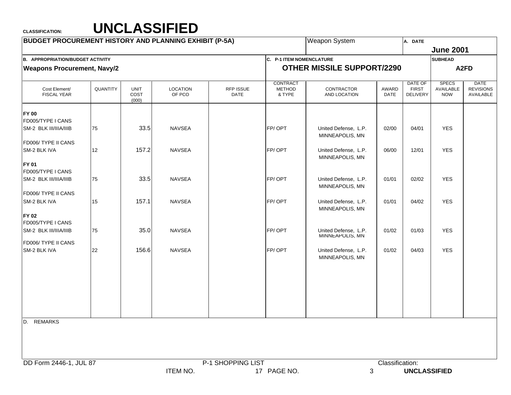| <b>BUDGET PROCUREMENT HISTORY AND PLANNING EXHIBIT (P-5A)</b> |          |                              |                           |                          |                                     | <b>Weapon System</b>                                       |                 | A. DATE                                    |                                         |                                              |
|---------------------------------------------------------------|----------|------------------------------|---------------------------|--------------------------|-------------------------------------|------------------------------------------------------------|-----------------|--------------------------------------------|-----------------------------------------|----------------------------------------------|
|                                                               |          |                              |                           |                          |                                     |                                                            |                 |                                            | <b>June 2001</b>                        |                                              |
| <b>B. APPROPRIATION/BUDGET ACTIVITY</b>                       |          |                              |                           |                          | C. P-1 ITEM NOMENCLATURE            |                                                            |                 |                                            | <b>SUBHEAD</b>                          |                                              |
| <b>Weapons Procurement, Navy/2</b>                            |          |                              |                           |                          |                                     | <b>OTHER MISSILE SUPPORT/2290</b>                          |                 |                                            |                                         | A <sub>2</sub> FD                            |
| Cost Element/<br><b>FISCAL YEAR</b>                           | QUANTITY | <b>UNIT</b><br>COST<br>(000) | <b>LOCATION</b><br>OF PCO | RFP ISSUE<br><b>DATE</b> | CONTRACT<br><b>METHOD</b><br>& TYPE | CONTRACTOR<br>AND LOCATION                                 | AWARD<br>DATE   | DATE OF<br><b>FIRST</b><br><b>DELIVERY</b> | <b>SPECS</b><br>AVAILABLE<br><b>NOW</b> | <b>DATE</b><br><b>REVISIONS</b><br>AVAILABLE |
| <b>FY 00</b><br>FD005/TYPE I CANS<br>SM-2 BLK III/IIIA/IIIB   | 75       | 33.5                         | <b>NAVSEA</b>             |                          | FP/OPT                              | United Defense, L.P.                                       | 02/00           | 04/01                                      | <b>YES</b>                              |                                              |
| FD006/ TYPE II CANS<br>SM-2 BLK IVA                           | 12       | 157.2                        | <b>NAVSEA</b>             |                          | FP/OPT                              | MINNEAPOLIS, MN<br>United Defense, L.P.<br>MINNEAPOLIS, MN | 06/00           | 12/01                                      | <b>YES</b>                              |                                              |
| <b>FY 01</b><br>FD005/TYPE I CANS<br>SM-2 BLK III/IIIA/IIIB   | 75       | 33.5                         | <b>NAVSEA</b>             |                          | FP/OPT                              | United Defense, L.P.<br>MINNEAPOLIS, MN                    | 01/01           | 02/02                                      | <b>YES</b>                              |                                              |
| FD006/ TYPE II CANS<br>SM-2 BLK IVA                           | 15       | 157.1                        | <b>NAVSEA</b>             |                          | FP/OPT                              | United Defense, L.P.<br>MINNEAPOLIS, MN                    | 01/01           | 04/02                                      | <b>YES</b>                              |                                              |
| <b>FY 02</b><br>FD005/TYPE I CANS<br>SM-2 BLK III/IIIA/IIIB   | 75       | 35.0                         | <b>NAVSEA</b>             |                          | FP/OPT                              | United Defense, L.P.<br>MINNEAPOLIS, MN                    | 01/02           | 01/03                                      | <b>YES</b>                              |                                              |
| FD006/ TYPE II CANS<br>SM-2 BLK IVA                           | 22       | 156.6                        | <b>NAVSEA</b>             |                          | FP/OPT                              | United Defense, L.P.<br>MINNEAPOLIS, MN                    | 01/02           | 04/03                                      | <b>YES</b>                              |                                              |
|                                                               |          |                              |                           |                          |                                     |                                                            |                 |                                            |                                         |                                              |
| D. REMARKS                                                    |          |                              |                           |                          |                                     |                                                            |                 |                                            |                                         |                                              |
|                                                               |          |                              |                           |                          |                                     |                                                            |                 |                                            |                                         |                                              |
| DD Form 2446-1, JUL 87                                        |          |                              |                           | P-1 SHOPPING LIST        |                                     |                                                            | Classification: |                                            |                                         |                                              |
|                                                               |          |                              | <b>ITEM NO.</b>           |                          | 17 PAGE NO.                         | 3                                                          |                 | <b>UNCLASSIFIED</b>                        |                                         |                                              |
|                                                               |          |                              |                           |                          |                                     |                                                            |                 |                                            |                                         |                                              |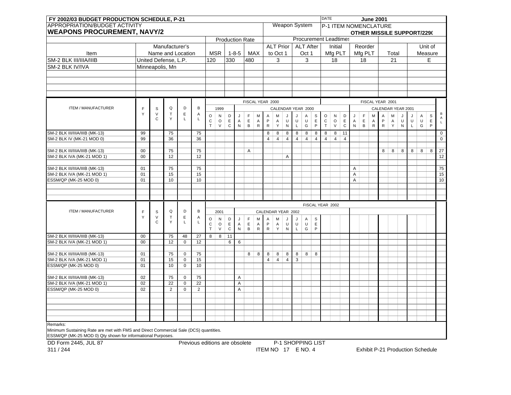|                                                                                                                                                      | FY 2002/03 BUDGET PRODUCTION SCHEDULE, P-21 |                        |                      |                  |                                |                           |                   |                            |              |                        |                |                           |                    |                   |                   |                       |                                 | <b>DATE</b>      |                |                       |   |              | <b>June 2001</b> |              |                                   |           |             |         |             |                             |
|------------------------------------------------------------------------------------------------------------------------------------------------------|---------------------------------------------|------------------------|----------------------|------------------|--------------------------------|---------------------------|-------------------|----------------------------|--------------|------------------------|----------------|---------------------------|--------------------|-------------------|-------------------|-----------------------|---------------------------------|------------------|----------------|-----------------------|---|--------------|------------------|--------------|-----------------------------------|-----------|-------------|---------|-------------|-----------------------------|
| APPROPRIATION/BUDGET ACTIVITY                                                                                                                        |                                             |                        |                      |                  |                                |                           |                   |                            |              |                        |                |                           |                    |                   |                   | Weapon System         |                                 |                  |                | P-1 ITEM NOMENCLATURE |   |              |                  |              |                                   |           |             |         |             |                             |
| <b>WEAPONS PROCUREMENT, NAVY/2</b>                                                                                                                   |                                             |                        |                      |                  |                                |                           |                   |                            |              |                        |                |                           |                    |                   |                   |                       |                                 |                  |                |                       |   |              |                  |              | <b>OTHER MISSILE SUPPORT/229(</b> |           |             |         |             |                             |
|                                                                                                                                                      |                                             |                        |                      |                  |                                |                           |                   |                            |              | <b>Production Rate</b> |                |                           |                    |                   |                   | Procurement Leadtimes |                                 |                  |                |                       |   |              |                  |              |                                   |           |             |         |             |                             |
|                                                                                                                                                      |                                             |                        | Manufacturer's       |                  |                                |                           |                   |                            |              |                        |                |                           | <b>ALT Prior</b>   |                   |                   | <b>ALT After</b>      |                                 |                  | Initial        |                       |   | Reorder      |                  |              |                                   |           |             |         | Unit of     |                             |
| Item                                                                                                                                                 |                                             |                        | Name and Location    |                  |                                |                           | <b>MSR</b>        |                            | $1 - 8 - 5$  |                        | <b>MAX</b>     |                           | to Oct 1           |                   |                   | Oct 1                 |                                 |                  |                | Mfg PLT               |   | Mfg PLT      |                  |              | Total                             |           |             | Measure |             |                             |
| SM-2 BLK III/IIIA/IIIB                                                                                                                               |                                             |                        | United Defense, L.P. |                  |                                | 120                       |                   | 330                        |              | 480                    |                |                           | 3                  |                   |                   | 3                     |                                 |                  | 18             |                       |   | 18           |                  |              | 21                                |           |             |         | E           |                             |
| SM-2 BLK IV/IVA                                                                                                                                      |                                             |                        | Minneapolis, Mn      |                  |                                |                           |                   |                            |              |                        |                |                           |                    |                   |                   |                       |                                 |                  |                |                       |   |              |                  |              |                                   |           |             |         |             |                             |
|                                                                                                                                                      |                                             |                        |                      |                  |                                |                           |                   |                            |              |                        |                |                           |                    |                   |                   |                       |                                 |                  |                |                       |   |              |                  |              |                                   |           |             |         |             |                             |
|                                                                                                                                                      |                                             |                        |                      |                  |                                |                           |                   |                            |              |                        |                |                           |                    |                   |                   |                       |                                 |                  |                |                       |   |              |                  |              |                                   |           |             |         |             |                             |
|                                                                                                                                                      |                                             |                        |                      |                  |                                |                           |                   |                            |              |                        |                |                           |                    |                   |                   |                       |                                 |                  |                |                       |   |              |                  |              |                                   |           |             |         |             |                             |
|                                                                                                                                                      |                                             |                        |                      |                  |                                |                           |                   |                            |              |                        |                |                           |                    |                   |                   |                       |                                 |                  |                |                       |   |              |                  |              |                                   |           |             |         |             |                             |
|                                                                                                                                                      |                                             |                        |                      |                  |                                |                           |                   |                            |              | FISCAL YEAR 2000       |                |                           |                    |                   |                   |                       |                                 |                  |                |                       |   |              |                  |              | FISCAL YEAR 2001                  |           |             |         |             |                             |
| ITEM / MANUFACTURER                                                                                                                                  | F                                           | S                      | Q                    | D                | В                              |                           | 1999              |                            |              |                        |                |                           |                    |                   |                   | CALENDAR YEAR 2000    |                                 |                  |                |                       |   |              |                  |              | CALENDAR YEAR 2001                |           |             |         |             |                             |
|                                                                                                                                                      | Υ                                           | $\vee$                 | $\top$               | $\mathsf E$      | A                              | $\mathsf O$               | N                 | $\mathsf D$                | $\cdot$      | F                      | M              | Α                         | M                  | J.                | J                 | Α                     | S                               | $\mathsf O$      | ${\sf N}$      | D                     |   | $\mathsf F$  | M                | A            | M                                 |           | J           | A       | $\mathbb S$ | B                           |
|                                                                                                                                                      |                                             | $\mathsf{C}$           | Y                    | L                | L                              | $\mathbf C$               | $\circ$           | $\mathsf E$                | A            | $\mathsf E$            | $\overline{A}$ | $\mathsf P$               | A                  | $\cup$            | $\cup$            | $\cup$                | $\mathsf E$                     | $\mathtt{C}$     | $\circ$        | $\mathsf E$           | A | $\mathsf E$  | A                | P            | A                                 | $\cup$    | U           | $\cup$  | $\mathsf E$ | $\mathsf A$<br>$\mathsf{L}$ |
|                                                                                                                                                      |                                             |                        |                      |                  |                                | T.                        | $\vee$            | $\mathbf C$                | ${\sf N}$    | $\, {\sf B}$           | ${\sf R}$      | ${\sf R}$                 | Y                  | ${\sf N}$         | $\mathsf{L}$      | G                     | P                               | $\top$           | $\vee$         | $\mathbf C$           | N | $\, {\sf B}$ | $\mathsf{R}$     | $\mathsf{R}$ | Y                                 | ${\sf N}$ | $\mathsf L$ | G       | P           |                             |
| SM-2 BLK III/IIIA/IIIB (MK-13)                                                                                                                       | 99                                          |                        | 75                   |                  | 75                             |                           |                   |                            |              |                        |                | 8                         | 8                  | $\bf8$            | $\overline{8}$    | $\bf 8$               | 8                               | $\overline{8}$   | $\overline{8}$ | $\overline{11}$       |   |              |                  |              |                                   |           |             |         |             | $\mathbf 0$                 |
| SM-2 BLK IV (MK-21 MOD 0)                                                                                                                            | 99                                          |                        | 36                   |                  | 36                             |                           |                   |                            |              |                        |                | $\overline{4}$            | $\overline{4}$     | $\sqrt{4}$        | $\overline{4}$    | $\overline{4}$        | $\overline{4}$                  | $\overline{4}$   | $\overline{4}$ | $\overline{4}$        |   |              |                  |              |                                   |           |             |         |             | $\overline{0}$              |
|                                                                                                                                                      |                                             |                        |                      |                  |                                |                           |                   |                            |              |                        |                |                           |                    |                   |                   |                       |                                 |                  |                |                       |   |              |                  |              |                                   |           |             |         |             |                             |
| SM-2 BLK III/IIIA/IIIB (MK-13)                                                                                                                       | $00\,$                                      |                        | 75                   |                  | 75                             |                           |                   |                            |              | Α                      |                |                           |                    |                   |                   |                       |                                 |                  |                |                       |   |              |                  | 8            | 8                                 | 8         | 8           | 8       | 8           | 27                          |
| SM-2 BLK IVA (MK-21 MOD 1)                                                                                                                           | $00\,$                                      |                        | 12                   |                  | 12                             |                           |                   |                            |              |                        |                |                           |                    | A                 |                   |                       |                                 |                  |                |                       |   |              |                  |              |                                   |           |             |         |             | 12                          |
| SM-2 BLK III/IIIA/IIIB (MK-13)                                                                                                                       | 01                                          |                        | 75                   |                  | 75                             |                           |                   |                            |              |                        |                |                           |                    |                   |                   |                       |                                 |                  |                |                       | Α |              |                  |              |                                   |           |             |         |             | 75                          |
| SM-2 BLK IVA (MK-21 MOD 1)                                                                                                                           | 01                                          |                        | 15                   |                  | 15                             |                           |                   |                            |              |                        |                |                           |                    |                   |                   |                       |                                 |                  |                |                       | Α |              |                  |              |                                   |           |             |         |             | $\overline{15}$             |
| ESSM/QP (MK-25 MOD 0)                                                                                                                                | 01                                          |                        | 10                   |                  | 10                             |                           |                   |                            |              |                        |                |                           |                    |                   |                   |                       |                                 |                  |                |                       | A |              |                  |              |                                   |           |             |         |             | 10                          |
|                                                                                                                                                      |                                             |                        |                      |                  |                                |                           |                   |                            |              |                        |                |                           |                    |                   |                   |                       |                                 |                  |                |                       |   |              |                  |              |                                   |           |             |         |             |                             |
|                                                                                                                                                      |                                             |                        |                      |                  |                                |                           |                   |                            |              |                        |                |                           |                    |                   |                   |                       |                                 |                  |                |                       |   |              |                  |              |                                   |           |             |         |             |                             |
|                                                                                                                                                      |                                             |                        |                      |                  |                                |                           |                   |                            |              |                        |                |                           |                    |                   |                   |                       |                                 |                  |                |                       |   |              |                  |              |                                   |           |             |         |             |                             |
|                                                                                                                                                      |                                             |                        |                      |                  |                                |                           |                   |                            |              |                        |                |                           |                    |                   |                   |                       |                                 | FISCAL YEAR 2002 |                |                       |   |              |                  |              |                                   |           |             |         |             |                             |
| ITEM / MANUFACTURER                                                                                                                                  | F                                           | S                      | Q                    | D                | B                              |                           | 2001              |                            |              |                        |                |                           | CALENDAR YEAR 2002 |                   |                   |                       |                                 |                  |                |                       |   |              |                  |              |                                   |           |             |         |             |                             |
|                                                                                                                                                      | Y                                           | $\vee$<br>$\mathsf{C}$ | $\top$<br>Y          | $\mathsf E$<br>L | A<br>L                         | $\circ$                   | $\mathsf{N}$      | $\mathsf D$                | J            | $\mathsf F$            | M              | Α                         | M                  | J                 | J                 | A                     | $\frac{\mathsf{S}}{\mathsf{E}}$ |                  |                |                       |   |              |                  |              |                                   |           |             |         |             |                             |
|                                                                                                                                                      |                                             |                        |                      |                  |                                | ${\bf C}$<br>$\mathsf{T}$ | $\circ$<br>$\vee$ | $\mathsf E$<br>$\mathbf C$ | A<br>$\sf N$ | $\mathsf E$<br>$\,$ B  | A<br>${\sf R}$ | $\mathsf{P}$<br>${\sf R}$ | $\mathsf A$<br>Y   | U<br>$\mathsf{N}$ | U<br>$\mathsf{L}$ | $\cup$<br>G           | $\mathsf{P}$                    |                  |                |                       |   |              |                  |              |                                   |           |             |         |             |                             |
|                                                                                                                                                      |                                             |                        |                      |                  |                                |                           |                   |                            |              |                        |                |                           |                    |                   |                   |                       |                                 |                  |                |                       |   |              |                  |              |                                   |           |             |         |             |                             |
| SM-2 BLK III/IIIA/IIIB (MK-13)<br>SM-2 BLK IVA (MK-21 MOD 1)                                                                                         | $00\,$<br>$00\,$                            |                        | 75<br>12             | 48<br>0          | 27<br>12                       | 8                         | 8                 | 11<br>6                    | 6            |                        |                |                           |                    |                   |                   |                       |                                 |                  |                |                       |   |              |                  |              |                                   |           |             |         |             |                             |
|                                                                                                                                                      |                                             |                        |                      |                  |                                |                           |                   |                            |              |                        |                |                           |                    |                   |                   |                       |                                 |                  |                |                       |   |              |                  |              |                                   |           |             |         |             |                             |
| SM-2 BLK III/IIIA/IIIB (MK-13)                                                                                                                       | 01                                          |                        | 75                   | 0                | 75                             |                           |                   |                            |              | 8                      | 8              | 8                         | 8                  | 8                 | 8                 | 8                     | 8                               |                  |                |                       |   |              |                  |              |                                   |           |             |         |             |                             |
| SM-2 BLK IVA (MK-21 MOD 1)                                                                                                                           | 01                                          |                        | 15                   | 0                | 15                             |                           |                   |                            |              |                        |                | 4                         | $\overline{4}$     | $\overline{4}$    | 3                 |                       |                                 |                  |                |                       |   |              |                  |              |                                   |           |             |         |             |                             |
| ESSM/QP (MK-25 MOD 0)                                                                                                                                | 01                                          |                        | 10                   | $\overline{0}$   | 10                             |                           |                   |                            |              |                        |                |                           |                    |                   |                   |                       |                                 |                  |                |                       |   |              |                  |              |                                   |           |             |         |             |                             |
|                                                                                                                                                      |                                             |                        |                      |                  |                                |                           |                   |                            |              |                        |                |                           |                    |                   |                   |                       |                                 |                  |                |                       |   |              |                  |              |                                   |           |             |         |             |                             |
| SM-2 BLK III/IIIA/IIIB (MK-13)                                                                                                                       | 02                                          |                        | 75                   | 0                | 75                             |                           |                   |                            | A            |                        |                |                           |                    |                   |                   |                       |                                 |                  |                |                       |   |              |                  |              |                                   |           |             |         |             |                             |
| SM-2 BLK IVA (MK-21 MOD 1)<br>ESSM/QP (MK-25 MOD 0)                                                                                                  | 02<br>02                                    |                        | 22<br>2              | 0<br>$\mathbf 0$ | 22<br>2                        |                           |                   |                            | A<br>A       |                        |                |                           |                    |                   |                   |                       |                                 |                  |                |                       |   |              |                  |              |                                   |           |             |         |             |                             |
|                                                                                                                                                      |                                             |                        |                      |                  |                                |                           |                   |                            |              |                        |                |                           |                    |                   |                   |                       |                                 |                  |                |                       |   |              |                  |              |                                   |           |             |         |             |                             |
|                                                                                                                                                      |                                             |                        |                      |                  |                                |                           |                   |                            |              |                        |                |                           |                    |                   |                   |                       |                                 |                  |                |                       |   |              |                  |              |                                   |           |             |         |             |                             |
|                                                                                                                                                      |                                             |                        |                      |                  |                                |                           |                   |                            |              |                        |                |                           |                    |                   |                   |                       |                                 |                  |                |                       |   |              |                  |              |                                   |           |             |         |             |                             |
|                                                                                                                                                      |                                             |                        |                      |                  |                                |                           |                   |                            |              |                        |                |                           |                    |                   |                   |                       |                                 |                  |                |                       |   |              |                  |              |                                   |           |             |         |             |                             |
|                                                                                                                                                      |                                             |                        |                      |                  |                                |                           |                   |                            |              |                        |                |                           |                    |                   |                   |                       |                                 |                  |                |                       |   |              |                  |              |                                   |           |             |         |             |                             |
| Remarks:                                                                                                                                             |                                             |                        |                      |                  |                                |                           |                   |                            |              |                        |                |                           |                    |                   |                   |                       |                                 |                  |                |                       |   |              |                  |              |                                   |           |             |         |             |                             |
| Minimum Sustaining Rate are met with FMS and Direct Commercial Sale (DCS) quantities.<br>ESSM/QP (MK-25 MOD 0) Qty shown for informational Purposes. |                                             |                        |                      |                  |                                |                           |                   |                            |              |                        |                |                           |                    |                   |                   |                       |                                 |                  |                |                       |   |              |                  |              |                                   |           |             |         |             |                             |
| DD Form 2445, JUL 87                                                                                                                                 |                                             |                        |                      |                  |                                |                           |                   |                            |              |                        |                |                           |                    |                   |                   | P-1 SHOPPING LIST     |                                 |                  |                |                       |   |              |                  |              |                                   |           |             |         |             |                             |
|                                                                                                                                                      |                                             |                        |                      |                  | Previous editions are obsolete |                           |                   |                            |              |                        |                |                           |                    |                   |                   |                       |                                 |                  |                |                       |   |              |                  |              |                                   |           |             |         |             |                             |

311 / 244

ITEM NO 17 E NO. 4 Exhibit P-21 Production Schedule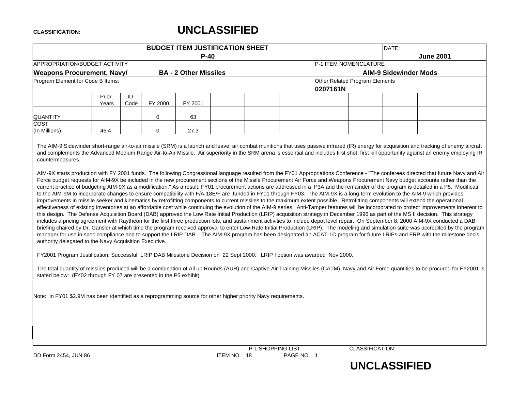# **UNCLASSIFIED**

|                                                                                                                                                                                                                                                                                                                                                                                                                                                                                                                                                                                                                                                                                                                                                                                                                                                                                                                                                                                                                                                                                                                                                                                                                                                                                                                                                                                                                                                                                                                                                                                                                                                                                                                                                                                                                                                                                                                                                                                                                                                                                                                                                                                                                                                                                                                                                                                                                                                                                                     |                |            |             |                              | <b>BUDGET ITEM JUSTIFICATION SHEET</b> |          |                                | DATE:                        |                  |  |
|-----------------------------------------------------------------------------------------------------------------------------------------------------------------------------------------------------------------------------------------------------------------------------------------------------------------------------------------------------------------------------------------------------------------------------------------------------------------------------------------------------------------------------------------------------------------------------------------------------------------------------------------------------------------------------------------------------------------------------------------------------------------------------------------------------------------------------------------------------------------------------------------------------------------------------------------------------------------------------------------------------------------------------------------------------------------------------------------------------------------------------------------------------------------------------------------------------------------------------------------------------------------------------------------------------------------------------------------------------------------------------------------------------------------------------------------------------------------------------------------------------------------------------------------------------------------------------------------------------------------------------------------------------------------------------------------------------------------------------------------------------------------------------------------------------------------------------------------------------------------------------------------------------------------------------------------------------------------------------------------------------------------------------------------------------------------------------------------------------------------------------------------------------------------------------------------------------------------------------------------------------------------------------------------------------------------------------------------------------------------------------------------------------------------------------------------------------------------------------------------------------|----------------|------------|-------------|------------------------------|----------------------------------------|----------|--------------------------------|------------------------------|------------------|--|
|                                                                                                                                                                                                                                                                                                                                                                                                                                                                                                                                                                                                                                                                                                                                                                                                                                                                                                                                                                                                                                                                                                                                                                                                                                                                                                                                                                                                                                                                                                                                                                                                                                                                                                                                                                                                                                                                                                                                                                                                                                                                                                                                                                                                                                                                                                                                                                                                                                                                                                     |                |            |             | $P-40$                       |                                        |          |                                |                              | <b>June 2001</b> |  |
| APPROPRIATION/BUDGET ACTIVITY                                                                                                                                                                                                                                                                                                                                                                                                                                                                                                                                                                                                                                                                                                                                                                                                                                                                                                                                                                                                                                                                                                                                                                                                                                                                                                                                                                                                                                                                                                                                                                                                                                                                                                                                                                                                                                                                                                                                                                                                                                                                                                                                                                                                                                                                                                                                                                                                                                                                       |                |            |             |                              |                                        |          | P-1 ITEM NOMENCLATURE          |                              |                  |  |
| <b>Weapons Procurement, Navy/</b>                                                                                                                                                                                                                                                                                                                                                                                                                                                                                                                                                                                                                                                                                                                                                                                                                                                                                                                                                                                                                                                                                                                                                                                                                                                                                                                                                                                                                                                                                                                                                                                                                                                                                                                                                                                                                                                                                                                                                                                                                                                                                                                                                                                                                                                                                                                                                                                                                                                                   |                |            |             | <b>BA - 2 Other Missiles</b> |                                        |          |                                | <b>AIM-9 Sidewinder Mods</b> |                  |  |
| Program Element for Code B Items:                                                                                                                                                                                                                                                                                                                                                                                                                                                                                                                                                                                                                                                                                                                                                                                                                                                                                                                                                                                                                                                                                                                                                                                                                                                                                                                                                                                                                                                                                                                                                                                                                                                                                                                                                                                                                                                                                                                                                                                                                                                                                                                                                                                                                                                                                                                                                                                                                                                                   |                |            |             |                              |                                        | 0207161N | Other Related Program Elements |                              |                  |  |
|                                                                                                                                                                                                                                                                                                                                                                                                                                                                                                                                                                                                                                                                                                                                                                                                                                                                                                                                                                                                                                                                                                                                                                                                                                                                                                                                                                                                                                                                                                                                                                                                                                                                                                                                                                                                                                                                                                                                                                                                                                                                                                                                                                                                                                                                                                                                                                                                                                                                                                     | Prior<br>Years | ID<br>Code | FY 2000     | FY 2001                      |                                        |          |                                |                              |                  |  |
| QUANTITY                                                                                                                                                                                                                                                                                                                                                                                                                                                                                                                                                                                                                                                                                                                                                                                                                                                                                                                                                                                                                                                                                                                                                                                                                                                                                                                                                                                                                                                                                                                                                                                                                                                                                                                                                                                                                                                                                                                                                                                                                                                                                                                                                                                                                                                                                                                                                                                                                                                                                            |                |            | $\mathbf 0$ | 63                           |                                        |          |                                |                              |                  |  |
| <b>COST</b><br>(In Millions)                                                                                                                                                                                                                                                                                                                                                                                                                                                                                                                                                                                                                                                                                                                                                                                                                                                                                                                                                                                                                                                                                                                                                                                                                                                                                                                                                                                                                                                                                                                                                                                                                                                                                                                                                                                                                                                                                                                                                                                                                                                                                                                                                                                                                                                                                                                                                                                                                                                                        | 46.4           |            | $\mathbf 0$ | 27.3                         |                                        |          |                                |                              |                  |  |
| countermeasures.<br>AIM-9X starts production with FY 2001 funds. The following Congressional language resulted from the FY01 Appropriations Conference - "The conferees directed that future Navy and Air<br>Force budget requests for AIM-9X be included in the new procurement sections of the Missile Procurement Air Force and Weapons Procurement Navy budget accounts rather than the<br>current practice of budgeting AIM-9X as a modification." As a result, FY01 procurement actions are addressed in a P3A and the remainder of the program is detailed in a P5. Modificati<br>to the AIM-9M to incorporate changes to ensure compatibility with F/A-18E/F are funded in FY01 through FY03. The AIM-9X is a long-term evolution to the AIM-9 which provides<br>improvements in missile seeker and kinematics by retrofitting components to current missiles to the maximum extent possible. Retrofitting components will extend the operational<br>effectiveness of existing inventories at an affordable cost while continuing the evolution of the AIM-9 series. Anti-Tamper features will be incorporated to protect improvements inherent to<br>this design. The Defense Acquisition Board (DAB) approved the Low Rate Initial Production (LRIP) acquisition strategy in December 1996 as part of the MS II decision. This strategy<br>includes a pricing agreement with Raytheon for the first three production lots, and sustainment activities to include depot level repair. On September 8, 2000 AIM-9X conducted a DAB<br>briefing chaired by Dr. Gansler at which time the program received approval to enter Low-Rate Initial Production (LRIP). The modeling and simulation suite was accredited by the program<br>manager for use in spec compliance and to support the LRIP DAB. The AIM-9X program has been designated an ACAT-1C program for future LRIPs and FRP with the milestone decis<br>authority delegated to the Navy Acquisition Executive.<br>FY2001 Program Justification: Successful LRIP DAB Milestone Decision on 22 Sept 2000. LRIP I option was awarded Nov 2000.<br>The total quantity of missiles produced will be a combination of All up Rounds (AUR) and Captive Air Training Missiles (CATM). Navy and Air Force quantities to be procured for FY2001 is<br>stated below: (FY02 through FY 07 are presented in the P5 exhibit).<br>Note: In FY01 \$2.9M has been identified as a reprogramming source for other higher priority Navy requirements. |                |            |             |                              |                                        |          |                                |                              |                  |  |

P-1 SHOPPING LIST CLASSIFICATION: DD Form 2454, JUN 86 **ITEM NO. 18** PAGE NO. 1

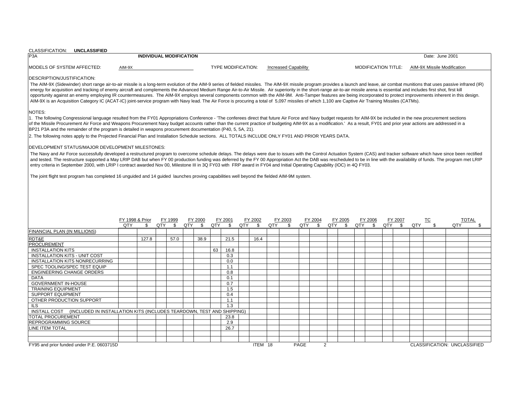| CLASSIFICATION: UNCLASSIFIED                                                                                                                                                                                                                                                                                                                                                                                                                                                                                                                                                                                                                                                                                                                                                                                                                                                                                                   |                                                                                                                                                                                                                                                                                                                                                                                                                                                                                                                                                                                                                                                                                                                                                                                                                                                                                                                                                                                                                                                                                                                                                                                                                                                                                                                                                                        |  |      |  |      |    |                           |  |         |  |                             |      |  |   |  |                            |  |  |                 |                              |  |
|--------------------------------------------------------------------------------------------------------------------------------------------------------------------------------------------------------------------------------------------------------------------------------------------------------------------------------------------------------------------------------------------------------------------------------------------------------------------------------------------------------------------------------------------------------------------------------------------------------------------------------------------------------------------------------------------------------------------------------------------------------------------------------------------------------------------------------------------------------------------------------------------------------------------------------|------------------------------------------------------------------------------------------------------------------------------------------------------------------------------------------------------------------------------------------------------------------------------------------------------------------------------------------------------------------------------------------------------------------------------------------------------------------------------------------------------------------------------------------------------------------------------------------------------------------------------------------------------------------------------------------------------------------------------------------------------------------------------------------------------------------------------------------------------------------------------------------------------------------------------------------------------------------------------------------------------------------------------------------------------------------------------------------------------------------------------------------------------------------------------------------------------------------------------------------------------------------------------------------------------------------------------------------------------------------------|--|------|--|------|----|---------------------------|--|---------|--|-----------------------------|------|--|---|--|----------------------------|--|--|-----------------|------------------------------|--|
| P3A                                                                                                                                                                                                                                                                                                                                                                                                                                                                                                                                                                                                                                                                                                                                                                                                                                                                                                                            | INDIVIDUAL MODIFICATION                                                                                                                                                                                                                                                                                                                                                                                                                                                                                                                                                                                                                                                                                                                                                                                                                                                                                                                                                                                                                                                                                                                                                                                                                                                                                                                                                |  |      |  |      |    |                           |  |         |  |                             |      |  |   |  |                            |  |  | Date: June 2001 |                              |  |
| MODELS OF SYSTEM AFFECTED:<br>AIM-9X                                                                                                                                                                                                                                                                                                                                                                                                                                                                                                                                                                                                                                                                                                                                                                                                                                                                                           |                                                                                                                                                                                                                                                                                                                                                                                                                                                                                                                                                                                                                                                                                                                                                                                                                                                                                                                                                                                                                                                                                                                                                                                                                                                                                                                                                                        |  |      |  |      |    | <b>TYPE MODIFICATION:</b> |  |         |  | <b>Increased Capability</b> |      |  |   |  | <b>MODIFICATION TITLE:</b> |  |  |                 | AIM-9X Missile Modification  |  |
| DESCRIPTION/JUSTIFICATION:<br>The AIM-9X (Sidewinder) short range air-to-air missile is a long-term evolution of the AIM-9 series of fielded missiles. The AIM-9X missile program provides a launch and leave, air combat munitions that uses passive infrar<br>energy for acquisition and tracking of enemy aircraft and complements the Advanced Medium Range Air-to-Air Missile. Air superiority in the short-range air-to-air missile arena is essential and includes first shot, first ki<br>opportunity against an enemy employing IR countermeasures. The AIM-9X employs several components common with the AIM-9M. Anti-Tamper features are being incorporated to protect improvements inherent in this design.<br>AIM-9X is an Acquisition Category IC (ACAT-IC) joint-service program with Navy lead. The Air Force is procuring a total of 5,097 missiles of which 1,100 are Captive Air Training Missiles (CATMs). |                                                                                                                                                                                                                                                                                                                                                                                                                                                                                                                                                                                                                                                                                                                                                                                                                                                                                                                                                                                                                                                                                                                                                                                                                                                                                                                                                                        |  |      |  |      |    |                           |  |         |  |                             |      |  |   |  |                            |  |  |                 |                              |  |
| NOTES:<br>1. The following Congressional language resulted from the FY01 Appropriations Conference - 'The conferees direct that future Air Force and Navy budget requests for AIM-9X be included in the new procurement sections<br>of the Missile Procurement Air Force and Weapons Procurement Navy budget accounts rather than the current practice of budgeting AIM-9X as a modification.' As a result, FY01 and prior year actions are addressed in a<br>BP21 P3A and the remainder of the program is detailed in weapons procurement documentation (P40, 5, 5A, 21).                                                                                                                                                                                                                                                                                                                                                     |                                                                                                                                                                                                                                                                                                                                                                                                                                                                                                                                                                                                                                                                                                                                                                                                                                                                                                                                                                                                                                                                                                                                                                                                                                                                                                                                                                        |  |      |  |      |    |                           |  |         |  |                             |      |  |   |  |                            |  |  |                 |                              |  |
|                                                                                                                                                                                                                                                                                                                                                                                                                                                                                                                                                                                                                                                                                                                                                                                                                                                                                                                                |                                                                                                                                                                                                                                                                                                                                                                                                                                                                                                                                                                                                                                                                                                                                                                                                                                                                                                                                                                                                                                                                                                                                                                                                                                                                                                                                                                        |  |      |  |      |    |                           |  |         |  |                             |      |  |   |  |                            |  |  |                 |                              |  |
|                                                                                                                                                                                                                                                                                                                                                                                                                                                                                                                                                                                                                                                                                                                                                                                                                                                                                                                                |                                                                                                                                                                                                                                                                                                                                                                                                                                                                                                                                                                                                                                                                                                                                                                                                                                                                                                                                                                                                                                                                                                                                                                                                                                                                                                                                                                        |  |      |  |      |    |                           |  |         |  |                             |      |  |   |  |                            |  |  |                 |                              |  |
|                                                                                                                                                                                                                                                                                                                                                                                                                                                                                                                                                                                                                                                                                                                                                                                                                                                                                                                                | 2. The following notes apply to the Projected Financial Plan and Installation Schedule sections. ALL TOTALS INCLUDE ONLY FY01 AND PRIOR YEARS DATA.<br>DEVELOPMENT STATUS/MAJOR DEVELOPMENT MILESTONES:<br>The Navy and Air Force successfully developed a restructured program to overcome schedule delays. The delays were due to issues with the Control Actuation System (CAS) and tracker software which have since been rectified<br>and tested. The restructure supported a May LRIP DAB but when FY 00 production funding was deferred by the FY 00 Appropriation Act the DAB was rescheduled to be in line with the availability of funds. The program met LRIP<br>entry criteria in September 2000, with LRIP I contract awarded Nov 00, Milestone III in 3Q FY03 with FRP award in FY04 and Initial Operating Capability (IOC) in 4Q FY03.<br>The joint flight test program has completed 16 unguided and 14 guided launches proving capabilities well beyond the fielded AIM-9M system.<br>FY 1998 & Prior<br>FY 2000<br>FY 2001<br>FY 2002<br>FY 2003<br>FY 2004<br>FY 2005<br>FY 2006<br><b>TOTAL</b><br>FY 1999<br>FY 2007<br><u>TC</u><br>QTY \$<br>QTY<br>\$<br>QTY<br><b>OTY</b><br>$\mathbb{S}$<br>QTY \$<br>QTY \$<br>QTY<br>$\mathbb{S}$<br>QTY<br>\$<br>QTY<br>\$<br>QTY \$<br>QTY \$<br>QTY<br>$^{\circ}$<br>\$<br>FINANCIAL PLAN (IN MILLIONS) |  |      |  |      |    |                           |  |         |  |                             |      |  |   |  |                            |  |  |                 |                              |  |
|                                                                                                                                                                                                                                                                                                                                                                                                                                                                                                                                                                                                                                                                                                                                                                                                                                                                                                                                |                                                                                                                                                                                                                                                                                                                                                                                                                                                                                                                                                                                                                                                                                                                                                                                                                                                                                                                                                                                                                                                                                                                                                                                                                                                                                                                                                                        |  |      |  |      |    |                           |  |         |  |                             |      |  |   |  |                            |  |  |                 |                              |  |
| RDT&E                                                                                                                                                                                                                                                                                                                                                                                                                                                                                                                                                                                                                                                                                                                                                                                                                                                                                                                          | 127.8                                                                                                                                                                                                                                                                                                                                                                                                                                                                                                                                                                                                                                                                                                                                                                                                                                                                                                                                                                                                                                                                                                                                                                                                                                                                                                                                                                  |  | 57.0 |  |      |    | 21.5                      |  | 16.4    |  |                             |      |  |   |  |                            |  |  |                 |                              |  |
| <b>PROCUREMENT</b>                                                                                                                                                                                                                                                                                                                                                                                                                                                                                                                                                                                                                                                                                                                                                                                                                                                                                                             |                                                                                                                                                                                                                                                                                                                                                                                                                                                                                                                                                                                                                                                                                                                                                                                                                                                                                                                                                                                                                                                                                                                                                                                                                                                                                                                                                                        |  |      |  | 38.9 |    |                           |  |         |  |                             |      |  |   |  |                            |  |  |                 |                              |  |
| <b>INSTALLATION KITS</b>                                                                                                                                                                                                                                                                                                                                                                                                                                                                                                                                                                                                                                                                                                                                                                                                                                                                                                       |                                                                                                                                                                                                                                                                                                                                                                                                                                                                                                                                                                                                                                                                                                                                                                                                                                                                                                                                                                                                                                                                                                                                                                                                                                                                                                                                                                        |  |      |  |      | 63 | 16.8                      |  |         |  |                             |      |  |   |  |                            |  |  |                 |                              |  |
| <b>INSTALLATION KITS - UNIT COST</b>                                                                                                                                                                                                                                                                                                                                                                                                                                                                                                                                                                                                                                                                                                                                                                                                                                                                                           |                                                                                                                                                                                                                                                                                                                                                                                                                                                                                                                                                                                                                                                                                                                                                                                                                                                                                                                                                                                                                                                                                                                                                                                                                                                                                                                                                                        |  |      |  |      |    | 0.3                       |  |         |  |                             |      |  |   |  |                            |  |  |                 |                              |  |
| INSTALLATION KITS NONRECURRING                                                                                                                                                                                                                                                                                                                                                                                                                                                                                                                                                                                                                                                                                                                                                                                                                                                                                                 |                                                                                                                                                                                                                                                                                                                                                                                                                                                                                                                                                                                                                                                                                                                                                                                                                                                                                                                                                                                                                                                                                                                                                                                                                                                                                                                                                                        |  |      |  |      |    | 0.0                       |  |         |  |                             |      |  |   |  |                            |  |  |                 |                              |  |
| SPEC TOOLING/SPEC TEST EQUIP                                                                                                                                                                                                                                                                                                                                                                                                                                                                                                                                                                                                                                                                                                                                                                                                                                                                                                   |                                                                                                                                                                                                                                                                                                                                                                                                                                                                                                                                                                                                                                                                                                                                                                                                                                                                                                                                                                                                                                                                                                                                                                                                                                                                                                                                                                        |  |      |  |      |    | 1.1                       |  |         |  |                             |      |  |   |  |                            |  |  |                 |                              |  |
| <b>ENGINEERING CHANGE ORDERS</b>                                                                                                                                                                                                                                                                                                                                                                                                                                                                                                                                                                                                                                                                                                                                                                                                                                                                                               |                                                                                                                                                                                                                                                                                                                                                                                                                                                                                                                                                                                                                                                                                                                                                                                                                                                                                                                                                                                                                                                                                                                                                                                                                                                                                                                                                                        |  |      |  |      |    | 0.8                       |  |         |  |                             |      |  |   |  |                            |  |  |                 |                              |  |
| DATA                                                                                                                                                                                                                                                                                                                                                                                                                                                                                                                                                                                                                                                                                                                                                                                                                                                                                                                           |                                                                                                                                                                                                                                                                                                                                                                                                                                                                                                                                                                                                                                                                                                                                                                                                                                                                                                                                                                                                                                                                                                                                                                                                                                                                                                                                                                        |  |      |  |      |    | 0.1                       |  |         |  |                             |      |  |   |  |                            |  |  |                 |                              |  |
| <b>GOVERNMENT IN-HOUSE</b>                                                                                                                                                                                                                                                                                                                                                                                                                                                                                                                                                                                                                                                                                                                                                                                                                                                                                                     |                                                                                                                                                                                                                                                                                                                                                                                                                                                                                                                                                                                                                                                                                                                                                                                                                                                                                                                                                                                                                                                                                                                                                                                                                                                                                                                                                                        |  |      |  |      |    | 0.7                       |  |         |  |                             |      |  |   |  |                            |  |  |                 |                              |  |
| <b>TRAINING EQUIPMENT</b>                                                                                                                                                                                                                                                                                                                                                                                                                                                                                                                                                                                                                                                                                                                                                                                                                                                                                                      |                                                                                                                                                                                                                                                                                                                                                                                                                                                                                                                                                                                                                                                                                                                                                                                                                                                                                                                                                                                                                                                                                                                                                                                                                                                                                                                                                                        |  |      |  |      |    | 1.5                       |  |         |  |                             |      |  |   |  |                            |  |  |                 |                              |  |
| SUPPORT EQUIPMENT                                                                                                                                                                                                                                                                                                                                                                                                                                                                                                                                                                                                                                                                                                                                                                                                                                                                                                              |                                                                                                                                                                                                                                                                                                                                                                                                                                                                                                                                                                                                                                                                                                                                                                                                                                                                                                                                                                                                                                                                                                                                                                                                                                                                                                                                                                        |  |      |  |      |    | 0.4                       |  |         |  |                             |      |  |   |  |                            |  |  |                 |                              |  |
| OTHER PRODUCTION SUPPORT                                                                                                                                                                                                                                                                                                                                                                                                                                                                                                                                                                                                                                                                                                                                                                                                                                                                                                       |                                                                                                                                                                                                                                                                                                                                                                                                                                                                                                                                                                                                                                                                                                                                                                                                                                                                                                                                                                                                                                                                                                                                                                                                                                                                                                                                                                        |  |      |  |      |    | 1.1                       |  |         |  |                             |      |  |   |  |                            |  |  |                 |                              |  |
| ILS.                                                                                                                                                                                                                                                                                                                                                                                                                                                                                                                                                                                                                                                                                                                                                                                                                                                                                                                           |                                                                                                                                                                                                                                                                                                                                                                                                                                                                                                                                                                                                                                                                                                                                                                                                                                                                                                                                                                                                                                                                                                                                                                                                                                                                                                                                                                        |  |      |  |      |    | 1.3                       |  |         |  |                             |      |  |   |  |                            |  |  |                 |                              |  |
| INSTALL COST (INCLUDED IN INSTALLATION KITS (INCLUDES TEARDOWN, TEST AND SHIPPING)                                                                                                                                                                                                                                                                                                                                                                                                                                                                                                                                                                                                                                                                                                                                                                                                                                             |                                                                                                                                                                                                                                                                                                                                                                                                                                                                                                                                                                                                                                                                                                                                                                                                                                                                                                                                                                                                                                                                                                                                                                                                                                                                                                                                                                        |  |      |  |      |    |                           |  |         |  |                             |      |  |   |  |                            |  |  |                 |                              |  |
| <b>TOTAL PROCUREMENT</b>                                                                                                                                                                                                                                                                                                                                                                                                                                                                                                                                                                                                                                                                                                                                                                                                                                                                                                       |                                                                                                                                                                                                                                                                                                                                                                                                                                                                                                                                                                                                                                                                                                                                                                                                                                                                                                                                                                                                                                                                                                                                                                                                                                                                                                                                                                        |  |      |  |      |    | 23.8                      |  |         |  |                             |      |  |   |  |                            |  |  |                 |                              |  |
| <b>REPROGRAMMING SOURCE</b>                                                                                                                                                                                                                                                                                                                                                                                                                                                                                                                                                                                                                                                                                                                                                                                                                                                                                                    |                                                                                                                                                                                                                                                                                                                                                                                                                                                                                                                                                                                                                                                                                                                                                                                                                                                                                                                                                                                                                                                                                                                                                                                                                                                                                                                                                                        |  |      |  |      |    | 2.9                       |  |         |  |                             |      |  |   |  |                            |  |  |                 |                              |  |
| LINE ITEM TOTAL                                                                                                                                                                                                                                                                                                                                                                                                                                                                                                                                                                                                                                                                                                                                                                                                                                                                                                                |                                                                                                                                                                                                                                                                                                                                                                                                                                                                                                                                                                                                                                                                                                                                                                                                                                                                                                                                                                                                                                                                                                                                                                                                                                                                                                                                                                        |  |      |  |      |    | 26.7                      |  |         |  |                             |      |  |   |  |                            |  |  |                 |                              |  |
|                                                                                                                                                                                                                                                                                                                                                                                                                                                                                                                                                                                                                                                                                                                                                                                                                                                                                                                                |                                                                                                                                                                                                                                                                                                                                                                                                                                                                                                                                                                                                                                                                                                                                                                                                                                                                                                                                                                                                                                                                                                                                                                                                                                                                                                                                                                        |  |      |  |      |    |                           |  |         |  |                             |      |  |   |  |                            |  |  |                 |                              |  |
|                                                                                                                                                                                                                                                                                                                                                                                                                                                                                                                                                                                                                                                                                                                                                                                                                                                                                                                                |                                                                                                                                                                                                                                                                                                                                                                                                                                                                                                                                                                                                                                                                                                                                                                                                                                                                                                                                                                                                                                                                                                                                                                                                                                                                                                                                                                        |  |      |  |      |    |                           |  |         |  |                             |      |  |   |  |                            |  |  |                 |                              |  |
| FY95 and prior funded under P.E. 0603715D                                                                                                                                                                                                                                                                                                                                                                                                                                                                                                                                                                                                                                                                                                                                                                                                                                                                                      |                                                                                                                                                                                                                                                                                                                                                                                                                                                                                                                                                                                                                                                                                                                                                                                                                                                                                                                                                                                                                                                                                                                                                                                                                                                                                                                                                                        |  |      |  |      |    |                           |  | ITEM 18 |  |                             | PAGE |  | 2 |  |                            |  |  |                 | CLASSIFICATION: UNCLASSIFIED |  |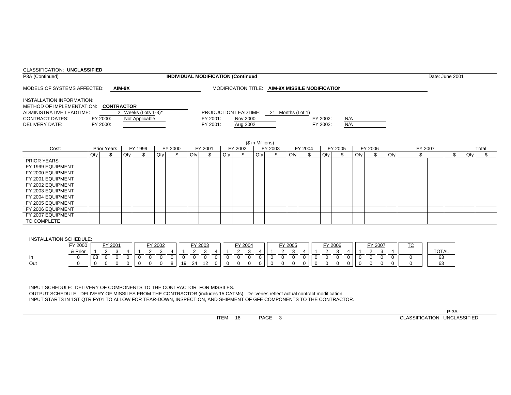| CLASSIFICATION: UNCLASSIFIED                                                                                                                                                                                                                                                                                                    |                |                                  |                      |                                  |                |                                      |          |                                                 |                |                                        |                  |                                  |                |                                                 |                |                                  |                |                                  |                |                                     |              |                 |     |       |
|---------------------------------------------------------------------------------------------------------------------------------------------------------------------------------------------------------------------------------------------------------------------------------------------------------------------------------|----------------|----------------------------------|----------------------|----------------------------------|----------------|--------------------------------------|----------|-------------------------------------------------|----------------|----------------------------------------|------------------|----------------------------------|----------------|-------------------------------------------------|----------------|----------------------------------|----------------|----------------------------------|----------------|-------------------------------------|--------------|-----------------|-----|-------|
| P3A (Continued)                                                                                                                                                                                                                                                                                                                 |                |                                  |                      |                                  |                |                                      |          | <b>INDIVIDUAL MODIFICATION (Continued</b>       |                |                                        |                  |                                  |                |                                                 |                |                                  |                |                                  |                |                                     |              | Date: June 2001 |     |       |
| MODELS OF SYSTEMS AFFECTED:                                                                                                                                                                                                                                                                                                     |                |                                  | AIM-9X               |                                  |                |                                      |          |                                                 |                |                                        |                  |                                  |                | MODIFICATION TITLE: AIM-9X MISSILE MODIFICATION |                |                                  |                |                                  |                |                                     |              |                 |     |       |
| <b>INSTALLATION INFORMATION:</b>                                                                                                                                                                                                                                                                                                |                |                                  |                      |                                  |                |                                      |          |                                                 |                |                                        |                  |                                  |                |                                                 |                |                                  |                |                                  |                |                                     |              |                 |     |       |
| METHOD OF IMPLEMENTATION: CONTRACTOR                                                                                                                                                                                                                                                                                            |                |                                  |                      |                                  |                |                                      |          |                                                 |                |                                        |                  |                                  |                |                                                 |                |                                  |                |                                  |                |                                     |              |                 |     |       |
| <b>ADMINISTRATIVE LEADTIME:</b>                                                                                                                                                                                                                                                                                                 |                |                                  |                      | 2 Weeks (Lots 1-3)*              |                |                                      |          |                                                 |                | PRODUCTION LEADTIME: 21 Months (Lot 1) |                  |                                  |                |                                                 |                |                                  |                |                                  |                |                                     |              |                 |     |       |
| <b>CONTRACT DATES:</b>                                                                                                                                                                                                                                                                                                          |                | FY 2000:                         |                      | Not Applicable                   |                |                                      |          | FY 2001:                                        |                | Nov 2000                               |                  |                                  |                |                                                 | FY 2002:       | N/A                              |                |                                  |                |                                     |              |                 |     |       |
| <b>DELIVERY DATE:</b>                                                                                                                                                                                                                                                                                                           |                | FY 2000:                         |                      |                                  |                |                                      |          | FY 2001:                                        |                | Aug 2002                               |                  |                                  |                |                                                 | FY 2002:       | N/A                              |                |                                  |                |                                     |              |                 |     |       |
|                                                                                                                                                                                                                                                                                                                                 |                |                                  |                      |                                  |                |                                      |          |                                                 |                |                                        |                  |                                  |                |                                                 |                |                                  |                |                                  |                |                                     |              |                 |     |       |
|                                                                                                                                                                                                                                                                                                                                 |                |                                  |                      |                                  |                |                                      |          |                                                 |                |                                        |                  |                                  |                |                                                 |                |                                  |                |                                  |                |                                     |              |                 |     |       |
|                                                                                                                                                                                                                                                                                                                                 |                |                                  |                      |                                  |                |                                      |          |                                                 |                |                                        | (\$ in Millions) |                                  |                |                                                 |                |                                  |                |                                  |                |                                     |              |                 |     |       |
| Cost:                                                                                                                                                                                                                                                                                                                           |                | <b>Prior Years</b>               |                      | FY 1999                          |                | FY 2000                              |          | FY 2001                                         |                | FY 2002                                |                  | FY 2003                          |                | FY 2004                                         |                | FY 2005                          |                | FY 2006                          |                | FY 2007                             |              |                 |     | Total |
|                                                                                                                                                                                                                                                                                                                                 | Qty            | \$                               | $Q$ ty               | \$                               | Qty            | \$                                   | Qty      | \$                                              | Qty            | \$                                     | Qty              | \$                               | Qty            | \$                                              | Qtv            | \$                               | Qty            | \$                               | Qty            | \$                                  |              | \$              | Qty | \$    |
| <b>PRIOR YEARS</b>                                                                                                                                                                                                                                                                                                              |                |                                  |                      |                                  |                |                                      |          |                                                 |                |                                        |                  |                                  |                |                                                 |                |                                  |                |                                  |                |                                     |              |                 |     |       |
| FY 1999 EQUIPMENT                                                                                                                                                                                                                                                                                                               |                |                                  |                      |                                  |                |                                      |          |                                                 |                |                                        |                  |                                  |                |                                                 |                |                                  |                |                                  |                |                                     |              |                 |     |       |
| FY 2000 EQUIPMENT                                                                                                                                                                                                                                                                                                               |                |                                  |                      |                                  |                |                                      |          |                                                 |                |                                        |                  |                                  |                |                                                 |                |                                  |                |                                  |                |                                     |              |                 |     |       |
| FY 2001 EQUIPMENT                                                                                                                                                                                                                                                                                                               |                |                                  |                      |                                  |                |                                      |          |                                                 |                |                                        |                  |                                  |                |                                                 |                |                                  |                |                                  |                |                                     |              |                 |     |       |
| FY 2002 EQUIPMENT                                                                                                                                                                                                                                                                                                               |                |                                  |                      |                                  |                |                                      |          |                                                 |                |                                        |                  |                                  |                |                                                 |                |                                  |                |                                  |                |                                     |              |                 |     |       |
| FY 2003 EQUIPMENT                                                                                                                                                                                                                                                                                                               |                |                                  |                      |                                  |                |                                      |          |                                                 |                |                                        |                  |                                  |                |                                                 |                |                                  |                |                                  |                |                                     |              |                 |     |       |
| FY 2004 EQUIPMENT                                                                                                                                                                                                                                                                                                               |                |                                  |                      |                                  |                |                                      |          |                                                 |                |                                        |                  |                                  |                |                                                 |                |                                  |                |                                  |                |                                     |              |                 |     |       |
| FY 2005 EQUIPMENT                                                                                                                                                                                                                                                                                                               |                |                                  |                      |                                  |                |                                      |          |                                                 |                |                                        |                  |                                  |                |                                                 |                |                                  |                |                                  |                |                                     |              |                 |     |       |
| FY 2006 EQUIPMENT                                                                                                                                                                                                                                                                                                               |                |                                  |                      |                                  |                |                                      |          |                                                 |                |                                        |                  |                                  |                |                                                 |                |                                  |                |                                  |                |                                     |              |                 |     |       |
| FY 2007 EQUIPMENT                                                                                                                                                                                                                                                                                                               |                |                                  |                      |                                  |                |                                      |          |                                                 |                |                                        |                  |                                  |                |                                                 |                |                                  |                |                                  |                |                                     |              |                 |     |       |
| TO COMPLETE                                                                                                                                                                                                                                                                                                                     |                |                                  |                      |                                  |                |                                      |          |                                                 |                |                                        |                  |                                  |                |                                                 |                |                                  |                |                                  |                |                                     |              |                 |     |       |
| INSTALLATION SCHEDULE:                                                                                                                                                                                                                                                                                                          |                |                                  |                      |                                  |                |                                      |          |                                                 |                |                                        |                  |                                  |                |                                                 |                |                                  |                |                                  |                |                                     |              |                 |     |       |
| FY 2000                                                                                                                                                                                                                                                                                                                         |                | FY 2001                          |                      |                                  | FY 2002        |                                      |          | FY 2003                                         |                | FY 2004                                |                  |                                  | FY 2005        |                                                 |                | FY 2006                          |                | FY 2007                          |                | $\underline{\text{TC}}$             |              |                 |     |       |
| & Prior                                                                                                                                                                                                                                                                                                                         | $\overline{1}$ | 2<br>3                           | $\overline{4}$       | 2<br>$\overline{1}$              | 3              | $\overline{4}$                       | 2        | 3<br>$\overline{4}$                             |                | $\overline{2}$<br>3                    | $\overline{4}$   | $\overline{2}$<br>$\overline{1}$ | 3              | $\overline{4}$<br>$\overline{1}$                | $\overline{2}$ | $\overline{4}$<br>3              | $\overline{1}$ | $\overline{2}$<br>$\mathbf{3}$   | $\overline{4}$ |                                     | <b>TOTAL</b> |                 |     |       |
| $\mathbf{0}$<br>In.                                                                                                                                                                                                                                                                                                             | 63             | $\overline{0}$ $\overline{0}$    | $\overline{\bullet}$ | $\overline{0}$<br>$\overline{0}$ | $\overline{0}$ | $\overline{0}$<br>$\overline{\circ}$ |          | $\overline{0}$ $\overline{0}$<br>$\overline{0}$ | $\overline{0}$ | $\overline{0}$<br>$\overline{0}$       | $\overline{0}$   | $\overline{0}$<br>$\overline{0}$ | $\overline{0}$ | $\overline{0}$<br>$\overline{0}$                | $\overline{0}$ | $\overline{0}$<br>$\overline{0}$ | $\overline{0}$ | $\overline{0}$<br>$\overline{0}$ | $\overline{0}$ | 0                                   | 63           |                 |     |       |
| Out<br>$\Omega$                                                                                                                                                                                                                                                                                                                 | $\mathbf 0$    | $\overline{0}$<br>$\overline{0}$ | $\mathbf 0$          | $\mathbf 0$<br>$\Omega$          | $\mathbf{0}$   | 8                                    | 19 24 12 | $\mathbf 0$                                     | $\mathbf 0$    | $\mathbf 0$<br>$\overline{0}$          | $\overline{0}$   | $\mathbf 0$<br>$\mathbf{0}$      | $\mathbf 0$    | $\mathbf 0$<br>$\mathbf 0$                      | $\mathbf 0$    | $\mathbf 0$<br>$\mathbf{0}$      | $\mathbf 0$    | $\mathbf 0$<br>$\mathbf 0$       | $\mathbf 0$    | $\mathbf 0$                         | 63           |                 |     |       |
|                                                                                                                                                                                                                                                                                                                                 |                |                                  |                      |                                  |                |                                      |          |                                                 |                |                                        |                  |                                  |                |                                                 |                |                                  |                |                                  |                |                                     |              |                 |     |       |
| INPUT SCHEDULE: DELIVERY OF COMPONENTS TO THE CONTRACTOR FOR MISSILES.<br>OUTPUT SCHEDULE: DELIVERY OF MISSILES FROM THE CONTRACTOR (includes 15 CATMs). Deliveries reflect actual contract modification.<br>INPUT STARTS IN 1ST QTR FY01 TO ALLOW FOR TEAR-DOWN, INSPECTION, AND SHIPMENT OF GFE COMPONENTS TO THE CONTRACTOR. |                |                                  |                      |                                  |                |                                      |          |                                                 |                |                                        |                  |                                  |                |                                                 |                |                                  |                |                                  |                |                                     |              |                 |     |       |
|                                                                                                                                                                                                                                                                                                                                 |                |                                  |                      |                                  |                |                                      |          |                                                 |                |                                        |                  |                                  |                |                                                 |                |                                  |                |                                  |                |                                     |              |                 |     |       |
|                                                                                                                                                                                                                                                                                                                                 |                |                                  |                      |                                  |                |                                      |          |                                                 | ITEM 18        |                                        |                  | PAGE 3                           |                |                                                 |                |                                  |                |                                  |                | <b>CLASSIFICATION: UNCLASSIFIED</b> |              | $P-3A$          |     |       |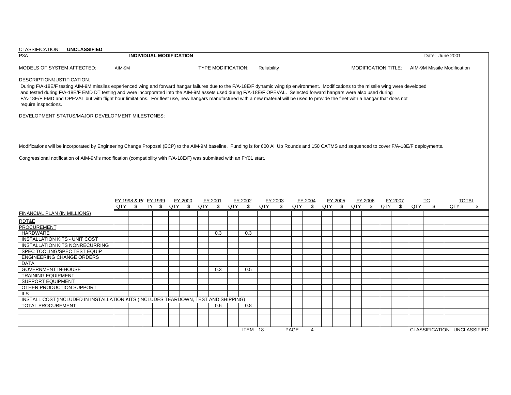| CLASSIFICATION: UNCLASSIFIED                                                                                                                                                                                                                                                                                                                                                                                                                                                                                                                                                      |        |                      |  |                                |                           |         |             |            |      |                |         |        |                     |         |     |                         |                             |                                     |
|-----------------------------------------------------------------------------------------------------------------------------------------------------------------------------------------------------------------------------------------------------------------------------------------------------------------------------------------------------------------------------------------------------------------------------------------------------------------------------------------------------------------------------------------------------------------------------------|--------|----------------------|--|--------------------------------|---------------------------|---------|-------------|------------|------|----------------|---------|--------|---------------------|---------|-----|-------------------------|-----------------------------|-------------------------------------|
| P <sub>3</sub> A                                                                                                                                                                                                                                                                                                                                                                                                                                                                                                                                                                  |        |                      |  | <b>INDIVIDUAL MODIFICATION</b> |                           |         |             |            |      |                |         |        |                     |         |     |                         | Date: June 2001             |                                     |
| <b>MODELS OF SYSTEM AFFECTED:</b>                                                                                                                                                                                                                                                                                                                                                                                                                                                                                                                                                 | AIM-9M |                      |  |                                | <b>TYPE MODIFICATION:</b> |         | Reliability |            |      |                |         |        | MODIFICATION TITLE: |         |     |                         | AIM-9M Missile Modification |                                     |
|                                                                                                                                                                                                                                                                                                                                                                                                                                                                                                                                                                                   |        |                      |  |                                |                           |         |             |            |      |                |         |        |                     |         |     |                         |                             |                                     |
| DESCRIPTION/JUSTIFICATION:                                                                                                                                                                                                                                                                                                                                                                                                                                                                                                                                                        |        |                      |  |                                |                           |         |             |            |      |                |         |        |                     |         |     |                         |                             |                                     |
| During F/A-18E/F testing AIM-9M missiles experienced wing and forward hangar failures due to the F/A-18E/F dynamic wing tip environment. Modifications to the missile wing were developed<br>and tested during F/A-18E/F EMD DT testing and were incorporated into the AIM-9M assets used during F/A-18E/F OPEVAL. Selected forward hangars were also used during<br>F/A-18E/F EMD and OPEVAL but with flight hour limitations. For fleet use, new hangars manufactured with a new material will be used to provide the fleet with a hangar that does not<br>require inspections. |        |                      |  |                                |                           |         |             |            |      |                |         |        |                     |         |     |                         |                             |                                     |
|                                                                                                                                                                                                                                                                                                                                                                                                                                                                                                                                                                                   |        |                      |  |                                |                           |         |             |            |      |                |         |        |                     |         |     |                         |                             |                                     |
| DEVELOPMENT STATUS/MAJOR DEVELOPMENT MILESTONES:                                                                                                                                                                                                                                                                                                                                                                                                                                                                                                                                  |        |                      |  |                                |                           |         |             |            |      |                |         |        |                     |         |     |                         |                             |                                     |
|                                                                                                                                                                                                                                                                                                                                                                                                                                                                                                                                                                                   |        |                      |  |                                |                           |         |             |            |      |                |         |        |                     |         |     |                         |                             |                                     |
|                                                                                                                                                                                                                                                                                                                                                                                                                                                                                                                                                                                   |        |                      |  |                                |                           |         |             |            |      |                |         |        |                     |         |     |                         |                             |                                     |
|                                                                                                                                                                                                                                                                                                                                                                                                                                                                                                                                                                                   |        |                      |  |                                |                           |         |             |            |      |                |         |        |                     |         |     |                         |                             |                                     |
| Modifications will be incorporated by Engineering Change Proposal (ECP) to the AIM-9M baseline. Funding is for 600 All Up Rounds and 150 CATMS and sequenced to cover F/A-18E/F deployments.                                                                                                                                                                                                                                                                                                                                                                                      |        |                      |  |                                |                           |         |             |            |      |                |         |        |                     |         |     |                         |                             |                                     |
|                                                                                                                                                                                                                                                                                                                                                                                                                                                                                                                                                                                   |        |                      |  |                                |                           |         |             |            |      |                |         |        |                     |         |     |                         |                             |                                     |
| Congressional notification of AIM-9M's modification (compatibility with F/A-18E/F) was submitted with an FY01 start.                                                                                                                                                                                                                                                                                                                                                                                                                                                              |        |                      |  |                                |                           |         |             |            |      |                |         |        |                     |         |     |                         |                             |                                     |
|                                                                                                                                                                                                                                                                                                                                                                                                                                                                                                                                                                                   |        |                      |  |                                |                           |         |             |            |      |                |         |        |                     |         |     |                         |                             |                                     |
|                                                                                                                                                                                                                                                                                                                                                                                                                                                                                                                                                                                   |        |                      |  |                                |                           |         |             |            |      |                |         |        |                     |         |     |                         |                             |                                     |
|                                                                                                                                                                                                                                                                                                                                                                                                                                                                                                                                                                                   |        |                      |  |                                |                           |         |             |            |      |                |         |        |                     |         |     |                         |                             |                                     |
|                                                                                                                                                                                                                                                                                                                                                                                                                                                                                                                                                                                   |        |                      |  |                                |                           |         |             |            |      |                |         |        |                     |         |     |                         |                             |                                     |
|                                                                                                                                                                                                                                                                                                                                                                                                                                                                                                                                                                                   |        | FY 1998 & Pr FY 1999 |  | FY 2000                        | FY 2001                   | FY 2002 |             | FY 2003    |      | FY 2004        | FY 2005 |        | FY 2006             | FY 2007 |     | $\underline{\text{TC}}$ |                             | <b>TOTAL</b>                        |
|                                                                                                                                                                                                                                                                                                                                                                                                                                                                                                                                                                                   |        |                      |  | QTY \$ TY \$ QTY \$            | QTY \$                    | QTY \$  | QTY         | $^{\circ}$ |      | QTY \$         | QTY \$  | QTY \$ |                     | QTY \$  | QTY | $\mathbf{\$}$           | QTY                         | \$                                  |
| FINANCIAL PLAN (IN MILLIONS)                                                                                                                                                                                                                                                                                                                                                                                                                                                                                                                                                      |        |                      |  |                                |                           |         |             |            |      |                |         |        |                     |         |     |                         |                             |                                     |
| RDT&E                                                                                                                                                                                                                                                                                                                                                                                                                                                                                                                                                                             |        |                      |  |                                |                           |         |             |            |      |                |         |        |                     |         |     |                         |                             |                                     |
| <b>PROCUREMENT</b>                                                                                                                                                                                                                                                                                                                                                                                                                                                                                                                                                                |        |                      |  |                                |                           |         |             |            |      |                |         |        |                     |         |     |                         |                             |                                     |
| <b>HARDWARE</b>                                                                                                                                                                                                                                                                                                                                                                                                                                                                                                                                                                   |        |                      |  |                                | 0.3                       | 0.3     |             |            |      |                |         |        |                     |         |     |                         |                             |                                     |
| <b>INSTALLATION KITS - UNIT COST</b>                                                                                                                                                                                                                                                                                                                                                                                                                                                                                                                                              |        |                      |  |                                |                           |         |             |            |      |                |         |        |                     |         |     |                         |                             |                                     |
| <b>INSTALLATION KITS NONRECURRING</b>                                                                                                                                                                                                                                                                                                                                                                                                                                                                                                                                             |        |                      |  |                                |                           |         |             |            |      |                |         |        |                     |         |     |                         |                             |                                     |
| SPEC TOOLING/SPEC TEST EQUIP                                                                                                                                                                                                                                                                                                                                                                                                                                                                                                                                                      |        |                      |  |                                |                           |         |             |            |      |                |         |        |                     |         |     |                         |                             |                                     |
| <b>ENGINEERING CHANGE ORDERS</b>                                                                                                                                                                                                                                                                                                                                                                                                                                                                                                                                                  |        |                      |  |                                |                           |         |             |            |      |                |         |        |                     |         |     |                         |                             |                                     |
| <b>DATA</b>                                                                                                                                                                                                                                                                                                                                                                                                                                                                                                                                                                       |        |                      |  |                                |                           |         |             |            |      |                |         |        |                     |         |     |                         |                             |                                     |
| <b>GOVERNMENT IN-HOUSE</b>                                                                                                                                                                                                                                                                                                                                                                                                                                                                                                                                                        |        |                      |  |                                | 0.3                       | 0.5     |             |            |      |                |         |        |                     |         |     |                         |                             |                                     |
| <b>TRAINING EQUIPMENT</b>                                                                                                                                                                                                                                                                                                                                                                                                                                                                                                                                                         |        |                      |  |                                |                           |         |             |            |      |                |         |        |                     |         |     |                         |                             |                                     |
| <b>SUPPORT EQUIPMENT</b>                                                                                                                                                                                                                                                                                                                                                                                                                                                                                                                                                          |        |                      |  |                                |                           |         |             |            |      |                |         |        |                     |         |     |                         |                             |                                     |
| OTHER PRODUCTION SUPPORT                                                                                                                                                                                                                                                                                                                                                                                                                                                                                                                                                          |        |                      |  |                                |                           |         |             |            |      |                |         |        |                     |         |     |                         |                             |                                     |
| ILS                                                                                                                                                                                                                                                                                                                                                                                                                                                                                                                                                                               |        |                      |  |                                |                           |         |             |            |      |                |         |        |                     |         |     |                         |                             |                                     |
| INSTALL COST (INCLUDED IN INSTALLATION KITS (INCLUDES TEARDOWN, TEST AND SHIPPING)                                                                                                                                                                                                                                                                                                                                                                                                                                                                                                |        |                      |  |                                |                           |         |             |            |      |                |         |        |                     |         |     |                         |                             |                                     |
| <b>TOTAL PROCUREMENT</b>                                                                                                                                                                                                                                                                                                                                                                                                                                                                                                                                                          |        |                      |  |                                | 0.6                       | 0.8     |             |            |      |                |         |        |                     |         |     |                         |                             |                                     |
|                                                                                                                                                                                                                                                                                                                                                                                                                                                                                                                                                                                   |        |                      |  |                                |                           |         |             |            |      |                |         |        |                     |         |     |                         |                             |                                     |
|                                                                                                                                                                                                                                                                                                                                                                                                                                                                                                                                                                                   |        |                      |  |                                |                           |         |             |            |      |                |         |        |                     |         |     |                         |                             |                                     |
|                                                                                                                                                                                                                                                                                                                                                                                                                                                                                                                                                                                   |        |                      |  |                                |                           |         |             |            |      |                |         |        |                     |         |     |                         |                             |                                     |
|                                                                                                                                                                                                                                                                                                                                                                                                                                                                                                                                                                                   |        |                      |  |                                |                           | ITEM 18 |             |            | PAGE | $\overline{4}$ |         |        |                     |         |     |                         |                             | <b>CLASSIFICATION: UNCLASSIFIED</b> |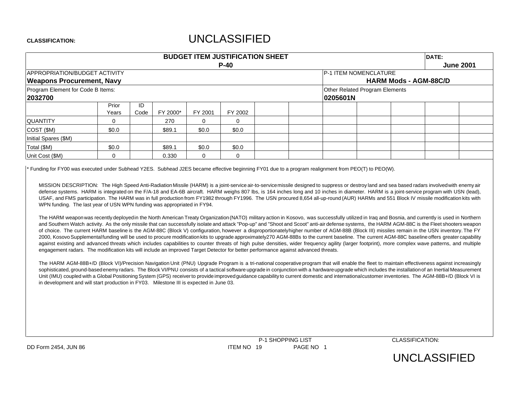# UNCLASSIFIED

|                                      |       |      |          | <b>BUDGET ITEM JUSTIFICATION SHEET</b> |         |          | DATE:                          |                              |  |                  |
|--------------------------------------|-------|------|----------|----------------------------------------|---------|----------|--------------------------------|------------------------------|--|------------------|
|                                      |       |      |          |                                        | $P-40$  |          |                                |                              |  | <b>June 2001</b> |
| <b>APPROPRIATION/BUDGET ACTIVITY</b> |       |      |          |                                        |         |          | <b>P-1 ITEM NOMENCLATURE</b>   |                              |  |                  |
| <b>Weapons Procurement, Navy</b>     |       |      |          |                                        |         |          |                                | <b>HARM Mods - AGM-88C/D</b> |  |                  |
| Program Element for Code B Items:    |       |      |          |                                        |         |          | Other Related Program Elements |                              |  |                  |
| 2032700                              |       |      |          |                                        |         | 0205601N |                                |                              |  |                  |
|                                      | Prior | ID   |          |                                        |         |          |                                |                              |  |                  |
|                                      | Years | Code | FY 2000* | FY 2001                                | FY 2002 |          |                                |                              |  |                  |
| <b>QUANTITY</b>                      | 0     |      | 270      | $\Omega$                               | 0       |          |                                |                              |  |                  |
| COST (\$M)                           | \$0.0 |      | \$89.1   | \$0.0                                  | \$0.0   |          |                                |                              |  |                  |
| Initial Spares (\$M)                 |       |      |          |                                        |         |          |                                |                              |  |                  |
| Total (\$M)                          | \$0.0 |      | \$89.1   | \$0.0                                  | \$0.0   |          |                                |                              |  |                  |
| Unit Cost (\$M)                      | 0     |      | 0.330    | $\Omega$                               | 0       |          |                                |                              |  |                  |

Funding for FY00 was executed under Subhead Y2ES. Subhead J2ES became effective beginning FY01 due to a program realignment from PEO(T) to PEO(W).

MISSION DESCRIPTION: The High Speed Anti-Radiation Missile (HARM) is a joint-service air-to-service missile designed to suppress or destroy land and sea based radars involved with enemy air defense systems. HARM is integrated on the F/A-18 and EA-6B aircraft. HARM weighs 807 lbs, is 164 inches long and 10 inches in diameter. HARM is a joint-service program with USN (lead), USAF, and FMS participation. The HARM was in full production from FY1982 through FY1996. The USN procured 8,654 all-up-round (AUR) HARMs and 551 Block IV missile modification kits with WPN funding. The last year of USN WPN funding was appropriated in FY94.

The HARM weaponwas recently deployedin the North American Treaty Organization(NATO) military action in Kosovo, was successfully utilized in Iraq and Bosnia, and currently is used in Northern and Southern Watch activity. As the only missile that can successfully isolate and attack "Pop-up" and "Shoot and Scoot" anti-air defense systems, the HARM AGM-88C is the Fleet shooters weapon of choice. The current HARM baseline is the AGM-88C (Block V) configuration, however <sup>a</sup> disproportionatelyhigher number of AGM-88B (Block III) missiles remain in the USN inventory. The FY 2000, Kosovo Supplementalfunding will be used to procure modification kits to upgrade approximately270 AGM-88Bs to the current baseline. The current AGM-88C baseline offers greater capability against existing and advanced threats which includes capabilities to counter threats of high pulse densities, wider frequency agility (larger footprint), more complex wave patterns, and multiple engagement radars. The modification kits will include an improved Target Detector for better performance against advanced threats.

The HARM AGM-88B+/D (Block VI)/Precision Navigation Unit (PNU) Upgrade Program is a tri-national cooperative program that will enable the fleet to maintain effectiveness against increasingly sophisticated, ground-based enemy radars. The Block VI/PNU consists of a tactical software upgrade in conjunction with a hardware upgrade which includes the installation of an Inertial Measurement Unit (IMU) coupled with a Global Positioning System (GPS) receiver to provide improved quidance capability to current domestic and internationalcustomer inventories. The AGM-88B+/D (Block VI is in development and will start production in FY03. Milestone III is expected in June 03.

P-1 SHOPPING LIST CLASSIFICATION: DD Form 2454, JUN 86 **ITEM NO 19** PAGE NO 1

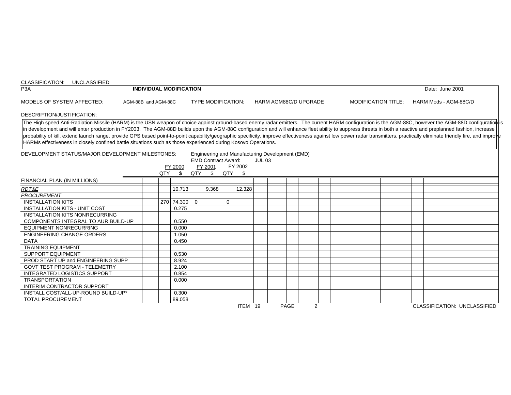| CLASSIFICATION: UNCLASSIFIED                                                                                                                                                                                                                                                                                                                                                                                                                                                                                                                                                                                                                                                                                                                                           |  |                     |                                |     |                                                     |              |                                                                        |               |                       |  |  |                            |  |                 |                       |  |
|------------------------------------------------------------------------------------------------------------------------------------------------------------------------------------------------------------------------------------------------------------------------------------------------------------------------------------------------------------------------------------------------------------------------------------------------------------------------------------------------------------------------------------------------------------------------------------------------------------------------------------------------------------------------------------------------------------------------------------------------------------------------|--|---------------------|--------------------------------|-----|-----------------------------------------------------|--------------|------------------------------------------------------------------------|---------------|-----------------------|--|--|----------------------------|--|-----------------|-----------------------|--|
| P3A                                                                                                                                                                                                                                                                                                                                                                                                                                                                                                                                                                                                                                                                                                                                                                    |  |                     | <b>INDIVIDUAL MODIFICATION</b> |     |                                                     |              |                                                                        |               |                       |  |  |                            |  | Date: June 2001 |                       |  |
| MODELS OF SYSTEM AFFECTED:                                                                                                                                                                                                                                                                                                                                                                                                                                                                                                                                                                                                                                                                                                                                             |  | AGM-88B and AGM-88C |                                |     | <b>TYPE MODIFICATION:</b>                           |              |                                                                        |               | HARM AGM88C/D UPGRADE |  |  | <b>MODIFICATION TITLE:</b> |  |                 | HARM Mods - AGM-88C/D |  |
| <b>DESCRIPTION/JUSTIFICATION:</b>                                                                                                                                                                                                                                                                                                                                                                                                                                                                                                                                                                                                                                                                                                                                      |  |                     |                                |     |                                                     |              |                                                                        |               |                       |  |  |                            |  |                 |                       |  |
| The High speed Anti-Radiation Missile (HARM) is the USN weapon of choice against ground-based enemy radar emitters. The current HARM configuration is the AGM-88C, however the AGM-88D configuration is<br>in development and will enter production in FY2003. The AGM-88D builds upon the AGM-88C configuration and will enhance fleet ability to suppress threats in both a reactive and preplanned fashion, increase<br>probability of kill, extend launch range, provide GPS based point-to-point capability/geographic specificity, improve effectiveness against low power radar transmitters, practically eliminate friendly fire, and improve<br>HARMs effectiveness in closely confined battle situations such as those experienced during Kosovo Operations. |  |                     |                                |     |                                                     |              |                                                                        |               |                       |  |  |                            |  |                 |                       |  |
| <b>IDEVELOPMENT STATUS/MAJOR DEVELOPMENT MILESTONES:</b>                                                                                                                                                                                                                                                                                                                                                                                                                                                                                                                                                                                                                                                                                                               |  | QTY                 | FY 2000<br>\$                  | QTY | <b>EMD Contract Award:</b><br>FY 2001<br>$^{\circ}$ | QTY          | Engineering and Manufacturing Development (EMD)<br>FY 2002<br><b>S</b> | <b>JUL 03</b> |                       |  |  |                            |  |                 |                       |  |
| <b>FINANCIAL PLAN (IN MILLIONS)</b>                                                                                                                                                                                                                                                                                                                                                                                                                                                                                                                                                                                                                                                                                                                                    |  |                     |                                |     |                                                     |              |                                                                        |               |                       |  |  |                            |  |                 |                       |  |
| RDT&E                                                                                                                                                                                                                                                                                                                                                                                                                                                                                                                                                                                                                                                                                                                                                                  |  |                     | 10.713                         |     | 9.368                                               |              | 12.328                                                                 |               |                       |  |  |                            |  |                 |                       |  |
| <b>PROCUREMENT</b>                                                                                                                                                                                                                                                                                                                                                                                                                                                                                                                                                                                                                                                                                                                                                     |  |                     |                                |     |                                                     |              |                                                                        |               |                       |  |  |                            |  |                 |                       |  |
| <b>INSTALLATION KITS</b>                                                                                                                                                                                                                                                                                                                                                                                                                                                                                                                                                                                                                                                                                                                                               |  |                     | 270 74.300 0                   |     |                                                     | $\mathbf{0}$ |                                                                        |               |                       |  |  |                            |  |                 |                       |  |
| <b>INSTALLATION KITS - UNIT COST</b>                                                                                                                                                                                                                                                                                                                                                                                                                                                                                                                                                                                                                                                                                                                                   |  |                     | 0.275                          |     |                                                     |              |                                                                        |               |                       |  |  |                            |  |                 |                       |  |
| <b>INSTALLATION KITS NONRECURRING</b>                                                                                                                                                                                                                                                                                                                                                                                                                                                                                                                                                                                                                                                                                                                                  |  |                     |                                |     |                                                     |              |                                                                        |               |                       |  |  |                            |  |                 |                       |  |
| COMPONENTS INTEGRAL TO AUR BUILD-UP                                                                                                                                                                                                                                                                                                                                                                                                                                                                                                                                                                                                                                                                                                                                    |  |                     | 0.550                          |     |                                                     |              |                                                                        |               |                       |  |  |                            |  |                 |                       |  |
| <b>EQUIPMENT NONRECURRING</b>                                                                                                                                                                                                                                                                                                                                                                                                                                                                                                                                                                                                                                                                                                                                          |  |                     | 0.000                          |     |                                                     |              |                                                                        |               |                       |  |  |                            |  |                 |                       |  |
| <b>ENGINEERING CHANGE ORDERS</b>                                                                                                                                                                                                                                                                                                                                                                                                                                                                                                                                                                                                                                                                                                                                       |  |                     | 1.050                          |     |                                                     |              |                                                                        |               |                       |  |  |                            |  |                 |                       |  |
| <b>DATA</b>                                                                                                                                                                                                                                                                                                                                                                                                                                                                                                                                                                                                                                                                                                                                                            |  |                     | 0.450                          |     |                                                     |              |                                                                        |               |                       |  |  |                            |  |                 |                       |  |
| <b>TRAINING EQUIPMENT</b>                                                                                                                                                                                                                                                                                                                                                                                                                                                                                                                                                                                                                                                                                                                                              |  |                     |                                |     |                                                     |              |                                                                        |               |                       |  |  |                            |  |                 |                       |  |
| <b>SUPPORT EQUIPMENT</b>                                                                                                                                                                                                                                                                                                                                                                                                                                                                                                                                                                                                                                                                                                                                               |  |                     | 0.530                          |     |                                                     |              |                                                                        |               |                       |  |  |                            |  |                 |                       |  |
| PROD START UP and ENGINEERING SUPP                                                                                                                                                                                                                                                                                                                                                                                                                                                                                                                                                                                                                                                                                                                                     |  |                     | 8.924                          |     |                                                     |              |                                                                        |               |                       |  |  |                            |  |                 |                       |  |
| <b>GOVT TEST PROGRAM - TELEMETRY</b>                                                                                                                                                                                                                                                                                                                                                                                                                                                                                                                                                                                                                                                                                                                                   |  |                     | 2.100                          |     |                                                     |              |                                                                        |               |                       |  |  |                            |  |                 |                       |  |
| <b>INTEGRATED LOGISTICS SUPPORT</b>                                                                                                                                                                                                                                                                                                                                                                                                                                                                                                                                                                                                                                                                                                                                    |  |                     | 0.854                          |     |                                                     |              |                                                                        |               |                       |  |  |                            |  |                 |                       |  |
| <b>TRANSPORTATION</b>                                                                                                                                                                                                                                                                                                                                                                                                                                                                                                                                                                                                                                                                                                                                                  |  |                     | 0.000                          |     |                                                     |              |                                                                        |               |                       |  |  |                            |  |                 |                       |  |
| <b>INTERIM CONTRACTOR SUPPORT</b>                                                                                                                                                                                                                                                                                                                                                                                                                                                                                                                                                                                                                                                                                                                                      |  |                     |                                |     |                                                     |              |                                                                        |               |                       |  |  |                            |  |                 |                       |  |
| INSTALL COST/ALL-UP-ROUND BUILD-UP*                                                                                                                                                                                                                                                                                                                                                                                                                                                                                                                                                                                                                                                                                                                                    |  |                     | 0.300                          |     |                                                     |              |                                                                        |               |                       |  |  |                            |  |                 |                       |  |
| <b>TOTAL PROCUREMENT</b>                                                                                                                                                                                                                                                                                                                                                                                                                                                                                                                                                                                                                                                                                                                                               |  |                     | 89.058                         |     |                                                     |              |                                                                        |               |                       |  |  |                            |  |                 |                       |  |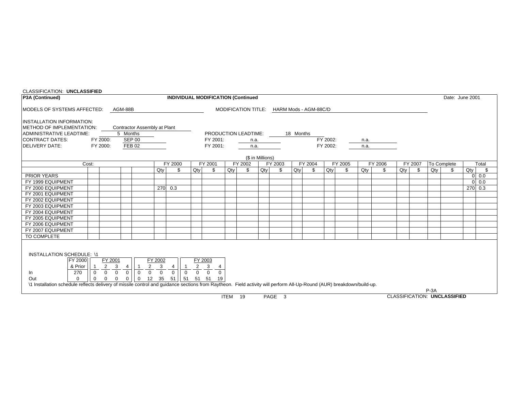| CLASSIFICATION: UNCLASSIFIED                                                                                                                                          |                                                                                                                                                                                                                                                                                                                                                                                                                                                                                                                                      |          |          |                              |  |                                           |  |                                  |  |                            |  |  |           |                       |          |      |                                |  |        |                 |         |          |
|-----------------------------------------------------------------------------------------------------------------------------------------------------------------------|--------------------------------------------------------------------------------------------------------------------------------------------------------------------------------------------------------------------------------------------------------------------------------------------------------------------------------------------------------------------------------------------------------------------------------------------------------------------------------------------------------------------------------------|----------|----------|------------------------------|--|-------------------------------------------|--|----------------------------------|--|----------------------------|--|--|-----------|-----------------------|----------|------|--------------------------------|--|--------|-----------------|---------|----------|
| P3A (Continued)                                                                                                                                                       |                                                                                                                                                                                                                                                                                                                                                                                                                                                                                                                                      |          |          |                              |  | <b>INDIVIDUAL MODIFICATION (Continued</b> |  |                                  |  |                            |  |  |           |                       |          |      |                                |  |        | Date: June 2001 |         |          |
| MODELS OF SYSTEMS AFFECTED:                                                                                                                                           |                                                                                                                                                                                                                                                                                                                                                                                                                                                                                                                                      |          | AGM-88B  |                              |  |                                           |  |                                  |  | <b>MODIFICATION TITLE:</b> |  |  |           | HARM Mods - AGM-88C/D |          |      |                                |  |        |                 |         |          |
| <b>INSTALLATION INFORMATION:</b><br>METHOD OF IMPLEMENTATION:                                                                                                         |                                                                                                                                                                                                                                                                                                                                                                                                                                                                                                                                      |          |          |                              |  |                                           |  |                                  |  |                            |  |  |           |                       |          |      |                                |  |        |                 |         |          |
| ADMINISTRATIVE LEADTIME:                                                                                                                                              |                                                                                                                                                                                                                                                                                                                                                                                                                                                                                                                                      |          | 5 Months | Contractor Assembly at Plant |  |                                           |  |                                  |  |                            |  |  |           |                       |          |      |                                |  |        |                 |         |          |
| CONTRACT DATES:                                                                                                                                                       |                                                                                                                                                                                                                                                                                                                                                                                                                                                                                                                                      | FY 2000: |          | <b>SEP 00</b>                |  |                                           |  | PRODUCTION LEADTIME:<br>FY 2001: |  |                            |  |  | 18 Months |                       | FY 2002: |      |                                |  |        |                 |         |          |
| <b>DELIVERY DATE:</b>                                                                                                                                                 |                                                                                                                                                                                                                                                                                                                                                                                                                                                                                                                                      |          |          | <b>FEB 02</b>                |  |                                           |  |                                  |  | n.a.                       |  |  |           |                       |          | n.a. |                                |  |        |                 |         |          |
|                                                                                                                                                                       |                                                                                                                                                                                                                                                                                                                                                                                                                                                                                                                                      | FY 2000: |          |                              |  |                                           |  | FY 2001:                         |  | n.a.                       |  |  |           |                       | FY 2002: | n.a. |                                |  |        |                 |         |          |
| (\$ in Millions)<br>FY 2000<br>FY 2001<br>FY 2002<br>FY 2003<br>FY 2004<br>FY 2005<br>FY 2006<br>Cost:<br>FY 2007<br>To Complete<br>\$                                |                                                                                                                                                                                                                                                                                                                                                                                                                                                                                                                                      |          |          |                              |  |                                           |  |                                  |  |                            |  |  |           |                       |          |      |                                |  |        |                 |         |          |
|                                                                                                                                                                       | Qty<br>Qty<br>\$<br>Qty<br>\$<br>$Q$ ty<br>\$<br>Qty<br>\$<br>Qty<br>\$<br>$Q$ ty<br>\$<br>Qty<br>\$                                                                                                                                                                                                                                                                                                                                                                                                                                 |          |          |                              |  |                                           |  |                                  |  |                            |  |  |           |                       |          |      |                                |  | Total  |                 |         |          |
|                                                                                                                                                                       |                                                                                                                                                                                                                                                                                                                                                                                                                                                                                                                                      |          |          |                              |  |                                           |  |                                  |  |                            |  |  |           |                       |          |      |                                |  | Qty    | \$              | $Q$ ty  | -S       |
| <b>PRIOR YEARS</b>                                                                                                                                                    |                                                                                                                                                                                                                                                                                                                                                                                                                                                                                                                                      |          |          |                              |  |                                           |  |                                  |  |                            |  |  |           |                       |          |      |                                |  |        |                 |         | $0\ 0.0$ |
| FY 1999 EQUIPMENT                                                                                                                                                     |                                                                                                                                                                                                                                                                                                                                                                                                                                                                                                                                      |          |          |                              |  |                                           |  |                                  |  |                            |  |  |           |                       |          |      |                                |  |        |                 |         | $0\ 0.0$ |
| FY 2000 EQUIPMENT                                                                                                                                                     |                                                                                                                                                                                                                                                                                                                                                                                                                                                                                                                                      |          |          |                              |  | 270 0.3                                   |  |                                  |  |                            |  |  |           |                       |          |      |                                |  |        |                 | 270 0.3 |          |
| FY 2001 EQUIPMENT                                                                                                                                                     |                                                                                                                                                                                                                                                                                                                                                                                                                                                                                                                                      |          |          |                              |  |                                           |  |                                  |  |                            |  |  |           |                       |          |      |                                |  |        |                 |         |          |
| FY 2002 EQUIPMENT                                                                                                                                                     |                                                                                                                                                                                                                                                                                                                                                                                                                                                                                                                                      |          |          |                              |  |                                           |  |                                  |  |                            |  |  |           |                       |          |      |                                |  |        |                 |         |          |
| FY 2003 EQUIPMENT                                                                                                                                                     |                                                                                                                                                                                                                                                                                                                                                                                                                                                                                                                                      |          |          |                              |  |                                           |  |                                  |  |                            |  |  |           |                       |          |      |                                |  |        |                 |         |          |
| FY 2004 EQUIPMENT                                                                                                                                                     |                                                                                                                                                                                                                                                                                                                                                                                                                                                                                                                                      |          |          |                              |  |                                           |  |                                  |  |                            |  |  |           |                       |          |      |                                |  |        |                 |         |          |
| FY 2005 EQUIPMENT                                                                                                                                                     |                                                                                                                                                                                                                                                                                                                                                                                                                                                                                                                                      |          |          |                              |  |                                           |  |                                  |  |                            |  |  |           |                       |          |      |                                |  |        |                 |         |          |
| FY 2006 EQUIPMENT                                                                                                                                                     |                                                                                                                                                                                                                                                                                                                                                                                                                                                                                                                                      |          |          |                              |  |                                           |  |                                  |  |                            |  |  |           |                       |          |      |                                |  |        |                 |         |          |
| FY 2007 EQUIPMENT                                                                                                                                                     |                                                                                                                                                                                                                                                                                                                                                                                                                                                                                                                                      |          |          |                              |  |                                           |  |                                  |  |                            |  |  |           |                       |          |      |                                |  |        |                 |         |          |
| TO COMPLETE                                                                                                                                                           |                                                                                                                                                                                                                                                                                                                                                                                                                                                                                                                                      |          |          |                              |  |                                           |  |                                  |  |                            |  |  |           |                       |          |      |                                |  |        |                 |         |          |
| & Prior<br>270<br>In<br>Out<br>$\Omega$                                                                                                                               | <b>INSTALLATION SCHEDULE: \1</b><br>FY 2000<br>FY 2001<br>FY 2002<br>FY 2003<br>2<br>3<br>2<br>3<br>$\overline{2}$<br>$\mathbf{3}$<br>$\overline{1}$<br>$\overline{4}$<br>4<br>4<br>$\vert$ 1<br>$\overline{0}$<br>$\overline{0}$<br>$\overline{0}$<br>$\overline{0}$<br>$\overline{0}$<br>$\overline{0}$<br>$\overline{0}$<br>$\overline{\circ}$<br>$\overline{0}$<br>$\overline{0}$<br>$\overline{0}$<br>$\overline{0}$<br>$\overline{0}$<br>12 35<br>$\overline{0}$<br>51 51 51<br>$\overline{0}$<br>$\mathbf 0$<br>51<br>19<br>0 |          |          |                              |  |                                           |  |                                  |  |                            |  |  |           |                       |          |      |                                |  |        |                 |         |          |
| \1 Installation schedule reflects delivery of missile control and quidance sections from Raytheon. Field activity will perform All-Up-Round (AUR) breakdown/build-up. |                                                                                                                                                                                                                                                                                                                                                                                                                                                                                                                                      |          |          |                              |  |                                           |  |                                  |  |                            |  |  |           |                       |          |      |                                |  |        |                 |         |          |
|                                                                                                                                                                       |                                                                                                                                                                                                                                                                                                                                                                                                                                                                                                                                      |          |          |                              |  |                                           |  |                                  |  |                            |  |  |           |                       |          |      | $\cdots$ . $\cdots$ . $\cdots$ |  | $P-3A$ |                 |         |          |

ITEM 19 PAGE 3

CLASSIFICATION: **UNCLASSIFIED**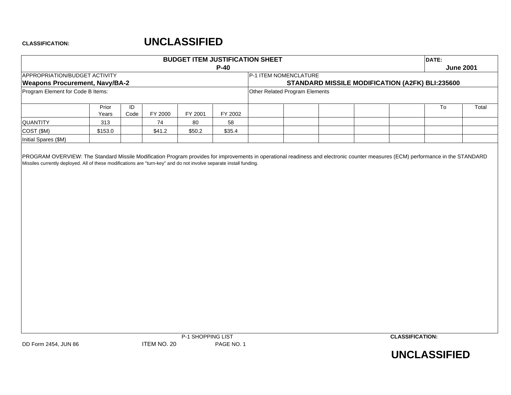# **UNCLASSIFIED**

|                                       |                |            |         |          |         | <b>BUDGET ITEM JUSTIFICATION SHEET</b> |  |                                                 | DATE:            |       |
|---------------------------------------|----------------|------------|---------|----------|---------|----------------------------------------|--|-------------------------------------------------|------------------|-------|
|                                       |                |            |         |          | $P-40$  |                                        |  |                                                 | <b>June 2001</b> |       |
| APPROPRIATION/BUDGET ACTIVITY         |                |            |         |          |         | <b>IP-1 ITEM NOMENCLATURE</b>          |  |                                                 |                  |       |
| <b>Weapons Procurement, Navy/BA-2</b> |                |            |         |          |         |                                        |  | STANDARD MISSILE MODIFICATION (A2FK) BLI:235600 |                  |       |
| Program Element for Code B Items:     |                |            |         |          |         | Other Related Program Elements         |  |                                                 |                  |       |
|                                       | Prior<br>Years | ID<br>Code | FY 2000 | FY 2001  | FY 2002 |                                        |  |                                                 | To               | Total |
| <b>QUANTITY</b>                       | 313            |            | 74      | 80       | 58      |                                        |  |                                                 |                  |       |
| COST (\$M)                            | \$153.0        |            | \$41.2  | \$50.2\$ | \$35.4  |                                        |  |                                                 |                  |       |
| Initial Spares (\$M)                  |                |            |         |          |         |                                        |  |                                                 |                  |       |

PROGRAM OVERVIEW: The Standard Missile Modification Program provides for improvements in operational readiness and electronic counter measures (ECM) performance in the STANDARD Missiles currently deployed. All of these modifications are "turn-key" and do not involve separate install funding.



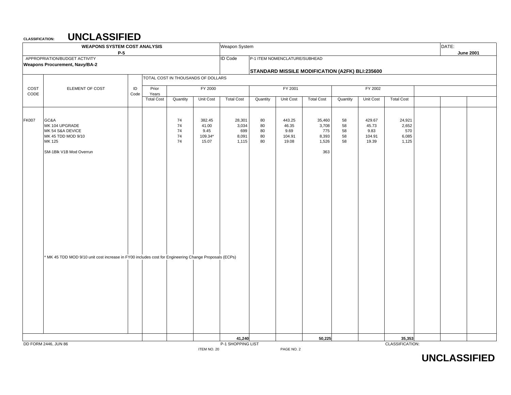**CLASSIFICATION:**

|              | <b>WEAPONS SYSTEM COST ANALYSIS</b><br>$P-5$                                                                                                                                                                 |            |                   |                                    |                                             | Weapon System                            |                            |                                            |                                                 |                            |                                            |                                          | DATE: | <b>June 2001</b> |
|--------------|--------------------------------------------------------------------------------------------------------------------------------------------------------------------------------------------------------------|------------|-------------------|------------------------------------|---------------------------------------------|------------------------------------------|----------------------------|--------------------------------------------|-------------------------------------------------|----------------------------|--------------------------------------------|------------------------------------------|-------|------------------|
|              | APPROPRIATION/BUDGET ACTIVITY                                                                                                                                                                                |            |                   |                                    |                                             | <b>ID</b> Code                           |                            | P-1 ITEM NOMENCLATURE/SUBHEAD              |                                                 |                            |                                            |                                          |       |                  |
|              | <b>Weapons Procurement, Navy/BA-2</b>                                                                                                                                                                        |            |                   |                                    |                                             |                                          |                            |                                            |                                                 |                            |                                            |                                          |       |                  |
|              |                                                                                                                                                                                                              |            |                   |                                    |                                             |                                          |                            |                                            | STANDARD MISSILE MODIFICATION (A2FK) BLI:235600 |                            |                                            |                                          |       |                  |
|              |                                                                                                                                                                                                              |            |                   | TOTAL COST IN THOUSANDS OF DOLLARS |                                             |                                          |                            |                                            |                                                 |                            |                                            |                                          |       |                  |
| COST<br>CODE | ELEMENT OF COST                                                                                                                                                                                              | ID<br>Code | Prior<br>Years    |                                    | FY 2000                                     |                                          |                            | FY 2001                                    |                                                 |                            | FY 2002                                    |                                          |       |                  |
|              |                                                                                                                                                                                                              |            | <b>Total Cost</b> | Quantity                           | Unit Cost                                   | <b>Total Cost</b>                        | Quantity                   | Unit Cost                                  | <b>Total Cost</b>                               | Quantity                   | Unit Cost                                  | <b>Total Cost</b>                        |       |                  |
| <b>FK007</b> | GC&A<br>MK 104 UPGRADE<br>MK 54 S&A DEVICE<br>MK 45 TDD MOD 9/10<br>MK 125<br>SM-1Blk V1B Mod Overrun<br>MK 45 TDD MOD 9/10 unit cost increase in FY00 includes cost for Engineering Change Proposals (ECPs) |            |                   | 74<br>74<br>74<br>74<br>74         | 382.45<br>41.00<br>9.45<br>109.34*<br>15.07 | 28,301<br>3,034<br>699<br>8,091<br>1,115 | 80<br>80<br>80<br>80<br>80 | 443.25<br>46.35<br>9.69<br>104.91<br>19.08 | 35,460<br>3,708<br>775<br>8,393<br>1,526<br>363 | 58<br>58<br>58<br>58<br>58 | 429.67<br>45.73<br>9.83<br>104.91<br>19.39 | 24,921<br>2,652<br>570<br>6,085<br>1,125 |       |                  |
|              |                                                                                                                                                                                                              |            |                   |                                    |                                             |                                          |                            |                                            |                                                 |                            |                                            |                                          |       |                  |
|              |                                                                                                                                                                                                              |            |                   |                                    |                                             | 41,240                                   |                            |                                            | 50,225                                          |                            |                                            | 35,353                                   |       |                  |
|              | DD FORM 2446, JUN 86                                                                                                                                                                                         |            |                   |                                    |                                             | P-1 SHOPPING LIST                        |                            |                                            |                                                 |                            |                                            | CLASSIFICATION:                          |       |                  |
|              |                                                                                                                                                                                                              |            |                   |                                    | ITEM NO. 20                                 |                                          |                            | PAGE NO. 2                                 |                                                 |                            |                                            |                                          |       |                  |

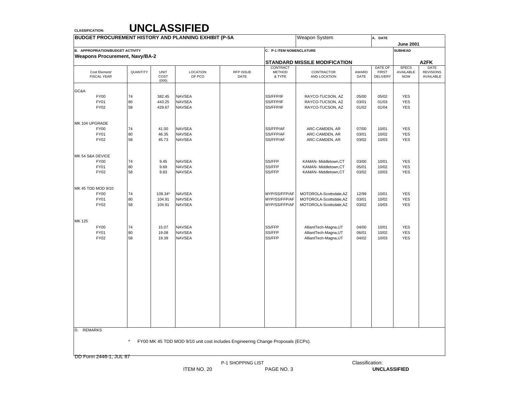| <b>BUDGET PROCUREMENT HISTORY AND PLANNING EXHIBIT (P-5A</b> |              |                              |                                                                                 |                   |                                     | Weapon System                                      |                | A. DATE                                    |                                         |                                              |
|--------------------------------------------------------------|--------------|------------------------------|---------------------------------------------------------------------------------|-------------------|-------------------------------------|----------------------------------------------------|----------------|--------------------------------------------|-----------------------------------------|----------------------------------------------|
| <b>B. APPROPRIATION/BUDGET ACTIVITY</b>                      |              |                              |                                                                                 |                   | C. P-1 ITEM NOMENCLATURE            |                                                    |                |                                            | <b>June 2001</b><br><b>SUBHEAD</b>      |                                              |
| <b>Weapons Procurement, Navy/BA-2</b>                        |              |                              |                                                                                 |                   |                                     |                                                    |                |                                            |                                         |                                              |
|                                                              |              |                              |                                                                                 |                   |                                     | <b>STANDARD MISSILE MODIFICATION</b>               |                |                                            |                                         | A2FK                                         |
| Cost Element/<br><b>FISCAL YEAR</b>                          | QUANTITY     | <b>UNIT</b><br>COST<br>(000) | LOCATION<br>OF PCO                                                              | RFP ISSUE<br>DATE | CONTRACT<br><b>METHOD</b><br>& TYPE | CONTRACTOR<br>AND LOCATION                         | AWARD<br>DATE  | DATE OF<br><b>FIRST</b><br><b>DELIVERY</b> | <b>SPECS</b><br>AVAILABLE<br><b>NOW</b> | <b>DATE</b><br><b>REVISIONS</b><br>AVAILABLE |
| GC&A                                                         |              |                              |                                                                                 |                   |                                     |                                                    |                |                                            |                                         |                                              |
| <b>FY00</b>                                                  | 74           | 382.45                       | <b>NAVSEA</b>                                                                   |                   | SS/FFP/IF                           | RAYCO-TUCSON, AZ                                   | 05/00          | 05/02                                      | <b>YES</b>                              |                                              |
| FY01<br><b>FY02</b>                                          | 80<br>58     | 443.25<br>429.67             | <b>NAVSEA</b><br><b>NAVSEA</b>                                                  |                   | SS/FFP/IF<br>SS/FFP/IF              | RAYCO-TUCSON, AZ<br>RAYCO-TUCSON, AZ               | 03/01<br>01/02 | 01/03<br>01/04                             | <b>YES</b><br><b>YES</b>                |                                              |
| MK 104 UPGRADE                                               |              |                              |                                                                                 |                   |                                     |                                                    |                |                                            |                                         |                                              |
| <b>FY00</b>                                                  | 74           | 41.00                        | <b>NAVSEA</b>                                                                   |                   | SS/FFP/AF                           | ARC-CAMDEN, AR                                     | 07/00          | 10/01                                      | <b>YES</b>                              |                                              |
| FY01                                                         | 80           | 46.35                        | <b>NAVSEA</b>                                                                   |                   | SS/FFP/AF                           | ARC-CAMDEN, AR                                     | 03/01          | 10/02                                      | <b>YES</b>                              |                                              |
| <b>FY02</b>                                                  | 58           | 45.73                        | <b>NAVSEA</b>                                                                   |                   | SS/FFP/AF                           | ARC-CAMDEN, AR                                     | 03/02          | 10/03                                      | <b>YES</b>                              |                                              |
| MK 54 S&A DEVICE                                             |              |                              |                                                                                 |                   |                                     |                                                    |                |                                            |                                         |                                              |
| <b>FY00</b>                                                  | 74           | 9.45                         | <b>NAVSEA</b>                                                                   |                   | SS/FFP                              | KAMAN- Middletown, CT                              | 03/00          | 10/01                                      | <b>YES</b>                              |                                              |
| <b>FY01</b><br><b>FY02</b>                                   | 80<br>58     | 9.69<br>9.83                 | <b>NAVSEA</b><br><b>NAVSEA</b>                                                  |                   | SS/FFP<br>SS/FFP                    | KAMAN- Middletown, CT<br>KAMAN- Middletown, CT     | 05/01<br>03/02 | 10/02<br>10/03                             | <b>YES</b><br><b>YES</b>                |                                              |
| MK 45 TDD MOD 9/10                                           |              |                              |                                                                                 |                   |                                     |                                                    |                |                                            |                                         |                                              |
| <b>FY00</b>                                                  | 74           | 109.34*                      | <b>NAVSEA</b>                                                                   |                   | MYP/SS/FFP/AF                       | MOTOROLA-Scottsdale, AZ                            | 12/99          | 10/01                                      | <b>YES</b>                              |                                              |
| FY01<br><b>FY02</b>                                          | 80<br>58     | 104.91<br>104.91             | <b>NAVSEA</b><br><b>NAVSEA</b>                                                  |                   | MYP/SS/FFP/AF<br>MYP/SS/FFP/AF      | MOTOROLA-Scottsdale, AZ<br>MOTOROLA-Scottsdale, AZ | 03/01<br>03/02 | 10/02<br>10/03                             | <b>YES</b><br><b>YES</b>                |                                              |
| MK 125                                                       |              |                              |                                                                                 |                   |                                     |                                                    |                |                                            |                                         |                                              |
| <b>FY00</b>                                                  | 74           | 15.07                        | <b>NAVSEA</b>                                                                   |                   | SS/FFP                              | AlliantTech-Magna, UT                              | 04/00          | 10/01                                      | <b>YES</b>                              |                                              |
| <b>FY01</b><br><b>FY02</b>                                   | 80<br>58     | 19.08<br>19.39               | <b>NAVSEA</b><br><b>NAVSEA</b>                                                  |                   | SS/FFP<br>SS/FFP                    | AlliantTech-Magna, UT<br>AlliantTech-Magna, UT     | 06/01<br>04/02 | 10/02<br>10/03                             | <b>YES</b><br><b>YES</b>                |                                              |
|                                                              |              |                              |                                                                                 |                   |                                     |                                                    |                |                                            |                                         |                                              |
|                                                              |              |                              |                                                                                 |                   |                                     |                                                    |                |                                            |                                         |                                              |
|                                                              |              |                              |                                                                                 |                   |                                     |                                                    |                |                                            |                                         |                                              |
|                                                              |              |                              |                                                                                 |                   |                                     |                                                    |                |                                            |                                         |                                              |
|                                                              |              |                              |                                                                                 |                   |                                     |                                                    |                |                                            |                                         |                                              |
| D. REMARKS                                                   |              |                              |                                                                                 |                   |                                     |                                                    |                |                                            |                                         |                                              |
|                                                              | $\pmb{\ast}$ |                              | FY00 MK 45 TDD MOD 9/10 unit cost includes Engineering Change Proposals (ECPs). |                   |                                     |                                                    |                |                                            |                                         |                                              |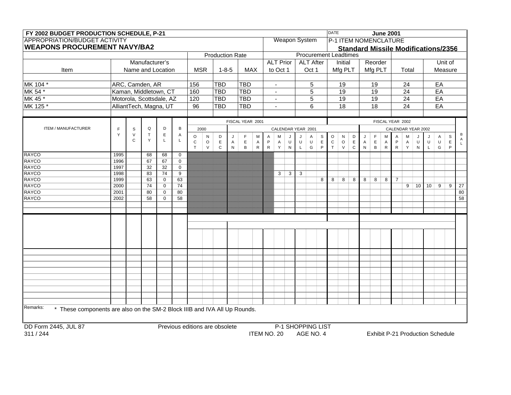| FY 2002 BUDGET PRODUCTION SCHEDULE, P-21                                                                                                                                                                                                                                                                                                                  |                                                                                                                                                                                                                                                                                                                                                                                                                                                                                                                                                                                                                                                                                 |  |                          |  |  |                                |  |     |  |            |  |  |             |  |                   | <b>DATE</b> |    |  |    | <b>June 2001</b> |                 |  |  |                                         |  |  |
|-----------------------------------------------------------------------------------------------------------------------------------------------------------------------------------------------------------------------------------------------------------------------------------------------------------------------------------------------------------|---------------------------------------------------------------------------------------------------------------------------------------------------------------------------------------------------------------------------------------------------------------------------------------------------------------------------------------------------------------------------------------------------------------------------------------------------------------------------------------------------------------------------------------------------------------------------------------------------------------------------------------------------------------------------------|--|--------------------------|--|--|--------------------------------|--|-----|--|------------|--|--|-------------|--|-------------------|-------------|----|--|----|------------------|-----------------|--|--|-----------------------------------------|--|--|
|                                                                                                                                                                                                                                                                                                                                                           | <b>APPROPRIATION/BUDGET ACTIVITY</b><br>Weapon System<br>P-1 ITEM NOMENCLATURE<br><b>WEAPONS PROCUREMENT NAVY/BA2</b><br><b>Standard Missile Modifications/2356</b><br><b>Procurement Leadtimes</b><br><b>Production Rate</b><br><b>ALT Prior</b><br>Manufacturer's<br><b>ALT After</b><br>Initial<br>Reorder<br>Unit of<br><b>MSR</b><br>$1 - 8 - 5$<br><b>MAX</b><br>Mfg PLT<br>Mfg PLT<br>Item<br>Name and Location<br>to Oct 1<br>Oct 1<br>Total<br>Measure<br>ARC, Camden, AR<br>156<br><b>TBD</b><br><b>TBD</b><br>EA<br>5<br>19<br>19<br>24<br>$\blacksquare$<br>Kaman, Middletown, CT<br><b>TBD</b><br><b>TBD</b><br>5<br>19<br>19<br>24<br>EA<br>160<br>$\blacksquare$ |  |                          |  |  |                                |  |     |  |            |  |  |             |  |                   |             |    |  |    |                  |                 |  |  |                                         |  |  |
|                                                                                                                                                                                                                                                                                                                                                           |                                                                                                                                                                                                                                                                                                                                                                                                                                                                                                                                                                                                                                                                                 |  |                          |  |  |                                |  |     |  |            |  |  |             |  |                   |             |    |  |    |                  |                 |  |  |                                         |  |  |
|                                                                                                                                                                                                                                                                                                                                                           |                                                                                                                                                                                                                                                                                                                                                                                                                                                                                                                                                                                                                                                                                 |  |                          |  |  |                                |  |     |  |            |  |  |             |  |                   |             |    |  |    |                  |                 |  |  |                                         |  |  |
|                                                                                                                                                                                                                                                                                                                                                           |                                                                                                                                                                                                                                                                                                                                                                                                                                                                                                                                                                                                                                                                                 |  |                          |  |  |                                |  |     |  |            |  |  |             |  |                   |             |    |  |    |                  |                 |  |  |                                         |  |  |
|                                                                                                                                                                                                                                                                                                                                                           |                                                                                                                                                                                                                                                                                                                                                                                                                                                                                                                                                                                                                                                                                 |  |                          |  |  |                                |  |     |  |            |  |  |             |  |                   |             |    |  |    |                  |                 |  |  |                                         |  |  |
|                                                                                                                                                                                                                                                                                                                                                           |                                                                                                                                                                                                                                                                                                                                                                                                                                                                                                                                                                                                                                                                                 |  |                          |  |  |                                |  |     |  |            |  |  |             |  |                   |             |    |  |    |                  |                 |  |  |                                         |  |  |
| MK 104 *                                                                                                                                                                                                                                                                                                                                                  |                                                                                                                                                                                                                                                                                                                                                                                                                                                                                                                                                                                                                                                                                 |  |                          |  |  |                                |  |     |  |            |  |  |             |  |                   |             |    |  |    |                  |                 |  |  |                                         |  |  |
| MK 54 *                                                                                                                                                                                                                                                                                                                                                   |                                                                                                                                                                                                                                                                                                                                                                                                                                                                                                                                                                                                                                                                                 |  |                          |  |  |                                |  |     |  |            |  |  |             |  |                   |             |    |  |    |                  |                 |  |  |                                         |  |  |
| MK 45 *                                                                                                                                                                                                                                                                                                                                                   |                                                                                                                                                                                                                                                                                                                                                                                                                                                                                                                                                                                                                                                                                 |  | Motorola, Scottsdale, AZ |  |  | 120                            |  | TBD |  | <b>TBD</b> |  |  | $\sim$      |  | 5                 |             | 19 |  | 19 |                  | $\overline{24}$ |  |  | EA                                      |  |  |
|                                                                                                                                                                                                                                                                                                                                                           |                                                                                                                                                                                                                                                                                                                                                                                                                                                                                                                                                                                                                                                                                 |  |                          |  |  |                                |  |     |  |            |  |  | $\sim$      |  |                   |             |    |  |    |                  |                 |  |  |                                         |  |  |
|                                                                                                                                                                                                                                                                                                                                                           |                                                                                                                                                                                                                                                                                                                                                                                                                                                                                                                                                                                                                                                                                 |  |                          |  |  |                                |  |     |  |            |  |  |             |  |                   |             |    |  |    |                  |                 |  |  |                                         |  |  |
|                                                                                                                                                                                                                                                                                                                                                           |                                                                                                                                                                                                                                                                                                                                                                                                                                                                                                                                                                                                                                                                                 |  |                          |  |  |                                |  |     |  |            |  |  |             |  |                   |             |    |  |    |                  |                 |  |  |                                         |  |  |
|                                                                                                                                                                                                                                                                                                                                                           | F.<br>Q<br>B<br>CALENDAR YEAR 2002<br>ITEM / MANUFACTURER<br>S<br>D<br>2000<br>CALENDAR YEAR 2001<br>Y<br>$\top$<br>$\mathsf E$<br>$\vee$<br>A<br>$\circ$<br>$\mathsf F$<br>D<br>$\mathsf F$<br>N<br>D<br>M<br>$\mathsf S$<br>O<br>M<br>M<br>S<br>M<br>A<br>J<br>N<br>A<br>J<br>A<br>J<br>IJ<br>Α<br>J                                                                                                                                                                                                                                                                                                                                                                          |  |                          |  |  |                                |  |     |  |            |  |  |             |  |                   |             |    |  |    |                  |                 |  |  |                                         |  |  |
| $\mathsf{A}$<br>$\mathsf{C}$<br>Y<br>L<br>L<br>$\cup$<br>$\mathtt{C}$<br>$\mathsf E$<br>$\sf U$<br>$\mathsf E$<br>$\circ$<br>$\mathsf E$<br>$\mathsf E$<br>$\mathsf P$<br>$\cup$<br>$\sf U$<br>$\mathsf C$<br>$\mathsf O$<br>E<br>P<br>U<br>U<br>$\mathsf E$<br>A<br>$\overline{A}$<br>A<br>$\overline{\mathsf{A}}$<br>$\overline{A}$<br>A<br>$\mathsf L$ |                                                                                                                                                                                                                                                                                                                                                                                                                                                                                                                                                                                                                                                                                 |  |                          |  |  |                                |  |     |  |            |  |  |             |  |                   |             |    |  |    |                  |                 |  |  |                                         |  |  |
| $\mathsf{T}$<br>$\mathsf{V}$<br>$\mathsf{R}$<br>T<br>$\mathsf C$<br>$\, {\bf B} \,$<br>${\sf R}$<br>G<br>$\mathsf{P}$<br>$\vee$<br>$\mathbf C$<br>${\sf R}$<br>Y<br>G<br>N<br>$\mathsf{R}$<br>Y<br>${\sf N}$<br>N<br>B<br>${\sf N}$<br>P<br>L<br>L.                                                                                                       |                                                                                                                                                                                                                                                                                                                                                                                                                                                                                                                                                                                                                                                                                 |  |                          |  |  |                                |  |     |  |            |  |  |             |  |                   |             |    |  |    |                  |                 |  |  |                                         |  |  |
| <b>RAYCO</b><br>1995<br>68<br>68<br>$\mathbf 0$                                                                                                                                                                                                                                                                                                           |                                                                                                                                                                                                                                                                                                                                                                                                                                                                                                                                                                                                                                                                                 |  |                          |  |  |                                |  |     |  |            |  |  |             |  |                   |             |    |  |    |                  |                 |  |  |                                         |  |  |
| FISCAL YEAR 2002<br>FISCAL YEAR 2001<br><b>RAYCO</b><br>1996<br>67<br>67<br>$\mathbf 0$<br>1997<br>32<br>32<br>$\mathbf 0$<br>1998<br>83<br>9<br>3<br>74<br>3<br>3<br><b>RAYCO</b><br>1999<br>63<br>$\mathbf 0$<br>63<br>8<br>8<br>8<br>8<br>8<br>8<br>8<br>$\overline{7}$                                                                                |                                                                                                                                                                                                                                                                                                                                                                                                                                                                                                                                                                                                                                                                                 |  |                          |  |  |                                |  |     |  |            |  |  |             |  |                   |             |    |  |    |                  |                 |  |  |                                         |  |  |
| <b>RAYCO</b><br><b>RAYCO</b><br><b>RAYCO</b><br>2000<br>74<br>74<br>9<br>10 <sup>1</sup><br>10<br>9<br>9<br>$\mathbf 0$<br><b>RAYCO</b><br>2001<br>80<br>$\mathbf 0$<br>80                                                                                                                                                                                |                                                                                                                                                                                                                                                                                                                                                                                                                                                                                                                                                                                                                                                                                 |  |                          |  |  |                                |  |     |  |            |  |  |             |  |                   |             |    |  |    |                  |                 |  |  |                                         |  |  |
| MK 125 *<br>AlliantTech, Magna, UT<br>96<br><b>TBD</b><br>$\overline{18}$<br>$\overline{18}$<br>EA<br><b>TBD</b><br>6<br>24<br><b>RAYCO</b><br>2002<br>58<br>58<br>$\mathbf 0$                                                                                                                                                                            |                                                                                                                                                                                                                                                                                                                                                                                                                                                                                                                                                                                                                                                                                 |  |                          |  |  |                                |  |     |  |            |  |  |             |  |                   |             |    |  |    |                  |                 |  |  |                                         |  |  |
|                                                                                                                                                                                                                                                                                                                                                           |                                                                                                                                                                                                                                                                                                                                                                                                                                                                                                                                                                                                                                                                                 |  |                          |  |  |                                |  |     |  |            |  |  |             |  |                   |             |    |  |    |                  |                 |  |  |                                         |  |  |
|                                                                                                                                                                                                                                                                                                                                                           |                                                                                                                                                                                                                                                                                                                                                                                                                                                                                                                                                                                                                                                                                 |  |                          |  |  |                                |  |     |  |            |  |  |             |  |                   |             |    |  |    |                  |                 |  |  |                                         |  |  |
|                                                                                                                                                                                                                                                                                                                                                           |                                                                                                                                                                                                                                                                                                                                                                                                                                                                                                                                                                                                                                                                                 |  |                          |  |  |                                |  |     |  |            |  |  |             |  |                   |             |    |  |    |                  |                 |  |  |                                         |  |  |
|                                                                                                                                                                                                                                                                                                                                                           |                                                                                                                                                                                                                                                                                                                                                                                                                                                                                                                                                                                                                                                                                 |  |                          |  |  |                                |  |     |  |            |  |  |             |  |                   |             |    |  |    |                  |                 |  |  |                                         |  |  |
| 27<br>80<br>$\overline{58}$                                                                                                                                                                                                                                                                                                                               |                                                                                                                                                                                                                                                                                                                                                                                                                                                                                                                                                                                                                                                                                 |  |                          |  |  |                                |  |     |  |            |  |  |             |  |                   |             |    |  |    |                  |                 |  |  |                                         |  |  |
|                                                                                                                                                                                                                                                                                                                                                           |                                                                                                                                                                                                                                                                                                                                                                                                                                                                                                                                                                                                                                                                                 |  |                          |  |  |                                |  |     |  |            |  |  |             |  |                   |             |    |  |    |                  |                 |  |  |                                         |  |  |
|                                                                                                                                                                                                                                                                                                                                                           |                                                                                                                                                                                                                                                                                                                                                                                                                                                                                                                                                                                                                                                                                 |  |                          |  |  |                                |  |     |  |            |  |  |             |  |                   |             |    |  |    |                  |                 |  |  |                                         |  |  |
|                                                                                                                                                                                                                                                                                                                                                           |                                                                                                                                                                                                                                                                                                                                                                                                                                                                                                                                                                                                                                                                                 |  |                          |  |  |                                |  |     |  |            |  |  |             |  |                   |             |    |  |    |                  |                 |  |  |                                         |  |  |
|                                                                                                                                                                                                                                                                                                                                                           |                                                                                                                                                                                                                                                                                                                                                                                                                                                                                                                                                                                                                                                                                 |  |                          |  |  |                                |  |     |  |            |  |  |             |  |                   |             |    |  |    |                  |                 |  |  |                                         |  |  |
|                                                                                                                                                                                                                                                                                                                                                           |                                                                                                                                                                                                                                                                                                                                                                                                                                                                                                                                                                                                                                                                                 |  |                          |  |  |                                |  |     |  |            |  |  |             |  |                   |             |    |  |    |                  |                 |  |  |                                         |  |  |
|                                                                                                                                                                                                                                                                                                                                                           |                                                                                                                                                                                                                                                                                                                                                                                                                                                                                                                                                                                                                                                                                 |  |                          |  |  |                                |  |     |  |            |  |  |             |  |                   |             |    |  |    |                  |                 |  |  |                                         |  |  |
|                                                                                                                                                                                                                                                                                                                                                           |                                                                                                                                                                                                                                                                                                                                                                                                                                                                                                                                                                                                                                                                                 |  |                          |  |  |                                |  |     |  |            |  |  |             |  |                   |             |    |  |    |                  |                 |  |  |                                         |  |  |
|                                                                                                                                                                                                                                                                                                                                                           |                                                                                                                                                                                                                                                                                                                                                                                                                                                                                                                                                                                                                                                                                 |  |                          |  |  |                                |  |     |  |            |  |  |             |  |                   |             |    |  |    |                  |                 |  |  |                                         |  |  |
|                                                                                                                                                                                                                                                                                                                                                           |                                                                                                                                                                                                                                                                                                                                                                                                                                                                                                                                                                                                                                                                                 |  |                          |  |  |                                |  |     |  |            |  |  |             |  |                   |             |    |  |    |                  |                 |  |  |                                         |  |  |
|                                                                                                                                                                                                                                                                                                                                                           |                                                                                                                                                                                                                                                                                                                                                                                                                                                                                                                                                                                                                                                                                 |  |                          |  |  |                                |  |     |  |            |  |  |             |  |                   |             |    |  |    |                  |                 |  |  |                                         |  |  |
|                                                                                                                                                                                                                                                                                                                                                           |                                                                                                                                                                                                                                                                                                                                                                                                                                                                                                                                                                                                                                                                                 |  |                          |  |  |                                |  |     |  |            |  |  |             |  |                   |             |    |  |    |                  |                 |  |  |                                         |  |  |
|                                                                                                                                                                                                                                                                                                                                                           |                                                                                                                                                                                                                                                                                                                                                                                                                                                                                                                                                                                                                                                                                 |  |                          |  |  |                                |  |     |  |            |  |  |             |  |                   |             |    |  |    |                  |                 |  |  |                                         |  |  |
|                                                                                                                                                                                                                                                                                                                                                           |                                                                                                                                                                                                                                                                                                                                                                                                                                                                                                                                                                                                                                                                                 |  |                          |  |  |                                |  |     |  |            |  |  |             |  |                   |             |    |  |    |                  |                 |  |  |                                         |  |  |
|                                                                                                                                                                                                                                                                                                                                                           |                                                                                                                                                                                                                                                                                                                                                                                                                                                                                                                                                                                                                                                                                 |  |                          |  |  |                                |  |     |  |            |  |  |             |  |                   |             |    |  |    |                  |                 |  |  |                                         |  |  |
| Remarks:<br>* These components are also on the SM-2 Block IIIB and IVA All Up Rounds.                                                                                                                                                                                                                                                                     |                                                                                                                                                                                                                                                                                                                                                                                                                                                                                                                                                                                                                                                                                 |  |                          |  |  |                                |  |     |  |            |  |  |             |  |                   |             |    |  |    |                  |                 |  |  |                                         |  |  |
|                                                                                                                                                                                                                                                                                                                                                           |                                                                                                                                                                                                                                                                                                                                                                                                                                                                                                                                                                                                                                                                                 |  |                          |  |  |                                |  |     |  |            |  |  |             |  |                   |             |    |  |    |                  |                 |  |  |                                         |  |  |
| DD Form 2445, JUL 87                                                                                                                                                                                                                                                                                                                                      |                                                                                                                                                                                                                                                                                                                                                                                                                                                                                                                                                                                                                                                                                 |  |                          |  |  | Previous editions are obsolete |  |     |  |            |  |  |             |  | P-1 SHOPPING LIST |             |    |  |    |                  |                 |  |  |                                         |  |  |
| 311 / 244                                                                                                                                                                                                                                                                                                                                                 |                                                                                                                                                                                                                                                                                                                                                                                                                                                                                                                                                                                                                                                                                 |  |                          |  |  |                                |  |     |  |            |  |  | ITEM NO. 20 |  | AGE NO. 4         |             |    |  |    |                  |                 |  |  | <b>Exhibit P-21 Production Schedule</b> |  |  |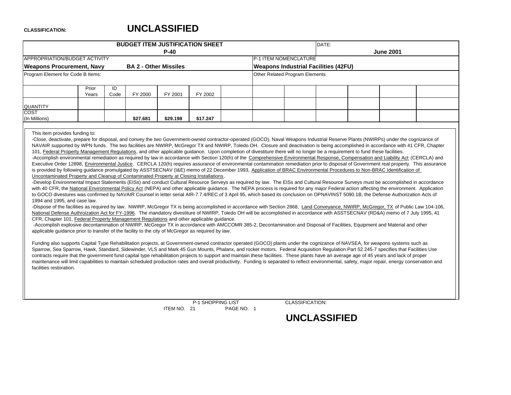# **UNCLASSIFIED**

ITEM NO. 21

| Prior<br>ID<br>Code<br>Years<br>FY 2000<br>\$27.681<br>This item provides funding to:<br>to GOCO divestures was confirmed by NAVAIR Counsel in letter serial AIR-7.7.4/REC of 3 April 95, which based its conclusion on OPNAVINST 5090.1B, the Defense Authorization Acts of<br>1994 and 1995, and case law.<br>-Dispose of the facilities as required by law. NWIRP, McGregor TX is being accomplished in accordance with Section 2868, Land Conveyance, NWIRP, McGregor, TX of Public Law 104-106,<br>National Defense Authroization Act for FY-1996. The mandatory divestiture of NWIRP, Toledo OH will be accomplished in accordance with ASSTSECNAV (RD&A) memo of 7 July 1995, 41<br>CFR, Chapter 101, Federal Property Management Regulations and other applicable guidance.<br>-Accomplish explosive decontamination of NWIRP, McGregor TX in accordance with AMCCOMR 385-2, Decontamination and Disposal of Facilities, Equipment and Material and other<br>applicable quidance prior to transfer of the facility to the city of McGregor as required by law.<br>Funding also supports Capital Type Rehabilitation projects, at Government-owned contractor operated (GOCO) plants under the cognizance of NAVSEA, for weapons systems such as<br>Sparrow, Sea Sparrow, Hawk, Standard, Sidewinder, VLS and Mark 45 Gun Mounts, Phalanx, and rocket motors. Federal Acquisition Requlation Part 52.245-7 specifies that Facilities Use<br>contracts require that the government fund capital type rehabilitation projects to support and maintain these facilities. These plants have an average age of 45 years and lack of proper<br>maintenance will limit capabilities to maintain scheduled production rates and overall productivity. Funding is separated to reflect environmental, safety, major repair, energy conservation and<br>facilities restoration. | <b>BUDGET ITEM JUSTIFICATION SHEET</b><br>DATE:<br>$P-40$<br><b>June 2001</b><br>P-1 ITEM NOMENCLATURE<br><b>BA 2 - Other Missiles</b><br><b>Weapons Industrial Facilities (42FU)</b><br>Other Related Program Elements<br>FY 2001<br>FY 2002<br>\$29.198<br>\$17.247<br>-Close, deactivate, prepare for disposal, and convey the two Government-owned contractor-operated (GOCO), Naval Weapons Industrial Reserve Plants (NWIRPs) under the cognizance of<br>NAVAIR supported by WPN funds. The two facilities are NWIRP, McGregor TX and NWIRP, Toledo OH. Closure and deactivation is being accomplished in accordance with 41 CFR, Chapter<br>101, Federal Property Management Regulations, and other applicable guidance. Upon completion of divestiture there will no longer be a requirement to fund these facilities.<br>-Accomplish environmental remediation as required by law in accordance with Section 120(h) of the Comprehensive Environmental Response, Compensation and Liability Act (CERCLA) and<br>Executive Order 12898, Environmental Justice. CERCLA 120(h) requires assurance of environmental contamination remediation prior to disposal of Government real property. This assurance<br>is provided by following guidance promulgated by ASSTSECNAV (I&E) memo of 22 December 1993, Application of BRAC Environmental Procedures to Non-BRAC Identification of<br>Uncontaminated Property and Cleanup of Contaminated Property at Closing Installations.<br>-Develop Environmental Impact Statements (EISs) and conduct Cultural Resource Serveys as required by law. The EISs and Cultural Resource Surveys must be accomplished in accordance<br>with 40 CFR, the National Environmental Policy Act (NEPA) and other applicable guidance. The NEPA process is required for any major Federal action affecting the environment. Application |  |  |                        |  |  |  |  |  |  |  |  |  |  |
|------------------------------------------------------------------------------------------------------------------------------------------------------------------------------------------------------------------------------------------------------------------------------------------------------------------------------------------------------------------------------------------------------------------------------------------------------------------------------------------------------------------------------------------------------------------------------------------------------------------------------------------------------------------------------------------------------------------------------------------------------------------------------------------------------------------------------------------------------------------------------------------------------------------------------------------------------------------------------------------------------------------------------------------------------------------------------------------------------------------------------------------------------------------------------------------------------------------------------------------------------------------------------------------------------------------------------------------------------------------------------------------------------------------------------------------------------------------------------------------------------------------------------------------------------------------------------------------------------------------------------------------------------------------------------------------------------------------------------------------------------------------------------------------------------------------------------------------------------------------------------|--------------------------------------------------------------------------------------------------------------------------------------------------------------------------------------------------------------------------------------------------------------------------------------------------------------------------------------------------------------------------------------------------------------------------------------------------------------------------------------------------------------------------------------------------------------------------------------------------------------------------------------------------------------------------------------------------------------------------------------------------------------------------------------------------------------------------------------------------------------------------------------------------------------------------------------------------------------------------------------------------------------------------------------------------------------------------------------------------------------------------------------------------------------------------------------------------------------------------------------------------------------------------------------------------------------------------------------------------------------------------------------------------------------------------------------------------------------------------------------------------------------------------------------------------------------------------------------------------------------------------------------------------------------------------------------------------------------------------------------------------------------------------------------------------------------------------------------------------------------------------|--|--|------------------------|--|--|--|--|--|--|--|--|--|--|
| APPROPRIATION/BUDGET ACTIVITY<br><b>Weapons Procurement, Navy</b><br>Program Element for Code B Items:<br><b>QUANTITY</b><br><b>COST</b><br>(In Millions)                                                                                                                                                                                                                                                                                                                                                                                                                                                                                                                                                                                                                                                                                                                                                                                                                                                                                                                                                                                                                                                                                                                                                                                                                                                                                                                                                                                                                                                                                                                                                                                                                                                                                                                    |                                                                                                                                                                                                                                                                                                                                                                                                                                                                                                                                                                                                                                                                                                                                                                                                                                                                                                                                                                                                                                                                                                                                                                                                                                                                                                                                                                                                                                                                                                                                                                                                                                                                                                                                                                                                                                                                          |  |  |                        |  |  |  |  |  |  |  |  |  |  |
|                                                                                                                                                                                                                                                                                                                                                                                                                                                                                                                                                                                                                                                                                                                                                                                                                                                                                                                                                                                                                                                                                                                                                                                                                                                                                                                                                                                                                                                                                                                                                                                                                                                                                                                                                                                                                                                                              |                                                                                                                                                                                                                                                                                                                                                                                                                                                                                                                                                                                                                                                                                                                                                                                                                                                                                                                                                                                                                                                                                                                                                                                                                                                                                                                                                                                                                                                                                                                                                                                                                                                                                                                                                                                                                                                                          |  |  |                        |  |  |  |  |  |  |  |  |  |  |
|                                                                                                                                                                                                                                                                                                                                                                                                                                                                                                                                                                                                                                                                                                                                                                                                                                                                                                                                                                                                                                                                                                                                                                                                                                                                                                                                                                                                                                                                                                                                                                                                                                                                                                                                                                                                                                                                              |                                                                                                                                                                                                                                                                                                                                                                                                                                                                                                                                                                                                                                                                                                                                                                                                                                                                                                                                                                                                                                                                                                                                                                                                                                                                                                                                                                                                                                                                                                                                                                                                                                                                                                                                                                                                                                                                          |  |  |                        |  |  |  |  |  |  |  |  |  |  |
|                                                                                                                                                                                                                                                                                                                                                                                                                                                                                                                                                                                                                                                                                                                                                                                                                                                                                                                                                                                                                                                                                                                                                                                                                                                                                                                                                                                                                                                                                                                                                                                                                                                                                                                                                                                                                                                                              |                                                                                                                                                                                                                                                                                                                                                                                                                                                                                                                                                                                                                                                                                                                                                                                                                                                                                                                                                                                                                                                                                                                                                                                                                                                                                                                                                                                                                                                                                                                                                                                                                                                                                                                                                                                                                                                                          |  |  |                        |  |  |  |  |  |  |  |  |  |  |
|                                                                                                                                                                                                                                                                                                                                                                                                                                                                                                                                                                                                                                                                                                                                                                                                                                                                                                                                                                                                                                                                                                                                                                                                                                                                                                                                                                                                                                                                                                                                                                                                                                                                                                                                                                                                                                                                              |                                                                                                                                                                                                                                                                                                                                                                                                                                                                                                                                                                                                                                                                                                                                                                                                                                                                                                                                                                                                                                                                                                                                                                                                                                                                                                                                                                                                                                                                                                                                                                                                                                                                                                                                                                                                                                                                          |  |  |                        |  |  |  |  |  |  |  |  |  |  |
|                                                                                                                                                                                                                                                                                                                                                                                                                                                                                                                                                                                                                                                                                                                                                                                                                                                                                                                                                                                                                                                                                                                                                                                                                                                                                                                                                                                                                                                                                                                                                                                                                                                                                                                                                                                                                                                                              |                                                                                                                                                                                                                                                                                                                                                                                                                                                                                                                                                                                                                                                                                                                                                                                                                                                                                                                                                                                                                                                                                                                                                                                                                                                                                                                                                                                                                                                                                                                                                                                                                                                                                                                                                                                                                                                                          |  |  |                        |  |  |  |  |  |  |  |  |  |  |
|                                                                                                                                                                                                                                                                                                                                                                                                                                                                                                                                                                                                                                                                                                                                                                                                                                                                                                                                                                                                                                                                                                                                                                                                                                                                                                                                                                                                                                                                                                                                                                                                                                                                                                                                                                                                                                                                              |                                                                                                                                                                                                                                                                                                                                                                                                                                                                                                                                                                                                                                                                                                                                                                                                                                                                                                                                                                                                                                                                                                                                                                                                                                                                                                                                                                                                                                                                                                                                                                                                                                                                                                                                                                                                                                                                          |  |  |                        |  |  |  |  |  |  |  |  |  |  |
|                                                                                                                                                                                                                                                                                                                                                                                                                                                                                                                                                                                                                                                                                                                                                                                                                                                                                                                                                                                                                                                                                                                                                                                                                                                                                                                                                                                                                                                                                                                                                                                                                                                                                                                                                                                                                                                                              |                                                                                                                                                                                                                                                                                                                                                                                                                                                                                                                                                                                                                                                                                                                                                                                                                                                                                                                                                                                                                                                                                                                                                                                                                                                                                                                                                                                                                                                                                                                                                                                                                                                                                                                                                                                                                                                                          |  |  |                        |  |  |  |  |  |  |  |  |  |  |
|                                                                                                                                                                                                                                                                                                                                                                                                                                                                                                                                                                                                                                                                                                                                                                                                                                                                                                                                                                                                                                                                                                                                                                                                                                                                                                                                                                                                                                                                                                                                                                                                                                                                                                                                                                                                                                                                              |                                                                                                                                                                                                                                                                                                                                                                                                                                                                                                                                                                                                                                                                                                                                                                                                                                                                                                                                                                                                                                                                                                                                                                                                                                                                                                                                                                                                                                                                                                                                                                                                                                                                                                                                                                                                                                                                          |  |  |                        |  |  |  |  |  |  |  |  |  |  |
|                                                                                                                                                                                                                                                                                                                                                                                                                                                                                                                                                                                                                                                                                                                                                                                                                                                                                                                                                                                                                                                                                                                                                                                                                                                                                                                                                                                                                                                                                                                                                                                                                                                                                                                                                                                                                                                                              | P-1 SHOPPING LIST                                                                                                                                                                                                                                                                                                                                                                                                                                                                                                                                                                                                                                                                                                                                                                                                                                                                                                                                                                                                                                                                                                                                                                                                                                                                                                                                                                                                                                                                                                                                                                                                                                                                                                                                                                                                                                                        |  |  | <b>CLASSIFICATION:</b> |  |  |  |  |  |  |  |  |  |  |

PAGE NO. 1 **UNCLASSIFIED**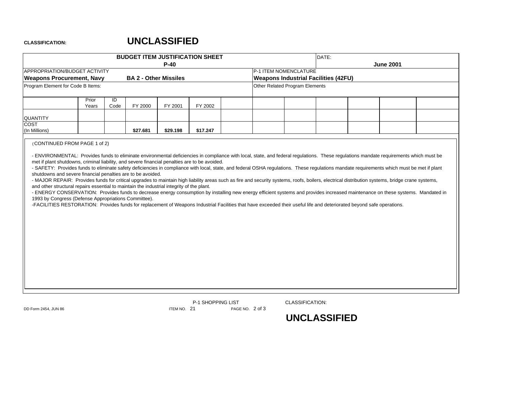# **UNCLASSIFIED**

|                                                                                                                                                                                                                                                                                                                                                                                                                                                                                                                                                                                                                                                                                                                                                                                                                                                                                                                                                                                                                                                                                                                                                                                                                                                                                                            |            |                              | <b>BUDGET ITEM JUSTIFICATION SHEET</b> |          |  |                                             | DATE: |                  |  |
|------------------------------------------------------------------------------------------------------------------------------------------------------------------------------------------------------------------------------------------------------------------------------------------------------------------------------------------------------------------------------------------------------------------------------------------------------------------------------------------------------------------------------------------------------------------------------------------------------------------------------------------------------------------------------------------------------------------------------------------------------------------------------------------------------------------------------------------------------------------------------------------------------------------------------------------------------------------------------------------------------------------------------------------------------------------------------------------------------------------------------------------------------------------------------------------------------------------------------------------------------------------------------------------------------------|------------|------------------------------|----------------------------------------|----------|--|---------------------------------------------|-------|------------------|--|
|                                                                                                                                                                                                                                                                                                                                                                                                                                                                                                                                                                                                                                                                                                                                                                                                                                                                                                                                                                                                                                                                                                                                                                                                                                                                                                            |            |                              | $P-40$                                 |          |  |                                             |       | <b>June 2001</b> |  |
| APPROPRIATION/BUDGET ACTIVITY                                                                                                                                                                                                                                                                                                                                                                                                                                                                                                                                                                                                                                                                                                                                                                                                                                                                                                                                                                                                                                                                                                                                                                                                                                                                              |            |                              |                                        |          |  | P-1 ITEM NOMENCLATURE                       |       |                  |  |
| <b>Weapons Procurement, Navy</b>                                                                                                                                                                                                                                                                                                                                                                                                                                                                                                                                                                                                                                                                                                                                                                                                                                                                                                                                                                                                                                                                                                                                                                                                                                                                           |            | <b>BA 2 - Other Missiles</b> |                                        |          |  | <b>Weapons Industrial Facilities (42FU)</b> |       |                  |  |
| Program Element for Code B Items:                                                                                                                                                                                                                                                                                                                                                                                                                                                                                                                                                                                                                                                                                                                                                                                                                                                                                                                                                                                                                                                                                                                                                                                                                                                                          |            |                              |                                        |          |  | Other Related Program Elements              |       |                  |  |
| Prior<br>Years                                                                                                                                                                                                                                                                                                                                                                                                                                                                                                                                                                                                                                                                                                                                                                                                                                                                                                                                                                                                                                                                                                                                                                                                                                                                                             | ID<br>Code | FY 2000                      | FY 2001                                | FY 2002  |  |                                             |       |                  |  |
| <b>QUANTITY</b>                                                                                                                                                                                                                                                                                                                                                                                                                                                                                                                                                                                                                                                                                                                                                                                                                                                                                                                                                                                                                                                                                                                                                                                                                                                                                            |            |                              |                                        |          |  |                                             |       |                  |  |
| COST<br>(In Millions)                                                                                                                                                                                                                                                                                                                                                                                                                                                                                                                                                                                                                                                                                                                                                                                                                                                                                                                                                                                                                                                                                                                                                                                                                                                                                      |            | \$27.681                     | \$29.198                               | \$17.247 |  |                                             |       |                  |  |
| (CONTINUED FROM PAGE 1 of 2)<br>- ENVIRONMENTAL: Provides funds to eliminate environmental deficiencies in compliance with local, state, and federal regulations. These regulations mandate requirements which must be<br>met if plant shutdowns, criminal liability, and severe financial penalties are to be avoided.<br>- SAFETY: Provides funds to eliminate safety deficiencies in compliance with local, state, and federal OSHA regulations. These regulations mandate requirements which must be met if plant<br>shutdowns and severe financial penalties are to be avoided.<br>- MAJOR REPAIR: Provides funds for critical upgrades to maintain high liability areas such as fire and security systems, roofs, boilers, electrical distribution systems, bridge crane systems,<br>and other structural repairs essential to maintain the industrial integrity of the plant.<br>- ENERGY CONSERVATION: Provides funds to decrease energy consumption by installing new energy efficient systems and provides increased maintenance on these systems. Mandated in<br>1993 by Congress (Defense Appropriations Committee).<br>-FACILITIES RESTORATION: Provides funds for replacement of Weapons Industrial Facilities that have exceeded their useful life and deteriorated beyond safe operations. |            |                              |                                        |          |  |                                             |       |                  |  |

P-1 SHOPPING LIST CLASSIFICATION: DD Form 2454, JUN 86 **ITEM NO. 21** PAGE NO. 2 of 3

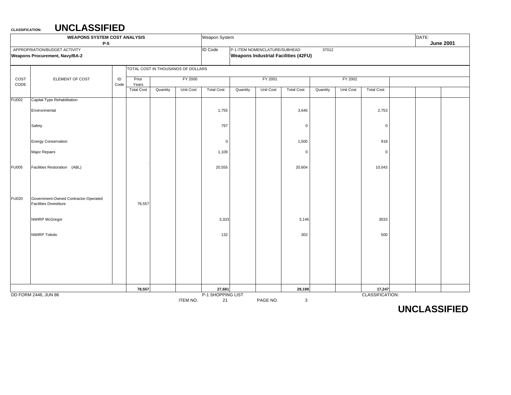|              | <b>WEAPONS SYSTEM COST ANALYSIS</b><br>$P-5$                           |                  |                   |                                    |                 | Weapon System           |          |                               |                                             |          |           |                   | DATE: | <b>June 2001</b> |
|--------------|------------------------------------------------------------------------|------------------|-------------------|------------------------------------|-----------------|-------------------------|----------|-------------------------------|---------------------------------------------|----------|-----------|-------------------|-------|------------------|
|              | APPROPRIATION/BUDGET ACTIVITY<br><b>Weapons Procurement, Navy/BA-2</b> |                  |                   |                                    |                 | <b>ID Code</b>          |          | P-1 ITEM NOMENCLATURE/SUBHEAD | <b>Weapons Industrial Facilities (42FU)</b> | 37012    |           |                   |       |                  |
|              |                                                                        |                  |                   | TOTAL COST IN THOUSANDS OF DOLLARS |                 |                         |          |                               |                                             |          |           |                   |       |                  |
| COST<br>CODE | ELEMENT OF COST                                                        | $\sf ID$<br>Code | Prior<br>Years    |                                    | FY 2000         |                         |          | FY 2001                       |                                             |          | FY 2002   |                   |       |                  |
|              |                                                                        |                  | <b>Total Cost</b> | Quantity                           | Unit Cost       | <b>Total Cost</b>       | Quantity | Unit Cost                     | <b>Total Cost</b>                           | Quantity | Unit Cost | <b>Total Cost</b> |       |                  |
| <b>FU002</b> | Capital Type Rehabilitation                                            |                  |                   |                                    |                 |                         |          |                               |                                             |          |           |                   |       |                  |
|              | Environmental                                                          |                  |                   |                                    |                 | 1,755                   |          |                               | 3,646                                       |          |           | 2,753             |       |                  |
|              | Safety                                                                 |                  |                   |                                    |                 | 797                     |          |                               | $\mathbf 0$                                 |          |           | $\mathbf 0$       |       |                  |
|              | <b>Energy Conservation</b>                                             |                  |                   |                                    |                 | $\mathbf 0$             |          |                               | 1,500                                       |          |           | 918               |       |                  |
|              | Major Repairs                                                          |                  |                   |                                    |                 | 1,109                   |          |                               | $\mathbf 0$                                 |          |           | $\overline{0}$    |       |                  |
| <b>FU005</b> | Facilities Restoration (ABL)                                           |                  |                   |                                    |                 | 20,555                  |          |                               | 20,604                                      |          |           | 10,043            |       |                  |
| <b>FU020</b> | Government-Owned Contractor-Operated<br><b>Facilities Divestiture</b>  |                  | 78,557            |                                    |                 |                         |          |                               |                                             |          |           |                   |       |                  |
|              | <b>NWIRP McGregor</b>                                                  |                  |                   |                                    |                 | 3,333                   |          |                               | 3,146                                       |          |           | 3033              |       |                  |
|              | <b>NWIRP Toledo</b>                                                    |                  |                   |                                    |                 | 132                     |          |                               | 302                                         |          |           | 500               |       |                  |
|              |                                                                        |                  |                   |                                    |                 |                         |          |                               |                                             |          |           |                   |       |                  |
|              |                                                                        |                  | 78,557            |                                    |                 | 27,681                  |          |                               | 29,198                                      |          |           | 17,247            |       |                  |
|              | DD FORM 2446, JUN 86                                                   |                  |                   |                                    | <b>ITEM NO.</b> | P-1 SHOPPING LIST<br>21 |          | PAGE NO.                      | $\mathbf 3$                                 |          |           | CLASSIFICATION:   |       |                  |

**UNCLASSIFIED**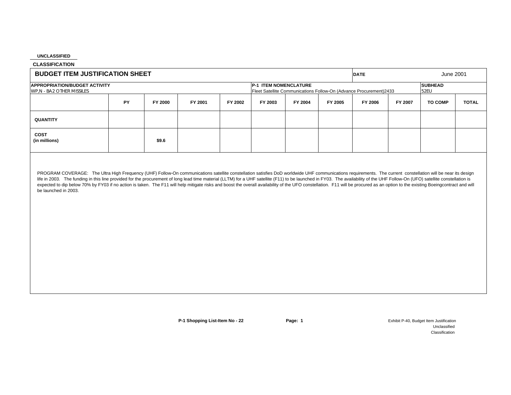**CLASSIFICATION**

| <b>BUDGET ITEM JUSTIFICATION SHEET</b>                            |           |         |         |         |                       |         |         | <b>DATE</b>                                                        |         | June 2001              |              |
|-------------------------------------------------------------------|-----------|---------|---------|---------|-----------------------|---------|---------|--------------------------------------------------------------------|---------|------------------------|--------------|
| <b>APPROPRIATION/BUDGET ACTIVITY</b><br>WP.N - BA2 OTHER MISSILES |           |         |         |         | P-1 ITEM NOMENCLATURE |         |         | Fleet Satellite Communications Follow-On (Advance Procurement)2433 |         | <b>SUBHEAD</b><br>52EU |              |
|                                                                   | <b>PY</b> | FY 2000 | FY 2001 | FY 2002 | FY 2003               | FY 2004 | FY 2005 | FY 2006                                                            | FY 2007 | <b>TO COMP</b>         | <b>TOTAL</b> |
| <b>QUANTITY</b>                                                   |           |         |         |         |                       |         |         |                                                                    |         |                        |              |
| COST<br>(in millions)                                             |           | \$9.6   |         |         |                       |         |         |                                                                    |         |                        |              |

PROGRAM COVERAGE: The Ultra High Frequency (UHF) Follow-On communications satellite constellation satisfies DoD worldwide UHF communications requirements. The current constellation will be near its design life in 2003. The funding in this line provided for the procurement of long lead time material (LLTM) for a UHF satellite (F11) to be launched in FY03. The availability of the UHF Follow-On (UFO) satellite constellation is expected to dip below 70% by FY03 if no action is taken. The F11 will help mitigate risks and boost the overall availability of the UFO constellation. F11 will be procured as an option to the existing Boeingcontract and wi be launched in 2003.

**P-1 Shopping List-Item No - 22 <b>Page: 1 Page: 1 Page: 1** Exhibit P-40, Budget Item Justification UnclassifiedClassification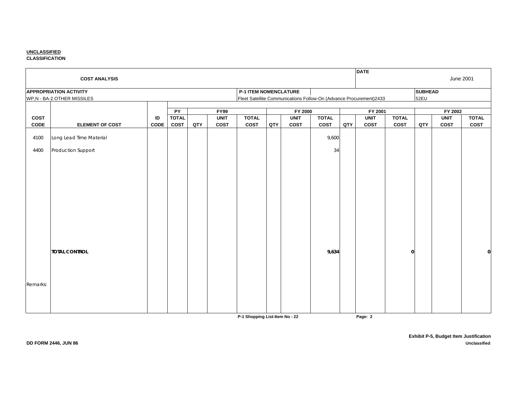**CLASSIFICATION**

|                     |                                             |                      |     |                            |                              |     |                     |                      |     | <b>DATE</b>                                                        |                             |                |                     |                      |
|---------------------|---------------------------------------------|----------------------|-----|----------------------------|------------------------------|-----|---------------------|----------------------|-----|--------------------------------------------------------------------|-----------------------------|----------------|---------------------|----------------------|
|                     | <b>COST ANALYSIS</b>                        |                      |     |                            |                              |     |                     |                      |     |                                                                    |                             |                | <b>June 2001</b>    |                      |
|                     | <b>APPROPRIATION ACTIVITY</b>               |                      |     |                            | <b>P-1 ITEM NOMENCLATURE</b> |     |                     |                      |     |                                                                    |                             | <b>SUBHEAD</b> |                     |                      |
|                     | WP,N - BA-2 OTHER MISSILES                  |                      |     |                            |                              |     |                     |                      |     | Fleet Satellite Communications Follow-On (Advance Procurement)2433 |                             | 52EU           |                     |                      |
|                     |                                             |                      |     |                            |                              |     |                     |                      |     |                                                                    |                             |                |                     |                      |
|                     |                                             | PY                   |     | <b>FY99</b>                |                              |     | FY 2000             |                      |     | FY 2001                                                            |                             |                | FY 2002             |                      |
| <b>COST</b><br>CODE | ID<br><b>ELEMENT OF COST</b><br><b>CODE</b> | <b>TOTAL</b><br>COST | QTY | <b>UNIT</b><br><b>COST</b> | <b>TOTAL</b><br>COST         | QTY | <b>UNIT</b><br>COST | <b>TOTAL</b><br>COST | QTY | <b>UNIT</b><br>COST                                                | <b>TOTAL</b><br><b>COST</b> | QTY            | <b>UNIT</b><br>COST | <b>TOTAL</b><br>COST |
|                     |                                             |                      |     |                            |                              |     |                     |                      |     |                                                                    |                             |                |                     |                      |
| 4100                | Long Lead Time Material                     |                      |     |                            |                              |     |                     | 9,600                |     |                                                                    |                             |                |                     |                      |
| 4400                | Production Support                          |                      |     |                            |                              |     |                     | 34                   |     |                                                                    |                             |                |                     |                      |
|                     |                                             |                      |     |                            |                              |     |                     |                      |     |                                                                    |                             |                |                     |                      |
|                     |                                             |                      |     |                            |                              |     |                     |                      |     |                                                                    |                             |                |                     |                      |
|                     |                                             |                      |     |                            |                              |     |                     |                      |     |                                                                    |                             |                |                     |                      |
|                     |                                             |                      |     |                            |                              |     |                     |                      |     |                                                                    |                             |                |                     |                      |
|                     |                                             |                      |     |                            |                              |     |                     |                      |     |                                                                    |                             |                |                     |                      |
|                     |                                             |                      |     |                            |                              |     |                     |                      |     |                                                                    |                             |                |                     |                      |
|                     |                                             |                      |     |                            |                              |     |                     |                      |     |                                                                    |                             |                |                     |                      |
|                     | <b>TOTAL CONTROL</b>                        |                      |     |                            |                              |     |                     | 9,634                |     |                                                                    | $\mathbf{0}$                |                |                     |                      |
|                     |                                             |                      |     |                            |                              |     |                     |                      |     |                                                                    |                             |                |                     |                      |
|                     |                                             |                      |     |                            |                              |     |                     |                      |     |                                                                    |                             |                |                     |                      |
| Remarks:            |                                             |                      |     |                            |                              |     |                     |                      |     |                                                                    |                             |                |                     |                      |
|                     |                                             |                      |     |                            |                              |     |                     |                      |     |                                                                    |                             |                |                     |                      |
|                     |                                             |                      |     |                            |                              |     |                     |                      |     |                                                                    |                             |                |                     |                      |

**P-1 Shopping List-Item No - 22 Page: 2**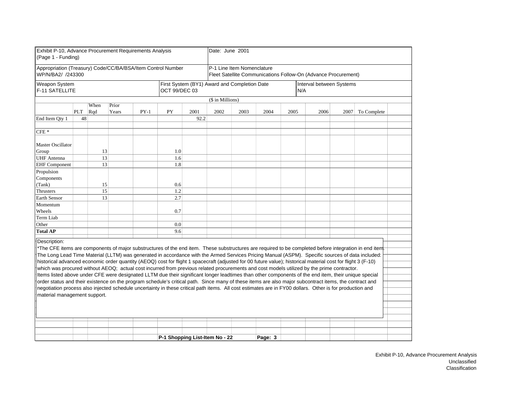| Exhibit P-10, Advance Procurement Requirements Analysis<br>(Page 1 - Funding)                                                                                |                                        |      |       |        |               |      | Date: June 2001                              |                            |         |      |                                                                |      |             |  |
|--------------------------------------------------------------------------------------------------------------------------------------------------------------|----------------------------------------|------|-------|--------|---------------|------|----------------------------------------------|----------------------------|---------|------|----------------------------------------------------------------|------|-------------|--|
| Appropriation (Treasury) Code/CC/BA/BSA/Item Control Number<br>WP/N/BA2/ /243300                                                                             |                                        |      |       |        |               |      |                                              | P-1 Line Item Nomenclature |         |      | Fleet Satellite Communications Follow-On (Advance Procurement) |      |             |  |
| <b>Weapon System</b><br>F-11 SATELLITE                                                                                                                       |                                        |      |       |        | OCT 99/DEC 03 |      | First System (BY1) Award and Completion Date |                            |         |      | Interval between Systems<br>IN/A                               |      |             |  |
|                                                                                                                                                              |                                        |      |       |        |               |      | (\$ in Millions)                             |                            |         |      |                                                                |      |             |  |
|                                                                                                                                                              |                                        | When | Prior |        |               |      |                                              |                            |         |      |                                                                |      |             |  |
|                                                                                                                                                              | PLT                                    | Rqd  | Years | $PY-1$ | PY            | 2001 | 2002                                         | 2003                       | 2004    | 2005 | 2006                                                           | 2007 | To Complete |  |
| End Item Qty 1                                                                                                                                               | 48                                     |      |       |        |               | 92.2 |                                              |                            |         |      |                                                                |      |             |  |
|                                                                                                                                                              |                                        |      |       |        |               |      |                                              |                            |         |      |                                                                |      |             |  |
| $CFE*$                                                                                                                                                       |                                        |      |       |        |               |      |                                              |                            |         |      |                                                                |      |             |  |
| <b>Master Oscillator</b>                                                                                                                                     |                                        | 13   |       |        |               |      |                                              |                            |         |      |                                                                |      |             |  |
| Group                                                                                                                                                        | 1.0<br>13<br><b>UHF</b> Antenna<br>1.6 |      |       |        |               |      |                                              |                            |         |      |                                                                |      |             |  |
|                                                                                                                                                              | 13<br>1.8                              |      |       |        |               |      |                                              |                            |         |      |                                                                |      |             |  |
| Propulsion                                                                                                                                                   | <b>EHF</b> Component                   |      |       |        |               |      |                                              |                            |         |      |                                                                |      |             |  |
| Components                                                                                                                                                   |                                        |      |       |        |               |      |                                              |                            |         |      |                                                                |      |             |  |
| (Tank)                                                                                                                                                       |                                        | 15   |       |        | 0.6           |      |                                              |                            |         |      |                                                                |      |             |  |
| Thrusters                                                                                                                                                    |                                        | 15   |       |        | 1.2           |      |                                              |                            |         |      |                                                                |      |             |  |
| <b>Earth Sensor</b>                                                                                                                                          |                                        | 13   |       |        | 2.7           |      |                                              |                            |         |      |                                                                |      |             |  |
| Momentum                                                                                                                                                     |                                        |      |       |        |               |      |                                              |                            |         |      |                                                                |      |             |  |
| Wheels                                                                                                                                                       |                                        |      |       |        | 0.7           |      |                                              |                            |         |      |                                                                |      |             |  |
| Term Liab                                                                                                                                                    |                                        |      |       |        |               |      |                                              |                            |         |      |                                                                |      |             |  |
| Other                                                                                                                                                        |                                        |      |       |        | 0.0           |      |                                              |                            |         |      |                                                                |      |             |  |
| <b>Total AP</b>                                                                                                                                              |                                        |      |       |        | 9.6           |      |                                              |                            |         |      |                                                                |      |             |  |
|                                                                                                                                                              |                                        |      |       |        |               |      |                                              |                            |         |      |                                                                |      |             |  |
| Description:                                                                                                                                                 |                                        |      |       |        |               |      |                                              |                            |         |      |                                                                |      |             |  |
| *The CFE items are components of major substructures of the end item. These substructures are required to be completed before integration in end item        |                                        |      |       |        |               |      |                                              |                            |         |      |                                                                |      |             |  |
| The Long Lead Time Material (LLTM) was generated in accordance with the Armed Services Pricing Manual (ASPM). Specific sources of data included:             |                                        |      |       |        |               |      |                                              |                            |         |      |                                                                |      |             |  |
| historical advanced economic order quantity (AEOQ) cost for flight 1 spacecraft (adjusted for 00 future value); historical material cost for flight 3 (F-10) |                                        |      |       |        |               |      |                                              |                            |         |      |                                                                |      |             |  |
| which was procured without AEOQ; actual cost incurred from previous related procurements and cost models utilized by the prime contractor.                   |                                        |      |       |        |               |      |                                              |                            |         |      |                                                                |      |             |  |
| Items listed above under CFE were designated LLTM due their significant longer leadtimes than other components of the end item, their unique special         |                                        |      |       |        |               |      |                                              |                            |         |      |                                                                |      |             |  |
| order status and their existence on the program schedule's critical path. Since many of these items are also major subcontract items, the contract and       |                                        |      |       |        |               |      |                                              |                            |         |      |                                                                |      |             |  |
| negotiation process also injected schedule uncertainty in these critical path items. All cost estimates are in FY00 dollars. Other is for production and     |                                        |      |       |        |               |      |                                              |                            |         |      |                                                                |      |             |  |
| material management support.                                                                                                                                 |                                        |      |       |        |               |      |                                              |                            |         |      |                                                                |      |             |  |
|                                                                                                                                                              |                                        |      |       |        |               |      |                                              |                            |         |      |                                                                |      |             |  |
|                                                                                                                                                              |                                        |      |       |        |               |      |                                              |                            |         |      |                                                                |      |             |  |
|                                                                                                                                                              |                                        |      |       |        |               |      |                                              |                            |         |      |                                                                |      |             |  |
|                                                                                                                                                              |                                        |      |       |        |               |      |                                              |                            |         |      |                                                                |      |             |  |
|                                                                                                                                                              |                                        |      |       |        |               |      |                                              |                            |         |      |                                                                |      |             |  |
|                                                                                                                                                              |                                        |      |       |        |               |      | P-1 Shopping List-Item No - 22               |                            | Page: 3 |      |                                                                |      |             |  |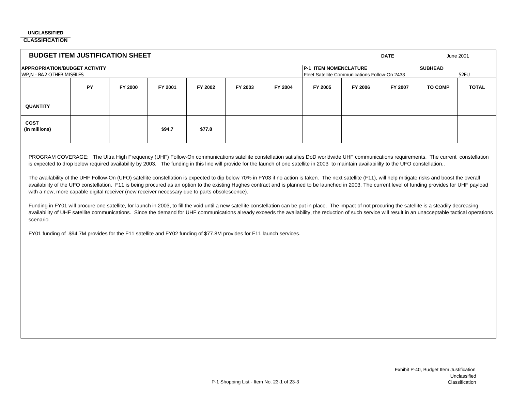**CLASSIFICATION**

| <b>BUDGET ITEM JUSTIFICATION SHEET</b>                            |    |                                               |                |         |         |         |         |         | <b>DATE</b> | June 2001      |              |
|-------------------------------------------------------------------|----|-----------------------------------------------|----------------|---------|---------|---------|---------|---------|-------------|----------------|--------------|
| <b>APPROPRIATION/BUDGET ACTIVITY</b><br>WP.N - BA2 OTHER MISSILES |    | Fleet Satellite Communications Follow-On 2433 | <b>SUBHEAD</b> | 52EU    |         |         |         |         |             |                |              |
|                                                                   | PY | <b>FY 2000</b>                                | FY 2001        | FY 2002 | FY 2003 | FY 2004 | FY 2005 | FY 2006 | FY 2007     | <b>TO COMP</b> | <b>TOTAL</b> |
| <b>QUANTITY</b>                                                   |    |                                               |                |         |         |         |         |         |             |                |              |
| <b>COST</b><br>(in millions)                                      |    |                                               | \$94.7         | \$77.8  |         |         |         |         |             |                |              |
|                                                                   |    |                                               |                |         |         |         |         |         |             |                |              |

PROGRAM COVERAGE: The Ultra High Frequency (UHF) Follow-On communications satellite constellation satisfies DoD worldwide UHF communications requirements. The current constellation is expected to drop below required availability by 2003. The funding in this line will provide for the launch of one satellite in 2003 to maintain availabililty to the UFO constellation..

The availability of the UHF Follow-On (UFO) satellite constellation is expected to dip below 70% in FY03 if no action is taken. The next satellite (F11), will help mitigate risks and boost the overall availability of the UFO constellation. F11 is being procured as an option to the existing Hughes contract and is planned to be launched in 2003. The current level of funding provides for UHF payload with a new, more capable digital receiver (new receiver necessary due to parts obsolescence).

Funding in FY01 will procure one satellite, for launch in 2003, to fill the void until a new satellite constellation can be put in place. The impact of not procuring the satellite is a steadily decreasing availability of UHF satellite communications. Since the demand for UHF communications already exceeds the availability, the reduction of such service will result in an unacceptable tactical operations scenario.

FY01 funding of \$94.7M provides for the F11 satellite and FY02 funding of \$77.8M provides for F11 launch services.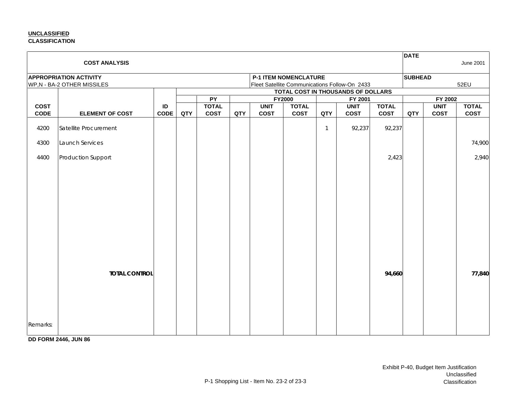### **UNCLASSIFIED CLASSIFICATION**

|                            |                               |                   |     |                             |     |                            |                              |              |                                               |                             | <b>DATE</b>    |                            |                             |
|----------------------------|-------------------------------|-------------------|-----|-----------------------------|-----|----------------------------|------------------------------|--------------|-----------------------------------------------|-----------------------------|----------------|----------------------------|-----------------------------|
|                            | <b>COST ANALYSIS</b>          |                   |     |                             |     |                            |                              |              |                                               |                             |                |                            | June 2001                   |
|                            | <b>APPROPRIATION ACTIVITY</b> |                   |     |                             |     |                            | <b>P-1 ITEM NOMENCLATURE</b> |              |                                               |                             | <b>SUBHEAD</b> |                            |                             |
|                            | WP,N - BA-2 OTHER MISSILES    |                   |     |                             |     |                            |                              |              | Fleet Satellite Communications Follow-On 2433 |                             |                |                            | 52EU                        |
|                            |                               |                   |     |                             |     |                            |                              |              | TOTAL COST IN THOUSANDS OF DOLLARS            |                             |                |                            |                             |
|                            |                               |                   |     | PY                          |     |                            | <b>FY2000</b>                |              | FY 2001                                       |                             |                | FY 2002                    |                             |
| <b>COST</b><br><b>CODE</b> | <b>ELEMENT OF COST</b>        | ID<br><b>CODE</b> | QTY | <b>TOTAL</b><br><b>COST</b> | QTY | <b>UNIT</b><br><b>COST</b> | <b>TOTAL</b><br><b>COST</b>  | QTY          | <b>UNIT</b><br><b>COST</b>                    | <b>TOTAL</b><br><b>COST</b> | QTY            | <b>UNIT</b><br><b>COST</b> | <b>TOTAL</b><br><b>COST</b> |
| 4200                       | Satellite Procurement         |                   |     |                             |     |                            |                              | $\mathbf{1}$ | 92,237                                        | 92,237                      |                |                            |                             |
| 4300                       | Launch Services               |                   |     |                             |     |                            |                              |              |                                               |                             |                |                            | 74,900                      |
|                            |                               |                   |     |                             |     |                            |                              |              |                                               |                             |                |                            |                             |
| 4400                       | Production Support            |                   |     |                             |     |                            |                              |              |                                               | 2,423                       |                |                            | 2,940                       |
|                            |                               |                   |     |                             |     |                            |                              |              |                                               |                             |                |                            |                             |
|                            |                               |                   |     |                             |     |                            |                              |              |                                               |                             |                |                            |                             |
|                            |                               |                   |     |                             |     |                            |                              |              |                                               |                             |                |                            |                             |
|                            |                               |                   |     |                             |     |                            |                              |              |                                               |                             |                |                            |                             |
|                            |                               |                   |     |                             |     |                            |                              |              |                                               |                             |                |                            |                             |
|                            |                               |                   |     |                             |     |                            |                              |              |                                               |                             |                |                            |                             |
|                            |                               |                   |     |                             |     |                            |                              |              |                                               |                             |                |                            |                             |
|                            |                               |                   |     |                             |     |                            |                              |              |                                               |                             |                |                            |                             |
|                            | <b>TOTAL CONTROL</b>          |                   |     |                             |     |                            |                              |              |                                               | 94,660                      |                |                            | 77,840                      |
|                            |                               |                   |     |                             |     |                            |                              |              |                                               |                             |                |                            |                             |
|                            |                               |                   |     |                             |     |                            |                              |              |                                               |                             |                |                            |                             |
|                            |                               |                   |     |                             |     |                            |                              |              |                                               |                             |                |                            |                             |
| Remarks:                   |                               |                   |     |                             |     |                            |                              |              |                                               |                             |                |                            |                             |

**DD FORM 2446, JUN 86**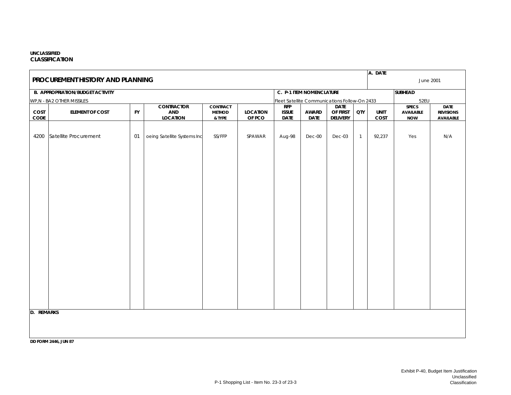### **UNCLASSIFIEDCLASSIFICATION**

|                           | A. DATE<br>PROCUREMENT HISTORY AND PLANNING<br>June 2001 |           |                             |                         |                           |                                               |                             |                      |                |                     |                                |                                      |  |  |
|---------------------------|----------------------------------------------------------|-----------|-----------------------------|-------------------------|---------------------------|-----------------------------------------------|-----------------------------|----------------------|----------------|---------------------|--------------------------------|--------------------------------------|--|--|
|                           |                                                          |           |                             |                         |                           |                                               |                             |                      |                |                     |                                |                                      |  |  |
|                           | <b>B. APPROPRIATION/BUDGET ACTIVITY</b>                  |           |                             |                         |                           |                                               | C. P-1 ITEM NOMENCLATURE    |                      |                |                     | <b>SUBHEAD</b>                 |                                      |  |  |
|                           | WP, N - BA2 OTHER MISSILES                               |           |                             |                         |                           | Fleet Satellite Communications Follow-On 2433 |                             |                      |                |                     | 52EU                           |                                      |  |  |
|                           |                                                          |           | <b>CONTRACTOR</b>           | <b>CONTRACT</b>         |                           | RFP                                           |                             | <b>DATE</b>          |                |                     | <b>SPECS</b>                   | <b>DATE</b>                          |  |  |
| COST<br>$\texttt{CODE}{}$ | <b>ELEMENT OF COST</b>                                   | <b>FY</b> | AND<br><b>LOCATION</b>      | <b>METHOD</b><br>& TYPE | <b>LOCATION</b><br>OF PCO | <b>ISSUE</b><br><b>DATE</b>                   | <b>AWARD</b><br><b>DATE</b> | OF FIRST<br>DELIVERY | QTY            | <b>UNIT</b><br>COST | <b>AVAILABLE</b><br><b>NOW</b> | <b>REVISIONS</b><br><b>AVAILABLE</b> |  |  |
|                           |                                                          |           |                             |                         |                           |                                               |                             |                      |                |                     |                                |                                      |  |  |
|                           |                                                          |           |                             |                         |                           |                                               |                             |                      |                |                     |                                |                                      |  |  |
| 4200                      | Satellite Procurement                                    | 01        | oeing Satellite Systems Inc | SS/FFP                  | SPAWAR                    | Aug-98                                        | Dec-00                      | Dec-03               | $\overline{1}$ | 92,237              | Yes                            | N/A                                  |  |  |
|                           |                                                          |           |                             |                         |                           |                                               |                             |                      |                |                     |                                |                                      |  |  |
|                           |                                                          |           |                             |                         |                           |                                               |                             |                      |                |                     |                                |                                      |  |  |
|                           |                                                          |           |                             |                         |                           |                                               |                             |                      |                |                     |                                |                                      |  |  |
|                           |                                                          |           |                             |                         |                           |                                               |                             |                      |                |                     |                                |                                      |  |  |
|                           |                                                          |           |                             |                         |                           |                                               |                             |                      |                |                     |                                |                                      |  |  |
|                           |                                                          |           |                             |                         |                           |                                               |                             |                      |                |                     |                                |                                      |  |  |
|                           |                                                          |           |                             |                         |                           |                                               |                             |                      |                |                     |                                |                                      |  |  |
|                           |                                                          |           |                             |                         |                           |                                               |                             |                      |                |                     |                                |                                      |  |  |
|                           |                                                          |           |                             |                         |                           |                                               |                             |                      |                |                     |                                |                                      |  |  |
|                           |                                                          |           |                             |                         |                           |                                               |                             |                      |                |                     |                                |                                      |  |  |
|                           |                                                          |           |                             |                         |                           |                                               |                             |                      |                |                     |                                |                                      |  |  |
|                           |                                                          |           |                             |                         |                           |                                               |                             |                      |                |                     |                                |                                      |  |  |
|                           |                                                          |           |                             |                         |                           |                                               |                             |                      |                |                     |                                |                                      |  |  |
|                           |                                                          |           |                             |                         |                           |                                               |                             |                      |                |                     |                                |                                      |  |  |
|                           |                                                          |           |                             |                         |                           |                                               |                             |                      |                |                     |                                |                                      |  |  |
|                           |                                                          |           |                             |                         |                           |                                               |                             |                      |                |                     |                                |                                      |  |  |
|                           |                                                          |           |                             |                         |                           |                                               |                             |                      |                |                     |                                |                                      |  |  |
|                           |                                                          |           |                             |                         |                           |                                               |                             |                      |                |                     |                                |                                      |  |  |
|                           |                                                          |           |                             |                         |                           |                                               |                             |                      |                |                     |                                |                                      |  |  |
|                           |                                                          |           |                             |                         |                           |                                               |                             |                      |                |                     |                                |                                      |  |  |
| <b>D. REMARKS</b>         |                                                          |           |                             |                         |                           |                                               |                             |                      |                |                     |                                |                                      |  |  |
|                           |                                                          |           |                             |                         |                           |                                               |                             |                      |                |                     |                                |                                      |  |  |
|                           |                                                          |           |                             |                         |                           |                                               |                             |                      |                |                     |                                |                                      |  |  |
|                           |                                                          |           |                             |                         |                           |                                               |                             |                      |                |                     |                                |                                      |  |  |
|                           | <b>DD FORM 2446, JUN 87</b>                              |           |                             |                         |                           |                                               |                             |                      |                |                     |                                |                                      |  |  |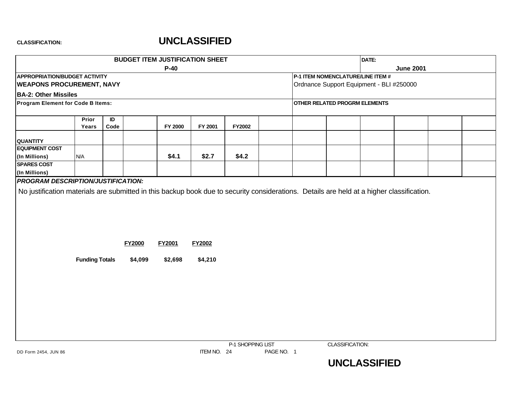|                                                                                                                                                                                        |                       |                  |               | <b>BUDGET ITEM JUSTIFICATION SHEET</b> |               |                   | DATE:                                    |  |                  |  |
|----------------------------------------------------------------------------------------------------------------------------------------------------------------------------------------|-----------------------|------------------|---------------|----------------------------------------|---------------|-------------------|------------------------------------------|--|------------------|--|
|                                                                                                                                                                                        |                       |                  |               | $P-40$                                 |               |                   |                                          |  | <b>June 2001</b> |  |
| <b>APPROPRIATION/BUDGET ACTIVITY</b>                                                                                                                                                   |                       |                  |               |                                        |               |                   | P-1 ITEM NOMENCLATURE/LINE ITEM #        |  |                  |  |
| <b>WEAPONS PROCUREMENT, NAVY</b>                                                                                                                                                       |                       |                  |               |                                        |               |                   | Ordnance Support Equipment - BLI #250000 |  |                  |  |
| <b>BA-2: Other Missiles</b>                                                                                                                                                            |                       |                  |               |                                        |               |                   |                                          |  |                  |  |
| Program Element for Code B Items:                                                                                                                                                      |                       |                  |               |                                        |               |                   | <b>OTHER RELATED PROGRM ELEMENTS</b>     |  |                  |  |
|                                                                                                                                                                                        | Prior<br>Years        | $\sf ID$<br>Code |               | <b>FY 2000</b>                         | FY 2001       | FY2002            |                                          |  |                  |  |
| <b>QUANTITY</b>                                                                                                                                                                        |                       |                  |               |                                        |               |                   |                                          |  |                  |  |
| <b>EQUIPMENT COST</b><br>(In Millions)                                                                                                                                                 | N/A                   |                  |               | \$4.1                                  | \$2.7         | \$4.2             |                                          |  |                  |  |
| <b>SPARES COST</b><br>(In Millions)                                                                                                                                                    |                       |                  |               |                                        |               |                   |                                          |  |                  |  |
| <b>PROGRAM DESCRIPTION/JUSTIFICATION:</b><br>No justification materials are submitted in this backup book due to security considerations. Details are held at a higher classification. |                       |                  |               |                                        |               |                   |                                          |  |                  |  |
|                                                                                                                                                                                        |                       |                  | <b>FY2000</b> | <b>FY2001</b>                          | <b>FY2002</b> |                   |                                          |  |                  |  |
|                                                                                                                                                                                        | <b>Funding Totals</b> |                  | \$4,099       | \$2,698                                | \$4,210       |                   |                                          |  |                  |  |
|                                                                                                                                                                                        |                       |                  |               |                                        |               |                   |                                          |  |                  |  |
|                                                                                                                                                                                        |                       |                  |               |                                        |               |                   |                                          |  |                  |  |
|                                                                                                                                                                                        |                       |                  |               |                                        |               |                   |                                          |  |                  |  |
|                                                                                                                                                                                        |                       |                  |               |                                        |               | P-1 SHOPPING LIST | CLASSIFICATION:                          |  |                  |  |

DD Form 2454, JUN 86 **ITEM NO. 24** PAGE NO. 1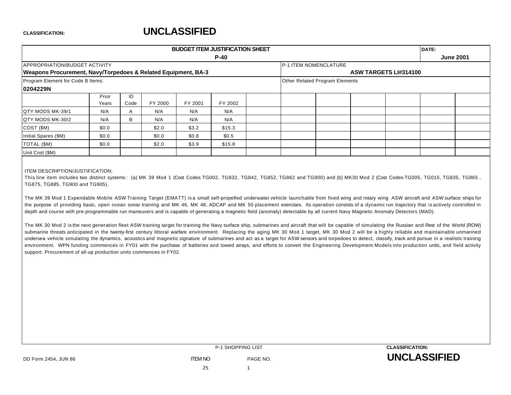|                                                               |       |      |         |         | <b>BUDGET ITEM JUSTIFICATION SHEET</b> |  |                                |                              | DATE: |                  |
|---------------------------------------------------------------|-------|------|---------|---------|----------------------------------------|--|--------------------------------|------------------------------|-------|------------------|
|                                                               |       |      |         |         | $P-40$                                 |  |                                |                              |       | <b>June 2001</b> |
| <b>APPROPRIATION/BUDGET ACTIVITY</b>                          |       |      |         |         |                                        |  | P-1 ITEM NOMENCLATURE          |                              |       |                  |
| Weapons Procurement, Navy/Torpedoes & Related Equipment, BA-3 |       |      |         |         |                                        |  |                                | <b>ASW TARGETS LI#314100</b> |       |                  |
| Program Element for Code B Items:                             |       |      |         |         |                                        |  | Other Related Program Elements |                              |       |                  |
| 0204229N                                                      |       |      |         |         |                                        |  |                                |                              |       |                  |
|                                                               | Prior | ID   |         |         |                                        |  |                                |                              |       |                  |
|                                                               | Years | Code | FY 2000 | FY 2001 | FY 2002                                |  |                                |                              |       |                  |
| QTY MODS MK-39/1                                              | N/A   | A    | N/A     | N/A     | N/A                                    |  |                                |                              |       |                  |
| <b>QTY MODS MK-30/2</b>                                       | N/A   | B    | N/A     | N/A     | N/A                                    |  |                                |                              |       |                  |
| COST (\$M)                                                    | \$0.0 |      | \$2.0   | \$3.2   | \$15.3                                 |  |                                |                              |       |                  |
| Initial Spares (\$M)                                          | \$0.0 |      | \$0.0   | \$0.8   | \$0.5                                  |  |                                |                              |       |                  |
| TOTAL (\$M)                                                   | \$0.0 |      | \$2.0   | \$3.9   | \$15.8                                 |  |                                |                              |       |                  |
| Unit Cost (\$M)                                               |       |      |         |         |                                        |  |                                |                              |       |                  |

### ITEM DESCRIPTION/JUSTIFICATION:

This line item includes two distinct systems: (a) MK 39 Mod 1 (Cost Codes TG002, TG832, TG842, TG852, TG862 and TG900) and (b) MK30 Mod 2 (Cost Codes TG005, TG015, TG835, TG865, TG875, TG885, TG900 and TG905).

The MK 39 Mod 1 Expendable Mobile ASW Training Target (EMATT) is a small self-propelled underwater vehicle launchable from fixed wing and rotary wing ASW aircraft and ASW surface ships for the purpose of providing basic, open ocean sonar training and MK 46, MK 48, ADCAP and MK 50 placement exercises. Its operation consists of a dynamic run trajectory that is actively controlled in depth and course with pre-programmable run maneuvers and is capable of generating a magnetic field (anomaly) detectable by all current Navy Magnetic Anomaly Detectors (MAD).

The MK 30 Mod 2 is the next generation fleet ASW training target for training the Navy surface ship, submarines and aircraft that will be capable of simulating the Russian and Rest of the World (ROW) submarine threats anticipated in the twenty-first century littoral warfare environment. Replacing the aging MK 30 Mod 1 target, MK 30 Mod 2 will be a highly reliable and maintainable unmanned undersea vehicle simulating the dynamics, acoustics and magnetic signature of submarines and act as a target for ASW sensors and torpedoes to detect, classify, track and pursue in a realistic training environment. WPN funding commences in FY01 with the purchase of batteries and towed arrays, and efforts to convert the Engineering Development Models into production units, and field activity support. Procurement of all-up production units commences in FY02.

|                      | <b>P-1 SHOPPING LIST</b> |          | <b>CLASSIFICATION:</b> |
|----------------------|--------------------------|----------|------------------------|
| DD Form 2454, JUN 86 | <b>ITEM NO</b>           | PAGE NO. | <b>UNCLASSIFIED</b>    |
|                      | 25                       |          |                        |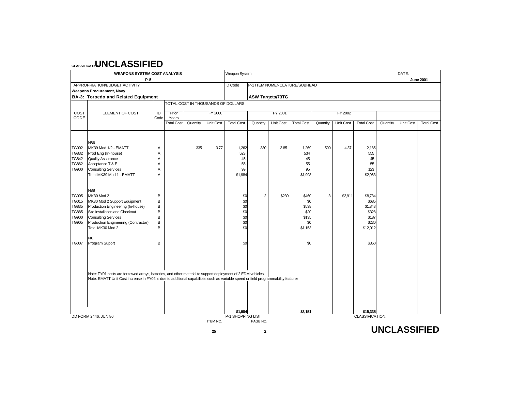|              | <b>WEAPONS SYSTEM COST ANALYSIS</b>                                                                                                                                                                                                                |      |                   |          |                                    | Weapon System                |                         |                  |                               |          |           |                                    |          | DATE:            |                   |
|--------------|----------------------------------------------------------------------------------------------------------------------------------------------------------------------------------------------------------------------------------------------------|------|-------------------|----------|------------------------------------|------------------------------|-------------------------|------------------|-------------------------------|----------|-----------|------------------------------------|----------|------------------|-------------------|
|              | $P-5$                                                                                                                                                                                                                                              |      |                   |          |                                    |                              |                         |                  |                               |          |           |                                    |          |                  | <b>June 2001</b>  |
|              | APPROPRIATION/BUDGET ACTIVITY                                                                                                                                                                                                                      |      |                   |          |                                    | <b>ID Code</b>               |                         |                  | P-1 ITEM NOMENCLATURE/SUBHEAD |          |           |                                    |          |                  |                   |
|              | <b>Weapons Procurement, Navy</b>                                                                                                                                                                                                                   |      |                   |          |                                    |                              |                         |                  |                               |          |           |                                    |          |                  |                   |
|              | BA-3: Torpedo and Related Equipment                                                                                                                                                                                                                |      |                   |          | TOTAL COST IN THOUSANDS OF DOLLARS |                              | <b>ASW Targets/73TG</b> |                  |                               |          |           |                                    |          |                  |                   |
|              |                                                                                                                                                                                                                                                    |      |                   |          |                                    |                              |                         |                  |                               |          |           |                                    |          |                  |                   |
| COST         | ELEMENT OF COST                                                                                                                                                                                                                                    | ID   | Prior             |          | <b>FY 2000</b>                     |                              |                         | FY 2001          |                               |          | FY 2002   |                                    |          |                  |                   |
| CODE         |                                                                                                                                                                                                                                                    | Code | Years             |          |                                    |                              |                         |                  |                               |          |           |                                    |          |                  |                   |
|              |                                                                                                                                                                                                                                                    |      | <b>Total Cost</b> | Quantity | <b>Unit Cost</b>                   | <b>Total Cost</b>            | Quantity                | <b>Unit Cost</b> | <b>Total Cost</b>             | Quantity | Unit Cost | <b>Total Cost</b>                  | Quantity | <b>Unit Cost</b> | <b>Total Cost</b> |
|              |                                                                                                                                                                                                                                                    |      |                   |          |                                    |                              |                         |                  |                               |          |           |                                    |          |                  |                   |
|              | N86                                                                                                                                                                                                                                                |      |                   |          |                                    |                              |                         |                  |                               |          |           |                                    |          |                  |                   |
| <b>TG002</b> | MK39 Mod 1/2 - EMATT                                                                                                                                                                                                                               | Α    |                   | 335      | 3.77                               | 1,262                        | 330                     | 3.85             | 1,269                         | 500      | 4.37      | 2,185                              |          |                  |                   |
| TG832        | Prod Eng (In-house)                                                                                                                                                                                                                                | Α    |                   |          |                                    | 523                          |                         |                  | 534                           |          |           | 555                                |          |                  |                   |
| <b>TG842</b> | <b>Quality Assurance</b>                                                                                                                                                                                                                           | Α    |                   |          |                                    | 45                           |                         |                  | 45                            |          |           | 45                                 |          |                  |                   |
| <b>TG862</b> | Acceptance T & E                                                                                                                                                                                                                                   | A    |                   |          |                                    | 55                           |                         |                  | 55                            |          |           | 55                                 |          |                  |                   |
| <b>TG900</b> | <b>Consulting Services</b>                                                                                                                                                                                                                         | Α    |                   |          |                                    | 99                           |                         |                  | 95                            |          |           | 123                                |          |                  |                   |
|              | Total MK39 Mod 1 - EMATT                                                                                                                                                                                                                           | Α    |                   |          |                                    | \$1,984                      |                         |                  | \$1,998                       |          |           | \$2,963                            |          |                  |                   |
|              |                                                                                                                                                                                                                                                    |      |                   |          |                                    |                              |                         |                  |                               |          |           |                                    |          |                  |                   |
|              | N88                                                                                                                                                                                                                                                |      |                   |          |                                    |                              |                         |                  |                               |          |           |                                    |          |                  |                   |
| <b>TG005</b> | MK30 Mod 2                                                                                                                                                                                                                                         | В    |                   |          |                                    | \$0                          | 2                       | \$230            | \$460                         | 3        | \$2,911   | \$8,734                            |          |                  |                   |
| <b>TG015</b> | MK30 Mod 2 Support Equipment                                                                                                                                                                                                                       | B    |                   |          |                                    | \$0                          |                         |                  | \$0                           |          |           | \$685                              |          |                  |                   |
| <b>TG835</b> | Production Engineering (In-house)                                                                                                                                                                                                                  | B    |                   |          |                                    | \$0                          |                         |                  | \$538                         |          |           | \$1,848                            |          |                  |                   |
| <b>TG885</b> | Site Installation and Checkout                                                                                                                                                                                                                     | B    |                   |          |                                    | \$0                          |                         |                  | \$20                          |          |           | \$328                              |          |                  |                   |
| <b>TG900</b> | <b>Consulting Services</b>                                                                                                                                                                                                                         | B    |                   |          |                                    | \$0                          |                         |                  | \$135                         |          |           | \$187                              |          |                  |                   |
| <b>TG905</b> | Production Engineering (Contractor)                                                                                                                                                                                                                | B    |                   |          |                                    | \$0                          |                         |                  | \$0                           |          |           | \$230                              |          |                  |                   |
|              | Total MK30 Mod 2                                                                                                                                                                                                                                   | B    |                   |          |                                    | \$0                          |                         |                  | \$1,153                       |          |           | \$12,012                           |          |                  |                   |
|              | N <sub>6</sub>                                                                                                                                                                                                                                     |      |                   |          |                                    |                              |                         |                  |                               |          |           |                                    |          |                  |                   |
| <b>TG007</b> | Program Suport                                                                                                                                                                                                                                     | B    |                   |          |                                    | \$0                          |                         |                  | \$0                           |          |           | \$360                              |          |                  |                   |
|              |                                                                                                                                                                                                                                                    |      |                   |          |                                    |                              |                         |                  |                               |          |           |                                    |          |                  |                   |
|              |                                                                                                                                                                                                                                                    |      |                   |          |                                    |                              |                         |                  |                               |          |           |                                    |          |                  |                   |
|              |                                                                                                                                                                                                                                                    |      |                   |          |                                    |                              |                         |                  |                               |          |           |                                    |          |                  |                   |
|              |                                                                                                                                                                                                                                                    |      |                   |          |                                    |                              |                         |                  |                               |          |           |                                    |          |                  |                   |
|              | Note: FY01 costs are for towed arrays, batteries, and other material to support deployment of 2 EDM vehicles.<br>Note: EMATT Unit Cost increase in FY02 is due to additional capabilities such as variable speed or field programmability features |      |                   |          |                                    |                              |                         |                  |                               |          |           |                                    |          |                  |                   |
|              |                                                                                                                                                                                                                                                    |      |                   |          |                                    |                              |                         |                  |                               |          |           |                                    |          |                  |                   |
|              |                                                                                                                                                                                                                                                    |      |                   |          |                                    |                              |                         |                  |                               |          |           |                                    |          |                  |                   |
|              |                                                                                                                                                                                                                                                    |      |                   |          |                                    |                              |                         |                  |                               |          |           |                                    |          |                  |                   |
|              |                                                                                                                                                                                                                                                    |      |                   |          |                                    |                              |                         |                  |                               |          |           |                                    |          |                  |                   |
|              |                                                                                                                                                                                                                                                    |      |                   |          |                                    |                              |                         |                  |                               |          |           |                                    |          |                  |                   |
|              | DD FORM 2446, JUN 86                                                                                                                                                                                                                               |      |                   |          |                                    | \$1,984<br>P-1 SHOPPING LIST |                         |                  | \$3,151                       |          |           | \$15,335<br><b>CLASSIFICATION:</b> |          |                  |                   |
|              |                                                                                                                                                                                                                                                    |      |                   |          | ITEM NO.                           |                              | PAGE NO.                |                  |                               |          |           |                                    |          |                  |                   |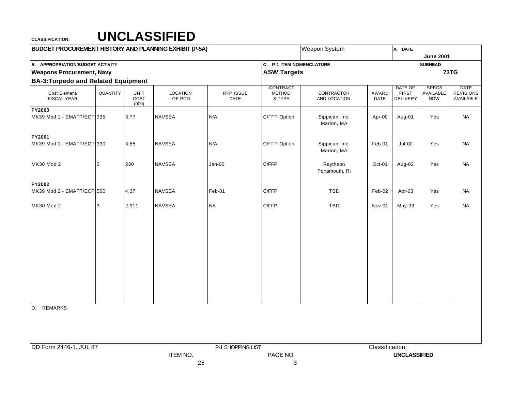| <b>BUDGET PROCUREMENT HISTORY AND PLANNING EXHIBIT (P-5A)</b> |                |                              |                           |                          |                                     | Weapon System                |                 | A. DATE                             |                                         |                                              |
|---------------------------------------------------------------|----------------|------------------------------|---------------------------|--------------------------|-------------------------------------|------------------------------|-----------------|-------------------------------------|-----------------------------------------|----------------------------------------------|
|                                                               |                |                              |                           |                          |                                     |                              |                 |                                     | <b>June 2001</b>                        |                                              |
| <b>B. APPROPRIATION/BUDGET ACTIVITY</b>                       |                |                              |                           |                          | C. P-1 ITEM NOMENCLATURE            |                              |                 |                                     | <b>SUBHEAD</b>                          |                                              |
| <b>Weapons Procurement, Navy</b>                              |                |                              |                           |                          | <b>ASW Targets</b>                  |                              |                 |                                     |                                         | 73TG                                         |
| <b>BA-3: Torpedo and Related Equipment</b>                    |                |                              |                           |                          |                                     |                              |                 |                                     |                                         |                                              |
| Cost Element/<br><b>FISCAL YEAR</b>                           | QUANTITY       | <b>UNIT</b><br>COST<br>(000) | <b>LOCATION</b><br>OF PCO | RFP ISSUE<br><b>DATE</b> | CONTRACT<br><b>METHOD</b><br>& TYPE | CONTRACTOR<br>AND LOCATION   | AWARD<br>DATE   | DATE OF<br><b>FIRST</b><br>DELIVERY | <b>SPECS</b><br>AVAILABLE<br><b>NOW</b> | <b>DATE</b><br><b>REVISIONS</b><br>AVAILABLE |
| <b>FY2000</b><br>MK39 Mod 1 - EMATT/ECP 335                   |                | 3.77                         | <b>NAVSEA</b>             | N/A                      | C/FFP-Option                        | Sippican, Inc.               | Apr-00          | Aug-01                              | Yes                                     | <b>NA</b>                                    |
| FY2001                                                        |                |                              |                           |                          |                                     | Marion, MA                   |                 |                                     |                                         |                                              |
| MK39 Mod 1 - EMATT/ECP 330                                    |                | 3.85                         | <b>NAVSEA</b>             | N/A                      | C/FFP-Option                        | Sippican, Inc.<br>Marion, MA | Feb-01          | <b>Jul-02</b>                       | Yes                                     | <b>NA</b>                                    |
| MK30 Mod 2                                                    | $\overline{c}$ | 230                          | <b>NAVSEA</b>             | $Jan-00$                 | C/FFP                               | Raytheon<br>Portsmouth, RI   | Oct-01          | Aug-02                              | Yes                                     | <b>NA</b>                                    |
| FY2002<br>MK39 Mod 2 - EMATT/ECP 500                          |                | 4.37                         | <b>NAVSEA</b>             | Feb-01                   | C/FFP                               | TBD                          | Feb-02          | Apr-03                              | Yes                                     | <b>NA</b>                                    |
| MK30 Mod 2                                                    | 3              | 2,911                        | <b>NAVSEA</b>             | <b>NA</b>                | C/FFP                               | TBD                          | Nov-01          | May-03                              | Yes                                     | <b>NA</b>                                    |
|                                                               |                |                              |                           |                          |                                     |                              |                 |                                     |                                         |                                              |
|                                                               |                |                              |                           |                          |                                     |                              |                 |                                     |                                         |                                              |
|                                                               |                |                              |                           |                          |                                     |                              |                 |                                     |                                         |                                              |
|                                                               |                |                              |                           |                          |                                     |                              |                 |                                     |                                         |                                              |
|                                                               |                |                              |                           |                          |                                     |                              |                 |                                     |                                         |                                              |
| D. REMARKS                                                    |                |                              |                           |                          |                                     |                              |                 |                                     |                                         |                                              |
|                                                               |                |                              |                           |                          |                                     |                              |                 |                                     |                                         |                                              |
| DD Form 2446-1, JUL 87                                        |                |                              |                           | P-1 SHOPPING LIST        |                                     |                              | Classification: |                                     |                                         |                                              |
|                                                               |                |                              | <b>ITEM NO.</b>           |                          | PAGE NO.                            |                              |                 | <b>UNCLASSIFIED</b>                 |                                         |                                              |
|                                                               |                |                              |                           | 25                       | 3                                   |                              |                 |                                     |                                         |                                              |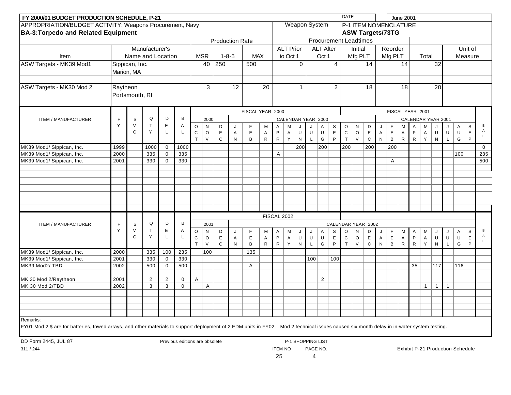| FY 2000/01 BUDGET PRODUCTION SCHEDULE, P-21                                                                                                                                                |              |                |                   |                            |                                |                   |                   |        |                        |                  |        |                   |                           |                |                         |                    |                              | <b>DATE</b>              |                      |                         |                                        |                                | <b>June 2001</b>          |                             |                   |                |                        |                                         |                  |             |
|--------------------------------------------------------------------------------------------------------------------------------------------------------------------------------------------|--------------|----------------|-------------------|----------------------------|--------------------------------|-------------------|-------------------|--------|------------------------|------------------|--------|-------------------|---------------------------|----------------|-------------------------|--------------------|------------------------------|--------------------------|----------------------|-------------------------|----------------------------------------|--------------------------------|---------------------------|-----------------------------|-------------------|----------------|------------------------|-----------------------------------------|------------------|-------------|
| APPROPRIATION/BUDGET ACTIVITY: Weapons Procurement, Navy                                                                                                                                   |              |                |                   |                            |                                |                   |                   |        |                        |                  |        |                   |                           |                | <b>Weapon System</b>    |                    |                              |                          |                      | P-1 ITEM NOMENCLATURE   |                                        |                                |                           |                             |                   |                |                        |                                         |                  |             |
| <b>BA-3: Torpedo and Related Equipment</b>                                                                                                                                                 |              |                |                   |                            |                                |                   |                   |        |                        |                  |        |                   |                           |                |                         |                    |                              |                          |                      | <b>ASW Targets/73TG</b> |                                        |                                |                           |                             |                   |                |                        |                                         |                  |             |
|                                                                                                                                                                                            |              |                |                   |                            |                                |                   |                   |        | <b>Production Rate</b> |                  |        |                   |                           |                |                         |                    | <b>Procurement Leadtimes</b> |                          |                      |                         |                                        |                                |                           |                             |                   |                |                        |                                         |                  |             |
|                                                                                                                                                                                            |              |                | Manufacturer's    |                            |                                |                   |                   |        |                        |                  |        |                   | <b>ALT Prior</b>          |                |                         | <b>ALT After</b>   |                              |                          | Initial              |                         |                                        | Reorder                        |                           |                             |                   |                |                        |                                         | Unit of          |             |
| Item                                                                                                                                                                                       |              |                | Name and Location |                            |                                |                   | <b>MSR</b>        |        | $1 - 8 - 5$            | <b>MAX</b>       |        |                   | to Oct 1                  |                |                         | Oct 1              |                              |                          | Mfg PLT              |                         |                                        | Mfg PLT                        |                           |                             | Total             |                |                        |                                         | Measure          |             |
| ASW Targets - MK39 Mod1                                                                                                                                                                    |              | Sippican, Inc. |                   |                            |                                |                   | 40                | 250    |                        | 500              |        |                   |                           | 0              |                         |                    | $\overline{4}$               |                          |                      | 14                      |                                        |                                | 14                        |                             |                   | 32             |                        |                                         |                  |             |
|                                                                                                                                                                                            |              | Marion, MA     |                   |                            |                                |                   |                   |        |                        |                  |        |                   |                           |                |                         |                    |                              |                          |                      |                         |                                        |                                |                           |                             |                   |                |                        |                                         |                  |             |
|                                                                                                                                                                                            |              |                |                   |                            |                                |                   |                   |        |                        |                  |        |                   |                           |                |                         |                    |                              |                          |                      |                         |                                        |                                |                           |                             |                   |                |                        |                                         |                  |             |
| ASW Targets - MK30 Mod 2                                                                                                                                                                   | Raytheon     |                |                   |                            |                                |                   | 3                 |        | 12                     |                  | 20     |                   |                           | $\mathbf{1}$   |                         |                    | $\overline{2}$               |                          |                      | 18                      |                                        |                                | 18                        |                             |                   | 20             |                        |                                         |                  |             |
|                                                                                                                                                                                            |              | Portsmouth, RI |                   |                            |                                |                   |                   |        |                        |                  |        |                   |                           |                |                         |                    |                              |                          |                      |                         |                                        |                                |                           |                             |                   |                |                        |                                         |                  |             |
|                                                                                                                                                                                            |              |                |                   |                            |                                |                   |                   |        |                        |                  |        |                   |                           |                |                         |                    |                              |                          |                      |                         |                                        |                                |                           |                             |                   |                |                        |                                         |                  |             |
|                                                                                                                                                                                            |              |                |                   |                            |                                |                   |                   |        |                        | FISCAL YEAR 2000 |        |                   |                           |                |                         |                    |                              |                          |                      |                         |                                        |                                |                           | FISCAL YEAR 2001            |                   |                |                        |                                         |                  |             |
| <b>ITEM / MANUFACTURER</b>                                                                                                                                                                 | F            | S              | Q                 | D                          | В                              |                   | 2000              |        |                        |                  |        |                   |                           |                | CALENDAR YEAR 2000      |                    |                              |                          |                      |                         |                                        |                                |                           | CALENDAR YEAR 2001          |                   |                |                        |                                         |                  |             |
|                                                                                                                                                                                            | Y            | V              | Τ                 | Ε                          | Α                              | $\mathsf O$       | ${\sf N}$         | D      | J                      | F                | M      | Α                 | M                         | J              | J                       | A                  | S                            | $\circ$                  | ${\sf N}$            | D                       | J                                      | F                              | M                         | A                           | M                 | J              | J                      | A                                       | $\mathsf S$      | B           |
|                                                                                                                                                                                            |              | C              | Y                 | L                          |                                | $\mathsf C$       | $\circ$           | E      | A                      | Е                | Α      | P                 | $\boldsymbol{\mathsf{A}}$ | U              | $\sf U$                 | $\sf U$            | $\mathsf E$                  | ${\rm C}$                | $\mathsf O$          | Е                       | $\boldsymbol{\mathsf{A}}$              | E                              | A                         | P                           | A                 | U              | $\sf U$                | U                                       | $\mathsf E$      | A           |
|                                                                                                                                                                                            |              |                |                   |                            |                                | T.                | $\vee$            | C      | N                      | B                | R      | $\mathsf{R}$      | Y                         | ${\sf N}$      | L                       | G                  | P                            | $\top$                   | $\vee$               | $\mathbf C$             | ${\sf N}$                              | $\, {\bf B}$                   | ${\sf R}$                 | $\mathsf{R}$                | Y                 | ${\sf N}$      | L                      | G                                       | P                |             |
| MK39 Mod1/ Sippican, Inc.                                                                                                                                                                  | 1999         |                | 1000              | $\mathbf 0$                | 1000                           |                   |                   |        |                        |                  |        |                   |                           | 200            |                         | 200                |                              | 200                      |                      | 200                     |                                        | 200                            |                           |                             |                   |                |                        |                                         |                  | $\mathbf 0$ |
| MK39 Mod1/ Sippican, Inc.<br>MK39 Mod1/ Sippican, Inc.                                                                                                                                     | 2000<br>2001 |                | 335<br>330        | $\mathbf 0$<br>$\mathbf 0$ | $\overline{335}$<br>330        |                   |                   |        |                        |                  |        | Α                 |                           |                |                         |                    |                              |                          |                      |                         |                                        |                                |                           |                             |                   |                |                        | 100                                     |                  | 235<br>500  |
|                                                                                                                                                                                            |              |                |                   |                            |                                |                   |                   |        |                        |                  |        |                   |                           |                |                         |                    |                              |                          |                      |                         |                                        | Α                              |                           |                             |                   |                |                        |                                         |                  |             |
|                                                                                                                                                                                            |              |                |                   |                            |                                |                   |                   |        |                        |                  |        |                   |                           |                |                         |                    |                              |                          |                      |                         |                                        |                                |                           |                             |                   |                |                        |                                         |                  |             |
|                                                                                                                                                                                            |              |                |                   |                            |                                |                   |                   |        |                        |                  |        |                   |                           |                |                         |                    |                              |                          |                      |                         |                                        |                                |                           |                             |                   |                |                        |                                         |                  |             |
|                                                                                                                                                                                            |              |                |                   |                            |                                |                   |                   |        |                        |                  |        |                   |                           |                |                         |                    |                              |                          |                      |                         |                                        |                                |                           |                             |                   |                |                        |                                         |                  |             |
|                                                                                                                                                                                            |              |                |                   |                            |                                |                   |                   |        |                        |                  |        |                   |                           |                |                         |                    |                              |                          |                      |                         |                                        |                                |                           |                             |                   |                |                        |                                         |                  |             |
|                                                                                                                                                                                            |              |                |                   |                            |                                |                   |                   |        |                        |                  |        |                   |                           |                |                         |                    |                              |                          |                      |                         |                                        |                                |                           |                             |                   |                |                        |                                         |                  |             |
|                                                                                                                                                                                            |              |                |                   |                            |                                |                   |                   |        |                        |                  |        |                   |                           |                |                         |                    |                              |                          |                      |                         |                                        |                                |                           |                             |                   |                |                        |                                         |                  |             |
|                                                                                                                                                                                            |              |                |                   |                            |                                |                   |                   |        |                        |                  |        |                   | <b>FISCAL 2002</b>        |                |                         |                    |                              |                          |                      |                         |                                        |                                |                           |                             |                   |                |                        |                                         |                  |             |
| ITEM / MANUFACTURER                                                                                                                                                                        | F            | $\mathsf S$    | Q                 | D                          | В                              |                   | 2001              |        |                        |                  |        |                   |                           |                |                         |                    |                              |                          |                      | CALENDAR YEAR 2002      |                                        |                                |                           |                             |                   |                |                        |                                         |                  |             |
|                                                                                                                                                                                            | Y            | V<br>C         | Τ<br>Y            | Ε<br>L                     | Α                              | $\mathsf O$       | N                 | D      | J                      | F                | M      | A                 | M                         | J              | J                       | Α                  | S                            | O                        | ${\sf N}$            | D                       | J                                      | F                              | M                         | Α                           | M                 | J              | J                      | Α                                       | $\mathsf S$      | B<br>A      |
|                                                                                                                                                                                            |              |                |                   |                            |                                | $\mathsf C$<br>T. | $\circ$<br>$\vee$ | E<br>C | A<br>N                 | Е<br>B           | Α<br>R | P<br>$\mathsf{R}$ | A<br>Y                    | U<br>${\sf N}$ | $\sf U$<br>$\mathsf{L}$ | U<br>${\mathsf G}$ | $\mathsf E$<br>$\mathsf P$   | ${\bf C}$<br>$\mathsf T$ | $\circ$<br>${\sf V}$ | E<br>$\mathbf C$        | $\boldsymbol{\mathsf{A}}$<br>${\sf N}$ | $\mathsf E$<br>$\, {\bf B} \,$ | $\mathsf{A}$<br>${\sf R}$ | $\mathsf P$<br>$\mathsf{R}$ | $\mathsf{A}$<br>Y | U<br>${\sf N}$ | $\sf U$<br>$\mathsf L$ | $\sf U$<br>G                            | $\mathsf E$<br>P |             |
| MK39 Mod1/ Sippican, Inc.                                                                                                                                                                  | 2000         |                | 335               | 100                        | 235                            |                   | 100               |        |                        | 135              |        |                   |                           |                |                         |                    |                              |                          |                      |                         |                                        |                                |                           |                             |                   |                |                        |                                         |                  |             |
| MK39 Mod1/ Sippican, Inc.                                                                                                                                                                  | 2001         |                | 330               | $\mathbf 0$                | 330                            |                   |                   |        |                        |                  |        |                   |                           |                | 100                     |                    | 100                          |                          |                      |                         |                                        |                                |                           |                             |                   |                |                        |                                         |                  |             |
| MK39 Mod2/TBD                                                                                                                                                                              | 2002         |                | 500               | $\mathbf 0$                | 500                            |                   |                   |        |                        | Α                |        |                   |                           |                |                         |                    |                              |                          |                      |                         |                                        |                                |                           | 35                          |                   | 117            |                        | 116                                     |                  |             |
|                                                                                                                                                                                            |              |                |                   |                            |                                |                   |                   |        |                        |                  |        |                   |                           |                |                         |                    |                              |                          |                      |                         |                                        |                                |                           |                             |                   |                |                        |                                         |                  |             |
| MK 30 Mod 2/Raytheon                                                                                                                                                                       | 2001         |                | 2                 | 2                          | $\mathbf 0$                    | A                 |                   |        |                        |                  |        |                   |                           |                |                         | 2                  |                              |                          |                      |                         |                                        |                                |                           |                             |                   |                |                        |                                         |                  |             |
| MK 30 Mod 2/TBD                                                                                                                                                                            | 2002         |                | 3                 | 3                          | $\mathbf 0$                    |                   | A                 |        |                        |                  |        |                   |                           |                |                         |                    |                              |                          |                      |                         |                                        |                                |                           |                             | $\mathbf{1}$      | $\mathbf{1}$   | $\mathbf{1}$           |                                         |                  |             |
|                                                                                                                                                                                            |              |                |                   |                            |                                |                   |                   |        |                        |                  |        |                   |                           |                |                         |                    |                              |                          |                      |                         |                                        |                                |                           |                             |                   |                |                        |                                         |                  |             |
|                                                                                                                                                                                            |              |                |                   |                            |                                |                   |                   |        |                        |                  |        |                   |                           |                |                         |                    |                              |                          |                      |                         |                                        |                                |                           |                             |                   |                |                        |                                         |                  |             |
|                                                                                                                                                                                            |              |                |                   |                            |                                |                   |                   |        |                        |                  |        |                   |                           |                |                         |                    |                              |                          |                      |                         |                                        |                                |                           |                             |                   |                |                        |                                         |                  |             |
| Remarks:                                                                                                                                                                                   |              |                |                   |                            |                                |                   |                   |        |                        |                  |        |                   |                           |                |                         |                    |                              |                          |                      |                         |                                        |                                |                           |                             |                   |                |                        |                                         |                  |             |
| FY01 Mod 2 \$ are for batteries, towed arrays, and other materials to support deployment of 2 EDM units in FY02. Mod 2 technical issues caused six month delay in in-water system testing. |              |                |                   |                            |                                |                   |                   |        |                        |                  |        |                   |                           |                |                         |                    |                              |                          |                      |                         |                                        |                                |                           |                             |                   |                |                        |                                         |                  |             |
|                                                                                                                                                                                            |              |                |                   |                            |                                |                   |                   |        |                        |                  |        |                   |                           |                |                         |                    |                              |                          |                      |                         |                                        |                                |                           |                             |                   |                |                        |                                         |                  |             |
| DD Form 2445, JUL 87                                                                                                                                                                       |              |                |                   |                            | Previous editions are obsolete |                   |                   |        |                        |                  |        |                   |                           |                | P-1 SHOPPING LIST       |                    |                              |                          |                      |                         |                                        |                                |                           |                             |                   |                |                        |                                         |                  |             |
| 311 / 244                                                                                                                                                                                  |              |                |                   |                            |                                |                   |                   |        |                        |                  |        | <b>ITEM NO</b>    |                           |                | PAGE NO.                |                    |                              |                          |                      |                         |                                        |                                |                           |                             |                   |                |                        | <b>Exhibit P-21 Production Schedule</b> |                  |             |
|                                                                                                                                                                                            |              |                |                   |                            |                                |                   |                   |        |                        |                  |        | 25                |                           |                | 4                       |                    |                              |                          |                      |                         |                                        |                                |                           |                             |                   |                |                        |                                         |                  |             |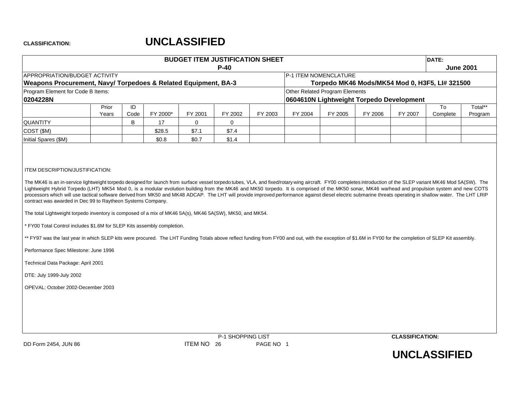|                                                                                                                                                                                                                                                                                                                                                                                                                                           |                |            |          | <b>BUDGET ITEM JUSTIFICATION SHEET</b> |                   |           |         |                                |         |                                          | DATE:                                          |                    |
|-------------------------------------------------------------------------------------------------------------------------------------------------------------------------------------------------------------------------------------------------------------------------------------------------------------------------------------------------------------------------------------------------------------------------------------------|----------------|------------|----------|----------------------------------------|-------------------|-----------|---------|--------------------------------|---------|------------------------------------------|------------------------------------------------|--------------------|
| APPROPRIATION/BUDGET ACTIVITY                                                                                                                                                                                                                                                                                                                                                                                                             |                |            |          |                                        | $P-40$            |           |         | P-1 ITEM NOMENCLATURE          |         |                                          |                                                | <b>June 2001</b>   |
| Weapons Procurement, Navy/ Torpedoes & Related Equipment, BA-3                                                                                                                                                                                                                                                                                                                                                                            |                |            |          |                                        |                   |           |         |                                |         |                                          | Torpedo MK46 Mods/MK54 Mod 0, H3F5, LI# 321500 |                    |
| Program Element for Code B Items:                                                                                                                                                                                                                                                                                                                                                                                                         |                |            |          |                                        |                   |           |         | Other Related Program Elements |         |                                          |                                                |                    |
| 0204228N                                                                                                                                                                                                                                                                                                                                                                                                                                  |                |            |          |                                        |                   |           |         |                                |         | 0604610N Lightweight Torpedo Development |                                                |                    |
|                                                                                                                                                                                                                                                                                                                                                                                                                                           | Prior<br>Years | ID<br>Code | FY 2000* | FY 2001                                | FY 2002           | FY 2003   | FY 2004 | FY 2005                        | FY 2006 | FY 2007                                  | To<br>Complete                                 | Total**<br>Program |
| <b>QUANTITY</b>                                                                                                                                                                                                                                                                                                                                                                                                                           |                | B          | 17       | $\mathbf 0$                            | $\mathbf{0}$      |           |         |                                |         |                                          |                                                |                    |
| COST (\$M)                                                                                                                                                                                                                                                                                                                                                                                                                                |                |            | \$28.5   | \$7.1                                  | \$7.4             |           |         |                                |         |                                          |                                                |                    |
| Initial Spares (\$M)                                                                                                                                                                                                                                                                                                                                                                                                                      |                |            | \$0.8    | \$0.7                                  | \$1.4             |           |         |                                |         |                                          |                                                |                    |
| The total Lightweight torpedo inventory is composed of a mix of MK46 5A(s), MK46 5A(SW), MK50, and MK54.<br>* FY00 Total Control includes \$1.6M for SLEP Kits assembly completion.<br>** FY97 was the last year in which SLEP kits were procured. The LHT Funding Totals above reflect funding from FY00 and out, with the exception of \$1.6M in FY00 for the completion of SLEP Kit assembly.<br>Performance Spec Milestone: June 1996 |                |            |          |                                        |                   |           |         |                                |         |                                          |                                                |                    |
| Technical Data Package: April 2001                                                                                                                                                                                                                                                                                                                                                                                                        |                |            |          |                                        |                   |           |         |                                |         |                                          |                                                |                    |
| DTE: July 1999-July 2002                                                                                                                                                                                                                                                                                                                                                                                                                  |                |            |          |                                        |                   |           |         |                                |         |                                          |                                                |                    |
| OPEVAL: October 2002-December 2003                                                                                                                                                                                                                                                                                                                                                                                                        |                |            |          |                                        |                   |           |         |                                |         |                                          |                                                |                    |
| DD Form 2454, JUN 86                                                                                                                                                                                                                                                                                                                                                                                                                      |                |            |          | ITEM NO 26                             | P-1 SHOPPING LIST | PAGE NO 1 |         |                                |         | <b>CLASSIFICATION:</b>                   |                                                |                    |

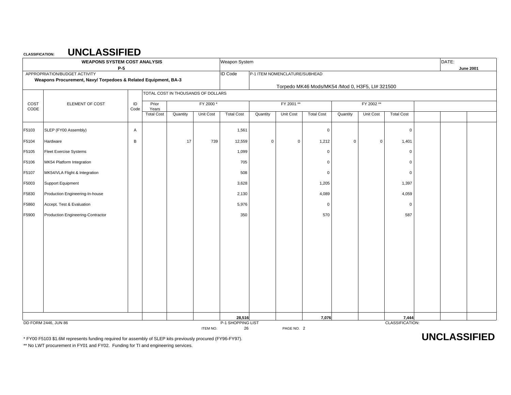|       | <b>WEAPONS SYSTEM COST ANALYSIS</b><br>$P-5$                                                    |      |                            |                                    |           | Weapon System           |          |                               |                                                 |             |             |                   | DATE: | <b>June 2001</b> |
|-------|-------------------------------------------------------------------------------------------------|------|----------------------------|------------------------------------|-----------|-------------------------|----------|-------------------------------|-------------------------------------------------|-------------|-------------|-------------------|-------|------------------|
|       | APPROPRIATION/BUDGET ACTIVITY<br>Weapons Procurement, Navy/ Torpedoes & Related Equipment, BA-3 |      |                            |                                    |           | <b>ID Code</b>          |          | P-1 ITEM NOMENCLATURE/SUBHEAD | Torpedo MK46 Mods/MK54 /Mod 0, H3F5, LI# 321500 |             |             |                   |       |                  |
|       |                                                                                                 |      |                            | TOTAL COST IN THOUSANDS OF DOLLARS |           |                         |          |                               |                                                 |             |             |                   |       |                  |
| COST  | ELEMENT OF COST                                                                                 | ID   | Prior                      |                                    | FY 2000*  |                         |          | FY 2001 **                    |                                                 |             | FY 2002 **  |                   |       |                  |
| CODE  |                                                                                                 | Code | Years<br><b>Total Cost</b> | Quantity                           | Unit Cost | <b>Total Cost</b>       | Quantity | Unit Cost                     | <b>Total Cost</b>                               | Quantity    | Unit Cost   | <b>Total Cost</b> |       |                  |
| F5103 | SLEP (FY00 Assembly)                                                                            | Α    |                            |                                    |           | 1,561                   |          |                               | $\overline{0}$                                  |             |             | $\mathbf 0$       |       |                  |
| F5104 | Hardware                                                                                        | B    |                            | 17                                 | 739       | 12,559                  | 0        | $\mathsf 0$                   | 1,212                                           | $\mathsf 0$ | $\mathbf 0$ | 1,401             |       |                  |
| F5105 | <b>Fleet Exercise Systems</b>                                                                   |      |                            |                                    |           | 1,099                   |          |                               | $\mathbf 0$                                     |             |             | $\mathbf 0$       |       |                  |
| F5106 | MK54 Platform Integration                                                                       |      |                            |                                    |           | 705                     |          |                               | $\mathbf 0$                                     |             |             | $\mathbf 0$       |       |                  |
| F5107 | MK54/VLA Flight & Integration                                                                   |      |                            |                                    |           | 508                     |          |                               | $\mathbf 0$                                     |             |             | $\mathbf 0$       |       |                  |
| F5003 | Support Equipment                                                                               |      |                            |                                    |           | 3,628                   |          |                               | 1,205                                           |             |             | 1,397             |       |                  |
| F5830 | Production Engineering-In-house                                                                 |      |                            |                                    |           | 2,130                   |          |                               | 4,089                                           |             |             | 4,059             |       |                  |
| F5860 | Accept. Test & Evaluation                                                                       |      |                            |                                    |           | 5,976                   |          |                               | $\mathbf 0$                                     |             |             | $\mathbf 0$       |       |                  |
| F5900 | Production Engineering-Contractor                                                               |      |                            |                                    |           | 350                     |          |                               | 570                                             |             |             | 587               |       |                  |
|       |                                                                                                 |      |                            |                                    |           |                         |          |                               |                                                 |             |             |                   |       |                  |
|       |                                                                                                 |      |                            |                                    |           |                         |          |                               |                                                 |             |             |                   |       |                  |
|       |                                                                                                 |      |                            |                                    |           |                         |          |                               |                                                 |             |             |                   |       |                  |
|       |                                                                                                 |      |                            |                                    |           |                         |          |                               |                                                 |             |             |                   |       |                  |
|       |                                                                                                 |      |                            |                                    |           |                         |          |                               |                                                 |             |             |                   |       |                  |
|       |                                                                                                 |      |                            |                                    |           |                         |          |                               |                                                 |             |             |                   |       |                  |
|       |                                                                                                 |      |                            |                                    |           |                         |          |                               |                                                 |             |             |                   |       |                  |
|       |                                                                                                 |      |                            |                                    |           |                         |          |                               |                                                 |             |             |                   |       |                  |
|       |                                                                                                 |      |                            |                                    |           | 28,516                  |          |                               | 7,076                                           |             |             | 7,444             |       |                  |
|       | DD FORM 2446, JUN 86                                                                            |      |                            |                                    | ITEM NO.  | P-1 SHOPPING LIST<br>26 |          | PAGE NO. 2                    |                                                 |             |             | CLASSIFICATION:   |       |                  |

\* FY00 F5103 \$1.6M represents funding required for assembly of SLEP kits previously procured (FY96-FY97). **UNCLASSIFIED**

\*\* No LWT procurement in FY01 and FY02. Funding for TI and engineering services.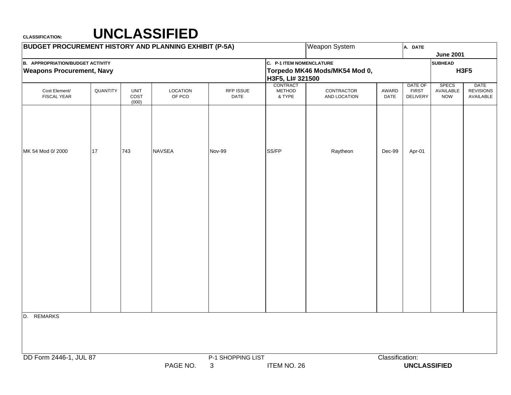| <b>BUDGET PROCUREMENT HISTORY AND PLANNING EXHIBIT (P-5A)</b>               |          |                              |                    |                        |                                              | <b>Weapon System</b>          |                 | A. DATE                                    |                                         |                                       |
|-----------------------------------------------------------------------------|----------|------------------------------|--------------------|------------------------|----------------------------------------------|-------------------------------|-----------------|--------------------------------------------|-----------------------------------------|---------------------------------------|
|                                                                             |          |                              |                    |                        |                                              |                               |                 |                                            | <b>June 2001</b>                        |                                       |
| <b>B. APPROPRIATION/BUDGET ACTIVITY</b><br><b>Weapons Procurement, Navy</b> |          |                              |                    |                        | C. P-1 ITEM NOMENCLATURE<br>H3F5, LI# 321500 | Torpedo MK46 Mods/MK54 Mod 0, |                 |                                            | <b>SUBHEAD</b>                          | <b>H3F5</b>                           |
| Cost Element/<br><b>FISCAL YEAR</b>                                         | QUANTITY | <b>UNIT</b><br>COST<br>(000) | LOCATION<br>OF PCO | RFP ISSUE<br>DATE      | CONTRACT<br>METHOD<br>& TYPE                 | CONTRACTOR<br>AND LOCATION    | AWARD<br>DATE   | DATE OF<br><b>FIRST</b><br><b>DELIVERY</b> | <b>SPECS</b><br>AVAILABLE<br><b>NOW</b> | DATE<br><b>REVISIONS</b><br>AVAILABLE |
|                                                                             |          |                              |                    |                        |                                              |                               |                 |                                            |                                         |                                       |
| MK 54 Mod 0/2000                                                            | 17       | 743                          | <b>NAVSEA</b>      | <b>Nov-99</b>          | SS/FP                                        | Raytheon                      | $Dec-99$        | Apr-01                                     |                                         |                                       |
|                                                                             |          |                              |                    |                        |                                              |                               |                 |                                            |                                         |                                       |
|                                                                             |          |                              |                    |                        |                                              |                               |                 |                                            |                                         |                                       |
|                                                                             |          |                              |                    |                        |                                              |                               |                 |                                            |                                         |                                       |
|                                                                             |          |                              |                    |                        |                                              |                               |                 |                                            |                                         |                                       |
|                                                                             |          |                              |                    |                        |                                              |                               |                 |                                            |                                         |                                       |
| <b>REMARKS</b><br>D.                                                        |          |                              |                    |                        |                                              |                               |                 |                                            |                                         |                                       |
| DD Form 2446-1, JUL 87                                                      |          |                              | PAGE NO.           | P-1 SHOPPING LIST<br>3 | ITEM NO. 26                                  |                               | Classification: | <b>UNCLASSIFIED</b>                        |                                         |                                       |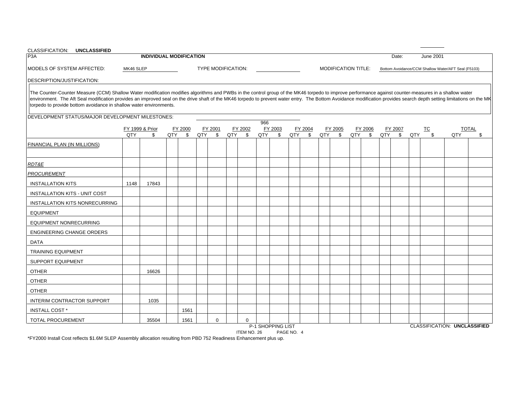| CLASSIFICATION: UNCLASSIFIED                                                                                                                                                                                                                                                                                                                                                                                                                                                                         |           |                 |                                |     |                    |     |         |     |         |     |         |     |                            |     |         |     |              |     |           |                                                     |              |
|------------------------------------------------------------------------------------------------------------------------------------------------------------------------------------------------------------------------------------------------------------------------------------------------------------------------------------------------------------------------------------------------------------------------------------------------------------------------------------------------------|-----------|-----------------|--------------------------------|-----|--------------------|-----|---------|-----|---------|-----|---------|-----|----------------------------|-----|---------|-----|--------------|-----|-----------|-----------------------------------------------------|--------------|
| P3A                                                                                                                                                                                                                                                                                                                                                                                                                                                                                                  |           |                 | <b>INDIVIDUAL MODIFICATION</b> |     |                    |     |         |     |         |     |         |     |                            |     |         |     | Date:        |     | June 2001 |                                                     |              |
| MODELS OF SYSTEM AFFECTED:                                                                                                                                                                                                                                                                                                                                                                                                                                                                           | MK46 SLEP |                 |                                |     | TYPE MODIFICATION: |     |         |     |         |     |         |     | <b>MODIFICATION TITLE:</b> |     |         |     |              |     |           | Bottom Avoidance/CCM Shallow Water/AFT Seal (F5103) |              |
| DESCRIPTION/JUSTIFICATION:                                                                                                                                                                                                                                                                                                                                                                                                                                                                           |           |                 |                                |     |                    |     |         |     |         |     |         |     |                            |     |         |     |              |     |           |                                                     |              |
| The Counter-Counter Measure (CCM) Shallow Water modification modifies algorithms and PWBs in the control group of the MK46 torpedo to improve performance against counter-measures in a shallow water<br>environment. The Aft Seal modification provides an improved seal on the drive shaft of the MK46 torpedo to prevent water entry. The Bottom Avoidance modification provides search depth setting limitations on the MK<br>torpedo to provide bottom avoidance in shallow water environments. |           |                 |                                |     |                    |     |         |     |         |     |         |     |                            |     |         |     |              |     |           |                                                     |              |
| DEVELOPMENT STATUS/MAJOR DEVELOPMENT MILESTONES:                                                                                                                                                                                                                                                                                                                                                                                                                                                     |           |                 |                                |     |                    |     |         |     |         |     |         |     |                            |     |         |     |              |     |           |                                                     |              |
|                                                                                                                                                                                                                                                                                                                                                                                                                                                                                                      |           | FY 1999 & Prior | FY 2000                        |     | FY 2001            |     | FY 2002 | 966 | FY 2003 |     | FY 2004 |     | FY 2005                    |     | FY 2006 |     | FY 2007      |     | TC        |                                                     | <b>TOTAL</b> |
|                                                                                                                                                                                                                                                                                                                                                                                                                                                                                                      | QTY       | \$              | QTY<br>$^{\circ}$              | QTY | \$                 | QTY | \$      | QTY | \$      | QTY | \$      | QTY | \$                         | QTY | \$      | QTY | $\mathbb{S}$ | QTY | \$        | QTY                                                 | \$           |
| <b>FINANCIAL PLAN (IN MILLIONS)</b>                                                                                                                                                                                                                                                                                                                                                                                                                                                                  |           |                 |                                |     |                    |     |         |     |         |     |         |     |                            |     |         |     |              |     |           |                                                     |              |
| RDT&E                                                                                                                                                                                                                                                                                                                                                                                                                                                                                                |           |                 |                                |     |                    |     |         |     |         |     |         |     |                            |     |         |     |              |     |           |                                                     |              |
| PROCUREMENT                                                                                                                                                                                                                                                                                                                                                                                                                                                                                          |           |                 |                                |     |                    |     |         |     |         |     |         |     |                            |     |         |     |              |     |           |                                                     |              |
| <b>INSTALLATION KITS</b>                                                                                                                                                                                                                                                                                                                                                                                                                                                                             | 1148      | 17843           |                                |     |                    |     |         |     |         |     |         |     |                            |     |         |     |              |     |           |                                                     |              |
| INSTALLATION KITS - UNIT COST                                                                                                                                                                                                                                                                                                                                                                                                                                                                        |           |                 |                                |     |                    |     |         |     |         |     |         |     |                            |     |         |     |              |     |           |                                                     |              |
| <b>INSTALLATION KITS NONRECURRING</b>                                                                                                                                                                                                                                                                                                                                                                                                                                                                |           |                 |                                |     |                    |     |         |     |         |     |         |     |                            |     |         |     |              |     |           |                                                     |              |
| <b>EQUIPMENT</b>                                                                                                                                                                                                                                                                                                                                                                                                                                                                                     |           |                 |                                |     |                    |     |         |     |         |     |         |     |                            |     |         |     |              |     |           |                                                     |              |
| <b>EQUIPMENT NONRECURRING</b>                                                                                                                                                                                                                                                                                                                                                                                                                                                                        |           |                 |                                |     |                    |     |         |     |         |     |         |     |                            |     |         |     |              |     |           |                                                     |              |
| <b>ENGINEERING CHANGE ORDERS</b>                                                                                                                                                                                                                                                                                                                                                                                                                                                                     |           |                 |                                |     |                    |     |         |     |         |     |         |     |                            |     |         |     |              |     |           |                                                     |              |
| <b>DATA</b>                                                                                                                                                                                                                                                                                                                                                                                                                                                                                          |           |                 |                                |     |                    |     |         |     |         |     |         |     |                            |     |         |     |              |     |           |                                                     |              |
| <b>TRAINING EQUIPMENT</b>                                                                                                                                                                                                                                                                                                                                                                                                                                                                            |           |                 |                                |     |                    |     |         |     |         |     |         |     |                            |     |         |     |              |     |           |                                                     |              |
| <b>SUPPORT EQUIPMENT</b>                                                                                                                                                                                                                                                                                                                                                                                                                                                                             |           |                 |                                |     |                    |     |         |     |         |     |         |     |                            |     |         |     |              |     |           |                                                     |              |
| <b>OTHER</b>                                                                                                                                                                                                                                                                                                                                                                                                                                                                                         |           | 16626           |                                |     |                    |     |         |     |         |     |         |     |                            |     |         |     |              |     |           |                                                     |              |
| <b>OTHER</b>                                                                                                                                                                                                                                                                                                                                                                                                                                                                                         |           |                 |                                |     |                    |     |         |     |         |     |         |     |                            |     |         |     |              |     |           |                                                     |              |
| <b>OTHER</b>                                                                                                                                                                                                                                                                                                                                                                                                                                                                                         |           |                 |                                |     |                    |     |         |     |         |     |         |     |                            |     |         |     |              |     |           |                                                     |              |
| INTERIM CONTRACTOR SUPPORT                                                                                                                                                                                                                                                                                                                                                                                                                                                                           |           | 1035            |                                |     |                    |     |         |     |         |     |         |     |                            |     |         |     |              |     |           |                                                     |              |
| <b>INSTALL COST *</b>                                                                                                                                                                                                                                                                                                                                                                                                                                                                                |           |                 | 1561                           |     |                    |     |         |     |         |     |         |     |                            |     |         |     |              |     |           |                                                     |              |
| TOTAL PROCUREMENT                                                                                                                                                                                                                                                                                                                                                                                                                                                                                    |           | 35504           | 1561                           |     | $\mathbf 0$        |     | 0       |     |         |     |         |     |                            |     |         |     |              |     |           |                                                     |              |

ITEM NO. 26 PAGE NO. 4 \*FY2000 Install Cost reflects \$1.6M SLEP Assembly allocation resulting from PBD 752 Readiness Enhancement plus up.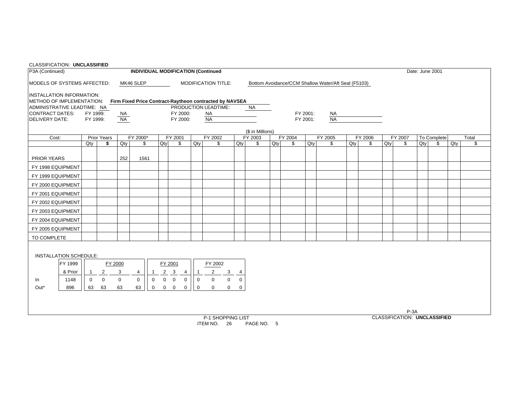| <b>CLASSIFICATION: UNCLASSIFIED</b> |         |             |                    |           |                |                |                |             |             |              |                                                         |               |                  |     |                                                     |          |           |        |         |     |                                     |        |                 |     |       |
|-------------------------------------|---------|-------------|--------------------|-----------|----------------|----------------|----------------|-------------|-------------|--------------|---------------------------------------------------------|---------------|------------------|-----|-----------------------------------------------------|----------|-----------|--------|---------|-----|-------------------------------------|--------|-----------------|-----|-------|
| P3A (Continued)                     |         |             |                    |           |                |                |                |             |             |              | <b>INDIVIDUAL MODIFICATION (Continued</b>               |               |                  |     |                                                     |          |           |        |         |     |                                     |        | Date: June 2001 |     |       |
| MODELS OF SYSTEMS AFFECTED:         |         |             |                    |           | MK46 SLEP      |                |                |             |             |              | <b>MODIFICATION TITLE:</b>                              |               |                  |     | Bottom Avoidance/CCM Shallow Water/Aft Seal (F5103) |          |           |        |         |     |                                     |        |                 |     |       |
| <b>INSTALLATION INFORMATION:</b>    |         |             |                    |           |                |                |                |             |             |              |                                                         |               |                  |     |                                                     |          |           |        |         |     |                                     |        |                 |     |       |
| METHOD OF IMPLEMENTATION:           |         |             |                    |           |                |                |                |             |             |              | Firm Fixed Price Contract-Raytheon contracted by NAVSEA |               |                  |     |                                                     |          |           |        |         |     |                                     |        |                 |     |       |
| ADMINISTRATIVE LEADTIME: NA         |         |             |                    |           |                |                |                |             |             |              | PRODUCTION LEADTIME:                                    |               | <b>NA</b>        |     |                                                     |          |           |        |         |     |                                     |        |                 |     |       |
| <b>CONTRACT DATES:</b>              |         | FY 1999:    |                    | <b>NA</b> |                |                |                | FY 2000:    |             |              | <b>NA</b>                                               |               |                  |     |                                                     | FY 2001: | <b>NA</b> |        |         |     |                                     |        |                 |     |       |
| <b>DELIVERY DATE:</b>               |         | FY 1999:    |                    | <b>NA</b> |                |                |                | FY 2000:    |             |              | <b>NA</b>                                               |               |                  |     |                                                     | FY 2001: | NA        |        |         |     |                                     |        |                 |     |       |
|                                     |         |             |                    |           |                |                |                |             |             |              |                                                         |               | (\$ in Millions) |     |                                                     |          |           |        |         |     |                                     |        |                 |     |       |
| Cost:                               |         |             | <b>Prior Years</b> |           | FY 2000*       |                |                | FY 2001     |             |              | FY 2002                                                 |               | FY 2003          |     | FY 2004                                             |          | FY 2005   |        | FY 2006 |     | FY 2007                             |        | To Complete     |     | Total |
|                                     |         | Qtv         | \$                 | Qty       | \$             |                | Qty            | \$          |             | Qty          | \$                                                      | Qty           | \$               | Qty | \$                                                  | Qty      | \$        | $Q$ ty | \$      | Qty | \$                                  | $Q$ ty | \$              | Qty | \$    |
| PRIOR YEARS                         |         |             |                    | 252       | 1561           |                |                |             |             |              |                                                         |               |                  |     |                                                     |          |           |        |         |     |                                     |        |                 |     |       |
| FY 1998 EQUIPMENT                   |         |             |                    |           |                |                |                |             |             |              |                                                         |               |                  |     |                                                     |          |           |        |         |     |                                     |        |                 |     |       |
| FY 1999 EQUIPMENT                   |         |             |                    |           |                |                |                |             |             |              |                                                         |               |                  |     |                                                     |          |           |        |         |     |                                     |        |                 |     |       |
| FY 2000 EQUIPMENT                   |         |             |                    |           |                |                |                |             |             |              |                                                         |               |                  |     |                                                     |          |           |        |         |     |                                     |        |                 |     |       |
| FY 2001 EQUIPMENT                   |         |             |                    |           |                |                |                |             |             |              |                                                         |               |                  |     |                                                     |          |           |        |         |     |                                     |        |                 |     |       |
| FY 2002 EQUIPMENT                   |         |             |                    |           |                |                |                |             |             |              |                                                         |               |                  |     |                                                     |          |           |        |         |     |                                     |        |                 |     |       |
| FY 2003 EQUIPMENT                   |         |             |                    |           |                |                |                |             |             |              |                                                         |               |                  |     |                                                     |          |           |        |         |     |                                     |        |                 |     |       |
| FY 2004 EQUIPMENT                   |         |             |                    |           |                |                |                |             |             |              |                                                         |               |                  |     |                                                     |          |           |        |         |     |                                     |        |                 |     |       |
| FY 2005 EQUIPMENT                   |         |             |                    |           |                |                |                |             |             |              |                                                         |               |                  |     |                                                     |          |           |        |         |     |                                     |        |                 |     |       |
| TO COMPLETE                         |         |             |                    |           |                |                |                |             |             |              |                                                         |               |                  |     |                                                     |          |           |        |         |     |                                     |        |                 |     |       |
|                                     |         |             |                    |           |                |                |                |             |             |              |                                                         |               |                  |     |                                                     |          |           |        |         |     |                                     |        |                 |     |       |
| <b>INSTALLATION SCHEDULE:</b>       |         |             |                    |           |                |                |                |             |             |              |                                                         |               |                  |     |                                                     |          |           |        |         |     |                                     |        |                 |     |       |
|                                     | FY 1999 |             | FY 2000            |           |                |                |                | FY 2001     |             |              | FY 2002                                                 |               |                  |     |                                                     |          |           |        |         |     |                                     |        |                 |     |       |
|                                     | & Prior |             | $\overline{2}$     | 3         | $\overline{4}$ | -1             | $\overline{2}$ | 3           | 4           |              | $\overline{2}$<br>$\mathbf{3}$                          | $\frac{4}{0}$ |                  |     |                                                     |          |           |        |         |     |                                     |        |                 |     |       |
| In                                  | 1148    | $\mathbf 0$ | $\Omega$           | $\Omega$  | $\Omega$       | $\overline{0}$ | $\Omega$       | $\mathbf 0$ | $\mathbf 0$ | $\mathbf{0}$ | $\Omega$<br>$\mathbf{0}$                                |               |                  |     |                                                     |          |           |        |         |     |                                     |        |                 |     |       |
| Out*                                | 896     | 63          | 63                 | 63        | 63             | $\mathbf 0$    | $\overline{0}$ | $\mathbf 0$ | 0           | $\mathbf 0$  | $\mathbf 0$<br>$\overline{0}$                           | $\mathbf 0$   |                  |     |                                                     |          |           |        |         |     |                                     |        |                 |     |       |
|                                     |         |             |                    |           |                |                |                |             |             |              |                                                         |               |                  |     |                                                     |          |           |        |         |     |                                     |        |                 |     |       |
|                                     |         |             |                    |           |                |                |                |             |             |              |                                                         |               |                  |     |                                                     |          |           |        |         |     |                                     |        |                 |     |       |
|                                     |         |             |                    |           |                |                |                |             |             |              |                                                         |               |                  |     |                                                     |          |           |        |         |     | $P-3A$                              |        |                 |     |       |
|                                     |         |             |                    |           |                |                |                |             |             |              | P-1 SHOPPING LIST                                       |               |                  |     |                                                     |          |           |        |         |     | <b>CLASSIFICATION: UNCLASSIFIED</b> |        |                 |     |       |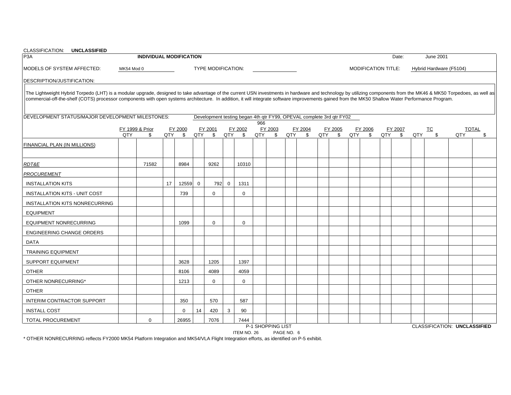| CLASSIFICATION: UNCLASSIFIED<br>P <sub>3</sub> A                                                                                                                                                                                                                                                                                                                                                                        |            | <b>INDIVIDUAL MODIFICATION</b> |     |         |             |                                                                      |             |             |     |              |     |              |     |              |     |                            |     | Date:        |     | <b>June 2001</b>        |     |              |
|-------------------------------------------------------------------------------------------------------------------------------------------------------------------------------------------------------------------------------------------------------------------------------------------------------------------------------------------------------------------------------------------------------------------------|------------|--------------------------------|-----|---------|-------------|----------------------------------------------------------------------|-------------|-------------|-----|--------------|-----|--------------|-----|--------------|-----|----------------------------|-----|--------------|-----|-------------------------|-----|--------------|
|                                                                                                                                                                                                                                                                                                                                                                                                                         |            |                                |     |         |             |                                                                      |             |             |     |              |     |              |     |              |     |                            |     |              |     |                         |     |              |
| MODELS OF SYSTEM AFFECTED:                                                                                                                                                                                                                                                                                                                                                                                              | MK54 Mod 0 |                                |     |         |             | <b>TYPE MODIFICATION:</b>                                            |             |             |     |              |     |              |     |              |     | <b>MODIFICATION TITLE:</b> |     |              |     | Hybrid Hardware (F5104) |     |              |
| DESCRIPTION/JUSTIFICATION:                                                                                                                                                                                                                                                                                                                                                                                              |            |                                |     |         |             |                                                                      |             |             |     |              |     |              |     |              |     |                            |     |              |     |                         |     |              |
| The Lightweight Hybrid Torpedo (LHT) is a modular upgrade, designed to take advantage of the current USN investments in hardware and technology by utilizing components from the MK46 & MK50 Torpedoes, as well as<br>commercial-off-the-shelf (COTS) processor components with open systems architecture. In addition, it will integrate software improvements gained from the MK50 Shallow Water Performance Program. |            |                                |     |         |             |                                                                      |             |             |     |              |     |              |     |              |     |                            |     |              |     |                         |     |              |
| DEVELOPMENT STATUS/MAJOR DEVELOPMENT MILESTONES:                                                                                                                                                                                                                                                                                                                                                                        |            |                                |     |         |             | Development testing began 4th qtr FY99, OPEVAL complete 3rd qtr FY02 |             |             |     |              |     |              |     |              |     |                            |     |              |     |                         |     |              |
|                                                                                                                                                                                                                                                                                                                                                                                                                         |            | FY 1999 & Prior                |     | FY 2000 |             | FY 2001                                                              |             | FY 2002     | 966 | FY 2003      |     | FY 2004      |     | FY 2005      |     | FY 2006                    |     | FY 2007      |     | <b>TC</b>               |     | <b>TOTAL</b> |
|                                                                                                                                                                                                                                                                                                                                                                                                                         | QTY        | \$                             | QTY | \$      | QTY         | \$                                                                   | QTY         | \$          | QTY | $\mathbb{S}$ | QTY | $\mathbb{S}$ | QTY | $\mathbb{S}$ | QTY | $\mathbb{S}$               | QTY | $\mathbb{S}$ | QTY | \$                      | QTY | \$           |
| <b>FINANCIAL PLAN (IN MILLIONS)</b>                                                                                                                                                                                                                                                                                                                                                                                     |            |                                |     |         |             |                                                                      |             |             |     |              |     |              |     |              |     |                            |     |              |     |                         |     |              |
| <b>RDT&amp;E</b>                                                                                                                                                                                                                                                                                                                                                                                                        |            | 71582                          |     | 8984    |             | 9262                                                                 |             | 10310       |     |              |     |              |     |              |     |                            |     |              |     |                         |     |              |
| <b>PROCUREMENT</b>                                                                                                                                                                                                                                                                                                                                                                                                      |            |                                |     |         |             |                                                                      |             |             |     |              |     |              |     |              |     |                            |     |              |     |                         |     |              |
| <b>INSTALLATION KITS</b>                                                                                                                                                                                                                                                                                                                                                                                                |            |                                | 17  | 12559   | $\mathbf 0$ | 792                                                                  | $\mathbf 0$ | 1311        |     |              |     |              |     |              |     |                            |     |              |     |                         |     |              |
| <b>INSTALLATION KITS - UNIT COST</b>                                                                                                                                                                                                                                                                                                                                                                                    |            |                                |     | 739     |             | $\Omega$                                                             |             | $\Omega$    |     |              |     |              |     |              |     |                            |     |              |     |                         |     |              |
| <b>INSTALLATION KITS NONRECURRING</b>                                                                                                                                                                                                                                                                                                                                                                                   |            |                                |     |         |             |                                                                      |             |             |     |              |     |              |     |              |     |                            |     |              |     |                         |     |              |
| <b>EQUIPMENT</b>                                                                                                                                                                                                                                                                                                                                                                                                        |            |                                |     |         |             |                                                                      |             |             |     |              |     |              |     |              |     |                            |     |              |     |                         |     |              |
| <b>EQUIPMENT NONRECURRING</b>                                                                                                                                                                                                                                                                                                                                                                                           |            |                                |     | 1099    |             | $\mathbf 0$                                                          |             | $\Omega$    |     |              |     |              |     |              |     |                            |     |              |     |                         |     |              |
| <b>ENGINEERING CHANGE ORDERS</b>                                                                                                                                                                                                                                                                                                                                                                                        |            |                                |     |         |             |                                                                      |             |             |     |              |     |              |     |              |     |                            |     |              |     |                         |     |              |
| DATA                                                                                                                                                                                                                                                                                                                                                                                                                    |            |                                |     |         |             |                                                                      |             |             |     |              |     |              |     |              |     |                            |     |              |     |                         |     |              |
| <b>TRAINING EQUIPMENT</b>                                                                                                                                                                                                                                                                                                                                                                                               |            |                                |     |         |             |                                                                      |             |             |     |              |     |              |     |              |     |                            |     |              |     |                         |     |              |
| <b>SUPPORT EQUIPMENT</b>                                                                                                                                                                                                                                                                                                                                                                                                |            |                                |     | 3628    |             | 1205                                                                 |             | 1397        |     |              |     |              |     |              |     |                            |     |              |     |                         |     |              |
| <b>OTHER</b>                                                                                                                                                                                                                                                                                                                                                                                                            |            |                                |     | 8106    |             | 4089                                                                 |             | 4059        |     |              |     |              |     |              |     |                            |     |              |     |                         |     |              |
| OTHER NONRECURRING*                                                                                                                                                                                                                                                                                                                                                                                                     |            |                                |     | 1213    |             | $\Omega$                                                             |             | $\mathbf 0$ |     |              |     |              |     |              |     |                            |     |              |     |                         |     |              |
| <b>OTHER</b>                                                                                                                                                                                                                                                                                                                                                                                                            |            |                                |     |         |             |                                                                      |             |             |     |              |     |              |     |              |     |                            |     |              |     |                         |     |              |
| <b>INTERIM CONTRACTOR SUPPORT</b>                                                                                                                                                                                                                                                                                                                                                                                       |            |                                |     | 350     |             | 570                                                                  |             | 587         |     |              |     |              |     |              |     |                            |     |              |     |                         |     |              |
| <b>INSTALL COST</b>                                                                                                                                                                                                                                                                                                                                                                                                     |            |                                |     | 0       | 14          | 420                                                                  | 3           | 90          |     |              |     |              |     |              |     |                            |     |              |     |                         |     |              |
| TOTAL PROCUREMENT                                                                                                                                                                                                                                                                                                                                                                                                       |            | 0                              |     | 26955   |             | 7076                                                                 |             | 7444        |     |              |     |              |     |              |     |                            |     |              |     |                         |     |              |

ITEM NO. 26 PAGE NO. 6 \* OTHER NONRECURRING reflects FY2000 MK54 Platform Integration and MK54/VLA Flight Integration efforts, as identified on P-5 exhibit.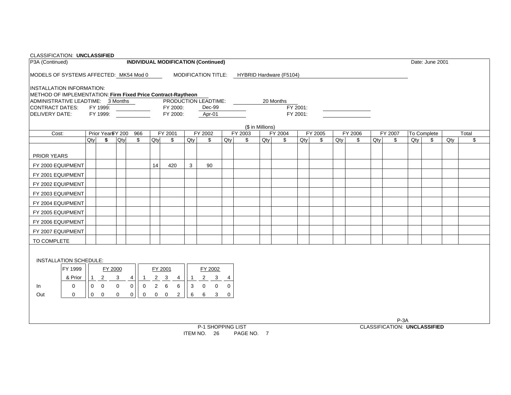| CLASSIFICATION: UNCLASSIFIED                                 |             |              |                              |              |                                  |             |                               |                |                                            |               |                                             |     |           |                      |         |     |         |     |         |        |                 |     |       |
|--------------------------------------------------------------|-------------|--------------|------------------------------|--------------|----------------------------------|-------------|-------------------------------|----------------|--------------------------------------------|---------------|---------------------------------------------|-----|-----------|----------------------|---------|-----|---------|-----|---------|--------|-----------------|-----|-------|
| P3A (Continued)                                              |             |              |                              |              |                                  |             |                               |                | <b>INDIVIDUAL MODIFICATION (Continued)</b> |               |                                             |     |           |                      |         |     |         |     |         |        | Date: June 2001 |     |       |
| MODELS OF SYSTEMS AFFECTED: MK54 Mod 0                       |             |              |                              |              |                                  |             |                               |                |                                            |               | MODIFICATION TITLE: HYBRID Hardware (F5104) |     |           |                      |         |     |         |     |         |        |                 |     |       |
| <b>INSTALLATION INFORMATION:</b>                             |             |              |                              |              |                                  |             |                               |                |                                            |               |                                             |     |           |                      |         |     |         |     |         |        |                 |     |       |
| METHOD OF IMPLEMENTATION: Firm Fixed Price Contract-Raytheon |             |              |                              |              |                                  |             |                               |                |                                            |               |                                             |     |           |                      |         |     |         |     |         |        |                 |     |       |
| ADMINISTRATIVE LEADTIME: 3 Months                            |             |              |                              |              |                                  |             |                               |                | PRODUCTION LEADTIME:                       |               |                                             |     | 20 Months |                      |         |     |         |     |         |        |                 |     |       |
| CONTRACT DATES:<br><b>DELIVERY DATE:</b>                     |             |              | FY 1999:<br>FY 1999:         |              |                                  |             | FY 2000:<br>FY 2000:          |                | Dec-99<br>Apr-01                           |               |                                             |     |           | FY 2001:<br>FY 2001: |         |     |         |     |         |        |                 |     |       |
|                                                              |             |              |                              |              |                                  |             |                               |                |                                            |               |                                             |     |           |                      |         |     |         |     |         |        |                 |     |       |
|                                                              |             |              |                              |              |                                  |             |                               |                |                                            |               | (\$ in Millions)                            |     |           |                      |         |     |         |     |         |        |                 |     |       |
| Cost:                                                        |             |              | Prior Year <sup>§Y</sup> 200 |              | 966                              |             | FY 2001                       |                | FY 2002                                    |               | FY 2003                                     |     | FY 2004   |                      | FY 2005 |     | FY 2006 |     | FY 2007 |        | To Complete     |     | Total |
|                                                              |             | Qty          | \$                           | Qty          | \$                               | Qty         | \$                            | Qty            | \$                                         | Qty           | \$                                          | Qty | \$        | Qty                  | \$      | Qty | \$      | Qty | \$      | $Q$ ty | \$              | Qty | \$    |
| <b>PRIOR YEARS</b>                                           |             |              |                              |              |                                  |             |                               |                |                                            |               |                                             |     |           |                      |         |     |         |     |         |        |                 |     |       |
| FY 2000 EQUIPMENT                                            |             |              |                              |              |                                  | 14          | 420                           | 3              | 90                                         |               |                                             |     |           |                      |         |     |         |     |         |        |                 |     |       |
| FY 2001 EQUIPMENT                                            |             |              |                              |              |                                  |             |                               |                |                                            |               |                                             |     |           |                      |         |     |         |     |         |        |                 |     |       |
| FY 2002 EQUIPMENT                                            |             |              |                              |              |                                  |             |                               |                |                                            |               |                                             |     |           |                      |         |     |         |     |         |        |                 |     |       |
| FY 2003 EQUIPMENT                                            |             |              |                              |              |                                  |             |                               |                |                                            |               |                                             |     |           |                      |         |     |         |     |         |        |                 |     |       |
| FY 2004 EQUIPMENT                                            |             |              |                              |              |                                  |             |                               |                |                                            |               |                                             |     |           |                      |         |     |         |     |         |        |                 |     |       |
| FY 2005 EQUIPMENT                                            |             |              |                              |              |                                  |             |                               |                |                                            |               |                                             |     |           |                      |         |     |         |     |         |        |                 |     |       |
| FY 2006 EQUIPMENT                                            |             |              |                              |              |                                  |             |                               |                |                                            |               |                                             |     |           |                      |         |     |         |     |         |        |                 |     |       |
| FY 2007 EQUIPMENT                                            |             |              |                              |              |                                  |             |                               |                |                                            |               |                                             |     |           |                      |         |     |         |     |         |        |                 |     |       |
| TO COMPLETE                                                  |             |              |                              |              |                                  |             |                               |                |                                            |               |                                             |     |           |                      |         |     |         |     |         |        |                 |     |       |
|                                                              |             |              |                              |              |                                  |             |                               |                |                                            |               |                                             |     |           |                      |         |     |         |     |         |        |                 |     |       |
| INSTALLATION SCHEDULE:                                       |             |              |                              |              |                                  |             |                               |                |                                            |               |                                             |     |           |                      |         |     |         |     |         |        |                 |     |       |
|                                                              | FY 1999     |              | FY 2000                      |              |                                  |             | FY 2001                       |                | FY 2002                                    |               |                                             |     |           |                      |         |     |         |     |         |        |                 |     |       |
|                                                              | & Prior     | $\mathbf{1}$ | $\overline{2}$               | $\mathbf{3}$ | 4<br>$\overline{1}$              |             | $2 \quad 3$<br>$\overline{4}$ | $\overline{1}$ | $\mathbf{3}$<br>$\overline{a}$             | $\frac{4}{1}$ |                                             |     |           |                      |         |     |         |     |         |        |                 |     |       |
| In                                                           | $\mathbf 0$ | $\mathbf{0}$ | $\overline{0}$               | $\mathbf{0}$ | $\overline{0}$<br>$\overline{0}$ | $2^{\circ}$ | $6\overline{6}$<br>6          | $\mathbf{3}$   | $\mathbf 0$<br>$\mathbf 0$                 | $\mathbf 0$   |                                             |     |           |                      |         |     |         |     |         |        |                 |     |       |
| Out                                                          | $\mathbf 0$ | $\mathbf 0$  | $\mathbf 0$                  | $\mathbf 0$  | $\mathbf 0$<br>0                 |             | $0\quad 0$<br>$\overline{2}$  | 6              | 6<br>3                                     | $\mathbf 0$   |                                             |     |           |                      |         |     |         |     |         |        |                 |     |       |
|                                                              |             |              |                              |              |                                  |             |                               |                |                                            |               |                                             |     |           |                      |         |     |         |     |         |        |                 |     |       |
|                                                              |             |              |                              |              |                                  |             |                               |                |                                            |               |                                             |     |           |                      |         |     |         |     |         |        |                 |     |       |
|                                                              |             |              |                              |              |                                  |             |                               |                |                                            |               |                                             |     |           |                      |         |     |         |     | $P-3A$  |        |                 |     |       |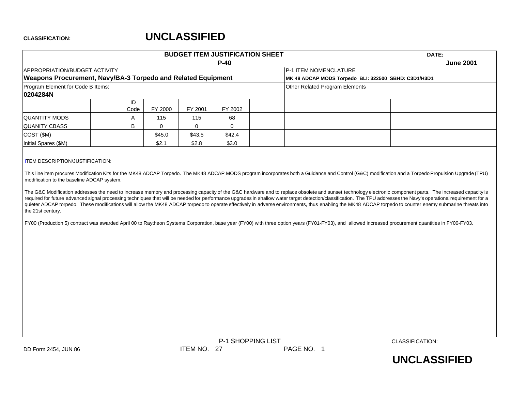# **UNCLASSIFIED**

|                                                                                                                                                                                                     |            |             |             | <b>BUDGET ITEM JUSTIFICATION SHEET</b><br>$P-40$ |                                |                                                      | DATE: | <b>June 2001</b> |
|-----------------------------------------------------------------------------------------------------------------------------------------------------------------------------------------------------|------------|-------------|-------------|--------------------------------------------------|--------------------------------|------------------------------------------------------|-------|------------------|
| APPROPRIATION/BUDGET ACTIVITY                                                                                                                                                                       |            |             |             |                                                  | P-1 ITEM NOMENCLATURE          |                                                      |       |                  |
| Weapons Procurement, Navy/BA-3 Torpedo and Related Equipment                                                                                                                                        |            |             |             |                                                  |                                | MK 48 ADCAP MODS Torpedo BLI: 322500 SBHD: C3D1/H3D1 |       |                  |
| Program Element for Code B Items:                                                                                                                                                                   |            |             |             |                                                  | Other Related Program Elements |                                                      |       |                  |
| 0204284N                                                                                                                                                                                            |            |             |             |                                                  |                                |                                                      |       |                  |
|                                                                                                                                                                                                     | ID<br>Code | FY 2000     | FY 2001     | FY 2002                                          |                                |                                                      |       |                  |
| <b>QUANTITY MODS</b>                                                                                                                                                                                | Α          | 115         | 115         | 68                                               |                                |                                                      |       |                  |
| <b>QUANITY CBASS</b>                                                                                                                                                                                | B          | $\mathbf 0$ | $\mathbf 0$ | $\mathbf 0$                                      |                                |                                                      |       |                  |
| COST (\$M)                                                                                                                                                                                          |            | \$45.0      | \$43.5      | \$42.4                                           |                                |                                                      |       |                  |
| Initial Spares (\$M)                                                                                                                                                                                |            | \$2.1       | \$2.8       | \$3.0                                            |                                |                                                      |       |                  |
| FY00 (Production 5) contract was awarded April 00 to Raytheon Systems Corporation, base year (FY00) with three option years (FY01-FY03), and allowed increased procurement quantities in FY00-FY03. |            |             |             |                                                  |                                |                                                      |       |                  |
|                                                                                                                                                                                                     |            |             |             |                                                  |                                |                                                      |       |                  |
|                                                                                                                                                                                                     |            |             |             |                                                  |                                |                                                      |       |                  |
|                                                                                                                                                                                                     |            |             |             |                                                  |                                |                                                      |       |                  |
|                                                                                                                                                                                                     |            |             |             |                                                  |                                |                                                      |       |                  |
|                                                                                                                                                                                                     |            |             |             |                                                  |                                |                                                      |       |                  |
|                                                                                                                                                                                                     |            |             |             | P-1 SHOPPING LIST                                |                                | CLASSIFICATION:                                      |       |                  |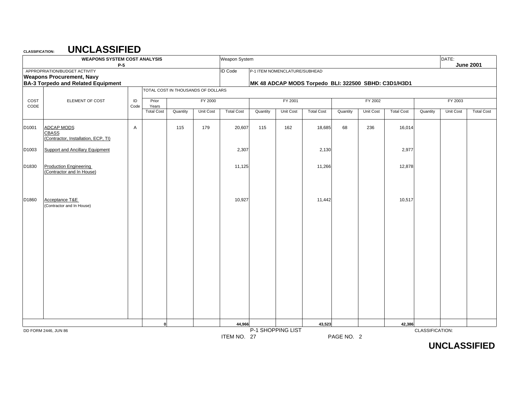## **UNCLASSIFIED**

|              | <b>WEAPONS SYSTEM COST ANALYSIS</b>                                      | $P-5$      |                                     |          |                                    | Weapon System     |          |                               |                                                      |          |                      |                   |                 | DATE:                | <b>June 2001</b>  |
|--------------|--------------------------------------------------------------------------|------------|-------------------------------------|----------|------------------------------------|-------------------|----------|-------------------------------|------------------------------------------------------|----------|----------------------|-------------------|-----------------|----------------------|-------------------|
|              | APPROPRIATION/BUDGET ACTIVITY<br><b>Weapons Procurement, Navy</b>        |            |                                     |          |                                    | <b>ID Code</b>    |          | P-1 ITEM NOMENCLATURE/SUBHEAD |                                                      |          |                      |                   |                 |                      |                   |
|              | <b>BA-3 Torpedo and Related Equipment</b>                                |            |                                     |          | TOTAL COST IN THOUSANDS OF DOLLARS |                   |          |                               | MK 48 ADCAP MODS Torpedo BLI: 322500 SBHD: C3D1/H3D1 |          |                      |                   |                 |                      |                   |
|              |                                                                          |            |                                     |          |                                    |                   |          |                               |                                                      |          |                      |                   |                 |                      |                   |
| COST<br>CODE | ELEMENT OF COST                                                          | ID<br>Code | Prior<br>Years<br><b>Total Cost</b> | Quantity | FY 2000<br>Unit Cost               | <b>Total Cost</b> | Quantity | FY 2001<br>Unit Cost          | <b>Total Cost</b>                                    | Quantity | FY 2002<br>Unit Cost | <b>Total Cost</b> | Quantity        | FY 2003<br>Unit Cost | <b>Total Cost</b> |
| D1001        | <b>ADCAP MODS</b><br><b>CBASS</b><br>(Contractor, Installation, ECP, TI) | Α          |                                     | 115      | 179                                | 20,607            | 115      | 162                           | 18,685                                               | 68       | 236                  | 16,014            |                 |                      |                   |
| D1003        | <b>Support and Ancillary Equipment</b>                                   |            |                                     |          |                                    | 2,307             |          |                               | 2,130                                                |          |                      | 2,977             |                 |                      |                   |
| D1830        | <b>Production Engineering</b><br>(Contractor and In House)               |            |                                     |          |                                    | 11,125            |          |                               | 11,266                                               |          |                      | 12,878            |                 |                      |                   |
| D1860        | Acceptance T&E<br>(Contractor and In House)                              |            |                                     |          |                                    | 10,927            |          |                               | 11,442                                               |          |                      | 10,517            |                 |                      |                   |
|              |                                                                          |            |                                     |          |                                    |                   |          |                               |                                                      |          |                      |                   |                 |                      |                   |
|              |                                                                          |            |                                     |          |                                    |                   |          |                               |                                                      |          |                      |                   |                 |                      |                   |
|              |                                                                          |            |                                     |          |                                    |                   |          |                               |                                                      |          |                      |                   |                 |                      |                   |
|              |                                                                          |            |                                     |          |                                    |                   |          |                               |                                                      |          |                      |                   |                 |                      |                   |
|              |                                                                          |            |                                     |          |                                    |                   |          |                               |                                                      |          |                      |                   |                 |                      |                   |
|              | DD FORM 2446, JUN 86                                                     |            | $\mathbf 0$                         |          |                                    | 44,966            |          | P-1 SHOPPING LIST             | 43,523                                               |          |                      | 42,386            | CLASSIFICATION: |                      |                   |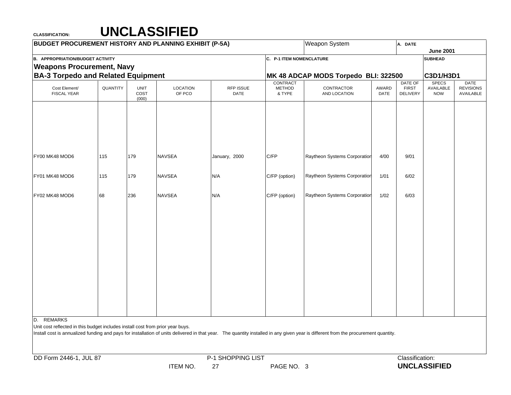| <b>BUDGET PROCUREMENT HISTORY AND PLANNING EXHIBIT (P-5A)</b>                                |          |                              |                           |                   |                          | <b>Weapon System</b>                                                                                                                                                               |               | A. DATE                  |                           |                               |
|----------------------------------------------------------------------------------------------|----------|------------------------------|---------------------------|-------------------|--------------------------|------------------------------------------------------------------------------------------------------------------------------------------------------------------------------------|---------------|--------------------------|---------------------------|-------------------------------|
|                                                                                              |          |                              |                           |                   |                          |                                                                                                                                                                                    |               |                          | <b>June 2001</b>          |                               |
| <b>B. APPROPRIATION/BUDGET ACTIVITY</b>                                                      |          |                              |                           |                   | C. P-1 ITEM NOMENCLATURE |                                                                                                                                                                                    |               |                          | <b>SUBHEAD</b>            |                               |
| <b>Weapons Procurement, Navy</b>                                                             |          |                              |                           |                   |                          |                                                                                                                                                                                    |               |                          |                           |                               |
| <b>BA-3 Torpedo and Related Equipment</b>                                                    |          |                              |                           |                   | CONTRACT                 | MK 48 ADCAP MODS Torpedo BLI: 322500                                                                                                                                               |               | DATE OF                  | C3D1/H3D1<br><b>SPECS</b> | <b>DATE</b>                   |
| Cost Element/<br><b>FISCAL YEAR</b>                                                          | QUANTITY | <b>UNIT</b><br>COST<br>(000) | <b>LOCATION</b><br>OF PCO | RFP ISSUE<br>DATE | <b>METHOD</b><br>& TYPE  | CONTRACTOR<br>AND LOCATION                                                                                                                                                         | AWARD<br>DATE | <b>FIRST</b><br>DELIVERY | AVAILABLE<br><b>NOW</b>   | <b>REVISIONS</b><br>AVAILABLE |
|                                                                                              |          |                              |                           |                   |                          |                                                                                                                                                                                    |               |                          |                           |                               |
| FY00 MK48 MOD6                                                                               | 115      | 179                          | <b>NAVSEA</b>             | January, 2000     | C/FP                     | Raytheon Systems Corporation                                                                                                                                                       | 4/00          | 9/01                     |                           |                               |
| FY01 MK48 MOD6                                                                               | 115      | 179                          | <b>NAVSEA</b>             | N/A               | C/FP (option)            | Raytheon Systems Corporation                                                                                                                                                       | 1/01          | 6/02                     |                           |                               |
| FY02 MK48 MOD6                                                                               | 68       | 236                          | <b>NAVSEA</b>             | N/A               | C/FP (option)            | Raytheon Systems Corporation                                                                                                                                                       | 1/02          | 6/03                     |                           |                               |
|                                                                                              |          |                              |                           |                   |                          |                                                                                                                                                                                    |               |                          |                           |                               |
|                                                                                              |          |                              |                           |                   |                          |                                                                                                                                                                                    |               |                          |                           |                               |
|                                                                                              |          |                              |                           |                   |                          |                                                                                                                                                                                    |               |                          |                           |                               |
|                                                                                              |          |                              |                           |                   |                          |                                                                                                                                                                                    |               |                          |                           |                               |
|                                                                                              |          |                              |                           |                   |                          |                                                                                                                                                                                    |               |                          |                           |                               |
|                                                                                              |          |                              |                           |                   |                          |                                                                                                                                                                                    |               |                          |                           |                               |
| D. REMARKS<br>Unit cost reflected in this budget includes install cost from prior year buys. |          |                              |                           |                   |                          | Install cost is annualized funding and pays for installation of units delivered in that year. The quantity installed in any given year is different from the procurement quantity. |               |                          |                           |                               |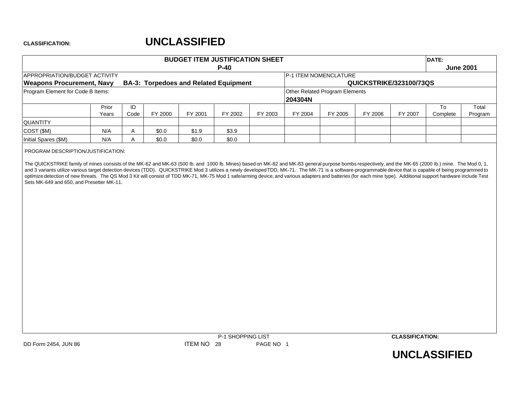# **UNCLASSIFIED**

|                                      |                |              |         |         | <b>BUDGET ITEM JUSTIFICATION SHEET</b>       |         |                                                  |         |                         |         | DATE:          |                  |
|--------------------------------------|----------------|--------------|---------|---------|----------------------------------------------|---------|--------------------------------------------------|---------|-------------------------|---------|----------------|------------------|
|                                      |                |              |         |         | $P-40$                                       |         |                                                  |         |                         |         |                | <b>June 2001</b> |
| <b>APPROPRIATION/BUDGET ACTIVITY</b> |                |              |         |         |                                              |         | <b>IP-1 ITEM NOMENCLATURE</b>                    |         |                         |         |                |                  |
| <b>Weapons Procurement, Navy</b>     |                |              |         |         | <b>BA-3: Torpedoes and Related Equipment</b> |         |                                                  |         | QUICKSTRIKE/323100/73QS |         |                |                  |
| Program Element for Code B Items:    |                |              |         |         |                                              |         | <b>Other Related Program Elements</b><br>204304N |         |                         |         |                |                  |
|                                      | Prior<br>Years | ID<br>Code   | FY 2000 | FY 2001 | FY 2002                                      | FY 2003 | FY 2004                                          | FY 2005 | FY 2006                 | FY 2007 | To<br>Complete | Total<br>Program |
| <b>QUANTITY</b>                      |                |              |         |         |                                              |         |                                                  |         |                         |         |                |                  |
| COST (\$M)                           | N/A            | $\mathsf{A}$ | \$0.0   | \$1.9   | \$3.9                                        |         |                                                  |         |                         |         |                |                  |
| Initial Spares (\$M)                 | N/A            |              | \$0.0   | \$0.0   | \$0.0                                        |         |                                                  |         |                         |         |                |                  |

PROGRAM DESCRIPTION/JUSTIFICATION:

The QUICKSTRIKE family of mines consists of the MK-62 and MK-63 (500 lb. and 1000 lb. Mines) based on MK-82 and MK-83 general purpose bombs respectively, and the MK-65 (2000 lb.) mine. The Mod 0, 1, and 3 variants utilize various target detection devices (TDD). QUICKSTRIKE Mod 3 utilizes <sup>a</sup> newly developedTDD, MK-71. The MK-71 is <sup>a</sup> software-programmable device that is capable of being programmed to optimize detection of new threats. The QS Mod 3 Kit will consist of TDD MK-71, MK-75 Mod 1 safe/arming device, and various adapters and batteries (for each mine type). Additional support hardware include Test Sets MK-649 and 650, and Presetter MK-11.



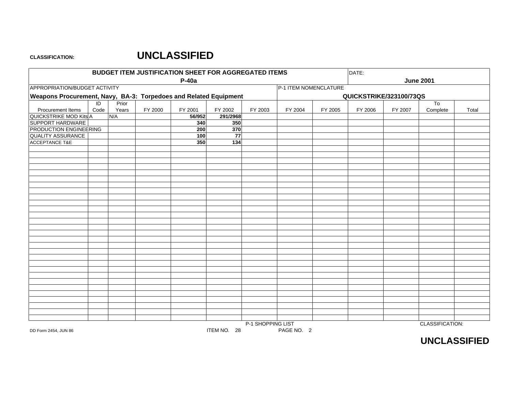## **UNCLASSIFIED**

|                                                                  |                        |                |         | <b>BUDGET ITEM JUSTIFICATION SHEET FOR AGGREGATED ITEMS</b> |                 |                   |                       |         | DATE:                   |         |                            |       |
|------------------------------------------------------------------|------------------------|----------------|---------|-------------------------------------------------------------|-----------------|-------------------|-----------------------|---------|-------------------------|---------|----------------------------|-------|
|                                                                  |                        |                |         | P-40a                                                       |                 |                   |                       |         |                         |         | <b>June 2001</b>           |       |
| APPROPRIATION/BUDGET ACTIVITY                                    |                        |                |         |                                                             |                 |                   | P-1 ITEM NOMENCLATURE |         |                         |         |                            |       |
| Weapons Procurement, Navy, BA-3: Torpedoes and Related Equipment |                        |                |         |                                                             |                 |                   |                       |         | QUICKSTRIKE/323100/73QS |         |                            |       |
| Procurement Items                                                | $\overline{D}$<br>Code | Prior<br>Years | FY 2000 | FY 2001                                                     | FY 2002         | FY 2003           | FY 2004               | FY 2005 | FY 2006                 | FY 2007 | T <sub>o</sub><br>Complete | Total |
| QUICKSTRIKE MOD Kits A                                           |                        | N/A            |         | 56/952                                                      | 291/2968        |                   |                       |         |                         |         |                            |       |
| SUPPORT HARDWARE                                                 |                        |                |         | 340                                                         | 350             |                   |                       |         |                         |         |                            |       |
| PRODUCTION ENGINEERING                                           |                        |                |         | 200                                                         | 370             |                   |                       |         |                         |         |                            |       |
| <b>QUALITY ASSURANCE</b>                                         |                        |                |         | 100                                                         | $\overline{77}$ |                   |                       |         |                         |         |                            |       |
| <b>ACCEPTANCE T&amp;E</b>                                        |                        |                |         | 350                                                         | 134             |                   |                       |         |                         |         |                            |       |
|                                                                  |                        |                |         |                                                             |                 |                   |                       |         |                         |         |                            |       |
|                                                                  |                        |                |         |                                                             |                 |                   |                       |         |                         |         |                            |       |
|                                                                  |                        |                |         |                                                             |                 |                   |                       |         |                         |         |                            |       |
|                                                                  |                        |                |         |                                                             |                 |                   |                       |         |                         |         |                            |       |
|                                                                  |                        |                |         |                                                             |                 |                   |                       |         |                         |         |                            |       |
|                                                                  |                        |                |         |                                                             |                 |                   |                       |         |                         |         |                            |       |
|                                                                  |                        |                |         |                                                             |                 |                   |                       |         |                         |         |                            |       |
|                                                                  |                        |                |         |                                                             |                 |                   |                       |         |                         |         |                            |       |
|                                                                  |                        |                |         |                                                             |                 |                   |                       |         |                         |         |                            |       |
|                                                                  |                        |                |         |                                                             |                 |                   |                       |         |                         |         |                            |       |
|                                                                  |                        |                |         |                                                             |                 |                   |                       |         |                         |         |                            |       |
|                                                                  |                        |                |         |                                                             |                 |                   |                       |         |                         |         |                            |       |
|                                                                  |                        |                |         |                                                             |                 |                   |                       |         |                         |         |                            |       |
|                                                                  |                        |                |         |                                                             |                 |                   |                       |         |                         |         |                            |       |
|                                                                  |                        |                |         |                                                             |                 |                   |                       |         |                         |         |                            |       |
|                                                                  |                        |                |         |                                                             |                 |                   |                       |         |                         |         |                            |       |
|                                                                  |                        |                |         |                                                             |                 |                   |                       |         |                         |         |                            |       |
|                                                                  |                        |                |         |                                                             |                 |                   |                       |         |                         |         |                            |       |
|                                                                  |                        |                |         |                                                             |                 |                   |                       |         |                         |         |                            |       |
|                                                                  |                        |                |         |                                                             |                 |                   |                       |         |                         |         |                            |       |
|                                                                  |                        |                |         |                                                             |                 |                   |                       |         |                         |         |                            |       |
|                                                                  |                        |                |         |                                                             |                 |                   |                       |         |                         |         |                            |       |
|                                                                  |                        |                |         |                                                             |                 |                   |                       |         |                         |         |                            |       |
|                                                                  |                        |                |         |                                                             |                 |                   |                       |         |                         |         |                            |       |
|                                                                  |                        |                |         |                                                             |                 |                   |                       |         |                         |         |                            |       |
|                                                                  |                        |                |         |                                                             |                 |                   |                       |         |                         |         |                            |       |
|                                                                  |                        |                |         |                                                             |                 |                   |                       |         |                         |         |                            |       |
| DD Form 2454, JUN 86                                             |                        |                |         |                                                             | ITEM NO. 28     | P-1 SHOPPING LIST | PAGE NO. 2            |         |                         |         | CLASSIFICATION:            |       |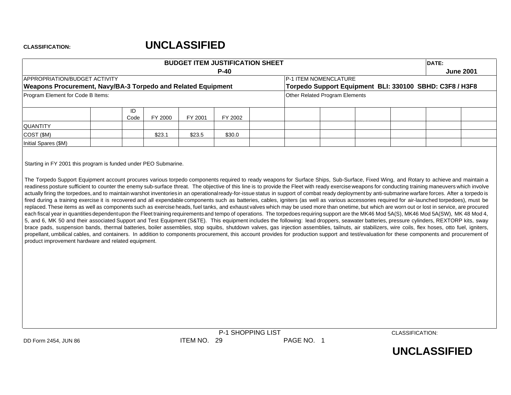# **UNCLASSIFIED**

|                                                                                                                                                                                                                                                                                                                                                                                                                                                                                                                                                                                                                                                                                                                                                                                                                                                                                                                                                                                                                                                                                                                                                                                                                                                                                                                                                                                                                                                                                                                                                                                                                                                                                  |            |         |         | <b>BUDGET ITEM JUSTIFICATION SHEET</b> |                                       |                                                         | DATE: |                  |
|----------------------------------------------------------------------------------------------------------------------------------------------------------------------------------------------------------------------------------------------------------------------------------------------------------------------------------------------------------------------------------------------------------------------------------------------------------------------------------------------------------------------------------------------------------------------------------------------------------------------------------------------------------------------------------------------------------------------------------------------------------------------------------------------------------------------------------------------------------------------------------------------------------------------------------------------------------------------------------------------------------------------------------------------------------------------------------------------------------------------------------------------------------------------------------------------------------------------------------------------------------------------------------------------------------------------------------------------------------------------------------------------------------------------------------------------------------------------------------------------------------------------------------------------------------------------------------------------------------------------------------------------------------------------------------|------------|---------|---------|----------------------------------------|---------------------------------------|---------------------------------------------------------|-------|------------------|
|                                                                                                                                                                                                                                                                                                                                                                                                                                                                                                                                                                                                                                                                                                                                                                                                                                                                                                                                                                                                                                                                                                                                                                                                                                                                                                                                                                                                                                                                                                                                                                                                                                                                                  |            |         |         | $P-40$                                 |                                       |                                                         |       | <b>June 2001</b> |
| <b>APPROPRIATION/BUDGET ACTIVITY</b>                                                                                                                                                                                                                                                                                                                                                                                                                                                                                                                                                                                                                                                                                                                                                                                                                                                                                                                                                                                                                                                                                                                                                                                                                                                                                                                                                                                                                                                                                                                                                                                                                                             |            |         |         |                                        | <b>IP-1 ITEM NOMENCLATURE</b>         |                                                         |       |                  |
| Weapons Procurement, Navy/BA-3 Torpedo and Related Equipment                                                                                                                                                                                                                                                                                                                                                                                                                                                                                                                                                                                                                                                                                                                                                                                                                                                                                                                                                                                                                                                                                                                                                                                                                                                                                                                                                                                                                                                                                                                                                                                                                     |            |         |         |                                        |                                       | Torpedo Support Equipment BLI: 330100 SBHD: C3F8 / H3F8 |       |                  |
| Program Element for Code B Items:                                                                                                                                                                                                                                                                                                                                                                                                                                                                                                                                                                                                                                                                                                                                                                                                                                                                                                                                                                                                                                                                                                                                                                                                                                                                                                                                                                                                                                                                                                                                                                                                                                                |            |         |         |                                        | <b>Other Related Program Elements</b> |                                                         |       |                  |
|                                                                                                                                                                                                                                                                                                                                                                                                                                                                                                                                                                                                                                                                                                                                                                                                                                                                                                                                                                                                                                                                                                                                                                                                                                                                                                                                                                                                                                                                                                                                                                                                                                                                                  | ID<br>Code | FY 2000 | FY 2001 | FY 2002                                |                                       |                                                         |       |                  |
| <b>QUANTITY</b>                                                                                                                                                                                                                                                                                                                                                                                                                                                                                                                                                                                                                                                                                                                                                                                                                                                                                                                                                                                                                                                                                                                                                                                                                                                                                                                                                                                                                                                                                                                                                                                                                                                                  |            |         |         |                                        |                                       |                                                         |       |                  |
| COST (\$M)                                                                                                                                                                                                                                                                                                                                                                                                                                                                                                                                                                                                                                                                                                                                                                                                                                                                                                                                                                                                                                                                                                                                                                                                                                                                                                                                                                                                                                                                                                                                                                                                                                                                       |            | \$23.1  | \$23.5  | \$30.0                                 |                                       |                                                         |       |                  |
| Initial Spares (\$M)                                                                                                                                                                                                                                                                                                                                                                                                                                                                                                                                                                                                                                                                                                                                                                                                                                                                                                                                                                                                                                                                                                                                                                                                                                                                                                                                                                                                                                                                                                                                                                                                                                                             |            |         |         |                                        |                                       |                                                         |       |                  |
| readiness posture sufficient to counter the enemy sub-surface threat. The objective of this line is to provide the Fleet with ready exercise weapons for conducting training maneuvers which involve<br>actually firing the torpedoes, and to maintain warshot inventories in an operational ready-for-issue status in support of combat ready deployment by anti-submarine warfare forces. After a torpedo is<br>fired during a training exercise it is recovered and all expendable components such as batteries, cables, igniters (as well as various accessories required for air-launched torpedoes), must be<br>replaced. These items as well as components such as exercise heads, fuel tanks, and exhaust valves which may be used more than onetime, but which are worn out or lost in service, are procured<br>each fiscal year in quantities dependent upon the Fleet training requirements and tempo of operations. The torpedoes requiring support are the MK46 Mod 5A(S), MK46 Mod 5A(SW), MK 48 Mod 4,<br>5, and 6, MK 50 and their associated Support and Test Equipment (S&TE). This equipment includes the following: lead droppers, seawater batteries, pressure cylinders, REXTORP kits, sway<br>brace pads, suspension bands, thermal batteries, boiler assemblies, stop squibs, shutdown valves, gas injection assemblies, tailnuts, air stabilizers, wire coils, flex hoses, otto fuel, igniters,<br>propellant, umbilical cables, and containers. In addition to components procurement, this account provides for production support and test/evaluation for these components and procurement of<br>product improvement hardware and related equipment. |            |         |         |                                        |                                       |                                                         |       |                  |



CLASSIFICATION: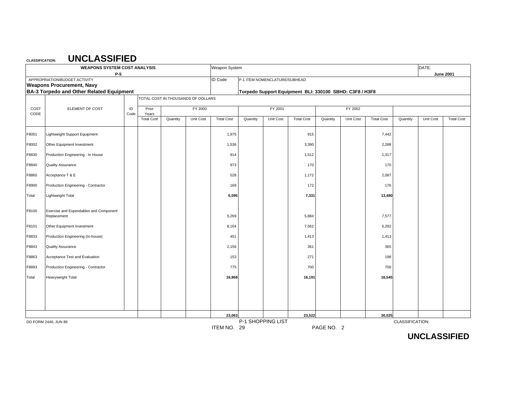|       | <b>WEAPONS SYSTEM COST ANALYSIS</b>                               |      |                            |          |                                    | Weapon System     |          |                               |                                                         |            |           |                   |                 | DATE:     |                   |
|-------|-------------------------------------------------------------------|------|----------------------------|----------|------------------------------------|-------------------|----------|-------------------------------|---------------------------------------------------------|------------|-----------|-------------------|-----------------|-----------|-------------------|
|       | $P-5$                                                             |      |                            |          |                                    |                   |          |                               |                                                         |            |           |                   |                 |           | <b>June 2001</b>  |
|       | APPROPRIATION/BUDGET ACTIVITY<br><b>Weapons Procurement, Navy</b> |      |                            |          |                                    | <b>ID Code</b>    |          | P-1 ITEM NOMENCLATURE/SUBHEAD |                                                         |            |           |                   |                 |           |                   |
|       | <b>BA-3 Torpedo and Other Related Equipment</b>                   |      |                            |          |                                    |                   |          |                               | Torpedo Support Equipment BLI: 330100 SBHD: C3F8 / H3F8 |            |           |                   |                 |           |                   |
|       |                                                                   |      |                            |          | TOTAL COST IN THOUSANDS OF DOLLARS |                   |          |                               |                                                         |            |           |                   |                 |           |                   |
| COST  | ELEMENT OF COST                                                   | ID   | Prior                      |          | FY 2000                            |                   |          | FY 2001                       |                                                         |            | FY 2002   |                   |                 |           |                   |
| CODE  |                                                                   | Code | Years<br><b>Total Cost</b> | Quantity | Unit Cost                          | <b>Total Cost</b> | Quantity | Unit Cost                     | <b>Total Cost</b>                                       | Quantity   | Unit Cost | <b>Total Cost</b> | Quantity        | Unit Cost | <b>Total Cost</b> |
| F8001 | Lightweight Support Equipment                                     |      |                            |          |                                    | 1,975             |          |                               | 915                                                     |            |           | 7,442             |                 |           |                   |
| F8002 | Other Equipment Investment                                        |      |                            |          |                                    | 1,536             |          |                               | 3,390                                                   |            |           | 2,288             |                 |           |                   |
| F8830 | Production Engineering - In House                                 |      |                            |          |                                    | 914               |          |                               | 1,512                                                   |            |           | 1,317             |                 |           |                   |
| F8840 | <b>Quality Assurance</b>                                          |      |                            |          |                                    | 973               |          |                               | 170                                                     |            |           | 170               |                 |           |                   |
| F8860 | Acceptance T & E                                                  |      |                            |          |                                    | 528               |          |                               | 1,172                                                   |            |           | 2,087             |                 |           |                   |
| F8900 | Production Engineering - Contractor                               |      |                            |          |                                    | 169               |          |                               | 172                                                     |            |           | 176               |                 |           |                   |
| Total | Lightweight Total                                                 |      |                            |          |                                    | 6,095             |          |                               | 7,331                                                   |            |           | 13,480            |                 |           |                   |
| F8100 | Exercise and Expendables and Component<br>Replacement             |      |                            |          |                                    | 5,269             |          |                               | 5,884                                                   |            |           | 7,577             |                 |           |                   |
| F8101 | Other Equipment Investment                                        |      |                            |          |                                    | 8,164             |          |                               | 7,562                                                   |            |           | 6,292             |                 |           |                   |
| F8833 | Production Engineering (In-house)                                 |      |                            |          |                                    | 451               |          |                               | 1,413                                                   |            |           | 1,413             |                 |           |                   |
| F8843 | <b>Quality Assurance</b>                                          |      |                            |          |                                    | 2,156             |          |                               | 361                                                     |            |           | 365               |                 |           |                   |
| F8863 | Acceptance Test and Evaluation                                    |      |                            |          |                                    | 153               |          |                               | 271                                                     |            |           | 198               |                 |           |                   |
| F8893 | Production Engineering - Contractor                               |      |                            |          |                                    | 775               |          |                               | 700                                                     |            |           | 700               |                 |           |                   |
| Total | Heavyweight Total                                                 |      |                            |          |                                    | 16,968            |          |                               | 16,191                                                  |            |           | 16,545            |                 |           |                   |
|       |                                                                   |      |                            |          |                                    |                   |          |                               |                                                         |            |           |                   |                 |           |                   |
|       |                                                                   |      |                            |          |                                    | 23,063            |          |                               | 23,522                                                  |            |           | 30,025            |                 |           |                   |
|       | DD FORM 2446, JUN 86                                              |      |                            |          |                                    | ITEM NO. 29       |          | P-1 SHOPPING LIST             |                                                         | PAGE NO. 2 |           |                   | CLASSIFICATION: |           |                   |
|       |                                                                   |      |                            |          |                                    |                   |          |                               |                                                         |            |           |                   |                 |           |                   |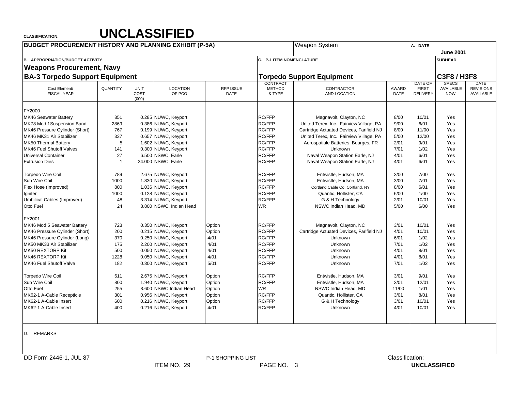| <b>BUDGET PROCUREMENT HISTORY AND PLANNING EXHIBIT (P-5A)</b> |          |                              |                           |                          |                          | <b>Weapon System</b>                     |               | A. DATE                         |                         |                               |
|---------------------------------------------------------------|----------|------------------------------|---------------------------|--------------------------|--------------------------|------------------------------------------|---------------|---------------------------------|-------------------------|-------------------------------|
|                                                               |          |                              |                           |                          |                          |                                          |               |                                 | <b>June 2001</b>        |                               |
| <b>B. APPROPRIATION/BUDGET ACTIVITY</b>                       |          |                              |                           |                          | C. P-1 ITEM NOMENCLATURE |                                          |               |                                 | <b>SUBHEAD</b>          |                               |
| <b>Weapons Procurement, Navy</b>                              |          |                              |                           |                          |                          |                                          |               |                                 |                         |                               |
| <b>BA-3 Torpedo Support Equipment</b>                         |          |                              |                           |                          |                          | <b>Torpedo Support Equipment</b>         |               |                                 | <b>C3F8 / H3F8</b>      |                               |
|                                                               |          |                              |                           |                          | CONTRACT                 |                                          |               | DATE OF                         | <b>SPECS</b>            | <b>DATE</b>                   |
| Cost Element/<br><b>FISCAL YEAR</b>                           | QUANTITY | <b>UNIT</b><br>COST<br>(000) | <b>LOCATION</b><br>OF PCO | RFP ISSUE<br><b>DATE</b> | <b>METHOD</b><br>& TYPE  | CONTRACTOR<br>AND LOCATION               | AWARD<br>DATE | <b>FIRST</b><br><b>DELIVERY</b> | AVAILABLE<br><b>NOW</b> | <b>REVISIONS</b><br>AVAILABLE |
| FY2000                                                        |          |                              |                           |                          |                          |                                          |               |                                 |                         |                               |
| MK46 Seawater Battery                                         | 851      |                              | 0.285 NUWC, Keyport       |                          | <b>RC/FFP</b>            | Magnavolt, Clayton, NC                   | 8/00          | 10/01                           | Yes                     |                               |
| MK78 Mod 1Suspension Band                                     | 2869     |                              | 0.386 NUWC, Keyport       |                          | <b>RC/FFP</b>            | United Terex, Inc. Fairview Village, PA  | 9/00          | 6/01                            | Yes                     |                               |
| MK46 Pressure Cylinder (Short)                                | 767      |                              | 0.199 NUWC, Keyport       |                          | RC/FFP                   | Cartridge Actuated Devices, Farifield NJ | 8/00          | 11/00                           | Yes                     |                               |
| MK46 MK31 Air Stabilizer                                      | 337      |                              | 0.657 NUWC, Keyport       |                          | <b>RC/FFP</b>            | United Terex, Inc. Fairview Village, PA  | 5/00          | 12/00                           | Yes                     |                               |
| MK50 Thermal Battery                                          | 5        |                              | 1.602 NUWC, Keyport       |                          | <b>RC/FFP</b>            | Aerospatiale Batteries, Bourges, FR      | 2/01          | 9/01                            | Yes                     |                               |
| MK46 Fuel Shutoff Valves                                      | 141      |                              | 0.300 NUWC, Keyport       |                          | <b>RC/FFP</b>            | Unknown                                  | 7/01          | 1/02                            | Yes                     |                               |
| <b>Universal Container</b>                                    | 27       |                              | 6.500 NSWC, Earle         |                          | <b>RC/FFP</b>            | Naval Weapon Station Earle, NJ           | 4/01          | 6/01                            | Yes                     |                               |
| <b>Extrusion Dies</b>                                         |          |                              | 24.000 NSWC, Earle        |                          | RC/FFP                   | Naval Weapon Station Earle, NJ           | 4/01          | 6/01                            | Yes                     |                               |
| <b>Torpedo Wire Coil</b>                                      | 789      |                              | 2.675 NUWC, Keyport       |                          | <b>RC/FFP</b>            | Entwistle, Hudson, MA                    | 3/00          | 7/00                            | Yes                     |                               |
| Sub Wire Coil                                                 | 1000     |                              | 1.830 NUWC, Keyport       |                          | <b>RC/FFP</b>            | Entwistle, Hudson, MA                    | 3/00          | 7/01                            | Yes                     |                               |
| Flex Hose (Improved)                                          | 800      |                              | 1.036 NUWC, Keyport       |                          | <b>RC/FFP</b>            | Cortland Cable Co, Cortland, NY          | 8/00          | 6/01                            | Yes                     |                               |
| Igniter                                                       | 1000     |                              | 0.128 NUWC, Keyport       |                          | <b>RC/FFP</b>            | Quantic, Hollister, CA                   | 6/00          | 1/00                            | Yes                     |                               |
| Umbilical Cables (Improved)                                   | 48       |                              | 3.314 NUWC, Keyport       |                          | RC/FFP                   | G & H Technology                         | 2/01          | 10/01                           | Yes                     |                               |
| Otto Fuel                                                     | 24       |                              | 8.800 NSWC, Indian Head   |                          | <b>WR</b>                | NSWC Indian Head, MD                     | 5/00          | 6/00                            | Yes                     |                               |
| FY2001                                                        |          |                              |                           |                          |                          |                                          |               |                                 |                         |                               |
| MK46 Mod 5 Seawater Battery                                   | 723      |                              | 0.350 NUWC, Keyport       | Option                   | <b>RC/FFP</b>            | Magnavolt, Clayton, NC                   | 3/01          | 10/01                           | Yes                     |                               |
| MK46 Pressure Cylinder (Short)                                | 200      |                              | 0.215 NUWC, Keyport       | Option                   | <b>RC/FFP</b>            | Cartridge Actuated Devices, Farifield NJ | 4/01          | 10/01                           | Yes                     |                               |
| MK46 Pressure Cylinder (Long)                                 | 370      |                              | 0.250 NUWC, Keyport       | 4/01                     | <b>RC/FFP</b>            | Unknown                                  | 6/01          | 1/02                            | Yes                     |                               |
| MK50 MK33 Air Stabilizer                                      | 175      |                              | 2.200 NUWC, Keyport       | 4/01                     | RC/FFP                   | Unknown                                  | 7/01          | 1/02                            | Yes                     |                               |
| MK50 REXTORP Kit                                              | 500      |                              | 0.050 NUWC, Keyport       | 4/01                     | <b>RC/FFP</b>            | Unknown                                  | 4/01          | 8/01                            | Yes                     |                               |
| MK46 REXTORP Kit                                              | 1228     |                              | 0.050 NUWC, Keyport       | 4/01                     | <b>RC/FFP</b>            | Unknown                                  | 4/01          | 8/01                            | Yes                     |                               |
| MK46 Fuel Shutoff Valve                                       | 182      |                              | 0.300 NUWC, Keyport       | 5/01                     | RC/FFP                   | Unknown                                  | 7/01          | 1/02                            | Yes                     |                               |
| <b>Torpedo Wire Coil</b>                                      | 611      |                              | 2.675 NUWC, Keyport       | Option                   | RC/FFP                   | Entwistle, Hudson, MA                    | 3/01          | 9/01                            | Yes                     |                               |
| Sub Wire Coil                                                 | 800      |                              | 1.940 NUWC, Keyport       | Option                   | <b>RC/FFP</b>            | Entwistle, Hudson, MA                    | 3/01          | 12/01                           | Yes                     |                               |
| Otto Fuel                                                     | 255      |                              | 8.600 NSWC Indian Head    | Option                   | WR                       | NSWC Indian Head, MD                     | 11/00         | 1/01                            | Yes                     |                               |
| MK62-1 A-Cable Recepticle                                     | 301      |                              | 0.956 NUWC, Keyport       | Option                   | RC/FFP                   | Quantic, Hollister, CA                   | 3/01          | 8/01                            | Yes                     |                               |
| MK62-1 A-Cable Insert                                         | 600      |                              | 0.216 NUWC, Keyport       | Option                   | <b>RC/FFP</b>            | G & H Technology                         | 3/01          | 10/01                           | Yes                     |                               |
| MK62-1 A-Cable Insert                                         | 400      |                              | 0.216 NUWC, Keyport       | 4/01                     | <b>RC/FFP</b>            | <b>Unknown</b>                           | 4/01          | 10/01                           | Yes                     |                               |
|                                                               |          |                              |                           |                          |                          |                                          |               |                                 |                         |                               |

D. REMARKS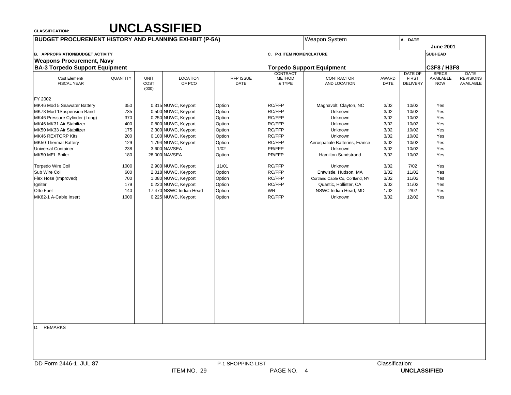| <b>BUDGET PROCUREMENT HISTORY AND PLANNING EXHIBIT (P-5A)</b> |          |                              |                           |                   |                              | <b>Weapon System</b>             |                 | A. DATE                                    |                                         |                                              |
|---------------------------------------------------------------|----------|------------------------------|---------------------------|-------------------|------------------------------|----------------------------------|-----------------|--------------------------------------------|-----------------------------------------|----------------------------------------------|
|                                                               |          |                              |                           |                   |                              |                                  |                 |                                            | <b>June 2001</b>                        |                                              |
| <b>B. APPROPRIATION/BUDGET ACTIVITY</b>                       |          |                              |                           |                   | C. P-1 ITEM NOMENCLATURE     |                                  |                 |                                            | <b>SUBHEAD</b>                          |                                              |
| <b>Weapons Procurement, Navy</b>                              |          |                              |                           |                   |                              |                                  |                 |                                            |                                         |                                              |
| <b>BA-3 Torpedo Support Equipment</b>                         |          |                              |                           |                   |                              | <b>Torpedo Support Equipment</b> |                 |                                            | C3F8 / H3F8                             |                                              |
| Cost Element/<br><b>FISCAL YEAR</b>                           | QUANTITY | <b>UNIT</b><br>COST<br>(000) | <b>LOCATION</b><br>OF PCO | RFP ISSUE<br>DATE | CONTRACT<br>METHOD<br>& TYPE | CONTRACTOR<br>AND LOCATION       | AWARD<br>DATE   | <b>DATE OF</b><br><b>FIRST</b><br>DELIVERY | <b>SPECS</b><br>AVAILABLE<br><b>NOW</b> | <b>DATE</b><br><b>REVISIONS</b><br>AVAILABLE |
| FY 2002                                                       |          |                              |                           |                   |                              |                                  |                 |                                            |                                         |                                              |
| MK46 Mod 5 Seawater Battery                                   | 350      |                              | 0.315 NUWC, Keyport       | Option            | RC/FFP                       | Magnavolt, Clayton, NC           | 3/02            | 10/02                                      | Yes                                     |                                              |
| MK78 Mod 1Suspension Band                                     | 735      |                              | 0.500 NUWC, Keyport       | Option            | RC/FFP                       | Unknown                          | 3/02            | 10/02                                      | Yes                                     |                                              |
| MK46 Pressure Cylinder (Long)                                 | 370      |                              | 0.250 NUWC, Keyport       | Option            | RC/FFP                       | Unknown                          | 3/02            | 10/02                                      | Yes                                     |                                              |
| MK46 MK31 Air Stabilizer                                      | 400      |                              | 0.800 NUWC, Keyport       | Option            | RC/FFP                       | Unknown                          | 3/02            | 10/02                                      | Yes                                     |                                              |
| MK50 MK33 Air Stabilizer                                      | 175      |                              | 2.300 NUWC, Keyport       | Option            | RC/FFP                       | Unknown                          | 3/02            | 10/02                                      | Yes                                     |                                              |
| MK46 REXTORP Kits                                             | 200      |                              | 0.100 NUWC, Keyport       | Option            | RC/FFP                       | Unknown                          | 3/02            | 10/02                                      | Yes                                     |                                              |
| MK50 Thermal Battery                                          | 129      |                              | 1.794 NUWC, Keyport       | Option            | RC/FFP                       | Aerospatiale Batteries, France   | 3/02            | 10/02                                      | Yes                                     |                                              |
| <b>Universal Container</b>                                    | 238      |                              | 3.600 NAVSEA              | 1/02              | PR/FFP                       | Unknown                          | 3/02            | 10/02                                      | Yes                                     |                                              |
| MK50 MEL Boiler                                               | 180      |                              | 28.000 NAVSEA             | Option            | PR/FFP                       | <b>Hamilton Sundstrand</b>       | 3/02            | 10/02                                      | Yes                                     |                                              |
| <b>Torpedo Wire Coil</b>                                      | 1000     |                              | 2.900 NUWC, Keyport       | 11/01             | RC/FFP                       | Unknown                          | 3/02            | 7/02                                       | Yes                                     |                                              |
| Sub Wire Coil                                                 | 600      |                              | 2.018 NUWC, Keyport       | Option            | RC/FFP                       | Entwistle, Hudson, MA            | 3/02            | 11/02                                      | Yes                                     |                                              |
| Flex Hose (Improved)                                          | 700      |                              | 1.080 NUWC, Keyport       | Option            | RC/FFP                       | Cortland Cable Co, Cortland, NY  | 3/02            | 11/02                                      | Yes                                     |                                              |
| Igniter                                                       | 179      |                              | 0.220 NUWC, Keyport       | Option            | RC/FFP                       | Quantic, Hollister, CA           | 3/02            | 11/02                                      | Yes                                     |                                              |
| Otto Fuel                                                     | 140      |                              | 17.470 NSWC Indian Head   | Option            | <b>WR</b>                    | NSWC Indian Head, MD             | 1/02            | 2/02                                       | Yes                                     |                                              |
| MK62-1 A-Cable Insert                                         | 1000     |                              | 0.225 NUWC, Keyport       | Option            | RC/FFP                       | Unknown                          | 3/02            | 12/02                                      | Yes                                     |                                              |
|                                                               |          |                              |                           |                   |                              |                                  |                 |                                            |                                         |                                              |
| D.<br><b>REMARKS</b>                                          |          |                              |                           |                   |                              |                                  |                 |                                            |                                         |                                              |
| DD Form 2446-1, JUL 87                                        |          |                              |                           | P-1 SHOPPING LIST |                              |                                  | Classification: |                                            |                                         |                                              |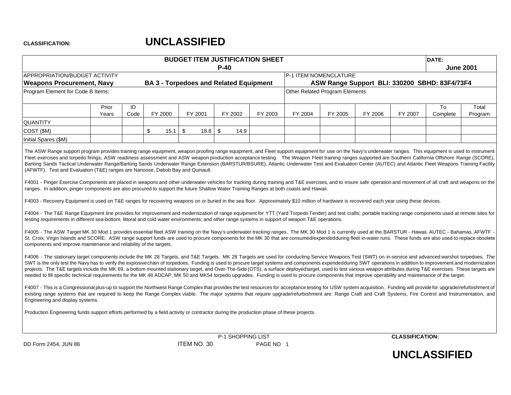|                                                                                                                                                                                                                                                                                                                                                                                                                                                                                                                                                                                                                                                                                                                                                                                                                                                            |                |            |            | <b>BUDGET ITEM JUSTIFICATION SHEET</b>        |        |                   |           |         |                                               |         |                        | DATE:          |                  |
|------------------------------------------------------------------------------------------------------------------------------------------------------------------------------------------------------------------------------------------------------------------------------------------------------------------------------------------------------------------------------------------------------------------------------------------------------------------------------------------------------------------------------------------------------------------------------------------------------------------------------------------------------------------------------------------------------------------------------------------------------------------------------------------------------------------------------------------------------------|----------------|------------|------------|-----------------------------------------------|--------|-------------------|-----------|---------|-----------------------------------------------|---------|------------------------|----------------|------------------|
| <b>APPROPRIATION/BUDGET ACTIVITY</b>                                                                                                                                                                                                                                                                                                                                                                                                                                                                                                                                                                                                                                                                                                                                                                                                                       |                |            |            |                                               | $P-40$ |                   |           |         | P-1 ITEM NOMENCLATURE                         |         |                        |                | <b>June 2001</b> |
| <b>Weapons Procurement, Navy</b>                                                                                                                                                                                                                                                                                                                                                                                                                                                                                                                                                                                                                                                                                                                                                                                                                           |                |            |            | <b>BA 3 - Torpedoes and Related Equipment</b> |        |                   |           |         | ASW Range Support BLI: 330200 SBHD: 83F4/73F4 |         |                        |                |                  |
| Program Element for Code B Items:                                                                                                                                                                                                                                                                                                                                                                                                                                                                                                                                                                                                                                                                                                                                                                                                                          |                |            |            |                                               |        |                   |           |         | Other Related Program Elements                |         |                        |                |                  |
|                                                                                                                                                                                                                                                                                                                                                                                                                                                                                                                                                                                                                                                                                                                                                                                                                                                            | Prior<br>Years | ID<br>Code | FY 2000    | FY 2001                                       |        | FY 2002           | FY 2003   | FY 2004 | FY 2005                                       | FY 2006 | FY 2007                | To<br>Complete | Total<br>Program |
| <b>QUANTITY</b>                                                                                                                                                                                                                                                                                                                                                                                                                                                                                                                                                                                                                                                                                                                                                                                                                                            |                |            |            |                                               |        |                   |           |         |                                               |         |                        |                |                  |
| COST (\$M)                                                                                                                                                                                                                                                                                                                                                                                                                                                                                                                                                                                                                                                                                                                                                                                                                                                 |                |            | \$<br>15.1 | \$<br>18.8                                    | \$     | 14.9              |           |         |                                               |         |                        |                |                  |
| Initial Spares (\$M)                                                                                                                                                                                                                                                                                                                                                                                                                                                                                                                                                                                                                                                                                                                                                                                                                                       |                |            |            |                                               |        |                   |           |         |                                               |         |                        |                |                  |
| Fleet exercises and torpedo firings, ASW readiness assessment and ASW weapon production acceptance testing. The Weapon Fleet training ranges supported are Southern California Offshore Range (SCORE),<br>Barking Sands Tactical Underwater Range/Barking Sands Underwater Range Extension (BARSTUR/BSURE), Atlantic Underwater Test and Evaluation Center (AUTEC) and Atlantic Fleet Weapons Training Facility<br>(AFWTF). Test and Evaluation (T&E) ranges are Nanoose, Dabob Bay and Quinault.<br>F4001 - Pinger Exercise Components are placed in weapons and other underwater vehicles for tracking during training and T&E exercises, and to insure safe operation and movement of all craft and weapons on the                                                                                                                                      |                |            |            |                                               |        |                   |           |         |                                               |         |                        |                |                  |
| ranges. In addition, pinger components are also procured to support the future Shallow Water Training Ranges at both coasts and Hawaii.                                                                                                                                                                                                                                                                                                                                                                                                                                                                                                                                                                                                                                                                                                                    |                |            |            |                                               |        |                   |           |         |                                               |         |                        |                |                  |
| F4003 - Recovery Equipment is used on T&E ranges for recovering weapons on or buried in the sea floor. Approximately \$10 million of hardware is recovered each year using these devices.                                                                                                                                                                                                                                                                                                                                                                                                                                                                                                                                                                                                                                                                  |                |            |            |                                               |        |                   |           |         |                                               |         |                        |                |                  |
| F4004 - The T&E Range Equipment line provides for improvement and modernization of range equipment for YTT (Yard Torpedo Tender) and test crafts; portable tracking range components used at remote sites for<br>testing requirements in different sea-bottom, littoral and cold water environments; and other range systems in support of weapon T&E operations.                                                                                                                                                                                                                                                                                                                                                                                                                                                                                          |                |            |            |                                               |        |                   |           |         |                                               |         |                        |                |                  |
| F4005 - The ASW Target MK 30 Mod 1 provides essential fleet ASW training on the Navy's underwater tracking ranges. The MK 30 Mod 1 is currently used at the BARSTUR - Hawaii, AUTEC - Bahamas, AFWTF -<br>St. Croix, Virgin Islands and SCORE. ASW range support funds are used to procure components for the MK 30 that are consumed/expendedduring fleet in-water runs. These funds are also used to replace obsolete<br>components and improve maintenance and reliability of the targets.                                                                                                                                                                                                                                                                                                                                                              |                |            |            |                                               |        |                   |           |         |                                               |         |                        |                |                  |
| F4006 - The stationary target components include the MK 28 Targets, and T&E Targets. MK 28 Targets are used for conducting Service Weapons Test (SWT) on in-service and advanced warshot torpedoes. The<br>SWT is the only test the Navy has to verify the explosive chain of torpedoes. Funding is used to procure target systems and components expended during SWT operations in addition to improvement and modernization<br>projects. The T&E targets include the MK 69, a bottom mounted stationary target, and Over-The-Side (OTS), a surface deployed target, used to test various weapon attributes during T&E exercises. These targets are<br>needed to fill specific technical requirements for the MK 48 ADCAP, MK 50 and MK54 torpedo upgrades. Funding is used to procure components that improve operability and maintenance of the target. |                |            |            |                                               |        |                   |           |         |                                               |         |                        |                |                  |
| F4007 - This is a Congressional plus-up to support the Northwest Range Complex that provides the test resources for acceptance testing for USW system acquisition. Funding will provide for upgrade/refurbishment of<br>existing range systems that are required to keep the Range Complex viable. The major systems that require upgrade/refurbishment are: Range Craft and Craft Systems, Fire Control and Instrumentation, and<br>Engineering and display systems.                                                                                                                                                                                                                                                                                                                                                                                      |                |            |            |                                               |        |                   |           |         |                                               |         |                        |                |                  |
| Production Engineering funds support efforts performed by a field activity or contractor during the production phase of these projects.                                                                                                                                                                                                                                                                                                                                                                                                                                                                                                                                                                                                                                                                                                                    |                |            |            |                                               |        |                   |           |         |                                               |         |                        |                |                  |
|                                                                                                                                                                                                                                                                                                                                                                                                                                                                                                                                                                                                                                                                                                                                                                                                                                                            |                |            |            |                                               |        | P-1 SHOPPING LIST |           |         |                                               |         | <b>CLASSIFICATION:</b> |                |                  |
| DD Form 2454, JUN 86                                                                                                                                                                                                                                                                                                                                                                                                                                                                                                                                                                                                                                                                                                                                                                                                                                       |                |            |            | ITEM NO. 30                                   |        |                   | PAGE NO 1 |         |                                               |         |                        |                |                  |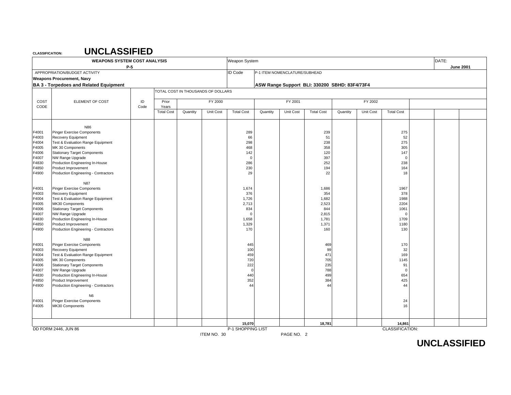## **UNCLASSIFIED**

|                                                                                                 | <b>WEAPONS SYSTEM COST ANALYSIS</b>                                                                                                                                                                                                                                                                                                                           |      |                            |          |                                    | Weapon System                                                                     |          |                               |                                                                           |          |           |                                                                                  | DATE: |                  |
|-------------------------------------------------------------------------------------------------|---------------------------------------------------------------------------------------------------------------------------------------------------------------------------------------------------------------------------------------------------------------------------------------------------------------------------------------------------------------|------|----------------------------|----------|------------------------------------|-----------------------------------------------------------------------------------|----------|-------------------------------|---------------------------------------------------------------------------|----------|-----------|----------------------------------------------------------------------------------|-------|------------------|
|                                                                                                 | APPROPRIATION/BUDGET ACTIVITY<br><b>Weapons Procurement, Navy</b>                                                                                                                                                                                                                                                                                             | P-5  |                            |          |                                    | <b>ID Code</b>                                                                    |          | P-1 ITEM NOMENCLATURE/SUBHEAD |                                                                           |          |           |                                                                                  |       | <b>June 2001</b> |
|                                                                                                 | <b>BA 3 - Torpedoes and Related Equipment</b>                                                                                                                                                                                                                                                                                                                 |      |                            |          |                                    |                                                                                   |          |                               | ASW Range Support BLI: 330200 SBHD: 83F4/73F4                             |          |           |                                                                                  |       |                  |
|                                                                                                 |                                                                                                                                                                                                                                                                                                                                                               |      |                            |          | TOTAL COST IN THOUSANDS OF DOLLARS |                                                                                   |          |                               |                                                                           |          |           |                                                                                  |       |                  |
| COST                                                                                            | ELEMENT OF COST                                                                                                                                                                                                                                                                                                                                               | ID   | Prior                      |          | FY 2000                            |                                                                                   |          | FY 2001                       |                                                                           |          | FY 2002   |                                                                                  |       |                  |
| CODE                                                                                            |                                                                                                                                                                                                                                                                                                                                                               | Code | Years<br><b>Total Cost</b> | Quantity | Unit Cost                          | <b>Total Cost</b>                                                                 | Quantity | Unit Cost                     | <b>Total Cost</b>                                                         | Quantity | Unit Cost | <b>Total Cost</b>                                                                |       |                  |
|                                                                                                 |                                                                                                                                                                                                                                                                                                                                                               |      |                            |          |                                    |                                                                                   |          |                               |                                                                           |          |           |                                                                                  |       |                  |
| F4001<br>F4003<br>F4004<br>F4005<br>F4006<br>F4007<br>F4830<br>F4850<br>F4900<br>F4001<br>F4003 | N86<br><b>Pinger Exercise Components</b><br>Recovery Equipment<br>Test & Evaluation Range Equipment<br>MK 30 Components<br><b>Stationary Target Components</b><br>NW Range Upgrade<br>Production Engineering In-House<br>Product Improvement<br>Production Engineering - Contractors<br><b>N87</b><br><b>Pinger Exercise Components</b><br>Recovery Equipment |      |                            |          |                                    | 289<br>66<br>298<br>468<br>142<br>$\mathbf 0$<br>286<br>230<br>29<br>1,674<br>376 |          |                               | 239<br>51<br>238<br>358<br>120<br>397<br>252<br>194<br>22<br>1,686<br>354 |          |           | 275<br>52<br>275<br>305<br>147<br>$\mathbf 0$<br>238<br>164<br>18<br>1967<br>378 |       |                  |
| F4004<br>F4005<br>F4006<br>F4007<br>F4830<br>F4850<br>F4900                                     | Test & Evaluation Range Equipment<br>MK30 Components<br><b>Stationary Target Components</b><br>NW Range Upgrade<br>Production Engineering In-House<br>Product Improvement<br>Production Engineering - Contractors                                                                                                                                             |      |                            |          |                                    | 1,726<br>2,713<br>834<br>$\Omega$<br>1,658<br>1,329<br>170                        |          |                               | 1,682<br>2,523<br>844<br>2,815<br>1,781<br>1,371<br>160                   |          |           | 1988<br>2204<br>1061<br>$\mathbf 0$<br>1709<br>1180<br>130                       |       |                  |
| F4001<br>F4003<br>F4004<br>F4005<br>F4006<br>F4007<br>F4830<br>F4850<br>F4900                   | N88<br>Pinger Exercise Components<br>Recovery Equipment<br>Test & Evaluation Range Equipment<br>MK 30 Components<br><b>Stationary Target Components</b><br>NW Range Upgrade<br>Production Engineering In-House<br>Product Improvement<br>Production Engineering - Contractors<br>N6                                                                           |      |                            |          |                                    | 445<br>100<br>459<br>720<br>222<br>$\Omega$<br>440<br>352<br>44                   |          |                               | 469<br>99<br>471<br>705<br>235<br>788<br>499<br>384<br>44                 |          |           | 170<br>32<br>169<br>1145<br>91<br>$\mathbf 0$<br>654<br>425<br>44                |       |                  |
| F4001<br>F4005                                                                                  | Pinger Exercise Components<br>MK30 Components                                                                                                                                                                                                                                                                                                                 |      |                            |          |                                    |                                                                                   |          |                               |                                                                           |          |           | 24<br>16                                                                         |       |                  |
|                                                                                                 |                                                                                                                                                                                                                                                                                                                                                               |      |                            |          |                                    | 15,070                                                                            |          |                               | 18,781                                                                    |          |           | 14,861                                                                           |       |                  |
|                                                                                                 | DD FORM 2446, JUN 86                                                                                                                                                                                                                                                                                                                                          |      |                            |          | ITEM NO. 30                        | P-1 SHOPPING LIST                                                                 |          | PAGE NO. 2                    |                                                                           |          |           | CLASSIFICATION:                                                                  |       |                  |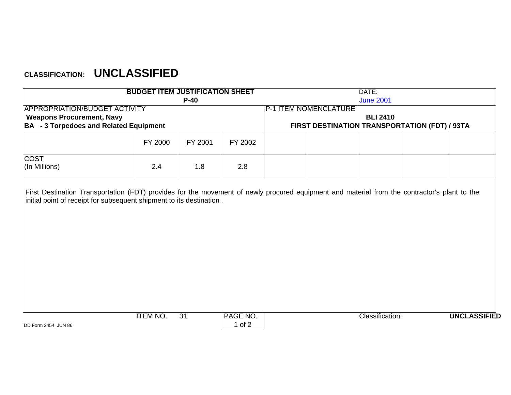|                                                                                                                                                                                                                      | <b>BUDGET ITEM JUSTIFICATION SHEET</b> |         |         |                              |                                               | DATE:            |  |
|----------------------------------------------------------------------------------------------------------------------------------------------------------------------------------------------------------------------|----------------------------------------|---------|---------|------------------------------|-----------------------------------------------|------------------|--|
|                                                                                                                                                                                                                      |                                        | $P-40$  |         |                              |                                               | <b>June 2001</b> |  |
| APPROPRIATION/BUDGET ACTIVITY                                                                                                                                                                                        |                                        |         |         | <b>P-1 ITEM NOMENCLATURE</b> |                                               |                  |  |
| <b>Weapons Procurement, Navy</b>                                                                                                                                                                                     |                                        |         |         |                              |                                               | <b>BLI 2410</b>  |  |
| <b>BA</b> - 3 Torpedoes and Related Equipment                                                                                                                                                                        |                                        |         |         |                              | FIRST DESTINATION TRANSPORTATION (FDT) / 93TA |                  |  |
|                                                                                                                                                                                                                      | FY 2000                                | FY 2001 | FY 2002 |                              |                                               |                  |  |
| <b>COST</b><br>(In Millions)                                                                                                                                                                                         | 2.4                                    | 1.8     | 2.8     |                              |                                               |                  |  |
| First Destination Transportation (FDT) provides for the movement of newly procured equipment and material from the contractor's plant to the<br>initial point of receipt for subsequent shipment to its destination. |                                        |         |         |                              |                                               |                  |  |
|                                                                                                                                                                                                                      |                                        |         |         |                              |                                               |                  |  |
|                                                                                                                                                                                                                      |                                        |         |         |                              |                                               |                  |  |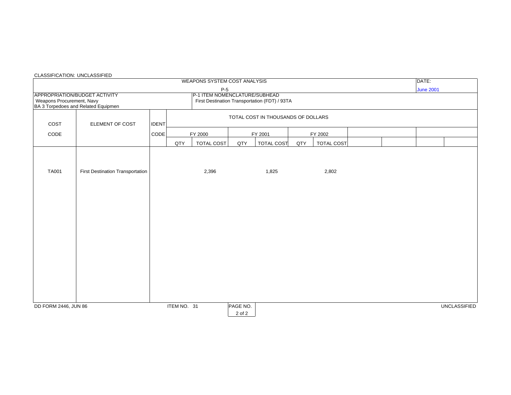|                           |                                                                      |              |             | WEAPONS SYSTEM COST ANALYSIS  |                    |                                               |     |                   | DATE:               |  |
|---------------------------|----------------------------------------------------------------------|--------------|-------------|-------------------------------|--------------------|-----------------------------------------------|-----|-------------------|---------------------|--|
|                           |                                                                      |              |             | $P-5$                         |                    |                                               |     |                   | <b>June 2001</b>    |  |
| Weapons Procurement, Navy | APPROPRIATION/BUDGET ACTIVITY<br>BA 3 Torpedoes and Related Equipmen |              |             | P-1 ITEM NOMENCLATURE/SUBHEAD |                    | First Destination Transportation (FDT) / 93TA |     |                   |                     |  |
| COST                      | ELEMENT OF COST                                                      | <b>IDENT</b> |             |                               |                    | TOTAL COST IN THOUSANDS OF DOLLARS            |     |                   |                     |  |
| CODE                      |                                                                      | CODE         |             | FY 2000                       |                    | FY 2001                                       |     | FY 2002           |                     |  |
|                           |                                                                      |              | QTY         | <b>TOTAL COST</b>             | QTY                | <b>TOTAL COST</b>                             | QTY | <b>TOTAL COST</b> |                     |  |
| <b>TA001</b>              | First Destination Transportation                                     |              |             | 2,396                         |                    | 1,825                                         |     | 2,802             |                     |  |
| DD FORM 2446, JUN 86      |                                                                      |              | ITEM NO. 31 |                               | PAGE NO.<br>2 of 2 |                                               |     |                   | <b>UNCLASSIFIED</b> |  |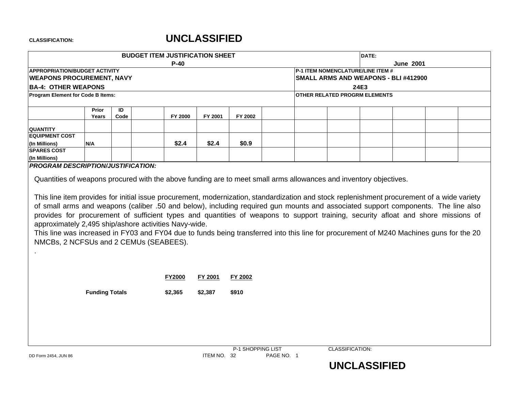|                                                                                                 |                       |      | <b>BUDGET ITEM JUSTIFICATION SHEET</b> |         |                                                                                                                                                                                                                                                                                                                                                                                                                   |  |                                          | DATE: |                                      |  |
|-------------------------------------------------------------------------------------------------|-----------------------|------|----------------------------------------|---------|-------------------------------------------------------------------------------------------------------------------------------------------------------------------------------------------------------------------------------------------------------------------------------------------------------------------------------------------------------------------------------------------------------------------|--|------------------------------------------|-------|--------------------------------------|--|
| <b>APPROPRIATION/BUDGET ACTIVITY</b>                                                            |                       |      | $P-40$                                 |         |                                                                                                                                                                                                                                                                                                                                                                                                                   |  | <b>P-1 ITEM NOMENCLATURE/LINE ITEM #</b> |       | <b>June 2001</b>                     |  |
| <b>WEAPONS PROCUREMENT, NAVY</b>                                                                |                       |      |                                        |         |                                                                                                                                                                                                                                                                                                                                                                                                                   |  |                                          |       | SMALL ARMS AND WEAPONS - BLI #412900 |  |
| <b>BA-4: OTHER WEAPONS</b>                                                                      |                       |      |                                        |         |                                                                                                                                                                                                                                                                                                                                                                                                                   |  |                                          | 24E3  |                                      |  |
| <b>Program Element for Code B Items:</b>                                                        |                       |      |                                        |         |                                                                                                                                                                                                                                                                                                                                                                                                                   |  | OTHER RELATED PROGRM ELEMENTS            |       |                                      |  |
|                                                                                                 |                       |      |                                        |         |                                                                                                                                                                                                                                                                                                                                                                                                                   |  |                                          |       |                                      |  |
|                                                                                                 | Prior                 | ID   |                                        |         |                                                                                                                                                                                                                                                                                                                                                                                                                   |  |                                          |       |                                      |  |
|                                                                                                 | Years                 | Code | FY 2000                                | FY 2001 | FY 2002                                                                                                                                                                                                                                                                                                                                                                                                           |  |                                          |       |                                      |  |
| <b>QUANTITY</b>                                                                                 |                       |      |                                        |         |                                                                                                                                                                                                                                                                                                                                                                                                                   |  |                                          |       |                                      |  |
| <b>EQUIPMENT COST</b>                                                                           |                       |      |                                        |         |                                                                                                                                                                                                                                                                                                                                                                                                                   |  |                                          |       |                                      |  |
| (In Millions)                                                                                   | N/A                   |      | \$2.4                                  | \$2.4   | \$0.9                                                                                                                                                                                                                                                                                                                                                                                                             |  |                                          |       |                                      |  |
| <b>SPARES COST</b>                                                                              |                       |      |                                        |         |                                                                                                                                                                                                                                                                                                                                                                                                                   |  |                                          |       |                                      |  |
| (In Millions)                                                                                   |                       |      |                                        |         |                                                                                                                                                                                                                                                                                                                                                                                                                   |  |                                          |       |                                      |  |
| <b>PROGRAM DESCRIPTION/JUSTIFICATION:</b>                                                       |                       |      |                                        |         |                                                                                                                                                                                                                                                                                                                                                                                                                   |  |                                          |       |                                      |  |
| approximately 2,495 ship/ashore activities Navy-wide.<br>NMCBs, 2 NCFSUs and 2 CEMUs (SEABEES). |                       |      |                                        |         | of small arms and weapons (caliber .50 and below), including required gun mounts and associated support components. The line also<br>provides for procurement of sufficient types and quantities of weapons to support training, security afloat and shore missions of<br>This line was increased in FY03 and FY04 due to funds being transferred into this line for procurement of M240 Machines guns for the 20 |  |                                          |       |                                      |  |
|                                                                                                 |                       |      | <b>FY2000</b>                          | FY 2001 | FY 2002                                                                                                                                                                                                                                                                                                                                                                                                           |  |                                          |       |                                      |  |
|                                                                                                 | <b>Funding Totals</b> |      | \$2,365                                | \$2,387 | \$910                                                                                                                                                                                                                                                                                                                                                                                                             |  |                                          |       |                                      |  |
|                                                                                                 |                       |      |                                        |         |                                                                                                                                                                                                                                                                                                                                                                                                                   |  |                                          |       |                                      |  |
|                                                                                                 |                       |      |                                        |         | P-1 SHOPPING LIST                                                                                                                                                                                                                                                                                                                                                                                                 |  | CLASSIFICATION:                          |       |                                      |  |

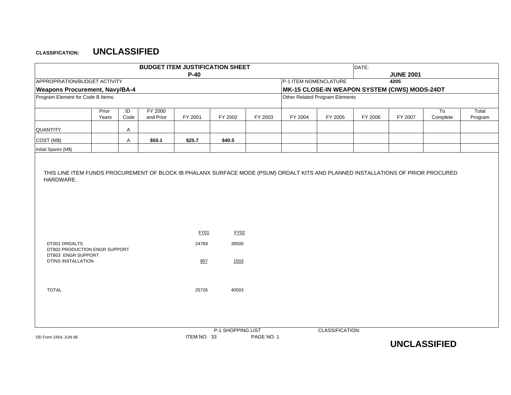|                                                                                                   |                |                        |                      | <b>BUDGET ITEM JUSTIFICATION SHEET</b> |                   |            |                       |                                               | DATE:   |                  |                            |                  |
|---------------------------------------------------------------------------------------------------|----------------|------------------------|----------------------|----------------------------------------|-------------------|------------|-----------------------|-----------------------------------------------|---------|------------------|----------------------------|------------------|
|                                                                                                   |                |                        |                      | $P-40$                                 |                   |            |                       |                                               |         | <b>JUNE 2001</b> |                            |                  |
| APPROPRIATION/BUDGET ACTIVITY                                                                     |                |                        |                      |                                        |                   |            | P-1 ITEM NOMENCLATURE |                                               |         | 4205             |                            |                  |
| <b>Weapons Procurement, Navy/BA-4</b>                                                             |                |                        |                      |                                        |                   |            |                       | MK-15 CLOSE-IN WEAPON SYSTEM (CIWS) MODS-24DT |         |                  |                            |                  |
| Program Element for Code B Items:                                                                 |                |                        |                      |                                        |                   |            |                       | Other Related Program Elements                |         |                  |                            |                  |
|                                                                                                   | Prior<br>Years | $\overline{D}$<br>Code | FY 2000<br>and Prior | FY 2001                                | FY 2002           | FY 2003    | FY 2004               | FY 2005                                       | FY 2006 | FY 2007          | T <sub>o</sub><br>Complete | Total<br>Program |
| QUANTITY                                                                                          |                | Α                      |                      |                                        |                   |            |                       |                                               |         |                  |                            |                  |
| COST (M\$)                                                                                        |                | Α                      | \$50.1               | \$25.7                                 | \$40.5            |            |                       |                                               |         |                  |                            |                  |
| Initial Spares (M\$)                                                                              |                |                        |                      |                                        |                   |            |                       |                                               |         |                  |                            |                  |
|                                                                                                   |                |                        |                      | <b>FY01</b>                            | FY02              |            |                       |                                               |         |                  |                            |                  |
| DT001 ORDALTS<br>DT802 PRODUCTION ENGR SUPPORT<br>DT803 ENGR SUPPORT<br><b>DTINS INSTALLATION</b> |                |                        |                      | 24769<br>957                           | 39500<br>1503     |            |                       |                                               |         |                  |                            |                  |
| <b>TOTAL</b>                                                                                      |                |                        |                      | 25726                                  | 40503             |            |                       |                                               |         |                  |                            |                  |
| DD Form 2454, JUN 86                                                                              |                |                        |                      | ITEM NO. 33                            | P-1 SHOPPING LIST | PAGE NO. 1 |                       | CLASSIFICATION:                               |         |                  |                            |                  |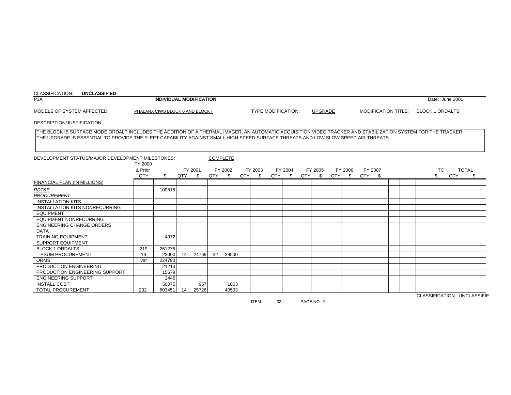| CLASSIFICATION:<br><b>UNCLASSIFIED</b>                                                                                                                       |                    |                                  |     |         |                 |                 |     |         |                           |      |     |                |         |                            |  |                        |                 |                             |
|--------------------------------------------------------------------------------------------------------------------------------------------------------------|--------------------|----------------------------------|-----|---------|-----------------|-----------------|-----|---------|---------------------------|------|-----|----------------|---------|----------------------------|--|------------------------|-----------------|-----------------------------|
| P <sub>3</sub> A                                                                                                                                             |                    | <b>INDIVIDUAL MODIFICATION</b>   |     |         |                 |                 |     |         |                           |      |     |                |         |                            |  |                        | Date: June 2001 |                             |
| MODELS OF SYSTEM AFFECTED:                                                                                                                                   |                    | PHALANX CIWS BLOCK 0 AND BLOCK I |     |         |                 |                 |     |         | <b>TYPE MODIFICATION:</b> |      |     | <b>UPGRADE</b> |         | <b>MODIFICATION TITLE:</b> |  | <b>BLOCK 1 ORDALTS</b> |                 |                             |
| <b>IDESCRIPTION/JUSTIFICATION:</b>                                                                                                                           |                    |                                  |     |         |                 |                 |     |         |                           |      |     |                |         |                            |  |                        |                 |                             |
| THE BLOCK IB SURFACE MODE ORDALT INCLUDES THE ADDITION OF A THERMAL IMAGER, AN AUTOMATIC ACQUISITION VIDEO TRACKER AND STABILIZATION SYSTEM FOR THE TRACKER. |                    |                                  |     |         |                 |                 |     |         |                           |      |     |                |         |                            |  |                        |                 |                             |
| THE UPGRADE IS ESSENTIAL TO PROVIDE THE FLEET CAPABILITY AGAINST SMALL HIGH SPEED SURFACE THREATS AND LOW SLOW SPEED AIR THREATS.                            |                    |                                  |     |         |                 |                 |     |         |                           |      |     |                |         |                            |  |                        |                 |                             |
|                                                                                                                                                              |                    |                                  |     |         |                 |                 |     |         |                           |      |     |                |         |                            |  |                        |                 |                             |
| DEVELOPMENT STATUS/MAJOR DEVELOPMENT MILESTONES:                                                                                                             |                    |                                  |     |         |                 | <b>COMPLETE</b> |     |         |                           |      |     |                |         |                            |  |                        |                 |                             |
|                                                                                                                                                              | FY 2000<br>& Prior |                                  |     | FY 2001 |                 | FY 2002         |     | FY 2003 | FY 2004                   |      |     | FY 2005        | FY 2006 | FY 2007                    |  | ТC                     |                 | <b>TOTAL</b>                |
|                                                                                                                                                              | QTY                | \$                               | QTY | \$      | QTY \$          |                 | QTY | -S      | QTY                       | - \$ | QTY | -S             | QTY \$  | QTY \$                     |  | \$                     | QTY             | \$.                         |
| <b>FINANCIAL PLAN (IN MILLIONS)</b>                                                                                                                          |                    |                                  |     |         |                 |                 |     |         |                           |      |     |                |         |                            |  |                        |                 |                             |
| RDT&E                                                                                                                                                        |                    | 100818                           |     |         |                 |                 |     |         |                           |      |     |                |         |                            |  |                        |                 |                             |
| <b>PROCUREMENT</b>                                                                                                                                           |                    |                                  |     |         |                 |                 |     |         |                           |      |     |                |         |                            |  |                        |                 |                             |
| <b>INSTALLATION KITS</b>                                                                                                                                     |                    |                                  |     |         |                 |                 |     |         |                           |      |     |                |         |                            |  |                        |                 |                             |
| INSTALLATION KITS NONRECURRING                                                                                                                               |                    |                                  |     |         |                 |                 |     |         |                           |      |     |                |         |                            |  |                        |                 |                             |
| <b>EQUIPMENT</b>                                                                                                                                             |                    |                                  |     |         |                 |                 |     |         |                           |      |     |                |         |                            |  |                        |                 |                             |
| <b>EQUIPMENT NONRECURRING</b>                                                                                                                                |                    |                                  |     |         |                 |                 |     |         |                           |      |     |                |         |                            |  |                        |                 |                             |
| <b>ENGINEERING CHANGE ORDERS</b>                                                                                                                             |                    |                                  |     |         |                 |                 |     |         |                           |      |     |                |         |                            |  |                        |                 |                             |
| <b>DATA</b>                                                                                                                                                  |                    |                                  |     |         |                 |                 |     |         |                           |      |     |                |         |                            |  |                        |                 |                             |
| <b>TRAINING EQUIPMENT</b>                                                                                                                                    |                    | 4972                             |     |         |                 |                 |     |         |                           |      |     |                |         |                            |  |                        |                 |                             |
| <b>SUPPORT EQUIPMENT</b>                                                                                                                                     |                    |                                  |     |         |                 |                 |     |         |                           |      |     |                |         |                            |  |                        |                 |                             |
| <b>BLOCK 1 ORDALTS</b>                                                                                                                                       | 219                | 261276                           |     |         |                 |                 |     |         |                           |      |     |                |         |                            |  |                        |                 |                             |
| -PSUM PROCUREMENT                                                                                                                                            | 13                 | 23000                            | 14  | 24769   | 32 <sup>1</sup> | 39500           |     |         |                           |      |     |                |         |                            |  |                        |                 |                             |
| <b>ORMS</b>                                                                                                                                                  | var                | 224790                           |     |         |                 |                 |     |         |                           |      |     |                |         |                            |  |                        |                 |                             |
| PRODUCTION ENGINEERING                                                                                                                                       |                    | 21213                            |     |         |                 |                 |     |         |                           |      |     |                |         |                            |  |                        |                 |                             |
| PRODUCTION ENGINEERING SUPPORT                                                                                                                               |                    | 15679                            |     |         |                 |                 |     |         |                           |      |     |                |         |                            |  |                        |                 |                             |
| <b>ENGINEERING SUPPORT</b>                                                                                                                                   |                    | 2446                             |     |         |                 |                 |     |         |                           |      |     |                |         |                            |  |                        |                 |                             |
| <b>INSTALL COST</b>                                                                                                                                          |                    | 50075                            |     | 957     |                 | 1003            |     |         |                           |      |     |                |         |                            |  |                        |                 |                             |
| <b>TOTAL PROCUREMENT</b>                                                                                                                                     | 232                | 603451                           | 14  | 25726   |                 | 40503           |     |         |                           |      |     |                |         |                            |  |                        |                 | CLACCIEICATION- LINCLACCIEI |

ITEM 33 PAGE NO. 2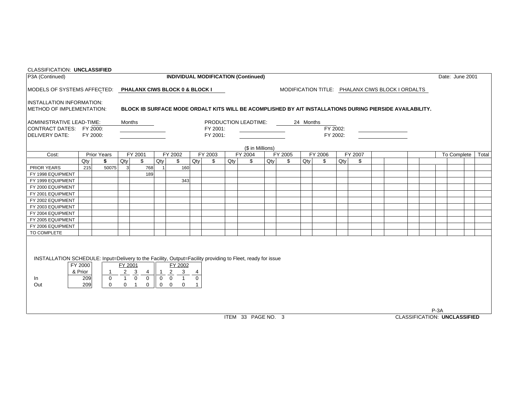| P3A (Continued)<br><b>INDIVIDUAL MODIFICATION (Continued)</b><br>Date: June 2001<br>MODELS OF SYSTEMS AFFECTED: PHALANX CIWS BLOCK 0 & BLOCK I<br>MODIFICATION TITLE: PHALANX CIWS BLOCK I ORDALTS<br><b>IINSTALLATION INFORMATION:</b><br><b>IMETHOD OF IMPLEMENTATION:</b><br>BLOCK IB SURFACE MODE ORDALT KITS WILL BE ACOMPLISHED BY AIT INSTALLATIONS DURING PIERSIDE AVAILABILITY.<br>PRODUCTION LEADTIME:<br>Months<br>24 Months<br>FY 2002:<br>FY 2001:<br>FY 2002:<br>FY 2000:<br>FY 2001:<br>(\$ in Millions)<br>Cost:<br>FY 2001<br>FY 2002<br>FY 2003<br>FY 2004<br>FY 2005<br>FY 2006<br>FY 2007<br><b>Prior Years</b><br>To Complete<br>Qty<br>\$<br>Qty<br>\$<br>Qty<br>\$<br>Qty<br>Qty<br>Qty<br>Qty<br>\$<br>\$<br>Qty<br>\$<br>\$<br>\$<br>215<br>50075<br><b>PRIOR YEARS</b><br>$\mathbf{3}$<br>768<br>160<br>189<br>FY 1998 EQUIPMENT<br>FY 1999 EQUIPMENT<br>343<br>FY 2000 EQUIPMENT<br>FY 2001 EQUIPMENT<br>FY 2002 EQUIPMENT<br>FY 2003 EQUIPMENT<br>FY 2004 EQUIPMENT<br>FY 2005 EQUIPMENT<br>FY 2006 EQUIPMENT<br>TO COMPLETE<br>INSTALLATION SCHEDULE: Input=Delivery to the Facility, Output=Facility providing to Fleet, ready for issue<br>FY 2000<br>FY 2001<br>FY 2002<br>$\begin{array}{ c c c c c }\n\hline\n4 & 1 & 2 & 3 & 4 \\ \hline\n0 & 0 & 1 & 0\n\end{array}$<br>$2 \quad 3$<br>& Prior<br>$\overline{1}$<br>$\frac{1}{1}$ 0<br>209<br>$\overline{0}$<br>In<br>209<br>Out<br>$0 \quad 1$<br>$\mathbf 0$<br>$0\quad 0$<br>$\overline{0}$<br>$\mathbf{1}$<br>$\mathbf 0$<br>$P-3A$<br><b>CLASSIFICATION: UNCLASSIFIED</b><br>ITEM 33 PAGE NO. 3 | <b>CLASSIFICATION: UNCLASSIFIED</b> |  |  |  |  |  |  |  |  |  |  |  |       |
|------------------------------------------------------------------------------------------------------------------------------------------------------------------------------------------------------------------------------------------------------------------------------------------------------------------------------------------------------------------------------------------------------------------------------------------------------------------------------------------------------------------------------------------------------------------------------------------------------------------------------------------------------------------------------------------------------------------------------------------------------------------------------------------------------------------------------------------------------------------------------------------------------------------------------------------------------------------------------------------------------------------------------------------------------------------------------------------------------------------------------------------------------------------------------------------------------------------------------------------------------------------------------------------------------------------------------------------------------------------------------------------------------------------------------------------------------------------------------------------------------------------------------------------------------------------------------------------|-------------------------------------|--|--|--|--|--|--|--|--|--|--|--|-------|
|                                                                                                                                                                                                                                                                                                                                                                                                                                                                                                                                                                                                                                                                                                                                                                                                                                                                                                                                                                                                                                                                                                                                                                                                                                                                                                                                                                                                                                                                                                                                                                                          |                                     |  |  |  |  |  |  |  |  |  |  |  |       |
|                                                                                                                                                                                                                                                                                                                                                                                                                                                                                                                                                                                                                                                                                                                                                                                                                                                                                                                                                                                                                                                                                                                                                                                                                                                                                                                                                                                                                                                                                                                                                                                          |                                     |  |  |  |  |  |  |  |  |  |  |  |       |
| ADMINISTRATIVE LEAD-TIME:<br>CONTRACT DATES: FY 2000:<br><b>IDELIVERY DATE:</b>                                                                                                                                                                                                                                                                                                                                                                                                                                                                                                                                                                                                                                                                                                                                                                                                                                                                                                                                                                                                                                                                                                                                                                                                                                                                                                                                                                                                                                                                                                          |                                     |  |  |  |  |  |  |  |  |  |  |  |       |
|                                                                                                                                                                                                                                                                                                                                                                                                                                                                                                                                                                                                                                                                                                                                                                                                                                                                                                                                                                                                                                                                                                                                                                                                                                                                                                                                                                                                                                                                                                                                                                                          |                                     |  |  |  |  |  |  |  |  |  |  |  |       |
|                                                                                                                                                                                                                                                                                                                                                                                                                                                                                                                                                                                                                                                                                                                                                                                                                                                                                                                                                                                                                                                                                                                                                                                                                                                                                                                                                                                                                                                                                                                                                                                          |                                     |  |  |  |  |  |  |  |  |  |  |  |       |
|                                                                                                                                                                                                                                                                                                                                                                                                                                                                                                                                                                                                                                                                                                                                                                                                                                                                                                                                                                                                                                                                                                                                                                                                                                                                                                                                                                                                                                                                                                                                                                                          |                                     |  |  |  |  |  |  |  |  |  |  |  | Total |
|                                                                                                                                                                                                                                                                                                                                                                                                                                                                                                                                                                                                                                                                                                                                                                                                                                                                                                                                                                                                                                                                                                                                                                                                                                                                                                                                                                                                                                                                                                                                                                                          |                                     |  |  |  |  |  |  |  |  |  |  |  |       |
|                                                                                                                                                                                                                                                                                                                                                                                                                                                                                                                                                                                                                                                                                                                                                                                                                                                                                                                                                                                                                                                                                                                                                                                                                                                                                                                                                                                                                                                                                                                                                                                          |                                     |  |  |  |  |  |  |  |  |  |  |  |       |
|                                                                                                                                                                                                                                                                                                                                                                                                                                                                                                                                                                                                                                                                                                                                                                                                                                                                                                                                                                                                                                                                                                                                                                                                                                                                                                                                                                                                                                                                                                                                                                                          |                                     |  |  |  |  |  |  |  |  |  |  |  |       |
|                                                                                                                                                                                                                                                                                                                                                                                                                                                                                                                                                                                                                                                                                                                                                                                                                                                                                                                                                                                                                                                                                                                                                                                                                                                                                                                                                                                                                                                                                                                                                                                          |                                     |  |  |  |  |  |  |  |  |  |  |  |       |
|                                                                                                                                                                                                                                                                                                                                                                                                                                                                                                                                                                                                                                                                                                                                                                                                                                                                                                                                                                                                                                                                                                                                                                                                                                                                                                                                                                                                                                                                                                                                                                                          |                                     |  |  |  |  |  |  |  |  |  |  |  |       |
|                                                                                                                                                                                                                                                                                                                                                                                                                                                                                                                                                                                                                                                                                                                                                                                                                                                                                                                                                                                                                                                                                                                                                                                                                                                                                                                                                                                                                                                                                                                                                                                          |                                     |  |  |  |  |  |  |  |  |  |  |  |       |
|                                                                                                                                                                                                                                                                                                                                                                                                                                                                                                                                                                                                                                                                                                                                                                                                                                                                                                                                                                                                                                                                                                                                                                                                                                                                                                                                                                                                                                                                                                                                                                                          |                                     |  |  |  |  |  |  |  |  |  |  |  |       |
|                                                                                                                                                                                                                                                                                                                                                                                                                                                                                                                                                                                                                                                                                                                                                                                                                                                                                                                                                                                                                                                                                                                                                                                                                                                                                                                                                                                                                                                                                                                                                                                          |                                     |  |  |  |  |  |  |  |  |  |  |  |       |
|                                                                                                                                                                                                                                                                                                                                                                                                                                                                                                                                                                                                                                                                                                                                                                                                                                                                                                                                                                                                                                                                                                                                                                                                                                                                                                                                                                                                                                                                                                                                                                                          |                                     |  |  |  |  |  |  |  |  |  |  |  |       |
|                                                                                                                                                                                                                                                                                                                                                                                                                                                                                                                                                                                                                                                                                                                                                                                                                                                                                                                                                                                                                                                                                                                                                                                                                                                                                                                                                                                                                                                                                                                                                                                          |                                     |  |  |  |  |  |  |  |  |  |  |  |       |
|                                                                                                                                                                                                                                                                                                                                                                                                                                                                                                                                                                                                                                                                                                                                                                                                                                                                                                                                                                                                                                                                                                                                                                                                                                                                                                                                                                                                                                                                                                                                                                                          |                                     |  |  |  |  |  |  |  |  |  |  |  |       |
|                                                                                                                                                                                                                                                                                                                                                                                                                                                                                                                                                                                                                                                                                                                                                                                                                                                                                                                                                                                                                                                                                                                                                                                                                                                                                                                                                                                                                                                                                                                                                                                          |                                     |  |  |  |  |  |  |  |  |  |  |  |       |
|                                                                                                                                                                                                                                                                                                                                                                                                                                                                                                                                                                                                                                                                                                                                                                                                                                                                                                                                                                                                                                                                                                                                                                                                                                                                                                                                                                                                                                                                                                                                                                                          |                                     |  |  |  |  |  |  |  |  |  |  |  |       |
|                                                                                                                                                                                                                                                                                                                                                                                                                                                                                                                                                                                                                                                                                                                                                                                                                                                                                                                                                                                                                                                                                                                                                                                                                                                                                                                                                                                                                                                                                                                                                                                          |                                     |  |  |  |  |  |  |  |  |  |  |  |       |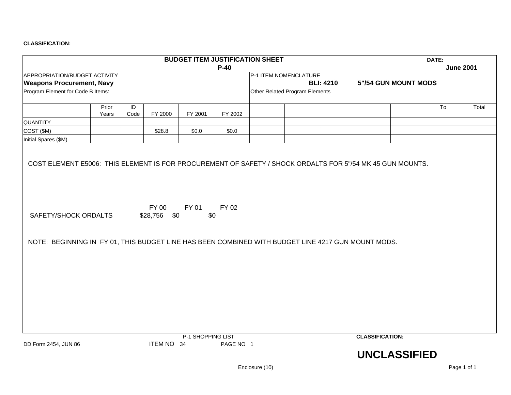|                                                                                                                            |                |            |                       |                                   |           | <b>BUDGET ITEM JUSTIFICATION SHEET</b> |                  |                        |                      | DATE: |                  |
|----------------------------------------------------------------------------------------------------------------------------|----------------|------------|-----------------------|-----------------------------------|-----------|----------------------------------------|------------------|------------------------|----------------------|-------|------------------|
|                                                                                                                            |                |            |                       |                                   | $P-40$    |                                        |                  |                        |                      |       | <b>June 2001</b> |
| APPROPRIATION/BUDGET ACTIVITY                                                                                              |                |            |                       |                                   |           | P-1 ITEM NOMENCLATURE                  |                  |                        |                      |       |                  |
| <b>Weapons Procurement, Navy</b>                                                                                           |                |            |                       |                                   |           |                                        | <b>BLI: 4210</b> |                        | 5"/54 GUN MOUNT MODS |       |                  |
| Program Element for Code B Items:                                                                                          |                |            |                       |                                   |           | Other Related Program Elements         |                  |                        |                      |       |                  |
|                                                                                                                            | Prior<br>Years | ID<br>Code | FY 2000               | FY 2001                           | FY 2002   |                                        |                  |                        |                      | To    | Total            |
| QUANTITY                                                                                                                   |                |            |                       |                                   |           |                                        |                  |                        |                      |       |                  |
| COST (\$M)                                                                                                                 |                |            | \$28.8                | \$0.0                             | \$0.0     |                                        |                  |                        |                      |       |                  |
| Initial Spares (\$M)                                                                                                       |                |            |                       |                                   |           |                                        |                  |                        |                      |       |                  |
| SAFETY/SHOCK ORDALTS<br>NOTE: BEGINNING IN FY 01, THIS BUDGET LINE HAS BEEN COMBINED WITH BUDGET LINE 4217 GUN MOUNT MODS. |                |            | FY 00<br>\$28,756 \$0 | FY 01<br>\$0<br>P-1 SHOPPING LIST | FY 02     |                                        |                  | <b>CLASSIFICATION:</b> |                      |       |                  |
| DD Form 2454, JUN 86                                                                                                       |                |            | ITEM NO 34            |                                   | PAGE NO 1 |                                        |                  |                        | <b>UNCLASSIFIED</b>  |       |                  |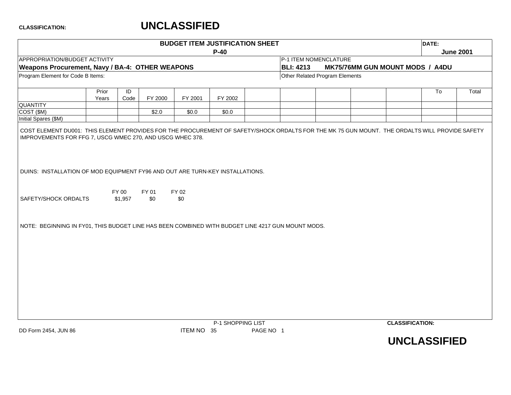|                                                                                                                                                                                                            |       |                  |              |              | <b>BUDGET ITEM JUSTIFICATION SHEET</b> |                       |                                 |                        | DATE: |                  |
|------------------------------------------------------------------------------------------------------------------------------------------------------------------------------------------------------------|-------|------------------|--------------|--------------|----------------------------------------|-----------------------|---------------------------------|------------------------|-------|------------------|
|                                                                                                                                                                                                            |       |                  |              |              | $P-40$                                 |                       |                                 |                        |       | <b>June 2001</b> |
| APPROPRIATION/BUDGET ACTIVITY                                                                                                                                                                              |       |                  |              |              |                                        | P-1 ITEM NOMENCLATURE |                                 |                        |       |                  |
| Weapons Procurement, Navy / BA-4: OTHER WEAPONS                                                                                                                                                            |       |                  |              |              |                                        | <b>BLI: 4213</b>      | MK75/76MM GUN MOUNT MODS / A4DU |                        |       |                  |
| Program Element for Code B Items:                                                                                                                                                                          |       |                  |              |              |                                        |                       | Other Related Program Elements  |                        |       |                  |
|                                                                                                                                                                                                            |       |                  |              |              |                                        |                       |                                 |                        |       |                  |
|                                                                                                                                                                                                            | Prior | ID               |              |              |                                        |                       |                                 |                        | To    | Total            |
|                                                                                                                                                                                                            | Years | Code             | FY 2000      | FY 2001      | FY 2002                                |                       |                                 |                        |       |                  |
| <b>QUANTITY</b><br>COST (\$M)                                                                                                                                                                              |       |                  | \$2.0        | \$0.0        | \$0.0                                  |                       |                                 |                        |       |                  |
| Initial Spares (\$M)                                                                                                                                                                                       |       |                  |              |              |                                        |                       |                                 |                        |       |                  |
|                                                                                                                                                                                                            |       |                  |              |              |                                        |                       |                                 |                        |       |                  |
| DUINS: INSTALLATION OF MOD EQUIPMENT FY96 AND OUT ARE TURN-KEY INSTALLATIONS.<br>SAFETY/SHOCK ORDALTS<br>NOTE: BEGINNING IN FY01, THIS BUDGET LINE HAS BEEN COMBINED WITH BUDGET LINE 4217 GUN MOUNT MODS. |       | FY 00<br>\$1,957 | FY 01<br>\$0 | FY 02<br>\$0 |                                        |                       |                                 |                        |       |                  |
|                                                                                                                                                                                                            |       |                  |              |              | P-1 SHOPPING LIST                      |                       |                                 | <b>CLASSIFICATION:</b> |       |                  |

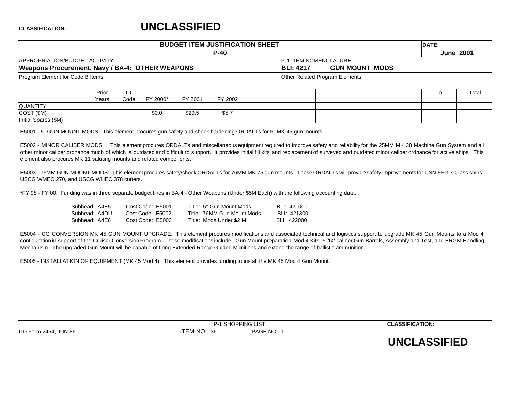# **UNCLASSIFIED**

|                                   |                                                                                                                  |            |                                                          |         | <b>BUDGET ITEM JUSTIFICATION SHEET</b>                                                                                                    |                                           |                                                                                                                                                                                                                                                                                                                                                                                       | DATE: |                  |
|-----------------------------------|------------------------------------------------------------------------------------------------------------------|------------|----------------------------------------------------------|---------|-------------------------------------------------------------------------------------------------------------------------------------------|-------------------------------------------|---------------------------------------------------------------------------------------------------------------------------------------------------------------------------------------------------------------------------------------------------------------------------------------------------------------------------------------------------------------------------------------|-------|------------------|
|                                   |                                                                                                                  |            |                                                          |         | $P-40$                                                                                                                                    |                                           |                                                                                                                                                                                                                                                                                                                                                                                       |       | <b>June 2001</b> |
|                                   | APPROPRIATION/BUDGET ACTIVITY                                                                                    |            |                                                          |         |                                                                                                                                           | P-1 ITEM NOMENCLATURE                     |                                                                                                                                                                                                                                                                                                                                                                                       |       |                  |
|                                   | Weapons Procurement, Navy / BA-4: OTHER WEAPONS                                                                  |            |                                                          |         |                                                                                                                                           | <b>BLI: 4217</b>                          | <b>GUN MOUNT MODS</b>                                                                                                                                                                                                                                                                                                                                                                 |       |                  |
| Program Element for Code B Items: |                                                                                                                  |            |                                                          |         |                                                                                                                                           | Other Related Program Elements            |                                                                                                                                                                                                                                                                                                                                                                                       |       |                  |
|                                   | Prior<br>Years                                                                                                   | ID<br>Code | FY 2000*                                                 | FY 2001 | FY 2002                                                                                                                                   |                                           |                                                                                                                                                                                                                                                                                                                                                                                       | To    | Total            |
| <b>QUANTITY</b>                   |                                                                                                                  |            |                                                          |         |                                                                                                                                           |                                           |                                                                                                                                                                                                                                                                                                                                                                                       |       |                  |
| COST (\$M)                        |                                                                                                                  |            | \$0.0                                                    | \$29.5  | \$5.7                                                                                                                                     |                                           |                                                                                                                                                                                                                                                                                                                                                                                       |       |                  |
| Initial Spares (\$M)              |                                                                                                                  |            |                                                          |         |                                                                                                                                           |                                           |                                                                                                                                                                                                                                                                                                                                                                                       |       |                  |
|                                   | element also procures MK 11 saluting mounts and related components.<br>USCG WMEC 270, and USCG WHEC 378 cutters. |            |                                                          |         | *FY 98 - FY 00: Funding was in three separate budget lines in BA-4 - Other Weapons (Under \$5M Each) with the following accounting data.  |                                           | other minor caliber ordnance much of which is outdated and difficult to support. It provides initial fill kits and replacement of surveyed and outdated minor caliber ordnance for active ships. This<br>E5003 - 76MM GUN MOUNT MODS: This element procures safety/shock ORDALTs for 76MM MK 75 gun mounts. These ORDALTs will provide safety improvements for USN FFG 7 Class ships, |       |                  |
|                                   | Subhead: A4E5<br>Subhead: A4DU<br>Subhead: A4E6                                                                  |            | Cost Code: E5001<br>Cost Code: E5002<br>Cost Code: E5003 |         | Title: 5" Gun Mount Mods<br>Title: 76MM Gun Mount Mods<br>Title: Mods Under \$2 M                                                         | BLI: 421000<br>BLI: 421300<br>BLI: 422000 |                                                                                                                                                                                                                                                                                                                                                                                       |       |                  |
|                                   |                                                                                                                  |            |                                                          |         | Mechanism. The upgraded Gun Mount will be capable of firing Extended Range Guided Munitions and extend the range of ballistic ammunition. |                                           | E5004 - CG CONVERSION MK 45 GUN MOUNT UPGRADE: This element procures modifications and associated technical and logistics support to upgrade MK 45 Gun Mounts to a Mod 4<br>configuration in support of the Cruiser Conversion Program. These modifications include: Gun Mount preparation, Mod 4 Kits, 5"/62 caliber Gun Barrels, Assembly and Test, and ERGM Handling               |       |                  |
|                                   |                                                                                                                  |            |                                                          |         | E5005 - INSTALLATION OF EQUIPMENT (MK 45 Mod 4): This element provides funding to install the MK 45 Mod 4 Gun Mount.                      |                                           |                                                                                                                                                                                                                                                                                                                                                                                       |       |                  |
|                                   |                                                                                                                  |            |                                                          |         |                                                                                                                                           |                                           |                                                                                                                                                                                                                                                                                                                                                                                       |       |                  |
|                                   |                                                                                                                  |            |                                                          |         | P-1 SHOPPING LIST                                                                                                                         |                                           | <b>CLASSIFICATION:</b>                                                                                                                                                                                                                                                                                                                                                                |       |                  |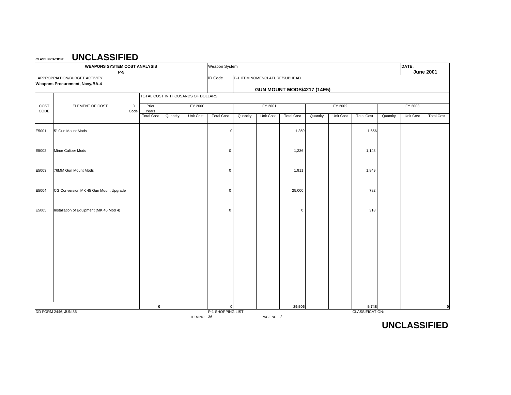|              | <b>WEAPONS SYSTEM COST ANALYSIS</b><br>P-5                             |            |                   |                                    |             | Weapon System     |          |                                                                    |                   |          |           |                   |          | DATE:     | <b>June 2001</b>  |
|--------------|------------------------------------------------------------------------|------------|-------------------|------------------------------------|-------------|-------------------|----------|--------------------------------------------------------------------|-------------------|----------|-----------|-------------------|----------|-----------|-------------------|
|              | APPROPRIATION/BUDGET ACTIVITY<br><b>Weapons Procurement, Navy/BA-4</b> |            |                   |                                    |             | <b>ID Code</b>    |          | P-1 ITEM NOMENCLATURE/SUBHEAD<br><b>GUN MOUNT MODS/4217 (14E5)</b> |                   |          |           |                   |          |           |                   |
|              |                                                                        |            |                   | TOTAL COST IN THOUSANDS OF DOLLARS |             |                   |          |                                                                    |                   |          |           |                   |          |           |                   |
| COST<br>CODE | ELEMENT OF COST                                                        | ID<br>Code | Prior<br>Years    |                                    | FY 2000     |                   |          | FY 2001                                                            |                   |          | FY 2002   |                   |          | FY 2003   |                   |
|              |                                                                        |            | <b>Total Cost</b> | Quantity                           | Unit Cost   | <b>Total Cost</b> | Quantity | Unit Cost                                                          | <b>Total Cost</b> | Quantity | Unit Cost | <b>Total Cost</b> | Quantity | Unit Cost | <b>Total Cost</b> |
| E5001        | 5" Gun Mount Mods                                                      |            |                   |                                    |             | $\Omega$          |          |                                                                    | 1,359             |          |           | 1,656             |          |           |                   |
| E5002        | Minor Caliber Mods                                                     |            |                   |                                    |             | $\mathbf 0$       |          |                                                                    | 1,236             |          |           | 1,143             |          |           |                   |
| E5003        | 76MM Gun Mount Mods                                                    |            |                   |                                    |             | $\mathbf 0$       |          |                                                                    | 1,911             |          |           | 1,849             |          |           |                   |
| E5004        | CG Conversion MK 45 Gun Mount Upgrade                                  |            |                   |                                    |             | $\mathbf 0$       |          |                                                                    | 25,000            |          |           | 782               |          |           |                   |
| E5005        | Installation of Equipment (MK 45 Mod 4)                                |            |                   |                                    |             | $\Omega$          |          |                                                                    | 0                 |          |           | 318               |          |           |                   |
|              |                                                                        |            |                   |                                    |             |                   |          |                                                                    |                   |          |           |                   |          |           |                   |
|              |                                                                        |            |                   |                                    |             |                   |          |                                                                    |                   |          |           |                   |          |           |                   |
|              |                                                                        |            |                   |                                    |             |                   |          |                                                                    |                   |          |           |                   |          |           |                   |
|              |                                                                        |            |                   |                                    |             |                   |          |                                                                    |                   |          |           |                   |          |           |                   |
|              |                                                                        |            | 0                 |                                    |             | $\mathbf{0}$      |          |                                                                    | 29,506            |          |           | 5,748             |          |           | 0                 |
|              | DD FORM 2446, JUN 86                                                   |            |                   |                                    | ITEM NO. 36 | P-1 SHOPPING LIST |          | PAGE NO. 2                                                         |                   |          |           | CLASSIFICATION:   |          |           |                   |

**UNCLASSIFIED**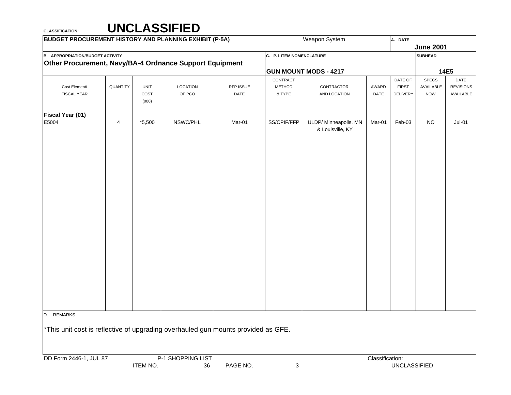| <b>BUDGET PROCUREMENT HISTORY AND PLANNING EXHIBIT (P-5A)</b>                     |          |               |          |           |                          | Weapon System                             |        | A. DATE      |                  |                  |
|-----------------------------------------------------------------------------------|----------|---------------|----------|-----------|--------------------------|-------------------------------------------|--------|--------------|------------------|------------------|
|                                                                                   |          |               |          |           |                          |                                           |        |              | <b>June 2001</b> |                  |
| <b>B. APPROPRIATION/BUDGET ACTIVITY</b>                                           |          |               |          |           | C. P-1 ITEM NOMENCLATURE |                                           |        |              | <b>SUBHEAD</b>   |                  |
| Other Procurement, Navy/BA-4 Ordnance Support Equipment                           |          |               |          |           |                          |                                           |        |              |                  |                  |
|                                                                                   |          |               |          |           |                          | <b>GUN MOUNT MODS - 4217</b>              |        |              |                  | 14E5             |
|                                                                                   |          |               |          |           | CONTRACT                 |                                           |        | DATE OF      | SPECS            | DATE             |
| Cost Element/                                                                     | QUANTITY | <b>UNIT</b>   | LOCATION | RFP ISSUE | <b>METHOD</b>            | CONTRACTOR                                | AWARD  | <b>FIRST</b> | AVAILABLE        | <b>REVISIONS</b> |
| FISCAL YEAR                                                                       |          | COST<br>(000) | OF PCO   | DATE      | & TYPE                   | AND LOCATION                              | DATE   | DELIVERY     | <b>NOW</b>       | AVAILABLE        |
| Fiscal Year (01)                                                                  |          |               |          |           |                          |                                           |        |              |                  |                  |
| E5004                                                                             | 4        | $*5,500$      | NSWC/PHL | Mar-01    | SS/CPIF/FFP              | ULDP/ Minneapolis, MN<br>& Louisville, KY | Mar-01 | Feb-03       | <b>NO</b>        | $Jul-01$         |
|                                                                                   |          |               |          |           |                          |                                           |        |              |                  |                  |
|                                                                                   |          |               |          |           |                          |                                           |        |              |                  |                  |
|                                                                                   |          |               |          |           |                          |                                           |        |              |                  |                  |
|                                                                                   |          |               |          |           |                          |                                           |        |              |                  |                  |
|                                                                                   |          |               |          |           |                          |                                           |        |              |                  |                  |
|                                                                                   |          |               |          |           |                          |                                           |        |              |                  |                  |
|                                                                                   |          |               |          |           |                          |                                           |        |              |                  |                  |
|                                                                                   |          |               |          |           |                          |                                           |        |              |                  |                  |
|                                                                                   |          |               |          |           |                          |                                           |        |              |                  |                  |
|                                                                                   |          |               |          |           |                          |                                           |        |              |                  |                  |
|                                                                                   |          |               |          |           |                          |                                           |        |              |                  |                  |
| D. REMARKS                                                                        |          |               |          |           |                          |                                           |        |              |                  |                  |
| *This unit cost is reflective of upgrading overhauled gun mounts provided as GFE. |          |               |          |           |                          |                                           |        |              |                  |                  |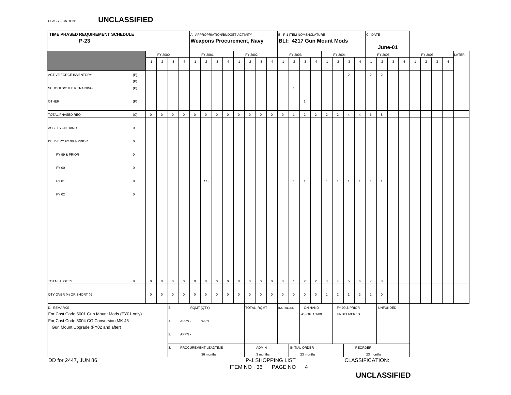## CLASSIFICATION:**UNCLASSIFIED**

| TIME PHASED REQUIREMENT SCHEDULE<br>$P-23$                                              |              |                | A. APPROPRIATION/BUDGET ACTIVITY<br><b>Weapons Procurement, Navy</b> |                |                                   |                     |                |                |                                |              | B. P-1 ITEM NOMENCLATURE<br><b>BLI: 4217 Gun Mount Mods</b> |                                                        |                     |                     |                     |                |                | C. DATE         |                 |                |                |                  |                |              |            |                |                |            |                |  |
|-----------------------------------------------------------------------------------------|--------------|----------------|----------------------------------------------------------------------|----------------|-----------------------------------|---------------------|----------------|----------------|--------------------------------|--------------|-------------------------------------------------------------|--------------------------------------------------------|---------------------|---------------------|---------------------|----------------|----------------|-----------------|-----------------|----------------|----------------|------------------|----------------|--------------|------------|----------------|----------------|------------|----------------|--|
|                                                                                         |              |                |                                                                      |                |                                   |                     |                |                |                                |              |                                                             |                                                        |                     |                     |                     |                |                | June-01         |                 |                |                |                  |                |              |            |                |                |            |                |  |
|                                                                                         |              | FY 2000        |                                                                      |                |                                   | FY 2001             |                |                | FY 2002                        |              |                                                             |                                                        | FY 2003             |                     |                     |                |                | FY 2004         |                 |                | FY 2005        |                  |                | FY 2006      |            |                |                | LATER      |                |  |
|                                                                                         |              | $\overline{1}$ | $\overline{2}$                                                       | $\mathbf{3}$   | $\overline{4}$                    | $\mathbf{1}$        | $\overline{2}$ | $\mathbf{3}$   | $\sqrt{4}$                     | $\mathbf{1}$ | $\overline{2}$                                              | $\mathbf{3}$                                           | $\overline{4}$      | $\overline{1}$      | $\overline{2}$      | $\mathbf{3}$   | $\overline{4}$ | $\overline{1}$  | $\overline{2}$  | $\mathbf{3}$   | $\overline{4}$ | $\overline{1}$   | $\overline{2}$ | $\mathbf{3}$ | $\sqrt{4}$ | $\overline{1}$ | $\overline{2}$ | $_{\rm 3}$ | $\overline{4}$ |  |
| <b>ACTIVE FORCE INVENTORY</b>                                                           | (P)          |                |                                                                      |                |                                   |                     |                |                |                                |              |                                                             |                                                        |                     |                     |                     |                |                |                 |                 | $\overline{2}$ |                | $\overline{2}$   | $\overline{2}$ |              |            |                |                |            |                |  |
| SCHOOLS/OTHER TRAINING                                                                  | (P)<br>(P)   |                |                                                                      |                |                                   |                     |                |                |                                |              |                                                             |                                                        |                     |                     | $\mathbf{1}$        |                |                |                 |                 |                |                |                  |                |              |            |                |                |            |                |  |
| <b>OTHER</b>                                                                            | (P)          |                |                                                                      |                |                                   |                     |                |                |                                |              |                                                             |                                                        |                     |                     |                     | $\mathbf{1}$   |                |                 |                 |                |                |                  |                |              |            |                |                |            |                |  |
| TOTAL PHASED REQ                                                                        | (C)          | $\mathbf 0$    | $\,$ 0 $\,$                                                          | $\mathsf 0$    | $\mathsf{O}$                      | $\mathsf{O}\xspace$ | $\mathbf 0$    | $\overline{0}$ | $\mathbf 0$                    | $\mathbf 0$  | $\mathbf 0$                                                 | $\overline{0}$                                         | $\mathsf{O}$        | $\mathbf 0$         | $\mathbf{1}$        | $\overline{2}$ | $\overline{2}$ | $\overline{2}$  | $\overline{2}$  | $\overline{4}$ | $\overline{4}$ | $\,6\,$          | $\bf8$         |              |            |                |                |            |                |  |
| ASSETS ON HAND                                                                          | $\mathsf 0$  |                |                                                                      |                |                                   |                     |                |                |                                |              |                                                             |                                                        |                     |                     |                     |                |                |                 |                 |                |                |                  |                |              |            |                |                |            |                |  |
| DELIVERY FY 98 & PRIOR                                                                  | $\mathsf 0$  |                |                                                                      |                |                                   |                     |                |                |                                |              |                                                             |                                                        |                     |                     |                     |                |                |                 |                 |                |                |                  |                |              |            |                |                |            |                |  |
| FY 99 & PRIOR                                                                           | $\mathsf 0$  |                |                                                                      |                |                                   |                     |                |                |                                |              |                                                             |                                                        |                     |                     |                     |                |                |                 |                 |                |                |                  |                |              |            |                |                |            |                |  |
| FY 00                                                                                   | $\mathsf 0$  |                |                                                                      |                |                                   |                     |                |                |                                |              |                                                             |                                                        |                     |                     |                     |                |                |                 |                 |                |                |                  |                |              |            |                |                |            |                |  |
| FY 01                                                                                   | 8            |                |                                                                      |                |                                   |                     | SS             |                |                                |              |                                                             |                                                        |                     |                     | $\mathbf{1}$        | $\mathbf{1}$   |                | $\mathbf{1}$    | $\mathbf{1}$    | $\overline{1}$ | $\overline{1}$ | $\mathbf{1}$     | $\mathbf{1}$   |              |            |                |                |            |                |  |
| FY 02                                                                                   | $\mathsf{o}$ |                |                                                                      |                |                                   |                     |                |                |                                |              |                                                             |                                                        |                     |                     |                     |                |                |                 |                 |                |                |                  |                |              |            |                |                |            |                |  |
|                                                                                         |              |                |                                                                      |                |                                   |                     |                |                |                                |              |                                                             |                                                        |                     |                     |                     |                |                |                 |                 |                |                |                  |                |              |            |                |                |            |                |  |
|                                                                                         |              |                |                                                                      |                |                                   |                     |                |                |                                |              |                                                             |                                                        |                     |                     |                     |                |                |                 |                 |                |                |                  |                |              |            |                |                |            |                |  |
|                                                                                         |              |                |                                                                      |                |                                   |                     |                |                |                                |              |                                                             |                                                        |                     |                     |                     |                |                |                 |                 |                |                |                  |                |              |            |                |                |            |                |  |
| <b>TOTAL ASSETS</b>                                                                     | 8            | $\mathbf 0$    | $\mathbf 0$                                                          | $\mathsf{o}\,$ | $\mathbf 0$                       | $\mathbf 0$         | $\mathbb O$    | $\mathsf{O}$   | $\mathbf 0$                    | $\mathbf 0$  | $\mathbf 0$                                                 | $\mathbf 0$                                            | $\mathsf{O}\xspace$ | $\mathsf{O}\xspace$ | $\mathbf{1}$        | $\overline{2}$ | $\overline{2}$ | $\mathbf 3$     | $\overline{4}$  | $\,$ 5 $\,$    | $\,6\,$        | $\boldsymbol{7}$ | $\bf8$         |              |            |                |                |            |                |  |
|                                                                                         |              |                |                                                                      |                |                                   |                     |                |                |                                |              |                                                             |                                                        |                     |                     |                     |                |                |                 |                 |                |                |                  |                |              |            |                |                |            |                |  |
| QTY OVER (+) OR SHORT (-)                                                               |              | $\mathbf 0$    | $\,0\,$                                                              | $\mathsf{O}$   | $\mathbf 0$                       | $\mathsf{O}\xspace$ | $\,$ 0         | $\overline{0}$ | $\mathbf 0$                    | $\mathbf 0$  | $\mathbf 0$                                                 | $\mathbf 0$                                            | $\mathbf 0$         | $\mathbf 0$         | $\mathsf{O}\xspace$ | $\mathbf 0$    | $\,$ 0 $\,$    | $\overline{1}$  | $\overline{2}$  | $\mathbf{1}$   | $\overline{2}$ | $\mathbf{1}$     | $\,$ 0         |              |            |                |                |            |                |  |
| D. REMARKS                                                                              |              |                | Ε.                                                                   | RQMT (QTY)     |                                   |                     |                |                | TOTAL RQMT<br><b>INSTALLED</b> |              |                                                             |                                                        | ON HAND             |                     |                     | FY 99 & PRIOR  |                |                 | <b>UNFUNDED</b> |                |                |                  |                |              |            |                |                |            |                |  |
| For Cost Code 5001 Gun Mount Mods (FY01 only)<br>For Cost Code 5004 CG Conversion MK 45 |              |                | APPN -<br><b>WPN</b>                                                 |                |                                   |                     |                |                |                                |              | AS OF 1/1/00<br>UNDELIVERED                                 |                                                        |                     |                     |                     |                |                |                 |                 |                |                |                  |                |              |            |                |                |            |                |  |
| Gun Mount Upgrade (FY02 and after)                                                      |              |                | $\overline{2}$                                                       | APPN -         |                                   |                     |                |                |                                |              |                                                             |                                                        |                     |                     |                     |                |                |                 |                 |                |                |                  |                |              |            |                |                |            |                |  |
|                                                                                         |              |                |                                                                      |                |                                   |                     |                |                |                                |              |                                                             |                                                        |                     |                     |                     |                |                |                 |                 |                |                |                  |                |              |            |                |                |            |                |  |
|                                                                                         |              |                |                                                                      | 3.             | PROCUREMENT LEADTIME<br>36 months |                     |                |                |                                |              |                                                             | <b>INITIAL ORDER</b><br>ADMIN<br>23 months<br>3 months |                     |                     |                     |                |                | REORDER         | 23 months       |                |                |                  |                |              |            |                |                |            |                |  |
| DD for 2447, JUN 86                                                                     |              |                |                                                                      |                |                                   |                     |                |                |                                |              |                                                             | P-1 SHOPPING LIST                                      |                     |                     |                     |                |                | CLASSIFICATION: |                 |                |                |                  |                |              |            |                |                |            |                |  |

## **UNCLASSIFIED**

ITEM NO 36 PAGE NO 4